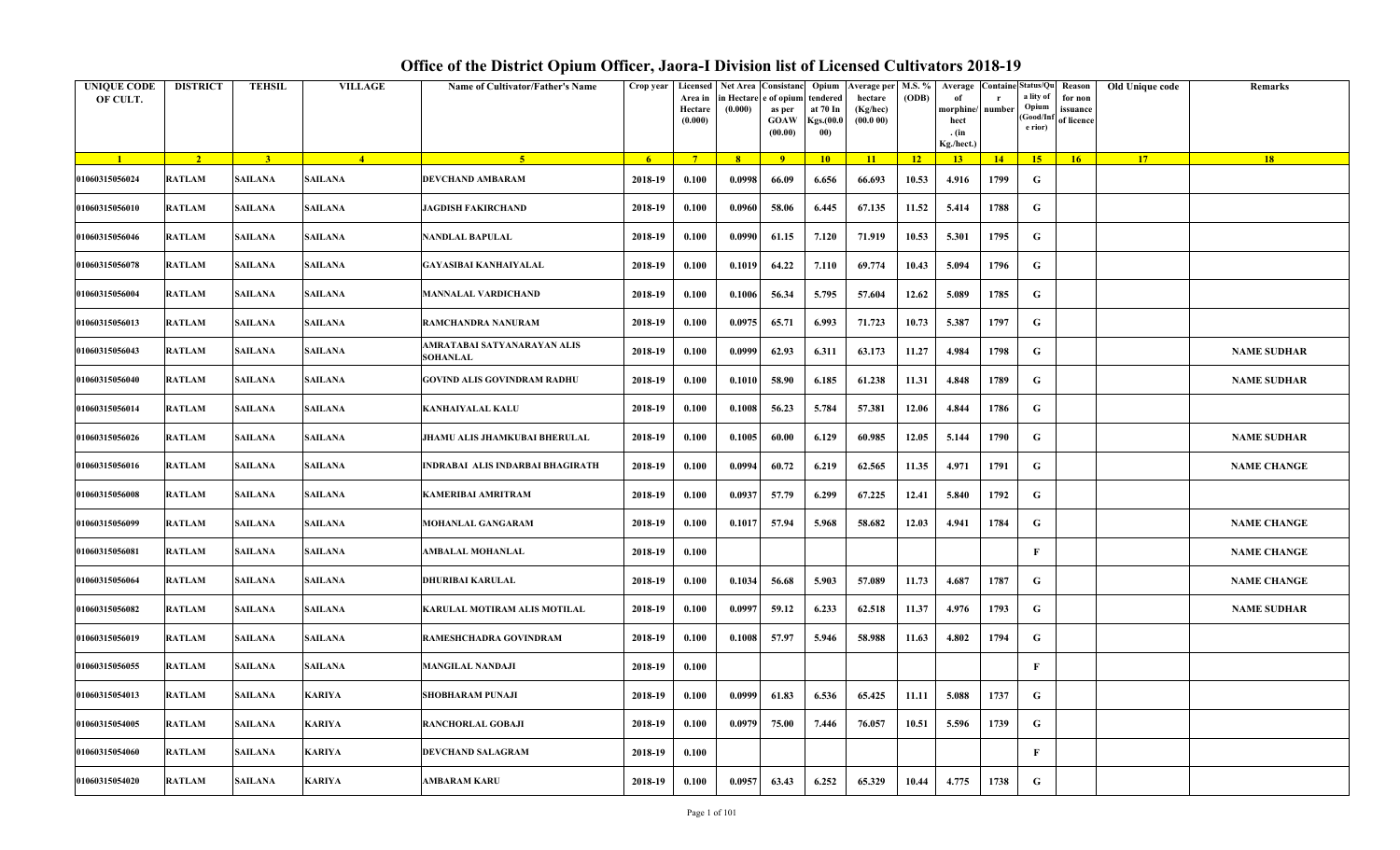| <b>UNIQUE CODE</b><br>OF CULT. | <b>DISTRICT</b> | TEHSIL                  | <b>VILLAGE</b>  | Name of Cultivator/Father's Name               | Crop year      | Licensed<br>Area in<br>Hectare<br>(0.000) | Net Area<br>n Hectar<br>(0.000) | Consistanc<br>e of opium<br>as per<br><b>GOAW</b><br>(00.00) | Opium<br>tendered<br>at 70 In<br>Kgs.(00.0<br>00) | Average per<br>hectare<br>(Kg/hec)<br>(00.000) | M.S. %<br>(ODB) | Average<br>of<br>morphine/<br>hect<br>. (in<br>Kg./hect. | number | <b>Containe Status/Qu</b><br>a lity of<br>Opium<br>(Good/Int<br>e rior) | Reason<br>for non<br>issuance<br>of licence | Old Unique code | Remarks            |
|--------------------------------|-----------------|-------------------------|-----------------|------------------------------------------------|----------------|-------------------------------------------|---------------------------------|--------------------------------------------------------------|---------------------------------------------------|------------------------------------------------|-----------------|----------------------------------------------------------|--------|-------------------------------------------------------------------------|---------------------------------------------|-----------------|--------------------|
| $\mathbf{1}$                   | $\overline{2}$  | $\overline{\mathbf{3}}$ | $\vert 4 \vert$ | 5 <sup>5</sup>                                 | 6 <sup>1</sup> | $7^{\circ}$                               | 8 <sup>°</sup>                  | $\overline{9}$                                               | 10                                                | 11                                             | 12              | 13                                                       | 14     | <b>15</b>                                                               | 16                                          | 17              | 18                 |
| 01060315056024                 | <b>RATLAM</b>   | SAILANA                 | <b>SAILANA</b>  | <b>DEVCHAND AMBARAM</b>                        | 2018-19        | 0.100                                     | 0.0998                          | 66.09                                                        | 6.656                                             | 66.693                                         | 10.53           | 4.916                                                    | 1799   | G                                                                       |                                             |                 |                    |
| 01060315056010                 | <b>RATLAM</b>   | SAILANA                 | SAILANA         | <b>JAGDISH FAKIRCHAND</b>                      | 2018-19        | 0.100                                     | 0.0960                          | 58.06                                                        | 6.445                                             | 67.135                                         | 11.52           | 5.414                                                    | 1788   | G                                                                       |                                             |                 |                    |
| 01060315056046                 | <b>RATLAM</b>   | <b>SAILANA</b>          | <b>SAILANA</b>  | <b>NANDLAL BAPULAL</b>                         | 2018-19        | 0.100                                     | 0.0990                          | 61.15                                                        | 7.120                                             | 71.919                                         | 10.53           | 5.301                                                    | 1795   | $\mathbf G$                                                             |                                             |                 |                    |
| 01060315056078                 | <b>RATLAM</b>   | SAILANA                 | <b>SAILANA</b>  | <b>GAYASIBAI KANHAIYALAL</b>                   | 2018-19        | 0.100                                     | 0.1019                          | 64.22                                                        | 7.110                                             | 69.774                                         | 10.43           | 5.094                                                    | 1796   | $\mathbf G$                                                             |                                             |                 |                    |
| 01060315056004                 | <b>RATLAM</b>   | <b>SAILANA</b>          | <b>SAILANA</b>  | <b>MANNALAL VARDICHAND</b>                     | 2018-19        | 0.100                                     | 0.1006                          | 56.34                                                        | 5.795                                             | 57.604                                         | 12.62           | 5.089                                                    | 1785   | G                                                                       |                                             |                 |                    |
| 01060315056013                 | <b>RATLAM</b>   | SAILANA                 | <b>SAILANA</b>  | RAMCHANDRA NANURAM                             | 2018-19        | 0.100                                     | 0.0975                          | 65.71                                                        | 6.993                                             | 71.723                                         | 10.73           | 5.387                                                    | 1797   | G                                                                       |                                             |                 |                    |
| 01060315056043                 | <b>RATLAM</b>   | SAILANA                 | <b>SAILANA</b>  | AMRATABAI SATYANARAYAN ALIS<br><b>SOHANLAL</b> | 2018-19        | 0.100                                     | 0.0999                          | 62.93                                                        | 6.311                                             | 63.173                                         | 11.27           | 4.984                                                    | 1798   | G                                                                       |                                             |                 | <b>NAME SUDHAR</b> |
| 01060315056040                 | <b>RATLAM</b>   | SAILANA                 | <b>SAILANA</b>  | <b>GOVIND ALIS GOVINDRAM RADHU</b>             | 2018-19        | 0.100                                     | 0.1010                          | 58.90                                                        | 6.185                                             | 61.238                                         | 11.31           | 4.848                                                    | 1789   | G                                                                       |                                             |                 | <b>NAME SUDHAR</b> |
| 01060315056014                 | <b>RATLAM</b>   | SAILANA                 | <b>SAILANA</b>  | <b>KANHAIYALAL KALU</b>                        | 2018-19        | 0.100                                     | 0.1008                          | 56.23                                                        | 5.784                                             | 57.381                                         | 12.06           | 4.844                                                    | 1786   | G                                                                       |                                             |                 |                    |
| 01060315056026                 | <b>RATLAM</b>   | SAILANA                 | <b>SAILANA</b>  | JHAMU ALIS JHAMKUBAI BHERULAL                  | 2018-19        | 0.100                                     | 0.1005                          | 60.00                                                        | 6.129                                             | 60.985                                         | 12.05           | 5.144                                                    | 1790   | G                                                                       |                                             |                 | <b>NAME SUDHAR</b> |
| 01060315056016                 | <b>RATLAM</b>   | SAILANA                 | <b>SAILANA</b>  | INDRABAI ALIS INDARBAI BHAGIRATH               | 2018-19        | 0.100                                     | 0.0994                          | 60.72                                                        | 6.219                                             | 62.565                                         | 11.35           | 4.971                                                    | 1791   | G                                                                       |                                             |                 | <b>NAME CHANGE</b> |
| 01060315056008                 | <b>RATLAM</b>   | SAILANA                 | <b>SAILANA</b>  | <b>KAMERIBAI AMRITRAM</b>                      | 2018-19        | 0.100                                     | 0.0937                          | 57.79                                                        | 6.299                                             | 67.225                                         | 12.41           | 5.840                                                    | 1792   | G                                                                       |                                             |                 |                    |
| 01060315056099                 | <b>RATLAM</b>   | SAILANA                 | <b>SAILANA</b>  | MOHANLAL GANGARAM                              | 2018-19        | 0.100                                     | 0.1017                          | 57.94                                                        | 5.968                                             | 58.682                                         | 12.03           | 4.941                                                    | 1784   | $\mathbf G$                                                             |                                             |                 | <b>NAME CHANGE</b> |
| 01060315056081                 | <b>RATLAM</b>   | <b>SAILANA</b>          | <b>SAILANA</b>  | <b>AMBALAL MOHANLAL</b>                        | 2018-19        | 0.100                                     |                                 |                                                              |                                                   |                                                |                 |                                                          |        | $\mathbf{F}$                                                            |                                             |                 | <b>NAME CHANGE</b> |
| 01060315056064                 | <b>RATLAM</b>   | SAILANA                 | <b>SAILANA</b>  | <b>DHURIBAI KARULAL</b>                        | 2018-19        | 0.100                                     | 0.1034                          | 56.68                                                        | 5.903                                             | 57.089                                         | 11.73           | 4.687                                                    | 1787   | $\mathbf G$                                                             |                                             |                 | <b>NAME CHANGE</b> |
| 01060315056082                 | <b>RATLAM</b>   | SAILANA                 | <b>SAILANA</b>  | KARULAL MOTIRAM ALIS MOTILAL                   | 2018-19        | 0.100                                     | 0.0997                          | 59.12                                                        | 6.233                                             | 62.518                                         | 11.37           | 4.976                                                    | 1793   | $\mathbf G$                                                             |                                             |                 | <b>NAME SUDHAR</b> |
| 01060315056019                 | <b>RATLAM</b>   | SAILANA                 | <b>SAILANA</b>  | RAMESHCHADRA GOVINDRAM                         | 2018-19        | 0.100                                     | 0.1008                          | 57.97                                                        | 5.946                                             | 58.988                                         | 11.63           | 4.802                                                    | 1794   | $\mathbf G$                                                             |                                             |                 |                    |
| 01060315056055                 | <b>RATLAM</b>   | <b>SAILANA</b>          | <b>SAILANA</b>  | <b>MANGILAL NANDAJI</b>                        | 2018-19        | 0.100                                     |                                 |                                                              |                                                   |                                                |                 |                                                          |        | $\mathbf{F}$                                                            |                                             |                 |                    |
| 01060315054013                 | <b>RATLAM</b>   | SAILANA                 | <b>KARIYA</b>   | <b>SHOBHARAM PUNAJI</b>                        | 2018-19        | 0.100                                     | 0.0999                          | 61.83                                                        | 6.536                                             | 65.425                                         | 11.11           | 5.088                                                    | 1737   | G                                                                       |                                             |                 |                    |
| 01060315054005                 | <b>RATLAM</b>   | SAILANA                 | <b>KARIYA</b>   | <b>RANCHORLAL GOBAJI</b>                       | 2018-19        | 0.100                                     | 0.0979                          | 75.00                                                        | 7.446                                             | 76.057                                         | 10.51           | 5.596                                                    | 1739   | G                                                                       |                                             |                 |                    |
| 01060315054060                 | <b>RATLAM</b>   | SAILANA                 | <b>KARIYA</b>   | DEVCHAND SALAGRAM                              | 2018-19        | 0.100                                     |                                 |                                                              |                                                   |                                                |                 |                                                          |        | F                                                                       |                                             |                 |                    |
| 01060315054020                 | <b>RATLAM</b>   | SAILANA                 | <b>KARIYA</b>   | AMBARAM KARU                                   | 2018-19        | 0.100                                     | 0.0957                          | 63.43                                                        | 6.252                                             | 65.329                                         | 10.44           | 4.775                                                    | 1738   | G                                                                       |                                             |                 |                    |

## **Office of the District Opium Officer, Jaora-I Division list of Licensed Cultivators 2018-19**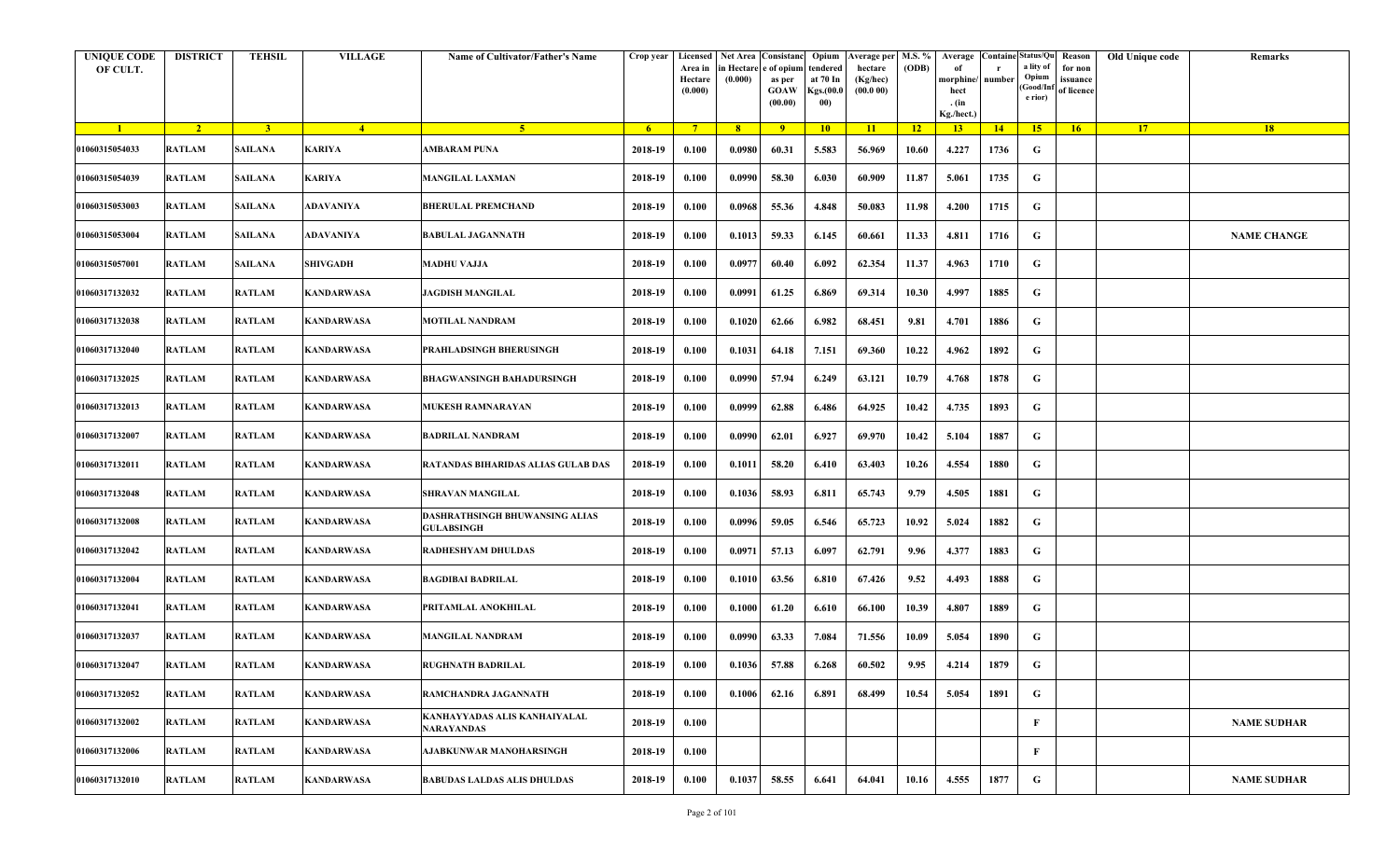| <b>UNIQUE CODE</b><br>OF CULT. | <b>DISTRICT</b> | <b>TEHSIL</b>  | <b>VILLAGE</b>    | <b>Name of Cultivator/Father's Name</b>             | Crop year   | Area in<br>Hectare<br>(0.000) | in Hectare<br>(0.000) | Licensed   Net Area   Consistanc   Opium<br>e of opium<br>as per<br><b>GOAW</b><br>(00.00) | tendered<br>at 70 In<br>Kgs.(00.0<br>00) | Verage per   M.S. %<br>hectare<br>(Kg/hec)<br>(00.000) | (ODB)           | Average<br>morphine/<br>hect<br>. $(in$<br>Kg./hect.) | number | <b>Containe Status/Qu</b><br>a lity of<br>Opium<br>Good/Inf<br>e rior) | Reason<br>for non<br>issuance<br>of licence | Old Unique code | Remarks            |
|--------------------------------|-----------------|----------------|-------------------|-----------------------------------------------------|-------------|-------------------------------|-----------------------|--------------------------------------------------------------------------------------------|------------------------------------------|--------------------------------------------------------|-----------------|-------------------------------------------------------|--------|------------------------------------------------------------------------|---------------------------------------------|-----------------|--------------------|
| $\blacksquare$                 | $\sqrt{2}$      | 3 <sup>l</sup> | $\sqrt{4}$        | 5 <sup>1</sup>                                      | $6^{\circ}$ | $-7$                          | 8 <sup>1</sup>        | $-9$                                                                                       | $10-10$                                  | $\vert$ 11                                             | $\overline{12}$ | 13                                                    | 14     | $-15$                                                                  | 16                                          | 17              | 18                 |
| 01060315054033                 | <b>RATLAM</b>   | SAILANA        | KARIYA            | AMBARAM PUNA                                        | 2018-19     | 0.100                         | 0.0980                | 60.31                                                                                      | 5.583                                    | 56.969                                                 | 10.60           | 4.227                                                 | 1736   | G                                                                      |                                             |                 |                    |
| 01060315054039                 | <b>RATLAM</b>   | SAILANA        | KARIYA            | <b>MANGILAL LAXMAN</b>                              | 2018-19     | 0.100                         | 0.0990                | 58.30                                                                                      | 6.030                                    | 60.909                                                 | 11.87           | 5.061                                                 | 1735   | G                                                                      |                                             |                 |                    |
| 01060315053003                 | <b>RATLAM</b>   | SAILANA        | ADAVANIYA         | <b>BHERULAL PREMCHAND</b>                           | 2018-19     | 0.100                         | 0.0968                | 55.36                                                                                      | 4.848                                    | 50.083                                                 | 11.98           | 4.200                                                 | 1715   | G                                                                      |                                             |                 |                    |
| 01060315053004                 | <b>RATLAM</b>   | SAILANA        | <b>ADAVANIYA</b>  | <b>BABULAL JAGANNATH</b>                            | 2018-19     | 0.100                         | 0.1013                | 59.33                                                                                      | 6.145                                    | 60.661                                                 | 11.33           | 4.811                                                 | 1716   | G                                                                      |                                             |                 | <b>NAME CHANGE</b> |
| 01060315057001                 | <b>RATLAM</b>   | SAILANA        | SHIVGADH          | <b>MADHU VAJJA</b>                                  | 2018-19     | 0.100                         | 0.0977                | 60.40                                                                                      | 6.092                                    | 62.354                                                 | 11.37           | 4.963                                                 | 1710   | G                                                                      |                                             |                 |                    |
| 01060317132032                 | <b>RATLAM</b>   | <b>RATLAM</b>  | <b>KANDARWASA</b> | <b>JAGDISH MANGILAL</b>                             | 2018-19     | 0.100                         | 0.0991                | 61.25                                                                                      | 6.869                                    | 69.314                                                 | 10.30           | 4.997                                                 | 1885   | G                                                                      |                                             |                 |                    |
| 01060317132038                 | <b>RATLAM</b>   | <b>RATLAM</b>  | <b>KANDARWASA</b> | <b>MOTILAL NANDRAM</b>                              | 2018-19     | 0.100                         | 0.1020                | 62.66                                                                                      | 6.982                                    | 68.451                                                 | 9.81            | 4.701                                                 | 1886   | G                                                                      |                                             |                 |                    |
| 01060317132040                 | <b>RATLAM</b>   | <b>RATLAM</b>  | <b>KANDARWASA</b> | PRAHLADSINGH BHERUSINGH                             | 2018-19     | 0.100                         | 0.1031                | 64.18                                                                                      | 7.151                                    | 69.360                                                 | 10.22           | 4.962                                                 | 1892   | G                                                                      |                                             |                 |                    |
| 01060317132025                 | <b>RATLAM</b>   | <b>RATLAM</b>  | <b>KANDARWASA</b> | <b>BHAGWANSINGH BAHADURSINGH</b>                    | 2018-19     | 0.100                         | 0.0990                | 57.94                                                                                      | 6.249                                    | 63.121                                                 | 10.79           | 4.768                                                 | 1878   | G                                                                      |                                             |                 |                    |
| 01060317132013                 | <b>RATLAM</b>   | <b>RATLAM</b>  | <b>KANDARWASA</b> | <b>MUKESH RAMNARAYAN</b>                            | 2018-19     | 0.100                         | 0.0999                | 62.88                                                                                      | 6.486                                    | 64.925                                                 | 10.42           | 4.735                                                 | 1893   | G                                                                      |                                             |                 |                    |
| 01060317132007                 | <b>RATLAM</b>   | <b>RATLAM</b>  | <b>KANDARWASA</b> | <b>BADRILAL NANDRAM</b>                             | 2018-19     | 0.100                         | 0.0990                | 62.01                                                                                      | 6.927                                    | 69.970                                                 | 10.42           | 5.104                                                 | 1887   | G                                                                      |                                             |                 |                    |
| 01060317132011                 | <b>RATLAM</b>   | <b>RATLAM</b>  | <b>KANDARWASA</b> | RATANDAS BIHARIDAS ALIAS GULAB DAS                  | 2018-19     | 0.100                         | 0.1011                | 58.20                                                                                      | 6.410                                    | 63.403                                                 | 10.26           | 4.554                                                 | 1880   | G                                                                      |                                             |                 |                    |
| 01060317132048                 | <b>RATLAM</b>   | <b>RATLAM</b>  | <b>KANDARWASA</b> | <b>SHRAVAN MANGILAL</b>                             | 2018-19     | 0.100                         | 0.1036                | 58.93                                                                                      | 6.811                                    | 65.743                                                 | 9.79            | 4.505                                                 | 1881   | G                                                                      |                                             |                 |                    |
| 01060317132008                 | <b>RATLAM</b>   | <b>RATLAM</b>  | <b>KANDARWASA</b> | DASHRATHSINGH BHUWANSING ALIAS<br><b>GULABSINGH</b> | 2018-19     | 0.100                         | 0.0996                | 59.05                                                                                      | 6.546                                    | 65.723                                                 | 10.92           | 5.024                                                 | 1882   | G                                                                      |                                             |                 |                    |
| 01060317132042                 | <b>RATLAM</b>   | <b>RATLAM</b>  | <b>KANDARWASA</b> | RADHESHYAM DHULDAS                                  | 2018-19     | 0.100                         | 0.0971                | 57.13                                                                                      | 6.097                                    | 62.791                                                 | 9.96            | 4.377                                                 | 1883   | G                                                                      |                                             |                 |                    |
| 01060317132004                 | <b>RATLAM</b>   | <b>RATLAM</b>  | <b>KANDARWASA</b> | <b>BAGDIBAI BADRILAL</b>                            | 2018-19     | 0.100                         | 0.1010                | 63.56                                                                                      | 6.810                                    | 67.426                                                 | 9.52            | 4.493                                                 | 1888   | G                                                                      |                                             |                 |                    |
| 01060317132041                 | <b>RATLAM</b>   | <b>RATLAM</b>  | <b>KANDARWASA</b> | PRITAMLAL ANOKHILAL                                 | 2018-19     | 0.100                         | 0.1000                | 61.20                                                                                      | 6.610                                    | 66.100                                                 | 10.39           | 4.807                                                 | 1889   | G                                                                      |                                             |                 |                    |
| 01060317132037                 | <b>RATLAM</b>   | <b>RATLAM</b>  | <b>KANDARWASA</b> | <b>MANGILAL NANDRAM</b>                             | 2018-19     | 0.100                         | 0.0990                | 63.33                                                                                      | 7.084                                    | 71.556                                                 | 10.09           | 5.054                                                 | 1890   | G                                                                      |                                             |                 |                    |
| 01060317132047                 | <b>RATLAM</b>   | <b>RATLAM</b>  | <b>KANDARWASA</b> | RUGHNATH BADRILAL                                   | 2018-19     | 0.100                         | 0.1036                | 57.88                                                                                      | 6.268                                    | 60.502                                                 | 9.95            | 4.214                                                 | 1879   | G                                                                      |                                             |                 |                    |
| 01060317132052                 | <b>RATLAM</b>   | <b>RATLAM</b>  | <b>KANDARWASA</b> | RAMCHANDRA JAGANNATH                                | 2018-19     | 0.100                         | 0.1006                | 62.16                                                                                      | 6.891                                    | 68.499                                                 | 10.54           | 5.054                                                 | 1891   | G                                                                      |                                             |                 |                    |
| 01060317132002                 | <b>RATLAM</b>   | <b>RATLAM</b>  | <b>KANDARWASA</b> | KANHAYYADAS ALIS KANHAIYALAL<br><b>NARAYANDAS</b>   | 2018-19     | 0.100                         |                       |                                                                                            |                                          |                                                        |                 |                                                       |        | $\mathbf{F}$                                                           |                                             |                 | <b>NAME SUDHAR</b> |
| 01060317132006                 | <b>RATLAM</b>   | <b>RATLAM</b>  | <b>KANDARWASA</b> | AJABKUNWAR MANOHARSINGH                             | 2018-19     | 0.100                         |                       |                                                                                            |                                          |                                                        |                 |                                                       |        | $\mathbf{F}$                                                           |                                             |                 |                    |
| 01060317132010                 | <b>RATLAM</b>   | <b>RATLAM</b>  | <b>KANDARWASA</b> | <b>BABUDAS LALDAS ALIS DHULDAS</b>                  | 2018-19     | 0.100                         | 0.1037                | 58.55                                                                                      | 6.641                                    | 64.041                                                 | 10.16           | 4.555                                                 | 1877   | G                                                                      |                                             |                 | <b>NAME SUDHAR</b> |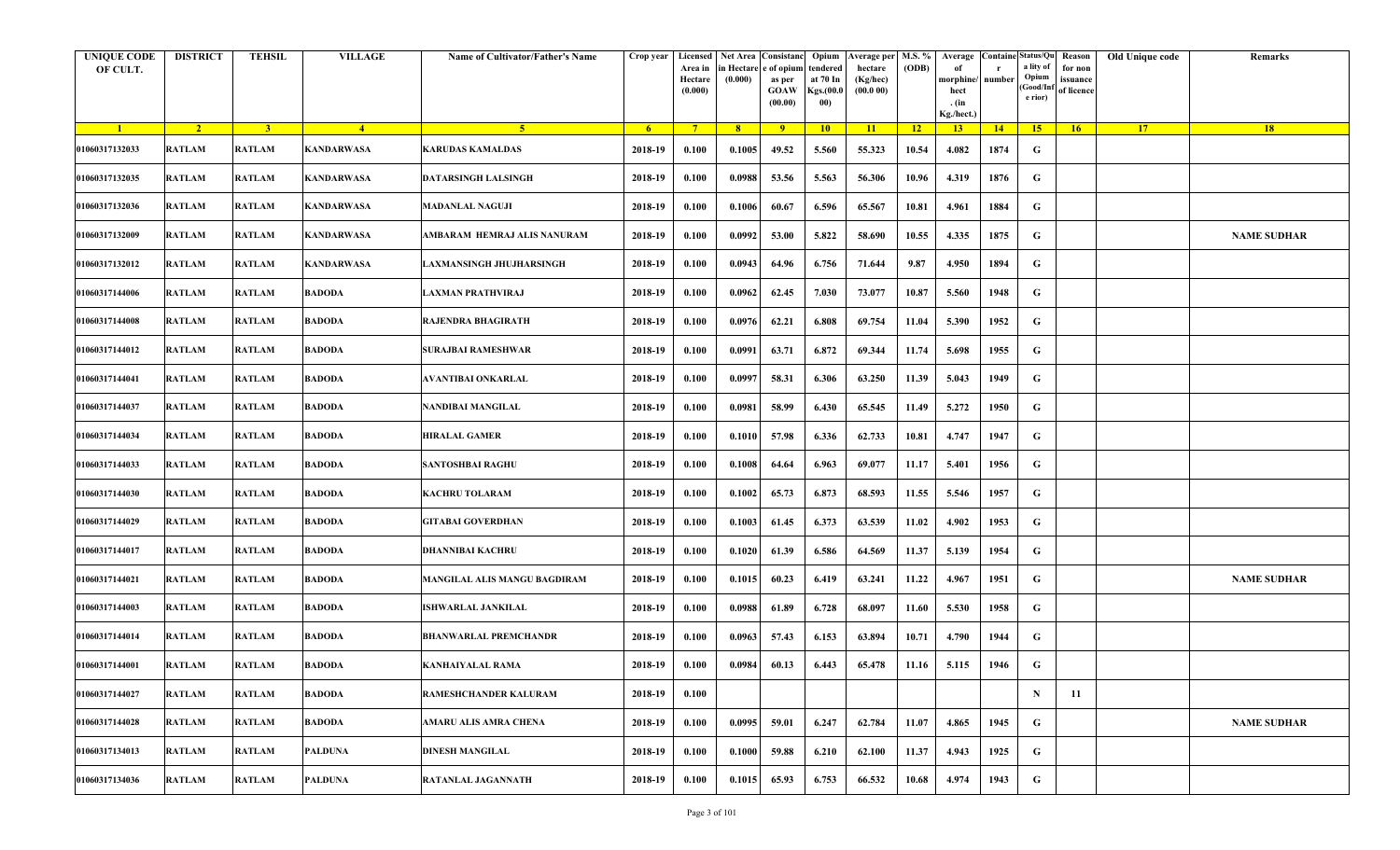| <b>UNIQUE CODE</b><br>OF CULT. | <b>DISTRICT</b> | <b>TEHSIL</b>  | <b>VILLAGE</b>    | <b>Name of Cultivator/Father's Name</b> | Crop year   | Area in<br>Hectare<br>(0.000) | in Hectare<br>(0.000) | Licensed Net Area Consistanc<br>e of opium<br>as per<br><b>GOAW</b><br>(00.00) | Opium<br>tendered<br>at 70 In<br>Kgs.(00.0<br>00) | Verage per   M.S. %<br>hectare<br>(Kg/hec)<br>(00.000) | (ODB)           | Average<br>morphine/<br>hect<br>. $(in$<br>Kg./hect.) | number | <b>Containe Status/Qu</b><br>a lity of<br>Opium<br>Good/Inf<br>e rior) | Reason<br>for non<br>issuance<br>of licence | Old Unique code | Remarks            |
|--------------------------------|-----------------|----------------|-------------------|-----------------------------------------|-------------|-------------------------------|-----------------------|--------------------------------------------------------------------------------|---------------------------------------------------|--------------------------------------------------------|-----------------|-------------------------------------------------------|--------|------------------------------------------------------------------------|---------------------------------------------|-----------------|--------------------|
| $\blacksquare$                 | $\sqrt{2}$      | 3 <sup>l</sup> | $\sqrt{4}$        | -5.                                     | $6^{\circ}$ | $-7$                          | 8 <sup>1</sup>        | $-9$                                                                           | 10                                                | $\vert$ 11                                             | $\overline{12}$ | 13                                                    | 14     | $-15$                                                                  | 16                                          | 17              | 18                 |
| 01060317132033                 | <b>RATLAM</b>   | <b>RATLAM</b>  | <b>KANDARWASA</b> | <b>KARUDAS KAMALDAS</b>                 | 2018-19     | 0.100                         | 0.1005                | 49.52                                                                          | 5.560                                             | 55.323                                                 | 10.54           | 4.082                                                 | 1874   | G                                                                      |                                             |                 |                    |
| 01060317132035                 | <b>RATLAM</b>   | <b>RATLAM</b>  | <b>KANDARWASA</b> | <b>DATARSINGH LALSINGH</b>              | 2018-19     | 0.100                         | 0.0988                | 53.56                                                                          | 5.563                                             | 56.306                                                 | 10.96           | 4.319                                                 | 1876   | G                                                                      |                                             |                 |                    |
| 01060317132036                 | <b>RATLAM</b>   | <b>RATLAM</b>  | <b>KANDARWASA</b> | <b>MADANLAL NAGUJI</b>                  | 2018-19     | 0.100                         | 0.1006                | 60.67                                                                          | 6.596                                             | 65.567                                                 | 10.81           | 4.961                                                 | 1884   | G                                                                      |                                             |                 |                    |
| 01060317132009                 | <b>RATLAM</b>   | <b>RATLAM</b>  | <b>KANDARWASA</b> | AMBARAM HEMRAJ ALIS NANURAM             | 2018-19     | 0.100                         | 0.0992                | 53.00                                                                          | 5.822                                             | 58.690                                                 | 10.55           | 4.335                                                 | 1875   | G                                                                      |                                             |                 | <b>NAME SUDHAR</b> |
| 01060317132012                 | <b>RATLAM</b>   | <b>RATLAM</b>  | <b>KANDARWASA</b> | LAXMANSINGH JHUJHARSINGH                | 2018-19     | 0.100                         | 0.0943                | 64.96                                                                          | 6.756                                             | 71.644                                                 | 9.87            | 4.950                                                 | 1894   | G                                                                      |                                             |                 |                    |
| 01060317144006                 | <b>RATLAM</b>   | <b>RATLAM</b>  | <b>BADODA</b>     | LAXMAN PRATHVIRAJ                       | 2018-19     | 0.100                         | 0.0962                | 62.45                                                                          | 7.030                                             | 73.077                                                 | 10.87           | 5.560                                                 | 1948   | G                                                                      |                                             |                 |                    |
| 01060317144008                 | <b>RATLAM</b>   | <b>RATLAM</b>  | <b>BADODA</b>     | <b>RAJENDRA BHAGIRATH</b>               | 2018-19     | 0.100                         | 0.0976                | 62.21                                                                          | 6.808                                             | 69.754                                                 | 11.04           | 5.390                                                 | 1952   | G                                                                      |                                             |                 |                    |
| 01060317144012                 | <b>RATLAM</b>   | <b>RATLAM</b>  | <b>BADODA</b>     | SURAJBAI RAMESHWAR                      | 2018-19     | 0.100                         | 0.0991                | 63.71                                                                          | 6.872                                             | 69.344                                                 | 11.74           | 5.698                                                 | 1955   | G                                                                      |                                             |                 |                    |
| 01060317144041                 | <b>RATLAM</b>   | <b>RATLAM</b>  | <b>BADODA</b>     | <b>AVANTIBAI ONKARLAL</b>               | 2018-19     | 0.100                         | 0.0997                | 58.31                                                                          | 6.306                                             | 63.250                                                 | 11.39           | 5.043                                                 | 1949   | G                                                                      |                                             |                 |                    |
| 01060317144037                 | <b>RATLAM</b>   | <b>RATLAM</b>  | <b>BADODA</b>     | NANDIBAI MANGILAL                       | 2018-19     | 0.100                         | 0.0981                | 58.99                                                                          | 6.430                                             | 65.545                                                 | 11.49           | 5.272                                                 | 1950   | G                                                                      |                                             |                 |                    |
| 01060317144034                 | <b>RATLAM</b>   | <b>RATLAM</b>  | <b>BADODA</b>     | <b>HIRALAL GAMER</b>                    | 2018-19     | 0.100                         | 0.1010                | 57.98                                                                          | 6.336                                             | 62.733                                                 | 10.81           | 4.747                                                 | 1947   | G                                                                      |                                             |                 |                    |
| 01060317144033                 | <b>RATLAM</b>   | <b>RATLAM</b>  | <b>BADODA</b>     | <b>SANTOSHBAI RAGHU</b>                 | 2018-19     | 0.100                         | 0.1008                | 64.64                                                                          | 6.963                                             | 69.077                                                 | 11.17           | 5.401                                                 | 1956   | G                                                                      |                                             |                 |                    |
| 01060317144030                 | <b>RATLAM</b>   | <b>RATLAM</b>  | <b>BADODA</b>     | <b>KACHRU TOLARAM</b>                   | 2018-19     | 0.100                         | 0.1002                | 65.73                                                                          | 6.873                                             | 68.593                                                 | 11.55           | 5.546                                                 | 1957   | G                                                                      |                                             |                 |                    |
| 01060317144029                 | <b>RATLAM</b>   | <b>RATLAM</b>  | <b>BADODA</b>     | <b>GITABAI GOVERDHAN</b>                | 2018-19     | 0.100                         | 0.1003                | 61.45                                                                          | 6.373                                             | 63.539                                                 | 11.02           | 4.902                                                 | 1953   | G                                                                      |                                             |                 |                    |
| 01060317144017                 | <b>RATLAM</b>   | <b>RATLAM</b>  | <b>BADODA</b>     | <b>DHANNIBAI KACHRU</b>                 | 2018-19     | 0.100                         | 0.1020                | 61.39                                                                          | 6.586                                             | 64.569                                                 | 11.37           | 5.139                                                 | 1954   | G                                                                      |                                             |                 |                    |
| 01060317144021                 | <b>RATLAM</b>   | <b>RATLAM</b>  | <b>BADODA</b>     | <b>MANGILAL ALIS MANGU BAGDIRAM</b>     | 2018-19     | 0.100                         | 0.1015                | 60.23                                                                          | 6.419                                             | 63.241                                                 | 11.22           | 4.967                                                 | 1951   | G                                                                      |                                             |                 | <b>NAME SUDHAR</b> |
| 01060317144003                 | <b>RATLAM</b>   | <b>RATLAM</b>  | <b>BADODA</b>     | <b>ISHWARLAL JANKILAL</b>               | 2018-19     | 0.100                         | 0.0988                | 61.89                                                                          | 6.728                                             | 68.097                                                 | 11.60           | 5.530                                                 | 1958   | G                                                                      |                                             |                 |                    |
| 01060317144014                 | <b>RATLAM</b>   | <b>RATLAM</b>  | <b>BADODA</b>     | <b>BHANWARLAL PREMCHANDR</b>            | 2018-19     | 0.100                         | 0.0963                | 57.43                                                                          | 6.153                                             | 63.894                                                 | 10.71           | 4.790                                                 | 1944   | G                                                                      |                                             |                 |                    |
| 01060317144001                 | <b>RATLAM</b>   | <b>RATLAM</b>  | <b>BADODA</b>     | <b>KANHAIYALAL RAMA</b>                 | 2018-19     | 0.100                         | 0.0984                | 60.13                                                                          | 6.443                                             | 65.478                                                 | 11.16           | 5.115                                                 | 1946   | G                                                                      |                                             |                 |                    |
| 01060317144027                 | <b>RATLAM</b>   | <b>RATLAM</b>  | <b>BADODA</b>     | <b>RAMESHCHANDER KALURAM</b>            | 2018-19     | 0.100                         |                       |                                                                                |                                                   |                                                        |                 |                                                       |        | N                                                                      | 11                                          |                 |                    |
| 01060317144028                 | <b>RATLAM</b>   | <b>RATLAM</b>  | <b>BADODA</b>     | AMARU ALIS AMRA CHENA                   | 2018-19     | 0.100                         | 0.0995                | 59.01                                                                          | 6.247                                             | 62.784                                                 | 11.07           | 4.865                                                 | 1945   | G                                                                      |                                             |                 | <b>NAME SUDHAR</b> |
| 01060317134013                 | <b>RATLAM</b>   | <b>RATLAM</b>  | <b>PALDUNA</b>    | <b>DINESH MANGILAL</b>                  | 2018-19     | 0.100                         | 0.1000                | 59.88                                                                          | 6.210                                             | 62.100                                                 | 11.37           | 4.943                                                 | 1925   | G                                                                      |                                             |                 |                    |
| 01060317134036                 | <b>RATLAM</b>   | <b>RATLAM</b>  | <b>PALDUNA</b>    | <b>RATANLAL JAGANNATH</b>               | 2018-19     | 0.100                         | 0.1015                | 65.93                                                                          | 6.753                                             | 66.532                                                 | 10.68           | 4.974                                                 | 1943   | G                                                                      |                                             |                 |                    |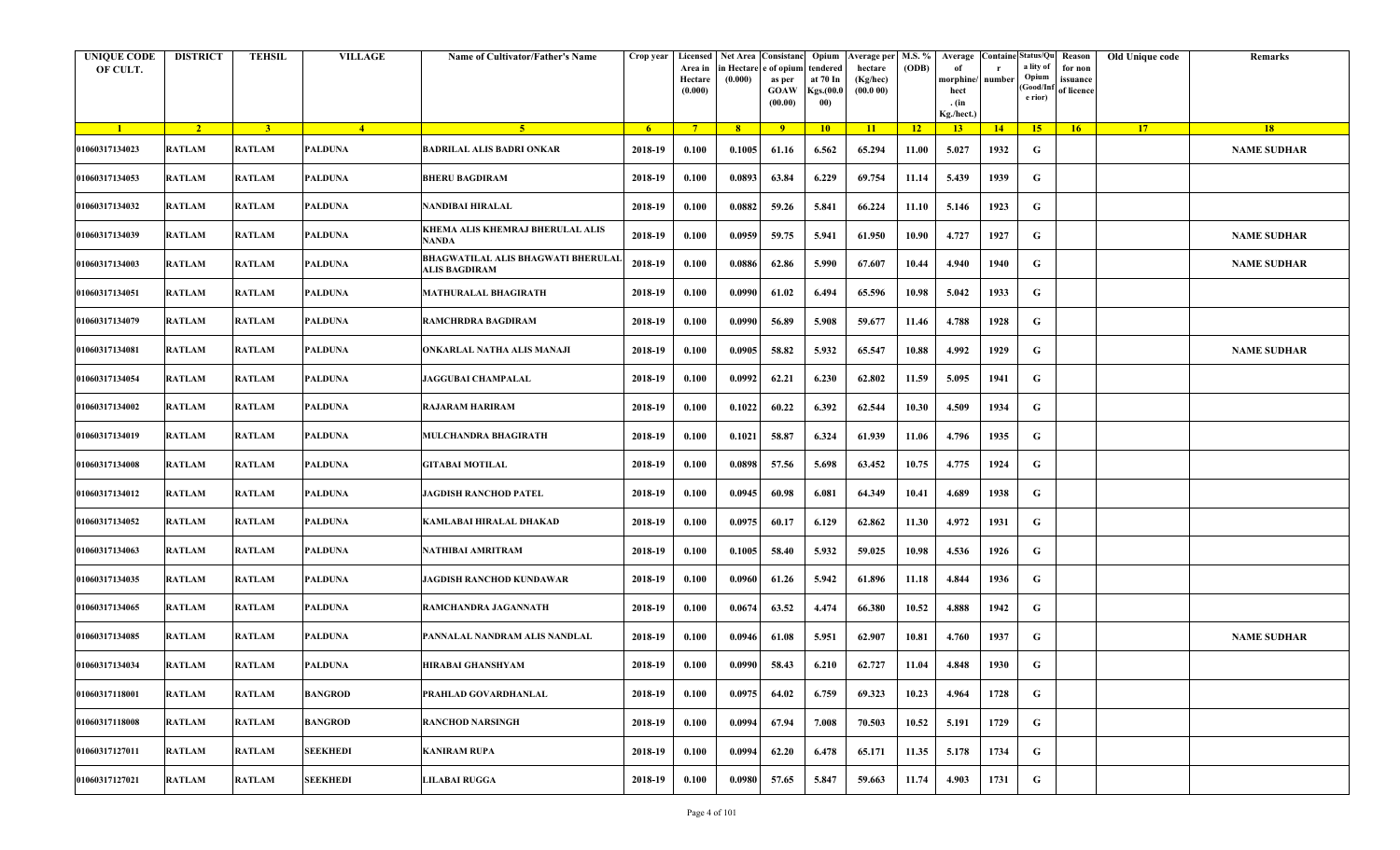| <b>UNIQUE CODE</b><br>OF CULT. | <b>DISTRICT</b> | <b>TEHSIL</b>           | <b>VILLAGE</b>  | Name of Cultivator/Father's Name                                  | Crop year | Area in<br>Hectare<br>(0.000) | Licensed   Net Area Consistanc<br>ı Hectar<br>(0.000) | e of opium<br>as per<br><b>GOAW</b><br>(00.00) | Opium<br>tendered<br>at 70 In<br>Kgs.(00.<br>00) | Average per<br>hectare<br>(Kg/hec)<br>(00.000) | M.S. %<br>(ODB) | Average<br>morphine/<br>hect<br>. (in<br>Kg./hect.) | <b>Containe Status/Qu</b><br>number | a lity of<br>Opium<br>(Good/In<br>e rior) | Reason<br>for non<br>issuance<br>of licence | Old Unique code | Remarks            |
|--------------------------------|-----------------|-------------------------|-----------------|-------------------------------------------------------------------|-----------|-------------------------------|-------------------------------------------------------|------------------------------------------------|--------------------------------------------------|------------------------------------------------|-----------------|-----------------------------------------------------|-------------------------------------|-------------------------------------------|---------------------------------------------|-----------------|--------------------|
| $\blacksquare$                 | $\overline{2}$  | $\overline{\mathbf{3}}$ | $\overline{4}$  | $\sqrt{5}$                                                        | $-6$      | $-7$                          | 8 <sup>1</sup>                                        | $-9$                                           | 10                                               | $\vert$ 11                                     | $\overline{12}$ | 13                                                  | 14                                  | 15                                        | 16                                          | 17              | 18                 |
| 01060317134023                 | <b>RATLAM</b>   | <b>RATLAM</b>           | PALDUNA         | <b>BADRILAL ALIS BADRI ONKAR</b>                                  | 2018-19   | 0.100                         | 0.1005                                                | 61.16                                          | 6.562                                            | 65.294                                         | 11.00           | 5.027                                               | 1932                                | G                                         |                                             |                 | <b>NAME SUDHAR</b> |
| 01060317134053                 | <b>RATLAM</b>   | <b>RATLAM</b>           | PALDUNA         | <b>BHERU BAGDIRAM</b>                                             | 2018-19   | 0.100                         | 0.0893                                                | 63.84                                          | 6.229                                            | 69.754                                         | 11.14           | 5.439                                               | 1939                                | G                                         |                                             |                 |                    |
| 01060317134032                 | <b>RATLAM</b>   | <b>RATLAM</b>           | PALDUNA         | NANDIBAI HIRALAL                                                  | 2018-19   | 0.100                         | 0.0882                                                | 59.26                                          | 5.841                                            | 66.224                                         | 11.10           | 5.146                                               | 1923                                | G                                         |                                             |                 |                    |
| 01060317134039                 | <b>RATLAM</b>   | <b>RATLAM</b>           | PALDUNA         | KHEMA ALIS KHEMRAJ BHERULAL ALIS<br>NANDA                         | 2018-19   | 0.100                         | 0.0959                                                | 59.75                                          | 5.941                                            | 61.950                                         | 10.90           | 4.727                                               | 1927                                | G                                         |                                             |                 | <b>NAME SUDHAR</b> |
| 01060317134003                 | <b>RATLAM</b>   | <b>RATLAM</b>           | PALDUNA         | <b>BHAGWATILAL ALIS BHAGWATI BHERULAI</b><br><b>ALIS BAGDIRAM</b> | 2018-19   | 0.100                         | 0.0886                                                | 62.86                                          | 5.990                                            | 67.607                                         | 10.44           | 4.940                                               | 1940                                | G                                         |                                             |                 | <b>NAME SUDHAR</b> |
| 01060317134051                 | <b>RATLAM</b>   | <b>RATLAM</b>           | PALDUNA         | <b>MATHURALAL BHAGIRATH</b>                                       | 2018-19   | 0.100                         | 0.0990                                                | 61.02                                          | 6.494                                            | 65.596                                         | 10.98           | 5.042                                               | 1933                                | G                                         |                                             |                 |                    |
| 01060317134079                 | <b>RATLAM</b>   | <b>RATLAM</b>           | PALDUNA         | RAMCHRDRA BAGDIRAM                                                | 2018-19   | 0.100                         | 0.0990                                                | 56.89                                          | 5.908                                            | 59.677                                         | 11.46           | 4.788                                               | 1928                                | G                                         |                                             |                 |                    |
| 01060317134081                 | <b>RATLAM</b>   | <b>RATLAM</b>           | PALDUNA         | ONKARLAL NATHA ALIS MANAJI                                        | 2018-19   | 0.100                         | 0.0905                                                | 58.82                                          | 5.932                                            | 65.547                                         | 10.88           | 4.992                                               | 1929                                | G                                         |                                             |                 | <b>NAME SUDHAR</b> |
| 01060317134054                 | <b>RATLAM</b>   | <b>RATLAM</b>           | PALDUNA         | <b>JAGGUBAI CHAMPALAL</b>                                         | 2018-19   | 0.100                         | 0.0992                                                | 62.21                                          | 6.230                                            | 62.802                                         | 11.59           | 5.095                                               | 1941                                | G                                         |                                             |                 |                    |
| 01060317134002                 | <b>RATLAM</b>   | <b>RATLAM</b>           | PALDUNA         | <b>RAJARAM HARIRAM</b>                                            | 2018-19   | 0.100                         | 0.1022                                                | 60.22                                          | 6.392                                            | 62.544                                         | 10.30           | 4.509                                               | 1934                                | G                                         |                                             |                 |                    |
| 01060317134019                 | <b>RATLAM</b>   | <b>RATLAM</b>           | PALDUNA         | <b>MULCHANDRA BHAGIRATH</b>                                       | 2018-19   | 0.100                         | 0.1021                                                | 58.87                                          | 6.324                                            | 61.939                                         | 11.06           | 4.796                                               | 1935                                | G                                         |                                             |                 |                    |
| 01060317134008                 | <b>RATLAM</b>   | <b>RATLAM</b>           | PALDUNA         | <b>GITABAI MOTILAL</b>                                            | 2018-19   | 0.100                         | 0.0898                                                | 57.56                                          | 5.698                                            | 63.452                                         | 10.75           | 4.775                                               | 1924                                | G                                         |                                             |                 |                    |
| 01060317134012                 | <b>RATLAM</b>   | <b>RATLAM</b>           | PALDUNA         | <b>JAGDISH RANCHOD PATEL</b>                                      | 2018-19   | 0.100                         | 0.0945                                                | 60.98                                          | 6.081                                            | 64.349                                         | 10.41           | 4.689                                               | 1938                                | G                                         |                                             |                 |                    |
| 01060317134052                 | <b>RATLAM</b>   | <b>RATLAM</b>           | PALDUNA         | KAMLABAI HIRALAL DHAKAD                                           | 2018-19   | 0.100                         | 0.0975                                                | 60.17                                          | 6.129                                            | 62.862                                         | 11.30           | 4.972                                               | 1931                                | G                                         |                                             |                 |                    |
| 01060317134063                 | <b>RATLAM</b>   | <b>RATLAM</b>           | PALDUNA         | NATHIBAI AMRITRAM                                                 | 2018-19   | 0.100                         | 0.1005                                                | 58.40                                          | 5.932                                            | 59.025                                         | 10.98           | 4.536                                               | 1926                                | G                                         |                                             |                 |                    |
| 01060317134035                 | <b>RATLAM</b>   | <b>RATLAM</b>           | PALDUNA         | <b>JAGDISH RANCHOD KUNDAWAR</b>                                   | 2018-19   | 0.100                         | 0.0960                                                | 61.26                                          | 5.942                                            | 61.896                                         | 11.18           | 4.844                                               | 1936                                | G                                         |                                             |                 |                    |
| 01060317134065                 | <b>RATLAM</b>   | <b>RATLAM</b>           | PALDUNA         | RAMCHANDRA JAGANNATH                                              | 2018-19   | 0.100                         | 0.0674                                                | 63.52                                          | 4.474                                            | 66.380                                         | 10.52           | 4.888                                               | 1942                                | G                                         |                                             |                 |                    |
| 01060317134085                 | <b>RATLAM</b>   | <b>RATLAM</b>           | PALDUNA         | PANNALAL NANDRAM ALIS NANDLAL                                     | 2018-19   | 0.100                         | 0.0946                                                | 61.08                                          | 5.951                                            | 62.907                                         | 10.81           | 4.760                                               | 1937                                | G                                         |                                             |                 | <b>NAME SUDHAR</b> |
| 01060317134034                 | <b>RATLAM</b>   | <b>RATLAM</b>           | <b>PALDUNA</b>  | HIRABAI GHANSHYAM                                                 | 2018-19   | 0.100                         | 0.0990                                                | 58.43                                          | 6.210                                            | 62.727                                         | 11.04           | 4.848                                               | 1930                                | G                                         |                                             |                 |                    |
| 01060317118001                 | <b>RATLAM</b>   | <b>RATLAM</b>           | BANGROD         | PRAHLAD GOVARDHANLAL                                              | 2018-19   | 0.100                         | 0.0975                                                | 64.02                                          | 6.759                                            | 69.323                                         | 10.23           | 4.964                                               | 1728                                | G                                         |                                             |                 |                    |
| 01060317118008                 | <b>RATLAM</b>   | <b>RATLAM</b>           | BANGROD         | <b>RANCHOD NARSINGH</b>                                           | 2018-19   | 0.100                         | 0.0994                                                | 67.94                                          | 7.008                                            | 70.503                                         | 10.52           | 5.191                                               | 1729                                | G                                         |                                             |                 |                    |
| 01060317127011                 | <b>RATLAM</b>   | <b>RATLAM</b>           | SEEKHEDI        | <b>KANIRAM RUPA</b>                                               | 2018-19   | 0.100                         | 0.0994                                                | 62.20                                          | 6.478                                            | 65.171                                         | 11.35           | 5.178                                               | 1734                                | G                                         |                                             |                 |                    |
| 01060317127021                 | <b>RATLAM</b>   | <b>RATLAM</b>           | <b>SEEKHEDI</b> | <b>LILABAI RUGGA</b>                                              | 2018-19   | 0.100                         | 0.0980                                                | 57.65                                          | 5.847                                            | 59.663                                         | 11.74           | 4.903                                               | 1731                                | G                                         |                                             |                 |                    |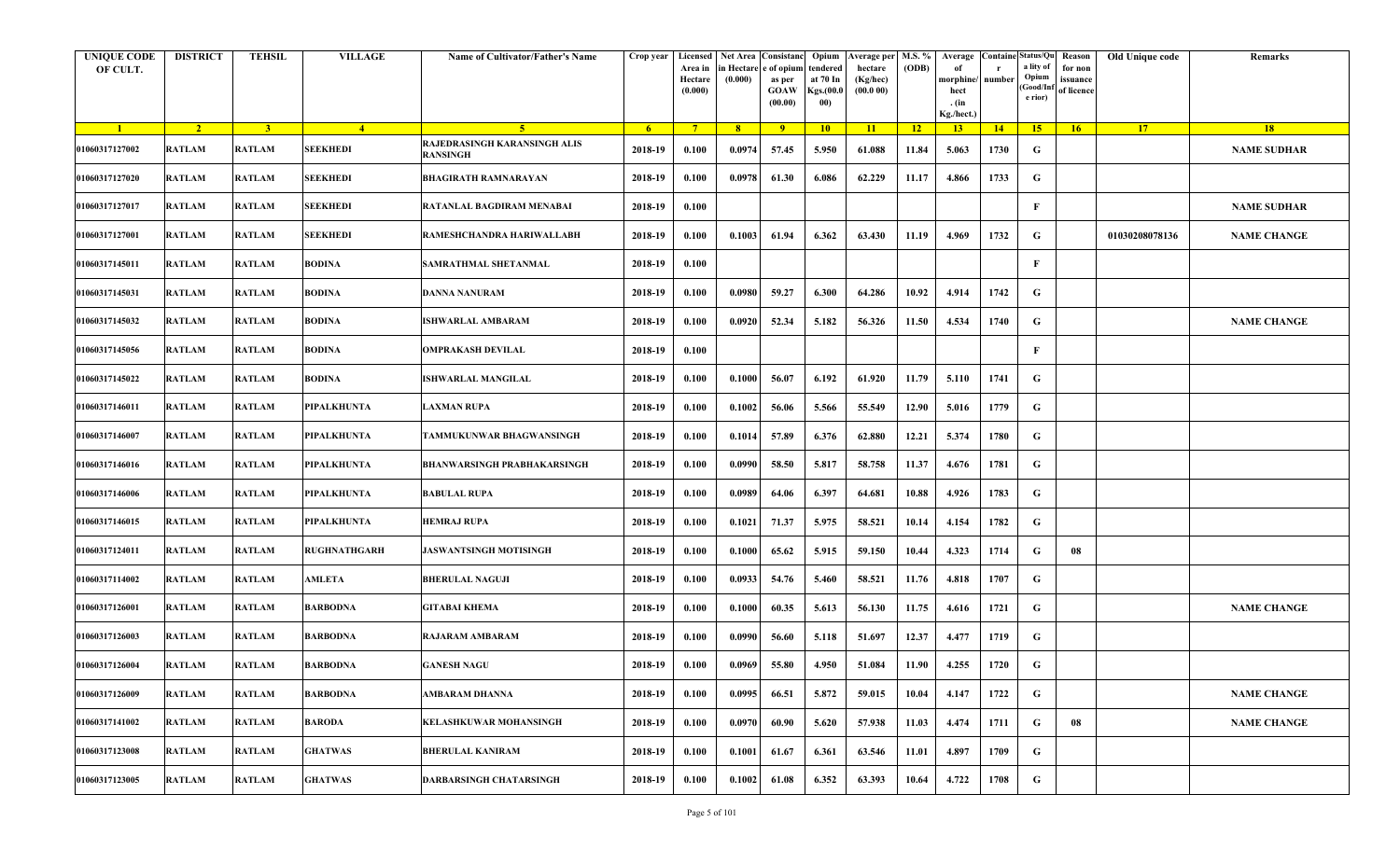| <b>UNIQUE CODE</b><br>OF CULT. | <b>DISTRICT</b> | <b>TEHSIL</b>           | <b>VILLAGE</b>  | Name of Cultivator/Father's Name         | Crop year | Licensed<br>Area in<br>Hectare<br>(0.000) | Net Area Consistanc<br>ı Hectar<br>(0.000) | e of opium<br>as per<br><b>GOAW</b><br>(00.00) | Opium<br>tendered<br>at 70 In<br>Kgs.(00.<br>00) | <b>Average per</b><br>hectare<br>(Kg/hec)<br>(00.000) | M.S. %<br>(ODB) | Average<br>morphine/<br>hect<br>. (in | Containe Status/Qu<br>number | a lity of<br>Opium<br>(Good/In<br>e rior) | Reason<br>for non<br>issuance<br>of licence | Old Unique code | Remarks            |
|--------------------------------|-----------------|-------------------------|-----------------|------------------------------------------|-----------|-------------------------------------------|--------------------------------------------|------------------------------------------------|--------------------------------------------------|-------------------------------------------------------|-----------------|---------------------------------------|------------------------------|-------------------------------------------|---------------------------------------------|-----------------|--------------------|
| $\blacksquare$ 1               | $\overline{2}$  | $\overline{\mathbf{3}}$ | $\overline{4}$  | -5.                                      | $-6$      | $-7$                                      | 8 <sup>1</sup>                             | $-9$                                           | 10                                               | $\vert$ 11                                            | 12              | Kg./hect.)<br>13                      | 14                           | 15                                        | 16                                          | 17              | 18                 |
| 01060317127002                 | <b>RATLAM</b>   | <b>RATLAM</b>           | SEEKHEDI        | RAJEDRASINGH KARANSINGH ALIS<br>RANSINGH | 2018-19   | 0.100                                     | 0.0974                                     | 57.45                                          | 5.950                                            | 61.088                                                | 11.84           | 5.063                                 | 1730                         | G                                         |                                             |                 | <b>NAME SUDHAR</b> |
| 01060317127020                 | <b>RATLAM</b>   | <b>RATLAM</b>           | SEEKHEDI        | <b>BHAGIRATH RAMNARAYAN</b>              | 2018-19   | 0.100                                     | 0.0978                                     | 61.30                                          | 6.086                                            | 62.229                                                | 11.17           | 4.866                                 | 1733                         | G                                         |                                             |                 |                    |
| 01060317127017                 | <b>RATLAM</b>   | <b>RATLAM</b>           | SEEKHEDI        | RATANLAL BAGDIRAM MENABAI                | 2018-19   | 0.100                                     |                                            |                                                |                                                  |                                                       |                 |                                       |                              | F                                         |                                             |                 | <b>NAME SUDHAR</b> |
| 01060317127001                 | <b>RATLAM</b>   | <b>RATLAM</b>           | SEEKHEDI        | RAMESHCHANDRA HARIWALLABH                | 2018-19   | 0.100                                     | 0.1003                                     | 61.94                                          | 6.362                                            | 63.430                                                | 11.19           | 4.969                                 | 1732                         | G                                         |                                             | 01030208078136  | <b>NAME CHANGE</b> |
| 01060317145011                 | <b>RATLAM</b>   | <b>RATLAM</b>           | BODINA          | SAMRATHMAL SHETANMAL                     | 2018-19   | 0.100                                     |                                            |                                                |                                                  |                                                       |                 |                                       |                              | $\mathbf{F}$                              |                                             |                 |                    |
| 01060317145031                 | <b>RATLAM</b>   | <b>RATLAM</b>           | BODINA          | <b>DANNA NANURAM</b>                     | 2018-19   | 0.100                                     | 0.0980                                     | 59.27                                          | 6.300                                            | 64.286                                                | 10.92           | 4.914                                 | 1742                         | G                                         |                                             |                 |                    |
| 01060317145032                 | <b>RATLAM</b>   | <b>RATLAM</b>           | BODINA          | <b>ISHWARLAL AMBARAM</b>                 | 2018-19   | 0.100                                     | 0.0920                                     | 52.34                                          | 5.182                                            | 56.326                                                | 11.50           | 4.534                                 | 1740                         | G                                         |                                             |                 | <b>NAME CHANGE</b> |
| 01060317145056                 | <b>RATLAM</b>   | <b>RATLAM</b>           | BODINA          | OMPRAKASH DEVILAL                        | 2018-19   | 0.100                                     |                                            |                                                |                                                  |                                                       |                 |                                       |                              | $\mathbf{F}$                              |                                             |                 |                    |
| 01060317145022                 | <b>RATLAM</b>   | <b>RATLAM</b>           | BODINA          | <b>ISHWARLAL MANGILAL</b>                | 2018-19   | 0.100                                     | 0.1000                                     | 56.07                                          | 6.192                                            | 61.920                                                | 11.79           | 5.110                                 | 1741                         | G                                         |                                             |                 |                    |
| 01060317146011                 | <b>RATLAM</b>   | <b>RATLAM</b>           | PIPALKHUNTA     | LAXMAN RUPA                              | 2018-19   | 0.100                                     | 0.1002                                     | 56.06                                          | 5.566                                            | 55.549                                                | 12.90           | 5.016                                 | 1779                         | G                                         |                                             |                 |                    |
| 01060317146007                 | <b>RATLAM</b>   | <b>RATLAM</b>           | PIPALKHUNTA     | TAMMUKUNWAR BHAGWANSINGH                 | 2018-19   | 0.100                                     | 0.1014                                     | 57.89                                          | 6.376                                            | 62.880                                                | 12.21           | 5.374                                 | 1780                         | G                                         |                                             |                 |                    |
| 01060317146016                 | <b>RATLAM</b>   | <b>RATLAM</b>           | PIPALKHUNTA     | BHANWARSINGH PRABHAKARSINGH              | 2018-19   | 0.100                                     | 0.0990                                     | 58.50                                          | 5.817                                            | 58.758                                                | 11.37           | 4.676                                 | 1781                         | G                                         |                                             |                 |                    |
| 01060317146006                 | <b>RATLAM</b>   | <b>RATLAM</b>           | PIPALKHUNTA     | <b>BABULAL RUPA</b>                      | 2018-19   | 0.100                                     | 0.0989                                     | 64.06                                          | 6.397                                            | 64.681                                                | 10.88           | 4.926                                 | 1783                         | G                                         |                                             |                 |                    |
| 01060317146015                 | <b>RATLAM</b>   | <b>RATLAM</b>           | PIPALKHUNTA     | <b>HEMRAJ RUPA</b>                       | 2018-19   | 0.100                                     | 0.1021                                     | 71.37                                          | 5.975                                            | 58.521                                                | 10.14           | 4.154                                 | 1782                         | G                                         |                                             |                 |                    |
| 01060317124011                 | <b>RATLAM</b>   | <b>RATLAM</b>           | RUGHNATHGARH    | JASWANTSINGH MOTISINGH                   | 2018-19   | 0.100                                     | 0.1000                                     | 65.62                                          | 5.915                                            | 59.150                                                | 10.44           | 4.323                                 | 1714                         | G                                         | 08                                          |                 |                    |
| 01060317114002                 | <b>RATLAM</b>   | <b>RATLAM</b>           | <b>AMLETA</b>   | <b>BHERULAL NAGUJI</b>                   | 2018-19   | 0.100                                     | 0.0933                                     | 54.76                                          | 5.460                                            | 58.521                                                | 11.76           | 4.818                                 | 1707                         | G                                         |                                             |                 |                    |
| 01060317126001                 | <b>RATLAM</b>   | <b>RATLAM</b>           | BARBODNA        | GITABAI KHEMA                            | 2018-19   | 0.100                                     | 0.1000                                     | 60.35                                          | 5.613                                            | 56.130                                                | 11.75           | 4.616                                 | 1721                         | G                                         |                                             |                 | <b>NAME CHANGE</b> |
| 01060317126003                 | <b>RATLAM</b>   | <b>RATLAM</b>           | BARBODNA        | RAJARAM AMBARAM                          | 2018-19   | 0.100                                     | 0.0990                                     | 56.60                                          | 5.118                                            | 51.697                                                | 12.37           | 4.477                                 | 1719                         | G                                         |                                             |                 |                    |
| 01060317126004                 | <b>RATLAM</b>   | <b>RATLAM</b>           | BARBODNA        | <b>GANESH NAGU</b>                       | 2018-19   | 0.100                                     | 0.0969                                     | 55.80                                          | 4.950                                            | 51.084                                                | 11.90           | 4.255                                 | 1720                         | G                                         |                                             |                 |                    |
| 01060317126009                 | <b>RATLAM</b>   | <b>RATLAM</b>           | <b>BARBODNA</b> | AMBARAM DHANNA                           | 2018-19   | 0.100                                     | 0.0995                                     | 66.51                                          | 5.872                                            | 59.015                                                | 10.04           | 4.147                                 | 1722                         | G                                         |                                             |                 | <b>NAME CHANGE</b> |
| 01060317141002                 | <b>RATLAM</b>   | <b>RATLAM</b>           | BARODA          | <b>KELASHKUWAR MOHANSINGH</b>            | 2018-19   | 0.100                                     | 0.0970                                     | 60.90                                          | 5.620                                            | 57.938                                                | 11.03           | 4.474                                 | 1711                         | G                                         | 08                                          |                 | <b>NAME CHANGE</b> |
| 01060317123008                 | <b>RATLAM</b>   | <b>RATLAM</b>           | <b>GHATWAS</b>  | <b>BHERULAL KANIRAM</b>                  | 2018-19   | 0.100                                     | 0.1001                                     | 61.67                                          | 6.361                                            | 63.546                                                | 11.01           | 4.897                                 | 1709                         | G                                         |                                             |                 |                    |
| 01060317123005                 | <b>RATLAM</b>   | <b>RATLAM</b>           | <b>GHATWAS</b>  | <b>DARBARSINGH CHATARSINGH</b>           | 2018-19   | 0.100                                     | 0.1002                                     | 61.08                                          | 6.352                                            | 63.393                                                | 10.64           | 4.722                                 | 1708                         | $\mathbf G$                               |                                             |                 |                    |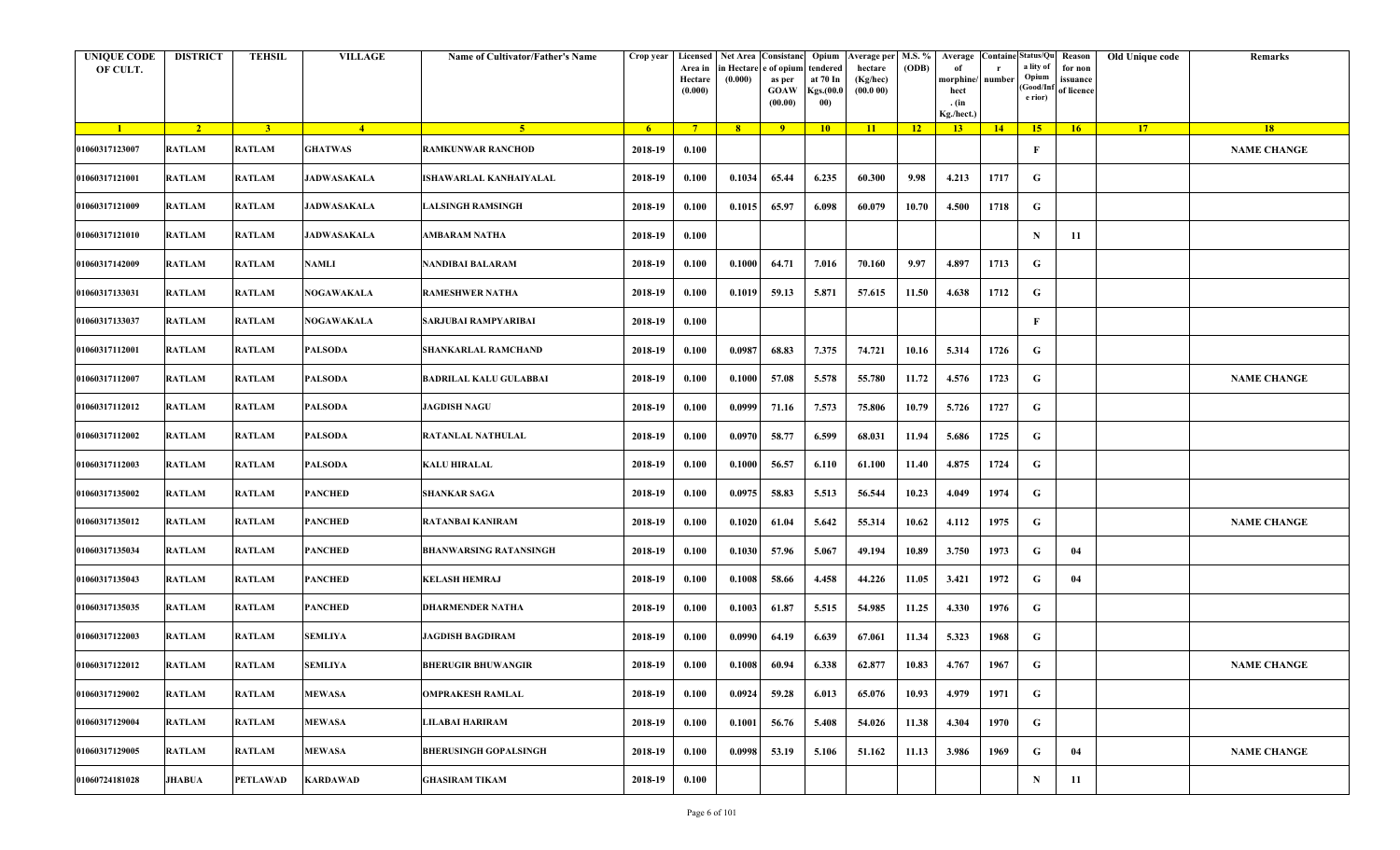| <b>UNIQUE CODE</b><br>OF CULT. | <b>DISTRICT</b> | <b>TEHSIL</b>   | <b>VILLAGE</b> | Name of Cultivator/Father's Name | Crop year | Area in<br>Hectare<br>(0.000) | Licensed   Net Area Consistanc<br>ı Hectar<br>(0.000) | e of opium<br>as per<br><b>GOAW</b><br>(00.00) | Opium<br>tendered<br>at 70 In<br>Kgs.(00.0<br>00) | <b>Average per</b><br>hectare<br>(Kg/hec)<br>(00.000) | M.S. %<br>(ODB) | Average<br>morphine/<br>hect<br>. (in | <b>Containe Status/Qu</b><br>number | a lity of<br>Opium<br>(Good/In:<br>e rior) | Reason<br>for non<br>issuance<br>of licence | Old Unique code | Remarks            |
|--------------------------------|-----------------|-----------------|----------------|----------------------------------|-----------|-------------------------------|-------------------------------------------------------|------------------------------------------------|---------------------------------------------------|-------------------------------------------------------|-----------------|---------------------------------------|-------------------------------------|--------------------------------------------|---------------------------------------------|-----------------|--------------------|
| $\blacksquare$ 1               | $\overline{2}$  | 3 <sup>2</sup>  | $\overline{4}$ | 5 <sup>5</sup>                   | $-6$      | $-7$                          | 8 <sup>1</sup>                                        | $-9$                                           | 10                                                | $\overline{11}$                                       | $\overline{12}$ | Kg./hect.)<br>13                      | 14                                  | 15                                         | 16                                          | 17              | 18                 |
| 01060317123007                 | <b>RATLAM</b>   | <b>RATLAM</b>   | <b>GHATWAS</b> | <b>RAMKUNWAR RANCHOD</b>         | 2018-19   | 0.100                         |                                                       |                                                |                                                   |                                                       |                 |                                       |                                     | F                                          |                                             |                 | <b>NAME CHANGE</b> |
| 01060317121001                 | <b>RATLAM</b>   | <b>RATLAM</b>   | JADWASAKALA    | ISHAWARLAL KANHAIYALAL           | 2018-19   | 0.100                         | 0.1034                                                | 65.44                                          | 6.235                                             | 60.300                                                | 9.98            | 4.213                                 | 1717                                | G                                          |                                             |                 |                    |
| 01060317121009                 | <b>RATLAM</b>   | <b>RATLAM</b>   | JADWASAKALA    | LALSINGH RAMSINGH                | 2018-19   | 0.100                         | 0.1015                                                | 65.97                                          | 6.098                                             | 60.079                                                | 10.70           | 4.500                                 | 1718                                | G                                          |                                             |                 |                    |
| 01060317121010                 | <b>RATLAM</b>   | <b>RATLAM</b>   | JADWASAKALA    | AMBARAM NATHA                    | 2018-19   | 0.100                         |                                                       |                                                |                                                   |                                                       |                 |                                       |                                     | N                                          | 11                                          |                 |                    |
| 01060317142009                 | <b>RATLAM</b>   | <b>RATLAM</b>   | NAMLI          | NANDIBAI BALARAM                 | 2018-19   | 0.100                         | 0.1000                                                | 64.71                                          | 7.016                                             | 70.160                                                | 9.97            | 4.897                                 | 1713                                | G                                          |                                             |                 |                    |
| 01060317133031                 | <b>RATLAM</b>   | <b>RATLAM</b>   | NOGAWAKALA     | <b>RAMESHWER NATHA</b>           | 2018-19   | 0.100                         | 0.1019                                                | 59.13                                          | 5.871                                             | 57.615                                                | 11.50           | 4.638                                 | 1712                                | G                                          |                                             |                 |                    |
| 01060317133037                 | <b>RATLAM</b>   | <b>RATLAM</b>   | NOGAWAKALA     | SARJUBAI RAMPYARIBAI             | 2018-19   | 0.100                         |                                                       |                                                |                                                   |                                                       |                 |                                       |                                     | $\mathbf{F}$                               |                                             |                 |                    |
| 01060317112001                 | <b>RATLAM</b>   | <b>RATLAM</b>   | PALSODA        | SHANKARLAL RAMCHAND              | 2018-19   | 0.100                         | 0.0987                                                | 68.83                                          | 7.375                                             | 74.721                                                | 10.16           | 5.314                                 | 1726                                | G                                          |                                             |                 |                    |
| 01060317112007                 | <b>RATLAM</b>   | <b>RATLAM</b>   | PALSODA        | <b>BADRILAL KALU GULABBAI</b>    | 2018-19   | 0.100                         | 0.1000                                                | 57.08                                          | 5.578                                             | 55.780                                                | 11.72           | 4.576                                 | 1723                                | G                                          |                                             |                 | <b>NAME CHANGE</b> |
| 01060317112012                 | <b>RATLAM</b>   | <b>RATLAM</b>   | PALSODA        | JAGDISH NAGU                     | 2018-19   | 0.100                         | 0.0999                                                | 71.16                                          | 7.573                                             | 75.806                                                | 10.79           | 5.726                                 | 1727                                | G                                          |                                             |                 |                    |
| 01060317112002                 | <b>RATLAM</b>   | <b>RATLAM</b>   | PALSODA        | RATANLAL NATHULAL                | 2018-19   | 0.100                         | 0.0970                                                | 58.77                                          | 6.599                                             | 68.031                                                | 11.94           | 5.686                                 | 1725                                | G                                          |                                             |                 |                    |
| 01060317112003                 | <b>RATLAM</b>   | <b>RATLAM</b>   | PALSODA        | KALU HIRALAL                     | 2018-19   | 0.100                         | 0.1000                                                | 56.57                                          | 6.110                                             | 61.100                                                | 11.40           | 4.875                                 | 1724                                | G                                          |                                             |                 |                    |
| 01060317135002                 | <b>RATLAM</b>   | <b>RATLAM</b>   | PANCHED        | <b>SHANKAR SAGA</b>              | 2018-19   | 0.100                         | 0.0975                                                | 58.83                                          | 5.513                                             | 56.544                                                | 10.23           | 4.049                                 | 1974                                | G                                          |                                             |                 |                    |
| 01060317135012                 | <b>RATLAM</b>   | <b>RATLAM</b>   | PANCHED        | RATANBAI KANIRAM                 | 2018-19   | 0.100                         | 0.1020                                                | 61.04                                          | 5.642                                             | 55.314                                                | 10.62           | 4.112                                 | 1975                                | G                                          |                                             |                 | <b>NAME CHANGE</b> |
| 01060317135034                 | <b>RATLAM</b>   | <b>RATLAM</b>   | <b>PANCHED</b> | <b>BHANWARSING RATANSINGH</b>    | 2018-19   | 0.100                         | 0.1030                                                | 57.96                                          | 5.067                                             | 49.194                                                | 10.89           | 3.750                                 | 1973                                | G                                          | 04                                          |                 |                    |
| 01060317135043                 | <b>RATLAM</b>   | <b>RATLAM</b>   | <b>PANCHED</b> | <b>KELASH HEMRAJ</b>             | 2018-19   | 0.100                         | 0.1008                                                | 58.66                                          | 4.458                                             | 44.226                                                | 11.05           | 3.421                                 | 1972                                | G                                          | 04                                          |                 |                    |
| 01060317135035                 | <b>RATLAM</b>   | <b>RATLAM</b>   | PANCHED        | <b>DHARMENDER NATHA</b>          | 2018-19   | 0.100                         | 0.1003                                                | 61.87                                          | 5.515                                             | 54.985                                                | 11.25           | 4.330                                 | 1976                                | G                                          |                                             |                 |                    |
| 01060317122003                 | <b>RATLAM</b>   | <b>RATLAM</b>   | SEMLIYA        | <b>JAGDISH BAGDIRAM</b>          | 2018-19   | 0.100                         | 0.0990                                                | 64.19                                          | 6.639                                             | 67.061                                                | 11.34           | 5.323                                 | 1968                                | G                                          |                                             |                 |                    |
| 01060317122012                 | <b>RATLAM</b>   | <b>RATLAM</b>   | <b>SEMLIYA</b> | <b>BHERUGIR BHUWANGIR</b>        | 2018-19   | 0.100                         | 0.1008                                                | 60.94                                          | 6.338                                             | 62.877                                                | 10.83           | 4.767                                 | 1967                                | G                                          |                                             |                 | <b>NAME CHANGE</b> |
| 01060317129002                 | <b>RATLAM</b>   | <b>RATLAM</b>   | MEWASA         | <b>OMPRAKESH RAMLAL</b>          | 2018-19   | 0.100                         | 0.0924                                                | 59.28                                          | 6.013                                             | 65.076                                                | 10.93           | 4.979                                 | 1971                                | G                                          |                                             |                 |                    |
| 01060317129004                 | <b>RATLAM</b>   | <b>RATLAM</b>   | <b>MEWASA</b>  | LILABAI HARIRAM                  | 2018-19   | 0.100                         | 0.1001                                                | 56.76                                          | 5.408                                             | 54.026                                                | 11.38           | 4.304                                 | 1970                                | G                                          |                                             |                 |                    |
| 01060317129005                 | <b>RATLAM</b>   | <b>RATLAM</b>   | MEWASA         | <b>BHERUSINGH GOPALSINGH</b>     | 2018-19   | 0.100                         | 0.0998                                                | 53.19                                          | 5.106                                             | 51.162                                                | 11.13           | 3.986                                 | 1969                                | G                                          | 04                                          |                 | <b>NAME CHANGE</b> |
| 01060724181028                 | <b>JHABUA</b>   | <b>PETLAWAD</b> | KARDAWAD       | <b>GHASIRAM TIKAM</b>            | 2018-19   | 0.100                         |                                                       |                                                |                                                   |                                                       |                 |                                       |                                     | $\mathbf N$                                | 11                                          |                 |                    |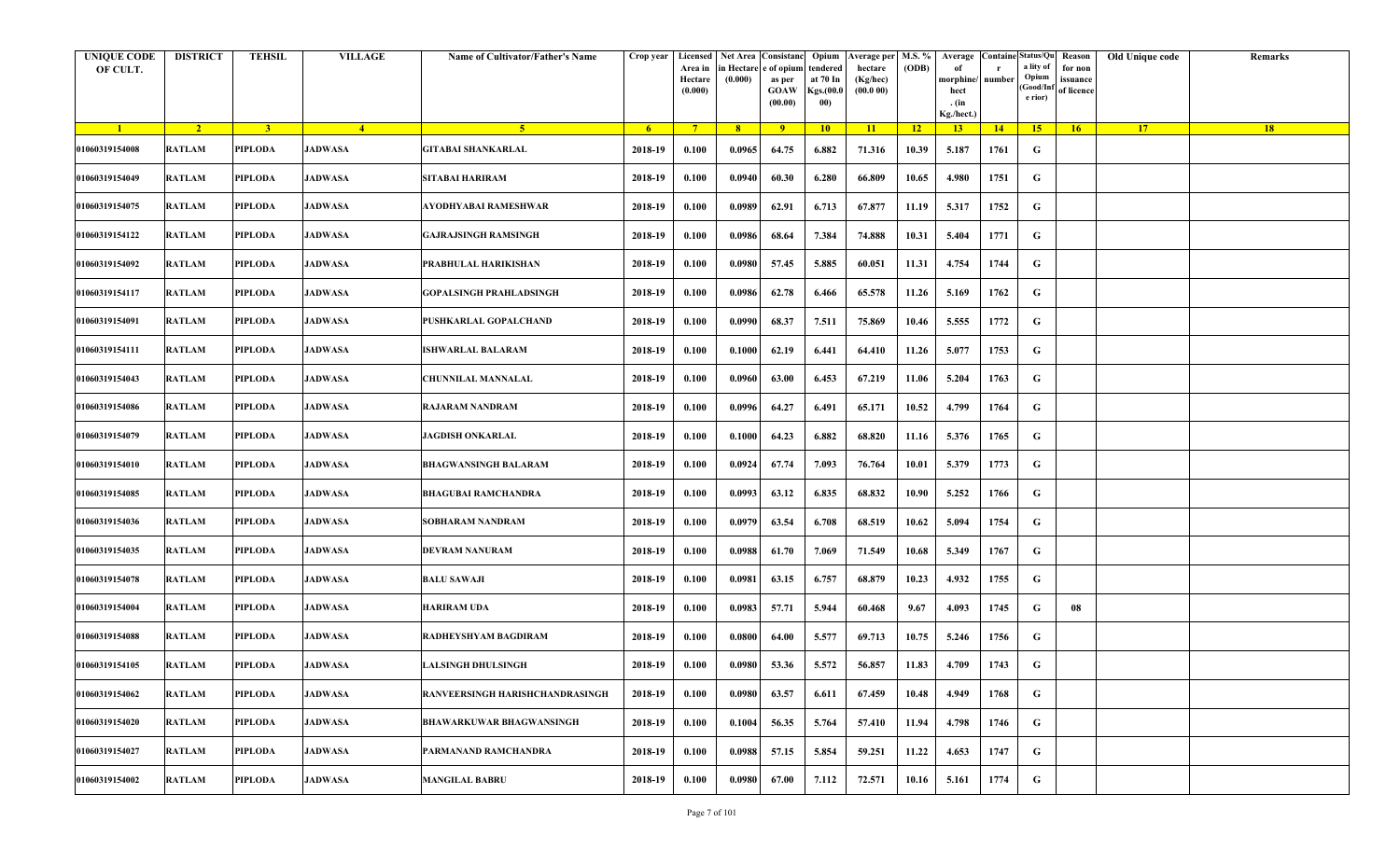| <b>UNIQUE CODE</b><br>OF CULT. | <b>DISTRICT</b> | <b>TEHSIL</b>  | <b>VILLAGE</b> | Name of Cultivator/Father's Name       | Crop year      | Area in<br>Hectare<br>(0.000) | Licensed   Net Area Consistanc<br>ı Hectar<br>(0.000) | e of opium<br>as per<br><b>GOAW</b><br>(00.00) | Opium<br>tendered<br>at 70 In<br>Kgs.(00.0<br>00) | Average per   M.S. %<br>hectare<br>(Kg/hec)<br>(00.000) | (ODB) | Average<br>morphine/<br>hect<br>. (in<br>Kg./hect.) | <b>Containe Status/Qu</b><br>number | a lity of<br>Opium<br>(Good/In:<br>e rior) | Reason<br>for non<br>issuance<br>of licence | Old Unique code | Remarks |
|--------------------------------|-----------------|----------------|----------------|----------------------------------------|----------------|-------------------------------|-------------------------------------------------------|------------------------------------------------|---------------------------------------------------|---------------------------------------------------------|-------|-----------------------------------------------------|-------------------------------------|--------------------------------------------|---------------------------------------------|-----------------|---------|
| $\blacksquare$                 | $\overline{2}$  | 3 <sup>2</sup> | $\sqrt{4}$     | 5 <sup>5</sup>                         | 6 <sup>6</sup> | $-7$                          | 8 <sup>1</sup>                                        | $-9$                                           | 10                                                | $\vert$ 11                                              | $-12$ | 13                                                  | 14                                  | $-15$                                      | 16                                          | 17              | 18      |
| 01060319154008                 | <b>RATLAM</b>   | PIPLODA        | JADWASA        | GITABAI SHANKARLAL                     | 2018-19        | 0.100                         | 0.0965                                                | 64.75                                          | 6.882                                             | 71.316                                                  | 10.39 | 5.187                                               | 1761                                | G                                          |                                             |                 |         |
| 01060319154049                 | <b>RATLAM</b>   | PIPLODA        | JADWASA        | SITABAI HARIRAM                        | 2018-19        | 0.100                         | 0.0940                                                | 60.30                                          | 6.280                                             | 66.809                                                  | 10.65 | 4.980                                               | 1751                                | G                                          |                                             |                 |         |
| 01060319154075                 | <b>RATLAM</b>   | PIPLODA        | JADWASA        | AYODHYABAI RAMESHWAR                   | 2018-19        | 0.100                         | 0.0989                                                | 62.91                                          | 6.713                                             | 67.877                                                  | 11.19 | 5.317                                               | 1752                                | G                                          |                                             |                 |         |
| 01060319154122                 | <b>RATLAM</b>   | PIPLODA        | JADWASA        | <b>GAJRAJSINGH RAMSINGH</b>            | 2018-19        | 0.100                         | 0.0986                                                | 68.64                                          | 7.384                                             | 74.888                                                  | 10.31 | 5.404                                               | 1771                                | G                                          |                                             |                 |         |
| 01060319154092                 | <b>RATLAM</b>   | PIPLODA        | JADWASA        | PRABHULAL HARIKISHAN                   | 2018-19        | 0.100                         | 0.0980                                                | 57.45                                          | 5.885                                             | 60.051                                                  | 11.31 | 4.754                                               | 1744                                | G                                          |                                             |                 |         |
| 01060319154117                 | <b>RATLAM</b>   | PIPLODA        | JADWASA        | GOPALSINGH PRAHLADSINGH                | 2018-19        | 0.100                         | 0.0986                                                | 62.78                                          | 6.466                                             | 65.578                                                  | 11.26 | 5.169                                               | 1762                                | G                                          |                                             |                 |         |
| 01060319154091                 | <b>RATLAM</b>   | <b>PIPLODA</b> | <b>JADWASA</b> | PUSHKARLAL GOPALCHAND                  | 2018-19        | 0.100                         | 0.0990                                                | 68.37                                          | 7.511                                             | 75.869                                                  | 10.46 | 5.555                                               | 1772                                | G                                          |                                             |                 |         |
| 01060319154111                 | <b>RATLAM</b>   | PIPLODA        | JADWASA        | <b>ISHWARLAL BALARAM</b>               | 2018-19        | 0.100                         | 0.1000                                                | 62.19                                          | 6.441                                             | 64.410                                                  | 11.26 | 5.077                                               | 1753                                | G                                          |                                             |                 |         |
| 01060319154043                 | <b>RATLAM</b>   | <b>PIPLODA</b> | JADWASA        | CHUNNILAL MANNALAL                     | 2018-19        | 0.100                         | 0.0960                                                | 63.00                                          | 6.453                                             | 67.219                                                  | 11.06 | 5.204                                               | 1763                                | G                                          |                                             |                 |         |
| 01060319154086                 | <b>RATLAM</b>   | PIPLODA        | JADWASA        | RAJARAM NANDRAM                        | 2018-19        | 0.100                         | 0.0996                                                | 64.27                                          | 6.491                                             | 65.171                                                  | 10.52 | 4.799                                               | 1764                                | G                                          |                                             |                 |         |
| 01060319154079                 | <b>RATLAM</b>   | PIPLODA        | JADWASA        | JAGDISH ONKARLAL                       | 2018-19        | 0.100                         | 0.1000                                                | 64.23                                          | 6.882                                             | 68.820                                                  | 11.16 | 5.376                                               | 1765                                | G                                          |                                             |                 |         |
| 01060319154010                 | <b>RATLAM</b>   | <b>PIPLODA</b> | JADWASA        | <b>BHAGWANSINGH BALARAM</b>            | 2018-19        | 0.100                         | 0.0924                                                | 67.74                                          | 7.093                                             | 76.764                                                  | 10.01 | 5.379                                               | 1773                                | G                                          |                                             |                 |         |
| 01060319154085                 | <b>RATLAM</b>   | PIPLODA        | JADWASA        | <b>BHAGUBAI RAMCHANDRA</b>             | 2018-19        | 0.100                         | 0.0993                                                | 63.12                                          | 6.835                                             | 68.832                                                  | 10.90 | 5.252                                               | 1766                                | G                                          |                                             |                 |         |
| 01060319154036                 | <b>RATLAM</b>   | PIPLODA        | JADWASA        | SOBHARAM NANDRAM                       | 2018-19        | 0.100                         | 0.0979                                                | 63.54                                          | 6.708                                             | 68.519                                                  | 10.62 | 5.094                                               | 1754                                | G                                          |                                             |                 |         |
| 01060319154035                 | <b>RATLAM</b>   | PIPLODA        | JADWASA        | <b>DEVRAM NANURAM</b>                  | 2018-19        | 0.100                         | 0.0988                                                | 61.70                                          | 7.069                                             | 71.549                                                  | 10.68 | 5.349                                               | 1767                                | G                                          |                                             |                 |         |
| 01060319154078                 | <b>RATLAM</b>   | <b>PIPLODA</b> | <b>JADWASA</b> | <b>BALU SAWAJI</b>                     | 2018-19        | 0.100                         | 0.0981                                                | 63.15                                          | 6.757                                             | 68.879                                                  | 10.23 | 4.932                                               | 1755                                | G                                          |                                             |                 |         |
| 01060319154004                 | <b>RATLAM</b>   | PIPLODA        | JADWASA        | <b>HARIRAM UDA</b>                     | 2018-19        | 0.100                         | 0.0983                                                | 57.71                                          | 5.944                                             | 60.468                                                  | 9.67  | 4.093                                               | 1745                                | G                                          | 08                                          |                 |         |
| 01060319154088                 | <b>RATLAM</b>   | <b>PIPLODA</b> | JADWASA        | RADHEYSHYAM BAGDIRAM                   | 2018-19        | 0.100                         | 0.0800                                                | 64.00                                          | 5.577                                             | 69.713                                                  | 10.75 | 5.246                                               | 1756                                | G                                          |                                             |                 |         |
| 01060319154105                 | <b>RATLAM</b>   | PIPLODA        | <b>JADWASA</b> | <b>LALSINGH DHULSINGH</b>              | 2018-19        | 0.100                         | 0.0980                                                | 53.36                                          | 5.572                                             | 56.857                                                  | 11.83 | 4.709                                               | 1743                                | G                                          |                                             |                 |         |
| 01060319154062                 | <b>RATLAM</b>   | <b>PIPLODA</b> | JADWASA        | <b>RANVEERSINGH HARISHCHANDRASINGH</b> | 2018-19        | 0.100                         | 0.0980                                                | 63.57                                          | 6.611                                             | 67.459                                                  | 10.48 | 4.949                                               | 1768                                | G                                          |                                             |                 |         |
| 01060319154020                 | <b>RATLAM</b>   | <b>PIPLODA</b> | JADWASA        | <b>BHAWARKUWAR BHAGWANSINGH</b>        | 2018-19        | 0.100                         | 0.1004                                                | 56.35                                          | 5.764                                             | 57.410                                                  | 11.94 | 4.798                                               | 1746                                | G                                          |                                             |                 |         |
| 01060319154027                 | <b>RATLAM</b>   | PIPLODA        | <b>JADWASA</b> | PARMANAND RAMCHANDRA                   | 2018-19        | 0.100                         | 0.0988                                                | 57.15                                          | 5.854                                             | 59.251                                                  | 11.22 | 4.653                                               | 1747                                | G                                          |                                             |                 |         |
| 01060319154002                 | <b>RATLAM</b>   | <b>PIPLODA</b> | JADWASA        | <b>MANGILAL BABRU</b>                  | 2018-19        | 0.100                         | 0.0980                                                | 67.00                                          | 7.112                                             | 72.571                                                  | 10.16 | 5.161                                               | 1774                                | G                                          |                                             |                 |         |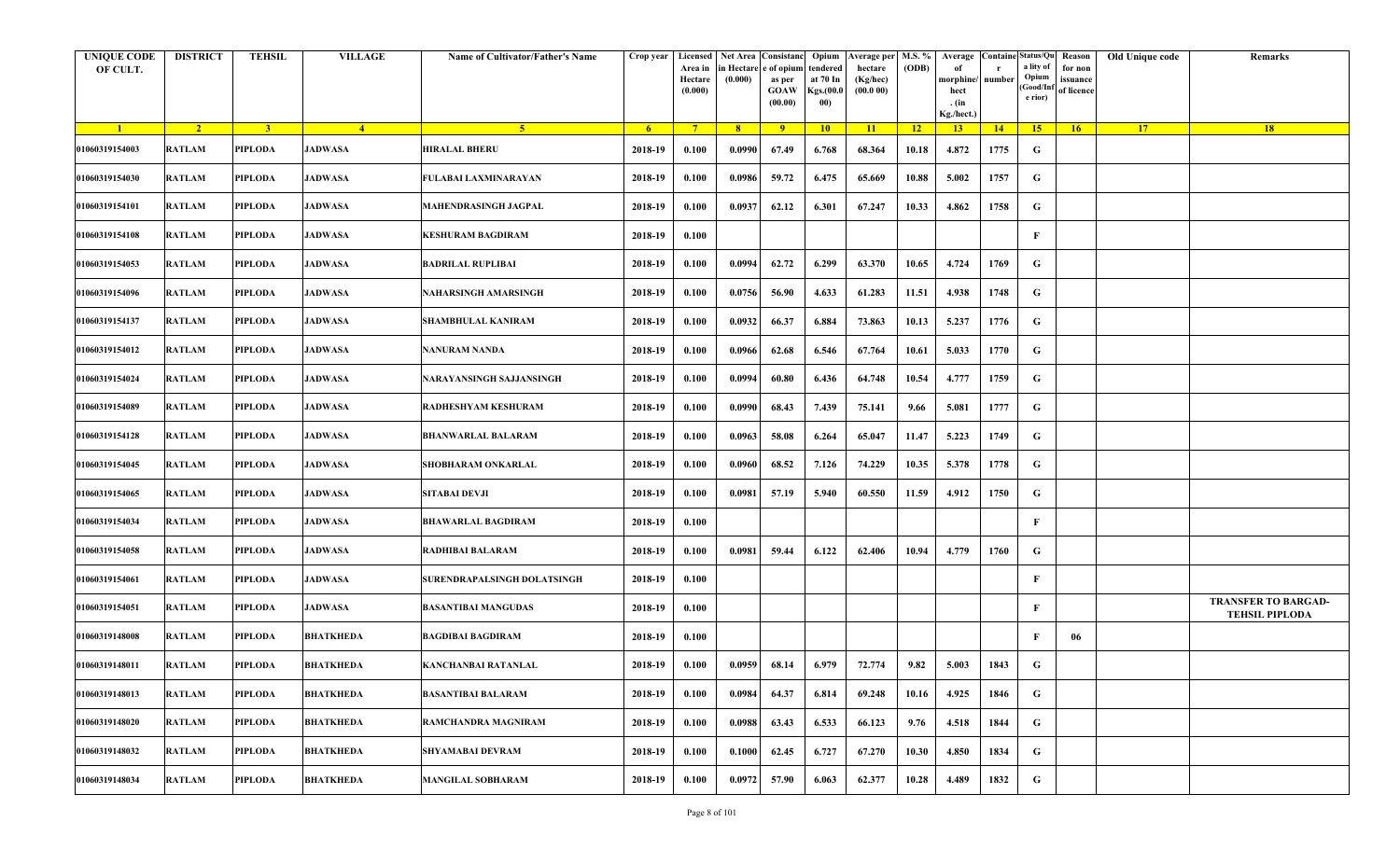| <b>UNIQUE CODE</b><br>OF CULT. | <b>DISTRICT</b> | <b>TEHSIL</b>  | <b>VILLAGE</b>   | Name of Cultivator/Father's Name | Crop year | Area in<br>Hectare<br>(0.000) | Licensed Net Area Consistanc<br>ı Hectar<br>(0.000) | e of opium<br>as per<br><b>GOAW</b><br>(00.00) | Opium<br>tendered<br>at 70 In<br>Kgs.(00.0<br>00) | Average per   M.S. %<br>hectare<br>(Kg/hec)<br>(00.000) | (ODB) | Average<br>morphine/<br>hect<br>. (in<br>Kg./hect.) | <b>Containe Status/Qu</b><br>number | a lity of<br>Opium<br>(Good/In:<br>e rior) | Reason<br>for non<br>issuance<br>of licence | Old Unique code | Remarks                                             |
|--------------------------------|-----------------|----------------|------------------|----------------------------------|-----------|-------------------------------|-----------------------------------------------------|------------------------------------------------|---------------------------------------------------|---------------------------------------------------------|-------|-----------------------------------------------------|-------------------------------------|--------------------------------------------|---------------------------------------------|-----------------|-----------------------------------------------------|
| $\blacksquare$ 1               | $\overline{2}$  | 3 <sup>2</sup> | $\sqrt{4}$       | 5 <sup>1</sup>                   | $-6$      | $-7$                          | 8 <sup>1</sup>                                      | $-9$                                           | 10                                                | $\vert$ 11                                              | $-12$ | 13                                                  | 14                                  | 15                                         | 16                                          | 17              | 18                                                  |
| 01060319154003                 | <b>RATLAM</b>   | PIPLODA        | JADWASA          | <b>HIRALAL BHERU</b>             | 2018-19   | 0.100                         | 0.0990                                              | 67.49                                          | 6.768                                             | 68.364                                                  | 10.18 | 4.872                                               | 1775                                | G                                          |                                             |                 |                                                     |
| 01060319154030                 | <b>RATLAM</b>   | PIPLODA        | JADWASA          | <b>FULABAI LAXMINARAYAN</b>      | 2018-19   | 0.100                         | 0.0986                                              | 59.72                                          | 6.475                                             | 65.669                                                  | 10.88 | 5.002                                               | 1757                                | G                                          |                                             |                 |                                                     |
| 01060319154101                 | <b>RATLAM</b>   | PIPLODA        | JADWASA          | <b>MAHENDRASINGH JAGPAL</b>      | 2018-19   | 0.100                         | 0.0937                                              | 62.12                                          | 6.301                                             | 67.247                                                  | 10.33 | 4.862                                               | 1758                                | G                                          |                                             |                 |                                                     |
| 01060319154108                 | <b>RATLAM</b>   | PIPLODA        | JADWASA          | <b>KESHURAM BAGDIRAM</b>         | 2018-19   | 0.100                         |                                                     |                                                |                                                   |                                                         |       |                                                     |                                     | F                                          |                                             |                 |                                                     |
| 01060319154053                 | <b>RATLAM</b>   | PIPLODA        | JADWASA          | <b>BADRILAL RUPLIBAI</b>         | 2018-19   | 0.100                         | 0.0994                                              | 62.72                                          | 6.299                                             | 63.370                                                  | 10.65 | 4.724                                               | 1769                                | G                                          |                                             |                 |                                                     |
| 01060319154096                 | <b>RATLAM</b>   | PIPLODA        | JADWASA          | NAHARSINGH AMARSINGH             | 2018-19   | 0.100                         | 0.0756                                              | 56.90                                          | 4.633                                             | 61.283                                                  | 11.51 | 4.938                                               | 1748                                | G                                          |                                             |                 |                                                     |
| 01060319154137                 | <b>RATLAM</b>   | <b>PIPLODA</b> | <b>JADWASA</b>   | SHAMBHULAL KANIRAM               | 2018-19   | 0.100                         | 0.0932                                              | 66.37                                          | 6.884                                             | 73.863                                                  | 10.13 | 5.237                                               | 1776                                | G                                          |                                             |                 |                                                     |
| 01060319154012                 | <b>RATLAM</b>   | PIPLODA        | JADWASA          | NANURAM NANDA                    | 2018-19   | 0.100                         | 0.0966                                              | 62.68                                          | 6.546                                             | 67.764                                                  | 10.61 | 5.033                                               | 1770                                | G                                          |                                             |                 |                                                     |
| 01060319154024                 | <b>RATLAM</b>   | <b>PIPLODA</b> | JADWASA          | NARAYANSINGH SAJJANSINGH         | 2018-19   | 0.100                         | 0.0994                                              | 60.80                                          | 6.436                                             | 64.748                                                  | 10.54 | 4.777                                               | 1759                                | G                                          |                                             |                 |                                                     |
| 01060319154089                 | <b>RATLAM</b>   | PIPLODA        | JADWASA          | RADHESHYAM KESHURAM              | 2018-19   | 0.100                         | 0.0990                                              | 68.43                                          | 7.439                                             | 75.141                                                  | 9.66  | 5.081                                               | 1777                                | G                                          |                                             |                 |                                                     |
| 01060319154128                 | <b>RATLAM</b>   | PIPLODA        | JADWASA          | <b>BHANWARLAL BALARAM</b>        | 2018-19   | 0.100                         | 0.0963                                              | 58.08                                          | 6.264                                             | 65.047                                                  | 11.47 | 5.223                                               | 1749                                | G                                          |                                             |                 |                                                     |
| 01060319154045                 | <b>RATLAM</b>   | <b>PIPLODA</b> | JADWASA          | SHOBHARAM ONKARLAL               | 2018-19   | 0.100                         | 0.0960                                              | 68.52                                          | 7.126                                             | 74.229                                                  | 10.35 | 5.378                                               | 1778                                | G                                          |                                             |                 |                                                     |
| 01060319154065                 | <b>RATLAM</b>   | PIPLODA        | JADWASA          | <b>SITABAI DEVJI</b>             | 2018-19   | 0.100                         | 0.0981                                              | 57.19                                          | 5.940                                             | 60.550                                                  | 11.59 | 4.912                                               | 1750                                | G                                          |                                             |                 |                                                     |
| 01060319154034                 | <b>RATLAM</b>   | PIPLODA        | JADWASA          | <b>BHAWARLAL BAGDIRAM</b>        | 2018-19   | 0.100                         |                                                     |                                                |                                                   |                                                         |       |                                                     |                                     | $\mathbf{F}$                               |                                             |                 |                                                     |
| 01060319154058                 | <b>RATLAM</b>   | PIPLODA        | JADWASA          | RADHIBAI BALARAM                 | 2018-19   | 0.100                         | 0.0981                                              | 59.44                                          | 6.122                                             | 62.406                                                  | 10.94 | 4.779                                               | 1760                                | G                                          |                                             |                 |                                                     |
| 01060319154061                 | <b>RATLAM</b>   | <b>PIPLODA</b> | <b>JADWASA</b>   | SURENDRAPALSINGH DOLATSINGH      | 2018-19   | 0.100                         |                                                     |                                                |                                                   |                                                         |       |                                                     |                                     | $\mathbf{F}$                               |                                             |                 |                                                     |
| 01060319154051                 | <b>RATLAM</b>   | PIPLODA        | JADWASA          | <b>BASANTIBAI MANGUDAS</b>       | 2018-19   | 0.100                         |                                                     |                                                |                                                   |                                                         |       |                                                     |                                     | F                                          |                                             |                 | <b>TRANSFER TO BARGAD-</b><br><b>TEHSIL PIPLODA</b> |
| 01060319148008                 | <b>RATLAM</b>   | <b>PIPLODA</b> | BHATKHEDA        | <b>BAGDIBAI BAGDIRAM</b>         | 2018-19   | 0.100                         |                                                     |                                                |                                                   |                                                         |       |                                                     |                                     | F                                          | 06                                          |                 |                                                     |
| 01060319148011                 | <b>RATLAM</b>   | PIPLODA        | <b>BHATKHEDA</b> | <b>KANCHANBAI RATANLAL</b>       | 2018-19   | 0.100                         | 0.0959                                              | 68.14                                          | 6.979                                             | 72.774                                                  | 9.82  | 5.003                                               | 1843                                | G                                          |                                             |                 |                                                     |
| 01060319148013                 | <b>RATLAM</b>   | PIPLODA        | BHATKHEDA        | <b>BASANTIBAI BALARAM</b>        | 2018-19   | 0.100                         | 0.0984                                              | 64.37                                          | 6.814                                             | 69.248                                                  | 10.16 | 4.925                                               | 1846                                | G                                          |                                             |                 |                                                     |
| 01060319148020                 | <b>RATLAM</b>   | <b>PIPLODA</b> | BHATKHEDA        | RAMCHANDRA MAGNIRAM              | 2018-19   | 0.100                         | 0.0988                                              | 63.43                                          | 6.533                                             | 66.123                                                  | 9.76  | 4.518                                               | 1844                                | G                                          |                                             |                 |                                                     |
| 01060319148032                 | <b>RATLAM</b>   | PIPLODA        | BHATKHEDA        | SHYAMABAI DEVRAM                 | 2018-19   | 0.100                         | 0.1000                                              | 62.45                                          | 6.727                                             | 67.270                                                  | 10.30 | 4.850                                               | 1834                                | G                                          |                                             |                 |                                                     |
| 01060319148034                 | <b>RATLAM</b>   | <b>PIPLODA</b> | BHATKHEDA        | <b>MANGILAL SOBHARAM</b>         | 2018-19   | 0.100                         | 0.0972                                              | 57.90                                          | 6.063                                             | 62.377                                                  | 10.28 | 4.489                                               | 1832                                | G                                          |                                             |                 |                                                     |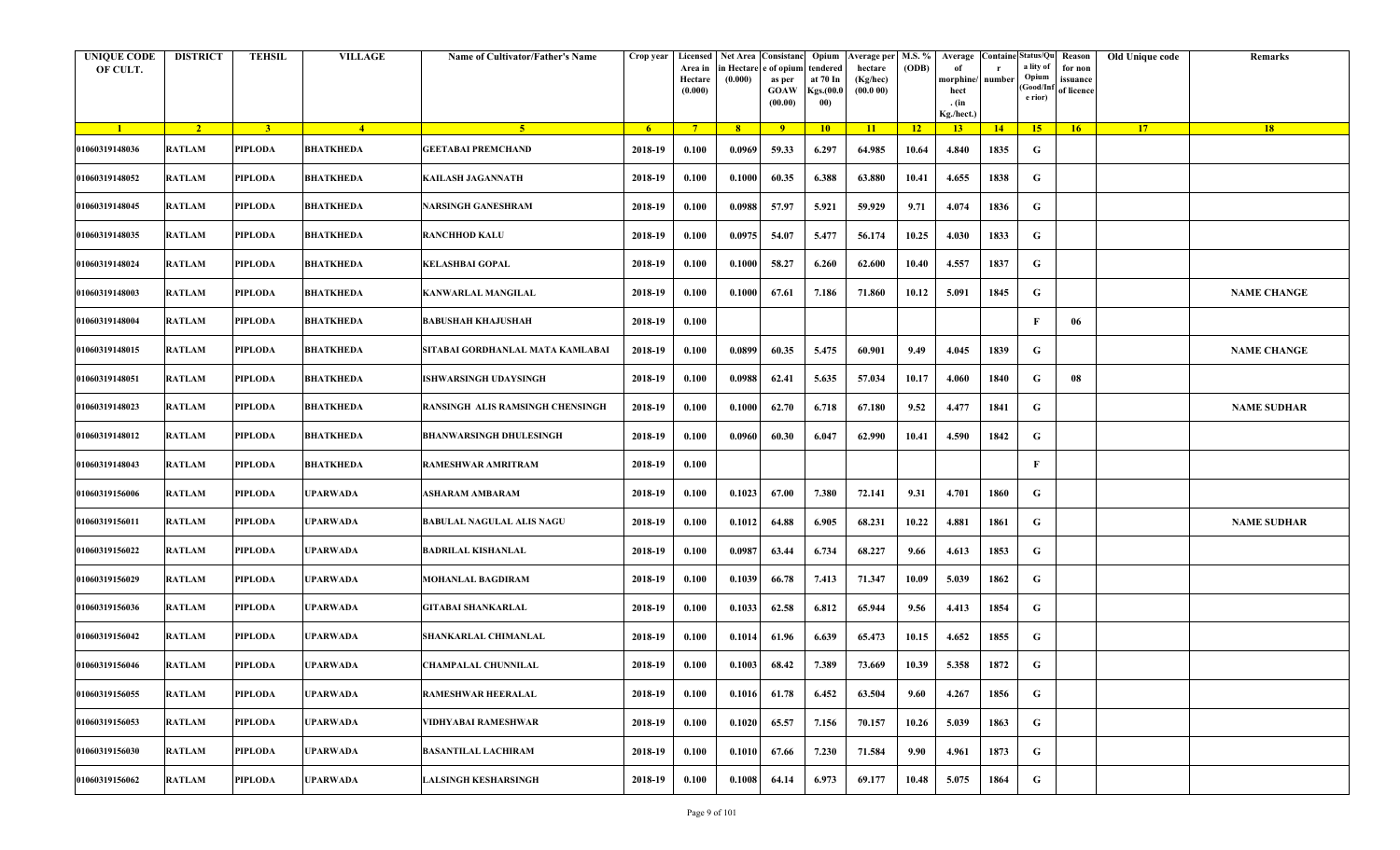| <b>UNIQUE CODE</b><br>OF CULT. | <b>DISTRICT</b> | <b>TEHSIL</b>  | <b>VILLAGE</b>  | Name of Cultivator/Father's Name | Crop year      | Area in<br>Hectare<br>(0.000) | Licensed   Net Area Consistanc<br>ı Hectar<br>(0.000) | e of opium<br>as per<br><b>GOAW</b><br>(00.00) | Opium<br>tendered<br>at 70 In<br>Kgs.(00.0<br>00) | <b>Average per</b><br>hectare<br>(Kg/hec)<br>(00.000) | M.S. %<br>(ODB) | Average<br>morphine/<br>hect<br>. (in<br>Kg./hect.) | <b>Containe Status/Qu</b><br>number | a lity of<br>Opium<br>(Good/In<br>e rior) | Reason<br>for non<br>issuance<br>of licence | Old Unique code | Remarks            |
|--------------------------------|-----------------|----------------|-----------------|----------------------------------|----------------|-------------------------------|-------------------------------------------------------|------------------------------------------------|---------------------------------------------------|-------------------------------------------------------|-----------------|-----------------------------------------------------|-------------------------------------|-------------------------------------------|---------------------------------------------|-----------------|--------------------|
| $\blacksquare$                 | $\overline{2}$  | 3 <sup>2</sup> | $\overline{4}$  | 5 <sup>5</sup>                   | 6 <sup>6</sup> | $-7$                          | 8 <sup>1</sup>                                        | $-9$                                           | 10                                                | $\vert$ 11                                            | $-12$           | 13                                                  | 14                                  | 15                                        | 16                                          | 17              | 18                 |
| 01060319148036                 | <b>RATLAM</b>   | PIPLODA        | BHATKHEDA       | GEETABAI PREMCHAND               | 2018-19        | 0.100                         | 0.0969                                                | 59.33                                          | 6.297                                             | 64.985                                                | 10.64           | 4.840                                               | 1835                                | G                                         |                                             |                 |                    |
| 01060319148052                 | <b>RATLAM</b>   | PIPLODA        | BHATKHEDA       | KAILASH JAGANNATH                | 2018-19        | 0.100                         | 0.1000                                                | 60.35                                          | 6.388                                             | 63.880                                                | 10.41           | 4.655                                               | 1838                                | G                                         |                                             |                 |                    |
| 01060319148045                 | <b>RATLAM</b>   | PIPLODA        | BHATKHEDA       | NARSINGH GANESHRAM               | 2018-19        | 0.100                         | 0.0988                                                | 57.97                                          | 5.921                                             | 59.929                                                | 9.71            | 4.074                                               | 1836                                | G                                         |                                             |                 |                    |
| 01060319148035                 | <b>RATLAM</b>   | PIPLODA        | BHATKHEDA       | <b>RANCHHOD KALU</b>             | 2018-19        | 0.100                         | 0.0975                                                | 54.07                                          | 5.477                                             | 56.174                                                | 10.25           | 4.030                                               | 1833                                | G                                         |                                             |                 |                    |
| 01060319148024                 | <b>RATLAM</b>   | PIPLODA        | BHATKHEDA       | <b>KELASHBAI GOPAL</b>           | 2018-19        | 0.100                         | 0.1000                                                | 58.27                                          | 6.260                                             | 62.600                                                | 10.40           | 4.557                                               | 1837                                | G                                         |                                             |                 |                    |
| 01060319148003                 | <b>RATLAM</b>   | PIPLODA        | BHATKHEDA       | KANWARLAL MANGILAL               | 2018-19        | 0.100                         | 0.1000                                                | 67.61                                          | 7.186                                             | 71.860                                                | 10.12           | 5.091                                               | 1845                                | G                                         |                                             |                 | <b>NAME CHANGE</b> |
| 01060319148004                 | <b>RATLAM</b>   | <b>PIPLODA</b> | BHATKHEDA       | <b>BABUSHAH KHAJUSHAH</b>        | 2018-19        | 0.100                         |                                                       |                                                |                                                   |                                                       |                 |                                                     |                                     | $\mathbf{F}$                              | 06                                          |                 |                    |
| 01060319148015                 | <b>RATLAM</b>   | PIPLODA        | BHATKHEDA       | SITABAI GORDHANLAL MATA KAMLABAI | 2018-19        | 0.100                         | 0.0899                                                | 60.35                                          | 5.475                                             | 60.901                                                | 9.49            | 4.045                                               | 1839                                | G                                         |                                             |                 | <b>NAME CHANGE</b> |
| 01060319148051                 | <b>RATLAM</b>   | <b>PIPLODA</b> | BHATKHEDA       | <b>ISHWARSINGH UDAYSINGH</b>     | 2018-19        | 0.100                         | 0.0988                                                | 62.41                                          | 5.635                                             | 57.034                                                | 10.17           | 4.060                                               | 1840                                | G                                         | 08                                          |                 |                    |
| 01060319148023                 | <b>RATLAM</b>   | PIPLODA        | BHATKHEDA       | RANSINGH ALIS RAMSINGH CHENSINGH | 2018-19        | 0.100                         | 0.1000                                                | 62.70                                          | 6.718                                             | 67.180                                                | 9.52            | 4.477                                               | 1841                                | G                                         |                                             |                 | <b>NAME SUDHAR</b> |
| 01060319148012                 | <b>RATLAM</b>   | PIPLODA        | BHATKHEDA       | <b>BHANWARSINGH DHULESINGH</b>   | 2018-19        | 0.100                         | 0.0960                                                | 60.30                                          | 6.047                                             | 62.990                                                | 10.41           | 4.590                                               | 1842                                | G                                         |                                             |                 |                    |
| 01060319148043                 | <b>RATLAM</b>   | <b>PIPLODA</b> | BHATKHEDA       | <b>RAMESHWAR AMRITRAM</b>        | 2018-19        | 0.100                         |                                                       |                                                |                                                   |                                                       |                 |                                                     |                                     | F                                         |                                             |                 |                    |
| 01060319156006                 | <b>RATLAM</b>   | PIPLODA        | UPARWADA        | ASHARAM AMBARAM                  | 2018-19        | 0.100                         | 0.1023                                                | 67.00                                          | 7.380                                             | 72.141                                                | 9.31            | 4.701                                               | 1860                                | G                                         |                                             |                 |                    |
| 01060319156011                 | <b>RATLAM</b>   | PIPLODA        | UPARWADA        | <b>BABULAL NAGULAL ALIS NAGU</b> | 2018-19        | 0.100                         | 0.1012                                                | 64.88                                          | 6.905                                             | 68.231                                                | 10.22           | 4.881                                               | 1861                                | G                                         |                                             |                 | <b>NAME SUDHAR</b> |
| 01060319156022                 | <b>RATLAM</b>   | PIPLODA        | UPARWADA        | <b>BADRILAL KISHANLAL</b>        | 2018-19        | 0.100                         | 0.0987                                                | 63.44                                          | 6.734                                             | 68.227                                                | 9.66            | 4.613                                               | 1853                                | G                                         |                                             |                 |                    |
| 01060319156029                 | <b>RATLAM</b>   | <b>PIPLODA</b> | UPARWADA        | MOHANLAL BAGDIRAM                | 2018-19        | 0.100                         | 0.1039                                                | 66.78                                          | 7.413                                             | 71.347                                                | 10.09           | 5.039                                               | 1862                                | G                                         |                                             |                 |                    |
| 01060319156036                 | <b>RATLAM</b>   | PIPLODA        | UPARWADA        | GITABAI SHANKARLAL               | 2018-19        | 0.100                         | 0.1033                                                | 62.58                                          | 6.812                                             | 65.944                                                | 9.56            | 4.413                                               | 1854                                | G                                         |                                             |                 |                    |
| 01060319156042                 | <b>RATLAM</b>   | <b>PIPLODA</b> | UPARWADA        | SHANKARLAL CHIMANLAL             | 2018-19        | 0.100                         | 0.1014                                                | 61.96                                          | 6.639                                             | 65.473                                                | 10.15           | 4.652                                               | 1855                                | G                                         |                                             |                 |                    |
| 01060319156046                 | <b>RATLAM</b>   | PIPLODA        | UPARWADA        | <b>CHAMPALAL CHUNNILAL</b>       | 2018-19        | 0.100                         | 0.1003                                                | 68.42                                          | 7.389                                             | 73.669                                                | 10.39           | 5.358                                               | 1872                                | G                                         |                                             |                 |                    |
| 01060319156055                 | <b>RATLAM</b>   | <b>PIPLODA</b> | <b>UPARWADA</b> | <b>RAMESHWAR HEERALAL</b>        | 2018-19        | 0.100                         | 0.1016                                                | 61.78                                          | 6.452                                             | 63.504                                                | 9.60            | 4.267                                               | 1856                                | G                                         |                                             |                 |                    |
| 01060319156053                 | <b>RATLAM</b>   | PIPLODA        | UPARWADA        | VIDHYABAI RAMESHWAR              | 2018-19        | 0.100                         | 0.1020                                                | 65.57                                          | 7.156                                             | 70.157                                                | 10.26           | 5.039                                               | 1863                                | G                                         |                                             |                 |                    |
| 01060319156030                 | <b>RATLAM</b>   | PIPLODA        | UPARWADA        | <b>BASANTILAL LACHIRAM</b>       | 2018-19        | 0.100                         | 0.1010                                                | 67.66                                          | 7.230                                             | 71.584                                                | 9.90            | 4.961                                               | 1873                                | G                                         |                                             |                 |                    |
| 01060319156062                 | <b>RATLAM</b>   | <b>PIPLODA</b> | UPARWADA        | <b>LALSINGH KESHARSINGH</b>      | 2018-19        | 0.100                         | 0.1008                                                | 64.14                                          | 6.973                                             | 69.177                                                | 10.48           | 5.075                                               | 1864                                | G                                         |                                             |                 |                    |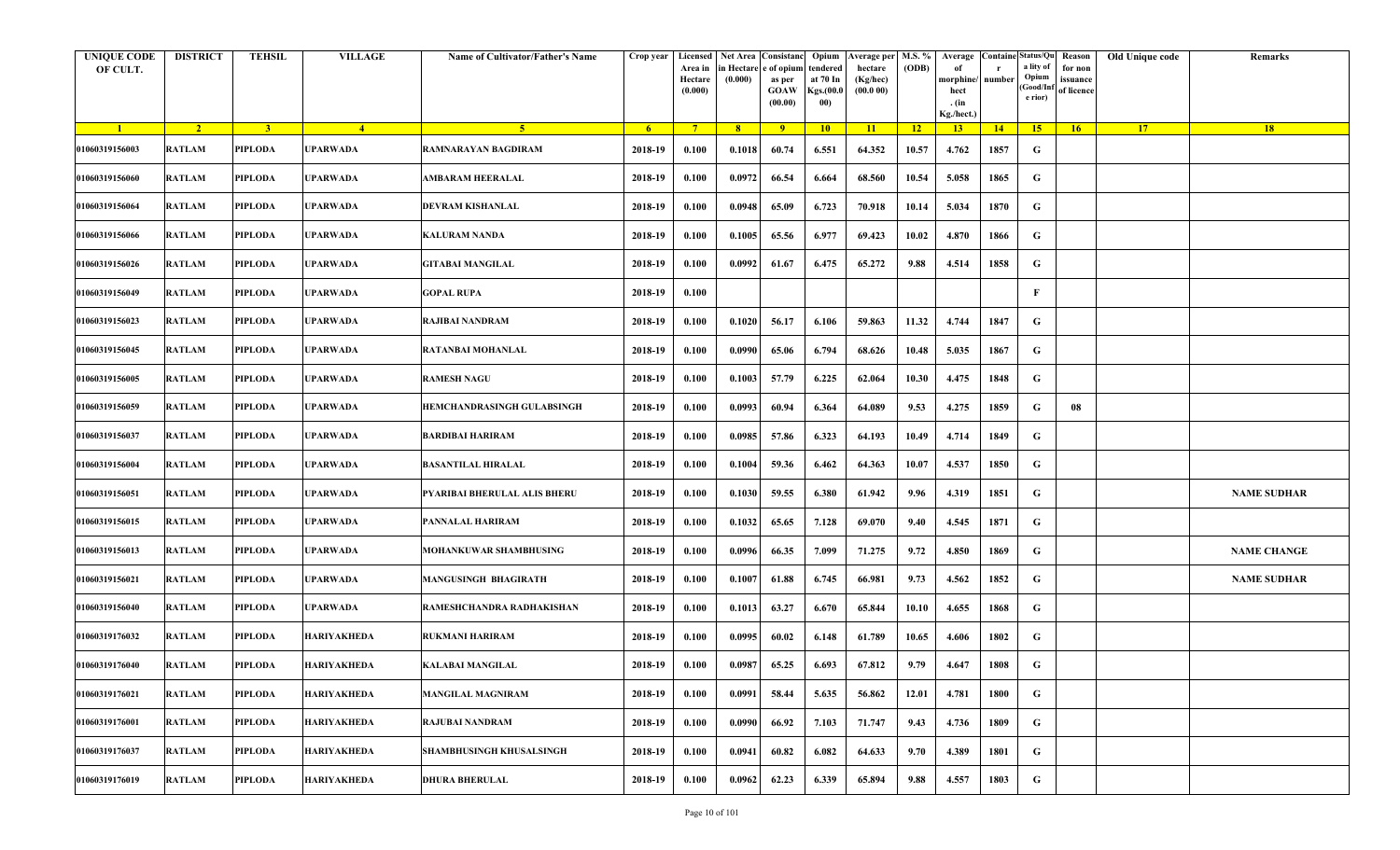| <b>UNIQUE CODE</b><br>OF CULT. | <b>DISTRICT</b> | <b>TEHSIL</b>  | <b>VILLAGE</b>     | Name of Cultivator/Father's Name | Crop year      | Area in<br>Hectare<br>(0.000) | Licensed   Net Area Consistanc<br>ı Hectar<br>(0.000) | e of opium<br>as per<br><b>GOAW</b><br>(00.00) | Opium<br>tendered<br>at 70 In<br>Kgs.(00.0<br>00) | <b>Average per</b><br>hectare<br>(Kg/hec)<br>(00.000) | M.S. %<br>(ODB) | Average<br>morphine/<br>hect<br>. (in<br>Kg./hect.) | <b>Containe Status/Qu</b><br>number | a lity of<br>Opium<br>(Good/In<br>e rior) | Reason<br>for non<br>issuance<br>of licence | Old Unique code | Remarks            |
|--------------------------------|-----------------|----------------|--------------------|----------------------------------|----------------|-------------------------------|-------------------------------------------------------|------------------------------------------------|---------------------------------------------------|-------------------------------------------------------|-----------------|-----------------------------------------------------|-------------------------------------|-------------------------------------------|---------------------------------------------|-----------------|--------------------|
| $\blacksquare$ 1               | $\overline{2}$  | 3 <sup>2</sup> | $\overline{4}$     | $\sqrt{5}$                       | 6 <sup>6</sup> | $-7$                          | 8 <sup>1</sup>                                        | $-9$                                           | 10                                                | $\vert$ 11                                            | $-12$           | 13                                                  | 14                                  | 15                                        | 16                                          | 17              | 18                 |
| 01060319156003                 | <b>RATLAM</b>   | PIPLODA        | UPARWADA           | RAMNARAYAN BAGDIRAM              | 2018-19        | 0.100                         | 0.1018                                                | 60.74                                          | 6.551                                             | 64.352                                                | 10.57           | 4.762                                               | 1857                                | G                                         |                                             |                 |                    |
| 01060319156060                 | <b>RATLAM</b>   | PIPLODA        | UPARWADA           | AMBARAM HEERALAL                 | 2018-19        | 0.100                         | 0.0972                                                | 66.54                                          | 6.664                                             | 68.560                                                | 10.54           | 5.058                                               | 1865                                | G                                         |                                             |                 |                    |
| 01060319156064                 | <b>RATLAM</b>   | PIPLODA        | UPARWADA           | DEVRAM KISHANLAL                 | 2018-19        | 0.100                         | 0.0948                                                | 65.09                                          | 6.723                                             | 70.918                                                | 10.14           | 5.034                                               | 1870                                | G                                         |                                             |                 |                    |
| 01060319156066                 | <b>RATLAM</b>   | PIPLODA        | UPARWADA           | KALURAM NANDA                    | 2018-19        | 0.100                         | 0.1005                                                | 65.56                                          | 6.977                                             | 69.423                                                | 10.02           | 4.870                                               | 1866                                | G                                         |                                             |                 |                    |
| 01060319156026                 | <b>RATLAM</b>   | PIPLODA        | UPARWADA           | GITABAI MANGILAL                 | 2018-19        | 0.100                         | 0.0992                                                | 61.67                                          | 6.475                                             | 65.272                                                | 9.88            | 4.514                                               | 1858                                | G                                         |                                             |                 |                    |
| 01060319156049                 | <b>RATLAM</b>   | PIPLODA        | UPARWADA           | GOPAL RUPA                       | 2018-19        | 0.100                         |                                                       |                                                |                                                   |                                                       |                 |                                                     |                                     | $\mathbf{F}$                              |                                             |                 |                    |
| 01060319156023                 | <b>RATLAM</b>   | <b>PIPLODA</b> | UPARWADA           | RAJIBAI NANDRAM                  | 2018-19        | 0.100                         | 0.1020                                                | 56.17                                          | 6.106                                             | 59.863                                                | 11.32           | 4.744                                               | 1847                                | G                                         |                                             |                 |                    |
| 01060319156045                 | <b>RATLAM</b>   | PIPLODA        | UPARWADA           | RATANBAI MOHANLAL                | 2018-19        | 0.100                         | 0.0990                                                | 65.06                                          | 6.794                                             | 68.626                                                | 10.48           | 5.035                                               | 1867                                | G                                         |                                             |                 |                    |
| 01060319156005                 | <b>RATLAM</b>   | <b>PIPLODA</b> | UPARWADA           | <b>RAMESH NAGU</b>               | 2018-19        | 0.100                         | 0.1003                                                | 57.79                                          | 6.225                                             | 62.064                                                | 10.30           | 4.475                                               | 1848                                | G                                         |                                             |                 |                    |
| 01060319156059                 | <b>RATLAM</b>   | PIPLODA        | UPARWADA           | HEMCHANDRASINGH GULABSINGH       | 2018-19        | 0.100                         | 0.0993                                                | 60.94                                          | 6.364                                             | 64.089                                                | 9.53            | 4.275                                               | 1859                                | G                                         | 08                                          |                 |                    |
| 01060319156037                 | <b>RATLAM</b>   | PIPLODA        | UPARWADA           | <b>BARDIBAI HARIRAM</b>          | 2018-19        | 0.100                         | 0.0985                                                | 57.86                                          | 6.323                                             | 64.193                                                | 10.49           | 4.714                                               | 1849                                | G                                         |                                             |                 |                    |
| 01060319156004                 | <b>RATLAM</b>   | <b>PIPLODA</b> | UPARWADA           | <b>BASANTILAL HIRALAL</b>        | 2018-19        | 0.100                         | 0.1004                                                | 59.36                                          | 6.462                                             | 64.363                                                | 10.07           | 4.537                                               | 1850                                | G                                         |                                             |                 |                    |
| 01060319156051                 | <b>RATLAM</b>   | PIPLODA        | UPARWADA           | PYARIBAI BHERULAL ALIS BHERU     | 2018-19        | 0.100                         | 0.1030                                                | 59.55                                          | 6.380                                             | 61.942                                                | 9.96            | 4.319                                               | 1851                                | G                                         |                                             |                 | <b>NAME SUDHAR</b> |
| 01060319156015                 | <b>RATLAM</b>   | PIPLODA        | UPARWADA           | PANNALAL HARIRAM                 | 2018-19        | 0.100                         | 0.1032                                                | 65.65                                          | 7.128                                             | 69.070                                                | 9.40            | 4.545                                               | 1871                                | G                                         |                                             |                 |                    |
| 01060319156013                 | <b>RATLAM</b>   | PIPLODA        | UPARWADA           | MOHANKUWAR SHAMBHUSING           | 2018-19        | 0.100                         | 0.0996                                                | 66.35                                          | 7.099                                             | 71.275                                                | 9.72            | 4.850                                               | 1869                                | G                                         |                                             |                 | <b>NAME CHANGE</b> |
| 01060319156021                 | <b>RATLAM</b>   | <b>PIPLODA</b> | UPARWADA           | <b>MANGUSINGH BHAGIRATH</b>      | 2018-19        | 0.100                         | 0.1007                                                | 61.88                                          | 6.745                                             | 66.981                                                | 9.73            | 4.562                                               | 1852                                | G                                         |                                             |                 | <b>NAME SUDHAR</b> |
| 01060319156040                 | <b>RATLAM</b>   | PIPLODA        | UPARWADA           | RAMESHCHANDRA RADHAKISHAN        | 2018-19        | 0.100                         | 0.1013                                                | 63.27                                          | 6.670                                             | 65.844                                                | 10.10           | 4.655                                               | 1868                                | G                                         |                                             |                 |                    |
| 01060319176032                 | <b>RATLAM</b>   | <b>PIPLODA</b> | HARIYAKHEDA        | <b>RUKMANI HARIRAM</b>           | 2018-19        | 0.100                         | 0.0995                                                | 60.02                                          | 6.148                                             | 61.789                                                | 10.65           | 4.606                                               | 1802                                | G                                         |                                             |                 |                    |
| 01060319176040                 | <b>RATLAM</b>   | PIPLODA        | <b>HARIYAKHEDA</b> | <b>KALABAI MANGILAL</b>          | 2018-19        | 0.100                         | 0.0987                                                | 65.25                                          | 6.693                                             | 67.812                                                | 9.79            | 4.647                                               | 1808                                | G                                         |                                             |                 |                    |
| 01060319176021                 | <b>RATLAM</b>   | PIPLODA        | HARIYAKHEDA        | <b>MANGILAL MAGNIRAM</b>         | 2018-19        | 0.100                         | 0.0991                                                | 58.44                                          | 5.635                                             | 56.862                                                | 12.01           | 4.781                                               | 1800                                | G                                         |                                             |                 |                    |
| 01060319176001                 | <b>RATLAM</b>   | PIPLODA        | HARIYAKHEDA        | RAJUBAI NANDRAM                  | 2018-19        | 0.100                         | 0.0990                                                | 66.92                                          | 7.103                                             | 71.747                                                | 9.43            | 4.736                                               | 1809                                | $\mathbf G$                               |                                             |                 |                    |
| 01060319176037                 | <b>RATLAM</b>   | PIPLODA        | HARIYAKHEDA        | <b>SHAMBHUSINGH KHUSALSINGH</b>  | 2018-19        | 0.100                         | 0.0941                                                | 60.82                                          | 6.082                                             | 64.633                                                | 9.70            | 4.389                                               | 1801                                | G                                         |                                             |                 |                    |
| 01060319176019                 | <b>RATLAM</b>   | <b>PIPLODA</b> | HARIYAKHEDA        | <b>DHURA BHERULAL</b>            | 2018-19        | 0.100                         | 0.0962                                                | 62.23                                          | 6.339                                             | 65.894                                                | 9.88            | 4.557                                               | 1803                                | G                                         |                                             |                 |                    |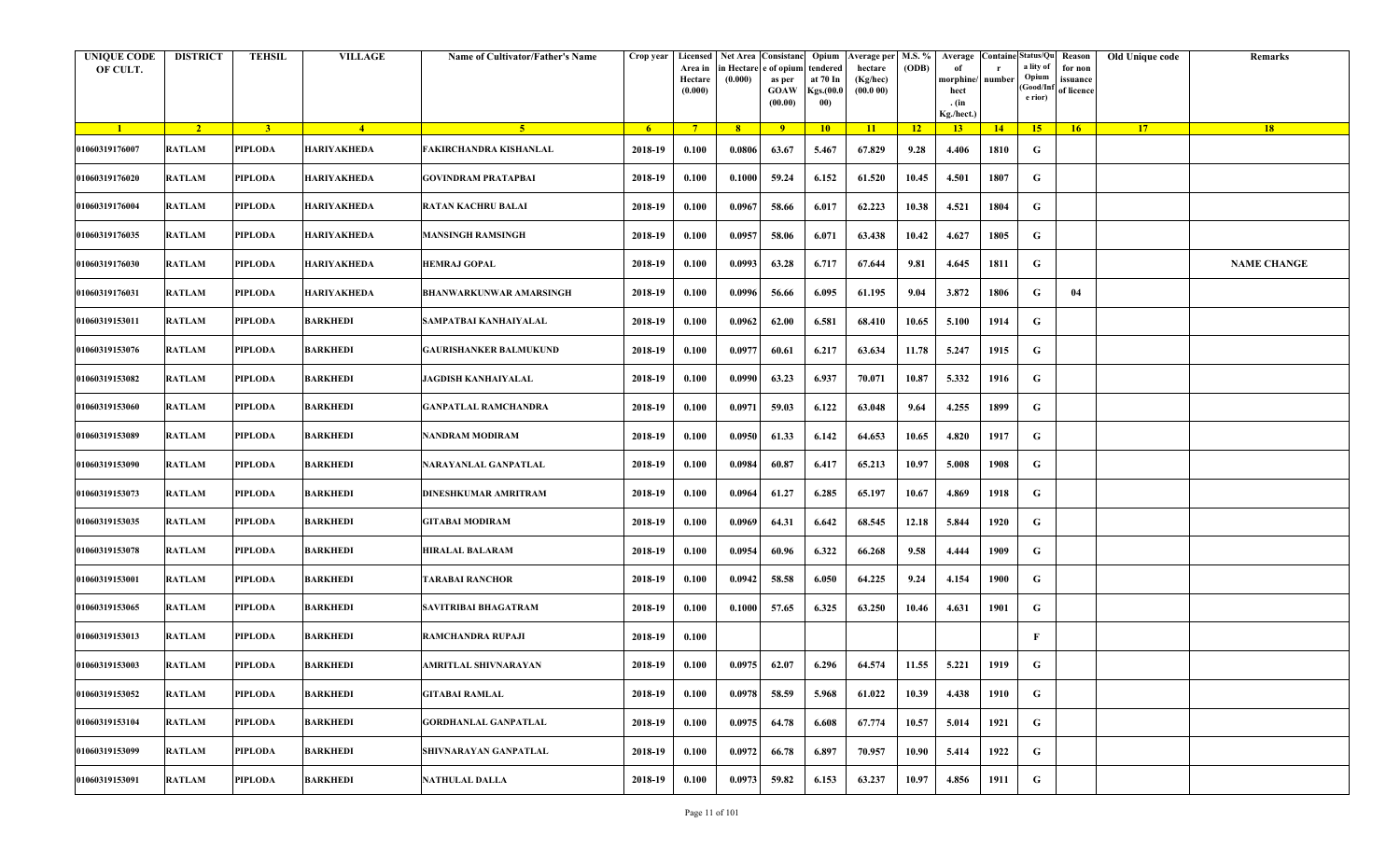| <b>UNIQUE CODE</b><br>OF CULT. | <b>DISTRICT</b> | <b>TEHSIL</b>  | <b>VILLAGE</b>  | <b>Name of Cultivator/Father's Name</b> | Crop year   | Area in<br>Hectare<br>(0.000) | in Hectare<br>(0.000) | Licensed   Net Area   Consistanc   Opium<br>e of opium<br>as per<br><b>GOAW</b><br>(00.00) | tendered<br>at 70 In<br>Kgs.(00.0<br>00) | Verage per   M.S. %<br>hectare<br>(Kg/hec)<br>(00.000) | (ODB)           | Average<br>morphine/<br>hect<br>. $(in$<br>Kg./hect.) | number | <b>Containe Status/Qu</b><br>a lity of<br>Opium<br>Good/Inf<br>e rior) | Reason<br>for non<br>issuance<br>of licence | Old Unique code | Remarks            |
|--------------------------------|-----------------|----------------|-----------------|-----------------------------------------|-------------|-------------------------------|-----------------------|--------------------------------------------------------------------------------------------|------------------------------------------|--------------------------------------------------------|-----------------|-------------------------------------------------------|--------|------------------------------------------------------------------------|---------------------------------------------|-----------------|--------------------|
| $\blacksquare$                 | $\sqrt{2}$      | 3 <sup>l</sup> | $\sqrt{4}$      | $-5$                                    | $6^{\circ}$ | $-7$                          | 8 <sup>1</sup>        | $-9$                                                                                       | 10                                       | $\vert$ 11                                             | $\overline{12}$ | 13                                                    | 14     | $-15$                                                                  | 16                                          | 17              | 18                 |
| 01060319176007                 | <b>RATLAM</b>   | <b>PIPLODA</b> | HARIYAKHEDA     | FAKIRCHANDRA KISHANLAL                  | 2018-19     | 0.100                         | 0.0806                | 63.67                                                                                      | 5.467                                    | 67.829                                                 | 9.28            | 4.406                                                 | 1810   | G                                                                      |                                             |                 |                    |
| 01060319176020                 | <b>RATLAM</b>   | PIPLODA        | HARIYAKHEDA     | GOVINDRAM PRATAPBAI                     | 2018-19     | 0.100                         | 0.1000                | 59.24                                                                                      | 6.152                                    | 61.520                                                 | 10.45           | 4.501                                                 | 1807   | G                                                                      |                                             |                 |                    |
| 01060319176004                 | <b>RATLAM</b>   | <b>PIPLODA</b> | HARIYAKHEDA     | RATAN KACHRU BALAI                      | 2018-19     | 0.100                         | 0.0967                | 58.66                                                                                      | 6.017                                    | 62.223                                                 | 10.38           | 4.521                                                 | 1804   | G                                                                      |                                             |                 |                    |
| 01060319176035                 | <b>RATLAM</b>   | <b>PIPLODA</b> | HARIYAKHEDA     | <b>MANSINGH RAMSINGH</b>                | 2018-19     | 0.100                         | 0.0957                | 58.06                                                                                      | 6.071                                    | 63.438                                                 | 10.42           | 4.627                                                 | 1805   | G                                                                      |                                             |                 |                    |
| 01060319176030                 | <b>RATLAM</b>   | <b>PIPLODA</b> | HARIYAKHEDA     | <b>HEMRAJ GOPAL</b>                     | 2018-19     | 0.100                         | 0.0993                | 63.28                                                                                      | 6.717                                    | 67.644                                                 | 9.81            | 4.645                                                 | 1811   | G                                                                      |                                             |                 | <b>NAME CHANGE</b> |
| 01060319176031                 | <b>RATLAM</b>   | <b>PIPLODA</b> | HARIYAKHEDA     | <b>BHANWARKUNWAR AMARSINGH</b>          | 2018-19     | 0.100                         | 0.0996                | 56.66                                                                                      | 6.095                                    | 61.195                                                 | 9.04            | 3.872                                                 | 1806   | G                                                                      | 04                                          |                 |                    |
| 01060319153011                 | <b>RATLAM</b>   | <b>PIPLODA</b> | <b>BARKHEDI</b> | SAMPATBAI KANHAIYALAL                   | 2018-19     | 0.100                         | 0.0962                | 62.00                                                                                      | 6.581                                    | 68.410                                                 | 10.65           | 5.100                                                 | 1914   | G                                                                      |                                             |                 |                    |
| 01060319153076                 | <b>RATLAM</b>   | <b>PIPLODA</b> | BARKHEDI        | <b>GAURISHANKER BALMUKUND</b>           | 2018-19     | 0.100                         | 0.0977                | 60.61                                                                                      | 6.217                                    | 63.634                                                 | 11.78           | 5.247                                                 | 1915   | G                                                                      |                                             |                 |                    |
| 01060319153082                 | <b>RATLAM</b>   | <b>PIPLODA</b> | <b>BARKHEDI</b> | <b>JAGDISH KANHAIYALAL</b>              | 2018-19     | 0.100                         | 0.0990                | 63.23                                                                                      | 6.937                                    | 70.071                                                 | 10.87           | 5.332                                                 | 1916   | G                                                                      |                                             |                 |                    |
| 01060319153060                 | <b>RATLAM</b>   | PIPLODA        | BARKHEDI        | <b>GANPATLAL RAMCHANDRA</b>             | 2018-19     | 0.100                         | 0.0971                | 59.03                                                                                      | 6.122                                    | 63.048                                                 | 9.64            | 4.255                                                 | 1899   | G                                                                      |                                             |                 |                    |
| 01060319153089                 | <b>RATLAM</b>   | <b>PIPLODA</b> | <b>BARKHEDI</b> | <b>NANDRAM MODIRAM</b>                  | 2018-19     | 0.100                         | 0.0950                | 61.33                                                                                      | 6.142                                    | 64.653                                                 | 10.65           | 4.820                                                 | 1917   | G                                                                      |                                             |                 |                    |
| 01060319153090                 | <b>RATLAM</b>   | <b>PIPLODA</b> | BARKHEDI        | NARAYANLAL GANPATLAL                    | 2018-19     | 0.100                         | 0.0984                | 60.87                                                                                      | 6.417                                    | 65.213                                                 | 10.97           | 5.008                                                 | 1908   | G                                                                      |                                             |                 |                    |
| 01060319153073                 | <b>RATLAM</b>   | <b>PIPLODA</b> | <b>BARKHEDI</b> | DINESHKUMAR AMRITRAM                    | 2018-19     | 0.100                         | 0.0964                | 61.27                                                                                      | 6.285                                    | 65.197                                                 | 10.67           | 4.869                                                 | 1918   | G                                                                      |                                             |                 |                    |
| 01060319153035                 | <b>RATLAM</b>   | <b>PIPLODA</b> | <b>BARKHEDI</b> | <b>GITABAI MODIRAM</b>                  | 2018-19     | 0.100                         | 0.0969                | 64.31                                                                                      | 6.642                                    | 68.545                                                 | 12.18           | 5.844                                                 | 1920   | G                                                                      |                                             |                 |                    |
| 01060319153078                 | <b>RATLAM</b>   | <b>PIPLODA</b> | <b>BARKHEDI</b> | <b>HIRALAL BALARAM</b>                  | 2018-19     | 0.100                         | 0.0954                | 60.96                                                                                      | 6.322                                    | 66.268                                                 | 9.58            | 4.444                                                 | 1909   | G                                                                      |                                             |                 |                    |
| 01060319153001                 | <b>RATLAM</b>   | <b>PIPLODA</b> | <b>BARKHEDI</b> | <b>TARABAI RANCHOR</b>                  | 2018-19     | 0.100                         | 0.0942                | 58.58                                                                                      | 6.050                                    | 64.225                                                 | 9.24            | 4.154                                                 | 1900   | G                                                                      |                                             |                 |                    |
| 01060319153065                 | <b>RATLAM</b>   | <b>PIPLODA</b> | <b>BARKHEDI</b> | SAVITRIBAI BHAGATRAM                    | 2018-19     | 0.100                         | 0.1000                | 57.65                                                                                      | 6.325                                    | 63.250                                                 | 10.46           | 4.631                                                 | 1901   | G                                                                      |                                             |                 |                    |
| 01060319153013                 | <b>RATLAM</b>   | <b>PIPLODA</b> | <b>BARKHEDI</b> | RAMCHANDRA RUPAJI                       | 2018-19     | 0.100                         |                       |                                                                                            |                                          |                                                        |                 |                                                       |        | F                                                                      |                                             |                 |                    |
| 01060319153003                 | <b>RATLAM</b>   | PIPLODA        | <b>BARKHEDI</b> | <b>AMRITLAL SHIVNARAYAN</b>             | 2018-19     | 0.100                         | 0.0975                | 62.07                                                                                      | 6.296                                    | 64.574                                                 | 11.55           | 5.221                                                 | 1919   | G                                                                      |                                             |                 |                    |
| 01060319153052                 | <b>RATLAM</b>   | PIPLODA        | <b>BARKHEDI</b> | <b>GITABAI RAMLAL</b>                   | 2018-19     | 0.100                         | 0.0978                | 58.59                                                                                      | 5.968                                    | 61.022                                                 | 10.39           | 4.438                                                 | 1910   | G                                                                      |                                             |                 |                    |
| 01060319153104                 | <b>RATLAM</b>   | PIPLODA        | <b>BARKHEDI</b> | <b>GORDHANLAL GANPATLAL</b>             | 2018-19     | 0.100                         | 0.0975                | 64.78                                                                                      | 6.608                                    | 67.774                                                 | 10.57           | 5.014                                                 | 1921   | G                                                                      |                                             |                 |                    |
| 01060319153099                 | <b>RATLAM</b>   | PIPLODA        | <b>BARKHEDI</b> | SHIVNARAYAN GANPATLAL                   | 2018-19     | 0.100                         | 0.0972                | 66.78                                                                                      | 6.897                                    | 70.957                                                 | 10.90           | 5.414                                                 | 1922   | G                                                                      |                                             |                 |                    |
| 01060319153091                 | <b>RATLAM</b>   | <b>PIPLODA</b> | <b>BARKHEDI</b> | <b>NATHULAL DALLA</b>                   | 2018-19     | 0.100                         | 0.0973                | 59.82                                                                                      | 6.153                                    | 63.237                                                 | 10.97           | 4.856                                                 | 1911   | $\mathbf G$                                                            |                                             |                 |                    |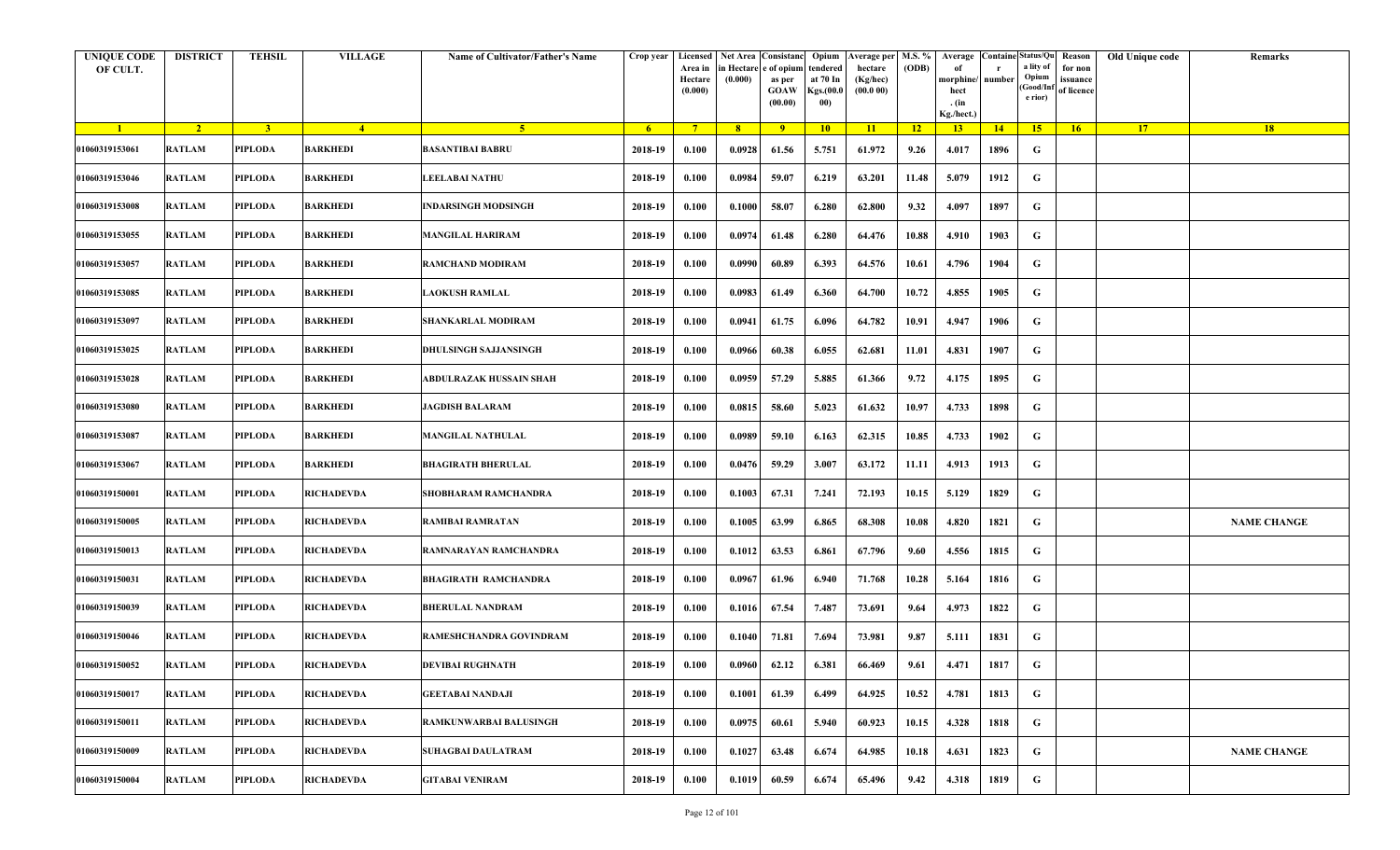| <b>UNIQUE CODE</b><br>OF CULT. | <b>DISTRICT</b> | <b>TEHSIL</b>  | <b>VILLAGE</b>    | Name of Cultivator/Father's Name | Crop year      | Area in<br>Hectare<br>(0.000) | Licensed Net Area Consistanc<br>ı Hectar<br>(0.000) | e of opium<br>as per<br><b>GOAW</b><br>(00.00) | Opium<br>tendered<br>at 70 In<br>Kgs.(00.0<br>00) | <b>Average per</b><br>hectare<br>(Kg/hec)<br>(00.000) | M.S. %<br>(ODB) | Average<br>morphine/<br>hect<br>. (in | <b>Containe Status/Qu</b><br>number | a lity of<br>Opium<br>(Good/In:<br>e rior) | Reason<br>for non<br>issuance<br>of licence | Old Unique code | Remarks            |
|--------------------------------|-----------------|----------------|-------------------|----------------------------------|----------------|-------------------------------|-----------------------------------------------------|------------------------------------------------|---------------------------------------------------|-------------------------------------------------------|-----------------|---------------------------------------|-------------------------------------|--------------------------------------------|---------------------------------------------|-----------------|--------------------|
|                                |                 |                |                   |                                  |                |                               |                                                     |                                                |                                                   |                                                       |                 | Kg./hect.)                            |                                     |                                            |                                             |                 |                    |
| $\blacksquare$ 1               | $\overline{2}$  | 3 <sup>2</sup> | $\overline{4}$    | -5.<br><b>BASANTIBAI BABRU</b>   | 6 <sup>6</sup> | $-7$                          | 8 <sup>1</sup>                                      | $-9$                                           | 10                                                | $\vert$ 11                                            | $-12$           | 13                                    | 14                                  | 15                                         | 16                                          | 17              | 18                 |
| 01060319153061                 | <b>RATLAM</b>   | PIPLODA        | BARKHEDI          |                                  | 2018-19        | 0.100                         | 0.0928                                              | 61.56                                          | 5.751                                             | 61.972                                                | 9.26            | 4.017                                 | 1896                                | G                                          |                                             |                 |                    |
| 01060319153046                 | <b>RATLAM</b>   | PIPLODA        | BARKHEDI          | <b>LEELABAI NATHU</b>            | 2018-19        | 0.100                         | 0.0984                                              | 59.07                                          | 6.219                                             | 63.201                                                | 11.48           | 5.079                                 | 1912                                | G                                          |                                             |                 |                    |
| 01060319153008                 | <b>RATLAM</b>   | PIPLODA        | BARKHEDI          | INDARSINGH MODSINGH              | 2018-19        | 0.100                         | 0.1000                                              | 58.07                                          | 6.280                                             | 62.800                                                | 9.32            | 4.097                                 | 1897                                | G                                          |                                             |                 |                    |
| 01060319153055                 | <b>RATLAM</b>   | PIPLODA        | BARKHEDI          | <b>MANGILAL HARIRAM</b>          | 2018-19        | 0.100                         | 0.0974                                              | 61.48                                          | 6.280                                             | 64.476                                                | 10.88           | 4.910                                 | 1903                                | G                                          |                                             |                 |                    |
| 01060319153057                 | <b>RATLAM</b>   | PIPLODA        | BARKHEDI          | <b>RAMCHAND MODIRAM</b>          | 2018-19        | 0.100                         | 0.0990                                              | 60.89                                          | 6.393                                             | 64.576                                                | 10.61           | 4.796                                 | 1904                                | G                                          |                                             |                 |                    |
| 01060319153085                 | <b>RATLAM</b>   | PIPLODA        | BARKHEDI          | <b>LAOKUSH RAMLAL</b>            | 2018-19        | 0.100                         | 0.0983                                              | 61.49                                          | 6.360                                             | 64.700                                                | 10.72           | 4.855                                 | 1905                                | G                                          |                                             |                 |                    |
| 01060319153097                 | <b>RATLAM</b>   | <b>PIPLODA</b> | BARKHEDI          | SHANKARLAL MODIRAM               | 2018-19        | 0.100                         | 0.0941                                              | 61.75                                          | 6.096                                             | 64.782                                                | 10.91           | 4.947                                 | 1906                                | G                                          |                                             |                 |                    |
| 01060319153025                 | <b>RATLAM</b>   | PIPLODA        | BARKHEDI          | DHULSINGH SAJJANSINGH            | 2018-19        | 0.100                         | 0.0966                                              | 60.38                                          | 6.055                                             | 62.681                                                | 11.01           | 4.831                                 | 1907                                | G                                          |                                             |                 |                    |
| 01060319153028                 | <b>RATLAM</b>   | <b>PIPLODA</b> | BARKHEDI          | ABDULRAZAK HUSSAIN SHAH          | 2018-19        | 0.100                         | 0.0959                                              | 57.29                                          | 5.885                                             | 61.366                                                | 9.72            | 4.175                                 | 1895                                | G                                          |                                             |                 |                    |
| 01060319153080                 | <b>RATLAM</b>   | PIPLODA        | BARKHEDI          | JAGDISH BALARAM                  | 2018-19        | 0.100                         | 0.0815                                              | 58.60                                          | 5.023                                             | 61.632                                                | 10.97           | 4.733                                 | 1898                                | G                                          |                                             |                 |                    |
| 01060319153087                 | <b>RATLAM</b>   | PIPLODA        | BARKHEDI          | <b>MANGILAL NATHULAL</b>         | 2018-19        | 0.100                         | 0.0989                                              | 59.10                                          | 6.163                                             | 62.315                                                | 10.85           | 4.733                                 | 1902                                | G                                          |                                             |                 |                    |
| 01060319153067                 | <b>RATLAM</b>   | <b>PIPLODA</b> | BARKHEDI          | <b>BHAGIRATH BHERULAL</b>        | 2018-19        | 0.100                         | 0.0476                                              | 59.29                                          | 3.007                                             | 63.172                                                | 11.11           | 4.913                                 | 1913                                | G                                          |                                             |                 |                    |
| 01060319150001                 | <b>RATLAM</b>   | PIPLODA        | <b>RICHADEVDA</b> | SHOBHARAM RAMCHANDRA             | 2018-19        | 0.100                         | 0.1003                                              | 67.31                                          | 7.241                                             | 72.193                                                | 10.15           | 5.129                                 | 1829                                | G                                          |                                             |                 |                    |
| 01060319150005                 | <b>RATLAM</b>   | PIPLODA        | RICHADEVDA        | RAMIBAI RAMRATAN                 | 2018-19        | 0.100                         | 0.1005                                              | 63.99                                          | 6.865                                             | 68.308                                                | 10.08           | 4.820                                 | 1821                                | G                                          |                                             |                 | <b>NAME CHANGE</b> |
| 01060319150013                 | <b>RATLAM</b>   | PIPLODA        | RICHADEVDA        | RAMNARAYAN RAMCHANDRA            | 2018-19        | 0.100                         | 0.1012                                              | 63.53                                          | 6.861                                             | 67.796                                                | 9.60            | 4.556                                 | 1815                                | G                                          |                                             |                 |                    |
| 01060319150031                 | <b>RATLAM</b>   | <b>PIPLODA</b> | RICHADEVDA        | <b>BHAGIRATH RAMCHANDRA</b>      | 2018-19        | 0.100                         | 0.0967                                              | 61.96                                          | 6.940                                             | 71.768                                                | 10.28           | 5.164                                 | 1816                                | G                                          |                                             |                 |                    |
| 01060319150039                 | <b>RATLAM</b>   | PIPLODA        | RICHADEVDA        | <b>BHERULAL NANDRAM</b>          | 2018-19        | 0.100                         | 0.1016                                              | 67.54                                          | 7.487                                             | 73.691                                                | 9.64            | 4.973                                 | 1822                                | G                                          |                                             |                 |                    |
| 01060319150046                 | <b>RATLAM</b>   | <b>PIPLODA</b> | RICHADEVDA        | RAMESHCHANDRA GOVINDRAM          | 2018-19        | 0.100                         | 0.1040                                              | 71.81                                          | 7.694                                             | 73.981                                                | 9.87            | 5.111                                 | 1831                                | G                                          |                                             |                 |                    |
| 01060319150052                 | <b>RATLAM</b>   | PIPLODA        | <b>RICHADEVDA</b> | <b>DEVIBAI RUGHNATH</b>          | 2018-19        | 0.100                         | 0.0960                                              | 62.12                                          | 6.381                                             | 66.469                                                | 9.61            | 4.471                                 | 1817                                | G                                          |                                             |                 |                    |
| 01060319150017                 | <b>RATLAM</b>   | <b>PIPLODA</b> | RICHADEVDA        | <b>GEETABAI NANDAJI</b>          | 2018-19        | 0.100                         | 0.1001                                              | 61.39                                          | 6.499                                             | 64.925                                                | 10.52           | 4.781                                 | 1813                                | G                                          |                                             |                 |                    |
| 01060319150011                 | <b>RATLAM</b>   | PIPLODA        | RICHADEVDA        | RAMKUNWARBAI BALUSINGH           | 2018-19        | 0.100                         | 0.0975                                              | 60.61                                          | 5.940                                             | 60.923                                                | 10.15           | 4.328                                 | 1818                                | G                                          |                                             |                 |                    |
| 01060319150009                 | <b>RATLAM</b>   | PIPLODA        | RICHADEVDA        | SUHAGBAI DAULATRAM               | 2018-19        | 0.100                         | 0.1027                                              | 63.48                                          | 6.674                                             | 64.985                                                | 10.18           | 4.631                                 | 1823                                | G                                          |                                             |                 | <b>NAME CHANGE</b> |
| 01060319150004                 | <b>RATLAM</b>   | <b>PIPLODA</b> | RICHADEVDA        | <b>GITABAI VENIRAM</b>           | 2018-19        | 0.100                         | 0.1019                                              | 60.59                                          | 6.674                                             | 65.496                                                | 9.42            | 4.318                                 | 1819                                | G                                          |                                             |                 |                    |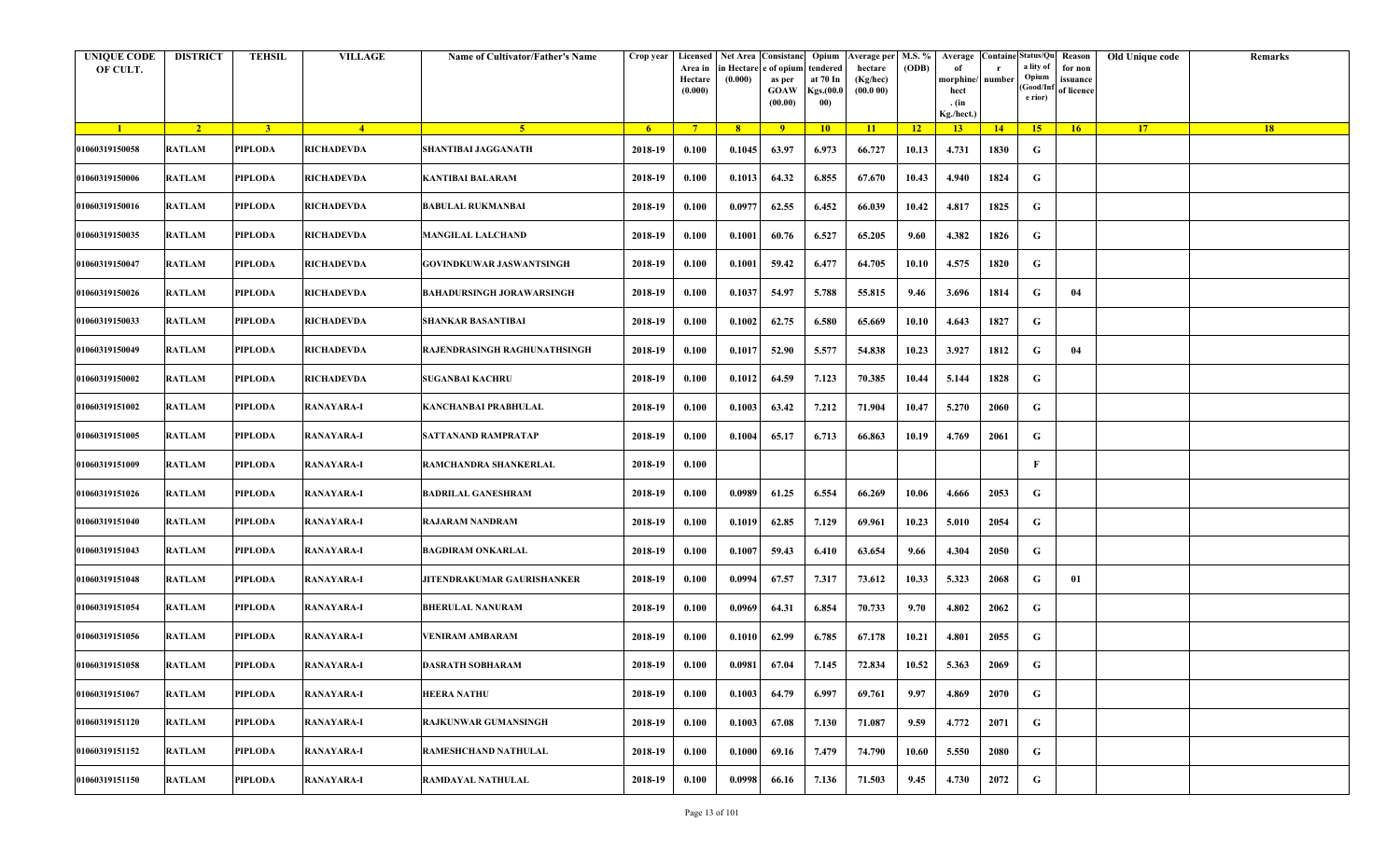| <b>UNIQUE CODE</b><br>OF CULT. | <b>DISTRICT</b> | <b>TEHSIL</b>           | <b>VILLAGE</b>    | Name of Cultivator/Father's Name  | Crop year      | Area in<br>Hectare<br>(0.000) | Licensed Net Area Consistanc<br>ı Hectar<br>(0.000) | e of opium<br>as per<br><b>GOAW</b><br>(00.00) | Opium<br>tendered<br>at 70 In<br>Kgs.(00.0<br>00) | Average per   M.S. %<br>hectare<br>(Kg/hec)<br>(00.000) | (ODB) | Average<br>morphine/<br>hect<br>. (in | <b>Containe Status/Qu</b><br>number | a lity of<br>Opium<br>(Good/In:<br>e rior) | Reason<br>for non<br>issuance<br>of licence | Old Unique code | Remarks |
|--------------------------------|-----------------|-------------------------|-------------------|-----------------------------------|----------------|-------------------------------|-----------------------------------------------------|------------------------------------------------|---------------------------------------------------|---------------------------------------------------------|-------|---------------------------------------|-------------------------------------|--------------------------------------------|---------------------------------------------|-----------------|---------|
| $\blacksquare$ 1               | $\overline{2}$  | $\overline{\mathbf{3}}$ | $\sqrt{4}$        | 5 <sup>5</sup>                    | 6 <sup>6</sup> | $-7$                          | 8 <sup>1</sup>                                      | $-9$                                           | 10                                                | $\vert$ 11                                              | $-12$ | Kg./hect.)<br>13                      | 14                                  | 15                                         | 16                                          | 17              | 18      |
| 01060319150058                 | <b>RATLAM</b>   | PIPLODA                 | RICHADEVDA        | SHANTIBAI JAGGANATH               | 2018-19        | 0.100                         | 0.1045                                              | 63.97                                          | 6.973                                             | 66.727                                                  | 10.13 | 4.731                                 | 1830                                | G                                          |                                             |                 |         |
| 01060319150006                 | <b>RATLAM</b>   | PIPLODA                 | RICHADEVDA        | <b>KANTIBAI BALARAM</b>           | 2018-19        | 0.100                         | 0.1013                                              | 64.32                                          | 6.855                                             | 67.670                                                  | 10.43 | 4.940                                 | 1824                                | G                                          |                                             |                 |         |
| 01060319150016                 | <b>RATLAM</b>   | PIPLODA                 | <b>RICHADEVDA</b> | <b>BABULAL RUKMANBAI</b>          | 2018-19        | 0.100                         | 0.0977                                              | 62.55                                          | 6.452                                             | 66.039                                                  | 10.42 | 4.817                                 | 1825                                | G                                          |                                             |                 |         |
| 01060319150035                 | <b>RATLAM</b>   | PIPLODA                 | RICHADEVDA        | <b>MANGILAL LALCHAND</b>          | 2018-19        | 0.100                         | 0.1001                                              | 60.76                                          | 6.527                                             | 65.205                                                  | 9.60  | 4.382                                 | 1826                                | G                                          |                                             |                 |         |
| 01060319150047                 | <b>RATLAM</b>   | PIPLODA                 | RICHADEVDA        | GOVINDKUWAR JASWANTSINGH          | 2018-19        | 0.100                         | 0.1001                                              | 59.42                                          | 6.477                                             | 64.705                                                  | 10.10 | 4.575                                 | 1820                                | G                                          |                                             |                 |         |
| 01060319150026                 | <b>RATLAM</b>   | PIPLODA                 | RICHADEVDA        | BAHADURSINGH JORAWARSINGH         | 2018-19        | 0.100                         | 0.1037                                              | 54.97                                          | 5.788                                             | 55.815                                                  | 9.46  | 3.696                                 | 1814                                | G                                          | 04                                          |                 |         |
| 01060319150033                 | <b>RATLAM</b>   | <b>PIPLODA</b>          | <b>RICHADEVDA</b> | <b>SHANKAR BASANTIBAI</b>         | 2018-19        | 0.100                         | 0.1002                                              | 62.75                                          | 6.580                                             | 65.669                                                  | 10.10 | 4.643                                 | 1827                                | G                                          |                                             |                 |         |
| 01060319150049                 | <b>RATLAM</b>   | PIPLODA                 | RICHADEVDA        | RAJENDRASINGH RAGHUNATHSINGH      | 2018-19        | 0.100                         | 0.1017                                              | 52.90                                          | 5.577                                             | 54.838                                                  | 10.23 | 3.927                                 | 1812                                | G                                          | 04                                          |                 |         |
| 01060319150002                 | <b>RATLAM</b>   | <b>PIPLODA</b>          | RICHADEVDA        | <b>SUGANBAI KACHRU</b>            | 2018-19        | 0.100                         | 0.1012                                              | 64.59                                          | 7.123                                             | 70.385                                                  | 10.44 | 5.144                                 | 1828                                | G                                          |                                             |                 |         |
| 01060319151002                 | <b>RATLAM</b>   | PIPLODA                 | RANAYARA-I        | KANCHANBAI PRABHULAL              | 2018-19        | 0.100                         | 0.1003                                              | 63.42                                          | 7.212                                             | 71.904                                                  | 10.47 | 5.270                                 | 2060                                | G                                          |                                             |                 |         |
| 01060319151005                 | <b>RATLAM</b>   | PIPLODA                 | RANAYARA-I        | SATTANAND RAMPRATAP               | 2018-19        | 0.100                         | 0.1004                                              | 65.17                                          | 6.713                                             | 66.863                                                  | 10.19 | 4.769                                 | 2061                                | G                                          |                                             |                 |         |
| 01060319151009                 | <b>RATLAM</b>   | <b>PIPLODA</b>          | RANAYARA-I        | RAMCHANDRA SHANKERLAL             | 2018-19        | 0.100                         |                                                     |                                                |                                                   |                                                         |       |                                       |                                     | F                                          |                                             |                 |         |
| 01060319151026                 | <b>RATLAM</b>   | PIPLODA                 | <b>RANAYARA-I</b> | <b>BADRILAL GANESHRAM</b>         | 2018-19        | 0.100                         | 0.0989                                              | 61.25                                          | 6.554                                             | 66.269                                                  | 10.06 | 4.666                                 | 2053                                | G                                          |                                             |                 |         |
| 01060319151040                 | <b>RATLAM</b>   | PIPLODA                 | <b>RANAYARA-I</b> | <b>RAJARAM NANDRAM</b>            | 2018-19        | 0.100                         | 0.1019                                              | 62.85                                          | 7.129                                             | 69.961                                                  | 10.23 | 5.010                                 | 2054                                | G                                          |                                             |                 |         |
| 01060319151043                 | <b>RATLAM</b>   | PIPLODA                 | RANAYARA-I        | <b>BAGDIRAM ONKARLAL</b>          | 2018-19        | 0.100                         | 0.1007                                              | 59.43                                          | 6.410                                             | 63.654                                                  | 9.66  | 4.304                                 | 2050                                | G                                          |                                             |                 |         |
| 01060319151048                 | <b>RATLAM</b>   | <b>PIPLODA</b>          | <b>RANAYARA-I</b> | <b>JITENDRAKUMAR GAURISHANKER</b> | 2018-19        | 0.100                         | 0.0994                                              | 67.57                                          | 7.317                                             | 73.612                                                  | 10.33 | 5.323                                 | 2068                                | G                                          | 01                                          |                 |         |
| 01060319151054                 | <b>RATLAM</b>   | PIPLODA                 | RANAYARA-I        | <b>BHERULAL NANURAM</b>           | 2018-19        | 0.100                         | 0.0969                                              | 64.31                                          | 6.854                                             | 70.733                                                  | 9.70  | 4.802                                 | 2062                                | G                                          |                                             |                 |         |
| 01060319151056                 | <b>RATLAM</b>   | <b>PIPLODA</b>          | <b>RANAYARA-I</b> | <b>VENIRAM AMBARAM</b>            | 2018-19        | 0.100                         | 0.1010                                              | 62.99                                          | 6.785                                             | 67.178                                                  | 10.21 | 4.801                                 | 2055                                | G                                          |                                             |                 |         |
| 01060319151058                 | <b>RATLAM</b>   | PIPLODA                 | <b>RANAYARA-I</b> | <b>DASRATH SOBHARAM</b>           | 2018-19        | 0.100                         | 0.0981                                              | 67.04                                          | 7.145                                             | 72.834                                                  | 10.52 | 5.363                                 | 2069                                | G                                          |                                             |                 |         |
| 01060319151067                 | <b>RATLAM</b>   | <b>PIPLODA</b>          | <b>RANAYARA-I</b> | <b>HEERA NATHU</b>                | 2018-19        | 0.100                         | 0.1003                                              | 64.79                                          | 6.997                                             | 69.761                                                  | 9.97  | 4.869                                 | 2070                                | G                                          |                                             |                 |         |
| 01060319151120                 | <b>RATLAM</b>   | <b>PIPLODA</b>          | <b>RANAYARA-I</b> | RAJKUNWAR GUMANSINGH              | 2018-19        | 0.100                         | 0.1003                                              | 67.08                                          | 7.130                                             | 71.087                                                  | 9.59  | 4.772                                 | 2071                                | G                                          |                                             |                 |         |
| 01060319151152                 | <b>RATLAM</b>   | PIPLODA                 | <b>RANAYARA-I</b> | RAMESHCHAND NATHULAL              | 2018-19        | 0.100                         | 0.1000                                              | 69.16                                          | 7.479                                             | 74.790                                                  | 10.60 | 5.550                                 | 2080                                | G                                          |                                             |                 |         |
| 01060319151150                 | <b>RATLAM</b>   | <b>PIPLODA</b>          | <b>RANAYARA-I</b> | <b>RAMDAYAL NATHULAL</b>          | 2018-19        | 0.100                         | 0.0998                                              | 66.16                                          | 7.136                                             | 71.503                                                  | 9.45  | 4.730                                 | 2072                                | G                                          |                                             |                 |         |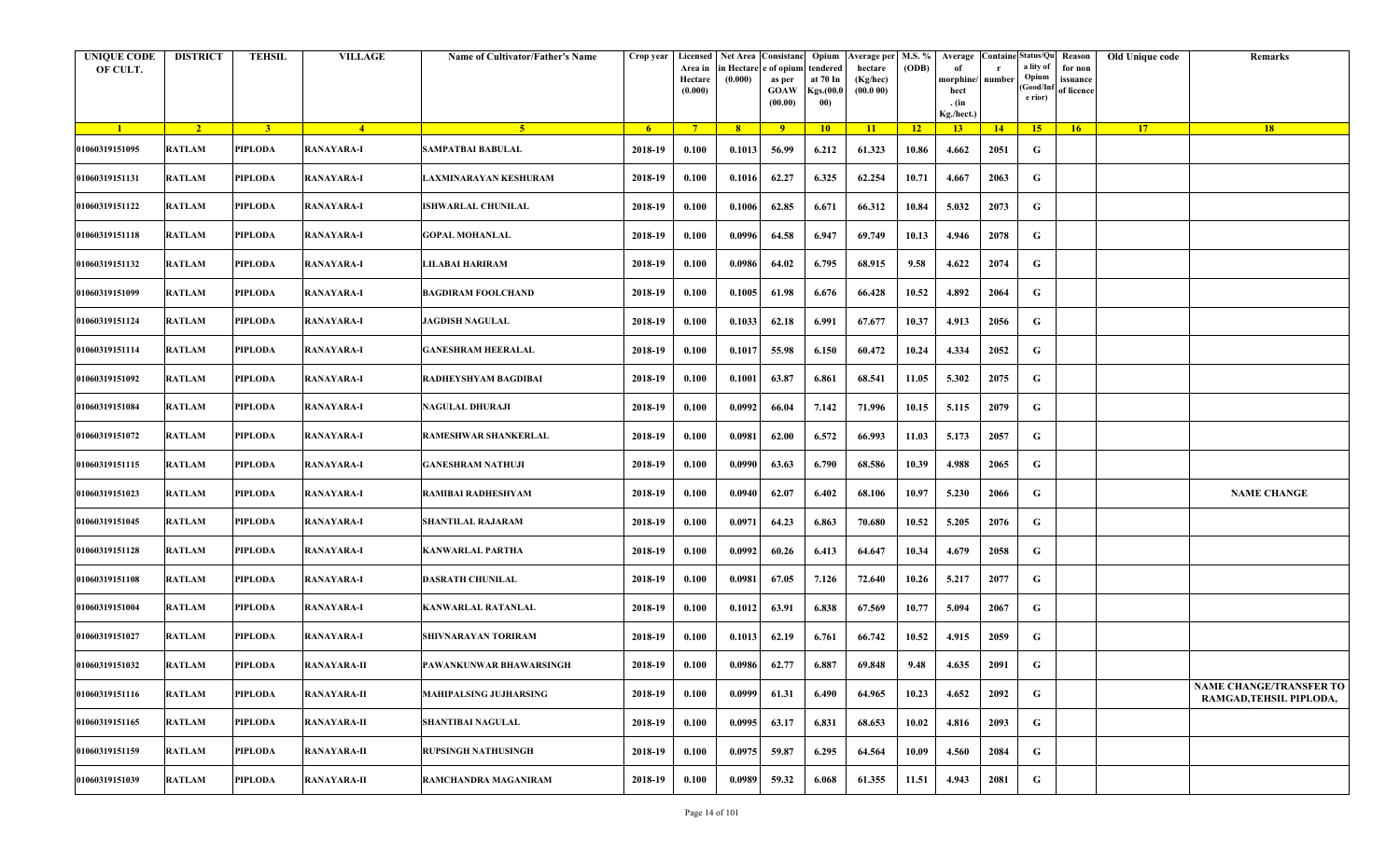| <b>UNIQUE CODE</b><br>OF CULT. | <b>DISTRICT</b> | <b>TEHSIL</b>  | <b>VILLAGE</b>     | <b>Name of Cultivator/Father's Name</b> | Crop year   | Area in<br>Hectare<br>(0.000) | in Hectare<br>(0.000) | Licensed   Net Area   Consistanc   Opium<br>e of opium<br>as per<br><b>GOAW</b><br>(00.00) | :endered<br>at 70 In<br>Kgs.(00.0<br>00) | Verage per   M.S. %<br>hectare<br>(Kg/hec)<br>(00.000) | (ODB)           | Average<br>morphine/<br>hect<br>. $(in$<br>Kg./hect.) | number | <b>Containe Status/Qu</b><br>a lity of<br>Opium<br>Good/Inf<br>e rior) | Reason<br>for non<br>issuance<br>of licence | Old Unique code | Remarks                                                   |
|--------------------------------|-----------------|----------------|--------------------|-----------------------------------------|-------------|-------------------------------|-----------------------|--------------------------------------------------------------------------------------------|------------------------------------------|--------------------------------------------------------|-----------------|-------------------------------------------------------|--------|------------------------------------------------------------------------|---------------------------------------------|-----------------|-----------------------------------------------------------|
| $\blacksquare$                 | $\sqrt{2}$      | 3 <sup>l</sup> | $-4$               | -5.                                     | $6^{\circ}$ | $-7$                          | 8 <sup>1</sup>        | 9                                                                                          | 10 <sub>1</sub>                          | $\vert$ 11                                             | $\overline{12}$ | 13                                                    | 14     | $-15$                                                                  | 16                                          | 17              | 18                                                        |
| 01060319151095                 | <b>RATLAM</b>   | <b>PIPLODA</b> | <b>RANAYARA-I</b>  | <b>SAMPATBAI BABULAL</b>                | 2018-19     | 0.100                         | 0.1013                | 56.99                                                                                      | 6.212                                    | 61.323                                                 | 10.86           | 4.662                                                 | 2051   | G                                                                      |                                             |                 |                                                           |
| 01060319151131                 | <b>RATLAM</b>   | PIPLODA        | <b>RANAYARA-I</b>  | LAXMINARAYAN KESHURAM                   | 2018-19     | 0.100                         | 0.1016                | 62.27                                                                                      | 6.325                                    | 62.254                                                 | 10.71           | 4.667                                                 | 2063   | G                                                                      |                                             |                 |                                                           |
| 01060319151122                 | <b>RATLAM</b>   | <b>PIPLODA</b> | <b>RANAYARA-I</b>  | <b>ISHWARLAL CHUNILAL</b>               | 2018-19     | 0.100                         | 0.1006                | 62.85                                                                                      | 6.671                                    | 66.312                                                 | 10.84           | 5.032                                                 | 2073   | G                                                                      |                                             |                 |                                                           |
| 01060319151118                 | <b>RATLAM</b>   | <b>PIPLODA</b> | <b>RANAYARA-I</b>  | <b>GOPAL MOHANLAL</b>                   | 2018-19     | 0.100                         | 0.0996                | 64.58                                                                                      | 6.947                                    | 69.749                                                 | 10.13           | 4.946                                                 | 2078   | G                                                                      |                                             |                 |                                                           |
| 01060319151132                 | <b>RATLAM</b>   | <b>PIPLODA</b> | <b>RANAYARA-I</b>  | LILABAI HARIRAM                         | 2018-19     | 0.100                         | 0.0986                | 64.02                                                                                      | 6.795                                    | 68.915                                                 | 9.58            | 4.622                                                 | 2074   | G                                                                      |                                             |                 |                                                           |
| 01060319151099                 | <b>RATLAM</b>   | <b>PIPLODA</b> | <b>RANAYARA-I</b>  | <b>BAGDIRAM FOOLCHAND</b>               | 2018-19     | 0.100                         | 0.1005                | 61.98                                                                                      | 6.676                                    | 66.428                                                 | 10.52           | 4.892                                                 | 2064   | G                                                                      |                                             |                 |                                                           |
| 01060319151124                 | <b>RATLAM</b>   | <b>PIPLODA</b> | <b>RANAYARA-I</b>  | <b>JAGDISH NAGULAL</b>                  | 2018-19     | 0.100                         | 0.1033                | 62.18                                                                                      | 6.991                                    | 67.677                                                 | 10.37           | 4.913                                                 | 2056   | G                                                                      |                                             |                 |                                                           |
| 01060319151114                 | <b>RATLAM</b>   | <b>PIPLODA</b> | <b>RANAYARA-I</b>  | <b>GANESHRAM HEERALAL</b>               | 2018-19     | 0.100                         | 0.1017                | 55.98                                                                                      | 6.150                                    | 60.472                                                 | 10.24           | 4.334                                                 | 2052   | G                                                                      |                                             |                 |                                                           |
| 01060319151092                 | <b>RATLAM</b>   | <b>PIPLODA</b> | <b>RANAYARA-I</b>  | RADHEYSHYAM BAGDIBAI                    | 2018-19     | 0.100                         | 0.1001                | 63.87                                                                                      | 6.861                                    | 68.541                                                 | 11.05           | 5.302                                                 | 2075   | G                                                                      |                                             |                 |                                                           |
| 01060319151084                 | <b>RATLAM</b>   | PIPLODA        | <b>RANAYARA-I</b>  | NAGULAL DHURAJI                         | 2018-19     | 0.100                         | 0.0992                | 66.04                                                                                      | 7.142                                    | 71.996                                                 | 10.15           | 5.115                                                 | 2079   | G                                                                      |                                             |                 |                                                           |
| 01060319151072                 | <b>RATLAM</b>   | <b>PIPLODA</b> | <b>RANAYARA-I</b>  | <b>RAMESHWAR SHANKERLAL</b>             | 2018-19     | 0.100                         | 0.0981                | 62.00                                                                                      | 6.572                                    | 66.993                                                 | 11.03           | 5.173                                                 | 2057   | G                                                                      |                                             |                 |                                                           |
| 01060319151115                 | <b>RATLAM</b>   | <b>PIPLODA</b> | RANAYARA-I         | GANESHRAM NATHUJI                       | 2018-19     | 0.100                         | 0.0990                | 63.63                                                                                      | 6.790                                    | 68.586                                                 | 10.39           | 4.988                                                 | 2065   | G                                                                      |                                             |                 |                                                           |
| 01060319151023                 | <b>RATLAM</b>   | <b>PIPLODA</b> | <b>RANAYARA-I</b>  | RAMIBAI RADHESHYAM                      | 2018-19     | 0.100                         | 0.0940                | 62.07                                                                                      | 6.402                                    | 68.106                                                 | 10.97           | 5.230                                                 | 2066   | G                                                                      |                                             |                 | <b>NAME CHANGE</b>                                        |
| 01060319151045                 | <b>RATLAM</b>   | <b>PIPLODA</b> | <b>RANAYARA-I</b>  | <b>SHANTILAL RAJARAM</b>                | 2018-19     | 0.100                         | 0.0971                | 64.23                                                                                      | 6.863                                    | 70.680                                                 | 10.52           | 5.205                                                 | 2076   | G                                                                      |                                             |                 |                                                           |
| 01060319151128                 | <b>RATLAM</b>   | <b>PIPLODA</b> | <b>RANAYARA-I</b>  | <b>KANWARLAL PARTHA</b>                 | 2018-19     | 0.100                         | 0.0992                | 60.26                                                                                      | 6.413                                    | 64.647                                                 | 10.34           | 4.679                                                 | 2058   | G                                                                      |                                             |                 |                                                           |
| 01060319151108                 | <b>RATLAM</b>   | <b>PIPLODA</b> | <b>RANAYARA-I</b>  | <b>DASRATH CHUNILAL</b>                 | 2018-19     | 0.100                         | 0.0981                | 67.05                                                                                      | 7.126                                    | 72.640                                                 | 10.26           | 5.217                                                 | 2077   | G                                                                      |                                             |                 |                                                           |
| 01060319151004                 | <b>RATLAM</b>   | <b>PIPLODA</b> | <b>RANAYARA-I</b>  | KANWARLAL RATANLAL                      | 2018-19     | 0.100                         | 0.1012                | 63.91                                                                                      | 6.838                                    | 67.569                                                 | 10.77           | 5.094                                                 | 2067   | G                                                                      |                                             |                 |                                                           |
| 01060319151027                 | <b>RATLAM</b>   | <b>PIPLODA</b> | <b>RANAYARA-I</b>  | <b>SHIVNARAYAN TORIRAM</b>              | 2018-19     | 0.100                         | 0.1013                | 62.19                                                                                      | 6.761                                    | 66.742                                                 | 10.52           | 4.915                                                 | 2059   | G                                                                      |                                             |                 |                                                           |
| 01060319151032                 | <b>RATLAM</b>   | PIPLODA        | <b>RANAYARA-II</b> | PAWANKUNWAR BHAWARSINGH                 | 2018-19     | 0.100                         | 0.0986                | 62.77                                                                                      | 6.887                                    | 69.848                                                 | 9.48            | 4.635                                                 | 2091   | G                                                                      |                                             |                 |                                                           |
| 01060319151116                 | <b>RATLAM</b>   | <b>PIPLODA</b> | <b>RANAYARA-II</b> | <b>MAHIPALSING JUJHARSING</b>           | 2018-19     | 0.100                         | 0.0999                | 61.31                                                                                      | 6.490                                    | 64.965                                                 | 10.23           | 4.652                                                 | 2092   | G                                                                      |                                             |                 | <b>NAME CHANGE/TRANSFER TO</b><br>RAMGAD, TEHSIL PIPLODA, |
| 01060319151165                 | <b>RATLAM</b>   | PIPLODA        | <b>RANAYARA-II</b> | <b>SHANTIBAI NAGULAL</b>                | 2018-19     | 0.100                         | 0.0995                | 63.17                                                                                      | 6.831                                    | 68.653                                                 | 10.02           | 4.816                                                 | 2093   | G                                                                      |                                             |                 |                                                           |
| 01060319151159                 | <b>RATLAM</b>   | PIPLODA        | <b>RANAYARA-II</b> | <b>RUPSINGH NATHUSINGH</b>              | 2018-19     | 0.100                         | 0.0975                | 59.87                                                                                      | 6.295                                    | 64.564                                                 | 10.09           | 4.560                                                 | 2084   | G                                                                      |                                             |                 |                                                           |
| 01060319151039                 | <b>RATLAM</b>   | <b>PIPLODA</b> | <b>RANAYARA-II</b> | RAMCHANDRA MAGANIRAM                    | 2018-19     | 0.100                         | 0.0989                | 59.32                                                                                      | 6.068                                    | 61.355                                                 | 11.51           | 4.943                                                 | 2081   | G                                                                      |                                             |                 |                                                           |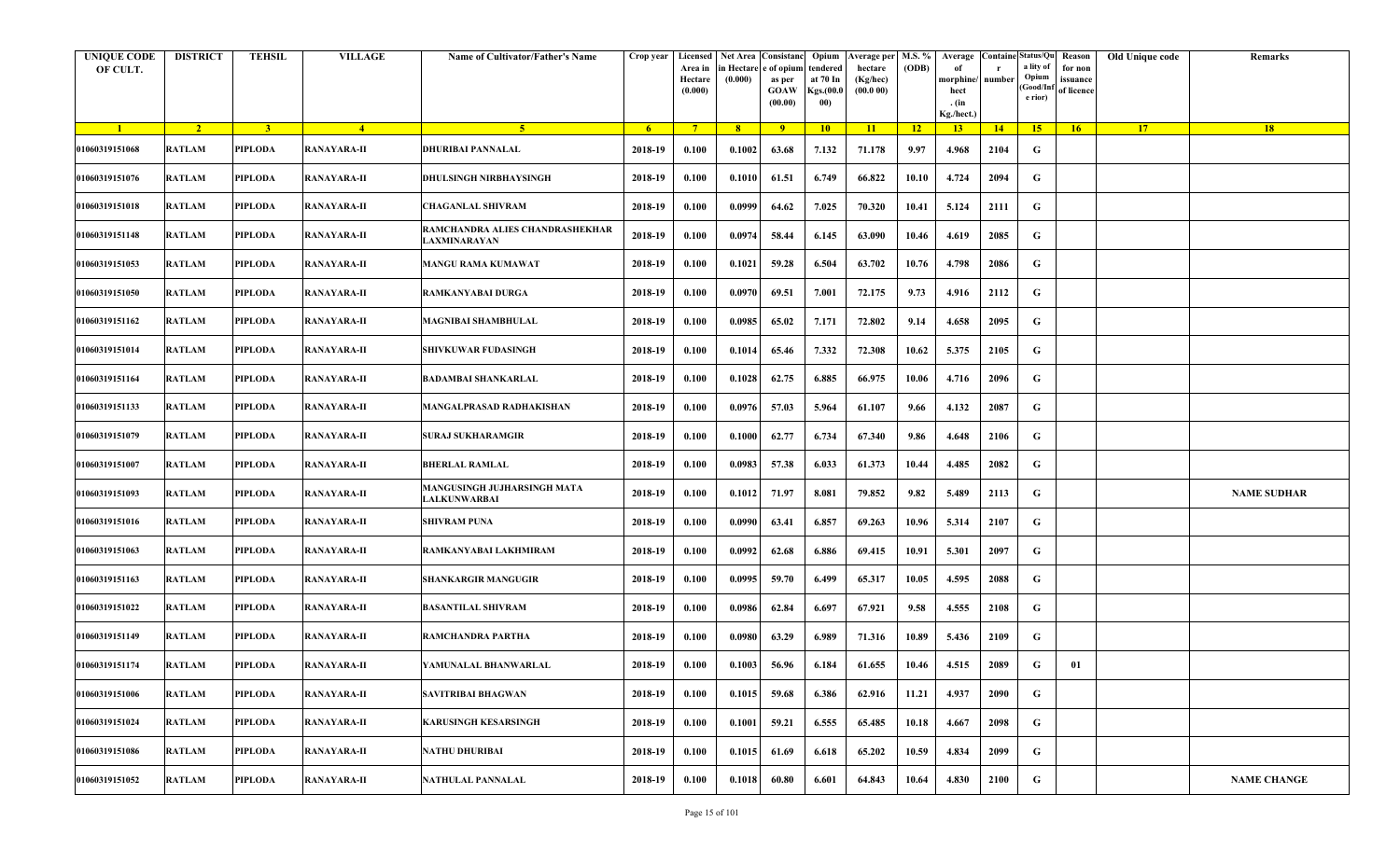| <b>UNIQUE CODE</b><br>OF CULT. | <b>DISTRICT</b> | <b>TEHSIL</b>  | <b>VILLAGE</b>     | Name of Cultivator/Father's Name                       | Crop year      | Area in<br>Hectare<br>(0.000) | Licensed Net Area Consistanc<br>ı Hectar<br>(0.000) | e of opium<br>as per<br><b>GOAW</b><br>(00.00) | Opium<br>tendered<br>at 70 In<br>Kgs.(00.0<br>00) | <b>Average per</b><br>hectare<br>(Kg/hec)<br>(00.000) | M.S. %<br>(ODB) | Average<br>morphine/<br>hect<br>. (in<br>Kg./hect.) | <b>Containe Status/Qu</b><br>number | a lity of<br>Opium<br>(Good/In:<br>e rior) | Reason<br>for non<br>issuance<br>of licence | Old Unique code | Remarks            |
|--------------------------------|-----------------|----------------|--------------------|--------------------------------------------------------|----------------|-------------------------------|-----------------------------------------------------|------------------------------------------------|---------------------------------------------------|-------------------------------------------------------|-----------------|-----------------------------------------------------|-------------------------------------|--------------------------------------------|---------------------------------------------|-----------------|--------------------|
| $\blacksquare$ 1               | $\sqrt{2}$      | 3 <sup>2</sup> | $\sqrt{4}$         | -5.                                                    | 6 <sup>6</sup> | $-7$                          | 8 <sup>1</sup>                                      | $^{\circ}$                                     | 10                                                | $\vert$ 11                                            | $-12$           | 13                                                  | 14                                  | 15                                         | 16                                          | 17              | 18                 |
| 01060319151068                 | <b>RATLAM</b>   | PIPLODA        | RANAYARA-II        | DHURIBAI PANNALAL                                      | 2018-19        | 0.100                         | 0.1002                                              | 63.68                                          | 7.132                                             | 71.178                                                | 9.97            | 4.968                                               | 2104                                | G                                          |                                             |                 |                    |
| 01060319151076                 | <b>RATLAM</b>   | PIPLODA        | RANAYARA-II        | <b>DHULSINGH NIRBHAYSINGH</b>                          | 2018-19        | 0.100                         | 0.1010                                              | 61.51                                          | 6.749                                             | 66.822                                                | 10.10           | 4.724                                               | 2094                                | G                                          |                                             |                 |                    |
| 01060319151018                 | <b>RATLAM</b>   | PIPLODA        | RANAYARA-II        | <b>CHAGANLAL SHIVRAM</b>                               | 2018-19        | 0.100                         | 0.0999                                              | 64.62                                          | 7.025                                             | 70.320                                                | 10.41           | 5.124                                               | 2111                                | G                                          |                                             |                 |                    |
| 01060319151148                 | <b>RATLAM</b>   | PIPLODA        | <b>RANAYARA-II</b> | RAMCHANDRA ALIES CHANDRASHEKHAR<br><b>LAXMINARAYAN</b> | 2018-19        | 0.100                         | 0.0974                                              | 58.44                                          | 6.145                                             | 63.090                                                | 10.46           | 4.619                                               | 2085                                | G                                          |                                             |                 |                    |
| 01060319151053                 | <b>RATLAM</b>   | PIPLODA        | RANAYARA-II        | <b>MANGU RAMA KUMAWAT</b>                              | 2018-19        | 0.100                         | 0.1021                                              | 59.28                                          | 6.504                                             | 63.702                                                | 10.76           | 4.798                                               | 2086                                | G                                          |                                             |                 |                    |
| 01060319151050                 | <b>RATLAM</b>   | PIPLODA        | <b>RANAYARA-II</b> | RAMKANYABAI DURGA                                      | 2018-19        | 0.100                         | 0.0970                                              | 69.51                                          | 7.001                                             | 72.175                                                | 9.73            | 4.916                                               | 2112                                | G                                          |                                             |                 |                    |
| 01060319151162                 | <b>RATLAM</b>   | <b>PIPLODA</b> | <b>RANAYARA-II</b> | MAGNIBAI SHAMBHULAL                                    | 2018-19        | 0.100                         | 0.0985                                              | 65.02                                          | 7.171                                             | 72.802                                                | 9.14            | 4.658                                               | 2095                                | G                                          |                                             |                 |                    |
| 01060319151014                 | <b>RATLAM</b>   | PIPLODA        | RANAYARA-II        | <b>SHIVKUWAR FUDASINGH</b>                             | 2018-19        | 0.100                         | 0.1014                                              | 65.46                                          | 7.332                                             | 72.308                                                | 10.62           | 5.375                                               | 2105                                | G                                          |                                             |                 |                    |
| 01060319151164                 | <b>RATLAM</b>   | <b>PIPLODA</b> | RANAYARA-II        | <b>BADAMBAI SHANKARLAL</b>                             | 2018-19        | 0.100                         | 0.1028                                              | 62.75                                          | 6.885                                             | 66.975                                                | 10.06           | 4.716                                               | 2096                                | G                                          |                                             |                 |                    |
| 01060319151133                 | <b>RATLAM</b>   | PIPLODA        | RANAYARA-II        | MANGALPRASAD RADHAKISHAN                               | 2018-19        | 0.100                         | 0.0976                                              | 57.03                                          | 5.964                                             | 61.107                                                | 9.66            | 4.132                                               | 2087                                | G                                          |                                             |                 |                    |
| 01060319151079                 | <b>RATLAM</b>   | PIPLODA        | RANAYARA-II        | <b>SURAJ SUKHARAMGIR</b>                               | 2018-19        | 0.100                         | 0.1000                                              | 62.77                                          | 6.734                                             | 67.340                                                | 9.86            | 4.648                                               | 2106                                | G                                          |                                             |                 |                    |
| 01060319151007                 | <b>RATLAM</b>   | <b>PIPLODA</b> | RANAYARA-II        | <b>BHERLAL RAMLAL</b>                                  | 2018-19        | 0.100                         | 0.0983                                              | 57.38                                          | 6.033                                             | 61.373                                                | 10.44           | 4.485                                               | 2082                                | G                                          |                                             |                 |                    |
| 01060319151093                 | <b>RATLAM</b>   | PIPLODA        | <b>RANAYARA-II</b> | MANGUSINGH JUJHARSINGH MATA<br>LALKUNWARBAI            | 2018-19        | 0.100                         | 0.1012                                              | 71.97                                          | 8.081                                             | 79.852                                                | 9.82            | 5.489                                               | 2113                                | G                                          |                                             |                 | <b>NAME SUDHAR</b> |
| 01060319151016                 | <b>RATLAM</b>   | PIPLODA        | <b>RANAYARA-II</b> | <b>SHIVRAM PUNA</b>                                    | 2018-19        | 0.100                         | 0.0990                                              | 63.41                                          | 6.857                                             | 69.263                                                | 10.96           | 5.314                                               | 2107                                | G                                          |                                             |                 |                    |
| 01060319151063                 | <b>RATLAM</b>   | <b>PIPLODA</b> | RANAYARA-II        | RAMKANYABAI LAKHMIRAM                                  | 2018-19        | 0.100                         | 0.0992                                              | 62.68                                          | 6.886                                             | 69.415                                                | 10.91           | 5.301                                               | 2097                                | G                                          |                                             |                 |                    |
| 01060319151163                 | <b>RATLAM</b>   | <b>PIPLODA</b> | RANAYARA-II        | <b>SHANKARGIR MANGUGIR</b>                             | 2018-19        | 0.100                         | 0.0995                                              | 59.70                                          | 6.499                                             | 65.317                                                | 10.05           | 4.595                                               | 2088                                | G                                          |                                             |                 |                    |
| 01060319151022                 | <b>RATLAM</b>   | PIPLODA        | RANAYARA-II        | <b>BASANTILAL SHIVRAM</b>                              | 2018-19        | 0.100                         | 0.0986                                              | 62.84                                          | 6.697                                             | 67.921                                                | 9.58            | 4.555                                               | 2108                                | G                                          |                                             |                 |                    |
| 01060319151149                 | <b>RATLAM</b>   | <b>PIPLODA</b> | <b>RANAYARA-II</b> | RAMCHANDRA PARTHA                                      | 2018-19        | 0.100                         | 0.0980                                              | 63.29                                          | 6.989                                             | 71.316                                                | 10.89           | 5.436                                               | 2109                                | G                                          |                                             |                 |                    |
| 01060319151174                 | <b>RATLAM</b>   | PIPLODA        | <b>RANAYARA-II</b> | YAMUNALAL BHANWARLAL                                   | 2018-19        | 0.100                         | 0.1003                                              | 56.96                                          | 6.184                                             | 61.655                                                | 10.46           | 4.515                                               | 2089                                | G                                          | 01                                          |                 |                    |
| 01060319151006                 | <b>RATLAM</b>   | <b>PIPLODA</b> | <b>RANAYARA-II</b> | <b>SAVITRIBAI BHAGWAN</b>                              | 2018-19        | 0.100                         | 0.1015                                              | 59.68                                          | 6.386                                             | 62.916                                                | 11.21           | 4.937                                               | 2090                                | G                                          |                                             |                 |                    |
| 01060319151024                 | <b>RATLAM</b>   | PIPLODA        | <b>RANAYARA-II</b> | <b>KARUSINGH KESARSINGH</b>                            | 2018-19        | 0.100                         | 0.1001                                              | 59.21                                          | 6.555                                             | 65.485                                                | 10.18           | 4.667                                               | 2098                                | $\mathbf G$                                |                                             |                 |                    |
| 01060319151086                 | <b>RATLAM</b>   | PIPLODA        | <b>RANAYARA-II</b> | NATHU DHURIBAI                                         | 2018-19        | 0.100                         | 0.1015                                              | 61.69                                          | 6.618                                             | 65.202                                                | 10.59           | 4.834                                               | 2099                                | G                                          |                                             |                 |                    |
| 01060319151052                 | <b>RATLAM</b>   | <b>PIPLODA</b> | RANAYARA-II        | <b>NATHULAL PANNALAL</b>                               | 2018-19        | 0.100                         | 0.1018                                              | 60.80                                          | 6.601                                             | 64.843                                                | 10.64           | 4.830                                               | 2100                                | G                                          |                                             |                 | <b>NAME CHANGE</b> |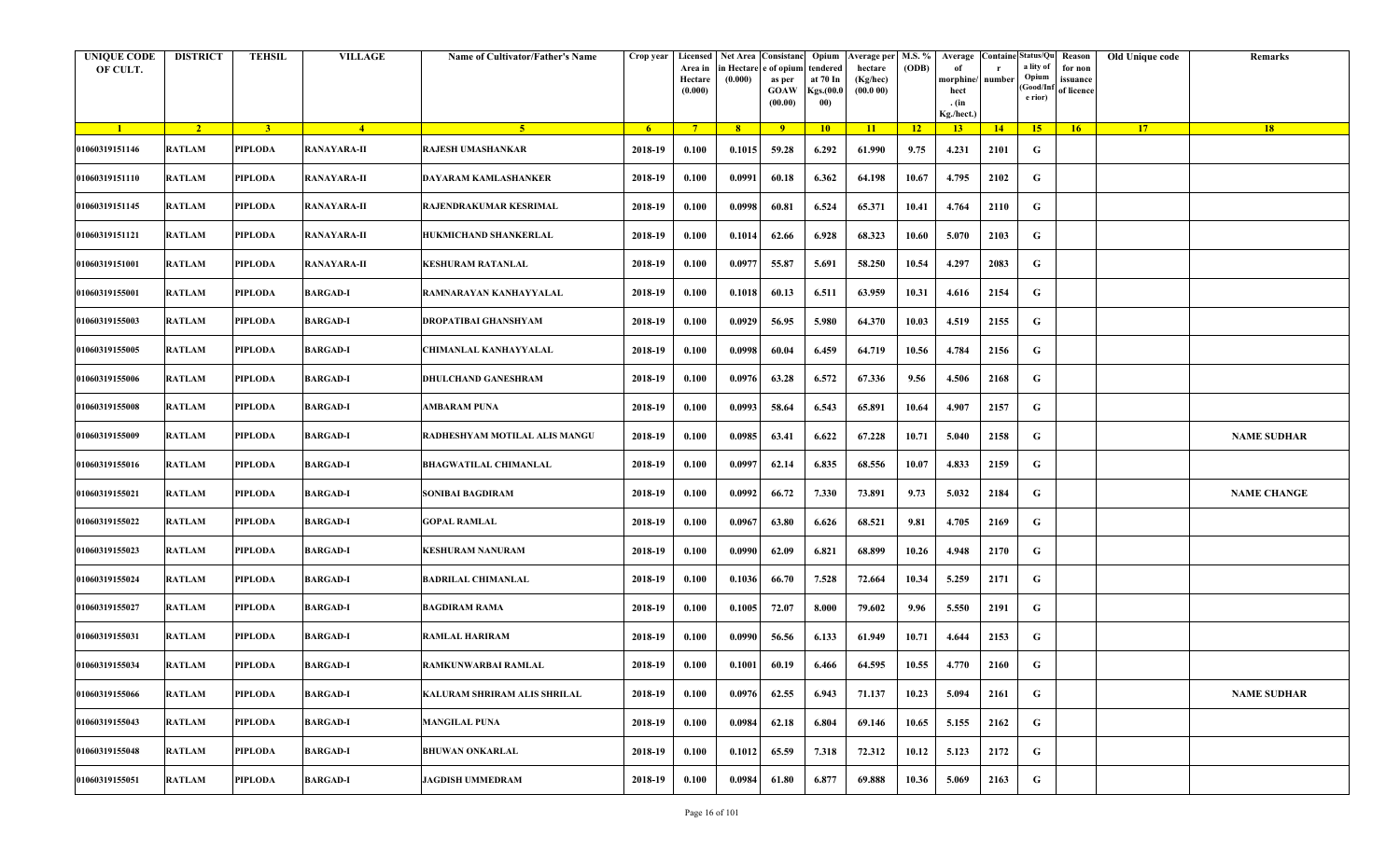| <b>UNIQUE CODE</b><br>OF CULT. | <b>DISTRICT</b> | <b>TEHSIL</b>  | <b>VILLAGE</b>     | Name of Cultivator/Father's Name | Crop year      | Area in<br>Hectare<br>(0.000) | Licensed   Net Area Consistanc<br>ı Hectar<br>(0.000) | e of opium<br>as per<br><b>GOAW</b><br>(00.00) | Opium<br>tendered<br>at 70 In<br>Kgs.(00.0<br>00) | <b>Average per</b><br>hectare<br>(Kg/hec)<br>(00.000) | M.S. %<br>(ODB) | Average<br>morphine/<br>hect<br>. (in<br>Kg./hect.) | Containe Status/Qu<br>number | a lity of<br>Opium<br>(Good/In<br>e rior) | Reason<br>for non<br>issuance<br>of licence | Old Unique code | Remarks            |
|--------------------------------|-----------------|----------------|--------------------|----------------------------------|----------------|-------------------------------|-------------------------------------------------------|------------------------------------------------|---------------------------------------------------|-------------------------------------------------------|-----------------|-----------------------------------------------------|------------------------------|-------------------------------------------|---------------------------------------------|-----------------|--------------------|
| $\blacksquare$ 1               | $\sqrt{2}$      | 3 <sup>1</sup> | $\sqrt{4}$         | 5 <sup>5</sup>                   | 6 <sup>6</sup> | $-7$                          | 8 <sup>1</sup>                                        | $-9$                                           | 10                                                | $\vert$ 11                                            | $-12$           | 13                                                  | 14                           | 15                                        | 16                                          | 17              | 18                 |
| 01060319151146                 | <b>RATLAM</b>   | PIPLODA        | RANAYARA-II        | RAJESH UMASHANKAR                | 2018-19        | 0.100                         | 0.1015                                                | 59.28                                          | 6.292                                             | 61.990                                                | 9.75            | 4.231                                               | 2101                         | G                                         |                                             |                 |                    |
| 01060319151110                 | <b>RATLAM</b>   | PIPLODA        | RANAYARA-II        | DAYARAM KAMLASHANKER             | 2018-19        | 0.100                         | 0.0991                                                | 60.18                                          | 6.362                                             | 64.198                                                | 10.67           | 4.795                                               | 2102                         | G                                         |                                             |                 |                    |
| 01060319151145                 | <b>RATLAM</b>   | PIPLODA        | <b>RANAYARA-II</b> | RAJENDRAKUMAR KESRIMAL           | 2018-19        | 0.100                         | 0.0998                                                | 60.81                                          | 6.524                                             | 65.371                                                | 10.41           | 4.764                                               | 2110                         | G                                         |                                             |                 |                    |
| 01060319151121                 | <b>RATLAM</b>   | PIPLODA        | <b>RANAYARA-II</b> | HUKMICHAND SHANKERLAL            | 2018-19        | 0.100                         | 0.1014                                                | 62.66                                          | 6.928                                             | 68.323                                                | 10.60           | 5.070                                               | 2103                         | G                                         |                                             |                 |                    |
| 01060319151001                 | <b>RATLAM</b>   | PIPLODA        | <b>RANAYARA-II</b> | <b>KESHURAM RATANLAL</b>         | 2018-19        | 0.100                         | 0.0977                                                | 55.87                                          | 5.691                                             | 58.250                                                | 10.54           | 4.297                                               | 2083                         | G                                         |                                             |                 |                    |
| 01060319155001                 | <b>RATLAM</b>   | PIPLODA        | BARGAD-I           | RAMNARAYAN KANHAYYALAL           | 2018-19        | 0.100                         | 0.1018                                                | 60.13                                          | 6.511                                             | 63.959                                                | 10.31           | 4.616                                               | 2154                         | G                                         |                                             |                 |                    |
| 01060319155003                 | <b>RATLAM</b>   | <b>PIPLODA</b> | <b>BARGAD-I</b>    | DROPATIBAI GHANSHYAM             | 2018-19        | 0.100                         | 0.0929                                                | 56.95                                          | 5.980                                             | 64.370                                                | 10.03           | 4.519                                               | 2155                         | G                                         |                                             |                 |                    |
| 01060319155005                 | <b>RATLAM</b>   | PIPLODA        | BARGAD-I           | CHIMANLAL KANHAYYALAL            | 2018-19        | 0.100                         | 0.0998                                                | 60.04                                          | 6.459                                             | 64.719                                                | 10.56           | 4.784                                               | 2156                         | G                                         |                                             |                 |                    |
| 01060319155006                 | <b>RATLAM</b>   | <b>PIPLODA</b> | BARGAD-I           | <b>DHULCHAND GANESHRAM</b>       | 2018-19        | 0.100                         | 0.0976                                                | 63.28                                          | 6.572                                             | 67.336                                                | 9.56            | 4.506                                               | 2168                         | G                                         |                                             |                 |                    |
| 01060319155008                 | <b>RATLAM</b>   | PIPLODA        | BARGAD-I           | AMBARAM PUNA                     | 2018-19        | 0.100                         | 0.0993                                                | 58.64                                          | 6.543                                             | 65.891                                                | 10.64           | 4.907                                               | 2157                         | G                                         |                                             |                 |                    |
| 01060319155009                 | <b>RATLAM</b>   | PIPLODA        | BARGAD-I           | RADHESHYAM MOTILAL ALIS MANGU    | 2018-19        | 0.100                         | 0.0985                                                | 63.41                                          | 6.622                                             | 67.228                                                | 10.71           | 5.040                                               | 2158                         | G                                         |                                             |                 | <b>NAME SUDHAR</b> |
| 01060319155016                 | <b>RATLAM</b>   | <b>PIPLODA</b> | BARGAD-I           | <b>BHAGWATILAL CHIMANLAL</b>     | 2018-19        | 0.100                         | 0.0997                                                | 62.14                                          | 6.835                                             | 68.556                                                | 10.07           | 4.833                                               | 2159                         | G                                         |                                             |                 |                    |
| 01060319155021                 | <b>RATLAM</b>   | PIPLODA        | BARGAD-I           | SONIBAI BAGDIRAM                 | 2018-19        | 0.100                         | 0.0992                                                | 66.72                                          | 7.330                                             | 73.891                                                | 9.73            | 5.032                                               | 2184                         | G                                         |                                             |                 | <b>NAME CHANGE</b> |
| 01060319155022                 | <b>RATLAM</b>   | PIPLODA        | BARGAD-I           | <b>GOPAL RAMLAL</b>              | 2018-19        | 0.100                         | 0.0967                                                | 63.80                                          | 6.626                                             | 68.521                                                | 9.81            | 4.705                                               | 2169                         | G                                         |                                             |                 |                    |
| 01060319155023                 | <b>RATLAM</b>   | PIPLODA        | BARGAD-I           | <b>KESHURAM NANURAM</b>          | 2018-19        | 0.100                         | 0.0990                                                | 62.09                                          | 6.821                                             | 68.899                                                | 10.26           | 4.948                                               | 2170                         | G                                         |                                             |                 |                    |
| 01060319155024                 | <b>RATLAM</b>   | <b>PIPLODA</b> | <b>BARGAD-I</b>    | <b>BADRILAL CHIMANLAL</b>        | 2018-19        | 0.100                         | 0.1036                                                | 66.70                                          | 7.528                                             | 72.664                                                | 10.34           | 5.259                                               | 2171                         | G                                         |                                             |                 |                    |
| 01060319155027                 | <b>RATLAM</b>   | PIPLODA        | BARGAD-I           | <b>BAGDIRAM RAMA</b>             | 2018-19        | 0.100                         | 0.1005                                                | 72.07                                          | 8.000                                             | 79.602                                                | 9.96            | 5.550                                               | 2191                         | G                                         |                                             |                 |                    |
| 01060319155031                 | <b>RATLAM</b>   | <b>PIPLODA</b> | BARGAD-I           | RAMLAL HARIRAM                   | 2018-19        | 0.100                         | 0.0990                                                | 56.56                                          | 6.133                                             | 61.949                                                | 10.71           | 4.644                                               | 2153                         | G                                         |                                             |                 |                    |
| 01060319155034                 | RATLAM          | PIPLODA        | <b>BARGAD-I</b>    | RAMKUNWARBAI RAMLAL              | 2018-19        | 0.100                         | 0.1001                                                | 60.19                                          | 6.466                                             | 64.595                                                | 10.55           | 4.770                                               | 2160                         | G                                         |                                             |                 |                    |
| 01060319155066                 | <b>RATLAM</b>   | PIPLODA        | <b>BARGAD-I</b>    | KALURAM SHRIRAM ALIS SHRILAL     | 2018-19        | 0.100                         | 0.0976                                                | 62.55                                          | 6.943                                             | 71.137                                                | 10.23           | 5.094                                               | 2161                         | G                                         |                                             |                 | <b>NAME SUDHAR</b> |
| 01060319155043                 | <b>RATLAM</b>   | PIPLODA        | <b>BARGAD-I</b>    | <b>MANGILAL PUNA</b>             | 2018-19        | 0.100                         | 0.0984                                                | 62.18                                          | 6.804                                             | 69.146                                                | 10.65           | 5.155                                               | 2162                         | G                                         |                                             |                 |                    |
| 01060319155048                 | <b>RATLAM</b>   | PIPLODA        | <b>BARGAD-I</b>    | <b>BHUWAN ONKARLAL</b>           | 2018-19        | 0.100                         | 0.1012                                                | 65.59                                          | 7.318                                             | 72.312                                                | 10.12           | 5.123                                               | 2172                         | G                                         |                                             |                 |                    |
| 01060319155051                 | <b>RATLAM</b>   | <b>PIPLODA</b> | <b>BARGAD-I</b>    | <b>JAGDISH UMMEDRAM</b>          | 2018-19        | 0.100                         | 0.0984                                                | 61.80                                          | 6.877                                             | 69.888                                                | 10.36           | 5.069                                               | 2163                         | G                                         |                                             |                 |                    |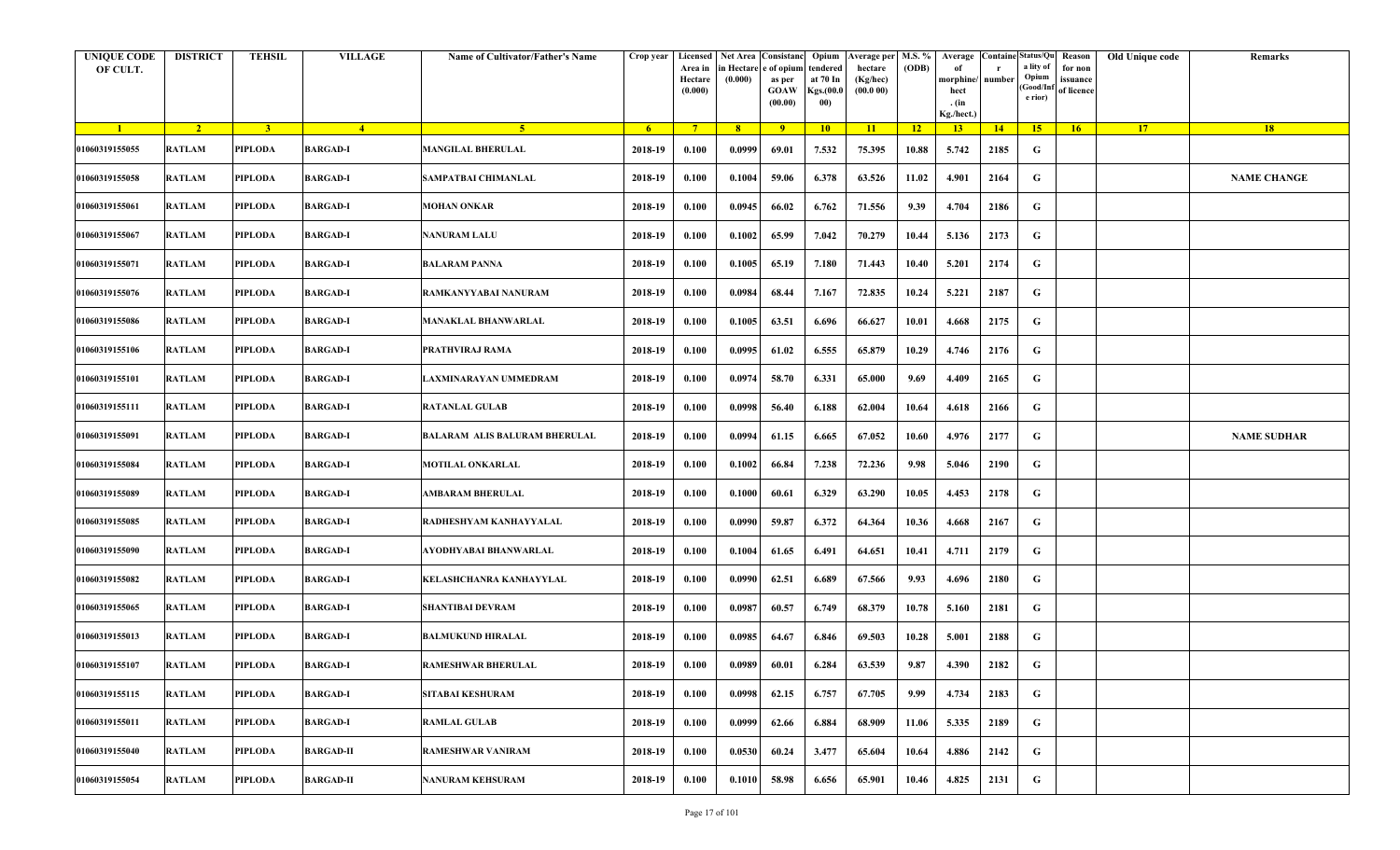| <b>UNIQUE CODE</b><br>OF CULT. | <b>DISTRICT</b> | <b>TEHSIL</b>  | <b>VILLAGE</b>   | Name of Cultivator/Father's Name | Crop year      | Licensed<br>Area in<br>Hectare<br>(0.000) | ı Hectar<br>(0.000) | Net Area Consistanc<br>e of opium<br>as per<br>GOAW<br>(00.00) | Opium<br>tendered<br>at 70 In<br><b>Kgs.</b> (00.<br>00) | <b>Average per</b><br>hectare<br>(Kg/hec)<br>(00.0 00) | M.S. %<br>(ODB) | Average<br>morphine/<br>hect<br>. (in<br>Kg./hect.) | <b>Containe Status/Qu</b><br>number | a lity of<br>Opium<br>(Good/In<br>e rior) | Reason<br>for non<br>issuance<br>of licence | Old Unique code | Remarks            |
|--------------------------------|-----------------|----------------|------------------|----------------------------------|----------------|-------------------------------------------|---------------------|----------------------------------------------------------------|----------------------------------------------------------|--------------------------------------------------------|-----------------|-----------------------------------------------------|-------------------------------------|-------------------------------------------|---------------------------------------------|-----------------|--------------------|
| $\blacksquare$                 | $\sqrt{2}$      | 3 <sup>°</sup> | $\overline{4}$   | $-5$                             | 6 <sup>1</sup> | $7^{\circ}$                               | 8 <sup>1</sup>      | $^{\circ}$                                                     | 10                                                       | 11                                                     | $\overline{12}$ | 13                                                  | 14                                  | 15                                        | 16                                          | 17              | 18                 |
| 01060319155055                 | <b>RATLAM</b>   | PIPLODA        | BARGAD-I         | <b>MANGILAL BHERULAL</b>         | 2018-19        | 0.100                                     | 0.0999              | 69.01                                                          | 7.532                                                    | 75.395                                                 | 10.88           | 5.742                                               | 2185                                | G                                         |                                             |                 |                    |
| 01060319155058                 | <b>RATLAM</b>   | <b>PIPLODA</b> | <b>BARGAD-I</b>  | SAMPATBAI CHIMANLAL              | 2018-19        | 0.100                                     | 0.1004              | 59.06                                                          | 6.378                                                    | 63.526                                                 | 11.02           | 4.901                                               | 2164                                | G                                         |                                             |                 | <b>NAME CHANGE</b> |
| 01060319155061                 | <b>RATLAM</b>   | PIPLODA        | BARGAD-I         | <b>MOHAN ONKAR</b>               | 2018-19        | 0.100                                     | 0.0945              | 66.02                                                          | 6.762                                                    | 71.556                                                 | 9.39            | 4.704                                               | 2186                                | G                                         |                                             |                 |                    |
| 01060319155067                 | <b>RATLAM</b>   | <b>PIPLODA</b> | <b>BARGAD-I</b>  | <b>NANURAM LALU</b>              | 2018-19        | 0.100                                     | 0.1002              | 65.99                                                          | 7.042                                                    | 70.279                                                 | 10.44           | 5.136                                               | 2173                                | G                                         |                                             |                 |                    |
| 01060319155071                 | <b>RATLAM</b>   | PIPLODA        | BARGAD-I         | <b>BALARAM PANNA</b>             | 2018-19        | 0.100                                     | 0.1005              | 65.19                                                          | 7.180                                                    | 71.443                                                 | 10.40           | 5.201                                               | 2174                                | G                                         |                                             |                 |                    |
| 01060319155076                 | <b>RATLAM</b>   | <b>PIPLODA</b> | <b>BARGAD-I</b>  | RAMKANYYABAI NANURAM             | 2018-19        | 0.100                                     | 0.0984              | 68.44                                                          | 7.167                                                    | 72.835                                                 | 10.24           | 5.221                                               | 2187                                | G                                         |                                             |                 |                    |
| 01060319155086                 | <b>RATLAM</b>   | <b>PIPLODA</b> | <b>BARGAD-I</b>  | <b>MANAKLAL BHANWARLAL</b>       | 2018-19        | 0.100                                     | 0.1005              | 63.51                                                          | 6.696                                                    | 66.627                                                 | 10.01           | 4.668                                               | 2175                                | G                                         |                                             |                 |                    |
| 01060319155106                 | <b>RATLAM</b>   | PIPLODA        | BARGAD-I         | PRATHVIRAJ RAMA                  | 2018-19        | 0.100                                     | 0.0995              | 61.02                                                          | 6.555                                                    | 65.879                                                 | 10.29           | 4.746                                               | 2176                                | G                                         |                                             |                 |                    |
| 01060319155101                 | <b>RATLAM</b>   | <b>PIPLODA</b> | BARGAD-I         | LAXMINARAYAN UMMEDRAM            | 2018-19        | 0.100                                     | 0.0974              | 58.70                                                          | 6.331                                                    | 65.000                                                 | 9.69            | 4.409                                               | 2165                                | G                                         |                                             |                 |                    |
| 01060319155111                 | <b>RATLAM</b>   | PIPLODA        | BARGAD-I         | <b>RATANLAL GULAB</b>            | 2018-19        | 0.100                                     | 0.0998              | 56.40                                                          | 6.188                                                    | 62.004                                                 | 10.64           | 4.618                                               | 2166                                | G                                         |                                             |                 |                    |
| 01060319155091                 | <b>RATLAM</b>   | <b>PIPLODA</b> | <b>BARGAD-I</b>  | BALARAM ALIS BALURAM BHERULAL    | 2018-19        | 0.100                                     | 0.0994              | 61.15                                                          | 6.665                                                    | 67.052                                                 | 10.60           | 4.976                                               | 2177                                | G                                         |                                             |                 | <b>NAME SUDHAR</b> |
| 01060319155084                 | <b>RATLAM</b>   | PIPLODA        | BARGAD-I         | <b>MOTILAL ONKARLAL</b>          | 2018-19        | 0.100                                     | 0.1002              | 66.84                                                          | 7.238                                                    | 72.236                                                 | 9.98            | 5.046                                               | 2190                                | G                                         |                                             |                 |                    |
| 01060319155089                 | <b>RATLAM</b>   | <b>PIPLODA</b> | BARGAD-I         | <b>AMBARAM BHERULAL</b>          | 2018-19        | 0.100                                     | 0.1000              | 60.61                                                          | 6.329                                                    | 63.290                                                 | 10.05           | 4.453                                               | 2178                                | G                                         |                                             |                 |                    |
| 01060319155085                 | <b>RATLAM</b>   | <b>PIPLODA</b> | <b>BARGAD-I</b>  | RADHESHYAM KANHAYYALAL           | 2018-19        | 0.100                                     | 0.0990              | 59.87                                                          | 6.372                                                    | 64.364                                                 | 10.36           | 4.668                                               | 2167                                | G                                         |                                             |                 |                    |
| 01060319155090                 | <b>RATLAM</b>   | <b>PIPLODA</b> | <b>BARGAD-I</b>  | AYODHYABAI BHANWARLAL            | 2018-19        | 0.100                                     | 0.1004              | 61.65                                                          | 6.491                                                    | 64.651                                                 | 10.41           | 4.711                                               | 2179                                | G                                         |                                             |                 |                    |
| 01060319155082                 | <b>RATLAM</b>   | <b>PIPLODA</b> | <b>BARGAD-I</b>  | KELASHCHANRA KANHAYYLAL          | 2018-19        | 0.100                                     | 0.0990              | 62.51                                                          | 6.689                                                    | 67.566                                                 | 9.93            | 4.696                                               | 2180                                | G                                         |                                             |                 |                    |
| 01060319155065                 | <b>RATLAM</b>   | PIPLODA        | BARGAD-I         | <b>SHANTIBAI DEVRAM</b>          | 2018-19        | 0.100                                     | 0.0987              | 60.57                                                          | 6.749                                                    | 68.379                                                 | 10.78           | 5.160                                               | 2181                                | G                                         |                                             |                 |                    |
| 01060319155013                 | <b>RATLAM</b>   | <b>PIPLODA</b> | <b>BARGAD-I</b>  | <b>BALMUKUND HIRALAL</b>         | 2018-19        | 0.100                                     | 0.0985              | 64.67                                                          | 6.846                                                    | 69.503                                                 | 10.28           | 5.001                                               | 2188                                | G                                         |                                             |                 |                    |
| 01060319155107                 | <b>RATLAM</b>   | PIPLODA        | <b>BARGAD-I</b>  | <b>RAMESHWAR BHERULAL</b>        | 2018-19        | 0.100                                     | 0.0989              | 60.01                                                          | 6.284                                                    | 63.539                                                 | 9.87            | 4.390                                               | 2182                                | G                                         |                                             |                 |                    |
| 01060319155115                 | <b>RATLAM</b>   | <b>PIPLODA</b> | <b>BARGAD-I</b>  | <b>SITABAI KESHURAM</b>          | 2018-19        | 0.100                                     | 0.0998              | 62.15                                                          | 6.757                                                    | 67.705                                                 | 9.99            | 4.734                                               | 2183                                | G                                         |                                             |                 |                    |
| 01060319155011                 | <b>RATLAM</b>   | PIPLODA        | <b>BARGAD-I</b>  | <b>RAMLAL GULAB</b>              | 2018-19        | 0.100                                     | 0.0999              | 62.66                                                          | 6.884                                                    | 68.909                                                 | 11.06           | 5.335                                               | 2189                                | G                                         |                                             |                 |                    |
| 01060319155040                 | <b>RATLAM</b>   | PIPLODA        | <b>BARGAD-II</b> | <b>RAMESHWAR VANIRAM</b>         | 2018-19        | 0.100                                     | 0.0530              | 60.24                                                          | 3.477                                                    | 65.604                                                 | 10.64           | 4.886                                               | 2142                                | $\mathbf G$                               |                                             |                 |                    |
| 01060319155054                 | <b>RATLAM</b>   | <b>PIPLODA</b> | <b>BARGAD-II</b> | <b>NANURAM KEHSURAM</b>          | 2018-19        | 0.100                                     | 0.1010              | 58.98                                                          | 6.656                                                    | 65.901                                                 | 10.46           | 4.825                                               | 2131                                | $\mathbf G$                               |                                             |                 |                    |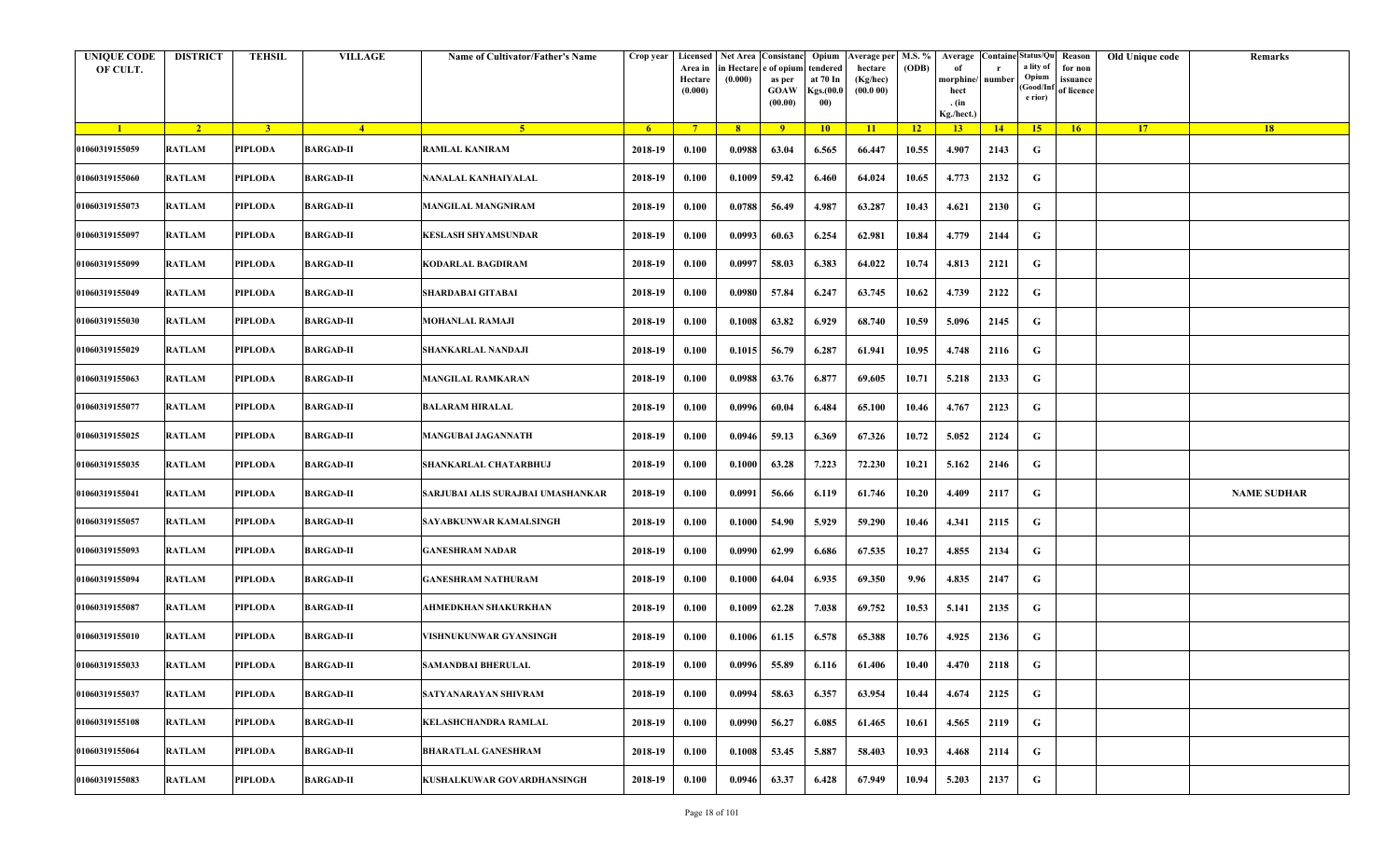| <b>UNIQUE CODE</b><br>OF CULT. | <b>DISTRICT</b> | <b>TEHSIL</b>  | <b>VILLAGE</b>   | Name of Cultivator/Father's Name  | Crop year      | Area in<br>Hectare<br>(0.000) | Licensed Net Area Consistanc<br>ı Hectar<br>(0.000) | e of opium<br>as per<br><b>GOAW</b> | Opium<br>tendered<br>at 70 In<br>Kgs.(00.0 | <b>Average per</b><br>hectare<br>(Kg/hec)<br>(00.000) | M.S. %<br>(ODB) | Average<br>morphine/<br>hect | <b>Containe Status/Qu</b><br>number | a lity of<br>Opium<br>(Good/In:<br>e rior) | Reason<br>for non<br>issuance<br>of licence | Old Unique code | Remarks            |
|--------------------------------|-----------------|----------------|------------------|-----------------------------------|----------------|-------------------------------|-----------------------------------------------------|-------------------------------------|--------------------------------------------|-------------------------------------------------------|-----------------|------------------------------|-------------------------------------|--------------------------------------------|---------------------------------------------|-----------------|--------------------|
|                                |                 |                |                  |                                   |                |                               |                                                     | (00.00)                             | 00)                                        |                                                       |                 | . (in<br>Kg./hect.)          |                                     |                                            |                                             |                 |                    |
| $\blacksquare$                 | $\sqrt{2}$      | 3 <sup>2</sup> | $\overline{4}$   | -5.                               | 6 <sup>6</sup> | $-7$                          | 8 <sup>1</sup>                                      | $^{\circ}$                          | 10                                         | $\vert$ 11                                            | $-12$           | 13                           | 14                                  | 15                                         | 16                                          | 17              | 18                 |
| 01060319155059                 | <b>RATLAM</b>   | PIPLODA        | <b>BARGAD-II</b> | <b>RAMLAL KANIRAM</b>             | 2018-19        | 0.100                         | 0.0988                                              | 63.04                               | 6.565                                      | 66.447                                                | 10.55           | 4.907                        | 2143                                | G                                          |                                             |                 |                    |
| 01060319155060                 | <b>RATLAM</b>   | PIPLODA        | <b>BARGAD-II</b> | NANALAL KANHAIYALAL               | 2018-19        | 0.100                         | 0.1009                                              | 59.42                               | 6.460                                      | 64.024                                                | 10.65           | 4.773                        | 2132                                | G                                          |                                             |                 |                    |
| 01060319155073                 | <b>RATLAM</b>   | PIPLODA        | <b>BARGAD-II</b> | <b>MANGILAL MANGNIRAM</b>         | 2018-19        | 0.100                         | 0.0788                                              | 56.49                               | 4.987                                      | 63.287                                                | 10.43           | 4.621                        | 2130                                | G                                          |                                             |                 |                    |
| 01060319155097                 | <b>RATLAM</b>   | PIPLODA        | <b>BARGAD-II</b> | KESLASH SHYAMSUNDAR               | 2018-19        | 0.100                         | 0.0993                                              | 60.63                               | 6.254                                      | 62.981                                                | 10.84           | 4.779                        | 2144                                | G                                          |                                             |                 |                    |
| 01060319155099                 | <b>RATLAM</b>   | PIPLODA        | <b>BARGAD-II</b> | <b>KODARLAL BAGDIRAM</b>          | 2018-19        | 0.100                         | 0.0997                                              | 58.03                               | 6.383                                      | 64.022                                                | 10.74           | 4.813                        | 2121                                | G                                          |                                             |                 |                    |
| 01060319155049                 | <b>RATLAM</b>   | PIPLODA        | <b>BARGAD-II</b> | SHARDABAI GITABAI                 | 2018-19        | 0.100                         | 0.0980                                              | 57.84                               | 6.247                                      | 63.745                                                | 10.62           | 4.739                        | 2122                                | G                                          |                                             |                 |                    |
| 01060319155030                 | <b>RATLAM</b>   | <b>PIPLODA</b> | <b>BARGAD-II</b> | <b>MOHANLAL RAMAJI</b>            | 2018-19        | 0.100                         | 0.1008                                              | 63.82                               | 6.929                                      | 68.740                                                | 10.59           | 5.096                        | 2145                                | G                                          |                                             |                 |                    |
| 01060319155029                 | <b>RATLAM</b>   | PIPLODA        | <b>BARGAD-II</b> | SHANKARLAL NANDAJI                | 2018-19        | 0.100                         | 0.1015                                              | 56.79                               | 6.287                                      | 61.941                                                | 10.95           | 4.748                        | 2116                                | G                                          |                                             |                 |                    |
| 01060319155063                 | <b>RATLAM</b>   | <b>PIPLODA</b> | <b>BARGAD-II</b> | <b>MANGILAL RAMKARAN</b>          | 2018-19        | 0.100                         | 0.0988                                              | 63.76                               | 6.877                                      | 69.605                                                | 10.71           | 5.218                        | 2133                                | G                                          |                                             |                 |                    |
| 01060319155077                 | <b>RATLAM</b>   | PIPLODA        | <b>BARGAD-II</b> | BALARAM HIRALAL                   | 2018-19        | 0.100                         | 0.0996                                              | 60.04                               | 6.484                                      | 65.100                                                | 10.46           | 4.767                        | 2123                                | G                                          |                                             |                 |                    |
| 01060319155025                 | <b>RATLAM</b>   | PIPLODA        | BARGAD-II        | <b>MANGUBAI JAGANNATH</b>         | 2018-19        | 0.100                         | 0.0946                                              | 59.13                               | 6.369                                      | 67.326                                                | 10.72           | 5.052                        | 2124                                | G                                          |                                             |                 |                    |
| 01060319155035                 | <b>RATLAM</b>   | <b>PIPLODA</b> | <b>BARGAD-II</b> | SHANKARLAL CHATARBHUJ             | 2018-19        | 0.100                         | 0.1000                                              | 63.28                               | 7.223                                      | 72.230                                                | 10.21           | 5.162                        | 2146                                | G                                          |                                             |                 |                    |
| 01060319155041                 | <b>RATLAM</b>   | PIPLODA        | <b>BARGAD-II</b> | SARJUBAI ALIS SURAJBAI UMASHANKAR | 2018-19        | 0.100                         | 0.0991                                              | 56.66                               | 6.119                                      | 61.746                                                | 10.20           | 4.409                        | 2117                                | G                                          |                                             |                 | <b>NAME SUDHAR</b> |
| 01060319155057                 | <b>RATLAM</b>   | PIPLODA        | <b>BARGAD-II</b> | SAYABKUNWAR KAMALSINGH            | 2018-19        | 0.100                         | 0.1000                                              | 54.90                               | 5.929                                      | 59.290                                                | 10.46           | 4.341                        | 2115                                | G                                          |                                             |                 |                    |
| 01060319155093                 | <b>RATLAM</b>   | <b>PIPLODA</b> | <b>BARGAD-II</b> | <b>GANESHRAM NADAR</b>            | 2018-19        | 0.100                         | 0.0990                                              | 62.99                               | 6.686                                      | 67.535                                                | 10.27           | 4.855                        | 2134                                | G                                          |                                             |                 |                    |
| 01060319155094                 | <b>RATLAM</b>   | <b>PIPLODA</b> | <b>BARGAD-II</b> | <b>GANESHRAM NATHURAM</b>         | 2018-19        | 0.100                         | 0.1000                                              | 64.04                               | 6.935                                      | 69.350                                                | 9.96            | 4.835                        | 2147                                | G                                          |                                             |                 |                    |
| 01060319155087                 | <b>RATLAM</b>   | PIPLODA        | <b>BARGAD-II</b> | AHMEDKHAN SHAKURKHAN              | 2018-19        | 0.100                         | 0.1009                                              | 62.28                               | 7.038                                      | 69.752                                                | 10.53           | 5.141                        | 2135                                | G                                          |                                             |                 |                    |
| 01060319155010                 | <b>RATLAM</b>   | <b>PIPLODA</b> | <b>BARGAD-II</b> | VISHNUKUNWAR GYANSINGH            | 2018-19        | 0.100                         | 0.1006                                              | 61.15                               | 6.578                                      | 65.388                                                | 10.76           | 4.925                        | 2136                                | G                                          |                                             |                 |                    |
| 01060319155033                 | <b>RATLAM</b>   | PIPLODA        | <b>BARGAD-II</b> | <b>SAMANDBAI BHERULAL</b>         | 2018-19        | 0.100                         | 0.0996                                              | 55.89                               | 6.116                                      | 61.406                                                | 10.40           | 4.470                        | 2118                                | G                                          |                                             |                 |                    |
| 01060319155037                 | <b>RATLAM</b>   | <b>PIPLODA</b> | <b>BARGAD-II</b> | SATYANARAYAN SHIVRAM              | 2018-19        | 0.100                         | 0.0994                                              | 58.63                               | 6.357                                      | 63.954                                                | 10.44           | 4.674                        | 2125                                | G                                          |                                             |                 |                    |
| 01060319155108                 | <b>RATLAM</b>   | <b>PIPLODA</b> | <b>BARGAD-II</b> | <b>KELASHCHANDRA RAMLAL</b>       | 2018-19        | 0.100                         | 0.0990                                              | 56.27                               | 6.085                                      | 61.465                                                | 10.61           | 4.565                        | 2119                                | $\mathbf G$                                |                                             |                 |                    |
| 01060319155064                 | <b>RATLAM</b>   | PIPLODA        | <b>BARGAD-II</b> | <b>BHARATLAL GANESHRAM</b>        | 2018-19        | 0.100                         | 0.1008                                              | 53.45                               | 5.887                                      | 58.403                                                | 10.93           | 4.468                        | 2114                                | G                                          |                                             |                 |                    |
| 01060319155083                 | <b>RATLAM</b>   | <b>PIPLODA</b> | <b>BARGAD-II</b> | KUSHALKUWAR GOVARDHANSINGH        | 2018-19        | 0.100                         | 0.0946                                              | 63.37                               | 6.428                                      | 67.949                                                | 10.94           | 5.203                        | 2137                                | G                                          |                                             |                 |                    |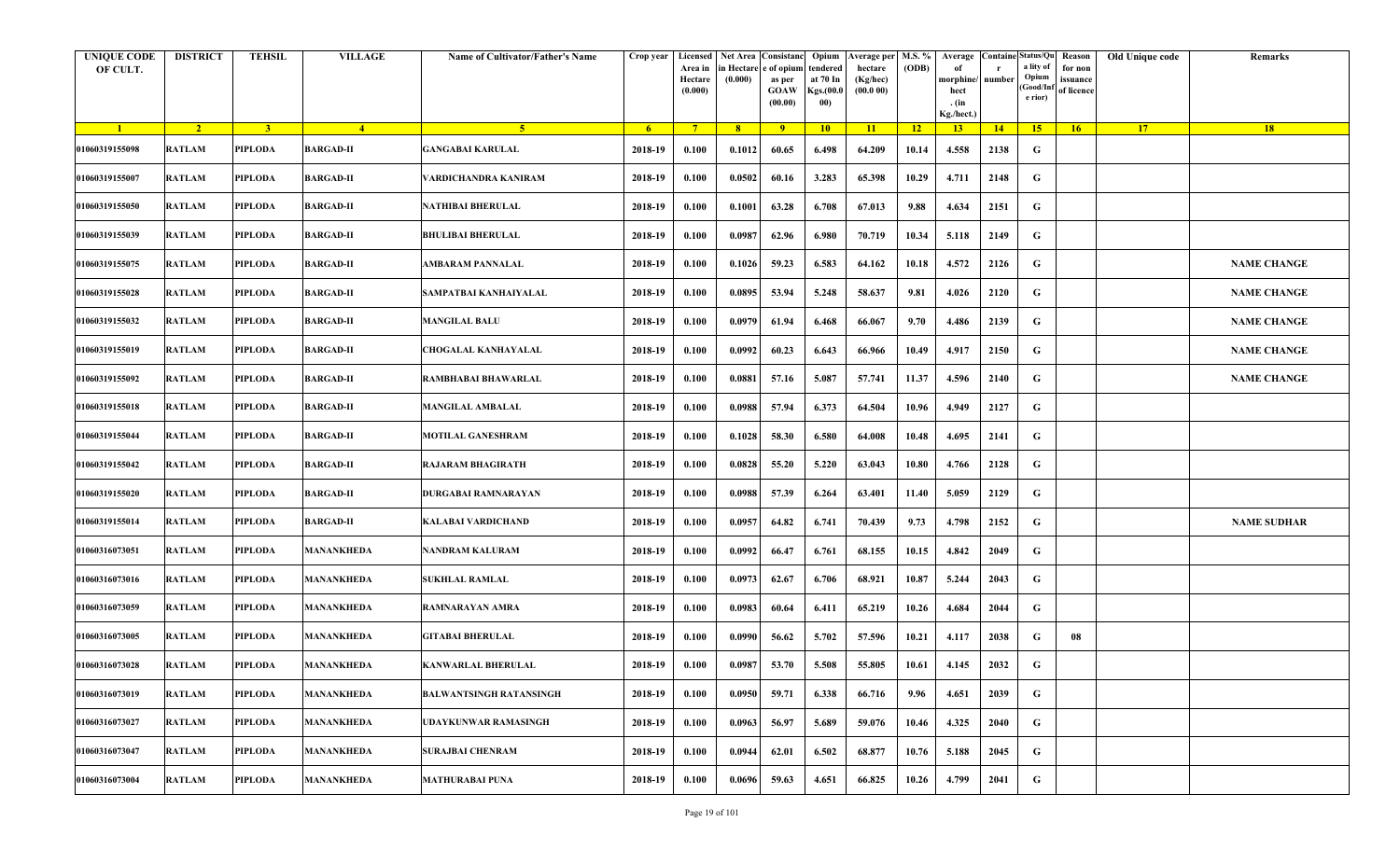| <b>UNIQUE CODE</b><br>OF CULT. | <b>DISTRICT</b> | <b>TEHSIL</b>  | <b>VILLAGE</b>    | Name of Cultivator/Father's Name | Crop year      | Licensed<br>Area in<br>Hectare<br>(0.000) | Net Area Consistanc<br>ı Hectar<br>(0.000) | e of opium<br>as per<br><b>GOAW</b> | Opium<br>tendered<br>at 70 In<br>Kgs.(00. | <b>Average per</b><br>hectare<br>(Kg/hec)<br>(00.000) | M.S. %<br>(ODB) | Average<br>morphine/<br>hect | <b>Containe Status/Qu</b><br>number | a lity of<br>Opium<br>(Good/In | Reason<br>for non<br>issuance<br>of licence | Old Unique code | Remarks            |
|--------------------------------|-----------------|----------------|-------------------|----------------------------------|----------------|-------------------------------------------|--------------------------------------------|-------------------------------------|-------------------------------------------|-------------------------------------------------------|-----------------|------------------------------|-------------------------------------|--------------------------------|---------------------------------------------|-----------------|--------------------|
|                                |                 |                |                   |                                  |                |                                           |                                            | (00.00)                             | 00)                                       |                                                       |                 | . (in<br>Kg./hect.)          |                                     | e rior)                        |                                             |                 |                    |
| $\blacksquare$                 | $\sqrt{2}$      | 3 <sup>2</sup> | $\overline{4}$    | -5.                              | 6 <sup>6</sup> | $-7$                                      | 8 <sup>1</sup>                             | $^{\circ}$                          | 10                                        | $\vert$ 11                                            | $-12$           | 13                           | 14                                  | 15                             | 16                                          | 17              | 18                 |
| 01060319155098                 | <b>RATLAM</b>   | PIPLODA        | <b>BARGAD-II</b>  | <b>GANGABAI KARULAL</b>          | 2018-19        | 0.100                                     | 0.1012                                     | 60.65                               | 6.498                                     | 64.209                                                | 10.14           | 4.558                        | 2138                                | G                              |                                             |                 |                    |
| 01060319155007                 | <b>RATLAM</b>   | PIPLODA        | <b>BARGAD-II</b>  | VARDICHANDRA KANIRAM             | 2018-19        | 0.100                                     | 0.0502                                     | 60.16                               | 3.283                                     | 65.398                                                | 10.29           | 4.711                        | 2148                                | G                              |                                             |                 |                    |
| 01060319155050                 | <b>RATLAM</b>   | PIPLODA        | <b>BARGAD-II</b>  | NATHIBAI BHERULAL                | 2018-19        | 0.100                                     | 0.1001                                     | 63.28                               | 6.708                                     | 67.013                                                | 9.88            | 4.634                        | 2151                                | G                              |                                             |                 |                    |
| 01060319155039                 | <b>RATLAM</b>   | PIPLODA        | <b>BARGAD-II</b>  | <b>BHULIBAI BHERULAL</b>         | 2018-19        | 0.100                                     | 0.0987                                     | 62.96                               | 6.980                                     | 70.719                                                | 10.34           | 5.118                        | 2149                                | G                              |                                             |                 |                    |
| 01060319155075                 | <b>RATLAM</b>   | PIPLODA        | <b>BARGAD-II</b>  | AMBARAM PANNALAL                 | 2018-19        | 0.100                                     | 0.1026                                     | 59.23                               | 6.583                                     | 64.162                                                | 10.18           | 4.572                        | 2126                                | G                              |                                             |                 | <b>NAME CHANGE</b> |
| 01060319155028                 | <b>RATLAM</b>   | PIPLODA        | <b>BARGAD-II</b>  | SAMPATBAI KANHAIYALAL            | 2018-19        | 0.100                                     | 0.0895                                     | 53.94                               | 5.248                                     | 58.637                                                | 9.81            | 4.026                        | 2120                                | G                              |                                             |                 | <b>NAME CHANGE</b> |
| 01060319155032                 | <b>RATLAM</b>   | <b>PIPLODA</b> | <b>BARGAD-II</b>  | <b>MANGILAL BALU</b>             | 2018-19        | 0.100                                     | 0.0979                                     | 61.94                               | 6.468                                     | 66.067                                                | 9.70            | 4.486                        | 2139                                | G                              |                                             |                 | <b>NAME CHANGE</b> |
| 01060319155019                 | <b>RATLAM</b>   | PIPLODA        | <b>BARGAD-II</b>  | <b>CHOGALAL KANHAYALAL</b>       | 2018-19        | 0.100                                     | 0.0992                                     | 60.23                               | 6.643                                     | 66.966                                                | 10.49           | 4.917                        | 2150                                | G                              |                                             |                 | <b>NAME CHANGE</b> |
| 01060319155092                 | <b>RATLAM</b>   | <b>PIPLODA</b> | <b>BARGAD-II</b>  | RAMBHABAI BHAWARLAL              | 2018-19        | 0.100                                     | 0.0881                                     | 57.16                               | 5.087                                     | 57.741                                                | 11.37           | 4.596                        | 2140                                | G                              |                                             |                 | <b>NAME CHANGE</b> |
| 01060319155018                 | <b>RATLAM</b>   | PIPLODA        | <b>BARGAD-II</b>  | <b>MANGILAL AMBALAL</b>          | 2018-19        | 0.100                                     | 0.0988                                     | 57.94                               | 6.373                                     | 64.504                                                | 10.96           | 4.949                        | 2127                                | G                              |                                             |                 |                    |
| 01060319155044                 | <b>RATLAM</b>   | PIPLODA        | BARGAD-II         | <b>MOTILAL GANESHRAM</b>         | 2018-19        | 0.100                                     | 0.1028                                     | 58.30                               | 6.580                                     | 64.008                                                | 10.48           | 4.695                        | 2141                                | G                              |                                             |                 |                    |
| 01060319155042                 | <b>RATLAM</b>   | <b>PIPLODA</b> | <b>BARGAD-II</b>  | RAJARAM BHAGIRATH                | 2018-19        | 0.100                                     | 0.0828                                     | 55.20                               | 5.220                                     | 63.043                                                | 10.80           | 4.766                        | 2128                                | G                              |                                             |                 |                    |
| 01060319155020                 | <b>RATLAM</b>   | PIPLODA        | <b>BARGAD-II</b>  | DURGABAI RAMNARAYAN              | 2018-19        | 0.100                                     | 0.0988                                     | 57.39                               | 6.264                                     | 63.401                                                | 11.40           | 5.059                        | 2129                                | G                              |                                             |                 |                    |
| 01060319155014                 | <b>RATLAM</b>   | PIPLODA        | <b>BARGAD-II</b>  | KALABAI VARDICHAND               | 2018-19        | 0.100                                     | 0.0957                                     | 64.82                               | 6.741                                     | 70.439                                                | 9.73            | 4.798                        | 2152                                | G                              |                                             |                 | <b>NAME SUDHAR</b> |
| 01060316073051                 | <b>RATLAM</b>   | PIPLODA        | MANANKHEDA        | NANDRAM KALURAM                  | 2018-19        | 0.100                                     | 0.0992                                     | 66.47                               | 6.761                                     | 68.155                                                | 10.15           | 4.842                        | 2049                                | G                              |                                             |                 |                    |
| 01060316073016                 | <b>RATLAM</b>   | <b>PIPLODA</b> | <b>MANANKHEDA</b> | <b>SUKHLAL RAMLAL</b>            | 2018-19        | 0.100                                     | 0.0973                                     | 62.67                               | 6.706                                     | 68.921                                                | 10.87           | 5.244                        | 2043                                | G                              |                                             |                 |                    |
| 01060316073059                 | <b>RATLAM</b>   | PIPLODA        | MANANKHEDA        | RAMNARAYAN AMRA                  | 2018-19        | 0.100                                     | 0.0983                                     | 60.64                               | 6.411                                     | 65.219                                                | 10.26           | 4.684                        | 2044                                | G                              |                                             |                 |                    |
| 01060316073005                 | <b>RATLAM</b>   | <b>PIPLODA</b> | MANANKHEDA        | <b>GITABAI BHERULAL</b>          | 2018-19        | 0.100                                     | 0.0990                                     | 56.62                               | 5.702                                     | 57.596                                                | 10.21           | 4.117                        | 2038                                | G                              | 08                                          |                 |                    |
| 01060316073028                 | <b>RATLAM</b>   | <b>PIPLODA</b> | MANANKHEDA        | <b>KANWARLAL BHERULAL</b>        | 2018-19        | 0.100                                     | 0.0987                                     | 53.70                               | 5.508                                     | 55.805                                                | 10.61           | 4.145                        | 2032                                | G                              |                                             |                 |                    |
| 01060316073019                 | <b>RATLAM</b>   | <b>PIPLODA</b> | MANANKHEDA        | <b>BALWANTSINGH RATANSINGH</b>   | 2018-19        | 0.100                                     | 0.0950                                     | 59.71                               | 6.338                                     | 66.716                                                | 9.96            | 4.651                        | 2039                                | G                              |                                             |                 |                    |
| 01060316073027                 | <b>RATLAM</b>   | PIPLODA        | MANANKHEDA        | UDAYKUNWAR RAMASINGH             | 2018-19        | 0.100                                     | 0.0963                                     | 56.97                               | 5.689                                     | 59.076                                                | 10.46           | 4.325                        | 2040                                | G                              |                                             |                 |                    |
| 01060316073047                 | <b>RATLAM</b>   | PIPLODA        | MANANKHEDA        | <b>SURAJBAI CHENRAM</b>          | 2018-19        | 0.100                                     | 0.0944                                     | 62.01                               | 6.502                                     | 68.877                                                | 10.76           | 5.188                        | 2045                                | G                              |                                             |                 |                    |
| 01060316073004                 | <b>RATLAM</b>   | <b>PIPLODA</b> | MANANKHEDA        | <b>MATHURABAI PUNA</b>           | 2018-19        | 0.100                                     | 0.0696                                     | 59.63                               | 4.651                                     | 66.825                                                | 10.26           | 4.799                        | 2041                                | G                              |                                             |                 |                    |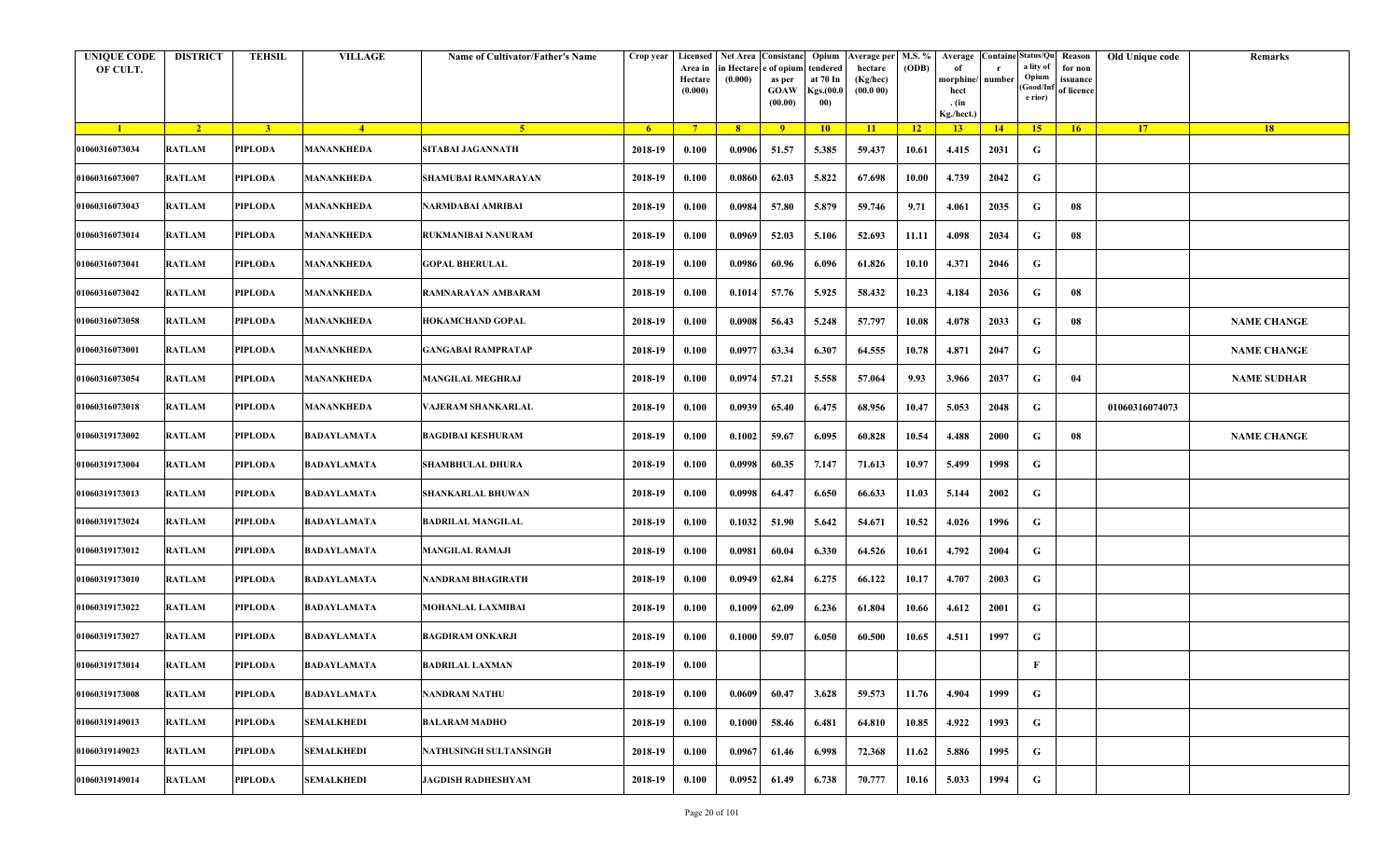| <b>UNIQUE CODE</b><br>OF CULT. | <b>DISTRICT</b> | <b>TEHSIL</b>           | <b>VILLAGE</b>     | Name of Cultivator/Father's Name | Crop year      | Licensed<br>Area in<br>Hectare<br>(0.000) | Net Area Consistanc<br>ı Hectar<br>(0.000) | e of opium<br>as per<br><b>GOAW</b><br>(00.00) | Opium<br>tendered<br>at 70 In<br>Kgs.(00.<br>00) | <b>Average per</b><br>hectare<br>(Kg/hec)<br>(00.000) | M.S. %<br>(ODB) | Average<br>morphine/<br>hect<br>. (in<br>Kg./hect.) | <b>Containe Status/Qu</b><br>number | a lity of<br>Opium<br>(Good/In<br>e rior) | Reason<br>for non<br>issuance<br>of licence | Old Unique code | Remarks            |
|--------------------------------|-----------------|-------------------------|--------------------|----------------------------------|----------------|-------------------------------------------|--------------------------------------------|------------------------------------------------|--------------------------------------------------|-------------------------------------------------------|-----------------|-----------------------------------------------------|-------------------------------------|-------------------------------------------|---------------------------------------------|-----------------|--------------------|
| $\blacksquare$ 1               | $\sqrt{2}$      | $\overline{\mathbf{3}}$ | $\sqrt{4}$         | -5.                              | 6 <sup>6</sup> | $-7$                                      | 8 <sup>1</sup>                             | $^{\circ}$                                     | 10                                               | $\vert$ 11                                            | $\overline{12}$ | 13                                                  | 14                                  | 15                                        | 16                                          | 17              | 18                 |
| 01060316073034                 | <b>RATLAM</b>   | PIPLODA                 | MANANKHEDA         | SITABAI JAGANNATH                | 2018-19        | 0.100                                     | 0.0906                                     | 51.57                                          | 5.385                                            | 59.437                                                | 10.61           | 4.415                                               | 2031                                | G                                         |                                             |                 |                    |
| 01060316073007                 | <b>RATLAM</b>   | PIPLODA                 | MANANKHEDA         | SHAMUBAI RAMNARAYAN              | 2018-19        | 0.100                                     | 0.0860                                     | 62.03                                          | 5.822                                            | 67.698                                                | 10.00           | 4.739                                               | 2042                                | G                                         |                                             |                 |                    |
| 01060316073043                 | <b>RATLAM</b>   | PIPLODA                 | MANANKHEDA         | NARMDABAI AMRIBAI                | 2018-19        | 0.100                                     | 0.0984                                     | 57.80                                          | 5.879                                            | 59.746                                                | 9.71            | 4.061                                               | 2035                                | G                                         | 08                                          |                 |                    |
| 01060316073014                 | <b>RATLAM</b>   | PIPLODA                 | MANANKHEDA         | RUKMANIBAI NANURAM               | 2018-19        | 0.100                                     | 0.0969                                     | 52.03                                          | 5.106                                            | 52.693                                                | 11.11           | 4.098                                               | 2034                                | G                                         | 08                                          |                 |                    |
| 01060316073041                 | <b>RATLAM</b>   | PIPLODA                 | MANANKHEDA         | <b>GOPAL BHERULAL</b>            | 2018-19        | 0.100                                     | 0.0986                                     | 60.96                                          | 6.096                                            | 61.826                                                | 10.10           | 4.371                                               | 2046                                | G                                         |                                             |                 |                    |
| 01060316073042                 | <b>RATLAM</b>   | PIPLODA                 | MANANKHEDA         | RAMNARAYAN AMBARAM               | 2018-19        | 0.100                                     | 0.1014                                     | 57.76                                          | 5.925                                            | 58.432                                                | 10.23           | 4.184                                               | 2036                                | G                                         | 08                                          |                 |                    |
| 01060316073058                 | <b>RATLAM</b>   | <b>PIPLODA</b>          | <b>MANANKHEDA</b>  | <b>HOKAMCHAND GOPAL</b>          | 2018-19        | 0.100                                     | 0.0908                                     | 56.43                                          | 5.248                                            | 57.797                                                | 10.08           | 4.078                                               | 2033                                | G                                         | 08                                          |                 | <b>NAME CHANGE</b> |
| 01060316073001                 | <b>RATLAM</b>   | PIPLODA                 | MANANKHEDA         | <b>GANGABAI RAMPRATAP</b>        | 2018-19        | 0.100                                     | 0.0977                                     | 63.34                                          | 6.307                                            | 64.555                                                | 10.78           | 4.871                                               | 2047                                | G                                         |                                             |                 | <b>NAME CHANGE</b> |
| 01060316073054                 | <b>RATLAM</b>   | <b>PIPLODA</b>          | MANANKHEDA         | <b>MANGILAL MEGHRAJ</b>          | 2018-19        | 0.100                                     | 0.0974                                     | 57.21                                          | 5.558                                            | 57.064                                                | 9.93            | 3.966                                               | 2037                                | G                                         | 04                                          |                 | <b>NAME SUDHAR</b> |
| 01060316073018                 | <b>RATLAM</b>   | PIPLODA                 | MANANKHEDA         | VAJERAM SHANKARLAL               | 2018-19        | 0.100                                     | 0.0939                                     | 65.40                                          | 6.475                                            | 68.956                                                | 10.47           | 5.053                                               | 2048                                | G                                         |                                             | 01060316074073  |                    |
| 01060319173002                 | <b>RATLAM</b>   | PIPLODA                 | BADAYLAMATA        | <b>BAGDIBAI KESHURAM</b>         | 2018-19        | 0.100                                     | 0.1002                                     | 59.67                                          | 6.095                                            | 60.828                                                | 10.54           | 4.488                                               | 2000                                | G                                         | 08                                          |                 | <b>NAME CHANGE</b> |
| 01060319173004                 | <b>RATLAM</b>   | <b>PIPLODA</b>          | BADAYLAMATA        | SHAMBHULAL DHURA                 | 2018-19        | 0.100                                     | 0.0998                                     | 60.35                                          | 7.147                                            | 71.613                                                | 10.97           | 5.499                                               | 1998                                | G                                         |                                             |                 |                    |
| 01060319173013                 | <b>RATLAM</b>   | PIPLODA                 | BADAYLAMATA        | SHANKARLAL BHUWAN                | 2018-19        | 0.100                                     | 0.0998                                     | 64.47                                          | 6.650                                            | 66.633                                                | 11.03           | 5.144                                               | 2002                                | G                                         |                                             |                 |                    |
| 01060319173024                 | <b>RATLAM</b>   | PIPLODA                 | BADAYLAMATA        | <b>BADRILAL MANGILAL</b>         | 2018-19        | 0.100                                     | 0.1032                                     | 51.90                                          | 5.642                                            | 54.671                                                | 10.52           | 4.026                                               | 1996                                | G                                         |                                             |                 |                    |
| 01060319173012                 | <b>RATLAM</b>   | PIPLODA                 | BADAYLAMATA        | <b>MANGILAL RAMAJI</b>           | 2018-19        | 0.100                                     | 0.0981                                     | 60.04                                          | 6.330                                            | 64.526                                                | 10.61           | 4.792                                               | 2004                                | G                                         |                                             |                 |                    |
| 01060319173010                 | <b>RATLAM</b>   | <b>PIPLODA</b>          | BADAYLAMATA        | NANDRAM BHAGIRATH                | 2018-19        | 0.100                                     | 0.0949                                     | 62.84                                          | 6.275                                            | 66.122                                                | 10.17           | 4.707                                               | 2003                                | G                                         |                                             |                 |                    |
| 01060319173022                 | <b>RATLAM</b>   | PIPLODA                 | BADAYLAMATA        | <b>MOHANLAL LAXMIBAI</b>         | 2018-19        | 0.100                                     | 0.1009                                     | 62.09                                          | 6.236                                            | 61.804                                                | 10.66           | 4.612                                               | 2001                                | G                                         |                                             |                 |                    |
| 01060319173027                 | <b>RATLAM</b>   | <b>PIPLODA</b>          | BADAYLAMATA        | <b>BAGDIRAM ONKARJI</b>          | 2018-19        | 0.100                                     | 0.1000                                     | 59.07                                          | 6.050                                            | 60.500                                                | 10.65           | 4.511                                               | 1997                                | G                                         |                                             |                 |                    |
| 01060319173014                 | <b>RATLAM</b>   | <b>PIPLODA</b>          | <b>BADAYLAMATA</b> | <b>BADRILAL LAXMAN</b>           | 2018-19        | 0.100                                     |                                            |                                                |                                                  |                                                       |                 |                                                     |                                     | $\mathbf{F}$                              |                                             |                 |                    |
| 01060319173008                 | <b>RATLAM</b>   | <b>PIPLODA</b>          | BADAYLAMATA        | <b>NANDRAM NATHU</b>             | 2018-19        | 0.100                                     | 0.0609                                     | 60.47                                          | 3.628                                            | 59.573                                                | 11.76           | 4.904                                               | 1999                                | G                                         |                                             |                 |                    |
| 01060319149013                 | <b>RATLAM</b>   | <b>PIPLODA</b>          | SEMALKHEDI         | <b>BALARAM MADHO</b>             | 2018-19        | 0.100                                     | 0.1000                                     | 58.46                                          | 6.481                                            | 64.810                                                | 10.85           | 4.922                                               | 1993                                | G                                         |                                             |                 |                    |
| 01060319149023                 | <b>RATLAM</b>   | PIPLODA                 | SEMALKHEDI         | NATHUSINGH SULTANSINGH           | 2018-19        | 0.100                                     | 0.0967                                     | 61.46                                          | 6.998                                            | 72.368                                                | 11.62           | 5.886                                               | 1995                                | G                                         |                                             |                 |                    |
| 01060319149014                 | <b>RATLAM</b>   | <b>PIPLODA</b>          | SEMALKHEDI         | <b>JAGDISH RADHESHYAM</b>        | 2018-19        | 0.100                                     | 0.0952                                     | 61.49                                          | 6.738                                            | 70.777                                                | 10.16           | 5.033                                               | 1994                                | G                                         |                                             |                 |                    |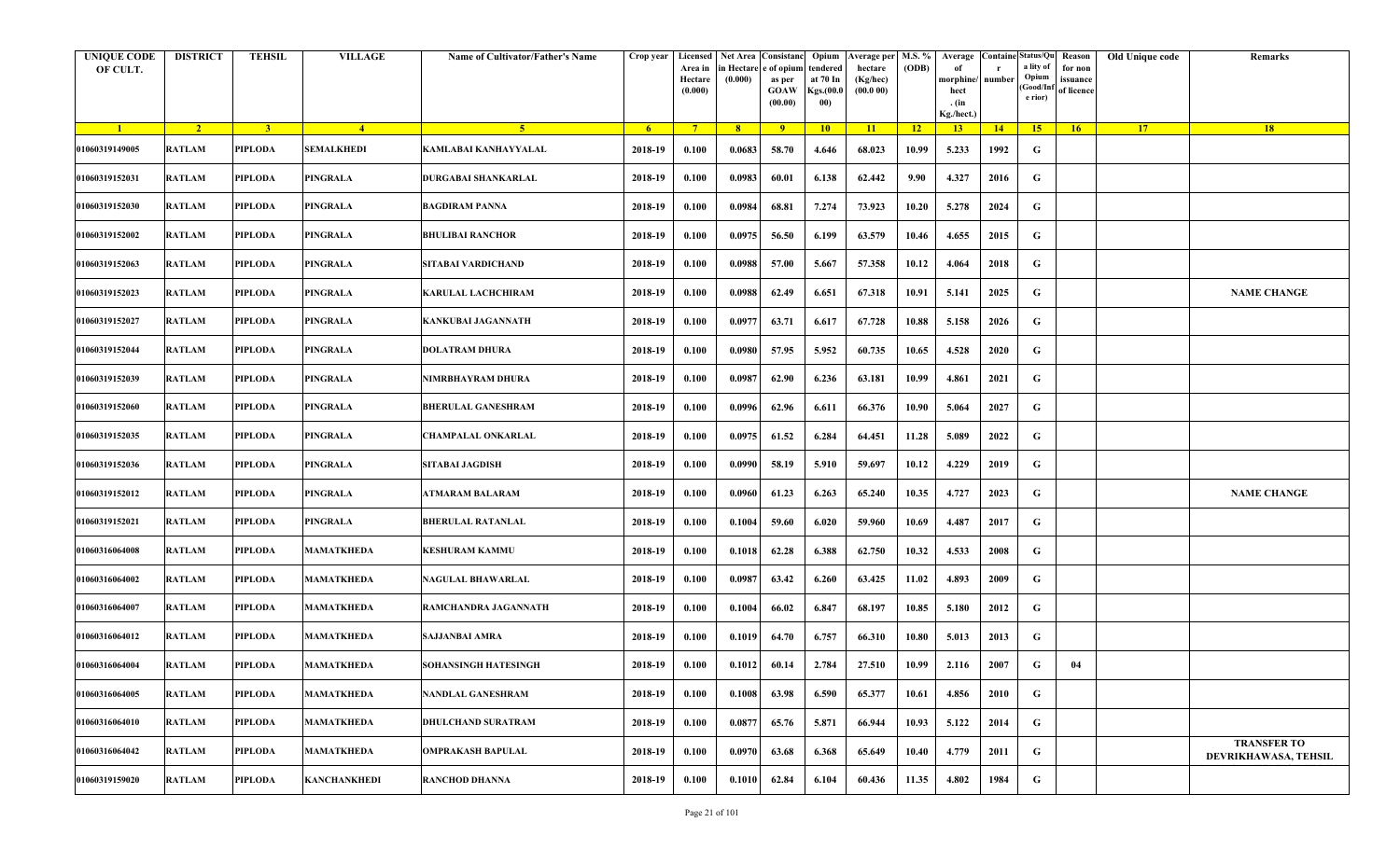| <b>UNIQUE CODE</b><br>OF CULT. | <b>DISTRICT</b> | <b>TEHSIL</b>  | <b>VILLAGE</b>    | Name of Cultivator/Father's Name | Crop year      | Area in<br>Hectare<br>(0.000) | Licensed   Net Area Consistanc<br>ı Hectar<br>(0.000) | e of opium<br>as per<br><b>GOAW</b><br>(00.00) | Opium<br>tendered<br>at 70 In<br>Kgs.(00.0<br>00) | <b>Average per</b><br>hectare<br>(Kg/hec)<br>(00.000) | M.S. %<br>(ODB) | Average<br>morphine/<br>hect<br>. (in<br>Kg./hect.) | <b>Containe Status/Qu</b><br>number | a lity of<br>Opium<br>(Good/In<br>e rior) | Reason<br>for non<br>issuance<br>of licence | Old Unique code | Remarks                                    |
|--------------------------------|-----------------|----------------|-------------------|----------------------------------|----------------|-------------------------------|-------------------------------------------------------|------------------------------------------------|---------------------------------------------------|-------------------------------------------------------|-----------------|-----------------------------------------------------|-------------------------------------|-------------------------------------------|---------------------------------------------|-----------------|--------------------------------------------|
| $\blacksquare$ 1               | $\sqrt{2}$      | 3 <sup>2</sup> | $\sqrt{4}$        | $\sqrt{5}$                       | 6 <sup>6</sup> | $-7$                          | 8 <sup>1</sup>                                        | $-9$                                           | 10                                                | $\vert$ 11                                            | $-12$           | 13                                                  | 14                                  | 15                                        | 16                                          | 17              | 18                                         |
| 01060319149005                 | <b>RATLAM</b>   | PIPLODA        | SEMALKHEDI        | KAMLABAI KANHAYYALAL             | 2018-19        | 0.100                         | 0.0683                                                | 58.70                                          | 4.646                                             | 68.023                                                | 10.99           | 5.233                                               | 1992                                | G                                         |                                             |                 |                                            |
| 01060319152031                 | <b>RATLAM</b>   | PIPLODA        | <b>PINGRALA</b>   | DURGABAI SHANKARLAL              | 2018-19        | 0.100                         | 0.0983                                                | 60.01                                          | 6.138                                             | 62.442                                                | 9.90            | 4.327                                               | 2016                                | G                                         |                                             |                 |                                            |
| 01060319152030                 | <b>RATLAM</b>   | PIPLODA        | PINGRALA          | <b>BAGDIRAM PANNA</b>            | 2018-19        | 0.100                         | 0.0984                                                | 68.81                                          | 7.274                                             | 73.923                                                | 10.20           | 5.278                                               | 2024                                | G                                         |                                             |                 |                                            |
| 01060319152002                 | <b>RATLAM</b>   | PIPLODA        | PINGRALA          | <b>BHULIBAI RANCHOR</b>          | 2018-19        | 0.100                         | 0.0975                                                | 56.50                                          | 6.199                                             | 63.579                                                | 10.46           | 4.655                                               | 2015                                | G                                         |                                             |                 |                                            |
| 01060319152063                 | <b>RATLAM</b>   | PIPLODA        | PINGRALA          | SITABAI VARDICHAND               | 2018-19        | 0.100                         | 0.0988                                                | 57.00                                          | 5.667                                             | 57.358                                                | 10.12           | 4.064                                               | 2018                                | G                                         |                                             |                 |                                            |
| 01060319152023                 | <b>RATLAM</b>   | PIPLODA        | PINGRALA          | KARULAL LACHCHIRAM               | 2018-19        | 0.100                         | 0.0988                                                | 62.49                                          | 6.651                                             | 67.318                                                | 10.91           | 5.141                                               | 2025                                | G                                         |                                             |                 | <b>NAME CHANGE</b>                         |
| 01060319152027                 | <b>RATLAM</b>   | <b>PIPLODA</b> | <b>PINGRALA</b>   | KANKUBAI JAGANNATH               | 2018-19        | 0.100                         | 0.0977                                                | 63.71                                          | 6.617                                             | 67.728                                                | 10.88           | 5.158                                               | 2026                                | G                                         |                                             |                 |                                            |
| 01060319152044                 | <b>RATLAM</b>   | PIPLODA        | PINGRALA          | <b>DOLATRAM DHURA</b>            | 2018-19        | 0.100                         | 0.0980                                                | 57.95                                          | 5.952                                             | 60.735                                                | 10.65           | 4.528                                               | 2020                                | G                                         |                                             |                 |                                            |
| 01060319152039                 | <b>RATLAM</b>   | <b>PIPLODA</b> | PINGRALA          | NIMRBHAYRAM DHURA                | 2018-19        | 0.100                         | 0.0987                                                | 62.90                                          | 6.236                                             | 63.181                                                | 10.99           | 4.861                                               | 2021                                | G                                         |                                             |                 |                                            |
| 01060319152060                 | <b>RATLAM</b>   | PIPLODA        | PINGRALA          | <b>BHERULAL GANESHRAM</b>        | 2018-19        | 0.100                         | 0.0996                                                | 62.96                                          | 6.611                                             | 66.376                                                | 10.90           | 5.064                                               | 2027                                | G                                         |                                             |                 |                                            |
| 01060319152035                 | <b>RATLAM</b>   | PIPLODA        | PINGRALA          | CHAMPALAL ONKARLAL               | 2018-19        | 0.100                         | 0.0975                                                | 61.52                                          | 6.284                                             | 64.451                                                | 11.28           | 5.089                                               | 2022                                | G                                         |                                             |                 |                                            |
| 01060319152036                 | <b>RATLAM</b>   | <b>PIPLODA</b> | PINGRALA          | SITABAI JAGDISH                  | 2018-19        | 0.100                         | 0.0990                                                | 58.19                                          | 5.910                                             | 59.697                                                | 10.12           | 4.229                                               | 2019                                | G                                         |                                             |                 |                                            |
| 01060319152012                 | <b>RATLAM</b>   | PIPLODA        | PINGRALA          | ATMARAM BALARAM                  | 2018-19        | 0.100                         | 0.0960                                                | 61.23                                          | 6.263                                             | 65.240                                                | 10.35           | 4.727                                               | 2023                                | G                                         |                                             |                 | <b>NAME CHANGE</b>                         |
| 01060319152021                 | <b>RATLAM</b>   | PIPLODA        | PINGRALA          | <b>BHERULAL RATANLAL</b>         | 2018-19        | 0.100                         | 0.1004                                                | 59.60                                          | 6.020                                             | 59.960                                                | 10.69           | 4.487                                               | 2017                                | G                                         |                                             |                 |                                            |
| 01060316064008                 | <b>RATLAM</b>   | PIPLODA        | MAMATKHEDA        | <b>KESHURAM KAMMU</b>            | 2018-19        | 0.100                         | 0.1018                                                | 62.28                                          | 6.388                                             | 62.750                                                | 10.32           | 4.533                                               | 2008                                | G                                         |                                             |                 |                                            |
| 01060316064002                 | <b>RATLAM</b>   | <b>PIPLODA</b> | MAMATKHEDA        | NAGULAL BHAWARLAL                | 2018-19        | 0.100                         | 0.0987                                                | 63.42                                          | 6.260                                             | 63.425                                                | 11.02           | 4.893                                               | 2009                                | G                                         |                                             |                 |                                            |
| 01060316064007                 | <b>RATLAM</b>   | PIPLODA        | MAMATKHEDA        | RAMCHANDRA JAGANNATH             | 2018-19        | 0.100                         | 0.1004                                                | 66.02                                          | 6.847                                             | 68.197                                                | 10.85           | 5.180                                               | 2012                                | G                                         |                                             |                 |                                            |
| 01060316064012                 | <b>RATLAM</b>   | <b>PIPLODA</b> | MAMATKHEDA        | SAJJANBAI AMRA                   | 2018-19        | 0.100                         | 0.1019                                                | 64.70                                          | 6.757                                             | 66.310                                                | 10.80           | 5.013                                               | 2013                                | G                                         |                                             |                 |                                            |
| 01060316064004                 | RATLAM          | <b>PIPLODA</b> | <b>MAMATKHEDA</b> | SOHANSINGH HATESINGH             | 2018-19        | 0.100                         | 0.1012                                                | 60.14                                          | 2.784                                             | 27.510                                                | 10.99           | 2.116                                               | 2007                                | G                                         | 04                                          |                 |                                            |
| 01060316064005                 | <b>RATLAM</b>   | <b>PIPLODA</b> | MAMATKHEDA        | NANDLAL GANESHRAM                | 2018-19        | 0.100                         | 0.1008                                                | 63.98                                          | 6.590                                             | 65.377                                                | 10.61           | 4.856                                               | 2010                                | G                                         |                                             |                 |                                            |
| 01060316064010                 | <b>RATLAM</b>   | PIPLODA        | MAMATKHEDA        | <b>DHULCHAND SURATRAM</b>        | 2018-19        | 0.100                         | 0.0877                                                | 65.76                                          | 5.871                                             | 66.944                                                | 10.93           | 5.122                                               | 2014                                | $\mathbf G$                               |                                             |                 |                                            |
| 01060316064042                 | <b>RATLAM</b>   | PIPLODA        | MAMATKHEDA        | <b>OMPRAKASH BAPULAL</b>         | 2018-19        | 0.100                         | 0.0970                                                | 63.68                                          | 6.368                                             | 65.649                                                | 10.40           | 4.779                                               | 2011                                | G                                         |                                             |                 | <b>TRANSFER TO</b><br>DEVRIKHAWASA, TEHSIL |
| 01060319159020                 | <b>RATLAM</b>   | <b>PIPLODA</b> | KANCHANKHEDI      | <b>RANCHOD DHANNA</b>            | 2018-19        | 0.100                         | 0.1010                                                | 62.84                                          | 6.104                                             | 60.436                                                | 11.35           | 4.802                                               | 1984                                | G                                         |                                             |                 |                                            |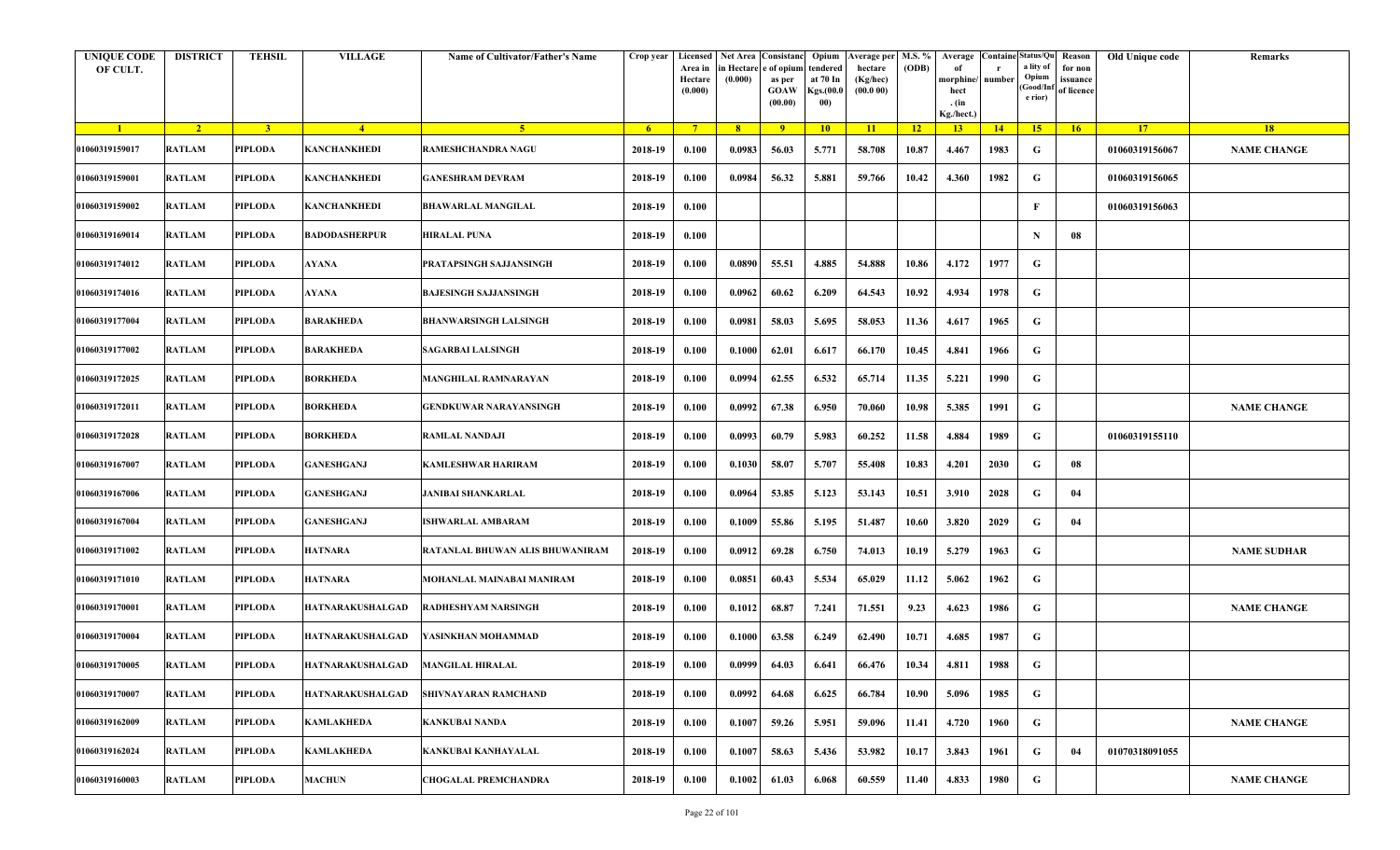| <b>UNIQUE CODE</b><br>OF CULT. | <b>DISTRICT</b> | <b>TEHSIL</b>  | <b>VILLAGE</b>      | Name of Cultivator/Father's Name | Crop year      | Licensed<br>Area in<br>Hectare<br>(0.000) | Net Area Consistanc<br>ı Hectar<br>(0.000) | e of opium<br>as per<br><b>GOAW</b><br>(00.00) | Opium<br>tendered<br>at 70 In<br>Kgs.(00.<br>00) | <b>Average per</b><br>hectare<br>(Kg/hec)<br>(00.000) | M.S. %<br>(ODB) | Average<br>morphine/<br>hect<br>. (in<br>Kg./hect.) | <b>Containe Status/Qu</b><br>number | a lity of<br>Opium<br>(Good/In<br>e rior) | Reason<br>for non<br>issuance<br>of licence | Old Unique code | Remarks            |
|--------------------------------|-----------------|----------------|---------------------|----------------------------------|----------------|-------------------------------------------|--------------------------------------------|------------------------------------------------|--------------------------------------------------|-------------------------------------------------------|-----------------|-----------------------------------------------------|-------------------------------------|-------------------------------------------|---------------------------------------------|-----------------|--------------------|
| $\blacksquare$                 | $\sqrt{2}$      | 3 <sup>1</sup> | $\sqrt{4}$          | $\sqrt{5}$                       | 6 <sup>6</sup> | $-7$                                      | 8 <sup>1</sup>                             | $^{\circ}$                                     | 10                                               | $\vert$ 11                                            | $-12$           | 13                                                  | 14                                  | 15                                        | 16                                          | 17              | 18                 |
| 01060319159017                 | <b>RATLAM</b>   | PIPLODA        | KANCHANKHEDI        | RAMESHCHANDRA NAGU               | 2018-19        | 0.100                                     | 0.0983                                     | 56.03                                          | 5.771                                            | 58.708                                                | 10.87           | 4.467                                               | 1983                                | G                                         |                                             | 01060319156067  | <b>NAME CHANGE</b> |
| 01060319159001                 | <b>RATLAM</b>   | PIPLODA        | <b>KANCHANKHEDI</b> | <b>GANESHRAM DEVRAM</b>          | 2018-19        | 0.100                                     | 0.0984                                     | 56.32                                          | 5.881                                            | 59.766                                                | 10.42           | 4.360                                               | 1982                                | G                                         |                                             | 01060319156065  |                    |
| 01060319159002                 | <b>RATLAM</b>   | PIPLODA        | KANCHANKHEDI        | <b>BHAWARLAL MANGILAL</b>        | 2018-19        | 0.100                                     |                                            |                                                |                                                  |                                                       |                 |                                                     |                                     | F                                         |                                             | 01060319156063  |                    |
| 01060319169014                 | <b>RATLAM</b>   | PIPLODA        | BADODASHERPUR       | <b>HIRALAL PUNA</b>              | 2018-19        | 0.100                                     |                                            |                                                |                                                  |                                                       |                 |                                                     |                                     | N                                         | 08                                          |                 |                    |
| 01060319174012                 | <b>RATLAM</b>   | PIPLODA        | AYANA               | PRATAPSINGH SAJJANSINGH          | 2018-19        | 0.100                                     | 0.0890                                     | 55.51                                          | 4.885                                            | 54.888                                                | 10.86           | 4.172                                               | 1977                                | G                                         |                                             |                 |                    |
| 01060319174016                 | <b>RATLAM</b>   | PIPLODA        | AYANA               | BAJESINGH SAJJANSINGH            | 2018-19        | 0.100                                     | 0.0962                                     | 60.62                                          | 6.209                                            | 64.543                                                | 10.92           | 4.934                                               | 1978                                | G                                         |                                             |                 |                    |
| 01060319177004                 | <b>RATLAM</b>   | <b>PIPLODA</b> | BARAKHEDA           | <b>BHANWARSINGH LALSINGH</b>     | 2018-19        | 0.100                                     | 0.0981                                     | 58.03                                          | 5.695                                            | 58.053                                                | 11.36           | 4.617                                               | 1965                                | G                                         |                                             |                 |                    |
| 01060319177002                 | <b>RATLAM</b>   | PIPLODA        | BARAKHEDA           | SAGARBAI LALSINGH                | 2018-19        | 0.100                                     | 0.1000                                     | 62.01                                          | 6.617                                            | 66.170                                                | 10.45           | 4.841                                               | 1966                                | G                                         |                                             |                 |                    |
| 01060319172025                 | <b>RATLAM</b>   | <b>PIPLODA</b> | BORKHEDA            | <b>MANGHILAL RAMNARAYAN</b>      | 2018-19        | 0.100                                     | 0.0994                                     | 62.55                                          | 6.532                                            | 65.714                                                | 11.35           | 5.221                                               | 1990                                | G                                         |                                             |                 |                    |
| 01060319172011                 | <b>RATLAM</b>   | PIPLODA        | BORKHEDA            | GENDKUWAR NARAYANSINGH           | 2018-19        | 0.100                                     | 0.0992                                     | 67.38                                          | 6.950                                            | 70.060                                                | 10.98           | 5.385                                               | 1991                                | G                                         |                                             |                 | <b>NAME CHANGE</b> |
| 01060319172028                 | <b>RATLAM</b>   | PIPLODA        | BORKHEDA            | <b>RAMLAL NANDAJI</b>            | 2018-19        | 0.100                                     | 0.0993                                     | 60.79                                          | 5.983                                            | 60.252                                                | 11.58           | 4.884                                               | 1989                                | G                                         |                                             | 01060319155110  |                    |
| 01060319167007                 | <b>RATLAM</b>   | <b>PIPLODA</b> | GANESHGANJ          | KAMLESHWAR HARIRAM               | 2018-19        | 0.100                                     | 0.1030                                     | 58.07                                          | 5.707                                            | 55.408                                                | 10.83           | 4.201                                               | 2030                                | G                                         | 08                                          |                 |                    |
| 01060319167006                 | <b>RATLAM</b>   | PIPLODA        | <b>GANESHGANJ</b>   | <b>JANIBAI SHANKARLAL</b>        | 2018-19        | 0.100                                     | 0.0964                                     | 53.85                                          | 5.123                                            | 53.143                                                | 10.51           | 3.910                                               | 2028                                | G                                         | 04                                          |                 |                    |
| 01060319167004                 | <b>RATLAM</b>   | PIPLODA        | <b>GANESHGANJ</b>   | <b>ISHWARLAL AMBARAM</b>         | 2018-19        | 0.100                                     | 0.1009                                     | 55.86                                          | 5.195                                            | 51.487                                                | 10.60           | 3.820                                               | 2029                                | G                                         | 04                                          |                 |                    |
| 01060319171002                 | <b>RATLAM</b>   | <b>PIPLODA</b> | HATNARA             | RATANLAL BHUWAN ALIS BHUWANIRAM  | 2018-19        | 0.100                                     | 0.0912                                     | 69.28                                          | 6.750                                            | 74.013                                                | 10.19           | 5.279                                               | 1963                                | G                                         |                                             |                 | <b>NAME SUDHAR</b> |
| 01060319171010                 | <b>RATLAM</b>   | <b>PIPLODA</b> | <b>HATNARA</b>      | MOHANLAL MAINABAI MANIRAM        | 2018-19        | 0.100                                     | 0.0851                                     | 60.43                                          | 5.534                                            | 65.029                                                | 11.12           | 5.062                                               | 1962                                | G                                         |                                             |                 |                    |
| 01060319170001                 | <b>RATLAM</b>   | PIPLODA        | HATNARAKUSHALGAD    | RADHESHYAM NARSINGH              | 2018-19        | 0.100                                     | 0.1012                                     | 68.87                                          | 7.241                                            | 71.551                                                | 9.23            | 4.623                                               | 1986                                | G                                         |                                             |                 | <b>NAME CHANGE</b> |
| 01060319170004                 | <b>RATLAM</b>   | PIPLODA        | HATNARAKUSHALGAD    | YASINKHAN MOHAMMAD               | 2018-19        | 0.100                                     | 0.1000                                     | 63.58                                          | 6.249                                            | 62.490                                                | 10.71           | 4.685                                               | 1987                                | G                                         |                                             |                 |                    |
| 01060319170005                 | <b>RATLAM</b>   | <b>PIPLODA</b> | HATNARAKUSHALGAD    | <b>MANGILAL HIRALAL</b>          | 2018-19        | 0.100                                     | 0.0999                                     | 64.03                                          | 6.641                                            | 66.476                                                | 10.34           | 4.811                                               | 1988                                | G                                         |                                             |                 |                    |
| 01060319170007                 | <b>RATLAM</b>   | <b>PIPLODA</b> | HATNARAKUSHALGAD    | <b>SHIVNAYARAN RAMCHAND</b>      | 2018-19        | 0.100                                     | 0.0992                                     | 64.68                                          | 6.625                                            | 66.784                                                | 10.90           | 5.096                                               | 1985                                | G                                         |                                             |                 |                    |
| 01060319162009                 | <b>RATLAM</b>   | PIPLODA        | <b>KAMLAKHEDA</b>   | KANKUBAI NANDA                   | 2018-19        | 0.100                                     | 0.1007                                     | 59.26                                          | 5.951                                            | 59.096                                                | 11.41           | 4.720                                               | 1960                                | G                                         |                                             |                 | <b>NAME CHANGE</b> |
| 01060319162024                 | <b>RATLAM</b>   | PIPLODA        | <b>KAMLAKHEDA</b>   | KANKUBAI KANHAYALAL              | 2018-19        | 0.100                                     | 0.1007                                     | 58.63                                          | 5.436                                            | 53.982                                                | 10.17           | 3.843                                               | 1961                                | G                                         | 04                                          | 01070318091055  |                    |
| 01060319160003                 | <b>RATLAM</b>   | <b>PIPLODA</b> | <b>MACHUN</b>       | <b>CHOGALAL PREMCHANDRA</b>      | 2018-19        | 0.100                                     | 0.1002                                     | 61.03                                          | 6.068                                            | 60.559                                                | 11.40           | 4.833                                               | 1980                                | G                                         |                                             |                 | <b>NAME CHANGE</b> |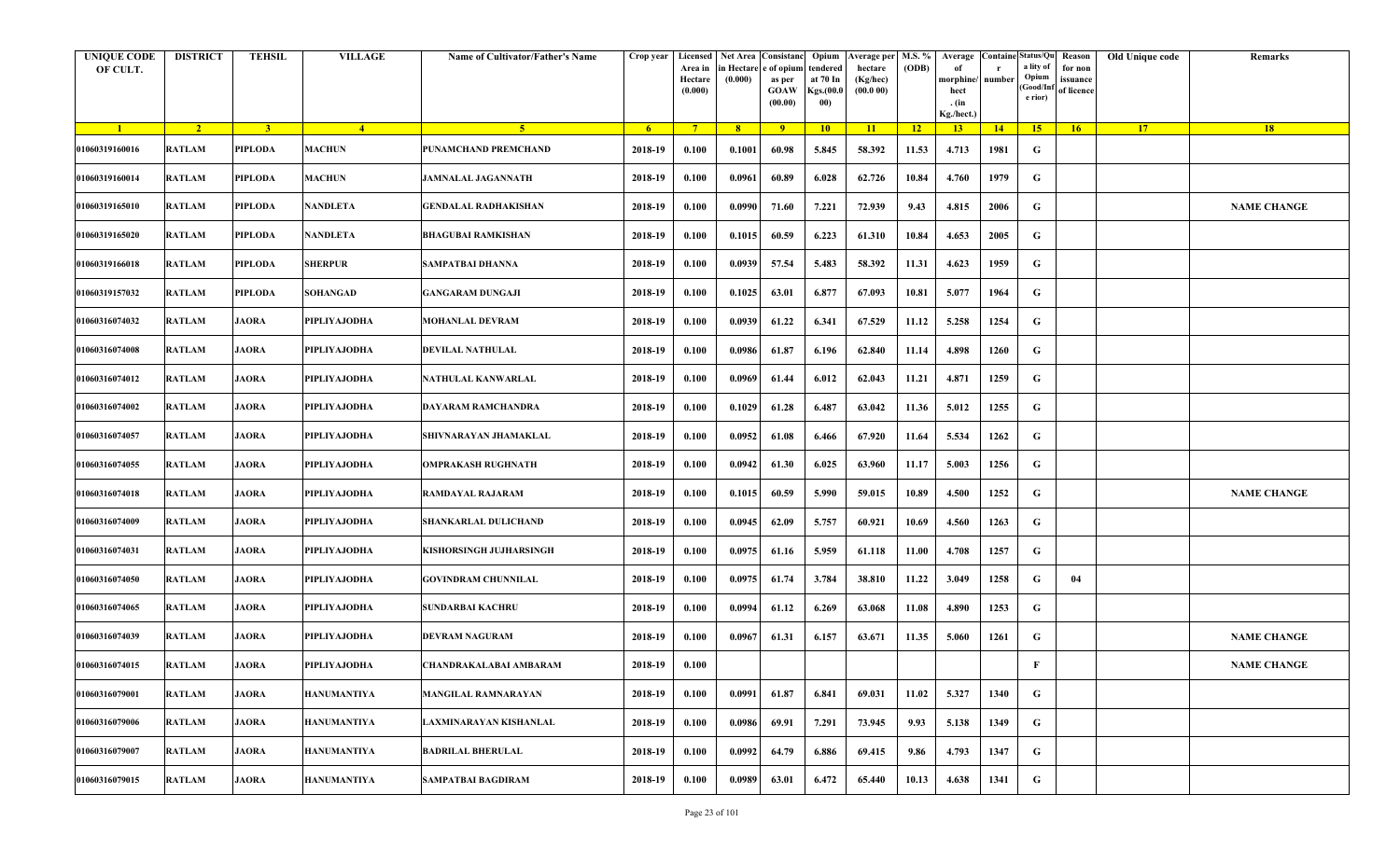| <b>UNIQUE CODE</b><br>OF CULT. | <b>DISTRICT</b> | <b>TEHSIL</b>  | <b>VILLAGE</b>      | Name of Cultivator/Father's Name | Crop year      | Licensed<br>Area in<br>Hectare<br>(0.000) | Net Area Consistanc<br>ı Hectar<br>(0.000) | e of opium<br>as per<br><b>GOAW</b><br>(00.00) | Opium<br>tendered<br>at 70 In<br>Kgs.(00.<br>00) | <b>Average per</b><br>hectare<br>(Kg/hec)<br>(00.000) | M.S. %<br>(ODB) | Average<br>morphine/<br>hect<br>. (in<br>Kg./hect.) | <b>Containe Status/Qu</b><br>number | a lity of<br>Opium<br>(Good/In<br>e rior) | Reason<br>for non<br>issuance<br>of licence | Old Unique code | Remarks            |
|--------------------------------|-----------------|----------------|---------------------|----------------------------------|----------------|-------------------------------------------|--------------------------------------------|------------------------------------------------|--------------------------------------------------|-------------------------------------------------------|-----------------|-----------------------------------------------------|-------------------------------------|-------------------------------------------|---------------------------------------------|-----------------|--------------------|
| $\blacksquare$                 | $\sqrt{2}$      | 3 <sup>2</sup> | $\overline{4}$      | $\sqrt{5}$                       | 6 <sup>6</sup> | $-7$                                      | 8 <sup>1</sup>                             | $^{\circ}$                                     | 10                                               | $\vert$ 11                                            | $-12$           | 13                                                  | 14                                  | 15                                        | 16                                          | 17              | 18                 |
| 01060319160016                 | <b>RATLAM</b>   | PIPLODA        | <b>MACHUN</b>       | PUNAMCHAND PREMCHAND             | 2018-19        | 0.100                                     | 0.1001                                     | 60.98                                          | 5.845                                            | 58.392                                                | 11.53           | 4.713                                               | 1981                                | G                                         |                                             |                 |                    |
| 01060319160014                 | <b>RATLAM</b>   | PIPLODA        | <b>MACHUN</b>       | <b>JAMNALAL JAGANNATH</b>        | 2018-19        | 0.100                                     | 0.0961                                     | 60.89                                          | 6.028                                            | 62.726                                                | 10.84           | 4.760                                               | 1979                                | G                                         |                                             |                 |                    |
| 01060319165010                 | <b>RATLAM</b>   | PIPLODA        | NANDLETA            | GENDALAL RADHAKISHAN             | 2018-19        | 0.100                                     | 0.0990                                     | 71.60                                          | 7.221                                            | 72.939                                                | 9.43            | 4.815                                               | 2006                                | G                                         |                                             |                 | <b>NAME CHANGE</b> |
| 01060319165020                 | <b>RATLAM</b>   | PIPLODA        | NANDLETA            | <b>BHAGUBAI RAMKISHAN</b>        | 2018-19        | 0.100                                     | 0.1015                                     | 60.59                                          | 6.223                                            | 61.310                                                | 10.84           | 4.653                                               | 2005                                | G                                         |                                             |                 |                    |
| 01060319166018                 | <b>RATLAM</b>   | PIPLODA        | <b>SHERPUR</b>      | SAMPATBAI DHANNA                 | 2018-19        | 0.100                                     | 0.0939                                     | 57.54                                          | 5.483                                            | 58.392                                                | 11.31           | 4.623                                               | 1959                                | G                                         |                                             |                 |                    |
| 01060319157032                 | <b>RATLAM</b>   | PIPLODA        | SOHANGAD            | GANGARAM DUNGAJI                 | 2018-19        | 0.100                                     | 0.1025                                     | 63.01                                          | 6.877                                            | 67.093                                                | 10.81           | 5.077                                               | 1964                                | G                                         |                                             |                 |                    |
| 01060316074032                 | <b>RATLAM</b>   | <b>JAORA</b>   | PIPLIYAJODHA        | MOHANLAL DEVRAM                  | 2018-19        | 0.100                                     | 0.0939                                     | 61.22                                          | 6.341                                            | 67.529                                                | 11.12           | 5.258                                               | 1254                                | G                                         |                                             |                 |                    |
| 01060316074008                 | <b>RATLAM</b>   | <b>JAORA</b>   | PIPLIYAJODHA        | DEVILAL NATHULAL                 | 2018-19        | 0.100                                     | 0.0986                                     | 61.87                                          | 6.196                                            | 62.840                                                | 11.14           | 4.898                                               | 1260                                | G                                         |                                             |                 |                    |
| 01060316074012                 | <b>RATLAM</b>   | <b>JAORA</b>   | PIPLIYAJODHA        | NATHULAL KANWARLAL               | 2018-19        | 0.100                                     | 0.0969                                     | 61.44                                          | 6.012                                            | 62.043                                                | 11.21           | 4.871                                               | 1259                                | G                                         |                                             |                 |                    |
| 01060316074002                 | <b>RATLAM</b>   | JAORA          | PIPLIYAJODHA        | DAYARAM RAMCHANDRA               | 2018-19        | 0.100                                     | 0.1029                                     | 61.28                                          | 6.487                                            | 63.042                                                | 11.36           | 5.012                                               | 1255                                | G                                         |                                             |                 |                    |
| 01060316074057                 | <b>RATLAM</b>   | <b>JAORA</b>   | PIPLIYAJODHA        | SHIVNARAYAN JHAMAKLAL            | 2018-19        | 0.100                                     | 0.0952                                     | 61.08                                          | 6.466                                            | 67.920                                                | 11.64           | 5.534                                               | 1262                                | G                                         |                                             |                 |                    |
| 01060316074055                 | <b>RATLAM</b>   | JAORA          | PIPLIYAJODHA        | OMPRAKASH RUGHNATH               | 2018-19        | 0.100                                     | 0.0942                                     | 61.30                                          | 6.025                                            | 63.960                                                | 11.17           | 5.003                                               | 1256                                | G                                         |                                             |                 |                    |
| 01060316074018                 | <b>RATLAM</b>   | <b>JAORA</b>   | PIPLIYAJODHA        | RAMDAYAL RAJARAM                 | 2018-19        | 0.100                                     | 0.1015                                     | 60.59                                          | 5.990                                            | 59.015                                                | 10.89           | 4.500                                               | 1252                                | G                                         |                                             |                 | <b>NAME CHANGE</b> |
| 01060316074009                 | <b>RATLAM</b>   | <b>JAORA</b>   | PIPLIYAJODHA        | SHANKARLAL DULICHAND             | 2018-19        | 0.100                                     | 0.0945                                     | 62.09                                          | 5.757                                            | 60.921                                                | 10.69           | 4.560                                               | 1263                                | G                                         |                                             |                 |                    |
| 01060316074031                 | <b>RATLAM</b>   | <b>JAORA</b>   | PIPLIYAJODHA        | KISHORSINGH JUJHARSINGH          | 2018-19        | 0.100                                     | 0.0975                                     | 61.16                                          | 5.959                                            | 61.118                                                | 11.00           | 4.708                                               | 1257                                | G                                         |                                             |                 |                    |
| 01060316074050                 | <b>RATLAM</b>   | <b>JAORA</b>   | PIPLIYAJODHA        | <b>GOVINDRAM CHUNNILAL</b>       | 2018-19        | 0.100                                     | 0.0975                                     | 61.74                                          | 3.784                                            | 38.810                                                | 11.22           | 3.049                                               | 1258                                | G                                         | 04                                          |                 |                    |
| 01060316074065                 | <b>RATLAM</b>   | <b>JAORA</b>   | PIPLIYAJODHA        | SUNDARBAI KACHRU                 | 2018-19        | 0.100                                     | 0.0994                                     | 61.12                                          | 6.269                                            | 63.068                                                | 11.08           | 4.890                                               | 1253                                | G                                         |                                             |                 |                    |
| 01060316074039                 | <b>RATLAM</b>   | <b>JAORA</b>   | PIPLIYAJODHA        | <b>DEVRAM NAGURAM</b>            | 2018-19        | 0.100                                     | 0.0967                                     | 61.31                                          | 6.157                                            | 63.671                                                | 11.35           | 5.060                                               | 1261                                | G                                         |                                             |                 | <b>NAME CHANGE</b> |
| 01060316074015                 | <b>RATLAM</b>   | <b>JAORA</b>   | <b>PIPLIYAJODHA</b> | <b>CHANDRAKALABAI AMBARAM</b>    | 2018-19        | 0.100                                     |                                            |                                                |                                                  |                                                       |                 |                                                     |                                     | F                                         |                                             |                 | <b>NAME CHANGE</b> |
| 01060316079001                 | <b>RATLAM</b>   | <b>JAORA</b>   | <b>HANUMANTIYA</b>  | <b>MANGILAL RAMNARAYAN</b>       | 2018-19        | 0.100                                     | 0.0991                                     | 61.87                                          | 6.841                                            | 69.031                                                | 11.02           | 5.327                                               | 1340                                | G                                         |                                             |                 |                    |
| 01060316079006                 | <b>RATLAM</b>   | <b>JAORA</b>   | <b>HANUMANTIYA</b>  | LAXMINARAYAN KISHANLAL           | 2018-19        | 0.100                                     | 0.0986                                     | 69.91                                          | 7.291                                            | 73.945                                                | 9.93            | 5.138                                               | 1349                                | G                                         |                                             |                 |                    |
| 01060316079007                 | <b>RATLAM</b>   | <b>JAORA</b>   | HANUMANTIYA         | <b>BADRILAL BHERULAL</b>         | 2018-19        | 0.100                                     | 0.0992                                     | 64.79                                          | 6.886                                            | 69.415                                                | 9.86            | 4.793                                               | 1347                                | G                                         |                                             |                 |                    |
| 01060316079015                 | <b>RATLAM</b>   | <b>JAORA</b>   | HANUMANTIYA         | SAMPATBAI BAGDIRAM               | 2018-19        | 0.100                                     | 0.0989                                     | 63.01                                          | 6.472                                            | 65.440                                                | 10.13           | 4.638                                               | 1341                                | G                                         |                                             |                 |                    |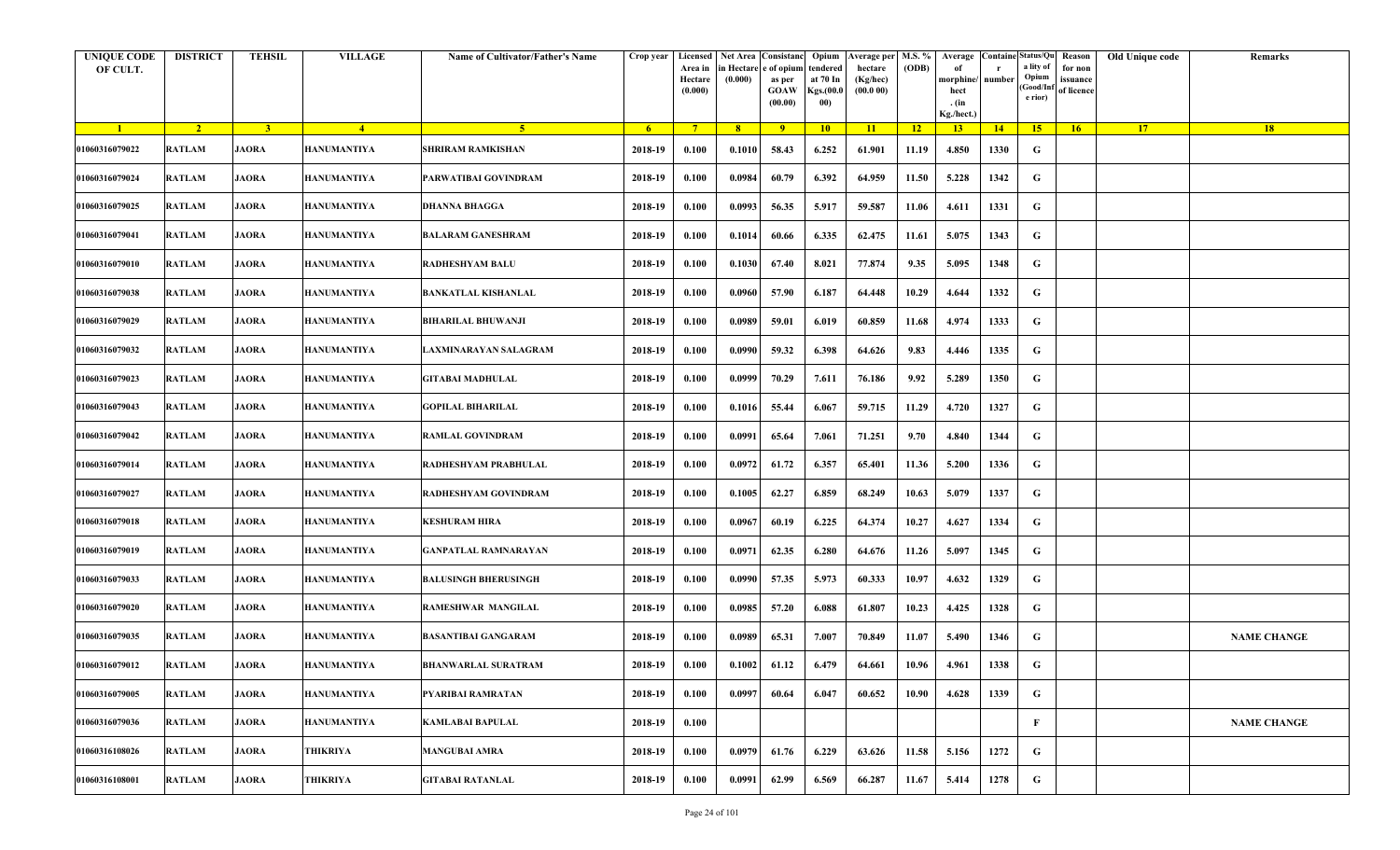| <b>UNIQUE CODE</b><br>OF CULT. | <b>DISTRICT</b> | <b>TEHSIL</b>  | <b>VILLAGE</b>     | Name of Cultivator/Father's Name | Crop year | Area in<br>Hectare<br>(0.000) | Licensed   Net Area Consistanc<br><b>Hectar</b><br>(0.000) | e of opium<br>as per<br><b>GOAW</b><br>(00.00) | Opium<br>tendered<br>at 70 In<br>Kgs.(00.<br>00) | <b>Average per</b><br>hectare<br>(Kg/hec)<br>(00.000) | M.S. %<br>(ODB) | Average<br>morphine/<br>hect<br>. (in<br>Kg./hect.) | <b>Containe Status/Qu</b><br>number | a lity of<br>Opium<br>(Good/In:<br>e rior) | Reason<br>for non<br>issuance<br>of licence | Old Unique code | Remarks            |
|--------------------------------|-----------------|----------------|--------------------|----------------------------------|-----------|-------------------------------|------------------------------------------------------------|------------------------------------------------|--------------------------------------------------|-------------------------------------------------------|-----------------|-----------------------------------------------------|-------------------------------------|--------------------------------------------|---------------------------------------------|-----------------|--------------------|
| $\blacksquare$ 1               | $\sqrt{2}$      | 3 <sup>2</sup> | $\sqrt{4}$         | 5 <sup>5</sup>                   | $-6$      | $-7$                          | 8 <sup>1</sup>                                             | $^{\circ}$                                     | 10                                               | $\vert$ 11                                            | $-12$           | 13                                                  | 14                                  | 15                                         | 16                                          | 17              | 18                 |
| 01060316079022                 | <b>RATLAM</b>   | <b>JAORA</b>   | HANUMANTIYA        | <b>SHRIRAM RAMKISHAN</b>         | 2018-19   | 0.100                         | 0.1010                                                     | 58.43                                          | 6.252                                            | 61.901                                                | 11.19           | 4.850                                               | 1330                                | G                                          |                                             |                 |                    |
| 01060316079024                 | <b>RATLAM</b>   | <b>JAORA</b>   | <b>HANUMANTIYA</b> | PARWATIBAI GOVINDRAM             | 2018-19   | 0.100                         | 0.0984                                                     | 60.79                                          | 6.392                                            | 64.959                                                | 11.50           | 5.228                                               | 1342                                | G                                          |                                             |                 |                    |
| 01060316079025                 | <b>RATLAM</b>   | JAORA          | HANUMANTIYA        | <b>DHANNA BHAGGA</b>             | 2018-19   | 0.100                         | 0.0993                                                     | 56.35                                          | 5.917                                            | 59.587                                                | 11.06           | 4.611                                               | 1331                                | G                                          |                                             |                 |                    |
| 01060316079041                 | <b>RATLAM</b>   | <b>JAORA</b>   | HANUMANTIYA        | <b>BALARAM GANESHRAM</b>         | 2018-19   | 0.100                         | 0.1014                                                     | 60.66                                          | 6.335                                            | 62.475                                                | 11.61           | 5.075                                               | 1343                                | G                                          |                                             |                 |                    |
| 01060316079010                 | <b>RATLAM</b>   | <b>JAORA</b>   | HANUMANTIYA        | <b>RADHESHYAM BALU</b>           | 2018-19   | 0.100                         | 0.1030                                                     | 67.40                                          | 8.021                                            | 77.874                                                | 9.35            | 5.095                                               | 1348                                | G                                          |                                             |                 |                    |
| 01060316079038                 | <b>RATLAM</b>   | <b>JAORA</b>   | <b>HANUMANTIYA</b> | <b>BANKATLAL KISHANLAL</b>       | 2018-19   | 0.100                         | 0.0960                                                     | 57.90                                          | 6.187                                            | 64.448                                                | 10.29           | 4.644                                               | 1332                                | G                                          |                                             |                 |                    |
| 01060316079029                 | <b>RATLAM</b>   | <b>JAORA</b>   | <b>HANUMANTIYA</b> | <b>BIHARILAL BHUWANJI</b>        | 2018-19   | 0.100                         | 0.0989                                                     | 59.01                                          | 6.019                                            | 60.859                                                | 11.68           | 4.974                                               | 1333                                | G                                          |                                             |                 |                    |
| 01060316079032                 | <b>RATLAM</b>   | <b>JAORA</b>   | HANUMANTIYA        | LAXMINARAYAN SALAGRAM            | 2018-19   | 0.100                         | 0.0990                                                     | 59.32                                          | 6.398                                            | 64.626                                                | 9.83            | 4.446                                               | 1335                                | G                                          |                                             |                 |                    |
| 01060316079023                 | <b>RATLAM</b>   | <b>JAORA</b>   | HANUMANTIYA        | <b>GITABAI MADHULAL</b>          | 2018-19   | 0.100                         | 0.0999                                                     | 70.29                                          | 7.611                                            | 76.186                                                | 9.92            | 5.289                                               | 1350                                | G                                          |                                             |                 |                    |
| 01060316079043                 | <b>RATLAM</b>   | JAORA          | HANUMANTIYA        | GOPILAL BIHARILAL                | 2018-19   | 0.100                         | 0.1016                                                     | 55.44                                          | 6.067                                            | 59.715                                                | 11.29           | 4.720                                               | 1327                                | G                                          |                                             |                 |                    |
| 01060316079042                 | <b>RATLAM</b>   | JAORA          | <b>HANUMANTIYA</b> | <b>RAMLAL GOVINDRAM</b>          | 2018-19   | 0.100                         | 0.0991                                                     | 65.64                                          | 7.061                                            | 71.251                                                | 9.70            | 4.840                                               | 1344                                | G                                          |                                             |                 |                    |
| 01060316079014                 | <b>RATLAM</b>   | JAORA          | HANUMANTIYA        | RADHESHYAM PRABHULAL             | 2018-19   | 0.100                         | 0.0972                                                     | 61.72                                          | 6.357                                            | 65.401                                                | 11.36           | 5.200                                               | 1336                                | G                                          |                                             |                 |                    |
| 01060316079027                 | <b>RATLAM</b>   | <b>JAORA</b>   | <b>HANUMANTIYA</b> | RADHESHYAM GOVINDRAM             | 2018-19   | 0.100                         | 0.1005                                                     | 62.27                                          | 6.859                                            | 68.249                                                | 10.63           | 5.079                                               | 1337                                | G                                          |                                             |                 |                    |
| 01060316079018                 | <b>RATLAM</b>   | <b>JAORA</b>   | HANUMANTIYA        | <b>KESHURAM HIRA</b>             | 2018-19   | 0.100                         | 0.0967                                                     | 60.19                                          | 6.225                                            | 64.374                                                | 10.27           | 4.627                                               | 1334                                | G                                          |                                             |                 |                    |
| 01060316079019                 | <b>RATLAM</b>   | <b>JAORA</b>   | <b>HANUMANTIYA</b> | <b>GANPATLAL RAMNARAYAN</b>      | 2018-19   | 0.100                         | 0.0971                                                     | 62.35                                          | 6.280                                            | 64.676                                                | 11.26           | 5.097                                               | 1345                                | G                                          |                                             |                 |                    |
| 01060316079033                 | <b>RATLAM</b>   | <b>JAORA</b>   | <b>HANUMANTIYA</b> | <b>BALUSINGH BHERUSINGH</b>      | 2018-19   | 0.100                         | 0.0990                                                     | 57.35                                          | 5.973                                            | 60.333                                                | 10.97           | 4.632                                               | 1329                                | G                                          |                                             |                 |                    |
| 01060316079020                 | <b>RATLAM</b>   | <b>JAORA</b>   | <b>HANUMANTIYA</b> | RAMESHWAR MANGILAL               | 2018-19   | 0.100                         | 0.0985                                                     | 57.20                                          | 6.088                                            | 61.807                                                | 10.23           | 4.425                                               | 1328                                | G                                          |                                             |                 |                    |
| 01060316079035                 | <b>RATLAM</b>   | <b>JAORA</b>   | HANUMANTIYA        | <b>BASANTIBAI GANGARAM</b>       | 2018-19   | 0.100                         | 0.0989                                                     | 65.31                                          | 7.007                                            | 70.849                                                | 11.07           | 5.490                                               | 1346                                | G                                          |                                             |                 | <b>NAME CHANGE</b> |
| 01060316079012                 | <b>RATLAM</b>   | <b>JAORA</b>   | <b>HANUMANTIYA</b> | <b>BHANWARLAL SURATRAM</b>       | 2018-19   | 0.100                         | 0.1002                                                     | 61.12                                          | 6.479                                            | 64.661                                                | 10.96           | 4.961                                               | 1338                                | G                                          |                                             |                 |                    |
| 01060316079005                 | <b>RATLAM</b>   | <b>JAORA</b>   | <b>HANUMANTIYA</b> | PYARIBAI RAMRATAN                | 2018-19   | 0.100                         | 0.0997                                                     | 60.64                                          | 6.047                                            | 60.652                                                | 10.90           | 4.628                                               | 1339                                | G                                          |                                             |                 |                    |
| 01060316079036                 | <b>RATLAM</b>   | <b>JAORA</b>   | HANUMANTIYA        | <b>KAMLABAI BAPULAL</b>          | 2018-19   | 0.100                         |                                                            |                                                |                                                  |                                                       |                 |                                                     |                                     | $\mathbf{F}$                               |                                             |                 | <b>NAME CHANGE</b> |
| 01060316108026                 | <b>RATLAM</b>   | <b>JAORA</b>   | THIKRIYA           | <b>MANGUBAI AMRA</b>             | 2018-19   | 0.100                         | 0.0979                                                     | 61.76                                          | 6.229                                            | 63.626                                                | 11.58           | 5.156                                               | 1272                                | $\mathbf G$                                |                                             |                 |                    |
| 01060316108001                 | <b>RATLAM</b>   | <b>JAORA</b>   | THIKRIYA           | <b>GITABAI RATANLAL</b>          | 2018-19   | 0.100                         | 0.0991                                                     | 62.99                                          | 6.569                                            | 66.287                                                | 11.67           | 5.414                                               | 1278                                | G                                          |                                             |                 |                    |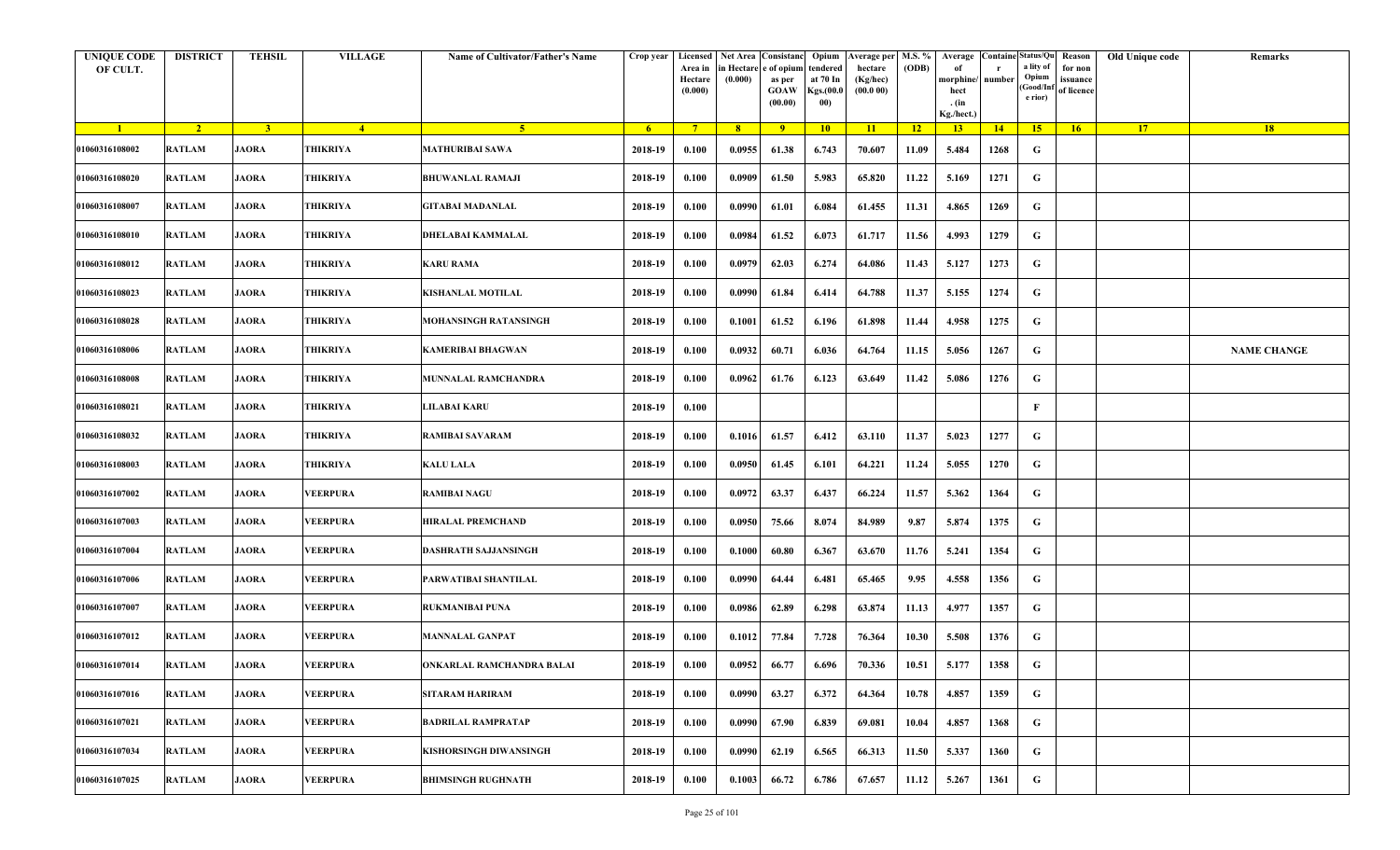| <b>UNIQUE CODE</b><br>OF CULT. | <b>DISTRICT</b> | <b>TEHSIL</b>  | <b>VILLAGE</b>  | Name of Cultivator/Father's Name | Crop year      | Area in<br>Hectare<br>(0.000) | Licensed Net Area Consistanc<br>ı Hectar<br>(0.000) | e of opium<br>as per<br><b>GOAW</b><br>(00.00) | Opium<br>tendered<br>at 70 In<br>Kgs.(00.0<br>00) | Average per   M.S. %<br>hectare<br>(Kg/hec)<br>(00.000) | (ODB) | Average<br>morphine/<br>hect<br>. (in | <b>Containe Status/Qu</b><br>number | a lity of<br>Opium<br>(Good/In:<br>e rior) | Reason<br>for non<br>issuance<br>of licence | Old Unique code | Remarks            |
|--------------------------------|-----------------|----------------|-----------------|----------------------------------|----------------|-------------------------------|-----------------------------------------------------|------------------------------------------------|---------------------------------------------------|---------------------------------------------------------|-------|---------------------------------------|-------------------------------------|--------------------------------------------|---------------------------------------------|-----------------|--------------------|
| $\blacksquare$                 | $\overline{2}$  | 3 <sup>2</sup> | $\sqrt{4}$      | -5.                              | 6 <sup>6</sup> | $-7$                          | 8 <sup>1</sup>                                      | $-9$                                           | 10                                                | $\vert$ 11                                              | $-12$ | Kg./hect.)<br>13                      | 14                                  | 15                                         | 16                                          | 17              | 18                 |
| 01060316108002                 | <b>RATLAM</b>   | <b>JAORA</b>   | THIKRIYA        | <b>MATHURIBAI SAWA</b>           | 2018-19        | 0.100                         | 0.0955                                              | 61.38                                          | 6.743                                             | 70.607                                                  | 11.09 | 5.484                                 | 1268                                | G                                          |                                             |                 |                    |
| 01060316108020                 | <b>RATLAM</b>   | <b>JAORA</b>   | THIKRIYA        | <b>BHUWANLAL RAMAJI</b>          | 2018-19        | 0.100                         | 0.0909                                              | 61.50                                          | 5.983                                             | 65.820                                                  | 11.22 | 5.169                                 | 1271                                | G                                          |                                             |                 |                    |
| 01060316108007                 | <b>RATLAM</b>   | <b>JAORA</b>   | THIKRIYA        | <b>GITABAI MADANLAL</b>          | 2018-19        | 0.100                         | 0.0990                                              | 61.01                                          | 6.084                                             | 61.455                                                  | 11.31 | 4.865                                 | 1269                                | G                                          |                                             |                 |                    |
| 01060316108010                 | <b>RATLAM</b>   | <b>JAORA</b>   | THIKRIYA        | DHELABAI KAMMALAL                | 2018-19        | 0.100                         | 0.0984                                              | 61.52                                          | 6.073                                             | 61.717                                                  | 11.56 | 4.993                                 | 1279                                | G                                          |                                             |                 |                    |
| 01060316108012                 | <b>RATLAM</b>   | <b>JAORA</b>   | THIKRIYA        | <b>KARU RAMA</b>                 | 2018-19        | 0.100                         | 0.0979                                              | 62.03                                          | 6.274                                             | 64.086                                                  | 11.43 | 5.127                                 | 1273                                | G                                          |                                             |                 |                    |
| 01060316108023                 | <b>RATLAM</b>   | <b>JAORA</b>   | <b>THIKRIYA</b> | KISHANLAL MOTILAL                | 2018-19        | 0.100                         | 0.0990                                              | 61.84                                          | 6.414                                             | 64.788                                                  | 11.37 | 5.155                                 | 1274                                | G                                          |                                             |                 |                    |
| 01060316108028                 | <b>RATLAM</b>   | <b>JAORA</b>   | THIKRIYA        | <b>MOHANSINGH RATANSINGH</b>     | 2018-19        | 0.100                         | 0.1001                                              | 61.52                                          | 6.196                                             | 61.898                                                  | 11.44 | 4.958                                 | 1275                                | G                                          |                                             |                 |                    |
| 01060316108006                 | <b>RATLAM</b>   | <b>JAORA</b>   | THIKRIYA        | KAMERIBAI BHAGWAN                | 2018-19        | 0.100                         | 0.0932                                              | 60.71                                          | 6.036                                             | 64.764                                                  | 11.15 | 5.056                                 | 1267                                | G                                          |                                             |                 | <b>NAME CHANGE</b> |
| 01060316108008                 | <b>RATLAM</b>   | <b>JAORA</b>   | THIKRIYA        | <b>MUNNALAL RAMCHANDRA</b>       | 2018-19        | 0.100                         | 0.0962                                              | 61.76                                          | 6.123                                             | 63.649                                                  | 11.42 | 5.086                                 | 1276                                | G                                          |                                             |                 |                    |
| 01060316108021                 | <b>RATLAM</b>   | <b>JAORA</b>   | THIKRIYA        | LILABAI KARU                     | 2018-19        | 0.100                         |                                                     |                                                |                                                   |                                                         |       |                                       |                                     | F                                          |                                             |                 |                    |
| 01060316108032                 | <b>RATLAM</b>   | <b>JAORA</b>   | THIKRIYA        | <b>RAMIBAI SAVARAM</b>           | 2018-19        | 0.100                         | 0.1016                                              | 61.57                                          | 6.412                                             | 63.110                                                  | 11.37 | 5.023                                 | 1277                                | G                                          |                                             |                 |                    |
| 01060316108003                 | <b>RATLAM</b>   | JAORA          | THIKRIYA        | <b>KALU LALA</b>                 | 2018-19        | 0.100                         | 0.0950                                              | 61.45                                          | 6.101                                             | 64.221                                                  | 11.24 | 5.055                                 | 1270                                | G                                          |                                             |                 |                    |
| 01060316107002                 | <b>RATLAM</b>   | <b>JAORA</b>   | VEERPURA        | <b>RAMIBAI NAGU</b>              | 2018-19        | 0.100                         | 0.0972                                              | 63.37                                          | 6.437                                             | 66.224                                                  | 11.57 | 5.362                                 | 1364                                | G                                          |                                             |                 |                    |
| 01060316107003                 | <b>RATLAM</b>   | <b>JAORA</b>   | VEERPURA        | HIRALAL PREMCHAND                | 2018-19        | 0.100                         | 0.0950                                              | 75.66                                          | 8.074                                             | 84.989                                                  | 9.87  | 5.874                                 | 1375                                | G                                          |                                             |                 |                    |
| 01060316107004                 | <b>RATLAM</b>   | <b>JAORA</b>   | VEERPURA        | DASHRATH SAJJANSINGH             | 2018-19        | 0.100                         | 0.1000                                              | 60.80                                          | 6.367                                             | 63.670                                                  | 11.76 | 5.241                                 | 1354                                | G                                          |                                             |                 |                    |
| 01060316107006                 | <b>RATLAM</b>   | <b>JAORA</b>   | VEERPURA        | PARWATIBAI SHANTILAL             | 2018-19        | 0.100                         | 0.0990                                              | 64.44                                          | 6.481                                             | 65.465                                                  | 9.95  | 4.558                                 | 1356                                | G                                          |                                             |                 |                    |
| 01060316107007                 | <b>RATLAM</b>   | <b>JAORA</b>   | VEERPURA        | RUKMANIBAI PUNA                  | 2018-19        | 0.100                         | 0.0986                                              | 62.89                                          | 6.298                                             | 63.874                                                  | 11.13 | 4.977                                 | 1357                                | G                                          |                                             |                 |                    |
| 01060316107012                 | <b>RATLAM</b>   | <b>JAORA</b>   | VEERPURA        | <b>MANNALAL GANPAT</b>           | 2018-19        | 0.100                         | 0.1012                                              | 77.84                                          | 7.728                                             | 76.364                                                  | 10.30 | 5.508                                 | 1376                                | G                                          |                                             |                 |                    |
| 01060316107014                 | <b>RATLAM</b>   | <b>JAORA</b>   | VEERPURA        | ONKARLAL RAMCHANDRA BALAI        | 2018-19        | 0.100                         | 0.0952                                              | 66.77                                          | 6.696                                             | 70.336                                                  | 10.51 | 5.177                                 | 1358                                | G                                          |                                             |                 |                    |
| 01060316107016                 | <b>RATLAM</b>   | <b>JAORA</b>   | VEERPURA        | <b>SITARAM HARIRAM</b>           | 2018-19        | 0.100                         | 0.0990                                              | 63.27                                          | 6.372                                             | 64.364                                                  | 10.78 | 4.857                                 | 1359                                | G                                          |                                             |                 |                    |
| 01060316107021                 | <b>RATLAM</b>   | <b>JAORA</b>   | VEERPURA        | <b>BADRILAL RAMPRATAP</b>        | 2018-19        | 0.100                         | 0.0990                                              | 67.90                                          | 6.839                                             | 69.081                                                  | 10.04 | 4.857                                 | 1368                                | G                                          |                                             |                 |                    |
| 01060316107034                 | <b>RATLAM</b>   | <b>JAORA</b>   | VEERPURA        | KISHORSINGH DIWANSINGH           | 2018-19        | 0.100                         | 0.0990                                              | 62.19                                          | 6.565                                             | 66.313                                                  | 11.50 | 5.337                                 | 1360                                | G                                          |                                             |                 |                    |
| 01060316107025                 | <b>RATLAM</b>   | <b>JAORA</b>   | <b>VEERPURA</b> | <b>BHIMSINGH RUGHNATH</b>        | 2018-19        | 0.100                         | 0.1003                                              | 66.72                                          | 6.786                                             | 67.657                                                  | 11.12 | 5.267                                 | 1361                                | G                                          |                                             |                 |                    |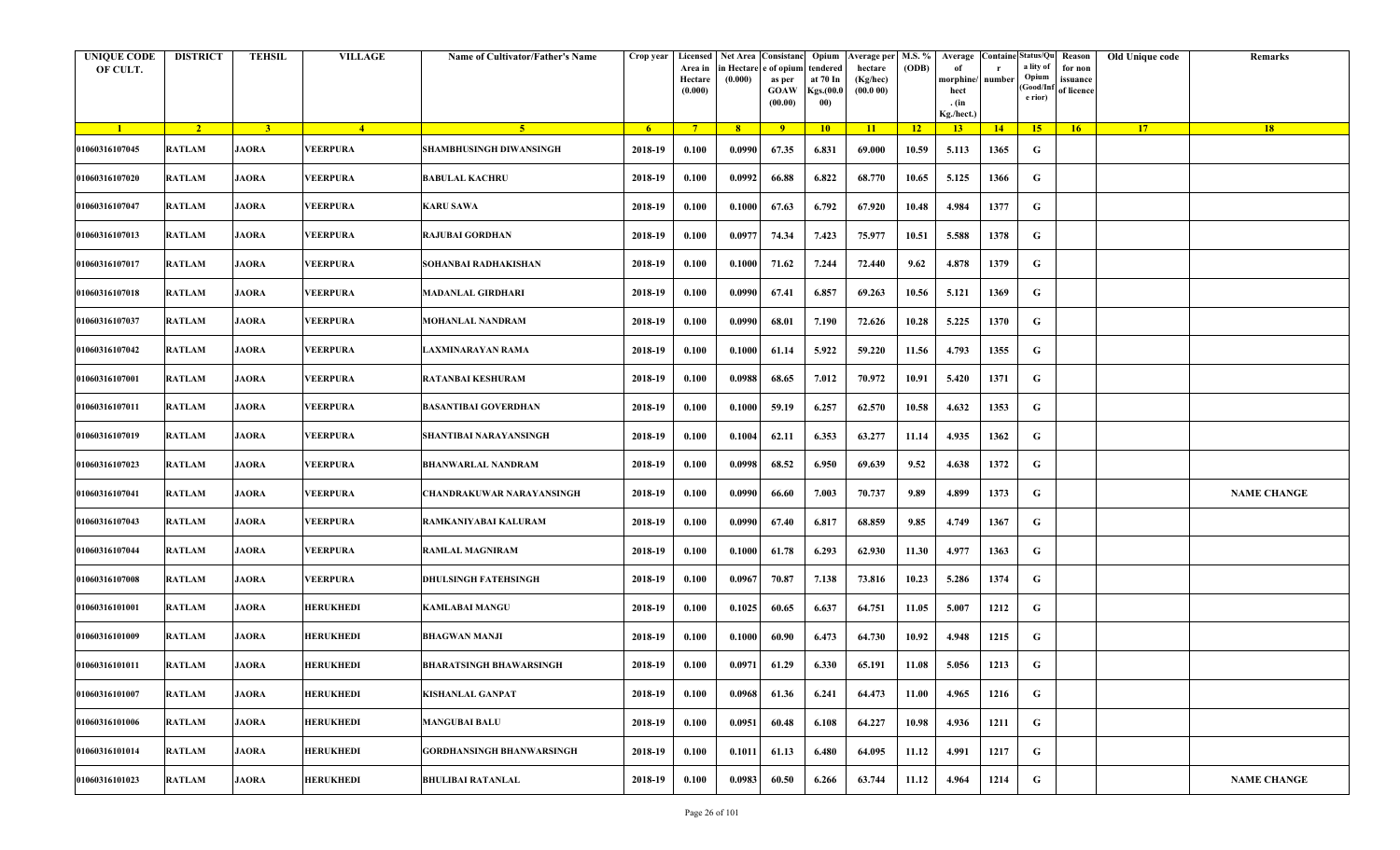| <b>UNIQUE CODE</b><br>OF CULT. | <b>DISTRICT</b> | <b>TEHSIL</b>  | <b>VILLAGE</b>   | Name of Cultivator/Father's Name | Crop year | Area in<br>Hectare<br>(0.000) | Licensed Net Area Consistanc<br>ı Hectar<br>(0.000) | e of opium<br>as per<br><b>GOAW</b><br>(00.00) | Opium<br>tendered<br>at 70 In<br>Kgs.(00.0<br>00) | <b>Average per</b><br>hectare<br>(Kg/hec)<br>(00.000) | M.S. %<br>(ODB) | Average<br>morphine/<br>hect<br>. (in<br>Kg./hect.) | <b>Containe Status/Qu</b><br>number | a lity of<br>Opium<br>(Good/In:<br>e rior) | Reason<br>for non<br>issuance<br>of licence | Old Unique code | Remarks            |
|--------------------------------|-----------------|----------------|------------------|----------------------------------|-----------|-------------------------------|-----------------------------------------------------|------------------------------------------------|---------------------------------------------------|-------------------------------------------------------|-----------------|-----------------------------------------------------|-------------------------------------|--------------------------------------------|---------------------------------------------|-----------------|--------------------|
| $\blacksquare$                 | $\overline{2}$  | 3 <sup>2</sup> | $\sqrt{4}$       | $\sqrt{5}$                       | $-6$      | $-7$                          | 8 <sup>1</sup>                                      | $-9$                                           | 10                                                | $\vert$ 11                                            | $-12$           | 13                                                  | 14                                  | 15                                         | 16                                          | 17              | 18                 |
| 01060316107045                 | <b>RATLAM</b>   | <b>JAORA</b>   | VEERPURA         | SHAMBHUSINGH DIWANSINGH          | 2018-19   | 0.100                         | 0.0990                                              | 67.35                                          | 6.831                                             | 69.000                                                | 10.59           | 5.113                                               | 1365                                | G                                          |                                             |                 |                    |
| 01060316107020                 | <b>RATLAM</b>   | <b>JAORA</b>   | VEERPURA         | <b>BABULAL KACHRU</b>            | 2018-19   | 0.100                         | 0.0992                                              | 66.88                                          | 6.822                                             | 68.770                                                | 10.65           | 5.125                                               | 1366                                | G                                          |                                             |                 |                    |
| 01060316107047                 | <b>RATLAM</b>   | JAORA          | VEERPURA         | <b>KARU SAWA</b>                 | 2018-19   | 0.100                         | 0.1000                                              | 67.63                                          | 6.792                                             | 67.920                                                | 10.48           | 4.984                                               | 1377                                | G                                          |                                             |                 |                    |
| 01060316107013                 | <b>RATLAM</b>   | <b>JAORA</b>   | VEERPURA         | <b>RAJUBAI GORDHAN</b>           | 2018-19   | 0.100                         | 0.0977                                              | 74.34                                          | 7.423                                             | 75.977                                                | 10.51           | 5.588                                               | 1378                                | G                                          |                                             |                 |                    |
| 01060316107017                 | <b>RATLAM</b>   | <b>JAORA</b>   | VEERPURA         | SOHANBAI RADHAKISHAN             | 2018-19   | 0.100                         | 0.1000                                              | 71.62                                          | 7.244                                             | 72.440                                                | 9.62            | 4.878                                               | 1379                                | G                                          |                                             |                 |                    |
| 01060316107018                 | <b>RATLAM</b>   | <b>JAORA</b>   | VEERPURA         | <b>MADANLAL GIRDHARI</b>         | 2018-19   | 0.100                         | 0.0990                                              | 67.41                                          | 6.857                                             | 69.263                                                | 10.56           | 5.121                                               | 1369                                | G                                          |                                             |                 |                    |
| 01060316107037                 | <b>RATLAM</b>   | <b>JAORA</b>   | VEERPURA         | MOHANLAL NANDRAM                 | 2018-19   | 0.100                         | 0.0990                                              | 68.01                                          | 7.190                                             | 72.626                                                | 10.28           | 5.225                                               | 1370                                | G                                          |                                             |                 |                    |
| 01060316107042                 | <b>RATLAM</b>   | <b>JAORA</b>   | <b>VEERPURA</b>  | LAXMINARAYAN RAMA                | 2018-19   | 0.100                         | 0.1000                                              | 61.14                                          | 5.922                                             | 59.220                                                | 11.56           | 4.793                                               | 1355                                | G                                          |                                             |                 |                    |
| 01060316107001                 | <b>RATLAM</b>   | <b>JAORA</b>   | VEERPURA         | <b>RATANBAI KESHURAM</b>         | 2018-19   | 0.100                         | 0.0988                                              | 68.65                                          | 7.012                                             | 70.972                                                | 10.91           | 5.420                                               | 1371                                | G                                          |                                             |                 |                    |
| 01060316107011                 | <b>RATLAM</b>   | JAORA          | VEERPURA         | <b>BASANTIBAI GOVERDHAN</b>      | 2018-19   | 0.100                         | 0.1000                                              | 59.19                                          | 6.257                                             | 62.570                                                | 10.58           | 4.632                                               | 1353                                | G                                          |                                             |                 |                    |
| 01060316107019                 | <b>RATLAM</b>   | JAORA          | VEERPURA         | <b>SHANTIBAI NARAYANSINGH</b>    | 2018-19   | 0.100                         | 0.1004                                              | 62.11                                          | 6.353                                             | 63.277                                                | 11.14           | 4.935                                               | 1362                                | G                                          |                                             |                 |                    |
| 01060316107023                 | <b>RATLAM</b>   | JAORA          | VEERPURA         | <b>BHANWARLAL NANDRAM</b>        | 2018-19   | 0.100                         | 0.0998                                              | 68.52                                          | 6.950                                             | 69.639                                                | 9.52            | 4.638                                               | 1372                                | G                                          |                                             |                 |                    |
| 01060316107041                 | <b>RATLAM</b>   | <b>JAORA</b>   | VEERPURA         | CHANDRAKUWAR NARAYANSINGH        | 2018-19   | 0.100                         | 0.0990                                              | 66.60                                          | 7.003                                             | 70.737                                                | 9.89            | 4.899                                               | 1373                                | G                                          |                                             |                 | <b>NAME CHANGE</b> |
| 01060316107043                 | <b>RATLAM</b>   | <b>JAORA</b>   | VEERPURA         | RAMKANIYABAI KALURAM             | 2018-19   | 0.100                         | 0.0990                                              | 67.40                                          | 6.817                                             | 68.859                                                | 9.85            | 4.749                                               | 1367                                | G                                          |                                             |                 |                    |
| 01060316107044                 | <b>RATLAM</b>   | <b>JAORA</b>   | VEERPURA         | <b>RAMLAL MAGNIRAM</b>           | 2018-19   | 0.100                         | 0.1000                                              | 61.78                                          | 6.293                                             | 62.930                                                | 11.30           | 4.977                                               | 1363                                | G                                          |                                             |                 |                    |
| 01060316107008                 | <b>RATLAM</b>   | <b>JAORA</b>   | VEERPURA         | <b>DHULSINGH FATEHSINGH</b>      | 2018-19   | 0.100                         | 0.0967                                              | 70.87                                          | 7.138                                             | 73.816                                                | 10.23           | 5.286                                               | 1374                                | G                                          |                                             |                 |                    |
| 01060316101001                 | <b>RATLAM</b>   | <b>JAORA</b>   | <b>HERUKHEDI</b> | <b>KAMLABAI MANGU</b>            | 2018-19   | 0.100                         | 0.1025                                              | 60.65                                          | 6.637                                             | 64.751                                                | 11.05           | 5.007                                               | 1212                                | G                                          |                                             |                 |                    |
| 01060316101009                 | <b>RATLAM</b>   | <b>JAORA</b>   | <b>HERUKHEDI</b> | <b>BHAGWAN MANJI</b>             | 2018-19   | 0.100                         | 0.1000                                              | 60.90                                          | 6.473                                             | 64.730                                                | 10.92           | 4.948                                               | 1215                                | G                                          |                                             |                 |                    |
| 01060316101011                 | <b>RATLAM</b>   | <b>JAORA</b>   | <b>HERUKHEDI</b> | <b>BHARATSINGH BHAWARSINGH</b>   | 2018-19   | 0.100                         | 0.0971                                              | 61.29                                          | 6.330                                             | 65.191                                                | 11.08           | 5.056                                               | 1213                                | G                                          |                                             |                 |                    |
| 01060316101007                 | <b>RATLAM</b>   | <b>JAORA</b>   | <b>HERUKHEDI</b> | <b>KISHANLAL GANPAT</b>          | 2018-19   | 0.100                         | 0.0968                                              | 61.36                                          | 6.241                                             | 64.473                                                | 11.00           | 4.965                                               | 1216                                | G                                          |                                             |                 |                    |
| 01060316101006                 | <b>RATLAM</b>   | <b>JAORA</b>   | <b>HERUKHEDI</b> | <b>MANGUBAI BALU</b>             | 2018-19   | 0.100                         | 0.0951                                              | 60.48                                          | 6.108                                             | 64.227                                                | 10.98           | 4.936                                               | 1211                                | $\mathbf G$                                |                                             |                 |                    |
| 01060316101014                 | <b>RATLAM</b>   | <b>JAORA</b>   | <b>HERUKHEDI</b> | <b>GORDHANSINGH BHANWARSINGH</b> | 2018-19   | 0.100                         | 0.1011                                              | 61.13                                          | 6.480                                             | 64.095                                                | 11.12           | 4.991                                               | 1217                                | G                                          |                                             |                 |                    |
| 01060316101023                 | <b>RATLAM</b>   | <b>JAORA</b>   | <b>HERUKHEDI</b> | <b>BHULIBAI RATANLAL</b>         | 2018-19   | 0.100                         | 0.0983                                              | 60.50                                          | 6.266                                             | 63.744                                                | 11.12           | 4.964                                               | 1214                                | G                                          |                                             |                 | <b>NAME CHANGE</b> |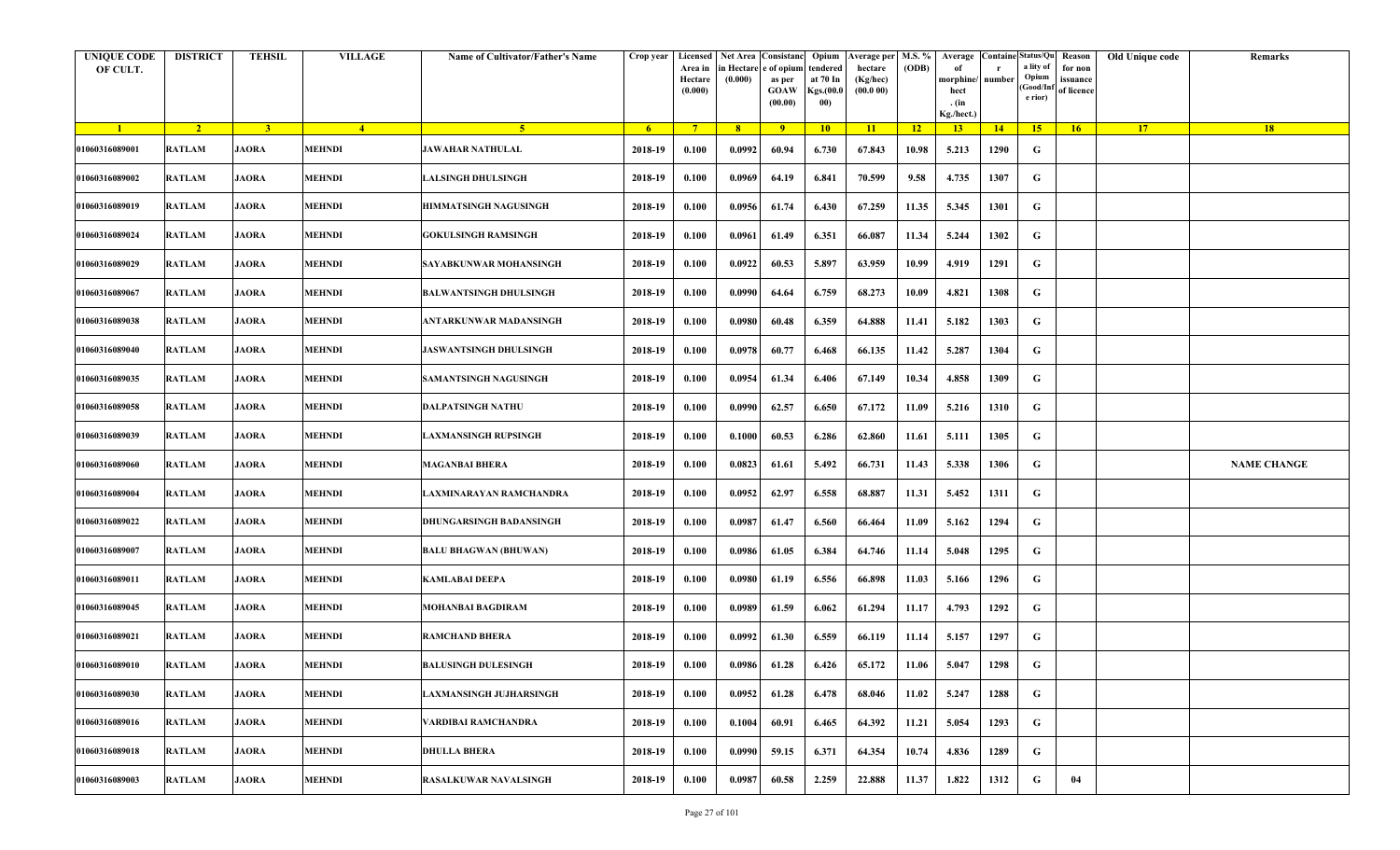| <b>UNIQUE CODE</b><br>OF CULT. | <b>DISTRICT</b> | <b>TEHSIL</b>  | <b>VILLAGE</b> | Name of Cultivator/Father's Name | Crop year      | Area in<br>Hectare<br>(0.000) | Licensed Net Area Consistanc<br>ı Hectar<br>(0.000) | e of opium<br>as per<br><b>GOAW</b><br>(00.00) | Opium<br>tendered<br>at 70 In<br>Kgs.(00.0<br>00) | <b>Average per</b><br>hectare<br>(Kg/hec)<br>(00.000) | M.S. %<br>(ODB) | Average<br>morphine/<br>hect<br>. (in<br>Kg./hect.) | <b>Containe Status/Qu</b><br>number | a lity of<br>Opium<br>(Good/In<br>e rior) | Reason<br>for non<br>issuance<br>of licence | Old Unique code | Remarks            |
|--------------------------------|-----------------|----------------|----------------|----------------------------------|----------------|-------------------------------|-----------------------------------------------------|------------------------------------------------|---------------------------------------------------|-------------------------------------------------------|-----------------|-----------------------------------------------------|-------------------------------------|-------------------------------------------|---------------------------------------------|-----------------|--------------------|
| $\blacksquare$                 | $\sqrt{2}$      | 3 <sup>2</sup> | $\sqrt{4}$     | 5 <sup>5</sup>                   | 6 <sup>6</sup> | $-7$                          | 8 <sup>1</sup>                                      | $-9$                                           | 10                                                | $\vert$ 11                                            | $-12$           | 13                                                  | 14                                  | 15                                        | 16                                          | 17              | 18                 |
| 01060316089001                 | <b>RATLAM</b>   | <b>JAORA</b>   | MEHNDI         | JAWAHAR NATHULAL                 | 2018-19        | 0.100                         | 0.0992                                              | 60.94                                          | 6.730                                             | 67.843                                                | 10.98           | 5.213                                               | 1290                                | G                                         |                                             |                 |                    |
| 01060316089002                 | <b>RATLAM</b>   | <b>JAORA</b>   | <b>MEHNDI</b>  | <b>LALSINGH DHULSINGH</b>        | 2018-19        | 0.100                         | 0.0969                                              | 64.19                                          | 6.841                                             | 70.599                                                | 9.58            | 4.735                                               | 1307                                | G                                         |                                             |                 |                    |
| 01060316089019                 | <b>RATLAM</b>   | JAORA          | MEHNDI         | HIMMATSINGH NAGUSINGH            | 2018-19        | 0.100                         | 0.0956                                              | 61.74                                          | 6.430                                             | 67.259                                                | 11.35           | 5.345                                               | 1301                                | G                                         |                                             |                 |                    |
| 01060316089024                 | <b>RATLAM</b>   | <b>JAORA</b>   | <b>MEHNDI</b>  | <b>GOKULSINGH RAMSINGH</b>       | 2018-19        | 0.100                         | 0.0961                                              | 61.49                                          | 6.351                                             | 66.087                                                | 11.34           | 5.244                                               | 1302                                | G                                         |                                             |                 |                    |
| 01060316089029                 | <b>RATLAM</b>   | <b>JAORA</b>   | <b>MEHNDI</b>  | SAYABKUNWAR MOHANSINGH           | 2018-19        | 0.100                         | 0.0922                                              | 60.53                                          | 5.897                                             | 63.959                                                | 10.99           | 4.919                                               | 1291                                | G                                         |                                             |                 |                    |
| 01060316089067                 | <b>RATLAM</b>   | <b>JAORA</b>   | <b>MEHNDI</b>  | <b>BALWANTSINGH DHULSINGH</b>    | 2018-19        | 0.100                         | 0.0990                                              | 64.64                                          | 6.759                                             | 68.273                                                | 10.09           | 4.821                                               | 1308                                | G                                         |                                             |                 |                    |
| 01060316089038                 | <b>RATLAM</b>   | <b>JAORA</b>   | MEHNDI         | ANTARKUNWAR MADANSINGH           | 2018-19        | 0.100                         | 0.0980                                              | 60.48                                          | 6.359                                             | 64.888                                                | 11.41           | 5.182                                               | 1303                                | G                                         |                                             |                 |                    |
| 01060316089040                 | <b>RATLAM</b>   | <b>JAORA</b>   | <b>MEHNDI</b>  | JASWANTSINGH DHULSINGH           | 2018-19        | 0.100                         | 0.0978                                              | 60.77                                          | 6.468                                             | 66.135                                                | 11.42           | 5.287                                               | 1304                                | G                                         |                                             |                 |                    |
| 01060316089035                 | <b>RATLAM</b>   | <b>JAORA</b>   | <b>MEHNDI</b>  | SAMANTSINGH NAGUSINGH            | 2018-19        | 0.100                         | 0.0954                                              | 61.34                                          | 6.406                                             | 67.149                                                | 10.34           | 4.858                                               | 1309                                | G                                         |                                             |                 |                    |
| 01060316089058                 | <b>RATLAM</b>   | JAORA          | MEHNDI         | DALPATSINGH NATHU                | 2018-19        | 0.100                         | 0.0990                                              | 62.57                                          | 6.650                                             | 67.172                                                | 11.09           | 5.216                                               | 1310                                | G                                         |                                             |                 |                    |
| 01060316089039                 | <b>RATLAM</b>   | <b>JAORA</b>   | MEHNDI         | LAXMANSINGH RUPSINGH             | 2018-19        | 0.100                         | 0.1000                                              | 60.53                                          | 6.286                                             | 62.860                                                | 11.61           | 5.111                                               | 1305                                | G                                         |                                             |                 |                    |
| 01060316089060                 | <b>RATLAM</b>   | JAORA          | MEHNDI         | <b>MAGANBAI BHERA</b>            | 2018-19        | 0.100                         | 0.0823                                              | 61.61                                          | 5.492                                             | 66.731                                                | 11.43           | 5.338                                               | 1306                                | G                                         |                                             |                 | <b>NAME CHANGE</b> |
| 01060316089004                 | <b>RATLAM</b>   | <b>JAORA</b>   | <b>MEHNDI</b>  | LAXMINARAYAN RAMCHANDRA          | 2018-19        | 0.100                         | 0.0952                                              | 62.97                                          | 6.558                                             | 68.887                                                | 11.31           | 5.452                                               | 1311                                | G                                         |                                             |                 |                    |
| 01060316089022                 | <b>RATLAM</b>   | <b>JAORA</b>   | <b>MEHNDI</b>  | DHUNGARSINGH BADANSINGH          | 2018-19        | 0.100                         | 0.0987                                              | 61.47                                          | 6.560                                             | 66.464                                                | 11.09           | 5.162                                               | 1294                                | G                                         |                                             |                 |                    |
| 01060316089007                 | <b>RATLAM</b>   | <b>JAORA</b>   | <b>MEHNDI</b>  | <b>BALU BHAGWAN (BHUWAN)</b>     | 2018-19        | 0.100                         | 0.0986                                              | 61.05                                          | 6.384                                             | 64.746                                                | 11.14           | 5.048                                               | 1295                                | G                                         |                                             |                 |                    |
| 01060316089011                 | <b>RATLAM</b>   | <b>JAORA</b>   | MEHNDI         | <b>KAMLABAI DEEPA</b>            | 2018-19        | 0.100                         | 0.0980                                              | 61.19                                          | 6.556                                             | 66.898                                                | 11.03           | 5.166                                               | 1296                                | G                                         |                                             |                 |                    |
| 01060316089045                 | <b>RATLAM</b>   | <b>JAORA</b>   | <b>MEHNDI</b>  | MOHANBAI BAGDIRAM                | 2018-19        | 0.100                         | 0.0989                                              | 61.59                                          | 6.062                                             | 61.294                                                | 11.17           | 4.793                                               | 1292                                | G                                         |                                             |                 |                    |
| 01060316089021                 | <b>RATLAM</b>   | <b>JAORA</b>   | <b>MEHNDI</b>  | <b>RAMCHAND BHERA</b>            | 2018-19        | 0.100                         | 0.0992                                              | 61.30                                          | 6.559                                             | 66.119                                                | 11.14           | 5.157                                               | 1297                                | G                                         |                                             |                 |                    |
| 01060316089010                 | <b>RATLAM</b>   | <b>JAORA</b>   | <b>MEHNDI</b>  | <b>BALUSINGH DULESINGH</b>       | 2018-19        | 0.100                         | 0.0986                                              | 61.28                                          | 6.426                                             | 65.172                                                | 11.06           | 5.047                                               | 1298                                | G                                         |                                             |                 |                    |
| 01060316089030                 | <b>RATLAM</b>   | <b>JAORA</b>   | MEHNDI         | <b>LAXMANSINGH JUJHARSINGH</b>   | 2018-19        | 0.100                         | 0.0952                                              | 61.28                                          | 6.478                                             | 68.046                                                | 11.02           | 5.247                                               | 1288                                | G                                         |                                             |                 |                    |
| 01060316089016                 | <b>RATLAM</b>   | <b>JAORA</b>   | MEHNDI         | VARDIBAI RAMCHANDRA              | 2018-19        | 0.100                         | 0.1004                                              | 60.91                                          | 6.465                                             | 64.392                                                | 11.21           | 5.054                                               | 1293                                | G                                         |                                             |                 |                    |
| 01060316089018                 | <b>RATLAM</b>   | <b>JAORA</b>   | <b>MEHNDI</b>  | <b>DHULLA BHERA</b>              | 2018-19        | 0.100                         | 0.0990                                              | 59.15                                          | 6.371                                             | 64.354                                                | 10.74           | 4.836                                               | 1289                                | G                                         |                                             |                 |                    |
| 01060316089003                 | <b>RATLAM</b>   | <b>JAORA</b>   | MEHNDI         | <b>RASALKUWAR NAVALSINGH</b>     | 2018-19        | 0.100                         | 0.0987                                              | 60.58                                          | 2.259                                             | 22.888                                                | 11.37           | 1.822                                               | 1312                                | G                                         | 04                                          |                 |                    |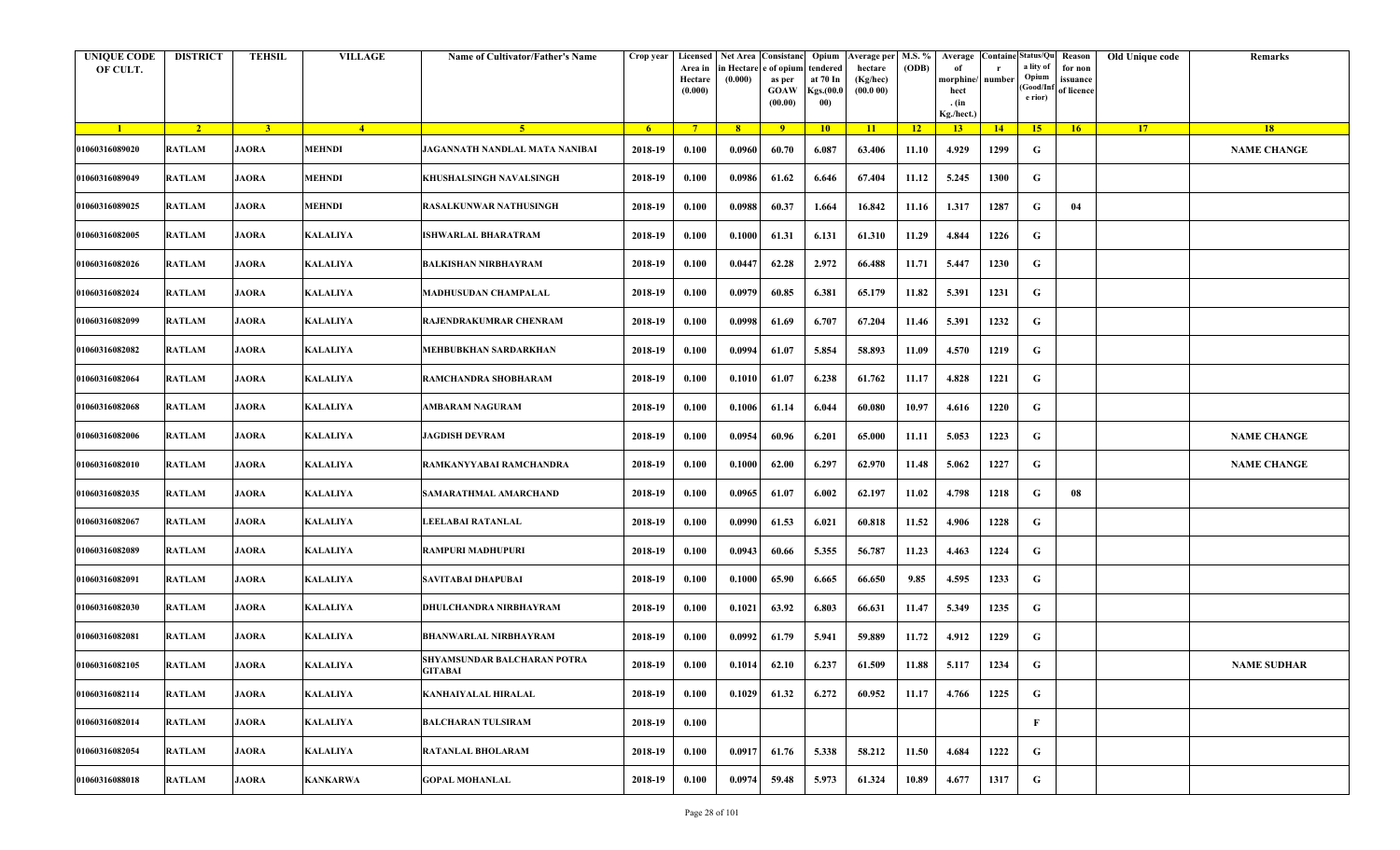| <b>UNIQUE CODE</b><br>OF CULT. | <b>DISTRICT</b> | <b>TEHSIL</b>  | <b>VILLAGE</b>  | Name of Cultivator/Father's Name       | Crop year | Area in<br>Hectare<br>(0.000) | Licensed Net Area Consistanc<br>ı Hectar<br>(0.000) | e of opium<br>as per<br><b>GOAW</b><br>(00.00) | Opium<br>tendered<br>at 70 In<br>Kgs.(00.0<br>00) | <b>Average per</b><br>hectare<br>(Kg/hec)<br>(00.000) | M.S. %<br>(ODB) | Average<br>morphine/<br>hect<br>. (in<br>Kg./hect.) | <b>Containe Status/Qu</b><br>number | a lity of<br>Opium<br>(Good/In<br>e rior) | Reason<br>for non<br>issuance<br>of licence | Old Unique code | Remarks            |
|--------------------------------|-----------------|----------------|-----------------|----------------------------------------|-----------|-------------------------------|-----------------------------------------------------|------------------------------------------------|---------------------------------------------------|-------------------------------------------------------|-----------------|-----------------------------------------------------|-------------------------------------|-------------------------------------------|---------------------------------------------|-----------------|--------------------|
| $\mathbf{1}$                   | $\overline{2}$  | 3 <sup>2</sup> | $\sqrt{4}$      | -5.                                    | $-6$      | $-7$                          | 8 <sup>1</sup>                                      | $-9$                                           | 10                                                | $\vert$ 11                                            | $-12$           | 13                                                  | 14                                  | 15                                        | 16                                          | 17              | 18                 |
| 01060316089020                 | <b>RATLAM</b>   | <b>JAORA</b>   | MEHNDI          | JAGANNATH NANDLAL MATA NANIBAI         | 2018-19   | 0.100                         | 0.0960                                              | 60.70                                          | 6.087                                             | 63.406                                                | 11.10           | 4.929                                               | 1299                                | G                                         |                                             |                 | <b>NAME CHANGE</b> |
| 01060316089049                 | <b>RATLAM</b>   | <b>JAORA</b>   | <b>MEHNDI</b>   | KHUSHALSINGH NAVALSINGH                | 2018-19   | 0.100                         | 0.0986                                              | 61.62                                          | 6.646                                             | 67.404                                                | 11.12           | 5.245                                               | 1300                                | G                                         |                                             |                 |                    |
| 01060316089025                 | <b>RATLAM</b>   | JAORA          | MEHNDI          | <b>RASALKUNWAR NATHUSINGH</b>          | 2018-19   | 0.100                         | 0.0988                                              | 60.37                                          | 1.664                                             | 16.842                                                | 11.16           | 1.317                                               | 1287                                | G                                         | 04                                          |                 |                    |
| 01060316082005                 | <b>RATLAM</b>   | <b>JAORA</b>   | <b>KALALIYA</b> | <b>ISHWARLAL BHARATRAM</b>             | 2018-19   | 0.100                         | 0.1000                                              | 61.31                                          | 6.131                                             | 61.310                                                | 11.29           | 4.844                                               | 1226                                | G                                         |                                             |                 |                    |
| 01060316082026                 | <b>RATLAM</b>   | <b>JAORA</b>   | <b>KALALIYA</b> | <b>BALKISHAN NIRBHAYRAM</b>            | 2018-19   | 0.100                         | 0.0447                                              | 62.28                                          | 2.972                                             | 66.488                                                | 11.71           | 5.447                                               | 1230                                | G                                         |                                             |                 |                    |
| 01060316082024                 | <b>RATLAM</b>   | <b>JAORA</b>   | KALALIYA        | MADHUSUDAN CHAMPALAL                   | 2018-19   | 0.100                         | 0.0979                                              | 60.85                                          | 6.381                                             | 65.179                                                | 11.82           | 5.391                                               | 1231                                | G                                         |                                             |                 |                    |
| 01060316082099                 | <b>RATLAM</b>   | <b>JAORA</b>   | <b>KALALIYA</b> | RAJENDRAKUMRAR CHENRAM                 | 2018-19   | 0.100                         | 0.0998                                              | 61.69                                          | 6.707                                             | 67.204                                                | 11.46           | 5.391                                               | 1232                                | G                                         |                                             |                 |                    |
| 01060316082082                 | <b>RATLAM</b>   | <b>JAORA</b>   | KALALIYA        | MEHBUBKHAN SARDARKHAN                  | 2018-19   | 0.100                         | 0.0994                                              | 61.07                                          | 5.854                                             | 58.893                                                | 11.09           | 4.570                                               | 1219                                | G                                         |                                             |                 |                    |
| 01060316082064                 | <b>RATLAM</b>   | <b>JAORA</b>   | <b>KALALIYA</b> | RAMCHANDRA SHOBHARAM                   | 2018-19   | 0.100                         | 0.1010                                              | 61.07                                          | 6.238                                             | 61.762                                                | 11.17           | 4.828                                               | 1221                                | G                                         |                                             |                 |                    |
| 01060316082068                 | <b>RATLAM</b>   | JAORA          | KALALIYA        | AMBARAM NAGURAM                        | 2018-19   | 0.100                         | 0.1006                                              | 61.14                                          | 6.044                                             | 60.080                                                | 10.97           | 4.616                                               | 1220                                | G                                         |                                             |                 |                    |
| 01060316082006                 | <b>RATLAM</b>   | <b>JAORA</b>   | <b>KALALIYA</b> | <b>JAGDISH DEVRAM</b>                  | 2018-19   | 0.100                         | 0.0954                                              | 60.96                                          | 6.201                                             | 65.000                                                | 11.11           | 5.053                                               | 1223                                | G                                         |                                             |                 | <b>NAME CHANGE</b> |
| 01060316082010                 | <b>RATLAM</b>   | JAORA          | <b>KALALIYA</b> | RAMKANYYABAI RAMCHANDRA                | 2018-19   | 0.100                         | 0.1000                                              | 62.00                                          | 6.297                                             | 62.970                                                | 11.48           | 5.062                                               | 1227                                | G                                         |                                             |                 | <b>NAME CHANGE</b> |
| 01060316082035                 | <b>RATLAM</b>   | <b>JAORA</b>   | <b>KALALIYA</b> | SAMARATHMAL AMARCHAND                  | 2018-19   | 0.100                         | 0.0965                                              | 61.07                                          | 6.002                                             | 62.197                                                | 11.02           | 4.798                                               | 1218                                | G                                         | 08                                          |                 |                    |
| 01060316082067                 | <b>RATLAM</b>   | <b>JAORA</b>   | <b>KALALIYA</b> | LEELABAI RATANLAL                      | 2018-19   | 0.100                         | 0.0990                                              | 61.53                                          | 6.021                                             | 60.818                                                | 11.52           | 4.906                                               | 1228                                | G                                         |                                             |                 |                    |
| 01060316082089                 | <b>RATLAM</b>   | <b>JAORA</b>   | <b>KALALIYA</b> | RAMPURI MADHUPURI                      | 2018-19   | 0.100                         | 0.0943                                              | 60.66                                          | 5.355                                             | 56.787                                                | 11.23           | 4.463                                               | 1224                                | G                                         |                                             |                 |                    |
| 01060316082091                 | <b>RATLAM</b>   | <b>JAORA</b>   | <b>KALALIYA</b> | SAVITABAI DHAPUBAI                     | 2018-19   | 0.100                         | 0.1000                                              | 65.90                                          | 6.665                                             | 66.650                                                | 9.85            | 4.595                                               | 1233                                | G                                         |                                             |                 |                    |
| 01060316082030                 | <b>RATLAM</b>   | <b>JAORA</b>   | <b>KALALIYA</b> | DHULCHANDRA NIRBHAYRAM                 | 2018-19   | 0.100                         | 0.1021                                              | 63.92                                          | 6.803                                             | 66.631                                                | 11.47           | 5.349                                               | 1235                                | G                                         |                                             |                 |                    |
| 01060316082081                 | <b>RATLAM</b>   | <b>JAORA</b>   | <b>KALALIYA</b> | <b>BHANWARLAL NIRBHAYRAM</b>           | 2018-19   | 0.100                         | 0.0992                                              | 61.79                                          | 5.941                                             | 59.889                                                | 11.72           | 4.912                                               | 1229                                | G                                         |                                             |                 |                    |
| 01060316082105                 | <b>RATLAM</b>   | <b>JAORA</b>   | <b>KALALIYA</b> | SHYAMSUNDAR BALCHARAN POTRA<br>GITABAI | 2018-19   | 0.100                         | 0.1014                                              | 62.10                                          | 6.237                                             | 61.509                                                | 11.88           | 5.117                                               | 1234                                | G                                         |                                             |                 | <b>NAME SUDHAR</b> |
| 01060316082114                 | <b>RATLAM</b>   | <b>JAORA</b>   | <b>KALALIYA</b> | <b>KANHAIYALAL HIRALAL</b>             | 2018-19   | 0.100                         | 0.1029                                              | 61.32                                          | 6.272                                             | 60.952                                                | 11.17           | 4.766                                               | 1225                                | G                                         |                                             |                 |                    |
| 01060316082014                 | <b>RATLAM</b>   | <b>JAORA</b>   | KALALIYA        | <b>BALCHARAN TULSIRAM</b>              | 2018-19   | 0.100                         |                                                     |                                                |                                                   |                                                       |                 |                                                     |                                     | $\mathbf{F}$                              |                                             |                 |                    |
| 01060316082054                 | <b>RATLAM</b>   | <b>JAORA</b>   | KALALIYA        | RATANLAL BHOLARAM                      | 2018-19   | 0.100                         | 0.0917                                              | 61.76                                          | 5.338                                             | 58.212                                                | 11.50           | 4.684                                               | 1222                                | $\mathbf G$                               |                                             |                 |                    |
| 01060316088018                 | <b>RATLAM</b>   | <b>JAORA</b>   | <b>KANKARWA</b> | <b>GOPAL MOHANLAL</b>                  | 2018-19   | 0.100                         | 0.0974                                              | 59.48                                          | 5.973                                             | 61.324                                                | 10.89           | 4.677                                               | 1317                                | $\mathbf G$                               |                                             |                 |                    |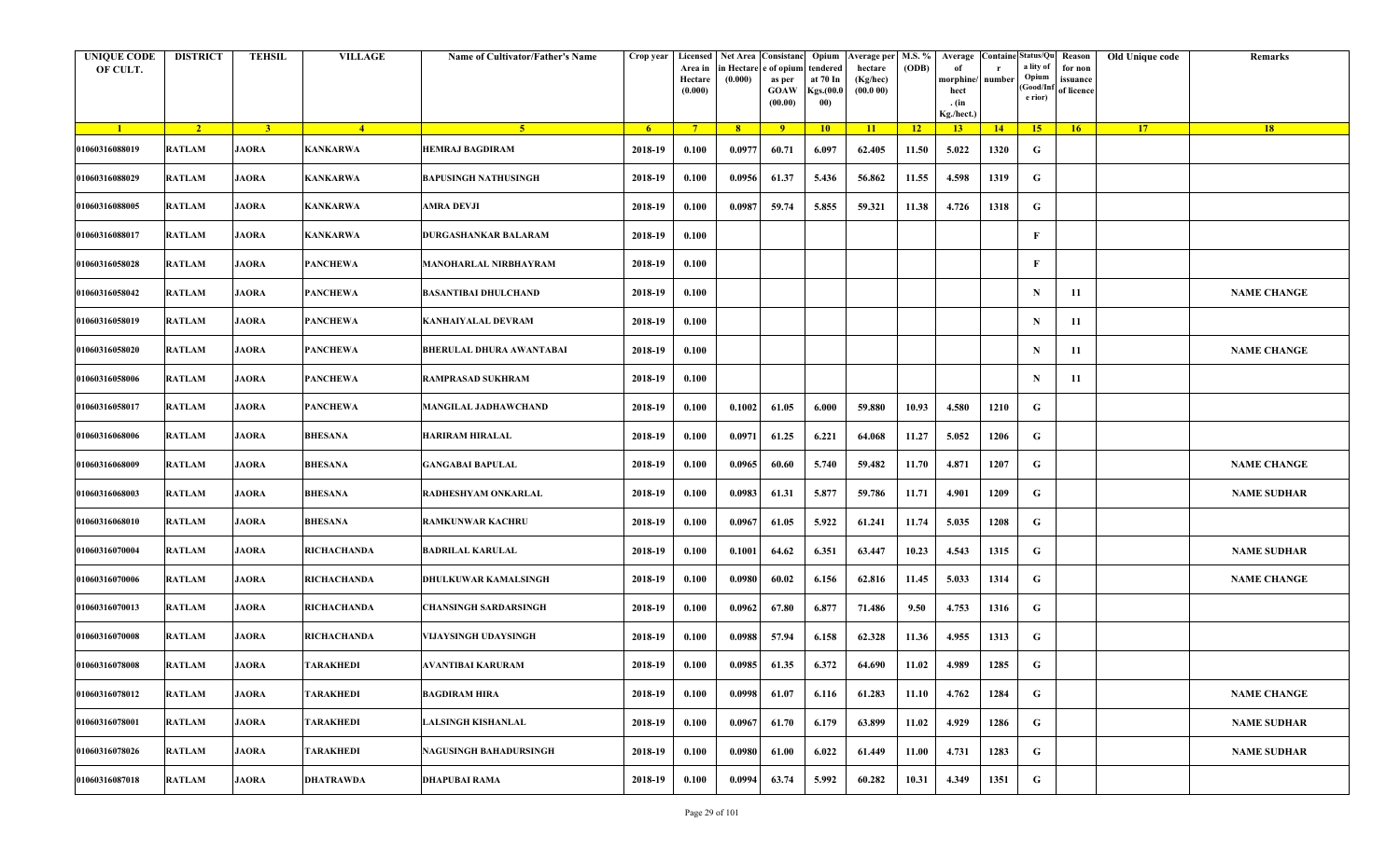| <b>UNIQUE CODE</b><br>OF CULT. | <b>DISTRICT</b> | <b>TEHSIL</b>  | <b>VILLAGE</b>          | Name of Cultivator/Father's Name | Crop year      | Licensed<br>Area in<br>Hectare<br>(0.000) | <b>Hectar</b><br>(0.000) | Net Area Consistanc<br>e of opium<br>as per<br><b>GOAW</b><br>(00.00) | Opium<br>tendered<br>at 70 In<br>Kgs.(00.0<br>00) | <b>Average per</b><br>hectare<br>(Kg/hec)<br>(00.000) | M.S. %<br>(ODB) | Average<br>morphine/<br>hect<br>. (in<br>Kg./hect.) | <b>Containe Status/Qu</b><br>number | a lity of<br>Opium<br>(Good/In<br>e rior) | Reason<br>for non<br>issuance<br>of licence | Old Unique code | Remarks            |
|--------------------------------|-----------------|----------------|-------------------------|----------------------------------|----------------|-------------------------------------------|--------------------------|-----------------------------------------------------------------------|---------------------------------------------------|-------------------------------------------------------|-----------------|-----------------------------------------------------|-------------------------------------|-------------------------------------------|---------------------------------------------|-----------------|--------------------|
| $\blacksquare$                 | $\overline{2}$  | 3 <sup>2</sup> | $\overline{4}$          | -5.                              | 6 <sup>6</sup> | $-7$                                      | 8 <sup>1</sup>           | $-9$                                                                  | 10                                                | $\vert$ 11                                            | $-12$           | 13                                                  | 14                                  | 15                                        | 16                                          | 17              | 18                 |
| 01060316088019                 | <b>RATLAM</b>   | <b>JAORA</b>   | KANKARWA                | <b>HEMRAJ BAGDIRAM</b>           | 2018-19        | 0.100                                     | 0.0977                   | 60.71                                                                 | 6.097                                             | 62.405                                                | 11.50           | 5.022                                               | 1320                                | G                                         |                                             |                 |                    |
| 01060316088029                 | <b>RATLAM</b>   | <b>JAORA</b>   | <b>KANKARWA</b>         | <b>BAPUSINGH NATHUSINGH</b>      | 2018-19        | 0.100                                     | 0.0956                   | 61.37                                                                 | 5.436                                             | 56.862                                                | 11.55           | 4.598                                               | 1319                                | G                                         |                                             |                 |                    |
| 01060316088005                 | <b>RATLAM</b>   | <b>JAORA</b>   | <b>KANKARWA</b>         | AMRA DEVJI                       | 2018-19        | 0.100                                     | 0.0987                   | 59.74                                                                 | 5.855                                             | 59.321                                                | 11.38           | 4.726                                               | 1318                                | G                                         |                                             |                 |                    |
| 01060316088017                 | <b>RATLAM</b>   | <b>JAORA</b>   | <b>KANKARWA</b>         | <b>DURGASHANKAR BALARAM</b>      | 2018-19        | 0.100                                     |                          |                                                                       |                                                   |                                                       |                 |                                                     |                                     | F                                         |                                             |                 |                    |
| 01060316058028                 | <b>RATLAM</b>   | <b>JAORA</b>   | PANCHEWA                | MANOHARLAL NIRBHAYRAM            | 2018-19        | 0.100                                     |                          |                                                                       |                                                   |                                                       |                 |                                                     |                                     | $\mathbf{F}$                              |                                             |                 |                    |
| 01060316058042                 | <b>RATLAM</b>   | <b>JAORA</b>   | PANCHEWA                | <b>BASANTIBAI DHULCHAND</b>      | 2018-19        | 0.100                                     |                          |                                                                       |                                                   |                                                       |                 |                                                     |                                     | N                                         | 11                                          |                 | <b>NAME CHANGE</b> |
| 01060316058019                 | <b>RATLAM</b>   | <b>JAORA</b>   | <b>PANCHEWA</b>         | <b>KANHAIYALAL DEVRAM</b>        | 2018-19        | 0.100                                     |                          |                                                                       |                                                   |                                                       |                 |                                                     |                                     | N                                         | 11                                          |                 |                    |
| 01060316058020                 | <b>RATLAM</b>   | <b>JAORA</b>   | PANCHEWA                | <b>BHERULAL DHURA AWANTABAI</b>  | 2018-19        | 0.100                                     |                          |                                                                       |                                                   |                                                       |                 |                                                     |                                     | N                                         | 11                                          |                 | <b>NAME CHANGE</b> |
| 01060316058006                 | <b>RATLAM</b>   | <b>JAORA</b>   | PANCHEWA                | <b>RAMPRASAD SUKHRAM</b>         | 2018-19        | 0.100                                     |                          |                                                                       |                                                   |                                                       |                 |                                                     |                                     | N                                         | 11                                          |                 |                    |
| 01060316058017                 | <b>RATLAM</b>   | <b>JAORA</b>   | PANCHEWA                | <b>MANGILAL JADHAWCHAND</b>      | 2018-19        | 0.100                                     | 0.1002                   | 61.05                                                                 | 6.000                                             | 59.880                                                | 10.93           | 4.580                                               | 1210                                | G                                         |                                             |                 |                    |
| 01060316068006                 | <b>RATLAM</b>   | <b>JAORA</b>   | BHESANA                 | <b>HARIRAM HIRALAL</b>           | 2018-19        | 0.100                                     | 0.0971                   | 61.25                                                                 | 6.221                                             | 64.068                                                | 11.27           | 5.052                                               | 1206                                | G                                         |                                             |                 |                    |
| 01060316068009                 | <b>RATLAM</b>   | JAORA          | BHESANA                 | GANGABAI BAPULAL                 | 2018-19        | 0.100                                     | 0.0965                   | 60.60                                                                 | 5.740                                             | 59.482                                                | 11.70           | 4.871                                               | 1207                                | G                                         |                                             |                 | <b>NAME CHANGE</b> |
| 01060316068003                 | <b>RATLAM</b>   | <b>JAORA</b>   | BHESANA                 | RADHESHYAM ONKARLAL              | 2018-19        | 0.100                                     | 0.0983                   | 61.31                                                                 | 5.877                                             | 59.786                                                | 11.71           | 4.901                                               | 1209                                | G                                         |                                             |                 | <b>NAME SUDHAR</b> |
| 01060316068010                 | <b>RATLAM</b>   | <b>JAORA</b>   | BHESANA                 | <b>RAMKUNWAR KACHRU</b>          | 2018-19        | 0.100                                     | 0.0967                   | 61.05                                                                 | 5.922                                             | 61.241                                                | 11.74           | 5.035                                               | 1208                                | G                                         |                                             |                 |                    |
| 01060316070004                 | <b>RATLAM</b>   | <b>JAORA</b>   | RICHACHANDA             | <b>BADRILAL KARULAL</b>          | 2018-19        | 0.100                                     | 0.1001                   | 64.62                                                                 | 6.351                                             | 63.447                                                | 10.23           | 4.543                                               | 1315                                | G                                         |                                             |                 | <b>NAME SUDHAR</b> |
| 01060316070006                 | <b>RATLAM</b>   | <b>JAORA</b>   | RICHACHANDA             | DHULKUWAR KAMALSINGH             | 2018-19        | 0.100                                     | 0.0980                   | 60.02                                                                 | 6.156                                             | 62.816                                                | 11.45           | 5.033                                               | 1314                                | G                                         |                                             |                 | <b>NAME CHANGE</b> |
| 01060316070013                 | <b>RATLAM</b>   | <b>JAORA</b>   | RICHACHANDA             | <b>CHANSINGH SARDARSINGH</b>     | 2018-19        | 0.100                                     | 0.0962                   | 67.80                                                                 | 6.877                                             | 71.486                                                | 9.50            | 4.753                                               | 1316                                | G                                         |                                             |                 |                    |
| 01060316070008                 | <b>RATLAM</b>   | <b>JAORA</b>   | RICHACHANDA             | VIJAYSINGH UDAYSINGH             | 2018-19        | 0.100                                     | 0.0988                   | 57.94                                                                 | 6.158                                             | 62.328                                                | 11.36           | 4.955                                               | 1313                                | G                                         |                                             |                 |                    |
| 01060316078008                 | <b>RATLAM</b>   | <b>JAORA</b>   | TARAKHEDI               | <b>AVANTIBAI KARURAM</b>         | 2018-19        | 0.100                                     | 0.0985                   | 61.35                                                                 | 6.372                                             | 64.690                                                | 11.02           | 4.989                                               | 1285                                | G                                         |                                             |                 |                    |
| 01060316078012                 | <b>RATLAM</b>   | <b>JAORA</b>   | <b><i>FARAKHEDI</i></b> | <b>BAGDIRAM HIRA</b>             | 2018-19        | 0.100                                     | 0.0998                   | 61.07                                                                 | 6.116                                             | 61.283                                                | 11.10           | 4.762                                               | 1284                                | G                                         |                                             |                 | <b>NAME CHANGE</b> |
| 01060316078001                 | <b>RATLAM</b>   | <b>JAORA</b>   | TARAKHEDI               | LALSINGH KISHANLAL               | 2018-19        | 0.100                                     | 0.0967                   | 61.70                                                                 | 6.179                                             | 63.899                                                | 11.02           | 4.929                                               | 1286                                | $\mathbf G$                               |                                             |                 | <b>NAME SUDHAR</b> |
| 01060316078026                 | <b>RATLAM</b>   | <b>JAORA</b>   | <b><i>FARAKHEDI</i></b> | <b>NAGUSINGH BAHADURSINGH</b>    | 2018-19        | 0.100                                     | 0.0980                   | 61.00                                                                 | 6.022                                             | 61.449                                                | 11.00           | 4.731                                               | 1283                                | G                                         |                                             |                 | <b>NAME SUDHAR</b> |
| 01060316087018                 | <b>RATLAM</b>   | <b>JAORA</b>   | DHATRAWDA               | <b>DHAPUBAI RAMA</b>             | 2018-19        | 0.100                                     | 0.0994                   | 63.74                                                                 | 5.992                                             | 60.282                                                | 10.31           | 4.349                                               | 1351                                | G                                         |                                             |                 |                    |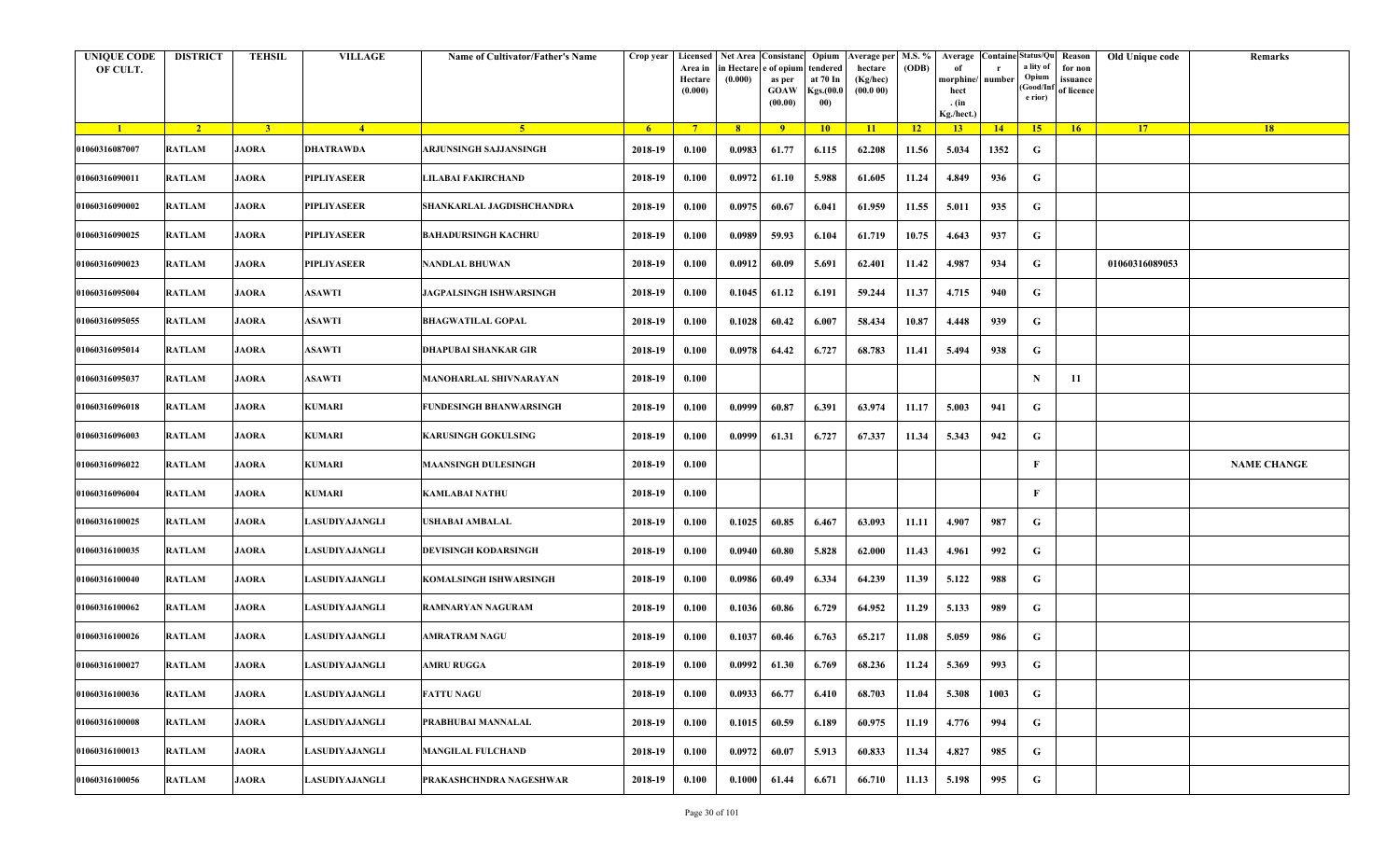| <b>UNIQUE CODE</b><br>OF CULT. | <b>DISTRICT</b> | <b>TEHSIL</b>  | <b>VILLAGE</b>     | Name of Cultivator/Father's Name | Crop year | Area in<br>Hectare<br>(0.000) | Licensed Net Area Consistanc<br>ı Hectar<br>(0.000) | e of opium<br>as per<br><b>GOAW</b><br>(00.00) | Opium<br>tendered<br>at 70 In<br>Kgs.(00.0<br>00) | <b>Average per</b><br>hectare<br>(Kg/hec)<br>(00.000) | M.S. %<br>(ODB) | Average<br>morphine/<br>hect<br>. (in<br>Kg./hect.) | <b>Containe Status/Qu</b><br>number | a lity of<br>Opium<br>(Good/In:<br>e rior) | Reason<br>for non<br>issuance<br>of licence | Old Unique code | Remarks            |
|--------------------------------|-----------------|----------------|--------------------|----------------------------------|-----------|-------------------------------|-----------------------------------------------------|------------------------------------------------|---------------------------------------------------|-------------------------------------------------------|-----------------|-----------------------------------------------------|-------------------------------------|--------------------------------------------|---------------------------------------------|-----------------|--------------------|
| $\blacksquare$                 | $\overline{2}$  | 3 <sup>2</sup> | $\sqrt{4}$         | $\sqrt{5}$                       | $-6$      | $-7$                          | 8 <sup>1</sup>                                      | $-9$                                           | 10                                                | $\vert$ 11                                            | $-12$           | 13                                                  | 14                                  | 15                                         | 16                                          | 17              | 18                 |
| 01060316087007                 | <b>RATLAM</b>   | <b>JAORA</b>   | DHATRAWDA          | ARJUNSINGH SAJJANSINGH           | 2018-19   | 0.100                         | 0.0983                                              | 61.77                                          | 6.115                                             | 62.208                                                | 11.56           | 5.034                                               | 1352                                | G                                          |                                             |                 |                    |
| 01060316090011                 | <b>RATLAM</b>   | <b>JAORA</b>   | PIPLIYASEER        | LILABAI FAKIRCHAND               | 2018-19   | 0.100                         | 0.0972                                              | 61.10                                          | 5.988                                             | 61.605                                                | 11.24           | 4.849                                               | 936                                 | G                                          |                                             |                 |                    |
| 01060316090002                 | <b>RATLAM</b>   | JAORA          | <b>PIPLIYASEER</b> | SHANKARLAL JAGDISHCHANDRA        | 2018-19   | 0.100                         | 0.0975                                              | 60.67                                          | 6.041                                             | 61.959                                                | 11.55           | 5.011                                               | 935                                 | G                                          |                                             |                 |                    |
| 01060316090025                 | <b>RATLAM</b>   | <b>JAORA</b>   | PIPLIYASEER        | <b>BAHADURSINGH KACHRU</b>       | 2018-19   | 0.100                         | 0.0989                                              | 59.93                                          | 6.104                                             | 61.719                                                | 10.75           | 4.643                                               | 937                                 | G                                          |                                             |                 |                    |
| 01060316090023                 | <b>RATLAM</b>   | <b>JAORA</b>   | PIPLIYASEER        | NANDLAL BHUWAN                   | 2018-19   | 0.100                         | 0.0912                                              | 60.09                                          | 5.691                                             | 62.401                                                | 11.42           | 4.987                                               | 934                                 | G                                          |                                             | 01060316089053  |                    |
| 01060316095004                 | <b>RATLAM</b>   | <b>JAORA</b>   | ASAWTI             | JAGPALSINGH ISHWARSINGH          | 2018-19   | 0.100                         | 0.1045                                              | 61.12                                          | 6.191                                             | 59.244                                                | 11.37           | 4.715                                               | 940                                 | G                                          |                                             |                 |                    |
| 01060316095055                 | <b>RATLAM</b>   | <b>JAORA</b>   | <b>ASAWTI</b>      | <b>BHAGWATILAL GOPAL</b>         | 2018-19   | 0.100                         | 0.1028                                              | 60.42                                          | 6.007                                             | 58.434                                                | 10.87           | 4.448                                               | 939                                 | G                                          |                                             |                 |                    |
| 01060316095014                 | <b>RATLAM</b>   | <b>JAORA</b>   | ASAWTI             | DHAPUBAI SHANKAR GIR             | 2018-19   | 0.100                         | 0.0978                                              | 64.42                                          | 6.727                                             | 68.783                                                | 11.41           | 5.494                                               | 938                                 | G                                          |                                             |                 |                    |
| 01060316095037                 | <b>RATLAM</b>   | <b>JAORA</b>   | ASAWTI             | MANOHARLAL SHIVNARAYAN           | 2018-19   | 0.100                         |                                                     |                                                |                                                   |                                                       |                 |                                                     |                                     | N                                          | 11                                          |                 |                    |
| 01060316096018                 | <b>RATLAM</b>   | <b>JAORA</b>   | KUMARI             | <b>FUNDESINGH BHANWARSINGH</b>   | 2018-19   | 0.100                         | 0.0999                                              | 60.87                                          | 6.391                                             | 63.974                                                | 11.17           | 5.003                                               | 941                                 | G                                          |                                             |                 |                    |
| 01060316096003                 | <b>RATLAM</b>   | <b>JAORA</b>   | <b>KUMARI</b>      | <b>KARUSINGH GOKULSING</b>       | 2018-19   | 0.100                         | 0.0999                                              | 61.31                                          | 6.727                                             | 67.337                                                | 11.34           | 5.343                                               | 942                                 | G                                          |                                             |                 |                    |
| 01060316096022                 | <b>RATLAM</b>   | JAORA          | <b>KUMARI</b>      | <b>MAANSINGH DULESINGH</b>       | 2018-19   | 0.100                         |                                                     |                                                |                                                   |                                                       |                 |                                                     |                                     | F                                          |                                             |                 | <b>NAME CHANGE</b> |
| 01060316096004                 | <b>RATLAM</b>   | <b>JAORA</b>   | <b>KUMARI</b>      | <b>KAMLABAI NATHU</b>            | 2018-19   | 0.100                         |                                                     |                                                |                                                   |                                                       |                 |                                                     |                                     | F                                          |                                             |                 |                    |
| 01060316100025                 | <b>RATLAM</b>   | <b>JAORA</b>   | LASUDIYAJANGLI     | USHABAI AMBALAL                  | 2018-19   | 0.100                         | 0.1025                                              | 60.85                                          | 6.467                                             | 63.093                                                | 11.11           | 4.907                                               | 987                                 | G                                          |                                             |                 |                    |
| 01060316100035                 | <b>RATLAM</b>   | <b>JAORA</b>   | LASUDIYAJANGLI     | <b>DEVISINGH KODARSINGH</b>      | 2018-19   | 0.100                         | 0.0940                                              | 60.80                                          | 5.828                                             | 62.000                                                | 11.43           | 4.961                                               | 992                                 | G                                          |                                             |                 |                    |
| 01060316100040                 | <b>RATLAM</b>   | <b>JAORA</b>   | LASUDIYAJANGLI     | KOMALSINGH ISHWARSINGH           | 2018-19   | 0.100                         | 0.0986                                              | 60.49                                          | 6.334                                             | 64.239                                                | 11.39           | 5.122                                               | 988                                 | G                                          |                                             |                 |                    |
| 01060316100062                 | <b>RATLAM</b>   | <b>JAORA</b>   | LASUDIYAJANGLI     | RAMNARYAN NAGURAM                | 2018-19   | 0.100                         | 0.1036                                              | 60.86                                          | 6.729                                             | 64.952                                                | 11.29           | 5.133                                               | 989                                 | G                                          |                                             |                 |                    |
| 01060316100026                 | <b>RATLAM</b>   | <b>JAORA</b>   | LASUDIYAJANGLI     | AMRATRAM NAGU                    | 2018-19   | 0.100                         | 0.1037                                              | 60.46                                          | 6.763                                             | 65.217                                                | 11.08           | 5.059                                               | 986                                 | G                                          |                                             |                 |                    |
| 01060316100027                 | <b>RATLAM</b>   | <b>JAORA</b>   | LASUDIYAJANGLI     | <b>AMRU RUGGA</b>                | 2018-19   | 0.100                         | 0.0992                                              | 61.30                                          | 6.769                                             | 68.236                                                | 11.24           | 5.369                                               | 993                                 | G                                          |                                             |                 |                    |
| 01060316100036                 | <b>RATLAM</b>   | <b>JAORA</b>   | LASUDIYAJANGLI     | <b>FATTU NAGU</b>                | 2018-19   | 0.100                         | 0.0933                                              | 66.77                                          | 6.410                                             | 68.703                                                | 11.04           | 5.308                                               | 1003                                | G                                          |                                             |                 |                    |
| 01060316100008                 | <b>RATLAM</b>   | <b>JAORA</b>   | LASUDIYAJANGLI     | PRABHUBAI MANNALAL               | 2018-19   | 0.100                         | 0.1015                                              | 60.59                                          | 6.189                                             | 60.975                                                | 11.19           | 4.776                                               | 994                                 | G                                          |                                             |                 |                    |
| 01060316100013                 | <b>RATLAM</b>   | <b>JAORA</b>   | LASUDIYAJANGLI     | <b>MANGILAL FULCHAND</b>         | 2018-19   | 0.100                         | 0.0972                                              | 60.07                                          | 5.913                                             | 60.833                                                | 11.34           | 4.827                                               | 985                                 | G                                          |                                             |                 |                    |
| 01060316100056                 | <b>RATLAM</b>   | <b>JAORA</b>   | LASUDIYAJANGLI     | PRAKASHCHNDRA NAGESHWAR          | 2018-19   | 0.100                         | 0.1000                                              | 61.44                                          | 6.671                                             | 66.710                                                | 11.13           | 5.198                                               | 995                                 | G                                          |                                             |                 |                    |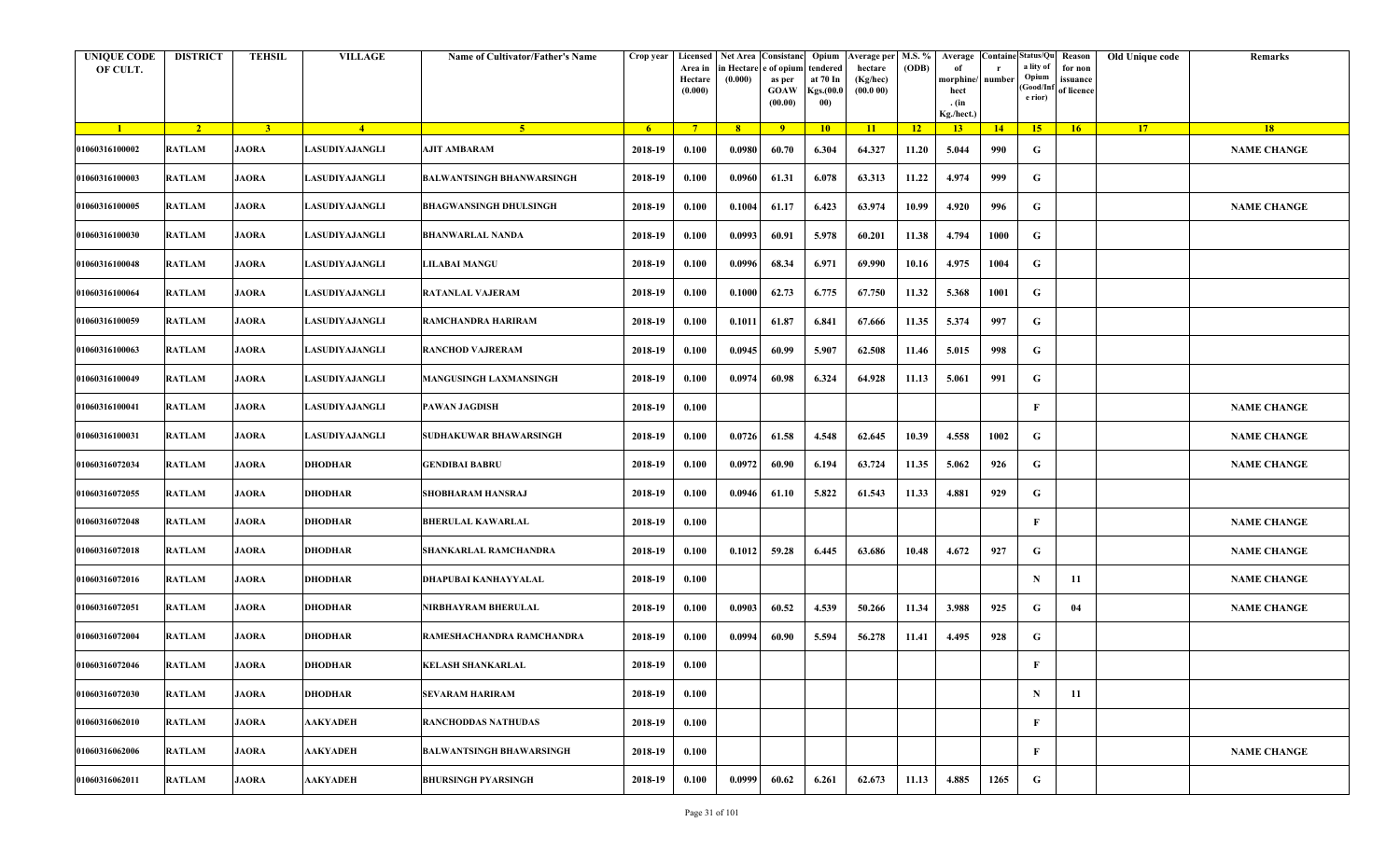| <b>UNIQUE CODE</b><br>OF CULT. | <b>DISTRICT</b> | <b>TEHSIL</b>  | <b>VILLAGE</b>        | Name of Cultivator/Father's Name | Crop year   | Area in<br>Hectare<br>(0.000) | in Hectare<br>(0.000) | Licensed   Net Area   Consistanc   Opium<br>e of opium<br>as per<br><b>GOAW</b><br>(00.00) | endered<br>at 70 In<br>Kgs.(00.0<br>00) | Average per M.S. %<br>hectare<br>(Kg/hec)<br>(00.0 00) | (ODB)           | Average<br>morphine/<br>hect<br>. $(in$<br>Kg./hect.) | <b>Containe Status/Qu</b><br>number | a lity of<br>Opium<br>Good/Inf<br>e rior) | Reason<br>for non<br>issuance<br>of licence | Old Unique code | Remarks            |
|--------------------------------|-----------------|----------------|-----------------------|----------------------------------|-------------|-------------------------------|-----------------------|--------------------------------------------------------------------------------------------|-----------------------------------------|--------------------------------------------------------|-----------------|-------------------------------------------------------|-------------------------------------|-------------------------------------------|---------------------------------------------|-----------------|--------------------|
| $\blacksquare$                 | $\sqrt{2}$      | 3 <sup>1</sup> | $\sqrt{4}$            | 5 <sup>1</sup>                   | $6^{\circ}$ | $7^{\circ}$                   | 8 <sup>1</sup>        | $\overline{9}$                                                                             | 10                                      | $\vert$ 11                                             | $\overline{12}$ | 13                                                    | 14                                  | 15                                        | 16                                          | 17              | 18                 |
| 01060316100002                 | <b>RATLAM</b>   | <b>JAORA</b>   | ASUDIYAJANGLI         | AJIT AMBARAM                     | 2018-19     | 0.100                         | 0.0980                | 60.70                                                                                      | 6.304                                   | 64.327                                                 | 11.20           | 5.044                                                 | 990                                 | G                                         |                                             |                 | <b>NAME CHANGE</b> |
| 01060316100003                 | <b>RATLAM</b>   | JAORA          | LASUDIYAJANGLI        | <b>BALWANTSINGH BHANWARSINGH</b> | 2018-19     | 0.100                         | 0.0960                | 61.31                                                                                      | 6.078                                   | 63.313                                                 | 11.22           | 4.974                                                 | 999                                 | G                                         |                                             |                 |                    |
| 01060316100005                 | <b>RATLAM</b>   | JAORA          | ASUDIYAJANGLI         | <b>BHAGWANSINGH DHULSINGH</b>    | 2018-19     | 0.100                         | 0.1004                | 61.17                                                                                      | 6.423                                   | 63.974                                                 | 10.99           | 4.920                                                 | 996                                 | G                                         |                                             |                 | <b>NAME CHANGE</b> |
| 01060316100030                 | <b>RATLAM</b>   | <b>JAORA</b>   | LASUDIYAJANGLI        | <b>BHANWARLAL NANDA</b>          | 2018-19     | 0.100                         | 0.0993                | 60.91                                                                                      | 5.978                                   | 60.201                                                 | 11.38           | 4.794                                                 | 1000                                | G                                         |                                             |                 |                    |
| 01060316100048                 | <b>RATLAM</b>   | <b>JAORA</b>   | ASUDIYAJANGLI         | <b>LILABAI MANGU</b>             | 2018-19     | 0.100                         | 0.0996                | 68.34                                                                                      | 6.971                                   | 69.990                                                 | 10.16           | 4.975                                                 | 1004                                | G                                         |                                             |                 |                    |
| 01060316100064                 | <b>RATLAM</b>   | <b>JAORA</b>   | LASUDIYAJANGLI        | RATANLAL VAJERAM                 | 2018-19     | 0.100                         | 0.1000                | 62.73                                                                                      | 6.775                                   | 67.750                                                 | 11.32           | 5.368                                                 | 1001                                | G                                         |                                             |                 |                    |
| 01060316100059                 | <b>RATLAM</b>   | <b>JAORA</b>   | LASUDIYAJANGLI        | RAMCHANDRA HARIRAM               | 2018-19     | 0.100                         | 0.1011                | 61.87                                                                                      | 6.841                                   | 67.666                                                 | 11.35           | 5.374                                                 | 997                                 | G                                         |                                             |                 |                    |
| 01060316100063                 | <b>RATLAM</b>   | <b>JAORA</b>   | ASUDIYAJANGLI         | <b>RANCHOD VAJRERAM</b>          | 2018-19     | 0.100                         | 0.0945                | 60.99                                                                                      | 5.907                                   | 62.508                                                 | 11.46           | 5.015                                                 | 998                                 | G                                         |                                             |                 |                    |
| 01060316100049                 | <b>RATLAM</b>   | <b>JAORA</b>   | LASUDIYAJANGLI        | <b>MANGUSINGH LAXMANSINGH</b>    | 2018-19     | 0.100                         | 0.0974                | 60.98                                                                                      | 6.324                                   | 64.928                                                 | 11.13           | 5.061                                                 | 991                                 | G                                         |                                             |                 |                    |
| 01060316100041                 | <b>RATLAM</b>   | JAORA          | <b>.ASUDIYAJANGLI</b> | PAWAN JAGDISH                    | 2018-19     | 0.100                         |                       |                                                                                            |                                         |                                                        |                 |                                                       |                                     | F                                         |                                             |                 | <b>NAME CHANGE</b> |
| 01060316100031                 | <b>RATLAM</b>   | JAORA          | LASUDIYAJANGLI        | <b>SUDHAKUWAR BHAWARSINGH</b>    | 2018-19     | 0.100                         | 0.0726                | 61.58                                                                                      | 4.548                                   | 62.645                                                 | 10.39           | 4.558                                                 | 1002                                | G                                         |                                             |                 | <b>NAME CHANGE</b> |
| 01060316072034                 | <b>RATLAM</b>   | JAORA          | DHODHAR               | <b>GENDIBAI BABRU</b>            | 2018-19     | 0.100                         | 0.0972                | 60.90                                                                                      | 6.194                                   | 63.724                                                 | 11.35           | 5.062                                                 | 926                                 | G                                         |                                             |                 | <b>NAME CHANGE</b> |
| 01060316072055                 | <b>RATLAM</b>   | <b>JAORA</b>   | <b>DHODHAR</b>        | <b>SHOBHARAM HANSRAJ</b>         | 2018-19     | 0.100                         | 0.0946                | 61.10                                                                                      | 5.822                                   | 61.543                                                 | 11.33           | 4.881                                                 | 929                                 | G                                         |                                             |                 |                    |
| 01060316072048                 | <b>RATLAM</b>   | <b>JAORA</b>   | DHODHAR               | <b>BHERULAL KAWARLAL</b>         | 2018-19     | 0.100                         |                       |                                                                                            |                                         |                                                        |                 |                                                       |                                     | $\mathbf{F}$                              |                                             |                 | <b>NAME CHANGE</b> |
| 01060316072018                 | <b>RATLAM</b>   | <b>JAORA</b>   | DHODHAR               | SHANKARLAL RAMCHANDRA            | 2018-19     | 0.100                         | 0.1012                | 59.28                                                                                      | 6.445                                   | 63.686                                                 | 10.48           | 4.672                                                 | 927                                 | G                                         |                                             |                 | <b>NAME CHANGE</b> |
| 01060316072016                 | <b>RATLAM</b>   | <b>JAORA</b>   | <b>DHODHAR</b>        | DHAPUBAI KANHAYYALAL             | 2018-19     | 0.100                         |                       |                                                                                            |                                         |                                                        |                 |                                                       |                                     | N                                         | 11                                          |                 | <b>NAME CHANGE</b> |
| 01060316072051                 | <b>RATLAM</b>   | <b>JAORA</b>   | DHODHAR               | NIRBHAYRAM BHERULAL              | 2018-19     | 0.100                         | 0.0903                | 60.52                                                                                      | 4.539                                   | 50.266                                                 | 11.34           | 3.988                                                 | 925                                 | G                                         | 04                                          |                 | <b>NAME CHANGE</b> |
| 01060316072004                 | <b>RATLAM</b>   | <b>JAORA</b>   | DHODHAR               | RAMESHACHANDRA RAMCHANDRA        | 2018-19     | 0.100                         | 0.0994                | 60.90                                                                                      | 5.594                                   | 56.278                                                 | 11.41           | 4.495                                                 | 928                                 | G                                         |                                             |                 |                    |
| 01060316072046                 | <b>RATLAM</b>   | <b>JAORA</b>   | <b>DHODHAR</b>        | <b>KELASH SHANKARLAL</b>         | 2018-19     | 0.100                         |                       |                                                                                            |                                         |                                                        |                 |                                                       |                                     | $\mathbf{F}$                              |                                             |                 |                    |
| 01060316072030                 | <b>RATLAM</b>   | <b>JAORA</b>   | <b>DHODHAR</b>        | <b>SEVARAM HARIRAM</b>           | 2018-19     | 0.100                         |                       |                                                                                            |                                         |                                                        |                 |                                                       |                                     | N                                         | 11                                          |                 |                    |
| 01060316062010                 | <b>RATLAM</b>   | <b>JAORA</b>   | <b>AAKYADEH</b>       | <b>RANCHODDAS NATHUDAS</b>       | 2018-19     | 0.100                         |                       |                                                                                            |                                         |                                                        |                 |                                                       |                                     | $\mathbf{F}$                              |                                             |                 |                    |
| 01060316062006                 | <b>RATLAM</b>   | <b>JAORA</b>   | <b>AAKYADEH</b>       | <b>BALWANTSINGH BHAWARSINGH</b>  | 2018-19     | 0.100                         |                       |                                                                                            |                                         |                                                        |                 |                                                       |                                     | $\mathbf F$                               |                                             |                 | <b>NAME CHANGE</b> |
| 01060316062011                 | <b>RATLAM</b>   | <b>JAORA</b>   | <b>AAKYADEH</b>       | <b>BHURSINGH PYARSINGH</b>       | 2018-19     | 0.100                         | 0.0999                | 60.62                                                                                      | 6.261                                   | 62.673                                                 | 11.13           | 4.885                                                 | 1265                                | $\mathbf G$                               |                                             |                 |                    |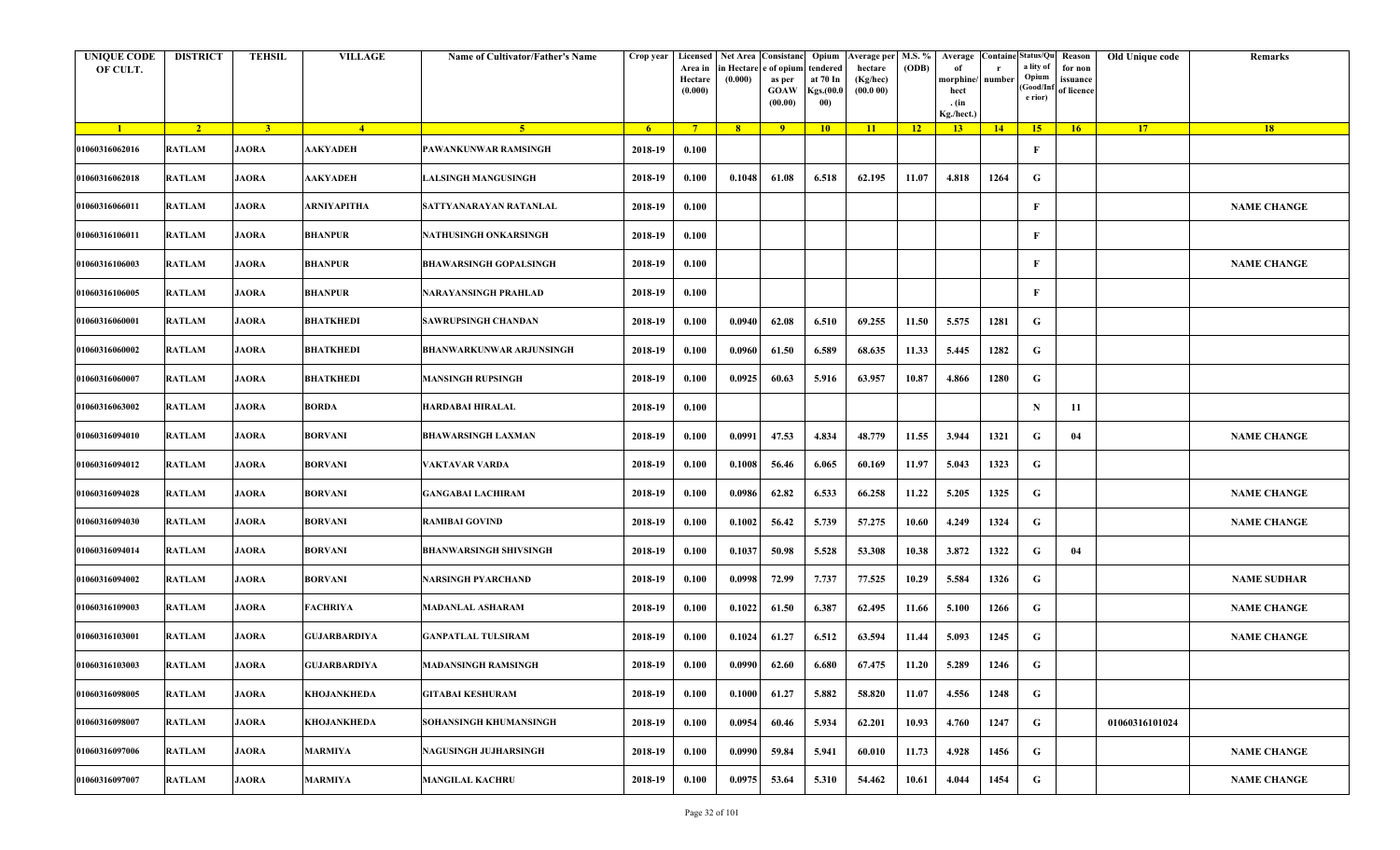| <b>UNIQUE CODE</b><br>OF CULT. | <b>DISTRICT</b> | <b>TEHSIL</b>  | <b>VILLAGE</b>      | Name of Cultivator/Father's Name | Crop year | Licensed<br>Area in<br>Hectare<br>(0.000) | Net Area<br>in Hectaro<br>(0.000) | Consistanc<br>of opium<br>as per<br>GOAW<br>(00.00) | Opium<br>tendered<br>at 70 In<br>Kgs.(00.0<br>00) | Average per M.S. %<br>hectare<br>(Kg/hec)<br>(00.000) | (ODB) | Average<br>of<br>morphine/<br>hect<br>. $(in$<br>Kg./hect.) | number | <b>Containe Status/Qu</b><br>a lity of<br>Opium<br>(Good/Inf<br>e rior) | Reason<br>for non<br>issuance<br>of licence | Old Unique code | Remarks            |
|--------------------------------|-----------------|----------------|---------------------|----------------------------------|-----------|-------------------------------------------|-----------------------------------|-----------------------------------------------------|---------------------------------------------------|-------------------------------------------------------|-------|-------------------------------------------------------------|--------|-------------------------------------------------------------------------|---------------------------------------------|-----------------|--------------------|
| $\blacksquare$                 | $\sqrt{2}$      | 3 <sup>1</sup> | $\overline{4}$      | $-5$                             | 6         | $-7$                                      | 8 <sup>1</sup>                    | $\overline{9}$                                      | 10                                                | 11                                                    | 12    | 13                                                          | 14     | 15 <sup>2</sup>                                                         | 16                                          | 17              | 18                 |
| 01060316062016                 | <b>RATLAM</b>   | <b>JAORA</b>   | AAKYADEH            | PAWANKUNWAR RAMSINGH             | 2018-19   | 0.100                                     |                                   |                                                     |                                                   |                                                       |       |                                                             |        | F                                                                       |                                             |                 |                    |
| 01060316062018                 | <b>RATLAM</b>   | JAORA          | <b>AAKYADEH</b>     | <b>LALSINGH MANGUSINGH</b>       | 2018-19   | 0.100                                     | 0.1048                            | 61.08                                               | 6.518                                             | 62.195                                                | 11.07 | 4.818                                                       | 1264   | G                                                                       |                                             |                 |                    |
| 01060316066011                 | <b>RATLAM</b>   | <b>JAORA</b>   | ARNIYAPITHA         | SATTYANARAYAN RATANLAL           | 2018-19   | 0.100                                     |                                   |                                                     |                                                   |                                                       |       |                                                             |        | F                                                                       |                                             |                 | <b>NAME CHANGE</b> |
| 01060316106011                 | <b>RATLAM</b>   | <b>JAORA</b>   | <b>BHANPUR</b>      | NATHUSINGH ONKARSINGH            | 2018-19   | 0.100                                     |                                   |                                                     |                                                   |                                                       |       |                                                             |        | F                                                                       |                                             |                 |                    |
| 01060316106003                 | <b>RATLAM</b>   | <b>JAORA</b>   | <b>BHANPUR</b>      | <b>BHAWARSINGH GOPALSINGH</b>    | 2018-19   | 0.100                                     |                                   |                                                     |                                                   |                                                       |       |                                                             |        | F                                                                       |                                             |                 | <b>NAME CHANGE</b> |
| 01060316106005                 | <b>RATLAM</b>   | JAORA          | <b>BHANPUR</b>      | NARAYANSINGH PRAHLAD             | 2018-19   | 0.100                                     |                                   |                                                     |                                                   |                                                       |       |                                                             |        | $\mathbf{F}$                                                            |                                             |                 |                    |
| 01060316060001                 | <b>RATLAM</b>   | <b>JAORA</b>   | <b>BHATKHEDI</b>    | <b>SAWRUPSINGH CHANDAN</b>       | 2018-19   | 0.100                                     | 0.0940                            | 62.08                                               | 6.510                                             | 69.255                                                | 11.50 | 5.575                                                       | 1281   | G.                                                                      |                                             |                 |                    |
| 01060316060002                 | <b>RATLAM</b>   | <b>JAORA</b>   | <b>BHATKHEDI</b>    | BHANWARKUNWAR ARJUNSINGH         | 2018-19   | 0.100                                     | 0.0960                            | 61.50                                               | 6.589                                             | 68.635                                                | 11.33 | 5.445                                                       | 1282   | G                                                                       |                                             |                 |                    |
| 01060316060007                 | <b>RATLAM</b>   | <b>JAORA</b>   | <b>BHATKHEDI</b>    | <b>MANSINGH RUPSINGH</b>         | 2018-19   | 0.100                                     | 0.0925                            | 60.63                                               | 5.916                                             | 63.957                                                | 10.87 | 4.866                                                       | 1280   | G                                                                       |                                             |                 |                    |
| 01060316063002                 | <b>RATLAM</b>   | JAORA          | <b>BORDA</b>        | HARDABAI HIRALAL                 | 2018-19   | 0.100                                     |                                   |                                                     |                                                   |                                                       |       |                                                             |        | N                                                                       | 11                                          |                 |                    |
| 01060316094010                 | <b>RATLAM</b>   | <b>JAORA</b>   | <b>BORVANI</b>      | <b>BHAWARSINGH LAXMAN</b>        | 2018-19   | 0.100                                     | 0.0991                            | 47.53                                               | 4.834                                             | 48.779                                                | 11.55 | 3.944                                                       | 1321   | G                                                                       | 04                                          |                 | <b>NAME CHANGE</b> |
| 01060316094012                 | <b>RATLAM</b>   | JAORA          | <b>BORVANI</b>      | VAKTAVAR VARDA                   | 2018-19   | 0.100                                     | 0.1008                            | 56.46                                               | 6.065                                             | 60.169                                                | 11.97 | 5.043                                                       | 1323   | G                                                                       |                                             |                 |                    |
| 01060316094028                 | <b>RATLAM</b>   | <b>JAORA</b>   | <b>BORVANI</b>      | <b>GANGABAI LACHIRAM</b>         | 2018-19   | 0.100                                     | 0.0986                            | 62.82                                               | 6.533                                             | 66.258                                                | 11.22 | 5.205                                                       | 1325   | G                                                                       |                                             |                 | <b>NAME CHANGE</b> |
| 01060316094030                 | <b>RATLAM</b>   | <b>JAORA</b>   | <b>BORVANI</b>      | <b>RAMIBAI GOVIND</b>            | 2018-19   | 0.100                                     | 0.1002                            | 56.42                                               | 5.739                                             | 57.275                                                | 10.60 | 4.249                                                       | 1324   | G                                                                       |                                             |                 | <b>NAME CHANGE</b> |
| 01060316094014                 | <b>RATLAM</b>   | <b>JAORA</b>   | <b>BORVANI</b>      | BHANWARSINGH SHIVSINGH           | 2018-19   | 0.100                                     | 0.1037                            | 50.98                                               | 5.528                                             | 53.308                                                | 10.38 | 3.872                                                       | 1322   | G                                                                       | 04                                          |                 |                    |
| 01060316094002                 | <b>RATLAM</b>   | <b>JAORA</b>   | <b>BORVANI</b>      | NARSINGH PYARCHAND               | 2018-19   | 0.100                                     | 0.0998                            | 72.99                                               | 7.737                                             | 77.525                                                | 10.29 | 5.584                                                       | 1326   | G                                                                       |                                             |                 | <b>NAME SUDHAR</b> |
| 01060316109003                 | <b>RATLAM</b>   | <b>JAORA</b>   | FACHRIYA            | <b>MADANLAL ASHARAM</b>          | 2018-19   | 0.100                                     | 0.1022                            | 61.50                                               | 6.387                                             | 62.495                                                | 11.66 | 5.100                                                       | 1266   | G                                                                       |                                             |                 | <b>NAME CHANGE</b> |
| 01060316103001                 | <b>RATLAM</b>   | <b>JAORA</b>   | <b>GUJARBARDIYA</b> | <b>GANPATLAL TULSIRAM</b>        | 2018-19   | 0.100                                     | 0.1024                            | 61.27                                               | 6.512                                             | 63.594                                                | 11.44 | 5.093                                                       | 1245   | G                                                                       |                                             |                 | <b>NAME CHANGE</b> |
| 01060316103003                 | <b>RATLAM</b>   | <b>JAORA</b>   | <b>GUJARBARDIYA</b> | <b>MADANSINGH RAMSINGH</b>       | 2018-19   | 0.100                                     | 0.0990                            | 62.60                                               | 6.680                                             | 67.475                                                | 11.20 | 5.289                                                       | 1246   | G                                                                       |                                             |                 |                    |
| 01060316098005                 | <b>RATLAM</b>   | <b>JAORA</b>   | <b>KHOJANKHEDA</b>  | <b>GITABAI KESHURAM</b>          | 2018-19   | 0.100                                     | 0.1000                            | 61.27                                               | 5.882                                             | 58.820                                                | 11.07 | 4.556                                                       | 1248   | G                                                                       |                                             |                 |                    |
| 01060316098007                 | <b>RATLAM</b>   | <b>JAORA</b>   | <b>KHOJANKHEDA</b>  | SOHANSINGH KHUMANSINGH           | 2018-19   | 0.100                                     | 0.0954                            | 60.46                                               | 5.934                                             | 62.201                                                | 10.93 | 4.760                                                       | 1247   | G                                                                       |                                             | 01060316101024  |                    |
| 01060316097006                 | <b>RATLAM</b>   | <b>JAORA</b>   | <b>MARMIYA</b>      | NAGUSINGH JUJHARSINGH            | 2018-19   | 0.100                                     | 0.0990                            | 59.84                                               | 5.941                                             | 60.010                                                | 11.73 | 4.928                                                       | 1456   | $\mathbf G$                                                             |                                             |                 | <b>NAME CHANGE</b> |
| 01060316097007                 | <b>RATLAM</b>   | <b>JAORA</b>   | <b>MARMIYA</b>      | <b>MANGILAL KACHRU</b>           | 2018-19   | 0.100                                     | 0.0975                            | 53.64                                               | 5.310                                             | 54.462                                                | 10.61 | 4.044                                                       | 1454   | $\mathbf G$                                                             |                                             |                 | <b>NAME CHANGE</b> |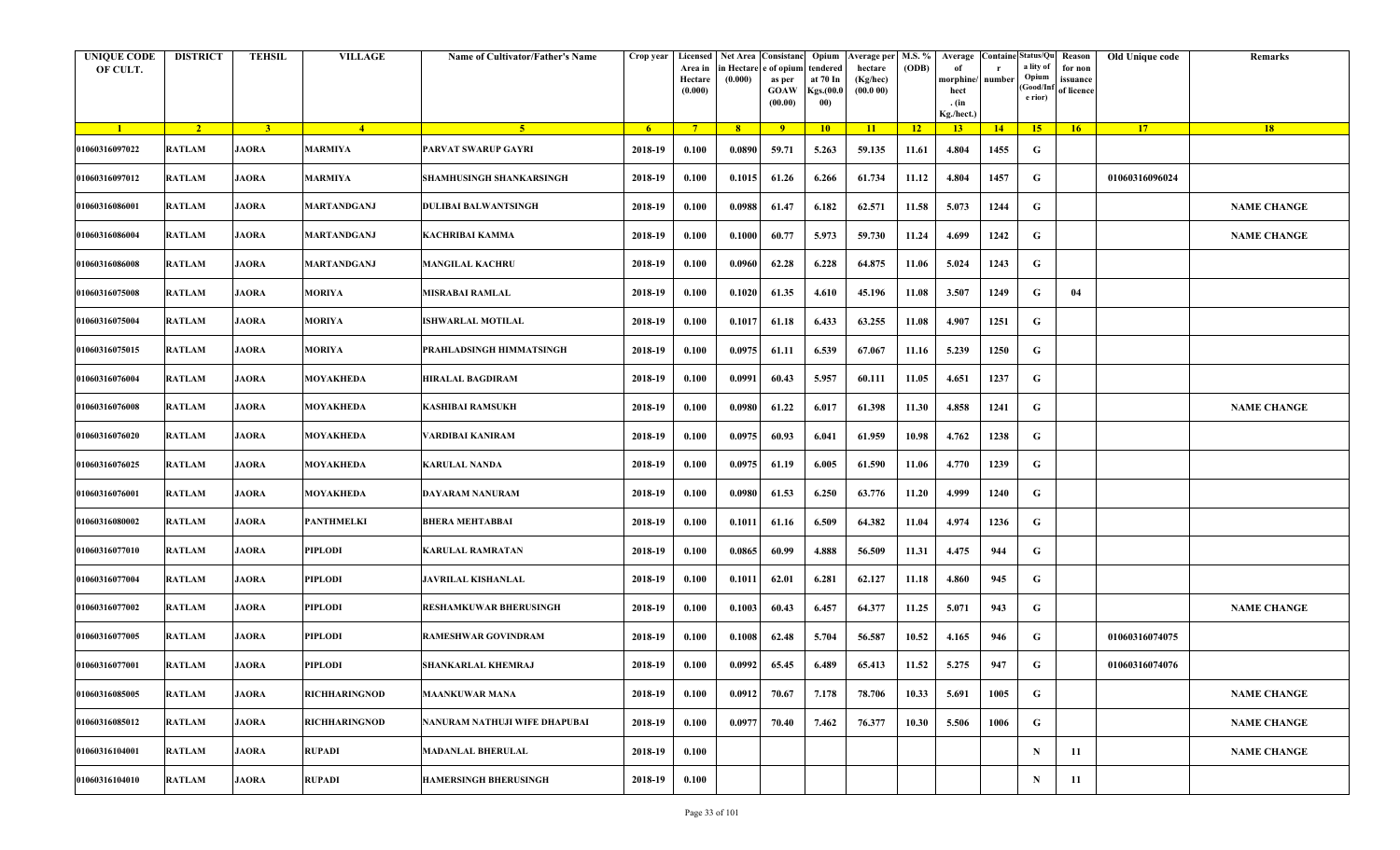| <b>UNIQUE CODE</b><br>OF CULT. | <b>DISTRICT</b> | <b>TEHSIL</b>  | <b>VILLAGE</b>       | <b>Name of Cultivator/Father's Name</b> | Crop year   | Area in<br>Hectare<br>(0.000) | in Hectare<br>(0.000) | Licensed Net Area Consistanc<br>e of opium<br>as per<br><b>GOAW</b><br>(00.00) | Opium<br>endered<br>at 70 In<br>Kgs.(00.0<br>00) | Verage per M.S. %<br>hectare<br>(Kg/hec)<br>(00.000) | (ODB)           | Average<br>morphine/<br>hect<br>. $(in$<br>Kg./hect.) | number      | <b>Containe Status/Qu</b><br>a lity of<br>Opium<br>Good/Inf<br>e rior) | Reason<br>for non<br>issuance<br>of licence | Old Unique code | Remarks            |
|--------------------------------|-----------------|----------------|----------------------|-----------------------------------------|-------------|-------------------------------|-----------------------|--------------------------------------------------------------------------------|--------------------------------------------------|------------------------------------------------------|-----------------|-------------------------------------------------------|-------------|------------------------------------------------------------------------|---------------------------------------------|-----------------|--------------------|
| $\blacksquare$                 | $\overline{2}$  | 3 <sup>2</sup> | $\sqrt{4}$           | $-5$                                    | $6^{\circ}$ | $7^{\circ}$                   | 8 <sup>1</sup>        | $-9$                                                                           | $10-10$                                          | $\vert$ 11                                           | $\overline{12}$ | 13                                                    | $\sqrt{14}$ | 15                                                                     | 16                                          | <b>17</b>       | 18                 |
| 01060316097022                 | <b>RATLAM</b>   | JAORA          | <b>MARMIYA</b>       | PARVAT SWARUP GAYRI                     | 2018-19     | 0.100                         | 0.0890                | 59.71                                                                          | 5.263                                            | 59.135                                               | 11.61           | 4.804                                                 | 1455        | G                                                                      |                                             |                 |                    |
| 01060316097012                 | <b>RATLAM</b>   | JAORA          | <b>MARMIYA</b>       | SHAMHUSINGH SHANKARSINGH                | 2018-19     | 0.100                         | 0.1015                | 61.26                                                                          | 6.266                                            | 61.734                                               | 11.12           | 4.804                                                 | 1457        | G                                                                      |                                             | 01060316096024  |                    |
| 01060316086001                 | <b>RATLAM</b>   | JAORA          | MARTANDGANJ          | <b>DULIBAI BALWANTSINGH</b>             | 2018-19     | 0.100                         | 0.0988                | 61.47                                                                          | 6.182                                            | 62.571                                               | 11.58           | 5.073                                                 | 1244        | G                                                                      |                                             |                 | <b>NAME CHANGE</b> |
| 01060316086004                 | <b>RATLAM</b>   | JAORA          | <b>MARTANDGANJ</b>   | <b>KACHRIBAI KAMMA</b>                  | 2018-19     | 0.100                         | 0.1000                | 60.77                                                                          | 5.973                                            | 59.730                                               | 11.24           | 4.699                                                 | 1242        | G                                                                      |                                             |                 | <b>NAME CHANGE</b> |
| 01060316086008                 | <b>RATLAM</b>   | JAORA          | MARTANDGANJ          | <b>MANGILAL KACHRU</b>                  | 2018-19     | 0.100                         | 0.0960                | 62.28                                                                          | 6.228                                            | 64.875                                               | 11.06           | 5.024                                                 | 1243        | G                                                                      |                                             |                 |                    |
| 01060316075008                 | <b>RATLAM</b>   | JAORA          | MORIYA               | MISRABAI RAMLAL                         | 2018-19     | 0.100                         | 0.1020                | 61.35                                                                          | 4.610                                            | 45.196                                               | 11.08           | 3.507                                                 | 1249        | G                                                                      | 04                                          |                 |                    |
| 01060316075004                 | <b>RATLAM</b>   | JAORA          | <b>MORIYA</b>        | <b>ISHWARLAL MOTILAL</b>                | 2018-19     | 0.100                         | 0.1017                | 61.18                                                                          | 6.433                                            | 63.255                                               | 11.08           | 4.907                                                 | 1251        | G                                                                      |                                             |                 |                    |
| 01060316075015                 | <b>RATLAM</b>   | <b>JAORA</b>   | <b>MORIYA</b>        | PRAHLADSINGH HIMMATSINGH                | 2018-19     | 0.100                         | 0.0975                | 61.11                                                                          | 6.539                                            | 67.067                                               | 11.16           | 5.239                                                 | 1250        | G                                                                      |                                             |                 |                    |
| 01060316076004                 | <b>RATLAM</b>   | JAORA          | MOYAKHEDA            | <b>HIRALAL BAGDIRAM</b>                 | 2018-19     | 0.100                         | 0.0991                | 60.43                                                                          | 5.957                                            | 60.111                                               | 11.05           | 4.651                                                 | 1237        | G                                                                      |                                             |                 |                    |
| 01060316076008                 | <b>RATLAM</b>   | JAORA          | MOYAKHEDA            | KASHIBAI RAMSUKH                        | 2018-19     | 0.100                         | 0.0980                | 61.22                                                                          | 6.017                                            | 61.398                                               | 11.30           | 4.858                                                 | 1241        | G                                                                      |                                             |                 | <b>NAME CHANGE</b> |
| 01060316076020                 | <b>RATLAM</b>   | JAORA          | MOYAKHEDA            | VARDIBAI KANIRAM                        | 2018-19     | 0.100                         | 0.0975                | 60.93                                                                          | 6.041                                            | 61.959                                               | 10.98           | 4.762                                                 | 1238        | G                                                                      |                                             |                 |                    |
| 01060316076025                 | <b>RATLAM</b>   | JAORA          | MOYAKHEDA            | <b>KARULAL NANDA</b>                    | 2018-19     | 0.100                         | 0.0975                | 61.19                                                                          | 6.005                                            | 61.590                                               | 11.06           | 4.770                                                 | 1239        | G                                                                      |                                             |                 |                    |
| 01060316076001                 | <b>RATLAM</b>   | JAORA          | <b>MOYAKHEDA</b>     | DAYARAM NANURAM                         | 2018-19     | 0.100                         | 0.0980                | 61.53                                                                          | 6.250                                            | 63.776                                               | 11.20           | 4.999                                                 | 1240        | G                                                                      |                                             |                 |                    |
| 01060316080002                 | <b>RATLAM</b>   | JAORA          | <b>PANTHMELKI</b>    | <b>BHERA MEHTABBAI</b>                  | 2018-19     | 0.100                         | 0.1011                | 61.16                                                                          | 6.509                                            | 64.382                                               | 11.04           | 4.974                                                 | 1236        | G                                                                      |                                             |                 |                    |
| 01060316077010                 | <b>RATLAM</b>   | <b>JAORA</b>   | PIPLODI              | <b>KARULAL RAMRATAN</b>                 | 2018-19     | 0.100                         | 0.0865                | 60.99                                                                          | 4.888                                            | 56.509                                               | 11.31           | 4.475                                                 | 944         | G                                                                      |                                             |                 |                    |
| 01060316077004                 | <b>RATLAM</b>   | JAORA          | PIPLODI              | <b>JAVRILAL KISHANLAL</b>               | 2018-19     | 0.100                         | 0.1011                | 62.01                                                                          | 6.281                                            | 62.127                                               | 11.18           | 4.860                                                 | 945         | G                                                                      |                                             |                 |                    |
| 01060316077002                 | <b>RATLAM</b>   | <b>JAORA</b>   | <b>PIPLODI</b>       | <b>RESHAMKUWAR BHERUSINGH</b>           | 2018-19     | 0.100                         | 0.1003                | 60.43                                                                          | 6.457                                            | 64.377                                               | 11.25           | 5.071                                                 | 943         | G                                                                      |                                             |                 | <b>NAME CHANGE</b> |
| 01060316077005                 | <b>RATLAM</b>   | JAORA          | <b>PIPLODI</b>       | <b>RAMESHWAR GOVINDRAM</b>              | 2018-19     | 0.100                         | 0.1008                | 62.48                                                                          | 5.704                                            | 56.587                                               | 10.52           | 4.165                                                 | 946         | G                                                                      |                                             | 01060316074075  |                    |
| 01060316077001                 | <b>RATLAM</b>   | JAORA          | <b>PIPLODI</b>       | <b>SHANKARLAL KHEMRAJ</b>               | 2018-19     | 0.100                         | 0.0992                | 65.45                                                                          | 6.489                                            | 65.413                                               | 11.52           | 5.275                                                 | 947         | G                                                                      |                                             | 01060316074076  |                    |
| 01060316085005                 | <b>RATLAM</b>   | <b>JAORA</b>   | <b>RICHHARINGNOD</b> | <b>MAANKUWAR MANA</b>                   | 2018-19     | 0.100                         | 0.0912                | 70.67                                                                          | 7.178                                            | 78.706                                               | 10.33           | 5.691                                                 | 1005        | $\mathbf G$                                                            |                                             |                 | <b>NAME CHANGE</b> |
| 01060316085012                 | <b>RATLAM</b>   | <b>JAORA</b>   | <b>RICHHARINGNOD</b> | NANURAM NATHUJI WIFE DHAPUBAI           | 2018-19     | 0.100                         | 0.0977                | 70.40                                                                          | 7.462                                            | 76.377                                               | 10.30           | 5.506                                                 | 1006        | G                                                                      |                                             |                 | <b>NAME CHANGE</b> |
| 01060316104001                 | <b>RATLAM</b>   | <b>JAORA</b>   | <b>RUPADI</b>        | <b>MADANLAL BHERULAL</b>                | 2018-19     | 0.100                         |                       |                                                                                |                                                  |                                                      |                 |                                                       |             | N                                                                      | 11                                          |                 | <b>NAME CHANGE</b> |
| 01060316104010                 | <b>RATLAM</b>   | <b>JAORA</b>   | <b>RUPADI</b>        | <b>HAMERSINGH BHERUSINGH</b>            | 2018-19     | 0.100                         |                       |                                                                                |                                                  |                                                      |                 |                                                       |             | N                                                                      | 11                                          |                 |                    |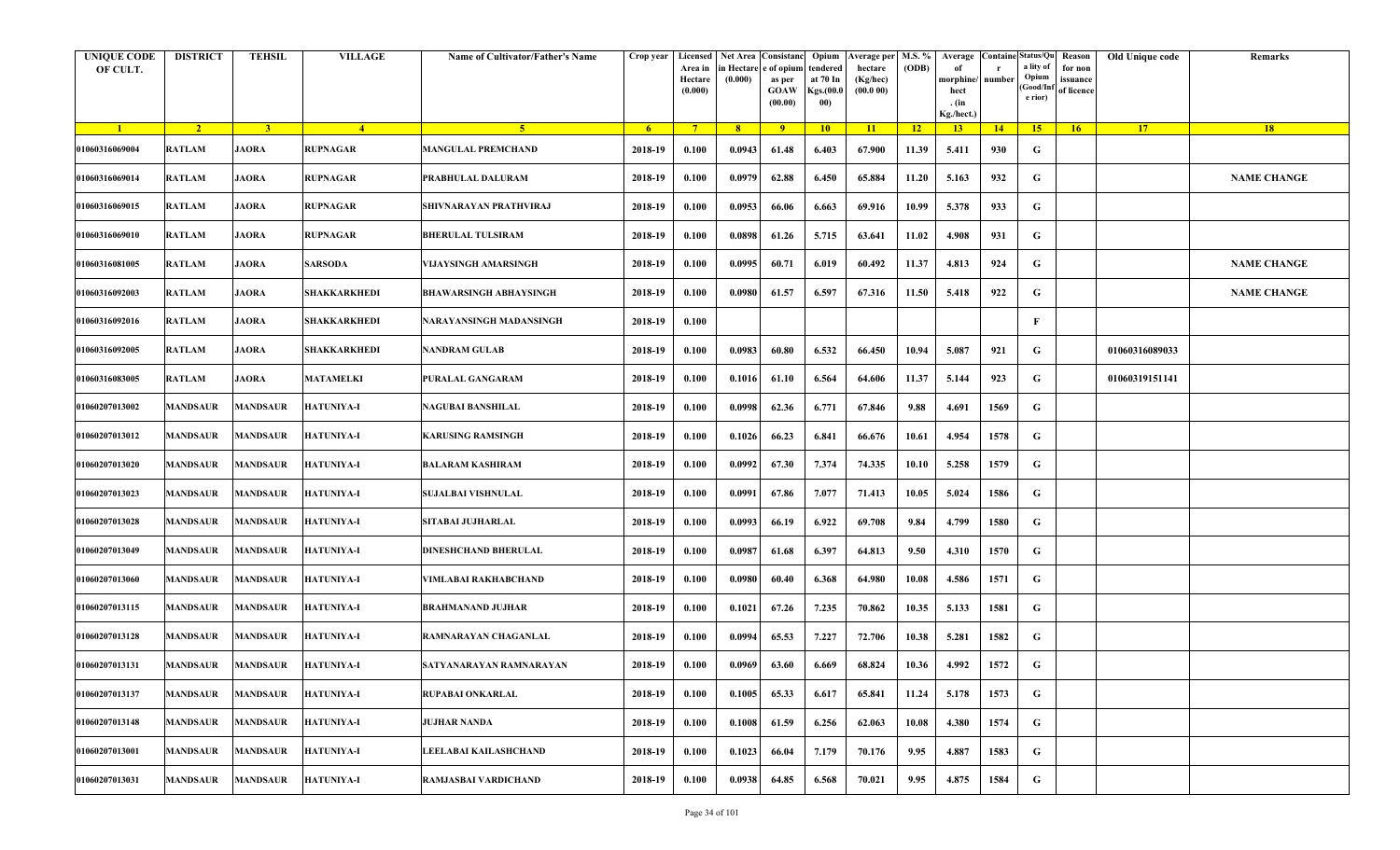| <b>UNIQUE CODE</b><br>OF CULT. | <b>DISTRICT</b> | <b>TEHSIL</b>   | <b>VILLAGE</b>    | Name of Cultivator/Father's Name | Crop year      | Area in<br>Hectare<br>(0.000) | Licensed   Net Area Consistanc<br>ı Hectar<br>(0.000) | e of opium<br>as per<br><b>GOAW</b><br>(00.00) | Opium<br>tendered<br>at 70 In<br>Kgs.(00.0<br>00) | <b>Average per</b><br>hectare<br>(Kg/hec)<br>(00.000) | M.S. %<br>(ODB) | Average<br>morphine/<br>hect<br>. (in | <b>Containe Status/Qu</b><br>number | a lity of<br>Opium<br>(Good/In<br>e rior) | Reason<br>for non<br>issuance<br>of licence | Old Unique code | Remarks            |
|--------------------------------|-----------------|-----------------|-------------------|----------------------------------|----------------|-------------------------------|-------------------------------------------------------|------------------------------------------------|---------------------------------------------------|-------------------------------------------------------|-----------------|---------------------------------------|-------------------------------------|-------------------------------------------|---------------------------------------------|-----------------|--------------------|
| $\blacksquare$                 | $\overline{2}$  | 3 <sup>2</sup>  | $\overline{4}$    | 5 <sup>5</sup>                   | 6 <sup>6</sup> | $-7$                          | 8 <sup>1</sup>                                        | $-9$                                           | 10                                                | $\vert$ 11                                            | $-12$           | Kg./hect.)<br>13                      | 14                                  | 15                                        | 16                                          | 17              | 18                 |
| 01060316069004                 | <b>RATLAM</b>   | <b>JAORA</b>    | RUPNAGAR          | <b>MANGULAL PREMCHAND</b>        | 2018-19        | 0.100                         | 0.0943                                                | 61.48                                          | 6.403                                             | 67.900                                                | 11.39           | 5.411                                 | 930                                 | G                                         |                                             |                 |                    |
|                                |                 |                 |                   |                                  |                |                               |                                                       |                                                |                                                   |                                                       |                 |                                       |                                     |                                           |                                             |                 |                    |
| 01060316069014                 | <b>RATLAM</b>   | <b>JAORA</b>    | <b>RUPNAGAR</b>   | PRABHULAL DALURAM                | 2018-19        | 0.100                         | 0.0979                                                | 62.88                                          | 6.450                                             | 65.884                                                | 11.20           | 5.163                                 | 932                                 | G                                         |                                             |                 | <b>NAME CHANGE</b> |
| 01060316069015                 | <b>RATLAM</b>   | JAORA           | <b>RUPNAGAR</b>   | SHIVNARAYAN PRATHVIRAJ           | 2018-19        | 0.100                         | 0.0953                                                | 66.06                                          | 6.663                                             | 69.916                                                | 10.99           | 5.378                                 | 933                                 | G                                         |                                             |                 |                    |
| 01060316069010                 | <b>RATLAM</b>   | <b>JAORA</b>    | <b>RUPNAGAR</b>   | <b>BHERULAL TULSIRAM</b>         | 2018-19        | 0.100                         | 0.0898                                                | 61.26                                          | 5.715                                             | 63.641                                                | 11.02           | 4.908                                 | 931                                 | G                                         |                                             |                 |                    |
| 01060316081005                 | <b>RATLAM</b>   | <b>JAORA</b>    | SARSODA           | VIJAYSINGH AMARSINGH             | 2018-19        | 0.100                         | 0.0995                                                | 60.71                                          | 6.019                                             | 60.492                                                | 11.37           | 4.813                                 | 924                                 | G                                         |                                             |                 | <b>NAME CHANGE</b> |
| 01060316092003                 | <b>RATLAM</b>   | <b>JAORA</b>    | SHAKKARKHEDI      | <b>BHAWARSINGH ABHAYSINGH</b>    | 2018-19        | 0.100                         | 0.0980                                                | 61.57                                          | 6.597                                             | 67.316                                                | 11.50           | 5.418                                 | 922                                 | G                                         |                                             |                 | <b>NAME CHANGE</b> |
| 01060316092016                 | <b>RATLAM</b>   | <b>JAORA</b>    | SHAKKARKHEDI      | NARAYANSINGH MADANSINGH          | 2018-19        | 0.100                         |                                                       |                                                |                                                   |                                                       |                 |                                       |                                     | $\mathbf{F}$                              |                                             |                 |                    |
| 01060316092005                 | <b>RATLAM</b>   | <b>JAORA</b>    | SHAKKARKHEDI      | NANDRAM GULAB                    | 2018-19        | 0.100                         | 0.0983                                                | 60.80                                          | 6.532                                             | 66.450                                                | 10.94           | 5.087                                 | 921                                 | G                                         |                                             | 01060316089033  |                    |
| 01060316083005                 | <b>RATLAM</b>   | <b>JAORA</b>    | MATAMELKI         | PURALAL GANGARAM                 | 2018-19        | 0.100                         | 0.1016                                                | 61.10                                          | 6.564                                             | 64.606                                                | 11.37           | 5.144                                 | 923                                 | G                                         |                                             | 01060319151141  |                    |
| 01060207013002                 | MANDSAUR        | MANDSAUR        | HATUNIYA-I        | NAGUBAI BANSHILAL                | 2018-19        | 0.100                         | 0.0998                                                | 62.36                                          | 6.771                                             | 67.846                                                | 9.88            | 4.691                                 | 1569                                | G                                         |                                             |                 |                    |
| 01060207013012                 | MANDSAUR        | <b>MANDSAUR</b> | <b>HATUNIYA-I</b> | <b>KARUSING RAMSINGH</b>         | 2018-19        | 0.100                         | 0.1026                                                | 66.23                                          | 6.841                                             | 66.676                                                | 10.61           | 4.954                                 | 1578                                | G                                         |                                             |                 |                    |
| 01060207013020                 | <b>MANDSAUR</b> | <b>MANDSAUR</b> | <b>HATUNIYA-I</b> | BALARAM KASHIRAM                 | 2018-19        | 0.100                         | 0.0992                                                | 67.30                                          | 7.374                                             | 74.335                                                | 10.10           | 5.258                                 | 1579                                | G                                         |                                             |                 |                    |
| 01060207013023                 | <b>MANDSAUR</b> | <b>MANDSAUR</b> | <b>HATUNIYA-I</b> | <b>SUJALBAI VISHNULAL</b>        | 2018-19        | 0.100                         | 0.0991                                                | 67.86                                          | 7.077                                             | 71.413                                                | 10.05           | 5.024                                 | 1586                                | G                                         |                                             |                 |                    |
| 01060207013028                 | <b>MANDSAUR</b> | <b>MANDSAUR</b> | HATUNIYA-I        | SITABAI JUJHARLAL                | 2018-19        | 0.100                         | 0.0993                                                | 66.19                                          | 6.922                                             | 69.708                                                | 9.84            | 4.799                                 | 1580                                | G                                         |                                             |                 |                    |
| 01060207013049                 | MANDSAUR        | <b>MANDSAUR</b> | HATUNIYA-I        | DINESHCHAND BHERULAL             | 2018-19        | 0.100                         | 0.0987                                                | 61.68                                          | 6.397                                             | 64.813                                                | 9.50            | 4.310                                 | 1570                                | G                                         |                                             |                 |                    |
| 01060207013060                 | <b>MANDSAUR</b> | <b>MANDSAUR</b> | <b>HATUNIYA-I</b> | VIMLABAI RAKHABCHAND             | 2018-19        | 0.100                         | 0.0980                                                | 60.40                                          | 6.368                                             | 64.980                                                | 10.08           | 4.586                                 | 1571                                | G                                         |                                             |                 |                    |
| 01060207013115                 | MANDSAUR        | <b>MANDSAUR</b> | <b>HATUNIYA-I</b> | <b>BRAHMANAND JUJHAR</b>         | 2018-19        | 0.100                         | 0.1021                                                | 67.26                                          | 7.235                                             | 70.862                                                | 10.35           | 5.133                                 | 1581                                | G                                         |                                             |                 |                    |
| 01060207013128                 | MANDSAUR        | <b>MANDSAUR</b> | HATUNIYA-I        | RAMNARAYAN CHAGANLAL             | 2018-19        | 0.100                         | 0.0994                                                | 65.53                                          | 7.227                                             | 72.706                                                | 10.38           | 5.281                                 | 1582                                | G                                         |                                             |                 |                    |
| 01060207013131                 | MANDSAUR        | <b>MANDSAUR</b> | <b>HATUNIYA-I</b> | SATYANARAYAN RAMNARAYAN          | 2018-19        | 0.100                         | 0.0969                                                | 63.60                                          | 6.669                                             | 68.824                                                | 10.36           | 4.992                                 | 1572                                | G                                         |                                             |                 |                    |
| 01060207013137                 | <b>MANDSAUR</b> | <b>MANDSAUR</b> | <b>HATUNIYA-I</b> | <b>RUPABAI ONKARLAL</b>          | 2018-19        | 0.100                         | 0.1005                                                | 65.33                                          | 6.617                                             | 65.841                                                | 11.24           | 5.178                                 | 1573                                | G                                         |                                             |                 |                    |
| 01060207013148                 | <b>MANDSAUR</b> | <b>MANDSAUR</b> | HATUNIYA-I        | JUJHAR NANDA                     | 2018-19        | 0.100                         | 0.1008                                                | 61.59                                          | 6.256                                             | 62.063                                                | 10.08           | 4.380                                 | 1574                                | G                                         |                                             |                 |                    |
| 01060207013001                 | MANDSAUR        | <b>MANDSAUR</b> | <b>HATUNIYA-I</b> | LEELABAI KAILASHCHAND            | 2018-19        | 0.100                         | 0.1023                                                | 66.04                                          | 7.179                                             | 70.176                                                | 9.95            | 4.887                                 | 1583                                | G                                         |                                             |                 |                    |
| 01060207013031                 | <b>MANDSAUR</b> | <b>MANDSAUR</b> | <b>HATUNIYA-I</b> | RAMJASBAI VARDICHAND             | 2018-19        | 0.100                         | 0.0938                                                | 64.85                                          | 6.568                                             | 70.021                                                | 9.95            | 4.875                                 | 1584                                | G                                         |                                             |                 |                    |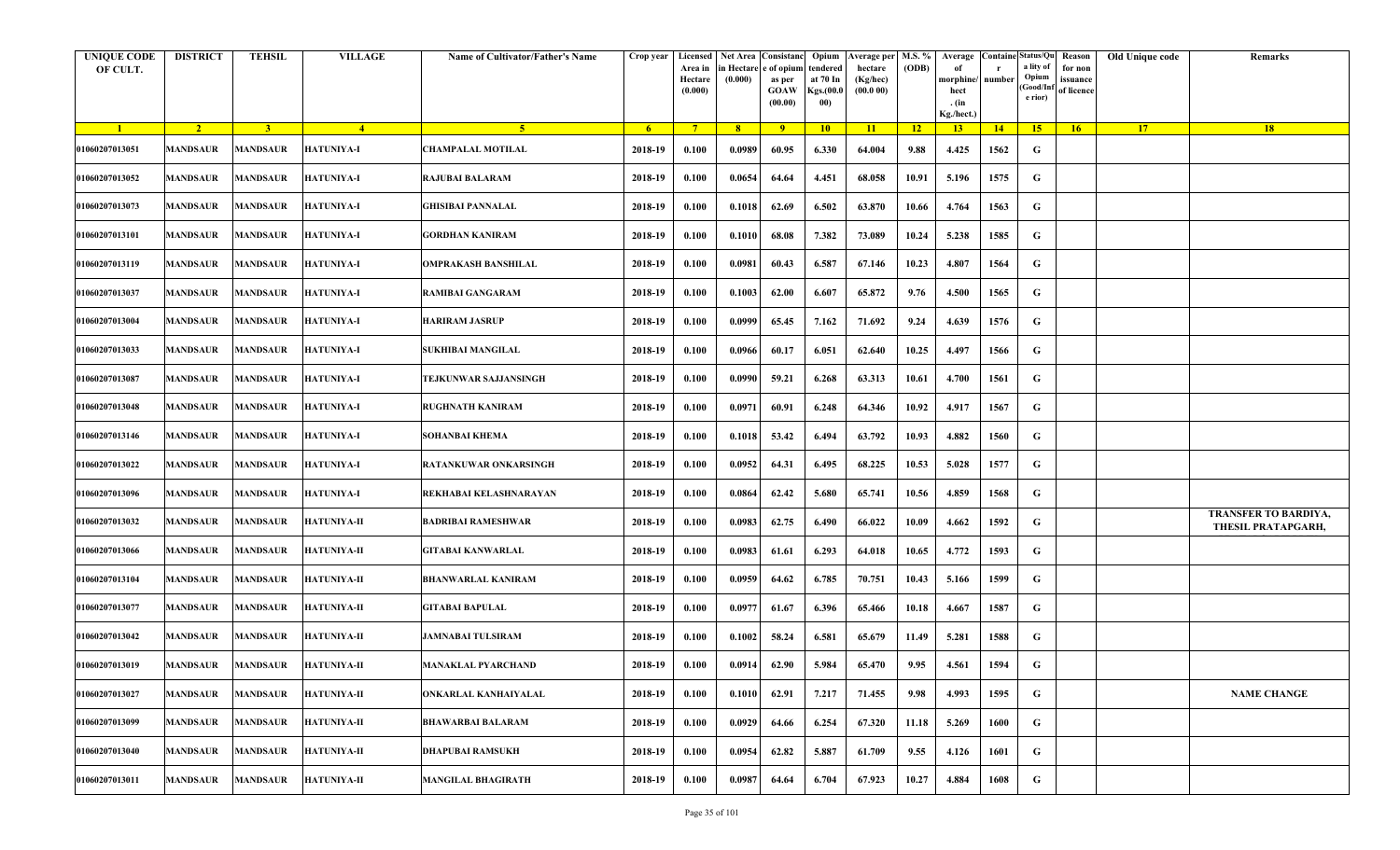| <b>UNIQUE CODE</b><br>OF CULT. | <b>DISTRICT</b> | <b>TEHSIL</b>   | <b>VILLAGE</b>     | Name of Cultivator/Father's Name | Crop year      | Area in<br>Hectare<br>(0.000) | Licensed   Net Area Consistanc<br>ı Hectar<br>(0.000) | e of opium<br>as per<br><b>GOAW</b><br>(00.00) | Opium<br>tendered<br>at 70 In<br>Kgs.(00.0<br>00) | Average per   M.S. %<br>hectare<br>(Kg/hec)<br>(00.000) | (ODB) | Average<br>morphine/<br>hect<br>. (in<br>Kg./hect.) | <b>Containe Status/Qu</b><br>number | a lity of<br>Opium<br>(Good/In:<br>e rior) | Reason<br>for non<br>issuance<br>of licence | Old Unique code | Remarks                                           |
|--------------------------------|-----------------|-----------------|--------------------|----------------------------------|----------------|-------------------------------|-------------------------------------------------------|------------------------------------------------|---------------------------------------------------|---------------------------------------------------------|-------|-----------------------------------------------------|-------------------------------------|--------------------------------------------|---------------------------------------------|-----------------|---------------------------------------------------|
| $\blacksquare$ 1               | $\sqrt{2}$      | 3 <sup>7</sup>  | $\overline{4}$     | -5.                              | 6 <sup>6</sup> | $-7$                          | 8 <sup>1</sup>                                        | $-9$                                           | 10                                                | $\vert$ 11                                              | $-12$ | 13                                                  | 14                                  | 15                                         | 16                                          | 17              | 18                                                |
| 01060207013051                 | MANDSAUR        | <b>MANDSAUR</b> | HATUNIYA-I         | CHAMPALAL MOTILAL                | 2018-19        | 0.100                         | 0.0989                                                | 60.95                                          | 6.330                                             | 64.004                                                  | 9.88  | 4.425                                               | 1562                                | G                                          |                                             |                 |                                                   |
| 01060207013052                 | MANDSAUR        | MANDSAUR        | <b>HATUNIYA-I</b>  | <b>RAJUBAI BALARAM</b>           | 2018-19        | 0.100                         | 0.0654                                                | 64.64                                          | 4.451                                             | 68.058                                                  | 10.91 | 5.196                                               | 1575                                | G                                          |                                             |                 |                                                   |
| 01060207013073                 | <b>MANDSAUR</b> | <b>MANDSAUR</b> | <b>HATUNIYA-I</b>  | GHISIBAI PANNALAL                | 2018-19        | 0.100                         | 0.1018                                                | 62.69                                          | 6.502                                             | 63.870                                                  | 10.66 | 4.764                                               | 1563                                | G                                          |                                             |                 |                                                   |
| 01060207013101                 | <b>MANDSAUR</b> | <b>MANDSAUR</b> | <b>HATUNIYA-I</b>  | <b>GORDHAN KANIRAM</b>           | 2018-19        | 0.100                         | 0.1010                                                | 68.08                                          | 7.382                                             | 73.089                                                  | 10.24 | 5.238                                               | 1585                                | G                                          |                                             |                 |                                                   |
| 01060207013119                 | <b>MANDSAUR</b> | <b>MANDSAUR</b> | HATUNIYA-I         | OMPRAKASH BANSHILAL              | 2018-19        | 0.100                         | 0.0981                                                | 60.43                                          | 6.587                                             | 67.146                                                  | 10.23 | 4.807                                               | 1564                                | G                                          |                                             |                 |                                                   |
| 01060207013037                 | <b>MANDSAUR</b> | <b>MANDSAUR</b> | <b>HATUNIYA-I</b>  | RAMIBAI GANGARAM                 | 2018-19        | 0.100                         | 0.1003                                                | 62.00                                          | 6.607                                             | 65.872                                                  | 9.76  | 4.500                                               | 1565                                | G                                          |                                             |                 |                                                   |
| 01060207013004                 | MANDSAUR        | <b>MANDSAUR</b> | <b>HATUNIYA-I</b>  | <b>HARIRAM JASRUP</b>            | 2018-19        | 0.100                         | 0.0999                                                | 65.45                                          | 7.162                                             | 71.692                                                  | 9.24  | 4.639                                               | 1576                                | G                                          |                                             |                 |                                                   |
| 01060207013033                 | MANDSAUR        | <b>MANDSAUR</b> | HATUNIYA-I         | SUKHIBAI MANGILAL                | 2018-19        | 0.100                         | 0.0966                                                | 60.17                                          | 6.051                                             | 62.640                                                  | 10.25 | 4.497                                               | 1566                                | G                                          |                                             |                 |                                                   |
| 01060207013087                 | <b>MANDSAUR</b> | <b>MANDSAUR</b> | <b>HATUNIYA-I</b>  | TEJKUNWAR SAJJANSINGH            | 2018-19        | 0.100                         | 0.0990                                                | 59.21                                          | 6.268                                             | 63.313                                                  | 10.61 | 4.700                                               | 1561                                | G                                          |                                             |                 |                                                   |
| 01060207013048                 | MANDSAUR        | MANDSAUR        | HATUNIYA-I         | RUGHNATH KANIRAM                 | 2018-19        | 0.100                         | 0.0971                                                | 60.91                                          | 6.248                                             | 64.346                                                  | 10.92 | 4.917                                               | 1567                                | G                                          |                                             |                 |                                                   |
| 01060207013146                 | MANDSAUR        | <b>MANDSAUR</b> | <b>HATUNIYA-I</b>  | SOHANBAI KHEMA                   | 2018-19        | 0.100                         | 0.1018                                                | 53.42                                          | 6.494                                             | 63.792                                                  | 10.93 | 4.882                                               | 1560                                | G                                          |                                             |                 |                                                   |
| 01060207013022                 | <b>MANDSAUR</b> | <b>MANDSAUR</b> | <b>HATUNIYA-I</b>  | RATANKUWAR ONKARSINGH            | 2018-19        | 0.100                         | 0.0952                                                | 64.31                                          | 6.495                                             | 68.225                                                  | 10.53 | 5.028                                               | 1577                                | G                                          |                                             |                 |                                                   |
| 01060207013096                 | <b>MANDSAUR</b> | <b>MANDSAUR</b> | <b>HATUNIYA-I</b>  | REKHABAI KELASHNARAYAN           | 2018-19        | 0.100                         | 0.0864                                                | 62.42                                          | 5.680                                             | 65.741                                                  | 10.56 | 4.859                                               | 1568                                | G                                          |                                             |                 |                                                   |
| 01060207013032                 | <b>MANDSAUR</b> | <b>MANDSAUR</b> | <b>HATUNIYA-II</b> | <b>BADRIBAI RAMESHWAR</b>        | 2018-19        | 0.100                         | 0.0983                                                | 62.75                                          | 6.490                                             | 66.022                                                  | 10.09 | 4.662                                               | 1592                                | G                                          |                                             |                 | <b>TRANSFER TO BARDIYA,</b><br>THESIL PRATAPGARH, |
| 01060207013066                 | MANDSAUR        | <b>MANDSAUR</b> | <b>HATUNIYA-II</b> | <b>GITABAI KANWARLAL</b>         | 2018-19        | 0.100                         | 0.0983                                                | 61.61                                          | 6.293                                             | 64.018                                                  | 10.65 | 4.772                                               | 1593                                | G                                          |                                             |                 |                                                   |
| 01060207013104                 | <b>MANDSAUR</b> | <b>MANDSAUR</b> | <b>HATUNIYA-II</b> | <b>BHANWARLAL KANIRAM</b>        | 2018-19        | 0.100                         | 0.0959                                                | 64.62                                          | 6.785                                             | 70.751                                                  | 10.43 | 5.166                                               | 1599                                | G                                          |                                             |                 |                                                   |
| 01060207013077                 | MANDSAUR        | <b>MANDSAUR</b> | <b>HATUNIYA-II</b> | GITABAI BAPULAL                  | 2018-19        | 0.100                         | 0.0977                                                | 61.67                                          | 6.396                                             | 65.466                                                  | 10.18 | 4.667                                               | 1587                                | G                                          |                                             |                 |                                                   |
| 01060207013042                 | MANDSAUR        | <b>MANDSAUR</b> | <b>HATUNIYA-II</b> | <b>JAMNABAI TULSIRAM</b>         | 2018-19        | 0.100                         | 0.1002                                                | 58.24                                          | 6.581                                             | 65.679                                                  | 11.49 | 5.281                                               | 1588                                | G                                          |                                             |                 |                                                   |
| 01060207013019                 | MANDSAUR        | <b>MANDSAUR</b> | <b>HATUNIYA-II</b> | <b>MANAKLAL PYARCHAND</b>        | 2018-19        | 0.100                         | 0.0914                                                | 62.90                                          | 5.984                                             | 65.470                                                  | 9.95  | 4.561                                               | 1594                                | G                                          |                                             |                 |                                                   |
| 01060207013027                 | <b>MANDSAUR</b> | <b>MANDSAUR</b> | <b>HATUNIYA-II</b> | ONKARLAL KANHAIYALAL             | 2018-19        | 0.100                         | 0.1010                                                | 62.91                                          | 7.217                                             | 71.455                                                  | 9.98  | 4.993                                               | 1595                                | G                                          |                                             |                 | <b>NAME CHANGE</b>                                |
| 01060207013099                 | <b>MANDSAUR</b> | <b>MANDSAUR</b> | <b>HATUNIYA-II</b> | <b>BHAWARBAI BALARAM</b>         | 2018-19        | 0.100                         | 0.0929                                                | 64.66                                          | 6.254                                             | 67.320                                                  | 11.18 | 5.269                                               | 1600                                | $\mathbf G$                                |                                             |                 |                                                   |
| 01060207013040                 | <b>MANDSAUR</b> | <b>MANDSAUR</b> | <b>HATUNIYA-II</b> | <b>DHAPUBAI RAMSUKH</b>          | 2018-19        | 0.100                         | 0.0954                                                | 62.82                                          | 5.887                                             | 61.709                                                  | 9.55  | 4.126                                               | 1601                                | G                                          |                                             |                 |                                                   |
| 01060207013011                 | <b>MANDSAUR</b> | <b>MANDSAUR</b> | <b>HATUNIYA-II</b> | <b>MANGILAL BHAGIRATH</b>        | 2018-19        | 0.100                         | 0.0987                                                | 64.64                                          | 6.704                                             | 67.923                                                  | 10.27 | 4.884                                               | 1608                                | G                                          |                                             |                 |                                                   |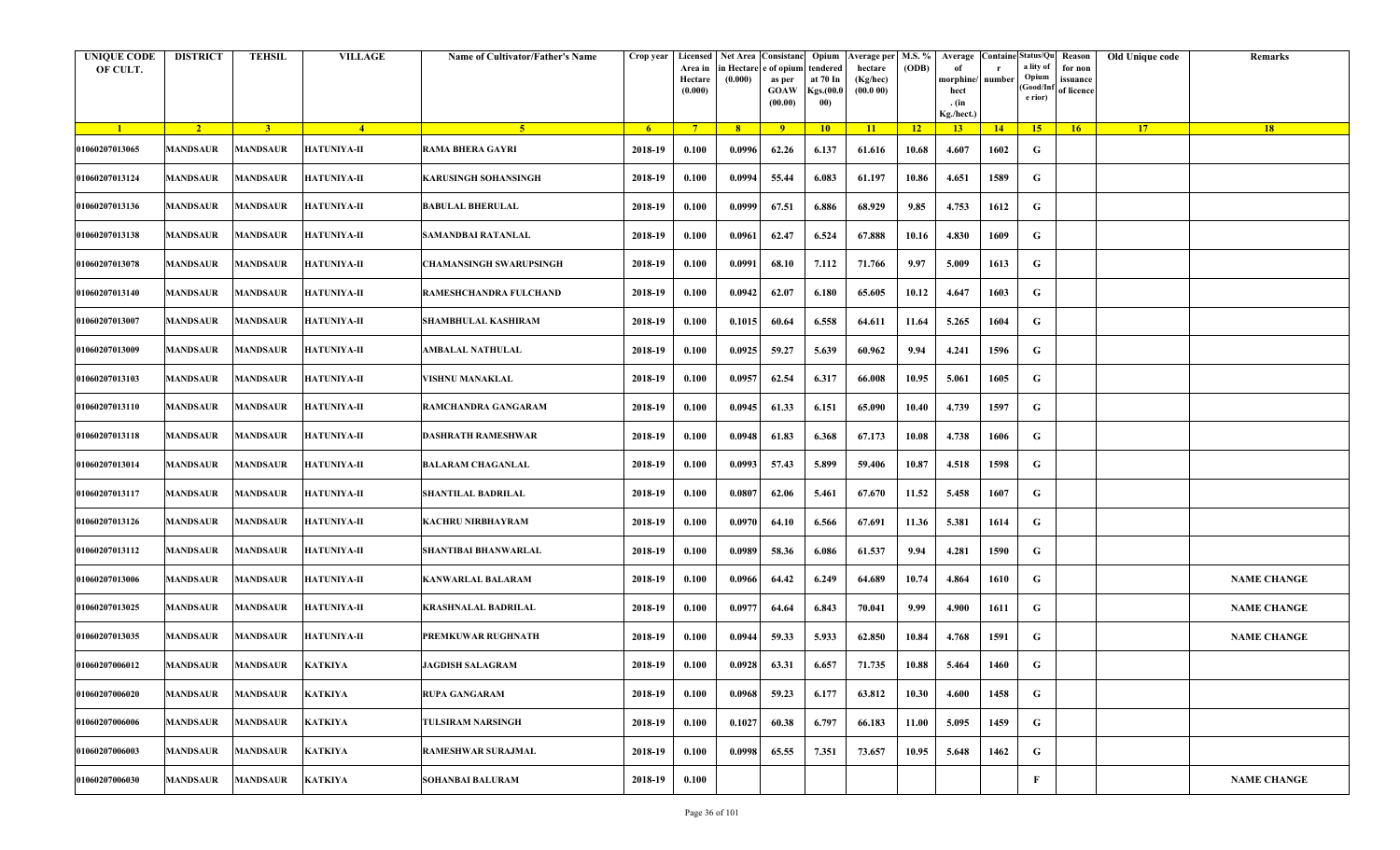| <b>UNIQUE CODE</b><br>OF CULT. | <b>DISTRICT</b> | <b>TEHSIL</b>   | <b>VILLAGE</b>     | <b>Name of Cultivator/Father's Name</b> | Crop year   | Area in<br>Hectare<br>(0.000) | in Hectare<br>(0.000) | Licensed   Net Area   Consistanc  <br>e of opium<br>as per<br><b>GOAW</b><br>(00.00) | Opium<br>:endered<br>at 70 In<br>Kgs.(00.0<br>00) | Verage per   M.S. %<br>hectare<br>(Kg/hec)<br>(00.000) | (ODB)           | Average<br>morphine/<br>hect<br>. $(in$<br>Kg./hect.) | number | <b>Containe Status/Qu</b><br>a lity of<br>Opium<br>Good/Inf<br>e rior) | Reason<br>for non<br>issuance<br>of licence | Old Unique code | Remarks            |
|--------------------------------|-----------------|-----------------|--------------------|-----------------------------------------|-------------|-------------------------------|-----------------------|--------------------------------------------------------------------------------------|---------------------------------------------------|--------------------------------------------------------|-----------------|-------------------------------------------------------|--------|------------------------------------------------------------------------|---------------------------------------------|-----------------|--------------------|
| $\blacksquare$                 | $\sqrt{2}$      | 3 <sup>7</sup>  | $-4$               | -5 -                                    | $6^{\circ}$ | $7^{\circ}$                   | 8 <sup>1</sup>        | $-9$                                                                                 | $10-10$                                           | $\vert$ 11                                             | $\overline{12}$ | 13                                                    | 14     | 15                                                                     | 16                                          | 17              | 18                 |
| 01060207013065                 | <b>MANDSAUR</b> | <b>MANDSAUR</b> | <b>HATUNIYA-II</b> | <b>RAMA BHERA GAYRI</b>                 | 2018-19     | 0.100                         | 0.0996                | 62.26                                                                                | 6.137                                             | 61.616                                                 | 10.68           | 4.607                                                 | 1602   | G                                                                      |                                             |                 |                    |
| 01060207013124                 | <b>MANDSAUR</b> | MANDSAUR        | <b>HATUNIYA-II</b> | KARUSINGH SOHANSINGH                    | 2018-19     | 0.100                         | 0.0994                | 55.44                                                                                | 6.083                                             | 61.197                                                 | 10.86           | 4.651                                                 | 1589   | G                                                                      |                                             |                 |                    |
| 01060207013136                 | <b>MANDSAUR</b> | <b>MANDSAUR</b> | <b>HATUNIYA-II</b> | <b>BABULAL BHERULAL</b>                 | 2018-19     | 0.100                         | 0.0999                | 67.51                                                                                | 6.886                                             | 68.929                                                 | 9.85            | 4.753                                                 | 1612   | G                                                                      |                                             |                 |                    |
| 01060207013138                 | <b>MANDSAUR</b> | <b>MANDSAUR</b> | <b>HATUNIYA-II</b> | SAMANDBAI RATANLAL                      | 2018-19     | 0.100                         | 0.0961                | 62.47                                                                                | 6.524                                             | 67.888                                                 | 10.16           | 4.830                                                 | 1609   | G                                                                      |                                             |                 |                    |
| 01060207013078                 | <b>MANDSAUR</b> | <b>MANDSAUR</b> | <b>HATUNIYA-II</b> | <b>CHAMANSINGH SWARUPSINGH</b>          | 2018-19     | 0.100                         | 0.0991                | 68.10                                                                                | 7.112                                             | 71.766                                                 | 9.97            | 5.009                                                 | 1613   | G                                                                      |                                             |                 |                    |
| 01060207013140                 | MANDSAUR        | <b>MANDSAUR</b> | <b>HATUNIYA-II</b> | RAMESHCHANDRA FULCHAND                  | 2018-19     | 0.100                         | 0.0942                | 62.07                                                                                | 6.180                                             | 65.605                                                 | 10.12           | 4.647                                                 | 1603   | G                                                                      |                                             |                 |                    |
| 01060207013007                 | <b>MANDSAUR</b> | <b>MANDSAUR</b> | <b>HATUNIYA-II</b> | SHAMBHULAL KASHIRAM                     | 2018-19     | 0.100                         | 0.1015                | 60.64                                                                                | 6.558                                             | 64.611                                                 | 11.64           | 5.265                                                 | 1604   | G                                                                      |                                             |                 |                    |
| 01060207013009                 | <b>MANDSAUR</b> | <b>MANDSAUR</b> | <b>HATUNIYA-II</b> | AMBALAL NATHULAL                        | 2018-19     | 0.100                         | 0.0925                | 59.27                                                                                | 5.639                                             | 60.962                                                 | 9.94            | 4.241                                                 | 1596   | G                                                                      |                                             |                 |                    |
| 01060207013103                 | <b>MANDSAUR</b> | <b>MANDSAUR</b> | <b>HATUNIYA-II</b> | VISHNU MANAKLAL                         | 2018-19     | 0.100                         | 0.0957                | 62.54                                                                                | 6.317                                             | 66.008                                                 | 10.95           | 5.061                                                 | 1605   | G                                                                      |                                             |                 |                    |
| 01060207013110                 | MANDSAUR        | MANDSAUR        | <b>HATUNIYA-II</b> | RAMCHANDRA GANGARAM                     | 2018-19     | 0.100                         | 0.0945                | 61.33                                                                                | 6.151                                             | 65.090                                                 | 10.40           | 4.739                                                 | 1597   | G                                                                      |                                             |                 |                    |
| 01060207013118                 | <b>MANDSAUR</b> | <b>MANDSAUR</b> | <b>HATUNIYA-II</b> | DASHRATH RAMESHWAR                      | 2018-19     | 0.100                         | 0.0948                | 61.83                                                                                | 6.368                                             | 67.173                                                 | 10.08           | 4.738                                                 | 1606   | G                                                                      |                                             |                 |                    |
| 01060207013014                 | <b>MANDSAUR</b> | MANDSAUR        | <b>HATUNIYA-II</b> | <b>BALARAM CHAGANLAL</b>                | 2018-19     | 0.100                         | 0.0993                | 57.43                                                                                | 5.899                                             | 59.406                                                 | 10.87           | 4.518                                                 | 1598   | G                                                                      |                                             |                 |                    |
| 01060207013117                 | <b>MANDSAUR</b> | <b>MANDSAUR</b> | <b>HATUNIYA-II</b> | <b>SHANTILAL BADRILAL</b>               | 2018-19     | 0.100                         | 0.0807                | 62.06                                                                                | 5.461                                             | 67.670                                                 | 11.52           | 5.458                                                 | 1607   | G                                                                      |                                             |                 |                    |
| 01060207013126                 | <b>MANDSAUR</b> | <b>MANDSAUR</b> | <b>HATUNIYA-II</b> | <b>KACHRU NIRBHAYRAM</b>                | 2018-19     | 0.100                         | 0.0970                | 64.10                                                                                | 6.566                                             | 67.691                                                 | 11.36           | 5.381                                                 | 1614   | G                                                                      |                                             |                 |                    |
| 01060207013112                 | MANDSAUR        | <b>MANDSAUR</b> | <b>HATUNIYA-II</b> | SHANTIBAI BHANWARLAL                    | 2018-19     | 0.100                         | 0.0989                | 58.36                                                                                | 6.086                                             | 61.537                                                 | 9.94            | 4.281                                                 | 1590   | G                                                                      |                                             |                 |                    |
| 01060207013006                 | <b>MANDSAUR</b> | <b>MANDSAUR</b> | <b>HATUNIYA-II</b> | <b>KANWARLAL BALARAM</b>                | 2018-19     | 0.100                         | 0.0966                | 64.42                                                                                | 6.249                                             | 64.689                                                 | 10.74           | 4.864                                                 | 1610   | G                                                                      |                                             |                 | <b>NAME CHANGE</b> |
| 01060207013025                 | <b>MANDSAUR</b> | <b>MANDSAUR</b> | <b>HATUNIYA-II</b> | <b>KRASHNALAL BADRILAL</b>              | 2018-19     | 0.100                         | 0.0977                | 64.64                                                                                | 6.843                                             | 70.041                                                 | 9.99            | 4.900                                                 | 1611   | G                                                                      |                                             |                 | <b>NAME CHANGE</b> |
| 01060207013035                 | <b>MANDSAUR</b> | <b>MANDSAUR</b> | <b>HATUNIYA-II</b> | <b>PREMKUWAR RUGHNATH</b>               | 2018-19     | 0.100                         | 0.0944                | 59.33                                                                                | 5.933                                             | 62.850                                                 | 10.84           | 4.768                                                 | 1591   | G                                                                      |                                             |                 | <b>NAME CHANGE</b> |
| 01060207006012                 | <b>MANDSAUR</b> | <b>MANDSAUR</b> | <b>KATKIYA</b>     | <b>JAGDISH SALAGRAM</b>                 | 2018-19     | 0.100                         | 0.0928                | 63.31                                                                                | 6.657                                             | 71.735                                                 | 10.88           | 5.464                                                 | 1460   | G                                                                      |                                             |                 |                    |
| 01060207006020                 | <b>MANDSAUR</b> | <b>MANDSAUR</b> | <b>KATKIYA</b>     | <b>RUPA GANGARAM</b>                    | 2018-19     | 0.100                         | 0.0968                | 59.23                                                                                | 6.177                                             | 63.812                                                 | 10.30           | 4.600                                                 | 1458   | G                                                                      |                                             |                 |                    |
| 01060207006006                 | <b>MANDSAUR</b> | <b>MANDSAUR</b> | <b>KATKIYA</b>     | <b>TULSIRAM NARSINGH</b>                | 2018-19     | 0.100                         | 0.1027                | 60.38                                                                                | 6.797                                             | 66.183                                                 | 11.00           | 5.095                                                 | 1459   | $\mathbf G$                                                            |                                             |                 |                    |
| 01060207006003                 | <b>MANDSAUR</b> | <b>MANDSAUR</b> | <b>KATKIYA</b>     | <b>RAMESHWAR SURAJMAL</b>               | 2018-19     | 0.100                         | 0.0998                | 65.55                                                                                | 7.351                                             | 73.657                                                 | 10.95           | 5.648                                                 | 1462   | G                                                                      |                                             |                 |                    |
| 01060207006030                 | <b>MANDSAUR</b> | <b>MANDSAUR</b> | <b>KATKIYA</b>     | <b>SOHANBAI BALURAM</b>                 | 2018-19     | 0.100                         |                       |                                                                                      |                                                   |                                                        |                 |                                                       |        | F                                                                      |                                             |                 | <b>NAME CHANGE</b> |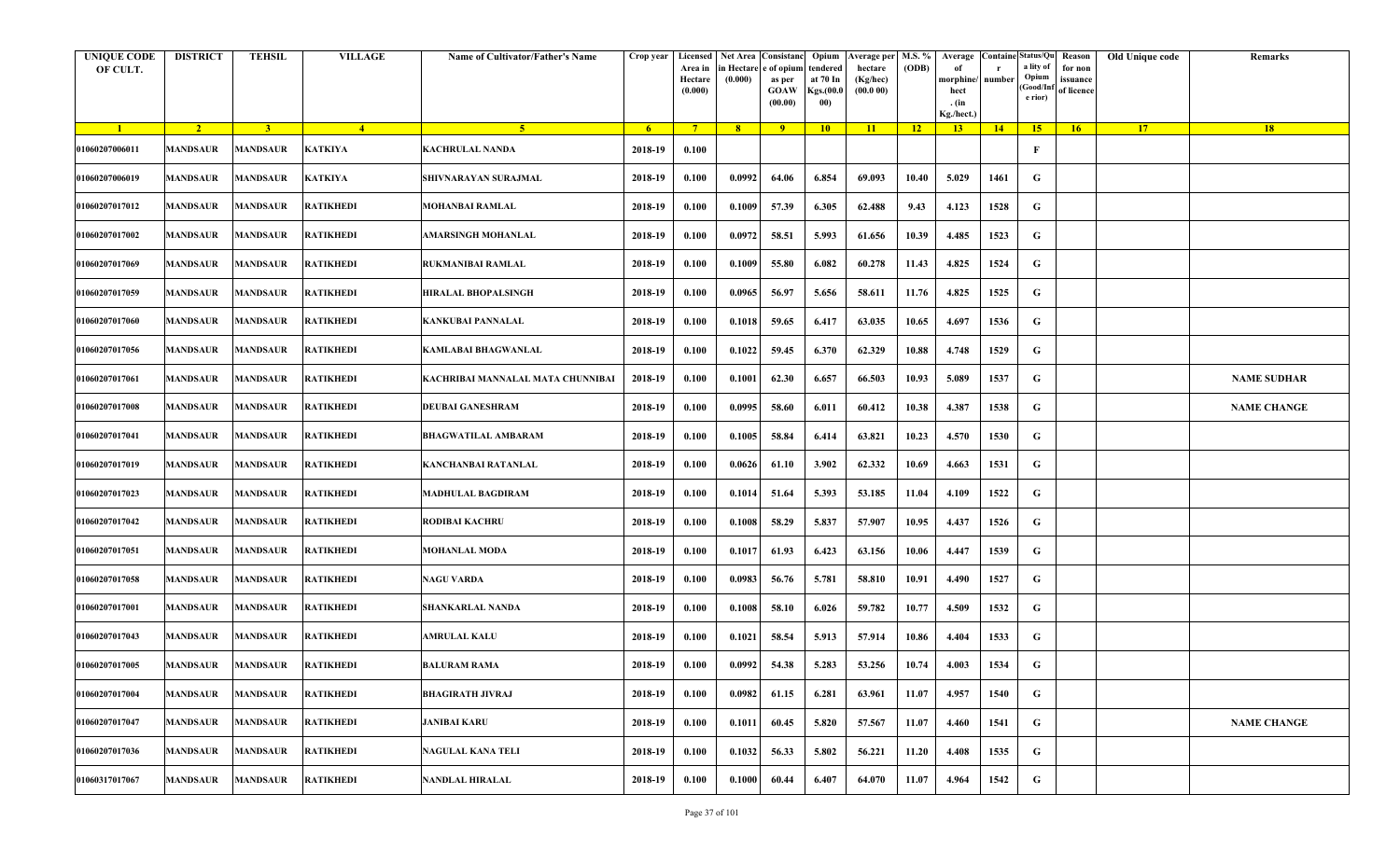| <b>UNIQUE CODE</b><br>OF CULT. | <b>DISTRICT</b> | TEHSIL          | <b>VILLAGE</b>   | <b>Name of Cultivator/Father's Name</b> | Crop year      | Licensed<br>Area in<br>Hectare<br>(0.000) | ı Hectare<br>(0.000) | Net Area   Consistanc<br>e of opium tendered<br>as per<br><b>GOAW</b><br>(00.00) | Opium<br>at 70 In<br><b>Kgs.</b> (00.0<br>00) | Average per   M.S. %<br>hectare<br>(Kg/hec)<br>(00.0 00) | (ODB)          | 0f<br>norphine<br>hect<br>. (in<br>Kg./hect.) | Average Containe Status/Qu<br>number | a lity of<br>Opium<br>e rior) | Reason<br>for non<br>issuance<br>(Good/Inf of licence | Old Unique code | Remarks            |
|--------------------------------|-----------------|-----------------|------------------|-----------------------------------------|----------------|-------------------------------------------|----------------------|----------------------------------------------------------------------------------|-----------------------------------------------|----------------------------------------------------------|----------------|-----------------------------------------------|--------------------------------------|-------------------------------|-------------------------------------------------------|-----------------|--------------------|
| $\blacksquare$                 | 2 <sup>1</sup>  | 3 <sup>1</sup>  | $\overline{4}$   | $-5$                                    | 6 <sup>1</sup> | $7^{\circ}$                               | $\sqrt{8}$           | $-9$                                                                             | $10-10$                                       | 11                                                       | $\frac{12}{ }$ | $\overline{13}$                               | $\frac{14}{ }$                       | 15                            | 16                                                    | 17 <sup>2</sup> | 18                 |
| 01060207006011                 | <b>MANDSAUR</b> | <b>MANDSAUR</b> | KATKIYA          | <b>KACHRULAL NANDA</b>                  | 2018-19        | 0.100                                     |                      |                                                                                  |                                               |                                                          |                |                                               |                                      | F                             |                                                       |                 |                    |
| 01060207006019                 | <b>MANDSAUR</b> | <b>MANDSAUR</b> | KATKIYA          | <b>SHIVNARAYAN SURAJMAL</b>             | 2018-19        | 0.100                                     | 0.0992               | 64.06                                                                            | 6.854                                         | 69.093                                                   | 10.40          | 5.029                                         | 1461                                 | G                             |                                                       |                 |                    |
| 01060207017012                 | MANDSAUR        | <b>MANDSAUR</b> | <b>RATIKHEDI</b> | MOHANBAI RAMLAL                         | 2018-19        | 0.100                                     | 0.1009               | 57.39                                                                            | 6.305                                         | 62.488                                                   | 9.43           | 4.123                                         | 1528                                 | G                             |                                                       |                 |                    |
| 01060207017002                 | <b>MANDSAUR</b> | <b>MANDSAUR</b> | RATIKHEDI        | AMARSINGH MOHANLAL                      | 2018-19        | 0.100                                     | 0.0972               | 58.51                                                                            | 5.993                                         | 61.656                                                   | 10.39          | 4.485                                         | 1523                                 | G                             |                                                       |                 |                    |
| 01060207017069                 | <b>MANDSAUR</b> | <b>MANDSAUR</b> | <b>RATIKHEDI</b> | RUKMANIBAI RAMLAL                       | 2018-19        | 0.100                                     | 0.1009               | 55.80                                                                            | 6.082                                         | 60.278                                                   | 11.43          | 4.825                                         | 1524                                 | G                             |                                                       |                 |                    |
| 01060207017059                 | <b>MANDSAUR</b> | <b>MANDSAUR</b> | <b>RATIKHEDI</b> | <b>HIRALAL BHOPALSINGH</b>              | 2018-19        | 0.100                                     | 0.0965               | 56.97                                                                            | 5.656                                         | 58.611                                                   | 11.76          | 4.825                                         | 1525                                 | G                             |                                                       |                 |                    |
| 01060207017060                 | <b>MANDSAUR</b> | <b>MANDSAUR</b> | <b>RATIKHEDI</b> | <b>KANKUBAI PANNALAL</b>                | 2018-19        | 0.100                                     | 0.1018               | 59.65                                                                            | 6.417                                         | 63.035                                                   | 10.65          | 4.697                                         | 1536                                 | G                             |                                                       |                 |                    |
| 01060207017056                 | <b>MANDSAUR</b> | <b>MANDSAUR</b> | RATIKHEDI        | <b>KAMLABAI BHAGWANLAL</b>              | 2018-19        | 0.100                                     | 0.1022               | 59.45                                                                            | 6.370                                         | 62.329                                                   | 10.88          | 4.748                                         | 1529                                 | G                             |                                                       |                 |                    |
| 01060207017061                 | <b>MANDSAUR</b> | <b>MANDSAUR</b> | <b>RATIKHEDI</b> | KACHRIBAI MANNALAL MATA CHUNNIBAI       | 2018-19        | 0.100                                     | 0.1001               | 62.30                                                                            | 6.657                                         | 66.503                                                   | 10.93          | 5.089                                         | 1537                                 | G                             |                                                       |                 | <b>NAME SUDHAR</b> |
| 01060207017008                 | MANDSAUR        | <b>MANDSAUR</b> | RATIKHEDI        | <b>DEUBAI GANESHRAM</b>                 | 2018-19        | 0.100                                     | 0.0995               | 58.60                                                                            | 6.011                                         | 60.412                                                   | 10.38          | 4.387                                         | 1538                                 | G                             |                                                       |                 | <b>NAME CHANGE</b> |
| 01060207017041                 | <b>MANDSAUR</b> | <b>MANDSAUR</b> | <b>RATIKHEDI</b> | <b>BHAGWATILAL AMBARAM</b>              | 2018-19        | 0.100                                     | 0.1005               | 58.84                                                                            | 6.414                                         | 63.821                                                   | 10.23          | 4.570                                         | 1530                                 | G                             |                                                       |                 |                    |
| 01060207017019                 | <b>MANDSAUR</b> | <b>MANDSAUR</b> | RATIKHEDI        | KANCHANBAI RATANLAL                     | 2018-19        | 0.100                                     | 0.0626               | 61.10                                                                            | 3.902                                         | 62.332                                                   | 10.69          | 4.663                                         | 1531                                 | G                             |                                                       |                 |                    |
| 01060207017023                 | <b>MANDSAUR</b> | <b>MANDSAUR</b> | RATIKHEDI        | <b>MADHULAL BAGDIRAM</b>                | 2018-19        | 0.100                                     | 0.1014               | 51.64                                                                            | 5.393                                         | 53.185                                                   | 11.04          | 4.109                                         | 1522                                 | G                             |                                                       |                 |                    |
| 01060207017042                 | <b>MANDSAUR</b> | <b>MANDSAUR</b> | <b>RATIKHEDI</b> | RODIBAI KACHRU                          | 2018-19        | 0.100                                     | 0.1008               | 58.29                                                                            | 5.837                                         | 57.907                                                   | 10.95          | 4.437                                         | 1526                                 | G                             |                                                       |                 |                    |
| 01060207017051                 | <b>MANDSAUR</b> | <b>MANDSAUR</b> | RATIKHEDI        | <b>MOHANLAL MODA</b>                    | 2018-19        | 0.100                                     | 0.1017               | 61.93                                                                            | 6.423                                         | 63.156                                                   | 10.06          | 4.447                                         | 1539                                 | G                             |                                                       |                 |                    |
| 01060207017058                 | <b>MANDSAUR</b> | <b>MANDSAUR</b> | <b>RATIKHEDI</b> | <b>NAGU VARDA</b>                       | 2018-19        | 0.100                                     | 0.0983               | 56.76                                                                            | 5.781                                         | 58.810                                                   | 10.91          | 4.490                                         | 1527                                 | G                             |                                                       |                 |                    |
| 01060207017001                 | <b>MANDSAUR</b> | <b>MANDSAUR</b> | RATIKHEDI        | <b>SHANKARLAL NANDA</b>                 | 2018-19        | 0.100                                     | 0.1008               | 58.10                                                                            | 6.026                                         | 59.782                                                   | 10.77          | 4.509                                         | 1532                                 | G                             |                                                       |                 |                    |
| 01060207017043                 | <b>MANDSAUR</b> | <b>MANDSAUR</b> | <b>RATIKHEDI</b> | <b>AMRULAL KALU</b>                     | 2018-19        | 0.100                                     | 0.1021               | 58.54                                                                            | 5.913                                         | 57.914                                                   | 10.86          | 4.404                                         | 1533                                 | G                             |                                                       |                 |                    |
| 01060207017005                 | <b>MANDSAUR</b> | <b>MANDSAUR</b> | <b>RATIKHEDI</b> | <b>BALURAM RAMA</b>                     | 2018-19        | 0.100                                     | 0.0992               | 54.38                                                                            | 5.283                                         | 53.256                                                   | 10.74          | 4.003                                         | 1534                                 | G                             |                                                       |                 |                    |
| 01060207017004                 | <b>MANDSAUR</b> | <b>MANDSAUR</b> | <b>RATIKHEDI</b> | <b>BHAGIRATH JIVRAJ</b>                 | 2018-19        | 0.100                                     | 0.0982               | 61.15                                                                            | 6.281                                         | 63.961                                                   | 11.07          | 4.957                                         | 1540                                 | G                             |                                                       |                 |                    |
| 01060207017047                 | <b>MANDSAUR</b> | <b>MANDSAUR</b> | <b>RATIKHEDI</b> | <b>JANIBAI KARU</b>                     | 2018-19        | 0.100                                     | 0.1011               | 60.45                                                                            | 5.820                                         | 57.567                                                   | 11.07          | 4.460                                         | 1541                                 | G                             |                                                       |                 | <b>NAME CHANGE</b> |
| 01060207017036                 | <b>MANDSAUR</b> | <b>MANDSAUR</b> | RATIKHEDI        | <b>NAGULAL KANA TELI</b>                | 2018-19        | 0.100                                     | 0.1032               | 56.33                                                                            | 5.802                                         | 56.221                                                   | 11.20          | 4.408                                         | 1535                                 | $\mathbf G$                   |                                                       |                 |                    |
| 01060317017067                 | <b>MANDSAUR</b> | <b>MANDSAUR</b> | <b>RATIKHEDI</b> | <b>NANDLAL HIRALAL</b>                  | 2018-19        | 0.100                                     | 0.1000               | 60.44                                                                            | 6.407                                         | 64.070                                                   | 11.07          | 4.964                                         | 1542                                 | G                             |                                                       |                 |                    |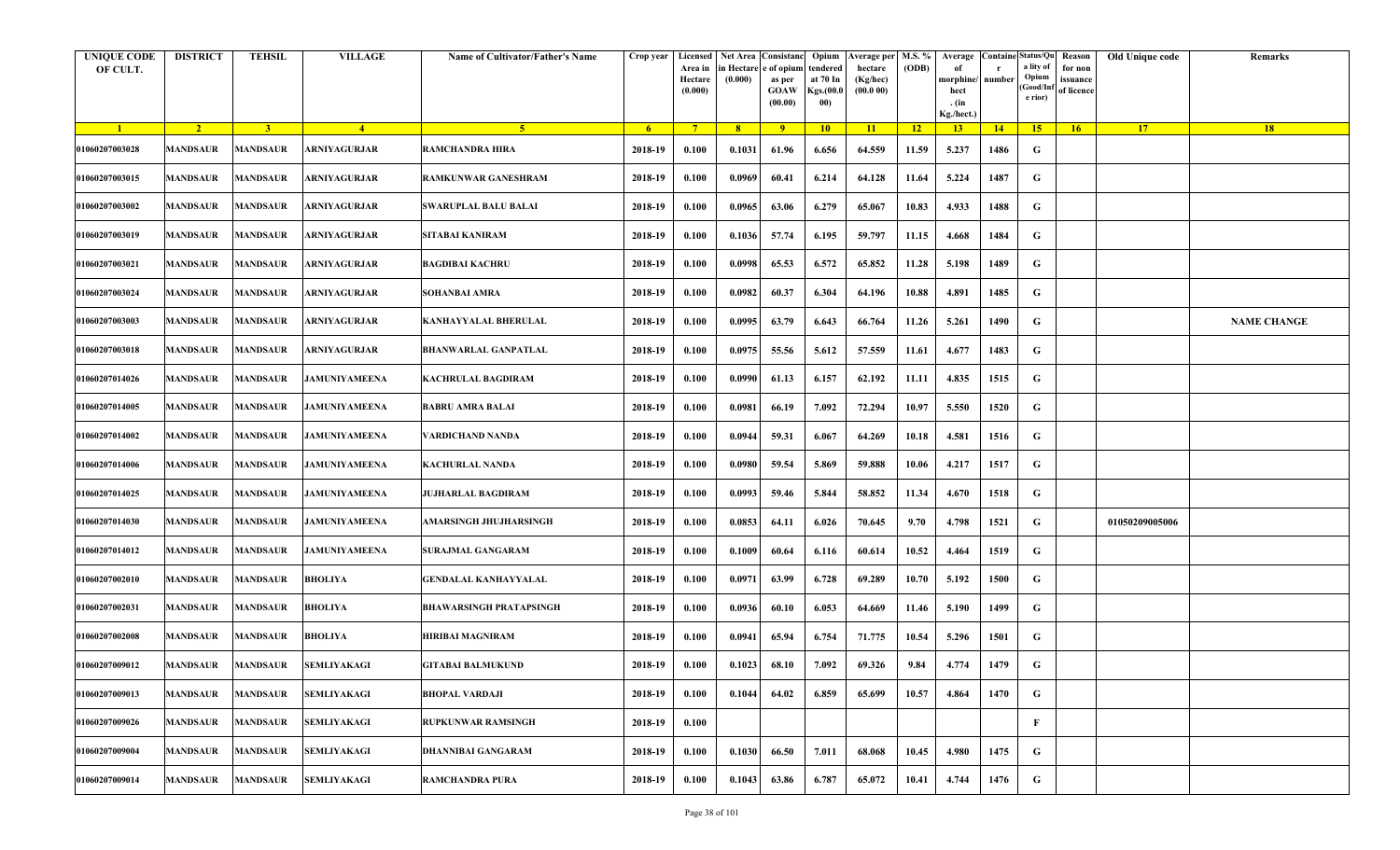| <b>UNIQUE CODE</b><br>OF CULT. | <b>DISTRICT</b> | <b>TEHSIL</b>   | <b>VILLAGE</b>       | Name of Cultivator/Father's Name | Crop year   | Area in<br>Hectare<br>(0.000) | Licensed   Net Area Consistanc<br>ı Hectar<br>(0.000) | e of opium<br>as per<br><b>GOAW</b><br>(00.00) | Opium<br>tendered<br>at 70 In<br>Kgs.(00.0<br>00) | <b>Average per</b><br>hectare<br>(Kg/hec)<br>(00.000) | M.S. %<br>(ODB) | Average<br>morphine/<br>hect<br>. (in<br>Kg./hect.) | <b>Containe Status/Qu</b><br>number | a lity of<br>Opium<br>(Good/In:<br>e rior) | Reason<br>for non<br>issuance<br>of licence | Old Unique code | Remarks            |
|--------------------------------|-----------------|-----------------|----------------------|----------------------------------|-------------|-------------------------------|-------------------------------------------------------|------------------------------------------------|---------------------------------------------------|-------------------------------------------------------|-----------------|-----------------------------------------------------|-------------------------------------|--------------------------------------------|---------------------------------------------|-----------------|--------------------|
| $\blacksquare$ 1               | $\sqrt{2}$      | 3 <sup>7</sup>  | $\sqrt{4}$           | -5.                              | $6^{\circ}$ | $-7$                          | 8 <sup>1</sup>                                        | $-9$                                           | 10                                                | $\vert$ 11                                            | $-12$           | 13                                                  | 14                                  | 15                                         | 16                                          | 17              | 18                 |
| 01060207003028                 | <b>MANDSAUR</b> | <b>MANDSAUR</b> | ARNIYAGURJAR         | <b>RAMCHANDRA HIRA</b>           | 2018-19     | 0.100                         | 0.1031                                                | 61.96                                          | 6.656                                             | 64.559                                                | 11.59           | 5.237                                               | 1486                                | G                                          |                                             |                 |                    |
| 01060207003015                 | MANDSAUR        | MANDSAUR        | ARNIYAGURJAR         | <b>RAMKUNWAR GANESHRAM</b>       | 2018-19     | 0.100                         | 0.0969                                                | 60.41                                          | 6.214                                             | 64.128                                                | 11.64           | 5.224                                               | 1487                                | G                                          |                                             |                 |                    |
| 01060207003002                 | <b>MANDSAUR</b> | <b>MANDSAUR</b> | ARNIYAGURJAR         | <b>SWARUPLAL BALU BALAI</b>      | 2018-19     | 0.100                         | 0.0965                                                | 63.06                                          | 6.279                                             | 65.067                                                | 10.83           | 4.933                                               | 1488                                | G                                          |                                             |                 |                    |
| 01060207003019                 | <b>MANDSAUR</b> | <b>MANDSAUR</b> | ARNIYAGURJAR         | SITABAI KANIRAM                  | 2018-19     | 0.100                         | 0.1036                                                | 57.74                                          | 6.195                                             | 59.797                                                | 11.15           | 4.668                                               | 1484                                | G                                          |                                             |                 |                    |
| 01060207003021                 | <b>MANDSAUR</b> | <b>MANDSAUR</b> | <b>ARNIYAGURJAR</b>  | <b>BAGDIBAI KACHRU</b>           | 2018-19     | 0.100                         | 0.0998                                                | 65.53                                          | 6.572                                             | 65.852                                                | 11.28           | 5.198                                               | 1489                                | G                                          |                                             |                 |                    |
| 01060207003024                 | <b>MANDSAUR</b> | <b>MANDSAUR</b> | <b>ARNIYAGURJAR</b>  | SOHANBAI AMRA                    | 2018-19     | 0.100                         | 0.0982                                                | 60.37                                          | 6.304                                             | 64.196                                                | 10.88           | 4.891                                               | 1485                                | G                                          |                                             |                 |                    |
| 01060207003003                 | MANDSAUR        | <b>MANDSAUR</b> | <b>ARNIYAGURJAR</b>  | KANHAYYALAL BHERULAL             | 2018-19     | 0.100                         | 0.0995                                                | 63.79                                          | 6.643                                             | 66.764                                                | 11.26           | 5.261                                               | 1490                                | G                                          |                                             |                 | <b>NAME CHANGE</b> |
| 01060207003018                 | MANDSAUR        | <b>MANDSAUR</b> | <b>ARNIYAGURJAR</b>  | <b>BHANWARLAL GANPATLAL</b>      | 2018-19     | 0.100                         | 0.0975                                                | 55.56                                          | 5.612                                             | 57.559                                                | 11.61           | 4.677                                               | 1483                                | G                                          |                                             |                 |                    |
| 01060207014026                 | <b>MANDSAUR</b> | <b>MANDSAUR</b> | <b>JAMUNIYAMEENA</b> | <b>KACHRULAL BAGDIRAM</b>        | 2018-19     | 0.100                         | 0.0990                                                | 61.13                                          | 6.157                                             | 62.192                                                | 11.11           | 4.835                                               | 1515                                | G                                          |                                             |                 |                    |
| 01060207014005                 | MANDSAUR        | MANDSAUR        | JAMUNIYAMEENA        | BABRU AMRA BALAI                 | 2018-19     | 0.100                         | 0.0981                                                | 66.19                                          | 7.092                                             | 72.294                                                | 10.97           | 5.550                                               | 1520                                | G                                          |                                             |                 |                    |
| 01060207014002                 | MANDSAUR        | <b>MANDSAUR</b> | <b>JAMUNIYAMEENA</b> | VARDICHAND NANDA                 | 2018-19     | 0.100                         | 0.0944                                                | 59.31                                          | 6.067                                             | 64.269                                                | 10.18           | 4.581                                               | 1516                                | G                                          |                                             |                 |                    |
| 01060207014006                 | MANDSAUR        | <b>MANDSAUR</b> | JAMUNIYAMEENA        | KACHURLAL NANDA                  | 2018-19     | 0.100                         | 0.0980                                                | 59.54                                          | 5.869                                             | 59.888                                                | 10.06           | 4.217                                               | 1517                                | G                                          |                                             |                 |                    |
| 01060207014025                 | <b>MANDSAUR</b> | <b>MANDSAUR</b> | <b>JAMUNIYAMEENA</b> | <b>JUJHARLAL BAGDIRAM</b>        | 2018-19     | 0.100                         | 0.0993                                                | 59.46                                          | 5.844                                             | 58.852                                                | 11.34           | 4.670                                               | 1518                                | G                                          |                                             |                 |                    |
| 01060207014030                 | <b>MANDSAUR</b> | <b>MANDSAUR</b> | <b>JAMUNIYAMEENA</b> | AMARSINGH JHUJHARSINGH           | 2018-19     | 0.100                         | 0.0853                                                | 64.11                                          | 6.026                                             | 70.645                                                | 9.70            | 4.798                                               | 1521                                | G                                          |                                             | 01050209005006  |                    |
| 01060207014012                 | MANDSAUR        | <b>MANDSAUR</b> | <b>JAMUNIYAMEENA</b> | SURAJMAL GANGARAM                | 2018-19     | 0.100                         | 0.1009                                                | 60.64                                          | 6.116                                             | 60.614                                                | 10.52           | 4.464                                               | 1519                                | G                                          |                                             |                 |                    |
| 01060207002010                 | <b>MANDSAUR</b> | <b>MANDSAUR</b> | BHOLIYA              | <b>GENDALAL KANHAYYALAL</b>      | 2018-19     | 0.100                         | 0.0971                                                | 63.99                                          | 6.728                                             | 69.289                                                | 10.70           | 5.192                                               | 1500                                | G                                          |                                             |                 |                    |
| 01060207002031                 | MANDSAUR        | <b>MANDSAUR</b> | <b>BHOLIYA</b>       | <b>BHAWARSINGH PRATAPSINGH</b>   | 2018-19     | 0.100                         | 0.0936                                                | 60.10                                          | 6.053                                             | 64.669                                                | 11.46           | 5.190                                               | 1499                                | G                                          |                                             |                 |                    |
| 01060207002008                 | MANDSAUR        | <b>MANDSAUR</b> | <b>BHOLIYA</b>       | <b>HIRIBAI MAGNIRAM</b>          | 2018-19     | 0.100                         | 0.0941                                                | 65.94                                          | 6.754                                             | 71.775                                                | 10.54           | 5.296                                               | 1501                                | G                                          |                                             |                 |                    |
| 01060207009012                 | MANDSAUR        | <b>MANDSAUR</b> | SEMLIYAKAGI          | <b>GITABAI BALMUKUND</b>         | 2018-19     | 0.100                         | 0.1023                                                | 68.10                                          | 7.092                                             | 69.326                                                | 9.84            | 4.774                                               | 1479                                | G                                          |                                             |                 |                    |
| 01060207009013                 | <b>MANDSAUR</b> | <b>MANDSAUR</b> | SEMLIYAKAGI          | <b>BHOPAL VARDAJI</b>            | 2018-19     | 0.100                         | 0.1044                                                | 64.02                                          | 6.859                                             | 65.699                                                | 10.57           | 4.864                                               | 1470                                | G                                          |                                             |                 |                    |
| 01060207009026                 | <b>MANDSAUR</b> | <b>MANDSAUR</b> | SEMLIYAKAGI          | <b>RUPKUNWAR RAMSINGH</b>        | 2018-19     | 0.100                         |                                                       |                                                |                                                   |                                                       |                 |                                                     |                                     | $\mathbf{F}$                               |                                             |                 |                    |
| 01060207009004                 | <b>MANDSAUR</b> | <b>MANDSAUR</b> | SEMLIYAKAGI          | <b>DHANNIBAI GANGARAM</b>        | 2018-19     | 0.100                         | 0.1030                                                | 66.50                                          | 7.011                                             | 68.068                                                | 10.45           | 4.980                                               | 1475                                | G                                          |                                             |                 |                    |
| 01060207009014                 | <b>MANDSAUR</b> | <b>MANDSAUR</b> | SEMLIYAKAGI          | <b>RAMCHANDRA PURA</b>           | 2018-19     | 0.100                         | 0.1043                                                | 63.86                                          | 6.787                                             | 65.072                                                | 10.41           | 4.744                                               | 1476                                | G                                          |                                             |                 |                    |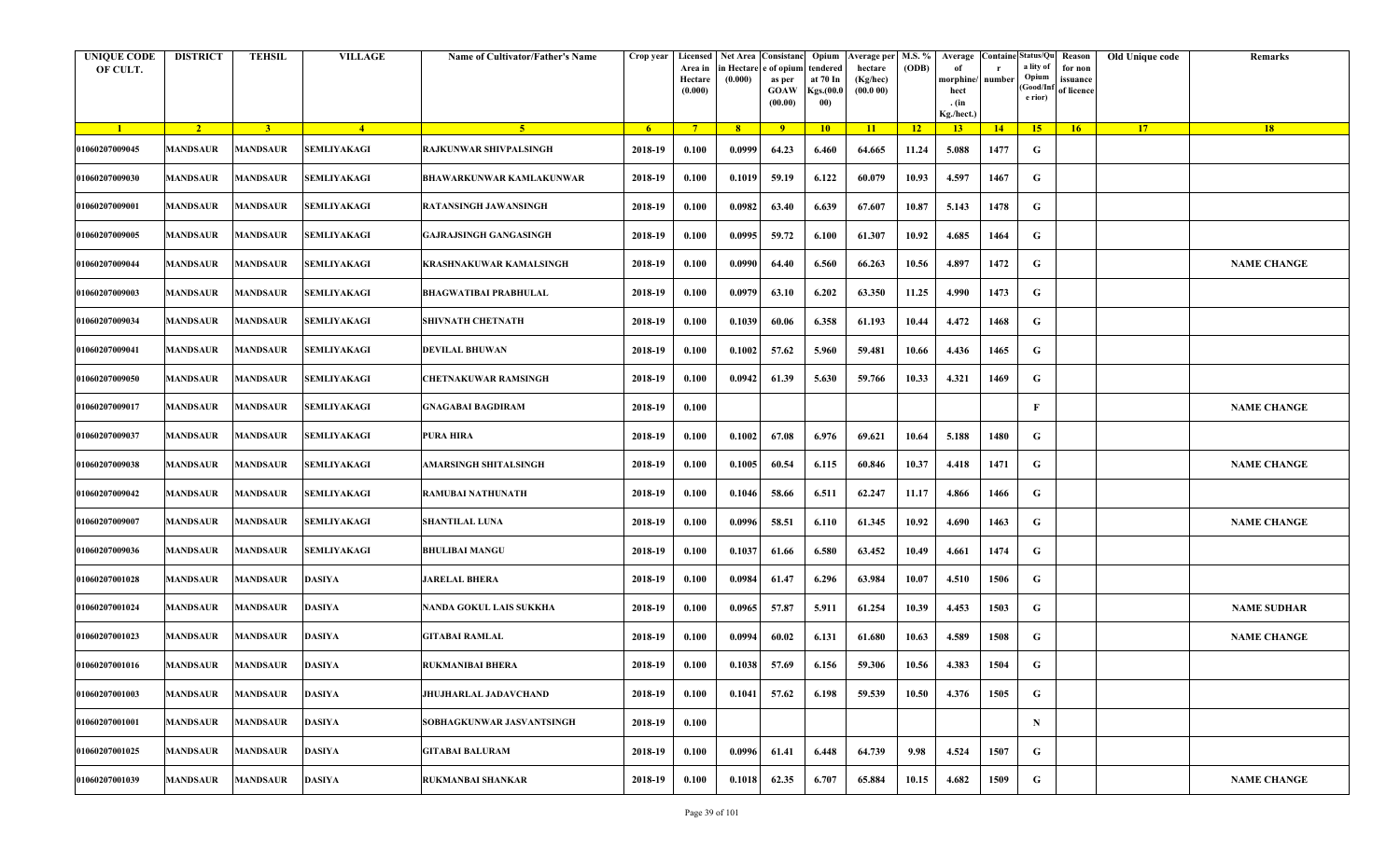| <b>UNIQUE CODE</b><br>OF CULT. | <b>DISTRICT</b> | <b>TEHSIL</b>   | <b>VILLAGE</b>     | <b>Name of Cultivator/Father's Name</b> | Crop year      | Area in<br>Hectare<br>(0.000) | in Hectare<br>(0.000) | Licensed Net Area Consistanc<br>e of opium<br>as per<br><b>GOAW</b><br>(00.00) | Opium<br>endered<br>at 70 In<br><b>Kgs.(00.0</b><br>00) | Verage per M.S. %<br>hectare<br>(Kg/hec)<br>(00.000) | (ODB)           | Average<br>morphine/<br>hect<br>. $(in$<br>Kg./hect.) | number | <b>Containe Status/Qu</b><br>a lity of<br>Opium<br>Good/Inf<br>e rior) | Reason<br>for non<br>issuance<br>of licence | Old Unique code | Remarks            |
|--------------------------------|-----------------|-----------------|--------------------|-----------------------------------------|----------------|-------------------------------|-----------------------|--------------------------------------------------------------------------------|---------------------------------------------------------|------------------------------------------------------|-----------------|-------------------------------------------------------|--------|------------------------------------------------------------------------|---------------------------------------------|-----------------|--------------------|
| $\blacksquare$                 | $\sqrt{2}$      | 3 <sup>7</sup>  | $-4$               | -5.                                     | 6 <sup>6</sup> | $7^{\circ}$                   | 8 <sup>1</sup>        | $\overline{9}$                                                                 | $10-10$                                                 | $\vert$ 11                                           | $\overline{12}$ | 13                                                    | 14     | 15                                                                     | 16 <sup>2</sup>                             | <b>17</b>       | 18                 |
| 01060207009045                 | <b>MANDSAUR</b> | <b>MANDSAUR</b> | <b>SEMLIYAKAGI</b> | <b>RAJKUNWAR SHIVPALSINGH</b>           | 2018-19        | 0.100                         | 0.0999                | 64.23                                                                          | 6.460                                                   | 64.665                                               | 11.24           | 5.088                                                 | 1477   | G                                                                      |                                             |                 |                    |
| 01060207009030                 | <b>MANDSAUR</b> | MANDSAUR        | <b>SEMLIYAKAGI</b> | <b>BHAWARKUNWAR KAMLAKUNWAR</b>         | 2018-19        | 0.100                         | 0.1019                | 59.19                                                                          | 6.122                                                   | 60.079                                               | 10.93           | 4.597                                                 | 1467   | G                                                                      |                                             |                 |                    |
| 01060207009001                 | MANDSAUR        | MANDSAUR        | <b>SEMLIYAKAGI</b> | <b>RATANSINGH JAWANSINGH</b>            | 2018-19        | 0.100                         | 0.0982                | 63.40                                                                          | 6.639                                                   | 67.607                                               | 10.87           | 5.143                                                 | 1478   | G                                                                      |                                             |                 |                    |
| 01060207009005                 | <b>MANDSAUR</b> | <b>MANDSAUR</b> | <b>SEMLIYAKAGI</b> | <b>GAJRAJSINGH GANGASINGH</b>           | 2018-19        | 0.100                         | 0.0995                | 59.72                                                                          | 6.100                                                   | 61.307                                               | 10.92           | 4.685                                                 | 1464   | G                                                                      |                                             |                 |                    |
| 01060207009044                 | <b>MANDSAUR</b> | <b>MANDSAUR</b> | <b>SEMLIYAKAGI</b> | <b>KRASHNAKUWAR KAMALSINGH</b>          | 2018-19        | 0.100                         | 0.0990                | 64.40                                                                          | 6.560                                                   | 66.263                                               | 10.56           | 4.897                                                 | 1472   | G                                                                      |                                             |                 | <b>NAME CHANGE</b> |
| 01060207009003                 | MANDSAUR        | <b>MANDSAUR</b> | <b>SEMLIYAKAGI</b> | <b>BHAGWATIBAI PRABHULAL</b>            | 2018-19        | 0.100                         | 0.0979                | 63.10                                                                          | 6.202                                                   | 63.350                                               | 11.25           | 4.990                                                 | 1473   | G                                                                      |                                             |                 |                    |
| 01060207009034                 | <b>MANDSAUR</b> | <b>MANDSAUR</b> | <b>SEMLIYAKAGI</b> | <b>SHIVNATH CHETNATH</b>                | 2018-19        | 0.100                         | 0.1039                | 60.06                                                                          | 6.358                                                   | 61.193                                               | 10.44           | 4.472                                                 | 1468   | G                                                                      |                                             |                 |                    |
| 01060207009041                 | <b>MANDSAUR</b> | <b>MANDSAUR</b> | SEMLIYAKAGI        | <b>DEVILAL BHUWAN</b>                   | 2018-19        | 0.100                         | 0.1002                | 57.62                                                                          | 5.960                                                   | 59.481                                               | 10.66           | 4.436                                                 | 1465   | G                                                                      |                                             |                 |                    |
| 01060207009050                 | <b>MANDSAUR</b> | <b>MANDSAUR</b> | <b>SEMLIYAKAGI</b> | <b>CHETNAKUWAR RAMSINGH</b>             | 2018-19        | 0.100                         | 0.0942                | 61.39                                                                          | 5.630                                                   | 59.766                                               | 10.33           | 4.321                                                 | 1469   | G                                                                      |                                             |                 |                    |
| 01060207009017                 | <b>MANDSAUR</b> | MANDSAUR        | <b>SEMLIYAKAGI</b> | GNAGABAI BAGDIRAM                       | 2018-19        | 0.100                         |                       |                                                                                |                                                         |                                                      |                 |                                                       |        | F                                                                      |                                             |                 | <b>NAME CHANGE</b> |
| 01060207009037                 | <b>MANDSAUR</b> | MANDSAUR        | <b>SEMLIYAKAGI</b> | <b>PURA HIRA</b>                        | 2018-19        | 0.100                         | 0.1002                | 67.08                                                                          | 6.976                                                   | 69.621                                               | 10.64           | 5.188                                                 | 1480   | G                                                                      |                                             |                 |                    |
| 01060207009038                 | MANDSAUR        | MANDSAUR        | <b>SEMLIYAKAGI</b> | AMARSINGH SHITALSINGH                   | 2018-19        | 0.100                         | 0.1005                | 60.54                                                                          | 6.115                                                   | 60.846                                               | 10.37           | 4.418                                                 | 1471   | G                                                                      |                                             |                 | <b>NAME CHANGE</b> |
| 01060207009042                 | <b>MANDSAUR</b> | <b>MANDSAUR</b> | <b>SEMLIYAKAGI</b> | RAMUBAI NATHUNATH                       | 2018-19        | 0.100                         | 0.1046                | 58.66                                                                          | 6.511                                                   | 62.247                                               | 11.17           | 4.866                                                 | 1466   | G                                                                      |                                             |                 |                    |
| 01060207009007                 | <b>MANDSAUR</b> | <b>MANDSAUR</b> | <b>SEMLIYAKAGI</b> | <b>SHANTILAL LUNA</b>                   | 2018-19        | 0.100                         | 0.0996                | 58.51                                                                          | 6.110                                                   | 61.345                                               | 10.92           | 4.690                                                 | 1463   | G                                                                      |                                             |                 | <b>NAME CHANGE</b> |
| 01060207009036                 | MANDSAUR        | <b>MANDSAUR</b> | <b>SEMLIYAKAGI</b> | <b>BHULIBAI MANGU</b>                   | 2018-19        | 0.100                         | 0.1037                | 61.66                                                                          | 6.580                                                   | 63.452                                               | 10.49           | 4.661                                                 | 1474   | G                                                                      |                                             |                 |                    |
| 01060207001028                 | <b>MANDSAUR</b> | <b>MANDSAUR</b> | <b>DASIYA</b>      | <b>JARELAL BHERA</b>                    | 2018-19        | 0.100                         | 0.0984                | 61.47                                                                          | 6.296                                                   | 63.984                                               | 10.07           | 4.510                                                 | 1506   | G                                                                      |                                             |                 |                    |
| 01060207001024                 | <b>MANDSAUR</b> | <b>MANDSAUR</b> | DASIYA             | NANDA GOKUL LAIS SUKKHA                 | 2018-19        | 0.100                         | 0.0965                | 57.87                                                                          | 5.911                                                   | 61.254                                               | 10.39           | 4.453                                                 | 1503   | G                                                                      |                                             |                 | <b>NAME SUDHAR</b> |
| 01060207001023                 | <b>MANDSAUR</b> | <b>MANDSAUR</b> | DASIYA             | <b>GITABAI RAMLAL</b>                   | 2018-19        | 0.100                         | 0.0994                | 60.02                                                                          | 6.131                                                   | 61.680                                               | 10.63           | 4.589                                                 | 1508   | G                                                                      |                                             |                 | <b>NAME CHANGE</b> |
| 01060207001016                 | <b>MANDSAUR</b> | <b>MANDSAUR</b> | <b>DASIYA</b>      | <b>RUKMANIBAI BHERA</b>                 | 2018-19        | 0.100                         | 0.1038                | 57.69                                                                          | 6.156                                                   | 59.306                                               | 10.56           | 4.383                                                 | 1504   | G                                                                      |                                             |                 |                    |
| 01060207001003                 | <b>MANDSAUR</b> | <b>MANDSAUR</b> | <b>DASIYA</b>      | <b>JHUJHARLAL JADAVCHAND</b>            | 2018-19        | 0.100                         | 0.1041                | 57.62                                                                          | 6.198                                                   | 59.539                                               | 10.50           | 4.376                                                 | 1505   | G                                                                      |                                             |                 |                    |
| 01060207001001                 | <b>MANDSAUR</b> | <b>MANDSAUR</b> | <b>DASIYA</b>      | SOBHAGKUNWAR JASVANTSINGH               | 2018-19        | 0.100                         |                       |                                                                                |                                                         |                                                      |                 |                                                       |        | N                                                                      |                                             |                 |                    |
| 01060207001025                 | <b>MANDSAUR</b> | <b>MANDSAUR</b> | DASIYA             | <b>GITABAI BALURAM</b>                  | 2018-19        | 0.100                         | 0.0996                | 61.41                                                                          | 6.448                                                   | 64.739                                               | 9.98            | 4.524                                                 | 1507   | G                                                                      |                                             |                 |                    |
| 01060207001039                 | <b>MANDSAUR</b> | <b>MANDSAUR</b> | DASIYA             | <b>RUKMANBAI SHANKAR</b>                | 2018-19        | 0.100                         | 0.1018                | 62.35                                                                          | 6.707                                                   | 65.884                                               | 10.15           | 4.682                                                 | 1509   | G                                                                      |                                             |                 | <b>NAME CHANGE</b> |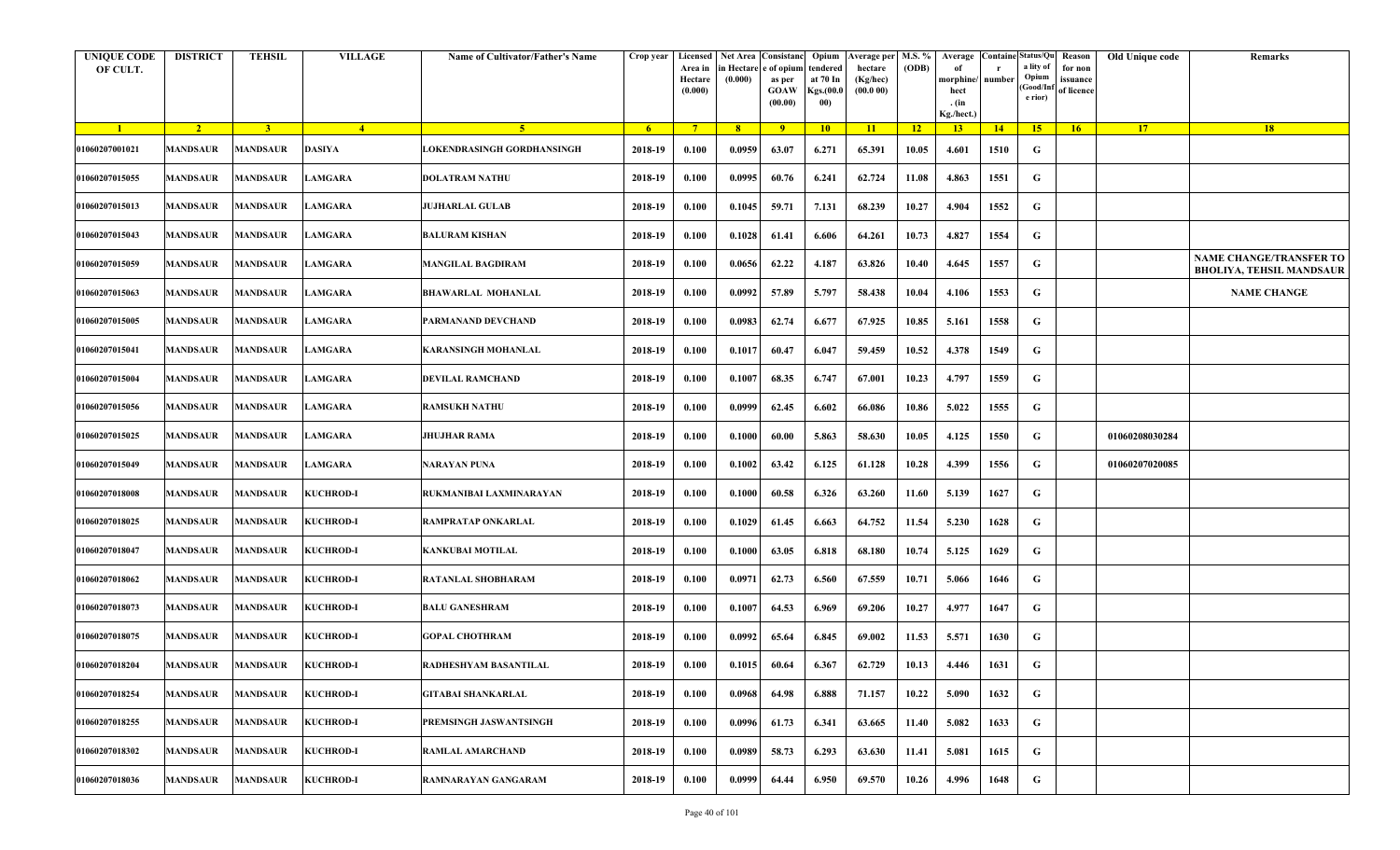| <b>UNIQUE CODE</b><br>OF CULT. | <b>DISTRICT</b> | <b>TEHSIL</b>   | <b>VILLAGE</b>   | <b>Name of Cultivator/Father's Name</b> | Crop year      | Area in<br>Hectare<br>(0.000) | in Hectare<br>(0.000) | Licensed   Net Area   Consistanc   Opium<br>e of opium<br>as per<br><b>GOAW</b><br>(00.00) | tendered<br>at 70 In<br>Kgs.(00.0<br>00) | Verage per   M.S. %<br>hectare<br>(Kg/hec)<br>(00.000) | (ODB)           | Average<br>morphine/<br>hect<br>. $(in$ | number      | <b>Containe Status/Qu</b><br>a lity of<br>Opium<br>Good/Inf<br>e rior) | Reason<br>for non<br>issuance<br>of licence | Old Unique code | Remarks                                                           |
|--------------------------------|-----------------|-----------------|------------------|-----------------------------------------|----------------|-------------------------------|-----------------------|--------------------------------------------------------------------------------------------|------------------------------------------|--------------------------------------------------------|-----------------|-----------------------------------------|-------------|------------------------------------------------------------------------|---------------------------------------------|-----------------|-------------------------------------------------------------------|
|                                |                 |                 |                  |                                         |                |                               |                       |                                                                                            |                                          |                                                        |                 | Kg./hect.)                              |             |                                                                        |                                             |                 |                                                                   |
| $\blacksquare$                 | $\sqrt{2}$      | 3 <sup>7</sup>  | $-4$             | $-5$                                    | 6 <sup>6</sup> | $7^{\circ}$                   | 8 <sup>1</sup>        | $-9$                                                                                       | $10-10$                                  | $\vert$ 11                                             | $\overline{12}$ | 13                                      | $\sqrt{14}$ | $-15$                                                                  | 16                                          | 17              | 18                                                                |
| 01060207001021                 | <b>MANDSAUR</b> | <b>MANDSAUR</b> | DASIYA           | LOKENDRASINGH GORDHANSINGH              | 2018-19        | 0.100                         | 0.0959                | 63.07                                                                                      | 6.271                                    | 65.391                                                 | 10.05           | 4.601                                   | 1510        | G                                                                      |                                             |                 |                                                                   |
| 01060207015055                 | MANDSAUR        | <b>MANDSAUR</b> | LAMGARA          | <b>DOLATRAM NATHU</b>                   | 2018-19        | 0.100                         | 0.0995                | 60.76                                                                                      | 6.241                                    | 62.724                                                 | 11.08           | 4.863                                   | 1551        | G                                                                      |                                             |                 |                                                                   |
| 01060207015013                 | <b>MANDSAUR</b> | <b>MANDSAUR</b> | LAMGARA          | <b>JUJHARLAL GULAB</b>                  | 2018-19        | 0.100                         | 0.1045                | 59.71                                                                                      | 7.131                                    | 68.239                                                 | 10.27           | 4.904                                   | 1552        | G                                                                      |                                             |                 |                                                                   |
| 01060207015043                 | <b>MANDSAUR</b> | <b>MANDSAUR</b> | LAMGARA          | <b>BALURAM KISHAN</b>                   | 2018-19        | 0.100                         | 0.1028                | 61.41                                                                                      | 6.606                                    | 64.261                                                 | 10.73           | 4.827                                   | 1554        | G                                                                      |                                             |                 |                                                                   |
| 01060207015059                 | <b>MANDSAUR</b> | <b>MANDSAUR</b> | <b>LAMGARA</b>   | <b>MANGILAL BAGDIRAM</b>                | 2018-19        | 0.100                         | 0.0656                | 62.22                                                                                      | 4.187                                    | 63.826                                                 | 10.40           | 4.645                                   | 1557        | G                                                                      |                                             |                 | <b>NAME CHANGE/TRANSFER TO</b><br><b>BHOLIYA, TEHSIL MANDSAUR</b> |
| 01060207015063                 | MANDSAUR        | <b>MANDSAUR</b> | <b>LAMGARA</b>   | <b>BHAWARLAL MOHANLAL</b>               | 2018-19        | 0.100                         | 0.0992                | 57.89                                                                                      | 5.797                                    | 58.438                                                 | 10.04           | 4.106                                   | 1553        | G                                                                      |                                             |                 | <b>NAME CHANGE</b>                                                |
| 01060207015005                 | <b>MANDSAUR</b> | <b>MANDSAUR</b> | LAMGARA          | PARMANAND DEVCHAND                      | 2018-19        | 0.100                         | 0.0983                | 62.74                                                                                      | 6.677                                    | 67.925                                                 | 10.85           | 5.161                                   | 1558        | G                                                                      |                                             |                 |                                                                   |
| 01060207015041                 | <b>MANDSAUR</b> | <b>MANDSAUR</b> | LAMGARA          | KARANSINGH MOHANLAL                     | 2018-19        | 0.100                         | 0.1017                | 60.47                                                                                      | 6.047                                    | 59.459                                                 | 10.52           | 4.378                                   | 1549        | G                                                                      |                                             |                 |                                                                   |
| 01060207015004                 | <b>MANDSAUR</b> | <b>MANDSAUR</b> | LAMGARA          | <b>DEVILAL RAMCHAND</b>                 | 2018-19        | 0.100                         | 0.1007                | 68.35                                                                                      | 6.747                                    | 67.001                                                 | 10.23           | 4.797                                   | 1559        | G                                                                      |                                             |                 |                                                                   |
| 01060207015056                 | MANDSAUR        | <b>MANDSAUR</b> | LAMGARA          | <b>RAMSUKH NATHU</b>                    | 2018-19        | 0.100                         | 0.0999                | 62.45                                                                                      | 6.602                                    | 66.086                                                 | 10.86           | 5.022                                   | 1555        | G                                                                      |                                             |                 |                                                                   |
| 01060207015025                 | <b>MANDSAUR</b> | <b>MANDSAUR</b> | <b>LAMGARA</b>   | <b>JHUJHAR RAMA</b>                     | 2018-19        | 0.100                         | 0.1000                | 60.00                                                                                      | 5.863                                    | 58.630                                                 | 10.05           | 4.125                                   | 1550        | G                                                                      |                                             | 01060208030284  |                                                                   |
| 01060207015049                 | <b>MANDSAUR</b> | <b>MANDSAUR</b> | <b>LAMGARA</b>   | NARAYAN PUNA                            | 2018-19        | 0.100                         | 0.1002                | 63.42                                                                                      | 6.125                                    | 61.128                                                 | 10.28           | 4.399                                   | 1556        | G                                                                      |                                             | 01060207020085  |                                                                   |
| 01060207018008                 | <b>MANDSAUR</b> | <b>MANDSAUR</b> | <b>KUCHROD-I</b> | RUKMANIBAI LAXMINARAYAN                 | 2018-19        | 0.100                         | 0.1000                | 60.58                                                                                      | 6.326                                    | 63.260                                                 | 11.60           | 5.139                                   | 1627        | G                                                                      |                                             |                 |                                                                   |
| 01060207018025                 | <b>MANDSAUR</b> | <b>MANDSAUR</b> | <b>KUCHROD-I</b> | RAMPRATAP ONKARLAL                      | 2018-19        | 0.100                         | 0.1029                | 61.45                                                                                      | 6.663                                    | 64.752                                                 | 11.54           | 5.230                                   | 1628        | G                                                                      |                                             |                 |                                                                   |
| 01060207018047                 | MANDSAUR        | <b>MANDSAUR</b> | <b>KUCHROD-I</b> | KANKUBAI MOTILAL                        | 2018-19        | 0.100                         | 0.1000                | 63.05                                                                                      | 6.818                                    | 68.180                                                 | 10.74           | 5.125                                   | 1629        | G                                                                      |                                             |                 |                                                                   |
| 01060207018062                 | <b>MANDSAUR</b> | <b>MANDSAUR</b> | <b>KUCHROD-I</b> | <b>RATANLAL SHOBHARAM</b>               | 2018-19        | 0.100                         | 0.0971                | 62.73                                                                                      | 6.560                                    | 67.559                                                 | 10.71           | 5.066                                   | 1646        | G                                                                      |                                             |                 |                                                                   |
| 01060207018073                 | MANDSAUR        | <b>MANDSAUR</b> | <b>KUCHROD-I</b> | <b>BALU GANESHRAM</b>                   | 2018-19        | 0.100                         | 0.1007                | 64.53                                                                                      | 6.969                                    | 69.206                                                 | 10.27           | 4.977                                   | 1647        | G                                                                      |                                             |                 |                                                                   |
| 01060207018075                 | <b>MANDSAUR</b> | <b>MANDSAUR</b> | <b>KUCHROD-I</b> | <b>GOPAL CHOTHRAM</b>                   | 2018-19        | 0.100                         | 0.0992                | 65.64                                                                                      | 6.845                                    | 69.002                                                 | 11.53           | 5.571                                   | 1630        | G                                                                      |                                             |                 |                                                                   |
| 01060207018204                 | MANDSAUR        | <b>MANDSAUR</b> | <b>KUCHROD-I</b> | <b>RADHESHYAM BASANTILAL</b>            | 2018-19        | 0.100                         | 0.1015                | 60.64                                                                                      | 6.367                                    | 62.729                                                 | 10.13           | 4.446                                   | 1631        | G                                                                      |                                             |                 |                                                                   |
| 01060207018254                 | <b>MANDSAUR</b> | <b>MANDSAUR</b> | <b>KUCHROD-I</b> | <b>GITABAI SHANKARLAL</b>               | 2018-19        | 0.100                         | 0.0968                | 64.98                                                                                      | 6.888                                    | 71.157                                                 | 10.22           | 5.090                                   | 1632        | G                                                                      |                                             |                 |                                                                   |
| 01060207018255                 | <b>MANDSAUR</b> | <b>MANDSAUR</b> | <b>KUCHROD-I</b> | PREMSINGH JASWANTSINGH                  | 2018-19        | 0.100                         | 0.0996                | 61.73                                                                                      | 6.341                                    | 63.665                                                 | 11.40           | 5.082                                   | 1633        | $\mathbf G$                                                            |                                             |                 |                                                                   |
| 01060207018302                 | <b>MANDSAUR</b> | <b>MANDSAUR</b> | <b>KUCHROD-I</b> | <b>RAMLAL AMARCHAND</b>                 | 2018-19        | 0.100                         | 0.0989                | 58.73                                                                                      | 6.293                                    | 63.630                                                 | 11.41           | 5.081                                   | 1615        | ${\bf G}$                                                              |                                             |                 |                                                                   |
| 01060207018036                 | <b>MANDSAUR</b> | <b>MANDSAUR</b> | <b>KUCHROD-I</b> | RAMNARAYAN GANGARAM                     | 2018-19        | 0.100                         | 0.0999                | 64.44                                                                                      | 6.950                                    | 69.570                                                 | 10.26           | 4.996                                   | 1648        | $\mathbf G$                                                            |                                             |                 |                                                                   |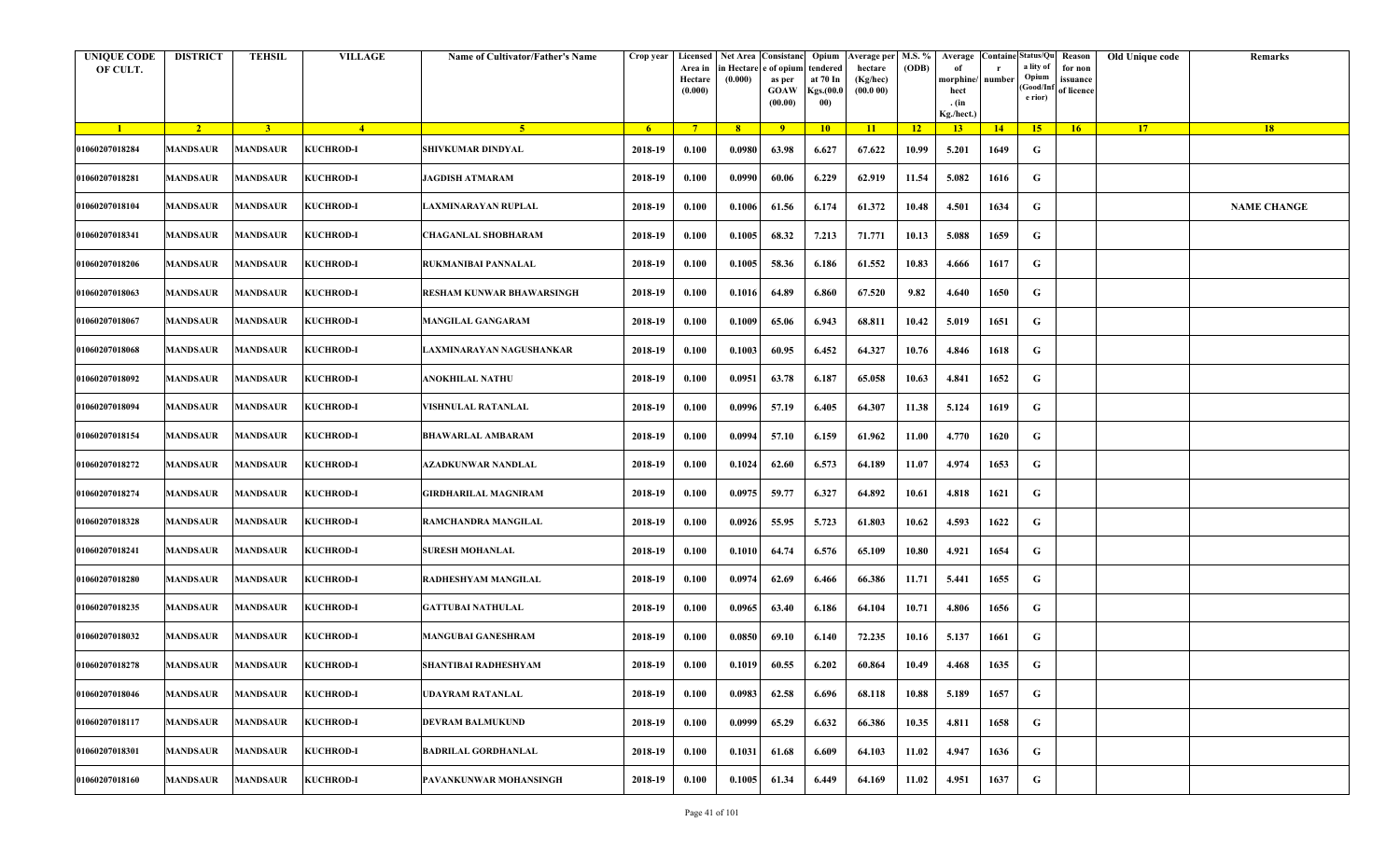| <b>UNIQUE CODE</b><br>OF CULT. | <b>DISTRICT</b> | <b>TEHSIL</b>   | <b>VILLAGE</b>   | <b>Name of Cultivator/Father's Name</b> | Crop year      | Area in<br>Hectare<br>(0.000) | in Hectare<br>(0.000) | Licensed Net Area Consistanc Opium<br>e of opium<br>as per<br><b>GOAW</b><br>(00.00) | tendered<br>at 70 In<br>Kgs.(00.0<br>00) | Verage per   M.S. %<br>hectare<br>(Kg/hec)<br>(00.000) | (ODB)           | Average<br>morphine/<br>hect<br>. $(in$<br>Kg./hect.) | number      | <b>Containe Status/Qu</b><br>a lity of<br>Opium<br>Good/Inf<br>e rior) | Reason<br>for non<br>issuance<br>of licence | Old Unique code | Remarks            |
|--------------------------------|-----------------|-----------------|------------------|-----------------------------------------|----------------|-------------------------------|-----------------------|--------------------------------------------------------------------------------------|------------------------------------------|--------------------------------------------------------|-----------------|-------------------------------------------------------|-------------|------------------------------------------------------------------------|---------------------------------------------|-----------------|--------------------|
| $\blacksquare$                 | $\sqrt{2}$      | 3 <sup>7</sup>  | $-4$             | -5.                                     | 6 <sup>6</sup> | $7^{\circ}$                   | 8 <sup>1</sup>        | $-9$                                                                                 | $10-10$                                  | $\vert$ 11                                             | $\overline{12}$ | 13                                                    | $\sqrt{14}$ | $-15$                                                                  | 16                                          | 17              | 18                 |
| 01060207018284                 | <b>MANDSAUR</b> | <b>MANDSAUR</b> | <b>KUCHROD-I</b> | SHIVKUMAR DINDYAL                       | 2018-19        | 0.100                         | 0.0980                | 63.98                                                                                | 6.627                                    | 67.622                                                 | 10.99           | 5.201                                                 | 1649        | G                                                                      |                                             |                 |                    |
| 01060207018281                 | <b>MANDSAUR</b> | MANDSAUR        | <b>KUCHROD-I</b> | <b>JAGDISH ATMARAM</b>                  | 2018-19        | 0.100                         | 0.0990                | 60.06                                                                                | 6.229                                    | 62.919                                                 | 11.54           | 5.082                                                 | 1616        | G                                                                      |                                             |                 |                    |
| 01060207018104                 | <b>MANDSAUR</b> | <b>MANDSAUR</b> | <b>KUCHROD-I</b> | LAXMINARAYAN RUPLAL                     | 2018-19        | 0.100                         | 0.1006                | 61.56                                                                                | 6.174                                    | 61.372                                                 | 10.48           | 4.501                                                 | 1634        | G                                                                      |                                             |                 | <b>NAME CHANGE</b> |
| 01060207018341                 | <b>MANDSAUR</b> | <b>MANDSAUR</b> | <b>KUCHROD-I</b> | <b>CHAGANLAL SHOBHARAM</b>              | 2018-19        | 0.100                         | 0.1005                | 68.32                                                                                | 7.213                                    | 71.771                                                 | 10.13           | 5.088                                                 | 1659        | G                                                                      |                                             |                 |                    |
| 01060207018206                 | <b>MANDSAUR</b> | <b>MANDSAUR</b> | <b>KUCHROD-I</b> | RUKMANIBAI PANNALAL                     | 2018-19        | 0.100                         | 0.1005                | 58.36                                                                                | 6.186                                    | 61.552                                                 | 10.83           | 4.666                                                 | 1617        | G                                                                      |                                             |                 |                    |
| 01060207018063                 | MANDSAUR        | <b>MANDSAUR</b> | <b>KUCHROD-I</b> | RESHAM KUNWAR BHAWARSINGH               | 2018-19        | 0.100                         | 0.1016                | 64.89                                                                                | 6.860                                    | 67.520                                                 | 9.82            | 4.640                                                 | 1650        | G                                                                      |                                             |                 |                    |
| 01060207018067                 | <b>MANDSAUR</b> | <b>MANDSAUR</b> | <b>KUCHROD-I</b> | <b>MANGILAL GANGARAM</b>                | 2018-19        | 0.100                         | 0.1009                | 65.06                                                                                | 6.943                                    | 68.811                                                 | 10.42           | 5.019                                                 | 1651        | G                                                                      |                                             |                 |                    |
| 01060207018068                 | <b>MANDSAUR</b> | <b>MANDSAUR</b> | <b>KUCHROD-I</b> | LAXMINARAYAN NAGUSHANKAR                | 2018-19        | 0.100                         | 0.1003                | 60.95                                                                                | 6.452                                    | 64.327                                                 | 10.76           | 4.846                                                 | 1618        | G                                                                      |                                             |                 |                    |
| 01060207018092                 | <b>MANDSAUR</b> | <b>MANDSAUR</b> | <b>KUCHROD-I</b> | <b>ANOKHILAL NATHU</b>                  | 2018-19        | 0.100                         | 0.0951                | 63.78                                                                                | 6.187                                    | 65.058                                                 | 10.63           | 4.841                                                 | 1652        | G                                                                      |                                             |                 |                    |
| 01060207018094                 | MANDSAUR        | MANDSAUR        | <b>KUCHROD-I</b> | VISHNULAL RATANLAL                      | 2018-19        | 0.100                         | 0.0996                | 57.19                                                                                | 6.405                                    | 64.307                                                 | 11.38           | 5.124                                                 | 1619        | G                                                                      |                                             |                 |                    |
| 01060207018154                 | <b>MANDSAUR</b> | <b>MANDSAUR</b> | <b>KUCHROD-I</b> | <b>BHAWARLAL AMBARAM</b>                | 2018-19        | 0.100                         | 0.0994                | 57.10                                                                                | 6.159                                    | 61.962                                                 | 11.00           | 4.770                                                 | 1620        | G                                                                      |                                             |                 |                    |
| 01060207018272                 | MANDSAUR        | MANDSAUR        | <b>KUCHROD-I</b> | AZADKUNWAR NANDLAL                      | 2018-19        | 0.100                         | 0.1024                | 62.60                                                                                | 6.573                                    | 64.189                                                 | 11.07           | 4.974                                                 | 1653        | G                                                                      |                                             |                 |                    |
| 01060207018274                 | <b>MANDSAUR</b> | <b>MANDSAUR</b> | <b>KUCHROD-I</b> | <b>GIRDHARILAL MAGNIRAM</b>             | 2018-19        | 0.100                         | 0.0975                | 59.77                                                                                | 6.327                                    | 64.892                                                 | 10.61           | 4.818                                                 | 1621        | G                                                                      |                                             |                 |                    |
| 01060207018328                 | <b>MANDSAUR</b> | <b>MANDSAUR</b> | <b>KUCHROD-I</b> | RAMCHANDRA MANGILAL                     | 2018-19        | 0.100                         | 0.0926                | 55.95                                                                                | 5.723                                    | 61.803                                                 | 10.62           | 4.593                                                 | 1622        | G                                                                      |                                             |                 |                    |
| 01060207018241                 | MANDSAUR        | <b>MANDSAUR</b> | <b>KUCHROD-I</b> | SURESH MOHANLAL                         | 2018-19        | 0.100                         | 0.1010                | 64.74                                                                                | 6.576                                    | 65.109                                                 | 10.80           | 4.921                                                 | 1654        | G                                                                      |                                             |                 |                    |
| 01060207018280                 | <b>MANDSAUR</b> | <b>MANDSAUR</b> | <b>KUCHROD-I</b> | <b>RADHESHYAM MANGILAL</b>              | 2018-19        | 0.100                         | 0.0974                | 62.69                                                                                | 6.466                                    | 66.386                                                 | 11.71           | 5.441                                                 | 1655        | G                                                                      |                                             |                 |                    |
| 01060207018235                 | <b>MANDSAUR</b> | <b>MANDSAUR</b> | <b>KUCHROD-I</b> | <b>GATTUBAI NATHULAL</b>                | 2018-19        | 0.100                         | 0.0965                | 63.40                                                                                | 6.186                                    | 64.104                                                 | 10.71           | 4.806                                                 | 1656        | G                                                                      |                                             |                 |                    |
| 01060207018032                 | <b>MANDSAUR</b> | <b>MANDSAUR</b> | <b>KUCHROD-I</b> | <b>MANGUBAI GANESHRAM</b>               | 2018-19        | 0.100                         | 0.0850                | 69.10                                                                                | 6.140                                    | 72.235                                                 | 10.16           | 5.137                                                 | 1661        | G                                                                      |                                             |                 |                    |
| 01060207018278                 | <b>MANDSAUR</b> | <b>MANDSAUR</b> | <b>KUCHROD-I</b> | <b>SHANTIBAI RADHESHYAM</b>             | 2018-19        | 0.100                         | 0.1019                | 60.55                                                                                | 6.202                                    | 60.864                                                 | 10.49           | 4.468                                                 | 1635        | G                                                                      |                                             |                 |                    |
| 01060207018046                 | <b>MANDSAUR</b> | <b>MANDSAUR</b> | <b>KUCHROD-I</b> | <b>UDAYRAM RATANLAL</b>                 | 2018-19        | 0.100                         | 0.0983                | 62.58                                                                                | 6.696                                    | 68.118                                                 | 10.88           | 5.189                                                 | 1657        | G                                                                      |                                             |                 |                    |
| 01060207018117                 | <b>MANDSAUR</b> | <b>MANDSAUR</b> | <b>KUCHROD-I</b> | <b>DEVRAM BALMUKUND</b>                 | 2018-19        | 0.100                         | 0.0999                | 65.29                                                                                | 6.632                                    | 66.386                                                 | 10.35           | 4.811                                                 | 1658        | G                                                                      |                                             |                 |                    |
| 01060207018301                 | <b>MANDSAUR</b> | <b>MANDSAUR</b> | <b>KUCHROD-I</b> | <b>BADRILAL GORDHANLAL</b>              | 2018-19        | 0.100                         | 0.1031                | 61.68                                                                                | 6.609                                    | 64.103                                                 | 11.02           | 4.947                                                 | 1636        | ${\bf G}$                                                              |                                             |                 |                    |
| 01060207018160                 | <b>MANDSAUR</b> | <b>MANDSAUR</b> | <b>KUCHROD-I</b> | <b>PAVANKUNWAR MOHANSINGH</b>           | 2018-19        | 0.100                         | 0.1005                | 61.34                                                                                | 6.449                                    | 64.169                                                 | 11.02           | 4.951                                                 | 1637        | $\mathbf G$                                                            |                                             |                 |                    |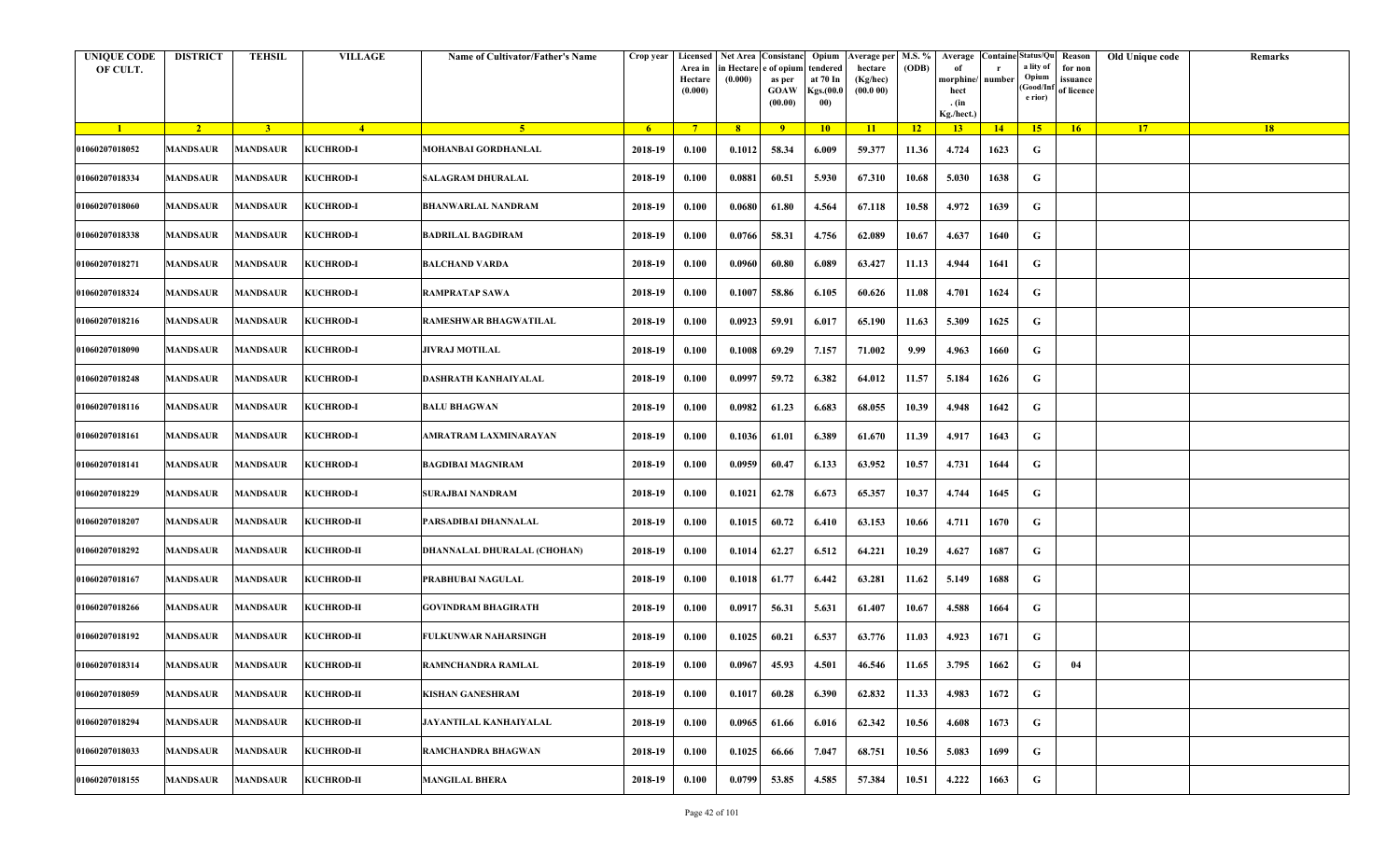| <b>UNIQUE CODE</b><br>OF CULT. | <b>DISTRICT</b> | <b>TEHSIL</b>   | <b>VILLAGE</b>    | Name of Cultivator/Father's Name | Crop year | Area in<br>Hectare<br>(0.000) | Licensed Net Area Consistanc<br>in Hectare<br>(0.000) | e of opium<br>as per<br><b>GOAW</b><br>(00.00) | Opium<br>tendered<br>at 70 In<br>Kgs.(00.<br>00) | Average per   M.S. %<br>hectare<br>(Kg/hec)<br>(00.000) | (ODB) | Average<br>morphine/<br>hect<br>. (in<br>Kg./hect.) | <b>Containe Status/Qu</b><br>number | a lity of<br>Opium<br>(Good/In:<br>e rior) | Reason<br>for non<br>issuance<br>of licence | Old Unique code | Remarks |
|--------------------------------|-----------------|-----------------|-------------------|----------------------------------|-----------|-------------------------------|-------------------------------------------------------|------------------------------------------------|--------------------------------------------------|---------------------------------------------------------|-------|-----------------------------------------------------|-------------------------------------|--------------------------------------------|---------------------------------------------|-----------------|---------|
| $\blacksquare$ 1               | $\sqrt{2}$      | 3 <sup>7</sup>  | $\overline{4}$    | $\sqrt{5}$                       | $-6$      | $-7$                          | 8 <sup>1</sup>                                        | $-9$                                           | 10                                               | $\vert$ 11                                              | $-12$ | 13                                                  | 14                                  | 15                                         | 16                                          | 17              | 18      |
| 01060207018052                 | MANDSAUR        | <b>MANDSAUR</b> | <b>KUCHROD-I</b>  | MOHANBAI GORDHANLAL              | 2018-19   | 0.100                         | 0.1012                                                | 58.34                                          | 6.009                                            | 59.377                                                  | 11.36 | 4.724                                               | 1623                                | G                                          |                                             |                 |         |
| 01060207018334                 | MANDSAUR        | MANDSAUR        | <b>KUCHROD-I</b>  | SALAGRAM DHURALAL                | 2018-19   | 0.100                         | 0.0881                                                | 60.51                                          | 5.930                                            | 67.310                                                  | 10.68 | 5.030                                               | 1638                                | G                                          |                                             |                 |         |
| 01060207018060                 | <b>MANDSAUR</b> | <b>MANDSAUR</b> | <b>KUCHROD-I</b>  | <b>BHANWARLAL NANDRAM</b>        | 2018-19   | 0.100                         | 0.0680                                                | 61.80                                          | 4.564                                            | 67.118                                                  | 10.58 | 4.972                                               | 1639                                | G                                          |                                             |                 |         |
| 01060207018338                 | <b>MANDSAUR</b> | <b>MANDSAUR</b> | <b>KUCHROD-I</b>  | <b>BADRILAL BAGDIRAM</b>         | 2018-19   | 0.100                         | 0.0766                                                | 58.31                                          | 4.756                                            | 62.089                                                  | 10.67 | 4.637                                               | 1640                                | G                                          |                                             |                 |         |
| 01060207018271                 | <b>MANDSAUR</b> | <b>MANDSAUR</b> | <b>KUCHROD-I</b>  | <b>BALCHAND VARDA</b>            | 2018-19   | 0.100                         | 0.0960                                                | 60.80                                          | 6.089                                            | 63.427                                                  | 11.13 | 4.944                                               | 1641                                | G                                          |                                             |                 |         |
| 01060207018324                 | <b>MANDSAUR</b> | <b>MANDSAUR</b> | <b>KUCHROD-I</b>  | <b>RAMPRATAP SAWA</b>            | 2018-19   | 0.100                         | 0.1007                                                | 58.86                                          | 6.105                                            | 60.626                                                  | 11.08 | 4.701                                               | 1624                                | G                                          |                                             |                 |         |
| 01060207018216                 | MANDSAUR        | <b>MANDSAUR</b> | <b>KUCHROD-I</b>  | RAMESHWAR BHAGWATILAL            | 2018-19   | 0.100                         | 0.0923                                                | 59.91                                          | 6.017                                            | 65.190                                                  | 11.63 | 5.309                                               | 1625                                | G                                          |                                             |                 |         |
| 01060207018090                 | MANDSAUR        | <b>MANDSAUR</b> | <b>KUCHROD-I</b>  | <b>JIVRAJ MOTILAL</b>            | 2018-19   | 0.100                         | 0.1008                                                | 69.29                                          | 7.157                                            | 71.002                                                  | 9.99  | 4.963                                               | 1660                                | G                                          |                                             |                 |         |
| 01060207018248                 | <b>MANDSAUR</b> | <b>MANDSAUR</b> | <b>KUCHROD-I</b>  | DASHRATH KANHAIYALAL             | 2018-19   | 0.100                         | 0.0997                                                | 59.72                                          | 6.382                                            | 64.012                                                  | 11.57 | 5.184                                               | 1626                                | G                                          |                                             |                 |         |
| 01060207018116                 | <b>MANDSAUR</b> | MANDSAUR        | <b>KUCHROD-I</b>  | <b>BALU BHAGWAN</b>              | 2018-19   | 0.100                         | 0.0982                                                | 61.23                                          | 6.683                                            | 68.055                                                  | 10.39 | 4.948                                               | 1642                                | G                                          |                                             |                 |         |
| 01060207018161                 | MANDSAUR        | <b>MANDSAUR</b> | <b>KUCHROD-I</b>  | AMRATRAM LAXMINARAYAN            | 2018-19   | 0.100                         | 0.1036                                                | 61.01                                          | 6.389                                            | 61.670                                                  | 11.39 | 4.917                                               | 1643                                | G                                          |                                             |                 |         |
| 01060207018141                 | MANDSAUR        | <b>MANDSAUR</b> | <b>KUCHROD-I</b>  | <b>BAGDIBAI MAGNIRAM</b>         | 2018-19   | 0.100                         | 0.0959                                                | 60.47                                          | 6.133                                            | 63.952                                                  | 10.57 | 4.731                                               | 1644                                | G                                          |                                             |                 |         |
| 01060207018229                 | <b>MANDSAUR</b> | <b>MANDSAUR</b> | <b>KUCHROD-I</b>  | <b>SURAJBAI NANDRAM</b>          | 2018-19   | 0.100                         | 0.1021                                                | 62.78                                          | 6.673                                            | 65.357                                                  | 10.37 | 4.744                                               | 1645                                | G                                          |                                             |                 |         |
| 01060207018207                 | <b>MANDSAUR</b> | <b>MANDSAUR</b> | <b>KUCHROD-II</b> | PARSADIBAI DHANNALAL             | 2018-19   | 0.100                         | 0.1015                                                | 60.72                                          | 6.410                                            | 63.153                                                  | 10.66 | 4.711                                               | 1670                                | G                                          |                                             |                 |         |
| 01060207018292                 | MANDSAUR        | <b>MANDSAUR</b> | <b>KUCHROD-II</b> | DHANNALAL DHURALAL (CHOHAN)      | 2018-19   | 0.100                         | 0.1014                                                | 62.27                                          | 6.512                                            | 64.221                                                  | 10.29 | 4.627                                               | 1687                                | G                                          |                                             |                 |         |
| 01060207018167                 | <b>MANDSAUR</b> | <b>MANDSAUR</b> | <b>KUCHROD-II</b> | PRABHUBAI NAGULAL                | 2018-19   | 0.100                         | 0.1018                                                | 61.77                                          | 6.442                                            | 63.281                                                  | 11.62 | 5.149                                               | 1688                                | G                                          |                                             |                 |         |
| 01060207018266                 | MANDSAUR        | <b>MANDSAUR</b> | <b>KUCHROD-II</b> | GOVINDRAM BHAGIRATH              | 2018-19   | 0.100                         | 0.0917                                                | 56.31                                          | 5.631                                            | 61.407                                                  | 10.67 | 4.588                                               | 1664                                | G                                          |                                             |                 |         |
| 01060207018192                 | MANDSAUR        | <b>MANDSAUR</b> | <b>KUCHROD-II</b> | <b>FULKUNWAR NAHARSINGH</b>      | 2018-19   | 0.100                         | 0.1025                                                | 60.21                                          | 6.537                                            | 63.776                                                  | 11.03 | 4.923                                               | 1671                                | G                                          |                                             |                 |         |
| 01060207018314                 | MANDSAUR        | <b>MANDSAUR</b> | <b>KUCHROD-II</b> | RAMNCHANDRA RAMLAL               | 2018-19   | 0.100                         | 0.0967                                                | 45.93                                          | 4.501                                            | 46.546                                                  | 11.65 | 3.795                                               | 1662                                | G                                          | 04                                          |                 |         |
| 01060207018059                 | <b>MANDSAUR</b> | <b>MANDSAUR</b> | <b>KUCHROD-II</b> | <b>KISHAN GANESHRAM</b>          | 2018-19   | 0.100                         | 0.1017                                                | 60.28                                          | 6.390                                            | 62.832                                                  | 11.33 | 4.983                                               | 1672                                | G                                          |                                             |                 |         |
| 01060207018294                 | <b>MANDSAUR</b> | <b>MANDSAUR</b> | <b>KUCHROD-II</b> | JAYANTILAL KANHAIYALAL           | 2018-19   | 0.100                         | 0.0965                                                | 61.66                                          | 6.016                                            | 62.342                                                  | 10.56 | 4.608                                               | 1673                                | G                                          |                                             |                 |         |
| 01060207018033                 | <b>MANDSAUR</b> | <b>MANDSAUR</b> | <b>KUCHROD-II</b> | RAMCHANDRA BHAGWAN               | 2018-19   | 0.100                         | 0.1025                                                | 66.66                                          | 7.047                                            | 68.751                                                  | 10.56 | 5.083                                               | 1699                                | G                                          |                                             |                 |         |
| 01060207018155                 | <b>MANDSAUR</b> | <b>MANDSAUR</b> | <b>KUCHROD-II</b> | <b>MANGILAL BHERA</b>            | 2018-19   | 0.100                         | 0.0799                                                | 53.85                                          | 4.585                                            | 57.384                                                  | 10.51 | 4.222                                               | 1663                                | G                                          |                                             |                 |         |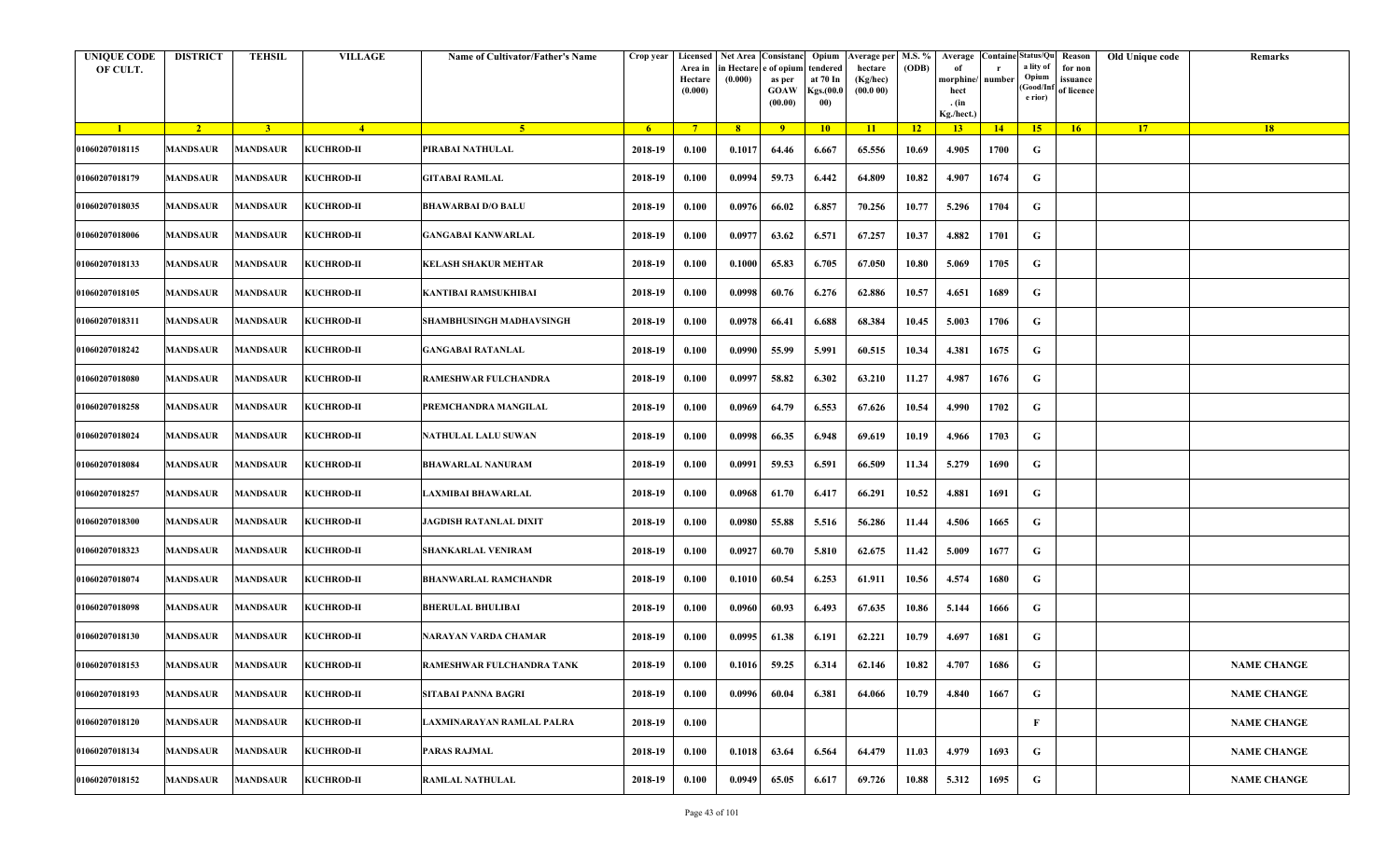| <b>UNIQUE CODE</b><br>OF CULT. | <b>DISTRICT</b> | <b>TEHSIL</b>   | <b>VILLAGE</b>    | Name of Cultivator/Father's Name | Crop year   | Area in<br>Hectare<br>(0.000) | Licensed Net Area Consistanc<br>in Hectar<br>(0.000) | e of opium<br>as per<br><b>GOAW</b><br>(00.00) | Opium<br>tendered<br>at 70 In<br>Kgs.(00.<br>00) | Average per   M.S. %<br>hectare<br>(Kg/hec)<br>(00.000) | (ODB) | Average<br>morphine/<br>hect<br>. (in<br>Kg./hect.) | <b>Containe Status/Qu</b><br>number | a lity of<br>Opium<br>(Good/In:<br>e rior) | Reason<br>for non<br>issuance<br>of licence | Old Unique code | Remarks            |
|--------------------------------|-----------------|-----------------|-------------------|----------------------------------|-------------|-------------------------------|------------------------------------------------------|------------------------------------------------|--------------------------------------------------|---------------------------------------------------------|-------|-----------------------------------------------------|-------------------------------------|--------------------------------------------|---------------------------------------------|-----------------|--------------------|
| $\blacksquare$ 1               | $\sqrt{2}$      | 3 <sup>7</sup>  | $\overline{4}$    | -5.                              | $6^{\circ}$ | $-7$                          | 8 <sup>1</sup>                                       | $-9$                                           | 10                                               | $\vert$ 11                                              | $-12$ | 13                                                  | 14                                  | 15                                         | 16                                          | 17              | 18                 |
| 01060207018115                 | <b>MANDSAUR</b> | <b>MANDSAUR</b> | <b>KUCHROD-II</b> | PIRABAI NATHULAL                 | 2018-19     | 0.100                         | 0.1017                                               | 64.46                                          | 6.667                                            | 65.556                                                  | 10.69 | 4.905                                               | 1700                                | G                                          |                                             |                 |                    |
| 01060207018179                 | MANDSAUR        | MANDSAUR        | <b>KUCHROD-II</b> | <b>GITABAI RAMLAL</b>            | 2018-19     | 0.100                         | 0.0994                                               | 59.73                                          | 6.442                                            | 64.809                                                  | 10.82 | 4.907                                               | 1674                                | G                                          |                                             |                 |                    |
| 01060207018035                 | <b>MANDSAUR</b> | <b>MANDSAUR</b> | <b>KUCHROD-II</b> | <b>BHAWARBAI D/O BALU</b>        | 2018-19     | 0.100                         | 0.0976                                               | 66.02                                          | 6.857                                            | 70.256                                                  | 10.77 | 5.296                                               | 1704                                | G                                          |                                             |                 |                    |
| 01060207018006                 | <b>MANDSAUR</b> | <b>MANDSAUR</b> | <b>KUCHROD-II</b> | GANGABAI KANWARLAL               | 2018-19     | 0.100                         | 0.0977                                               | 63.62                                          | 6.571                                            | 67.257                                                  | 10.37 | 4.882                                               | 1701                                | G                                          |                                             |                 |                    |
| 01060207018133                 | <b>MANDSAUR</b> | <b>MANDSAUR</b> | <b>KUCHROD-II</b> | <b>KELASH SHAKUR MEHTAR</b>      | 2018-19     | 0.100                         | 0.1000                                               | 65.83                                          | 6.705                                            | 67.050                                                  | 10.80 | 5.069                                               | 1705                                | G                                          |                                             |                 |                    |
| 01060207018105                 | <b>MANDSAUR</b> | <b>MANDSAUR</b> | <b>KUCHROD-II</b> | KANTIBAI RAMSUKHIBAI             | 2018-19     | 0.100                         | 0.0998                                               | 60.76                                          | 6.276                                            | 62.886                                                  | 10.57 | 4.651                                               | 1689                                | G                                          |                                             |                 |                    |
| 01060207018311                 | MANDSAUR        | <b>MANDSAUR</b> | <b>KUCHROD-II</b> | SHAMBHUSINGH MADHAVSINGH         | 2018-19     | 0.100                         | 0.0978                                               | 66.41                                          | 6.688                                            | 68.384                                                  | 10.45 | 5.003                                               | 1706                                | G                                          |                                             |                 |                    |
| 01060207018242                 | MANDSAUR        | <b>MANDSAUR</b> | <b>KUCHROD-II</b> | GANGABAI RATANLAL                | 2018-19     | 0.100                         | 0.0990                                               | 55.99                                          | 5.991                                            | 60.515                                                  | 10.34 | 4.381                                               | 1675                                | G                                          |                                             |                 |                    |
| 01060207018080                 | <b>MANDSAUR</b> | <b>MANDSAUR</b> | <b>KUCHROD-II</b> | RAMESHWAR FULCHANDRA             | 2018-19     | 0.100                         | 0.0997                                               | 58.82                                          | 6.302                                            | 63.210                                                  | 11.27 | 4.987                                               | 1676                                | G                                          |                                             |                 |                    |
| 01060207018258                 | MANDSAUR        | MANDSAUR        | <b>KUCHROD-II</b> | PREMCHANDRA MANGILAL             | 2018-19     | 0.100                         | 0.0969                                               | 64.79                                          | 6.553                                            | 67.626                                                  | 10.54 | 4.990                                               | 1702                                | G                                          |                                             |                 |                    |
| 01060207018024                 | MANDSAUR        | <b>MANDSAUR</b> | <b>KUCHROD-II</b> | NATHULAL LALU SUWAN              | 2018-19     | 0.100                         | 0.0998                                               | 66.35                                          | 6.948                                            | 69.619                                                  | 10.19 | 4.966                                               | 1703                                | G                                          |                                             |                 |                    |
| 01060207018084                 | MANDSAUR        | <b>MANDSAUR</b> | <b>KUCHROD-II</b> | <b>BHAWARLAL NANURAM</b>         | 2018-19     | 0.100                         | 0.0991                                               | 59.53                                          | 6.591                                            | 66.509                                                  | 11.34 | 5.279                                               | 1690                                | G                                          |                                             |                 |                    |
| 01060207018257                 | <b>MANDSAUR</b> | <b>MANDSAUR</b> | <b>KUCHROD-II</b> | LAXMIBAI BHAWARLAL               | 2018-19     | 0.100                         | 0.0968                                               | 61.70                                          | 6.417                                            | 66.291                                                  | 10.52 | 4.881                                               | 1691                                | G                                          |                                             |                 |                    |
| 01060207018300                 | <b>MANDSAUR</b> | <b>MANDSAUR</b> | <b>KUCHROD-II</b> | JAGDISH RATANLAL DIXIT           | 2018-19     | 0.100                         | 0.0980                                               | 55.88                                          | 5.516                                            | 56.286                                                  | 11.44 | 4.506                                               | 1665                                | G                                          |                                             |                 |                    |
| 01060207018323                 | MANDSAUR        | <b>MANDSAUR</b> | <b>KUCHROD-II</b> | SHANKARLAL VENIRAM               | 2018-19     | 0.100                         | 0.0927                                               | 60.70                                          | 5.810                                            | 62.675                                                  | 11.42 | 5.009                                               | 1677                                | G                                          |                                             |                 |                    |
| 01060207018074                 | <b>MANDSAUR</b> | <b>MANDSAUR</b> | <b>KUCHROD-II</b> | <b>BHANWARLAL RAMCHANDR</b>      | 2018-19     | 0.100                         | 0.1010                                               | 60.54                                          | 6.253                                            | 61.911                                                  | 10.56 | 4.574                                               | 1680                                | G                                          |                                             |                 |                    |
| 01060207018098                 | MANDSAUR        | <b>MANDSAUR</b> | <b>KUCHROD-II</b> | <b>BHERULAL BHULIBAI</b>         | 2018-19     | 0.100                         | 0.0960                                               | 60.93                                          | 6.493                                            | 67.635                                                  | 10.86 | 5.144                                               | 1666                                | G                                          |                                             |                 |                    |
| 01060207018130                 | MANDSAUR        | <b>MANDSAUR</b> | <b>KUCHROD-II</b> | NARAYAN VARDA CHAMAR             | 2018-19     | 0.100                         | 0.0995                                               | 61.38                                          | 6.191                                            | 62.221                                                  | 10.79 | 4.697                                               | 1681                                | G                                          |                                             |                 |                    |
| 01060207018153                 | MANDSAUR        | <b>MANDSAUR</b> | <b>KUCHROD-II</b> | RAMESHWAR FULCHANDRA TANK        | 2018-19     | 0.100                         | 0.1016                                               | 59.25                                          | 6.314                                            | 62.146                                                  | 10.82 | 4.707                                               | 1686                                | G                                          |                                             |                 | <b>NAME CHANGE</b> |
| 01060207018193                 | <b>MANDSAUR</b> | <b>MANDSAUR</b> | <b>KUCHROD-II</b> | SITABAI PANNA BAGRI              | 2018-19     | 0.100                         | 0.0996                                               | 60.04                                          | 6.381                                            | 64.066                                                  | 10.79 | 4.840                                               | 1667                                | G                                          |                                             |                 | <b>NAME CHANGE</b> |
| 01060207018120                 | <b>MANDSAUR</b> | <b>MANDSAUR</b> | <b>KUCHROD-II</b> | LAXMINARAYAN RAMLAL PALRA        | 2018-19     | 0.100                         |                                                      |                                                |                                                  |                                                         |       |                                                     |                                     | $\mathbf{F}$                               |                                             |                 | <b>NAME CHANGE</b> |
| 01060207018134                 | <b>MANDSAUR</b> | <b>MANDSAUR</b> | <b>KUCHROD-II</b> | PARAS RAJMAL                     | 2018-19     | 0.100                         | 0.1018                                               | 63.64                                          | 6.564                                            | 64.479                                                  | 11.03 | 4.979                                               | 1693                                | G                                          |                                             |                 | <b>NAME CHANGE</b> |
| 01060207018152                 | <b>MANDSAUR</b> | <b>MANDSAUR</b> | <b>KUCHROD-II</b> | <b>RAMLAL NATHULAL</b>           | 2018-19     | 0.100                         | 0.0949                                               | 65.05                                          | 6.617                                            | 69.726                                                  | 10.88 | 5.312                                               | 1695                                | G                                          |                                             |                 | <b>NAME CHANGE</b> |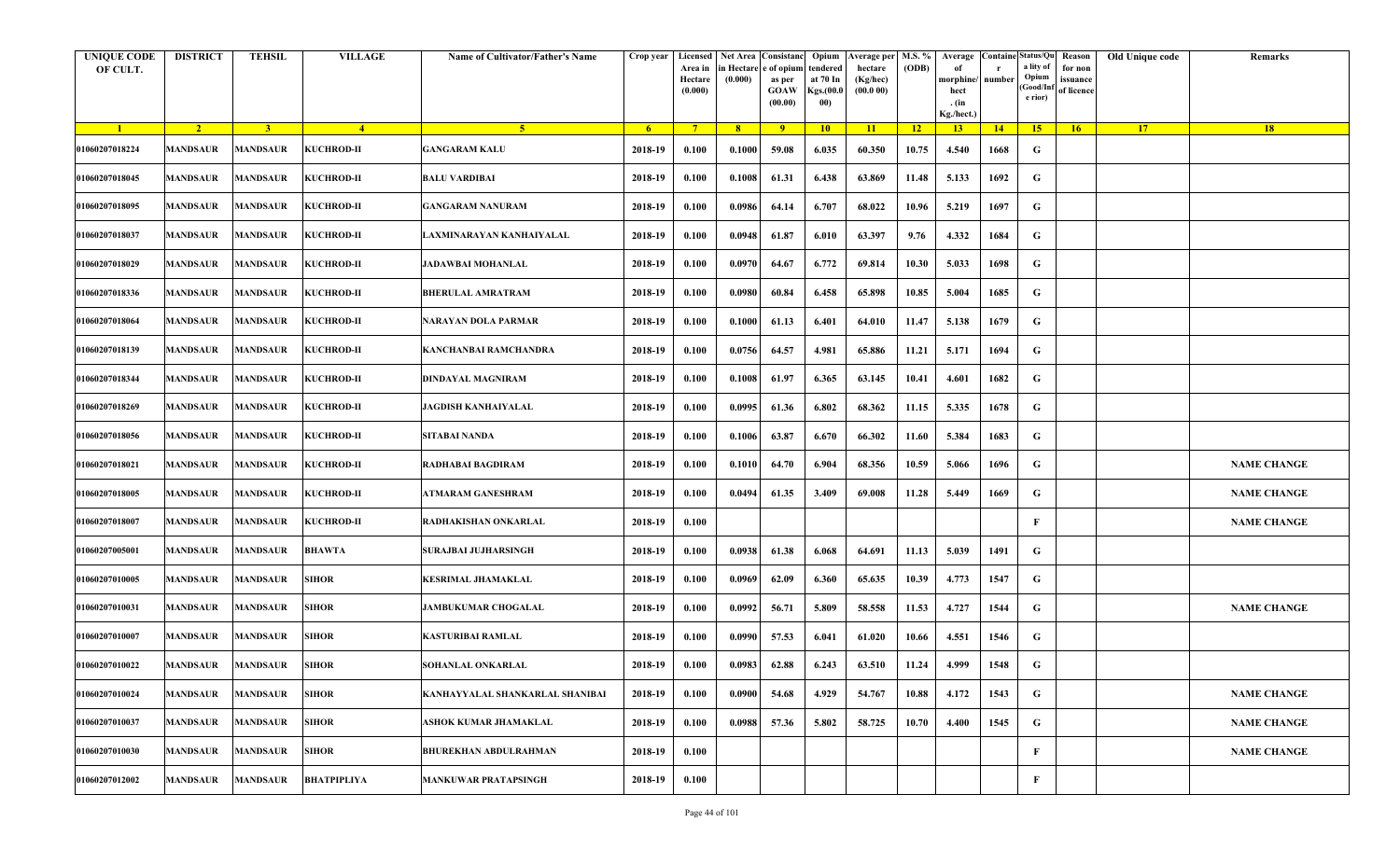| <b>UNIQUE CODE</b><br>OF CULT. | <b>DISTRICT</b> | <b>TEHSIL</b>   | <b>VILLAGE</b>    | Name of Cultivator/Father's Name | Crop year      | Area in<br>Hectare<br>(0.000) | in Hectare<br>(0.000) | Licensed Net Area Consistanc Opium<br>e of opium<br>as per<br><b>GOAW</b><br>(00.00) | endered<br>at 70 In<br>Kgs.(00.0<br>00) | Average per M.S. %<br>hectare<br>(Kg/hec)<br>(00.000) | (ODB)           | Average<br>morphine/<br>hect<br>. $(in$<br>Kg./hect.) | number | Containe Status/Qu<br>a lity of<br>Opium<br>Good/Inf<br>e rior) | Reason<br>for non<br>issuance<br>of licence | Old Unique code | Remarks            |
|--------------------------------|-----------------|-----------------|-------------------|----------------------------------|----------------|-------------------------------|-----------------------|--------------------------------------------------------------------------------------|-----------------------------------------|-------------------------------------------------------|-----------------|-------------------------------------------------------|--------|-----------------------------------------------------------------|---------------------------------------------|-----------------|--------------------|
| $\blacksquare$                 | $\sqrt{2}$      | 3 <sup>l</sup>  | $\sqrt{4}$        | 5 <sup>1</sup>                   | 6 <sup>6</sup> | $7^{\circ}$                   | 8 <sup>1</sup>        | $\overline{9}$                                                                       | 10                                      | 11                                                    | $\overline{12}$ | 13 <sup>7</sup>                                       | 14     | 15                                                              | 16                                          | 17              | 18                 |
| 01060207018224                 | <b>MANDSAUR</b> | <b>MANDSAUR</b> | <b>KUCHROD-II</b> | <b>GANGARAM KALU</b>             | 2018-19        | 0.100                         | 0.1000                | 59.08                                                                                | 6.035                                   | 60.350                                                | 10.75           | 4.540                                                 | 1668   | G                                                               |                                             |                 |                    |
| 01060207018045                 | <b>MANDSAUR</b> | <b>MANDSAUR</b> | <b>KUCHROD-II</b> | <b>BALU VARDIBAI</b>             | 2018-19        | 0.100                         | 0.1008                | 61.31                                                                                | 6.438                                   | 63.869                                                | 11.48           | 5.133                                                 | 1692   | G                                                               |                                             |                 |                    |
| 01060207018095                 | <b>MANDSAUR</b> | <b>MANDSAUR</b> | <b>KUCHROD-II</b> | <b>GANGARAM NANURAM</b>          | 2018-19        | 0.100                         | 0.0986                | 64.14                                                                                | 6.707                                   | 68.022                                                | 10.96           | 5.219                                                 | 1697   | G                                                               |                                             |                 |                    |
| 01060207018037                 | <b>MANDSAUR</b> | <b>MANDSAUR</b> | <b>KUCHROD-II</b> | LAXMINARAYAN KANHAIYALAL         | 2018-19        | 0.100                         | 0.0948                | 61.87                                                                                | 6.010                                   | 63.397                                                | 9.76            | 4.332                                                 | 1684   | G                                                               |                                             |                 |                    |
| 01060207018029                 | <b>MANDSAUR</b> | <b>MANDSAUR</b> | <b>KUCHROD-II</b> | <b>JADAWBAI MOHANLAL</b>         | 2018-19        | 0.100                         | 0.0970                | 64.67                                                                                | 6.772                                   | 69.814                                                | 10.30           | 5.033                                                 | 1698   | G                                                               |                                             |                 |                    |
| 01060207018336                 | MANDSAUR        | <b>MANDSAUR</b> | <b>KUCHROD-II</b> | <b>BHERULAL AMRATRAM</b>         | 2018-19        | 0.100                         | 0.0980                | 60.84                                                                                | 6.458                                   | 65.898                                                | 10.85           | 5.004                                                 | 1685   | G                                                               |                                             |                 |                    |
| 01060207018064                 | <b>MANDSAUR</b> | <b>MANDSAUR</b> | <b>KUCHROD-II</b> | <b>NARAYAN DOLA PARMAR</b>       | 2018-19        | 0.100                         | 0.1000                | 61.13                                                                                | 6.401                                   | 64.010                                                | 11.47           | 5.138                                                 | 1679   | G                                                               |                                             |                 |                    |
| 01060207018139                 | <b>MANDSAUR</b> | <b>MANDSAUR</b> | <b>KUCHROD-II</b> | KANCHANBAI RAMCHANDRA            | 2018-19        | 0.100                         | 0.0756                | 64.57                                                                                | 4.981                                   | 65.886                                                | 11.21           | 5.171                                                 | 1694   | G                                                               |                                             |                 |                    |
| 01060207018344                 | <b>MANDSAUR</b> | <b>MANDSAUR</b> | <b>KUCHROD-II</b> | DINDAYAL MAGNIRAM                | 2018-19        | 0.100                         | 0.1008                | 61.97                                                                                | 6.365                                   | 63.145                                                | 10.41           | 4.601                                                 | 1682   | G                                                               |                                             |                 |                    |
| 01060207018269                 | MANDSAUR        | MANDSAUR        | <b>KUCHROD-II</b> | JAGDISH KANHAIYALAL              | 2018-19        | 0.100                         | 0.0995                | 61.36                                                                                | 6.802                                   | 68.362                                                | 11.15           | 5.335                                                 | 1678   | G                                                               |                                             |                 |                    |
| 01060207018056                 | <b>MANDSAUR</b> | <b>MANDSAUR</b> | <b>KUCHROD-II</b> | <b>SITABAI NANDA</b>             | 2018-19        | 0.100                         | 0.1006                | 63.87                                                                                | 6.670                                   | 66.302                                                | 11.60           | 5.384                                                 | 1683   | G                                                               |                                             |                 |                    |
| 01060207018021                 | <b>MANDSAUR</b> | <b>MANDSAUR</b> | <b>KUCHROD-II</b> | RADHABAI BAGDIRAM                | 2018-19        | 0.100                         | 0.1010                | 64.70                                                                                | 6.904                                   | 68.356                                                | 10.59           | 5.066                                                 | 1696   | G                                                               |                                             |                 | <b>NAME CHANGE</b> |
| 01060207018005                 | <b>MANDSAUR</b> | <b>MANDSAUR</b> | <b>KUCHROD-II</b> | ATMARAM GANESHRAM                | 2018-19        | 0.100                         | 0.0494                | 61.35                                                                                | 3.409                                   | 69.008                                                | 11.28           | 5.449                                                 | 1669   | G                                                               |                                             |                 | <b>NAME CHANGE</b> |
| 01060207018007                 | <b>MANDSAUR</b> | <b>MANDSAUR</b> | <b>KUCHROD-II</b> | RADHAKISHAN ONKARLAL             | 2018-19        | 0.100                         |                       |                                                                                      |                                         |                                                       |                 |                                                       |        | $\mathbf{F}$                                                    |                                             |                 | <b>NAME CHANGE</b> |
| 01060207005001                 | <b>MANDSAUR</b> | <b>MANDSAUR</b> | <b>BHAWTA</b>     | SURAJBAI JUJHARSINGH             | 2018-19        | 0.100                         | 0.0938                | 61.38                                                                                | 6.068                                   | 64.691                                                | 11.13           | 5.039                                                 | 1491   | G                                                               |                                             |                 |                    |
| 01060207010005                 | <b>MANDSAUR</b> | <b>MANDSAUR</b> | <b>SIHOR</b>      | <b>KESRIMAL JHAMAKLAL</b>        | 2018-19        | 0.100                         | 0.0969                | 62.09                                                                                | 6.360                                   | 65.635                                                | 10.39           | 4.773                                                 | 1547   | G                                                               |                                             |                 |                    |
| 01060207010031                 | <b>MANDSAUR</b> | <b>MANDSAUR</b> | <b>SIHOR</b>      | <b>JAMBUKUMAR CHOGALAL</b>       | 2018-19        | 0.100                         | 0.0992                | 56.71                                                                                | 5.809                                   | 58.558                                                | 11.53           | 4.727                                                 | 1544   | G                                                               |                                             |                 | <b>NAME CHANGE</b> |
| 01060207010007                 | <b>MANDSAUR</b> | <b>MANDSAUR</b> | <b>SIHOR</b>      | <b>KASTURIBAI RAMLAL</b>         | 2018-19        | 0.100                         | 0.0990                | 57.53                                                                                | 6.041                                   | 61.020                                                | 10.66           | 4.551                                                 | 1546   | G                                                               |                                             |                 |                    |
| 01060207010022                 | <b>MANDSAUR</b> | <b>MANDSAUR</b> | <b>SIHOR</b>      | <b>SOHANLAL ONKARLAL</b>         | 2018-19        | 0.100                         | 0.0983                | 62.88                                                                                | 6.243                                   | 63.510                                                | 11.24           | 4.999                                                 | 1548   | G                                                               |                                             |                 |                    |
| 01060207010024                 | <b>MANDSAUR</b> | <b>MANDSAUR</b> | <b>SIHOR</b>      | KANHAYYALAL SHANKARLAL SHANIBAI  | 2018-19        | 0.100                         | 0.0900                | 54.68                                                                                | 4.929                                   | 54.767                                                | 10.88           | 4.172                                                 | 1543   | G                                                               |                                             |                 | <b>NAME CHANGE</b> |
| 01060207010037                 | <b>MANDSAUR</b> | <b>MANDSAUR</b> | <b>SIHOR</b>      | ASHOK KUMAR JHAMAKLAL            | 2018-19        | 0.100                         | 0.0988                | 57.36                                                                                | 5.802                                   | 58.725                                                | 10.70           | 4.400                                                 | 1545   | G                                                               |                                             |                 | <b>NAME CHANGE</b> |
| 01060207010030                 | <b>MANDSAUR</b> | <b>MANDSAUR</b> | <b>SIHOR</b>      | <b>BHUREKHAN ABDULRAHMAN</b>     | 2018-19        | 0.100                         |                       |                                                                                      |                                         |                                                       |                 |                                                       |        | F                                                               |                                             |                 | <b>NAME CHANGE</b> |
| 01060207012002                 | <b>MANDSAUR</b> | <b>MANDSAUR</b> | BHATPIPLIYA       | <b>MANKUWAR PRATAPSINGH</b>      | 2018-19        | 0.100                         |                       |                                                                                      |                                         |                                                       |                 |                                                       |        | F                                                               |                                             |                 |                    |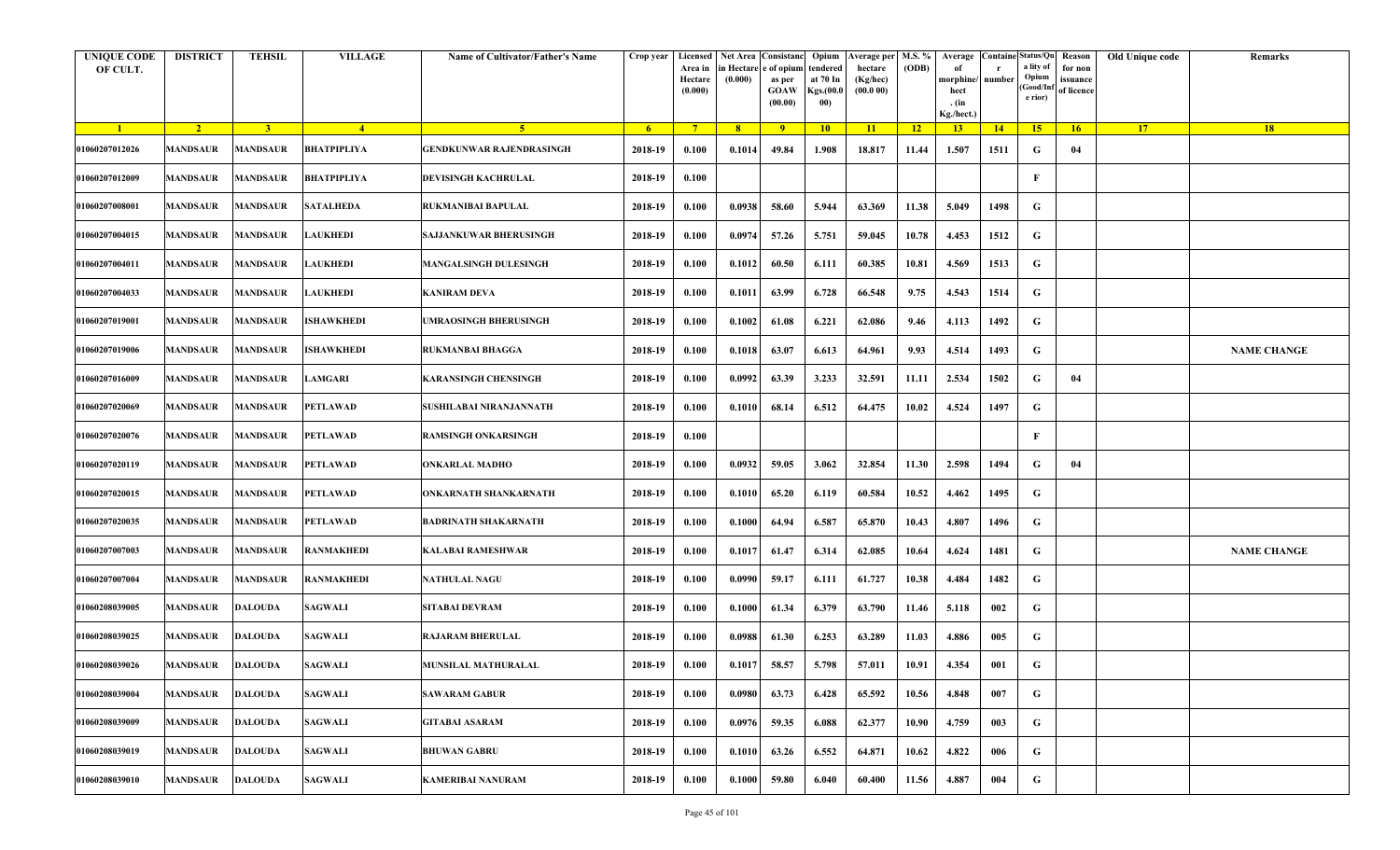| <b>UNIQUE CODE</b><br>OF CULT. | <b>DISTRICT</b> | <b>TEHSIL</b>   | <b>VILLAGE</b>    | Name of Cultivator/Father's Name | Crop year | Area in<br>Hectare<br>(0.000) | Licensed   Net Area Consistanc<br>ı Hectar<br>(0.000) | e of opium<br>as per<br><b>GOAW</b><br>(00.00) | Opium<br>tendered<br>at 70 In<br>Kgs.(00.0<br>00) | <b>Average per</b><br>hectare<br>(Kg/hec)<br>(00.000) | M.S. %<br>(ODB) | Average<br>morphine/<br>hect<br>. (in<br>Kg./hect.) | <b>Containe Status/Qu</b><br>number | a lity of<br>Opium<br>(Good/In:<br>e rior) | Reason<br>for non<br>issuance<br>of licence | Old Unique code | Remarks            |
|--------------------------------|-----------------|-----------------|-------------------|----------------------------------|-----------|-------------------------------|-------------------------------------------------------|------------------------------------------------|---------------------------------------------------|-------------------------------------------------------|-----------------|-----------------------------------------------------|-------------------------------------|--------------------------------------------|---------------------------------------------|-----------------|--------------------|
| $\blacksquare$ 1               | $\sqrt{2}$      | 3 <sup>7</sup>  | $\overline{4}$    | $\sqrt{5}$                       | $-6$      | $-7$                          | 8 <sup>1</sup>                                        | $-9$                                           | 10                                                | $\vert$ 11                                            | $-12$           | 13                                                  | 14                                  | $-15$                                      | 16                                          | 17              | 18                 |
| 01060207012026                 | <b>MANDSAUR</b> | <b>MANDSAUR</b> | BHATPIPLIYA       | GENDKUNWAR RAJENDRASINGH         | 2018-19   | 0.100                         | 0.1014                                                | 49.84                                          | 1.908                                             | 18.817                                                | 11.44           | 1.507                                               | 1511                                | G                                          | 04                                          |                 |                    |
| 01060207012009                 | MANDSAUR        | MANDSAUR        | BHATPIPLIYA       | DEVISINGH KACHRULAL              | 2018-19   | 0.100                         |                                                       |                                                |                                                   |                                                       |                 |                                                     |                                     | F                                          |                                             |                 |                    |
| 01060207008001                 | <b>MANDSAUR</b> | <b>MANDSAUR</b> | <b>SATALHEDA</b>  | RUKMANIBAI BAPULAL               | 2018-19   | 0.100                         | 0.0938                                                | 58.60                                          | 5.944                                             | 63.369                                                | 11.38           | 5.049                                               | 1498                                | G                                          |                                             |                 |                    |
| 01060207004015                 | <b>MANDSAUR</b> | <b>MANDSAUR</b> | <b>LAUKHEDI</b>   | SAJJANKUWAR BHERUSINGH           | 2018-19   | 0.100                         | 0.0974                                                | 57.26                                          | 5.751                                             | 59.045                                                | 10.78           | 4.453                                               | 1512                                | G                                          |                                             |                 |                    |
| 01060207004011                 | <b>MANDSAUR</b> | <b>MANDSAUR</b> | <b>LAUKHEDI</b>   | <b>MANGALSINGH DULESINGH</b>     | 2018-19   | 0.100                         | 0.1012                                                | 60.50                                          | 6.111                                             | 60.385                                                | 10.81           | 4.569                                               | 1513                                | G                                          |                                             |                 |                    |
| 01060207004033                 | MANDSAUR        | <b>MANDSAUR</b> | <b>LAUKHEDI</b>   | KANIRAM DEVA                     | 2018-19   | 0.100                         | 0.1011                                                | 63.99                                          | 6.728                                             | 66.548                                                | 9.75            | 4.543                                               | 1514                                | G                                          |                                             |                 |                    |
| 01060207019001                 | MANDSAUR        | <b>MANDSAUR</b> | ISHAWKHEDI        | UMRAOSINGH BHERUSINGH            | 2018-19   | 0.100                         | 0.1002                                                | 61.08                                          | 6.221                                             | 62.086                                                | 9.46            | 4.113                                               | 1492                                | G                                          |                                             |                 |                    |
| 01060207019006                 | MANDSAUR        | <b>MANDSAUR</b> | ISHAWKHEDI        | RUKMANBAI BHAGGA                 | 2018-19   | 0.100                         | 0.1018                                                | 63.07                                          | 6.613                                             | 64.961                                                | 9.93            | 4.514                                               | 1493                                | G                                          |                                             |                 | <b>NAME CHANGE</b> |
| 01060207016009                 | <b>MANDSAUR</b> | <b>MANDSAUR</b> | <b>LAMGARI</b>    | <b>KARANSINGH CHENSINGH</b>      | 2018-19   | 0.100                         | 0.0992                                                | 63.39                                          | 3.233                                             | 32.591                                                | 11.11           | 2.534                                               | 1502                                | G                                          | 04                                          |                 |                    |
| 01060207020069                 | MANDSAUR        | MANDSAUR        | PETLAWAD          | SUSHILABAI NIRANJANNATH          | 2018-19   | 0.100                         | 0.1010                                                | 68.14                                          | 6.512                                             | 64.475                                                | 10.02           | 4.524                                               | 1497                                | G                                          |                                             |                 |                    |
| 01060207020076                 | MANDSAUR        | <b>MANDSAUR</b> | <b>PETLAWAD</b>   | <b>RAMSINGH ONKARSINGH</b>       | 2018-19   | 0.100                         |                                                       |                                                |                                                   |                                                       |                 |                                                     |                                     | F                                          |                                             |                 |                    |
| 01060207020119                 | <b>MANDSAUR</b> | <b>MANDSAUR</b> | PETLAWAD          | ONKARLAL MADHO                   | 2018-19   | 0.100                         | 0.0932                                                | 59.05                                          | 3.062                                             | 32.854                                                | 11.30           | 2.598                                               | 1494                                | G                                          | 04                                          |                 |                    |
| 01060207020015                 | <b>MANDSAUR</b> | <b>MANDSAUR</b> | <b>PETLAWAD</b>   | ONKARNATH SHANKARNATH            | 2018-19   | 0.100                         | 0.1010                                                | 65.20                                          | 6.119                                             | 60.584                                                | 10.52           | 4.462                                               | 1495                                | G                                          |                                             |                 |                    |
| 01060207020035                 | <b>MANDSAUR</b> | <b>MANDSAUR</b> | <b>PETLAWAD</b>   | <b>BADRINATH SHAKARNATH</b>      | 2018-19   | 0.100                         | 0.1000                                                | 64.94                                          | 6.587                                             | 65.870                                                | 10.43           | 4.807                                               | 1496                                | G                                          |                                             |                 |                    |
| 01060207007003                 | MANDSAUR        | <b>MANDSAUR</b> | <b>RANMAKHEDI</b> | KALABAI RAMESHWAR                | 2018-19   | 0.100                         | 0.1017                                                | 61.47                                          | 6.314                                             | 62.085                                                | 10.64           | 4.624                                               | 1481                                | G                                          |                                             |                 | <b>NAME CHANGE</b> |
| 01060207007004                 | <b>MANDSAUR</b> | <b>MANDSAUR</b> | <b>RANMAKHEDI</b> | <b>NATHULAL NAGU</b>             | 2018-19   | 0.100                         | 0.0990                                                | 59.17                                          | 6.111                                             | 61.727                                                | 10.38           | 4.484                                               | 1482                                | G                                          |                                             |                 |                    |
| 01060208039005                 | MANDSAUR        | <b>DALOUDA</b>  | <b>SAGWALI</b>    | SITABAI DEVRAM                   | 2018-19   | 0.100                         | 0.1000                                                | 61.34                                          | 6.379                                             | 63.790                                                | 11.46           | 5.118                                               | 002                                 | G                                          |                                             |                 |                    |
| 01060208039025                 | MANDSAUR        | <b>DALOUDA</b>  | <b>SAGWALI</b>    | <b>RAJARAM BHERULAL</b>          | 2018-19   | 0.100                         | 0.0988                                                | 61.30                                          | 6.253                                             | 63.289                                                | 11.03           | 4.886                                               | 005                                 | G                                          |                                             |                 |                    |
| 01060208039026                 | MANDSAUR        | <b>DALOUDA</b>  | <b>SAGWALI</b>    | <b>MUNSILAL MATHURALAL</b>       | 2018-19   | 0.100                         | 0.1017                                                | 58.57                                          | 5.798                                             | 57.011                                                | 10.91           | 4.354                                               | 001                                 | G                                          |                                             |                 |                    |
| 01060208039004                 | <b>MANDSAUR</b> | <b>DALOUDA</b>  | <b>SAGWALI</b>    | <b>SAWARAM GABUR</b>             | 2018-19   | 0.100                         | 0.0980                                                | 63.73                                          | 6.428                                             | 65.592                                                | 10.56           | 4.848                                               | 007                                 | G                                          |                                             |                 |                    |
| 01060208039009                 | <b>MANDSAUR</b> | <b>DALOUDA</b>  | <b>SAGWALI</b>    | <b>GITABAI ASARAM</b>            | 2018-19   | 0.100                         | 0.0976                                                | 59.35                                          | 6.088                                             | 62.377                                                | 10.90           | 4.759                                               | 003                                 | G                                          |                                             |                 |                    |
| 01060208039019                 | <b>MANDSAUR</b> | <b>DALOUDA</b>  | <b>SAGWALI</b>    | <b>BHUWAN GABRU</b>              | 2018-19   | 0.100                         | 0.1010                                                | 63.26                                          | 6.552                                             | 64.871                                                | 10.62           | 4.822                                               | 006                                 | G                                          |                                             |                 |                    |
| 01060208039010                 | <b>MANDSAUR</b> | <b>DALOUDA</b>  | <b>SAGWALI</b>    | <b>KAMERIBAI NANURAM</b>         | 2018-19   | 0.100                         | 0.1000                                                | 59.80                                          | 6.040                                             | 60.400                                                | 11.56           | 4.887                                               | 004                                 | G                                          |                                             |                 |                    |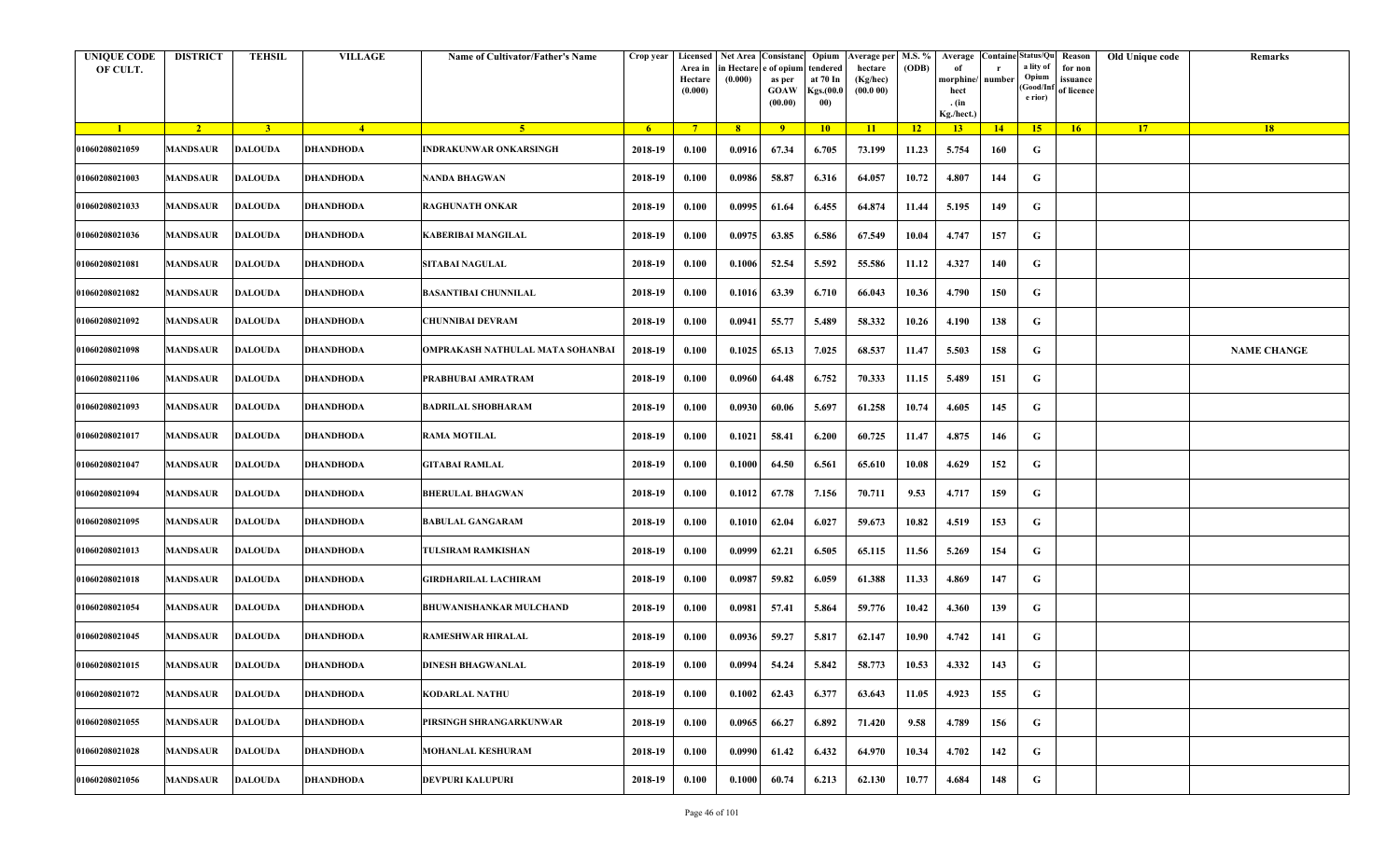| <b>UNIQUE CODE</b><br>OF CULT. | <b>DISTRICT</b> | <b>TEHSIL</b>  | <b>VILLAGE</b>   | <b>Name of Cultivator/Father's Name</b> | Crop year      | Area in<br>Hectare<br>(0.000) | in Hectare<br>(0.000) | Licensed   Net Area   Consistanc   Opium<br>e of opium<br>as per<br><b>GOAW</b><br>(00.00) | :endered<br>at 70 In<br>Kgs.(00.0<br>00) | Verage per   M.S. %<br>hectare<br>(Kg/hec)<br>(00.000) | (ODB)           | Average<br>morphine/<br>hect<br>. $(in$<br>Kg./hect.) | number      | <b>Containe Status/Qu</b><br>a lity of<br>Opium<br>Good/Inf<br>e rior) | Reason<br>for non<br>issuance<br>of licence | Old Unique code | Remarks            |
|--------------------------------|-----------------|----------------|------------------|-----------------------------------------|----------------|-------------------------------|-----------------------|--------------------------------------------------------------------------------------------|------------------------------------------|--------------------------------------------------------|-----------------|-------------------------------------------------------|-------------|------------------------------------------------------------------------|---------------------------------------------|-----------------|--------------------|
| $\blacksquare$                 | $\sqrt{2}$      | 3 <sup>l</sup> | $-4$             | $-5$                                    | 6 <sup>6</sup> | $-7$                          | 8 <sup>1</sup>        | $-9$                                                                                       | $10-10$                                  | $\vert$ 11                                             | $\overline{12}$ | 13                                                    | $\sqrt{14}$ | 15                                                                     | 16                                          | 17              | 18                 |
| 01060208021059                 | <b>MANDSAUR</b> | <b>DALOUDA</b> | DHANDHODA        | INDRAKUNWAR ONKARSINGH                  | 2018-19        | 0.100                         | 0.0916                | 67.34                                                                                      | 6.705                                    | 73.199                                                 | 11.23           | 5.754                                                 | 160         | G                                                                      |                                             |                 |                    |
| 01060208021003                 | MANDSAUR        | <b>DALOUDA</b> | <b>DHANDHODA</b> | <b>NANDA BHAGWAN</b>                    | 2018-19        | 0.100                         | 0.0986                | 58.87                                                                                      | 6.316                                    | 64.057                                                 | 10.72           | 4.807                                                 | 144         | G                                                                      |                                             |                 |                    |
| 01060208021033                 | <b>MANDSAUR</b> | <b>DALOUDA</b> | <b>DHANDHODA</b> | <b>RAGHUNATH ONKAR</b>                  | 2018-19        | 0.100                         | 0.0995                | 61.64                                                                                      | 6.455                                    | 64.874                                                 | 11.44           | 5.195                                                 | 149         | G                                                                      |                                             |                 |                    |
| 01060208021036                 | <b>MANDSAUR</b> | <b>DALOUDA</b> | <b>DHANDHODA</b> | KABERIBAI MANGILAL                      | 2018-19        | 0.100                         | 0.0975                | 63.85                                                                                      | 6.586                                    | 67.549                                                 | 10.04           | 4.747                                                 | 157         | G                                                                      |                                             |                 |                    |
| 01060208021081                 | <b>MANDSAUR</b> | <b>DALOUDA</b> | <b>DHANDHODA</b> | <b>SITABAI NAGULAL</b>                  | 2018-19        | 0.100                         | 0.1006                | 52.54                                                                                      | 5.592                                    | 55.586                                                 | 11.12           | 4.327                                                 | 140         | G                                                                      |                                             |                 |                    |
| 01060208021082                 | <b>MANDSAUR</b> | <b>DALOUDA</b> | <b>DHANDHODA</b> | <b>BASANTIBAI CHUNNILAL</b>             | 2018-19        | 0.100                         | 0.1016                | 63.39                                                                                      | 6.710                                    | 66.043                                                 | 10.36           | 4.790                                                 | 150         | G                                                                      |                                             |                 |                    |
| 01060208021092                 | <b>MANDSAUR</b> | <b>DALOUDA</b> | <b>DHANDHODA</b> | <b>CHUNNIBAI DEVRAM</b>                 | 2018-19        | 0.100                         | 0.0941                | 55.77                                                                                      | 5.489                                    | 58.332                                                 | 10.26           | 4.190                                                 | 138         | G                                                                      |                                             |                 |                    |
| 01060208021098                 | MANDSAUR        | <b>DALOUDA</b> | <b>DHANDHODA</b> | OMPRAKASH NATHULAL MATA SOHANBAI        | 2018-19        | 0.100                         | 0.1025                | 65.13                                                                                      | 7.025                                    | 68.537                                                 | 11.47           | 5.503                                                 | 158         | G                                                                      |                                             |                 | <b>NAME CHANGE</b> |
| 01060208021106                 | <b>MANDSAUR</b> | <b>DALOUDA</b> | <b>DHANDHODA</b> | PRABHUBAI AMRATRAM                      | 2018-19        | 0.100                         | 0.0960                | 64.48                                                                                      | 6.752                                    | 70.333                                                 | 11.15           | 5.489                                                 | 151         | G                                                                      |                                             |                 |                    |
| 01060208021093                 | MANDSAUR        | <b>DALOUDA</b> | <b>DHANDHODA</b> | <b>BADRILAL SHOBHARAM</b>               | 2018-19        | 0.100                         | 0.0930                | 60.06                                                                                      | 5.697                                    | 61.258                                                 | 10.74           | 4.605                                                 | 145         | G                                                                      |                                             |                 |                    |
| 01060208021017                 | <b>MANDSAUR</b> | <b>DALOUDA</b> | <b>DHANDHODA</b> | <b>RAMA MOTILAL</b>                     | 2018-19        | 0.100                         | 0.1021                | 58.41                                                                                      | 6.200                                    | 60.725                                                 | 11.47           | 4.875                                                 | 146         | G                                                                      |                                             |                 |                    |
| 01060208021047                 | <b>MANDSAUR</b> | <b>DALOUDA</b> | <b>DHANDHODA</b> | GITABAI RAMLAL                          | 2018-19        | 0.100                         | 0.1000                | 64.50                                                                                      | 6.561                                    | 65.610                                                 | 10.08           | 4.629                                                 | 152         | G                                                                      |                                             |                 |                    |
| 01060208021094                 | <b>MANDSAUR</b> | <b>DALOUDA</b> | <b>DHANDHODA</b> | <b>BHERULAL BHAGWAN</b>                 | 2018-19        | 0.100                         | 0.1012                | 67.78                                                                                      | 7.156                                    | 70.711                                                 | 9.53            | 4.717                                                 | 159         | G                                                                      |                                             |                 |                    |
| 01060208021095                 | <b>MANDSAUR</b> | <b>DALOUDA</b> | <b>DHANDHODA</b> | <b>BABULAL GANGARAM</b>                 | 2018-19        | 0.100                         | 0.1010                | 62.04                                                                                      | 6.027                                    | 59.673                                                 | 10.82           | 4.519                                                 | 153         | G                                                                      |                                             |                 |                    |
| 01060208021013                 | MANDSAUR        | <b>DALOUDA</b> | <b>DHANDHODA</b> | TULSIRAM RAMKISHAN                      | 2018-19        | 0.100                         | 0.0999                | 62.21                                                                                      | 6.505                                    | 65.115                                                 | 11.56           | 5.269                                                 | 154         | G                                                                      |                                             |                 |                    |
| 01060208021018                 | <b>MANDSAUR</b> | <b>DALOUDA</b> | <b>DHANDHODA</b> | <b>GIRDHARILAL LACHIRAM</b>             | 2018-19        | 0.100                         | 0.0987                | 59.82                                                                                      | 6.059                                    | 61.388                                                 | 11.33           | 4.869                                                 | 147         | G                                                                      |                                             |                 |                    |
| 01060208021054                 | <b>MANDSAUR</b> | <b>DALOUDA</b> | <b>DHANDHODA</b> | <b>BHUWANISHANKAR MULCHAND</b>          | 2018-19        | 0.100                         | 0.0981                | 57.41                                                                                      | 5.864                                    | 59.776                                                 | 10.42           | 4.360                                                 | 139         | G                                                                      |                                             |                 |                    |
| 01060208021045                 | <b>MANDSAUR</b> | <b>DALOUDA</b> | <b>DHANDHODA</b> | <b>RAMESHWAR HIRALAL</b>                | 2018-19        | 0.100                         | 0.0936                | 59.27                                                                                      | 5.817                                    | 62.147                                                 | 10.90           | 4.742                                                 | 141         | G                                                                      |                                             |                 |                    |
| 01060208021015                 | <b>MANDSAUR</b> | <b>DALOUDA</b> | <b>DHANDHODA</b> | <b>DINESH BHAGWANLAL</b>                | 2018-19        | 0.100                         | 0.0994                | 54.24                                                                                      | 5.842                                    | 58.773                                                 | 10.53           | 4.332                                                 | 143         | G                                                                      |                                             |                 |                    |
| 01060208021072                 | <b>MANDSAUR</b> | <b>DALOUDA</b> | <b>DHANDHODA</b> | <b>KODARLAL NATHU</b>                   | 2018-19        | 0.100                         | 0.1002                | 62.43                                                                                      | 6.377                                    | 63.643                                                 | 11.05           | 4.923                                                 | 155         | G                                                                      |                                             |                 |                    |
| 01060208021055                 | <b>MANDSAUR</b> | <b>DALOUDA</b> | <b>DHANDHODA</b> | PIRSINGH SHRANGARKUNWAR                 | 2018-19        | 0.100                         | 0.0965                | 66.27                                                                                      | 6.892                                    | 71.420                                                 | 9.58            | 4.789                                                 | 156         | G                                                                      |                                             |                 |                    |
| 01060208021028                 | <b>MANDSAUR</b> | <b>DALOUDA</b> | <b>DHANDHODA</b> | <b>MOHANLAL KESHURAM</b>                | 2018-19        | 0.100                         | 0.0990                | 61.42                                                                                      | 6.432                                    | 64.970                                                 | 10.34           | 4.702                                                 | 142         | G                                                                      |                                             |                 |                    |
| 01060208021056                 | <b>MANDSAUR</b> | <b>DALOUDA</b> | <b>DHANDHODA</b> | <b>DEVPURI KALUPURI</b>                 | 2018-19        | 0.100                         | 0.1000                | 60.74                                                                                      | 6.213                                    | 62.130                                                 | 10.77           | 4.684                                                 | 148         | ${\bf G}$                                                              |                                             |                 |                    |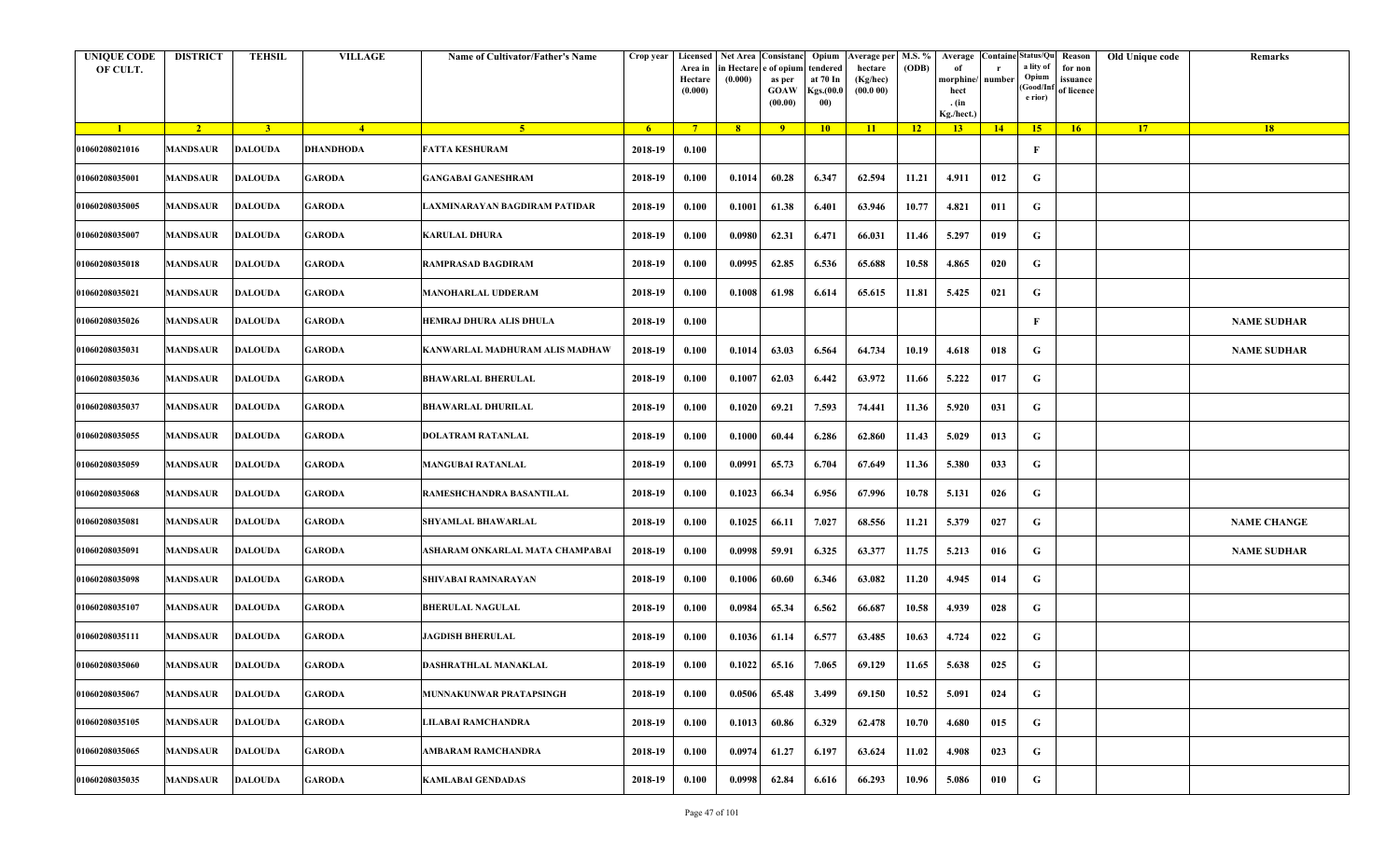| <b>UNIQUE CODE</b><br>OF CULT. | <b>DISTRICT</b> | <b>TEHSIL</b>  | <b>VILLAGE</b>   | Name of Cultivator/Father's Name | Crop year | Area in<br>Hectare<br>(0.000) | Licensed Net Area Consistanc<br>ı Hectar<br>(0.000) | e of opium<br>as per<br><b>GOAW</b><br>(00.00) | Opium<br>tendered<br>at 70 In<br>Kgs.(00.0)<br>00) | <b>Average per</b><br>hectare<br>(Kg/hec)<br>(00.000) | M.S. %<br>(ODB) | Average<br>morphine/<br>hect<br>. (in<br>Kg./hect.) | Containe Status/Qu<br>number | a lity of<br>Opium<br>(Good/In<br>e rior) | Reason<br>for non<br>issuance<br>of licence | Old Unique code | Remarks            |
|--------------------------------|-----------------|----------------|------------------|----------------------------------|-----------|-------------------------------|-----------------------------------------------------|------------------------------------------------|----------------------------------------------------|-------------------------------------------------------|-----------------|-----------------------------------------------------|------------------------------|-------------------------------------------|---------------------------------------------|-----------------|--------------------|
| $\blacksquare$                 | $\sqrt{2}$      | 3 <sup>7</sup> | $\overline{4}$   | -5.                              | $-6$      | $7^{\circ}$                   | 8 <sup>1</sup>                                      | $-9$                                           | 10                                                 | 11                                                    | 12              | 13                                                  | 14                           | 15                                        | 16                                          | 17              | 18                 |
| 01060208021016                 | <b>MANDSAUR</b> | <b>DALOUDA</b> | <b>DHANDHODA</b> | <b>FATTA KESHURAM</b>            | 2018-19   | 0.100                         |                                                     |                                                |                                                    |                                                       |                 |                                                     |                              | F                                         |                                             |                 |                    |
| 01060208035001                 | MANDSAUR        | <b>DALOUDA</b> | GARODA           | <b>GANGABAI GANESHRAM</b>        | 2018-19   | 0.100                         | 0.1014                                              | 60.28                                          | 6.347                                              | 62.594                                                | 11.21           | 4.911                                               | 012                          | G                                         |                                             |                 |                    |
| 01060208035005                 | <b>MANDSAUR</b> | <b>DALOUDA</b> | GARODA           | LAXMINARAYAN BAGDIRAM PATIDAR    | 2018-19   | 0.100                         | 0.1001                                              | 61.38                                          | 6.401                                              | 63.946                                                | 10.77           | 4.821                                               | 011                          | G                                         |                                             |                 |                    |
| 01060208035007                 | <b>MANDSAUR</b> | <b>DALOUDA</b> | GARODA           | <b>KARULAL DHURA</b>             | 2018-19   | 0.100                         | 0.0980                                              | 62.31                                          | 6.471                                              | 66.031                                                | 11.46           | 5.297                                               | 019                          | G                                         |                                             |                 |                    |
| 01060208035018                 | <b>MANDSAUR</b> | <b>DALOUDA</b> | GARODA           | RAMPRASAD BAGDIRAM               | 2018-19   | 0.100                         | 0.0995                                              | 62.85                                          | 6.536                                              | 65.688                                                | 10.58           | 4.865                                               | 020                          | G                                         |                                             |                 |                    |
| 01060208035021                 | MANDSAUR        | <b>DALOUDA</b> | GARODA           | <b>MANOHARLAL UDDERAM</b>        | 2018-19   | 0.100                         | 0.1008                                              | 61.98                                          | 6.614                                              | 65.615                                                | 11.81           | 5.425                                               | 021                          | G                                         |                                             |                 |                    |
| 01060208035026                 | MANDSAUR        | <b>DALOUDA</b> | <b>GARODA</b>    | HEMRAJ DHURA ALIS DHULA          | 2018-19   | 0.100                         |                                                     |                                                |                                                    |                                                       |                 |                                                     |                              | $\mathbf{F}$                              |                                             |                 | <b>NAME SUDHAR</b> |
| 01060208035031                 | MANDSAUR        | <b>DALOUDA</b> | GARODA           | KANWARLAL MADHURAM ALIS MADHAW   | 2018-19   | 0.100                         | 0.1014                                              | 63.03                                          | 6.564                                              | 64.734                                                | 10.19           | 4.618                                               | 018                          | G                                         |                                             |                 | <b>NAME SUDHAR</b> |
| 01060208035036                 | <b>MANDSAUR</b> | <b>DALOUDA</b> | GARODA           | <b>BHAWARLAL BHERULAL</b>        | 2018-19   | 0.100                         | 0.1007                                              | 62.03                                          | 6.442                                              | 63.972                                                | 11.66           | 5.222                                               | 017                          | G                                         |                                             |                 |                    |
| 01060208035037                 | MANDSAUR        | <b>DALOUDA</b> | GARODA           | <b>BHAWARLAL DHURILAL</b>        | 2018-19   | 0.100                         | 0.1020                                              | 69.21                                          | 7.593                                              | 74.441                                                | 11.36           | 5.920                                               | 031                          | G                                         |                                             |                 |                    |
| 01060208035055                 | MANDSAUR        | <b>DALOUDA</b> | GARODA           | DOLATRAM RATANLAL                | 2018-19   | 0.100                         | 0.1000                                              | 60.44                                          | 6.286                                              | 62.860                                                | 11.43           | 5.029                                               | 013                          | G                                         |                                             |                 |                    |
| 01060208035059                 | MANDSAUR        | <b>DALOUDA</b> | <b>GARODA</b>    | <b>MANGUBAI RATANLAL</b>         | 2018-19   | 0.100                         | 0.0991                                              | 65.73                                          | 6.704                                              | 67.649                                                | 11.36           | 5.380                                               | 033                          | G                                         |                                             |                 |                    |
| 01060208035068                 | <b>MANDSAUR</b> | <b>DALOUDA</b> | GARODA           | RAMESHCHANDRA BASANTILAL         | 2018-19   | 0.100                         | 0.1023                                              | 66.34                                          | 6.956                                              | 67.996                                                | 10.78           | 5.131                                               | 026                          | G                                         |                                             |                 |                    |
| 01060208035081                 | MANDSAUR        | <b>DALOUDA</b> | <b>GARODA</b>    | <b>SHYAMLAL BHAWARLAL</b>        | 2018-19   | 0.100                         | 0.1025                                              | 66.11                                          | 7.027                                              | 68.556                                                | 11.21           | 5.379                                               | 027                          | G                                         |                                             |                 | <b>NAME CHANGE</b> |
| 01060208035091                 | MANDSAUR        | <b>DALOUDA</b> | GARODA           | ASHARAM ONKARLAL MATA CHAMPABAI  | 2018-19   | 0.100                         | 0.0998                                              | 59.91                                          | 6.325                                              | 63.377                                                | 11.75           | 5.213                                               | 016                          | G                                         |                                             |                 | <b>NAME SUDHAR</b> |
| 01060208035098                 | <b>MANDSAUR</b> | <b>DALOUDA</b> | GARODA           | SHIVABAI RAMNARAYAN              | 2018-19   | 0.100                         | 0.1006                                              | 60.60                                          | 6.346                                              | 63.082                                                | 11.20           | 4.945                                               | 014                          | G                                         |                                             |                 |                    |
| 01060208035107                 | MANDSAUR        | <b>DALOUDA</b> | GARODA           | <b>BHERULAL NAGULAL</b>          | 2018-19   | 0.100                         | 0.0984                                              | 65.34                                          | 6.562                                              | 66.687                                                | 10.58           | 4.939                                               | 028                          | G                                         |                                             |                 |                    |
| 01060208035111                 | <b>MANDSAUR</b> | <b>DALOUDA</b> | GARODA           | <b>JAGDISH BHERULAL</b>          | 2018-19   | 0.100                         | 0.1036                                              | 61.14                                          | 6.577                                              | 63.485                                                | 10.63           | 4.724                                               | 022                          | G                                         |                                             |                 |                    |
| 01060208035060                 | MANDSAUR        | <b>DALOUDA</b> | <b>GARODA</b>    | DASHRATHLAL MANAKLAL             | 2018-19   | 0.100                         | 0.1022                                              | 65.16                                          | 7.065                                              | 69.129                                                | 11.65           | 5.638                                               | 025                          | G                                         |                                             |                 |                    |
| 01060208035067                 | <b>MANDSAUR</b> | <b>DALOUDA</b> | GARODA           | <b>MUNNAKUNWAR PRATAPSINGH</b>   | 2018-19   | 0.100                         | 0.0506                                              | 65.48                                          | 3.499                                              | 69.150                                                | 10.52           | 5.091                                               | 024                          | G                                         |                                             |                 |                    |
| 01060208035105                 | <b>MANDSAUR</b> | <b>DALOUDA</b> | GARODA           | LILABAI RAMCHANDRA               | 2018-19   | 0.100                         | 0.1013                                              | 60.86                                          | 6.329                                              | 62.478                                                | 10.70           | 4.680                                               | 015                          | G                                         |                                             |                 |                    |
| 01060208035065                 | MANDSAUR        | <b>DALOUDA</b> | GARODA           | AMBARAM RAMCHANDRA               | 2018-19   | 0.100                         | 0.0974                                              | 61.27                                          | 6.197                                              | 63.624                                                | 11.02           | 4.908                                               | 023                          | G                                         |                                             |                 |                    |
| 01060208035035                 | <b>MANDSAUR</b> | <b>DALOUDA</b> | GARODA           | <b>KAMLABAI GENDADAS</b>         | 2018-19   | 0.100                         | 0.0998                                              | 62.84                                          | 6.616                                              | 66.293                                                | 10.96           | 5.086                                               | 010                          | G                                         |                                             |                 |                    |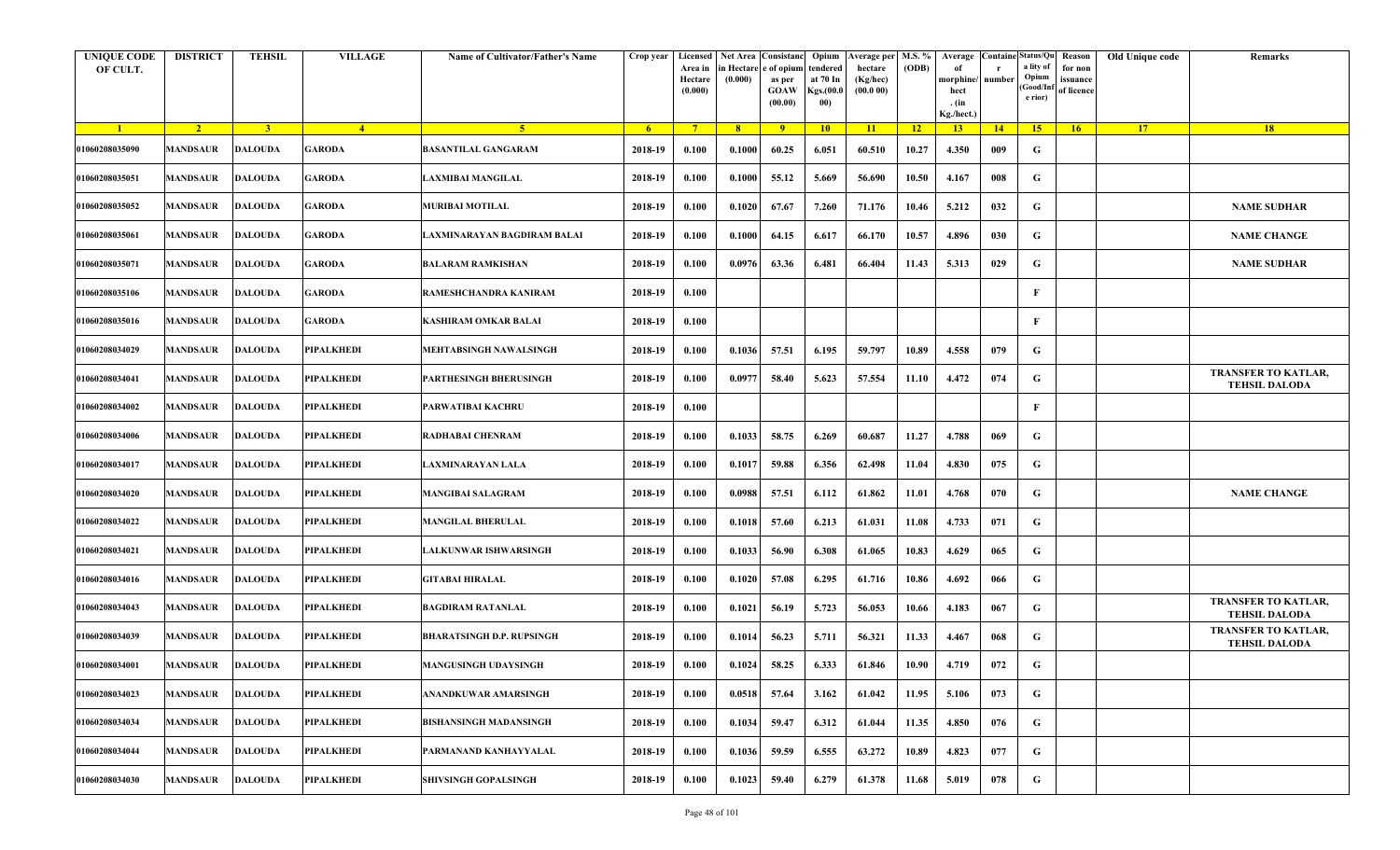| <b>UNIQUE CODE</b><br>OF CULT. | <b>DISTRICT</b> | <b>TEHSIL</b>  | <b>VILLAGE</b>    | Name of Cultivator/Father's Name | Crop year      | Area in<br>Hectare<br>(0.000) | in Hectare<br>(0.000) | Licensed   Net Area   Consistanc   Opium<br>e of opium<br>as per<br><b>GOAW</b><br>(00.00) | endered<br>at 70 In<br>Kgs.(00.0<br>00) | Average per M.S. %<br>hectare<br>(Kg/hec)<br>(00.000) | (ODB) | Average<br>morphine/<br>hect<br>. (in<br>Kg./hect.) | <b>Containe Status/Qu</b><br>number | a lity of<br>Opium<br>Good/Inf<br>e rior) | Reason<br>for non<br>issuance<br>of licence | Old Unique code | Remarks                                            |
|--------------------------------|-----------------|----------------|-------------------|----------------------------------|----------------|-------------------------------|-----------------------|--------------------------------------------------------------------------------------------|-----------------------------------------|-------------------------------------------------------|-------|-----------------------------------------------------|-------------------------------------|-------------------------------------------|---------------------------------------------|-----------------|----------------------------------------------------|
| $\blacksquare$                 | $\sqrt{2}$      | 3 <sup>1</sup> | $\sqrt{4}$        | -5.                              | 6 <sup>6</sup> | $7^{\circ}$                   | 8 <sup>1</sup>        | $\overline{9}$                                                                             | 10                                      | $\vert$ 11                                            | 12    | 13                                                  | 14                                  | 15                                        | 16                                          | 17              | 18                                                 |
| 01060208035090                 | <b>MANDSAUR</b> | DALOUDA        | GARODA            | <b>BASANTILAL GANGARAM</b>       | 2018-19        | 0.100                         | 0.1000                | 60.25                                                                                      | 6.051                                   | 60.510                                                | 10.27 | 4.350                                               | 009                                 | G                                         |                                             |                 |                                                    |
| 01060208035051                 | <b>MANDSAUR</b> | DALOUDA        | <b>GARODA</b>     | LAXMIBAI MANGILAL                | 2018-19        | 0.100                         | 0.1000                | 55.12                                                                                      | 5.669                                   | 56.690                                                | 10.50 | 4.167                                               | 008                                 | G                                         |                                             |                 |                                                    |
| 01060208035052                 | <b>MANDSAUR</b> | <b>DALOUDA</b> | <b>GARODA</b>     | <b>MURIBAI MOTILAL</b>           | 2018-19        | 0.100                         | 0.1020                | 67.67                                                                                      | 7.260                                   | 71.176                                                | 10.46 | 5.212                                               | 032                                 | G                                         |                                             |                 | <b>NAME SUDHAR</b>                                 |
| 01060208035061                 | <b>MANDSAUR</b> | <b>DALOUDA</b> | <b>GARODA</b>     | LAXMINARAYAN BAGDIRAM BALAI      | 2018-19        | 0.100                         | 0.1000                | 64.15                                                                                      | 6.617                                   | 66.170                                                | 10.57 | 4.896                                               | 030                                 | G                                         |                                             |                 | <b>NAME CHANGE</b>                                 |
| 01060208035071                 | <b>MANDSAUR</b> | <b>DALOUDA</b> | <b>GARODA</b>     | <b>BALARAM RAMKISHAN</b>         | 2018-19        | 0.100                         | 0.0976                | 63.36                                                                                      | 6.481                                   | 66.404                                                | 11.43 | 5.313                                               | 029                                 | G                                         |                                             |                 | <b>NAME SUDHAR</b>                                 |
| 01060208035106                 | <b>MANDSAUR</b> | DALOUDA        | <b>GARODA</b>     | RAMESHCHANDRA KANIRAM            | 2018-19        | 0.100                         |                       |                                                                                            |                                         |                                                       |       |                                                     |                                     | F                                         |                                             |                 |                                                    |
| 01060208035016                 | <b>MANDSAUR</b> | <b>DALOUDA</b> | <b>GARODA</b>     | <b>KASHIRAM OMKAR BALAI</b>      | 2018-19        | 0.100                         |                       |                                                                                            |                                         |                                                       |       |                                                     |                                     | $\mathbf{F}$                              |                                             |                 |                                                    |
| 01060208034029                 | <b>MANDSAUR</b> | <b>DALOUDA</b> | PIPALKHEDI        | MEHTABSINGH NAWALSINGH           | 2018-19        | 0.100                         | 0.1036                | 57.51                                                                                      | 6.195                                   | 59.797                                                | 10.89 | 4.558                                               | 079                                 | G                                         |                                             |                 |                                                    |
| 01060208034041                 | <b>MANDSAUR</b> | <b>DALOUDA</b> | PIPALKHEDI        | <b>PARTHESINGH BHERUSINGH</b>    | 2018-19        | 0.100                         | 0.0977                | 58.40                                                                                      | 5.623                                   | 57.554                                                | 11.10 | 4.472                                               | 074                                 | G                                         |                                             |                 | <b>TRANSFER TO KATLAR,</b><br><b>TEHSIL DALODA</b> |
| 01060208034002                 | MANDSAUR        | DALOUDA        | PIPALKHEDI        | PARWATIBAI KACHRU                | 2018-19        | 0.100                         |                       |                                                                                            |                                         |                                                       |       |                                                     |                                     | F                                         |                                             |                 |                                                    |
| 01060208034006                 | <b>MANDSAUR</b> | DALOUDA        | PIPALKHEDI        | RADHABAI CHENRAM                 | 2018-19        | 0.100                         | 0.1033                | 58.75                                                                                      | 6.269                                   | 60.687                                                | 11.27 | 4.788                                               | -069                                | G                                         |                                             |                 |                                                    |
| 01060208034017                 | <b>MANDSAUR</b> | <b>DALOUDA</b> | PIPALKHEDI        | AXMINARAYAN LALA                 | 2018-19        | 0.100                         | 0.1017                | 59.88                                                                                      | 6.356                                   | 62.498                                                | 11.04 | 4.830                                               | 075                                 | G                                         |                                             |                 |                                                    |
| 01060208034020                 | <b>MANDSAUR</b> | <b>DALOUDA</b> | <b>PIPALKHEDI</b> | <b>MANGIBAI SALAGRAM</b>         | 2018-19        | 0.100                         | 0.0988                | 57.51                                                                                      | 6.112                                   | 61.862                                                | 11.01 | 4.768                                               | 070                                 | G                                         |                                             |                 | <b>NAME CHANGE</b>                                 |
| 01060208034022                 | <b>MANDSAUR</b> | <b>DALOUDA</b> | PIPALKHEDI        | <b>MANGILAL BHERULAL</b>         | 2018-19        | 0.100                         | 0.1018                | 57.60                                                                                      | 6.213                                   | 61.031                                                | 11.08 | 4.733                                               | 071                                 | G                                         |                                             |                 |                                                    |
| 01060208034021                 | <b>MANDSAUR</b> | DALOUDA        | <b>PIPALKHEDI</b> | LALKUNWAR ISHWARSINGH            | 2018-19        | 0.100                         | 0.1033                | 56.90                                                                                      | 6.308                                   | 61.065                                                | 10.83 | 4.629                                               | 065                                 | G                                         |                                             |                 |                                                    |
| 01060208034016                 | <b>MANDSAUR</b> | <b>DALOUDA</b> | <b>PIPALKHEDI</b> | <b>GITABAI HIRALAL</b>           | 2018-19        | 0.100                         | 0.1020                | 57.08                                                                                      | 6.295                                   | 61.716                                                | 10.86 | 4.692                                               | 066                                 | G                                         |                                             |                 |                                                    |
| 01060208034043                 | <b>MANDSAUR</b> | <b>DALOUDA</b> | PIPALKHEDI        | <b>BAGDIRAM RATANLAL</b>         | 2018-19        | 0.100                         | 0.1021                | 56.19                                                                                      | 5.723                                   | 56.053                                                | 10.66 | 4.183                                               | 067                                 | G                                         |                                             |                 | <b>TRANSFER TO KATLAR,</b><br><b>TEHSIL DALODA</b> |
| 01060208034039                 | <b>MANDSAUR</b> | <b>DALOUDA</b> | PIPALKHEDI        | <b>BHARATSINGH D.P. RUPSINGH</b> | 2018-19        | 0.100                         | 0.1014                | 56.23                                                                                      | 5.711                                   | 56.321                                                | 11.33 | 4.467                                               | 068                                 | G                                         |                                             |                 | <b>TRANSFER TO KATLAR,</b><br><b>TEHSIL DALODA</b> |
| 01060208034001                 | <b>MANDSAUR</b> | <b>DALOUDA</b> | <b>PIPALKHEDI</b> | <b>MANGUSINGH UDAYSINGH</b>      | 2018-19        | 0.100                         | 0.1024                | 58.25                                                                                      | 6.333                                   | 61.846                                                | 10.90 | 4.719                                               | 072                                 | G                                         |                                             |                 |                                                    |
| 01060208034023                 | <b>MANDSAUR</b> | <b>DALOUDA</b> | PIPALKHEDI        | ANANDKUWAR AMARSINGH             | 2018-19        | 0.100                         | 0.0518                | 57.64                                                                                      | 3.162                                   | 61.042                                                | 11.95 | 5.106                                               | 073                                 | G                                         |                                             |                 |                                                    |
| 01060208034034                 | <b>MANDSAUR</b> | <b>DALOUDA</b> | PIPALKHEDI        | <b>BISHANSINGH MADANSINGH</b>    | 2018-19        | 0.100                         | 0.1034                | 59.47                                                                                      | 6.312                                   | 61.044                                                | 11.35 | 4.850                                               | 076                                 | G                                         |                                             |                 |                                                    |
| 01060208034044                 | <b>MANDSAUR</b> | <b>DALOUDA</b> | PIPALKHEDI        | PARMANAND KANHAYYALAL            | 2018-19        | 0.100                         | 0.1036                | 59.59                                                                                      | 6.555                                   | 63.272                                                | 10.89 | 4.823                                               | 077                                 | G                                         |                                             |                 |                                                    |
| 01060208034030                 | <b>MANDSAUR</b> | <b>DALOUDA</b> | <b>PIPALKHEDI</b> | <b>SHIVSINGH GOPALSINGH</b>      | 2018-19        | 0.100                         | 0.1023                | 59.40                                                                                      | 6.279                                   | 61.378                                                | 11.68 | 5.019                                               | 078                                 | G                                         |                                             |                 |                                                    |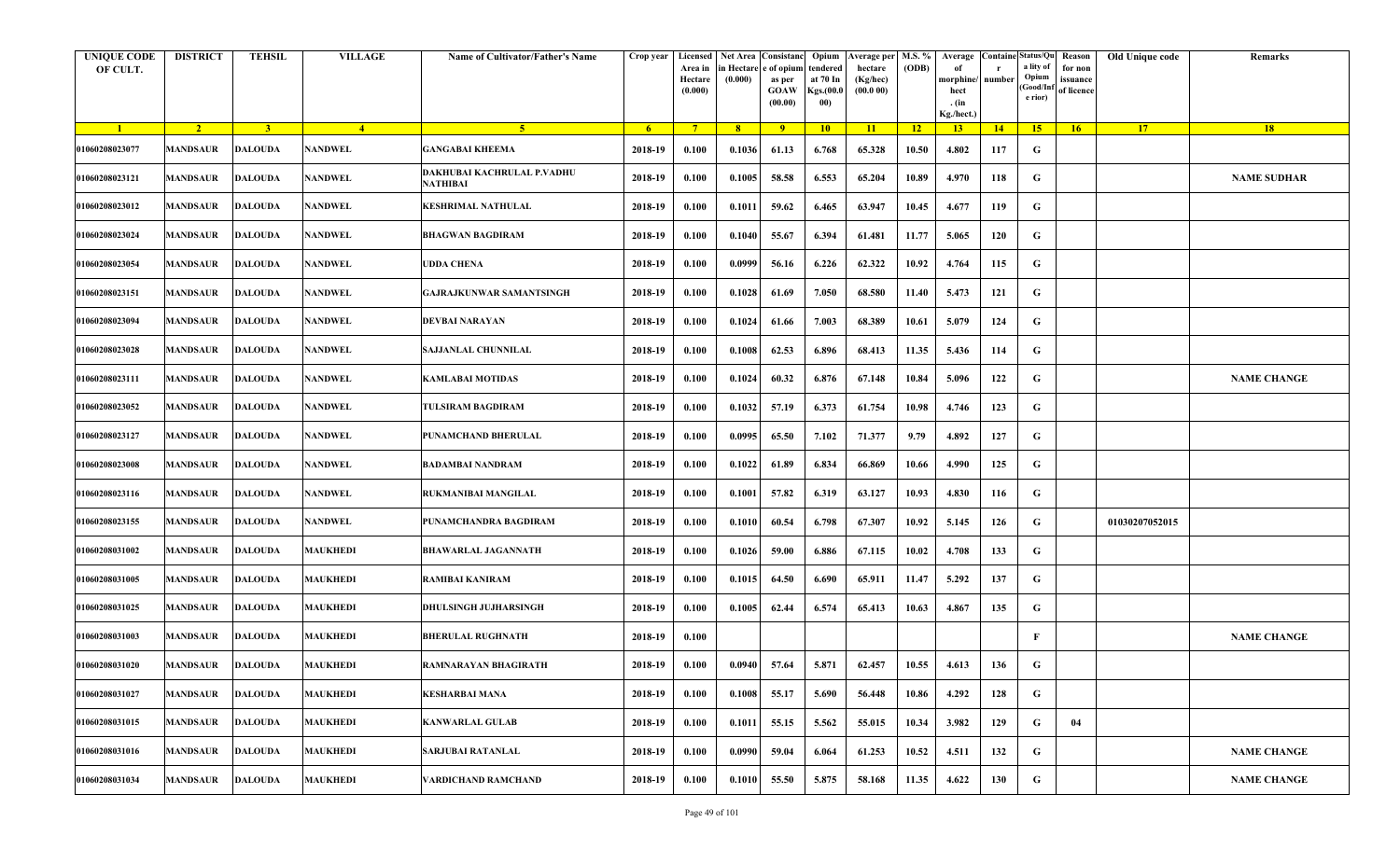| <b>UNIQUE CODE</b><br>OF CULT. | <b>DISTRICT</b> | <b>TEHSIL</b>  | <b>VILLAGE</b>  | <b>Name of Cultivator/Father's Name</b>       | Crop year      | Licensed<br>Area in<br>Hectare<br>(0.000) | in Hectaro<br>(0.000) | Net Area Consistanc<br>e of opium<br>as per<br>GOAW<br>(00.00) | Opium<br>tendered<br>at 70 In<br>Kgs.(00.0<br>00) | Average per M.S. %<br>hectare<br>(Kg/hec)<br>(00.0 00) | (ODB) | Average<br>of<br>morphine<br>hect<br>. (in<br>Kg./hect.) | number | <b>Containe Status/Qu</b><br>a lity of<br>Opium<br>Good/Inf<br>e rior) | Reason<br>for non<br>issuance<br>of licence | Old Unique code | Remarks            |
|--------------------------------|-----------------|----------------|-----------------|-----------------------------------------------|----------------|-------------------------------------------|-----------------------|----------------------------------------------------------------|---------------------------------------------------|--------------------------------------------------------|-------|----------------------------------------------------------|--------|------------------------------------------------------------------------|---------------------------------------------|-----------------|--------------------|
| $\blacksquare$                 | $\sqrt{2}$      | 3 <sup>1</sup> | $\overline{4}$  | $-5$                                          | 6 <sup>1</sup> | 7 <sup>7</sup>                            | 8 <sup>1</sup>        | $\overline{9}$                                                 | 10                                                | 11                                                     | 12    | 13                                                       | 14     | 15 <sup>2</sup>                                                        | 16                                          | 17              | 18                 |
| 01060208023077                 | <b>MANDSAUR</b> | <b>DALOUDA</b> | NANDWEL         | <b>GANGABAI KHEEMA</b>                        | 2018-19        | 0.100                                     | 0.1036                | 61.13                                                          | 6.768                                             | 65.328                                                 | 10.50 | 4.802                                                    | 117    | G                                                                      |                                             |                 |                    |
| 01060208023121                 | <b>MANDSAUR</b> | <b>DALOUDA</b> | <b>NANDWEL</b>  | DAKHUBAI KACHRULAL P.VADHU<br><b>NATHIBAI</b> | 2018-19        | 0.100                                     | 0.1005                | 58.58                                                          | 6.553                                             | 65.204                                                 | 10.89 | 4.970                                                    | 118    | G                                                                      |                                             |                 | <b>NAME SUDHAR</b> |
| 01060208023012                 | MANDSAUR        | <b>DALOUDA</b> | <b>NANDWEL</b>  | <b>KESHRIMAL NATHULAL</b>                     | 2018-19        | 0.100                                     | 0.1011                | 59.62                                                          | 6.465                                             | 63.947                                                 | 10.45 | 4.677                                                    | 119    | G                                                                      |                                             |                 |                    |
| 01060208023024                 | <b>MANDSAUR</b> | DALOUDA        | <b>NANDWEL</b>  | <b>BHAGWAN BAGDIRAM</b>                       | 2018-19        | 0.100                                     | 0.1040                | 55.67                                                          | 6.394                                             | 61.481                                                 | 11.77 | 5.065                                                    | 120    | G                                                                      |                                             |                 |                    |
| 01060208023054                 | <b>MANDSAUR</b> | <b>DALOUDA</b> | <b>NANDWEL</b>  | <b>UDDA CHENA</b>                             | 2018-19        | 0.100                                     | 0.0999                | 56.16                                                          | 6.226                                             | 62.322                                                 | 10.92 | 4.764                                                    | 115    | G                                                                      |                                             |                 |                    |
| 01060208023151                 | MANDSAUR        | DALOUDA        | NANDWEL         | <b>GAJRAJKUNWAR SAMANTSINGH</b>               | 2018-19        | 0.100                                     | 0.1028                | 61.69                                                          | 7.050                                             | 68.580                                                 | 11.40 | 5.473                                                    | 121    | G                                                                      |                                             |                 |                    |
| 01060208023094                 | <b>MANDSAUR</b> | <b>DALOUDA</b> | <b>NANDWEL</b>  | <b>DEVBAI NARAYAN</b>                         | 2018-19        | 0.100                                     | 0.1024                | 61.66                                                          | 7.003                                             | 68.389                                                 | 10.61 | 5.079                                                    | 124    | G                                                                      |                                             |                 |                    |
| 01060208023028                 | MANDSAUR        | <b>DALOUDA</b> | NANDWEL         | <b>SAJJANLAL CHUNNILAL</b>                    | 2018-19        | 0.100                                     | 0.1008                | 62.53                                                          | 6.896                                             | 68.413                                                 | 11.35 | 5.436                                                    | 114    | G                                                                      |                                             |                 |                    |
| 01060208023111                 | <b>MANDSAUR</b> | <b>DALOUDA</b> | <b>NANDWEL</b>  | <b>KAMLABAI MOTIDAS</b>                       | 2018-19        | 0.100                                     | 0.1024                | 60.32                                                          | 6.876                                             | 67.148                                                 | 10.84 | 5.096                                                    | 122    | G                                                                      |                                             |                 | <b>NAME CHANGE</b> |
| 01060208023052                 | MANDSAUR        | <b>DALOUDA</b> | NANDWEL         | <b>TULSIRAM BAGDIRAM</b>                      | 2018-19        | 0.100                                     | 0.1032                | 57.19                                                          | 6.373                                             | 61.754                                                 | 10.98 | 4.746                                                    | 123    | G                                                                      |                                             |                 |                    |
| 01060208023127                 | <b>MANDSAUR</b> | <b>DALOUDA</b> | <b>NANDWEL</b>  | <b>PUNAMCHAND BHERULAL</b>                    | 2018-19        | 0.100                                     | 0.0995                | 65.50                                                          | 7.102                                             | 71.377                                                 | 9.79  | 4.892                                                    | 127    | G                                                                      |                                             |                 |                    |
| 01060208023008                 | <b>MANDSAUR</b> | <b>DALOUDA</b> | <b>NANDWEL</b>  | <b>BADAMBAI NANDRAM</b>                       | 2018-19        | 0.100                                     | 0.1022                | 61.89                                                          | 6.834                                             | 66.869                                                 | 10.66 | 4.990                                                    | 125    | G                                                                      |                                             |                 |                    |
| 01060208023116                 | <b>MANDSAUR</b> | <b>DALOUDA</b> | <b>NANDWEL</b>  | <b>RUKMANIBAI MANGILAL</b>                    | 2018-19        | 0.100                                     | 0.1001                | 57.82                                                          | 6.319                                             | 63.127                                                 | 10.93 | 4.830                                                    | 116    | G                                                                      |                                             |                 |                    |
| 01060208023155                 | <b>MANDSAUR</b> | <b>DALOUDA</b> | <b>NANDWEL</b>  | PUNAMCHANDRA BAGDIRAM                         | 2018-19        | 0.100                                     | 0.1010                | 60.54                                                          | 6.798                                             | 67.307                                                 | 10.92 | 5.145                                                    | 126    | G                                                                      |                                             | 01030207052015  |                    |
| 01060208031002                 | MANDSAUR        | DALOUDA        | <b>MAUKHEDI</b> | <b>BHAWARLAL JAGANNATH</b>                    | 2018-19        | 0.100                                     | 0.1026                | 59.00                                                          | 6.886                                             | 67.115                                                 | 10.02 | 4.708                                                    | 133    | G                                                                      |                                             |                 |                    |
| 01060208031005                 | <b>MANDSAUR</b> | <b>DALOUDA</b> | <b>MAUKHEDI</b> | <b>RAMIBAI KANIRAM</b>                        | 2018-19        | 0.100                                     | 0.1015                | 64.50                                                          | 6.690                                             | 65.911                                                 | 11.47 | 5.292                                                    | 137    | G                                                                      |                                             |                 |                    |
| 01060208031025                 | <b>MANDSAUR</b> | <b>DALOUDA</b> | <b>MAUKHEDI</b> | <b>DHULSINGH JUJHARSINGH</b>                  | 2018-19        | 0.100                                     | 0.1005                | 62.44                                                          | 6.574                                             | 65.413                                                 | 10.63 | 4.867                                                    | 135    | G                                                                      |                                             |                 |                    |
| 01060208031003                 | <b>MANDSAUR</b> | <b>DALOUDA</b> | <b>MAUKHEDI</b> | <b>BHERULAL RUGHNATH</b>                      | 2018-19        | 0.100                                     |                       |                                                                |                                                   |                                                        |       |                                                          |        | F                                                                      |                                             |                 | <b>NAME CHANGE</b> |
| 01060208031020                 | <b>MANDSAUR</b> | <b>DALOUDA</b> | <b>MAUKHEDI</b> | RAMNARAYAN BHAGIRATH                          | 2018-19        | 0.100                                     | 0.0940                | 57.64                                                          | 5.871                                             | 62.457                                                 | 10.55 | 4.613                                                    | 136    | G                                                                      |                                             |                 |                    |
| 01060208031027                 | <b>MANDSAUR</b> | <b>DALOUDA</b> | <b>MAUKHEDI</b> | <b>KESHARBAI MANA</b>                         | 2018-19        | 0.100                                     | 0.1008                | 55.17                                                          | 5.690                                             | 56.448                                                 | 10.86 | 4.292                                                    | 128    | G                                                                      |                                             |                 |                    |
| 01060208031015                 | <b>MANDSAUR</b> | <b>DALOUDA</b> | <b>MAUKHEDI</b> | <b>KANWARLAL GULAB</b>                        | 2018-19        | 0.100                                     | 0.1011                | 55.15                                                          | 5.562                                             | 55.015                                                 | 10.34 | 3.982                                                    | 129    | G                                                                      | 04                                          |                 |                    |
| 01060208031016                 | <b>MANDSAUR</b> | <b>DALOUDA</b> | <b>MAUKHEDI</b> | <b>SARJUBAI RATANLAL</b>                      | 2018-19        | 0.100                                     | 0.0990                | 59.04                                                          | 6.064                                             | 61.253                                                 | 10.52 | 4.511                                                    | 132    | $\mathbf G$                                                            |                                             |                 | <b>NAME CHANGE</b> |
| 01060208031034                 | <b>MANDSAUR</b> | <b>DALOUDA</b> | <b>MAUKHEDI</b> | <b>VARDICHAND RAMCHAND</b>                    | 2018-19        | 0.100                                     | 0.1010                | 55.50                                                          | 5.875                                             | 58.168                                                 | 11.35 | 4.622                                                    | 130    | $\mathbf G$                                                            |                                             |                 | <b>NAME CHANGE</b> |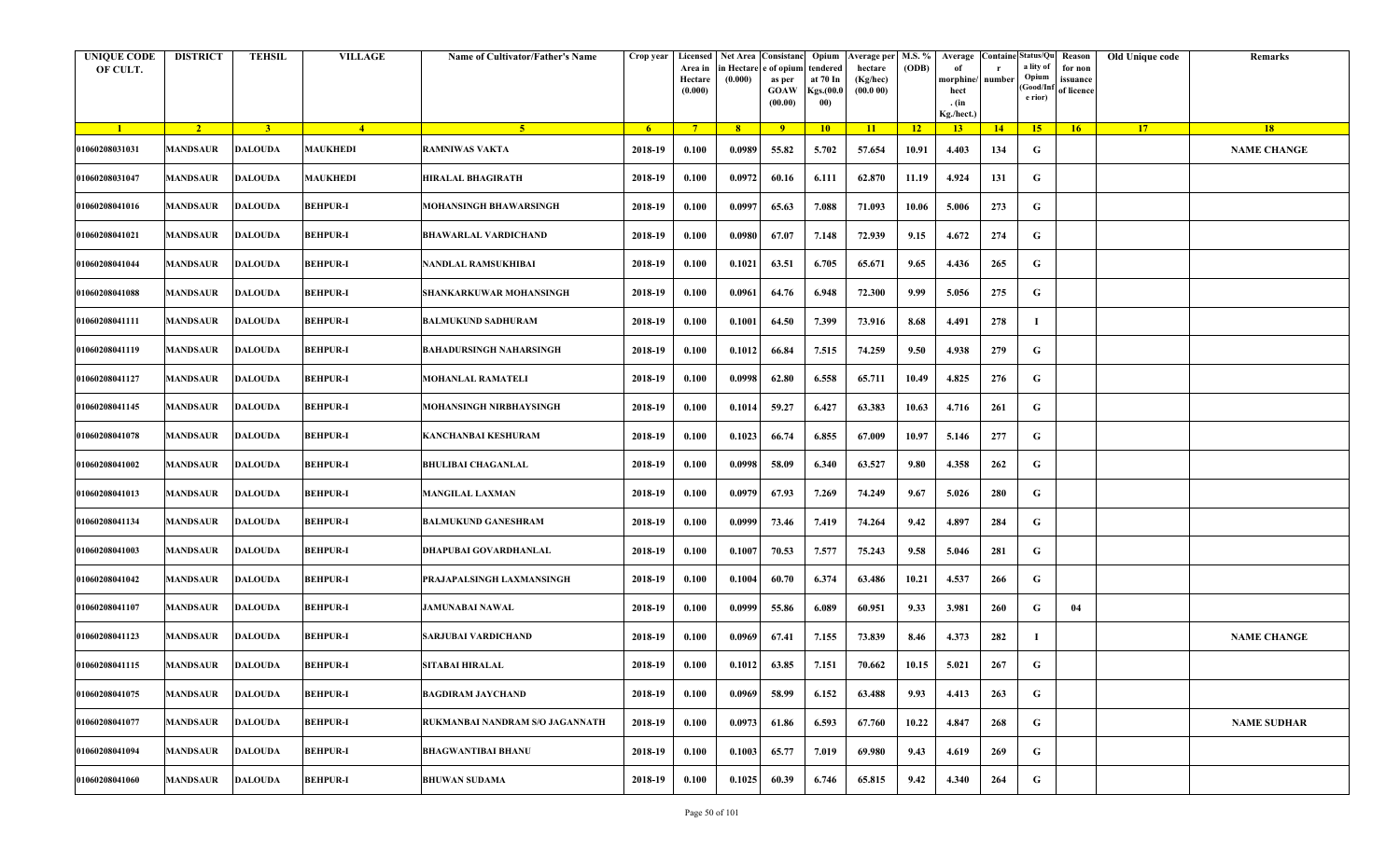| <b>UNIQUE CODE</b><br>OF CULT. | <b>DISTRICT</b> | <b>TEHSIL</b>  | <b>VILLAGE</b>  | Name of Cultivator/Father's Name | Crop year   | Area in<br>Hectare<br>(0.000) | Licensed   Net Area Consistanc<br>ı Hectar<br>(0.000) | e of opium<br>as per<br><b>GOAW</b> | Opium<br>tendered<br>at 70 In<br>Kgs.(00. | <b>Average per</b><br>hectare<br>(Kg/hec)<br>(00.000) | M.S. %<br>(ODB) | Average<br>morphine/<br>hect | <b>Containe Status/Qu</b><br>number | a lity of<br>Opium<br>(Good/In | Reason<br>for non<br>issuance<br>of licence | Old Unique code | Remarks            |
|--------------------------------|-----------------|----------------|-----------------|----------------------------------|-------------|-------------------------------|-------------------------------------------------------|-------------------------------------|-------------------------------------------|-------------------------------------------------------|-----------------|------------------------------|-------------------------------------|--------------------------------|---------------------------------------------|-----------------|--------------------|
|                                |                 |                |                 |                                  |             |                               |                                                       | (00.00)                             | 00)                                       |                                                       |                 | . (in<br>Kg./hect.)          |                                     | e rior)                        |                                             |                 |                    |
| $\blacksquare$ 1               | $\sqrt{2}$      | 3 <sup>7</sup> | $\overline{4}$  | -5.                              | $6^{\circ}$ | $-7$                          | 8 <sup>1</sup>                                        | $-9$                                | 10                                        | $\vert$ 11                                            | $\overline{12}$ | 13                           | 14                                  | 15                             | 16                                          | 17              | 18                 |
| 01060208031031                 | <b>MANDSAUR</b> | <b>DALOUDA</b> | MAUKHEDI        | <b>RAMNIWAS VAKTA</b>            | 2018-19     | 0.100                         | 0.0989                                                | 55.82                               | 5.702                                     | 57.654                                                | 10.91           | 4.403                        | 134                                 | G                              |                                             |                 | <b>NAME CHANGE</b> |
| 01060208031047                 | MANDSAUR        | <b>DALOUDA</b> | MAUKHEDI        | <b>HIRALAL BHAGIRATH</b>         | 2018-19     | 0.100                         | 0.0972                                                | 60.16                               | 6.111                                     | 62.870                                                | 11.19           | 4.924                        | 131                                 | G                              |                                             |                 |                    |
| 01060208041016                 | <b>MANDSAUR</b> | <b>DALOUDA</b> | <b>BEHPUR-I</b> | <b>MOHANSINGH BHAWARSINGH</b>    | 2018-19     | 0.100                         | 0.0997                                                | 65.63                               | 7.088                                     | 71.093                                                | 10.06           | 5.006                        | 273                                 | G                              |                                             |                 |                    |
| 01060208041021                 | <b>MANDSAUR</b> | <b>DALOUDA</b> | <b>BEHPUR-I</b> | <b>BHAWARLAL VARDICHAND</b>      | 2018-19     | 0.100                         | 0.0980                                                | 67.07                               | 7.148                                     | 72.939                                                | 9.15            | 4.672                        | 274                                 | G                              |                                             |                 |                    |
| 01060208041044                 | <b>MANDSAUR</b> | <b>DALOUDA</b> | <b>BEHPUR-I</b> | NANDLAL RAMSUKHIBAI              | 2018-19     | 0.100                         | 0.1021                                                | 63.51                               | 6.705                                     | 65.671                                                | 9.65            | 4.436                        | 265                                 | G                              |                                             |                 |                    |
| 01060208041088                 | MANDSAUR        | <b>DALOUDA</b> | <b>BEHPUR-I</b> | SHANKARKUWAR MOHANSINGH          | 2018-19     | 0.100                         | 0.0961                                                | 64.76                               | 6.948                                     | 72.300                                                | 9.99            | 5.056                        | 275                                 | G                              |                                             |                 |                    |
| 01060208041111                 | <b>MANDSAUR</b> | <b>DALOUDA</b> | <b>BEHPUR-I</b> | <b>BALMUKUND SADHURAM</b>        | 2018-19     | 0.100                         | 0.1001                                                | 64.50                               | 7.399                                     | 73.916                                                | 8.68            | 4.491                        | 278                                 |                                |                                             |                 |                    |
| 01060208041119                 | MANDSAUR        | <b>DALOUDA</b> | <b>BEHPUR-I</b> | <b>BAHADURSINGH NAHARSINGH</b>   | 2018-19     | 0.100                         | 0.1012                                                | 66.84                               | 7.515                                     | 74.259                                                | 9.50            | 4.938                        | 279                                 | G                              |                                             |                 |                    |
| 01060208041127                 | <b>MANDSAUR</b> | <b>DALOUDA</b> | BEHPUR-I        | MOHANLAL RAMATELI                | 2018-19     | 0.100                         | 0.0998                                                | 62.80                               | 6.558                                     | 65.711                                                | 10.49           | 4.825                        | 276                                 | G                              |                                             |                 |                    |
| 01060208041145                 | MANDSAUR        | <b>DALOUDA</b> | <b>BEHPUR-I</b> | MOHANSINGH NIRBHAYSINGH          | 2018-19     | 0.100                         | 0.1014                                                | 59.27                               | 6.427                                     | 63.383                                                | 10.63           | 4.716                        | 261                                 | G                              |                                             |                 |                    |
| 01060208041078                 | <b>MANDSAUR</b> | <b>DALOUDA</b> | BEHPUR-I        | <b>KANCHANBAI KESHURAM</b>       | 2018-19     | 0.100                         | 0.1023                                                | 66.74                               | 6.855                                     | 67.009                                                | 10.97           | 5.146                        | 277                                 | G                              |                                             |                 |                    |
| 01060208041002                 | <b>MANDSAUR</b> | <b>DALOUDA</b> | BEHPUR-I        | <b>BHULIBAI CHAGANLAL</b>        | 2018-19     | 0.100                         | 0.0998                                                | 58.09                               | 6.340                                     | 63.527                                                | 9.80            | 4.358                        | 262                                 | G                              |                                             |                 |                    |
| 01060208041013                 | <b>MANDSAUR</b> | <b>DALOUDA</b> | <b>BEHPUR-I</b> | <b>MANGILAL LAXMAN</b>           | 2018-19     | 0.100                         | 0.0979                                                | 67.93                               | 7.269                                     | 74.249                                                | 9.67            | 5.026                        | <b>280</b>                          | G                              |                                             |                 |                    |
| 01060208041134                 | MANDSAUR        | <b>DALOUDA</b> | <b>BEHPUR-I</b> | <b>BALMUKUND GANESHRAM</b>       | 2018-19     | 0.100                         | 0.0999                                                | 73.46                               | 7.419                                     | 74.264                                                | 9.42            | 4.897                        | 284                                 | G                              |                                             |                 |                    |
| 01060208041003                 | MANDSAUR        | <b>DALOUDA</b> | <b>BEHPUR-I</b> | DHAPUBAI GOVARDHANLAL            | 2018-19     | 0.100                         | 0.1007                                                | 70.53                               | 7.577                                     | 75.243                                                | 9.58            | 5.046                        | 281                                 | G                              |                                             |                 |                    |
| 01060208041042                 | <b>MANDSAUR</b> | <b>DALOUDA</b> | <b>BEHPUR-I</b> | PRAJAPALSINGH LAXMANSINGH        | 2018-19     | 0.100                         | 0.1004                                                | 60.70                               | 6.374                                     | 63.486                                                | 10.21           | 4.537                        | 266                                 | G                              |                                             |                 |                    |
| 01060208041107                 | <b>MANDSAUR</b> | <b>DALOUDA</b> | <b>BEHPUR-I</b> | <b>JAMUNABAI NAWAL</b>           | 2018-19     | 0.100                         | 0.0999                                                | 55.86                               | 6.089                                     | 60.951                                                | 9.33            | 3.981                        | 260                                 | G                              | 04                                          |                 |                    |
| 01060208041123                 | <b>MANDSAUR</b> | <b>DALOUDA</b> | <b>BEHPUR-I</b> | SARJUBAI VARDICHAND              | 2018-19     | 0.100                         | 0.0969                                                | 67.41                               | 7.155                                     | 73.839                                                | 8.46            | 4.373                        | 282                                 |                                |                                             |                 | <b>NAME CHANGE</b> |
| 01060208041115                 | MANDSAUR        | <b>DALOUDA</b> | <b>BEHPUR-I</b> | <b>SITABAI HIRALAL</b>           | 2018-19     | 0.100                         | 0.1012                                                | 63.85                               | 7.151                                     | 70.662                                                | 10.15           | 5.021                        | 267                                 | G                              |                                             |                 |                    |
| 01060208041075                 | <b>MANDSAUR</b> | <b>DALOUDA</b> | <b>BEHPUR-I</b> | <b>BAGDIRAM JAYCHAND</b>         | 2018-19     | 0.100                         | 0.0969                                                | 58.99                               | 6.152                                     | 63.488                                                | 9.93            | 4.413                        | 263                                 | G                              |                                             |                 |                    |
| 01060208041077                 | <b>MANDSAUR</b> | <b>DALOUDA</b> | <b>BEHPUR-I</b> | RUKMANBAI NANDRAM S/O JAGANNATH  | 2018-19     | 0.100                         | 0.0973                                                | 61.86                               | 6.593                                     | 67.760                                                | 10.22           | 4.847                        | 268                                 | G                              |                                             |                 | <b>NAME SUDHAR</b> |
| 01060208041094                 | <b>MANDSAUR</b> | <b>DALOUDA</b> | <b>BEHPUR-I</b> | <b>BHAGWANTIBAI BHANU</b>        | 2018-19     | 0.100                         | 0.1003                                                | 65.77                               | 7.019                                     | 69.980                                                | 9.43            | 4.619                        | 269                                 | G                              |                                             |                 |                    |
| 01060208041060                 | <b>MANDSAUR</b> | <b>DALOUDA</b> | <b>BEHPUR-I</b> | <b>BHUWAN SUDAMA</b>             | 2018-19     | 0.100                         | 0.1025                                                | 60.39                               | 6.746                                     | 65.815                                                | 9.42            | 4.340                        | 264                                 | G                              |                                             |                 |                    |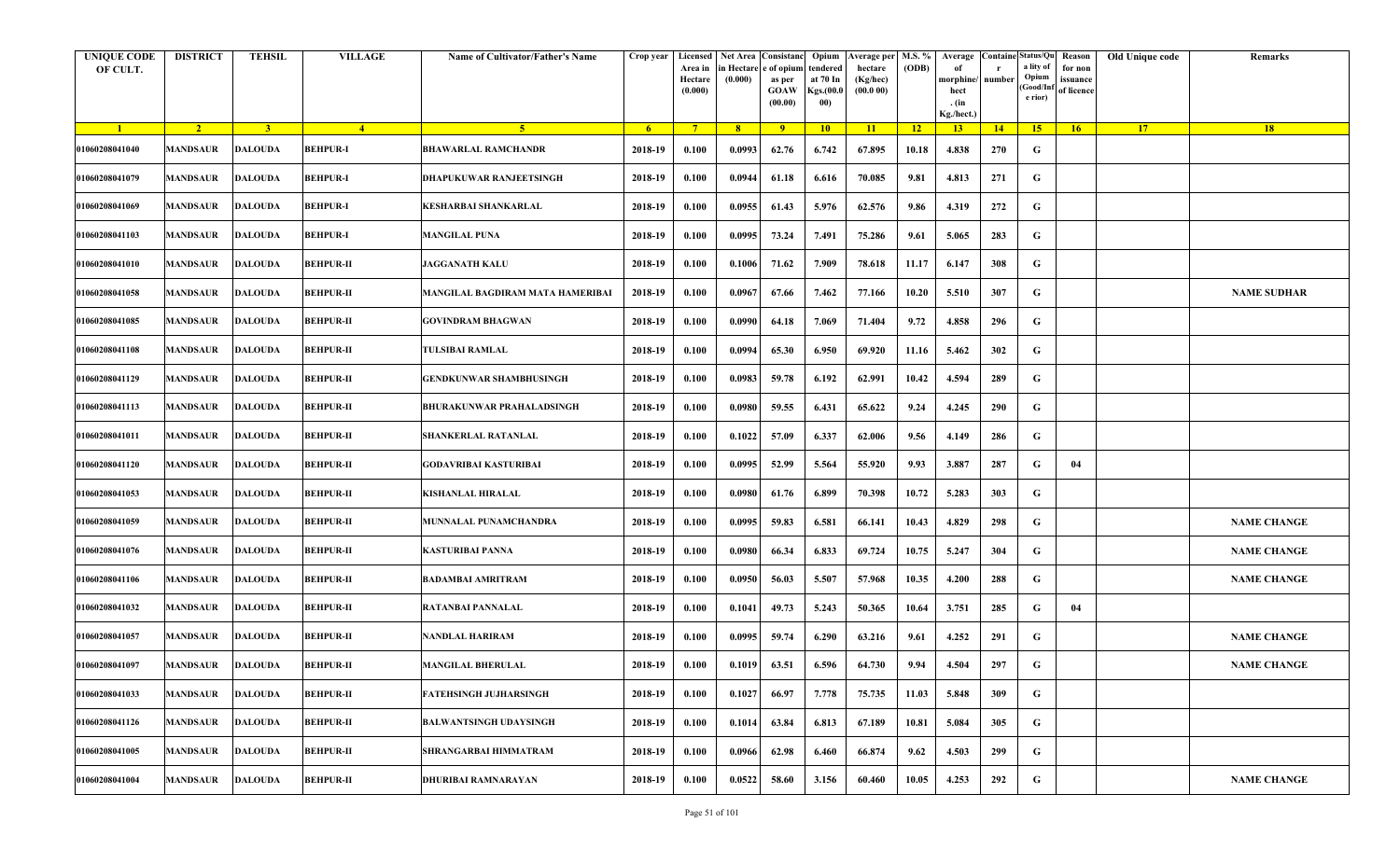| <b>UNIQUE CODE</b><br>OF CULT. | <b>DISTRICT</b> | <b>TEHSIL</b>  | <b>VILLAGE</b>   | Name of Cultivator/Father's Name | Crop year      | Area in<br>Hectare<br>(0.000) | in Hectare<br>(0.000) | Licensed Net Area Consistanc Opium<br>e of opium<br>as per<br><b>GOAW</b><br>(00.00) | endered<br>at 70 In<br>Kgs.(00.0<br>00) | Average per M.S. %<br>hectare<br>(Kg/hec)<br>(00.000) | (ODB)           | Average<br>morphine/<br>hect<br>. (in<br>Kg./hect.) | number | <b>Containe Status/Qu</b><br>a lity of<br>Opium<br>Good/Inf<br>e rior) | Reason<br>for non<br>issuance<br>of licence | Old Unique code | Remarks            |
|--------------------------------|-----------------|----------------|------------------|----------------------------------|----------------|-------------------------------|-----------------------|--------------------------------------------------------------------------------------|-----------------------------------------|-------------------------------------------------------|-----------------|-----------------------------------------------------|--------|------------------------------------------------------------------------|---------------------------------------------|-----------------|--------------------|
| $\blacksquare$                 | $\sqrt{2}$      | 3 <sup>l</sup> | $\sqrt{4}$       | -5.                              | 6 <sup>6</sup> | $7^{\circ}$                   | 8 <sup>1</sup>        | $\overline{9}$                                                                       | 10                                      | $\vert$ 11                                            | $\overline{12}$ | 13                                                  | 14     | 15                                                                     | 16                                          | 17              | 18                 |
| 01060208041040                 | <b>MANDSAUR</b> | <b>DALOUDA</b> | <b>BEHPUR-I</b>  | BHAWARLAL RAMCHANDR              | 2018-19        | 0.100                         | 0.0993                | 62.76                                                                                | 6.742                                   | 67.895                                                | 10.18           | 4.838                                               | 270    | G                                                                      |                                             |                 |                    |
| 01060208041079                 | <b>MANDSAUR</b> | DALOUDA        | <b>BEHPUR-I</b>  | <b>DHAPUKUWAR RANJEETSINGH</b>   | 2018-19        | 0.100                         | 0.0944                | 61.18                                                                                | 6.616                                   | 70.085                                                | 9.81            | 4.813                                               | 271    | G                                                                      |                                             |                 |                    |
| 01060208041069                 | <b>MANDSAUR</b> | <b>DALOUDA</b> | <b>BEHPUR-I</b>  | KESHARBAI SHANKARLAL             | 2018-19        | 0.100                         | 0.0955                | 61.43                                                                                | 5.976                                   | 62.576                                                | 9.86            | 4.319                                               | 272    | G                                                                      |                                             |                 |                    |
| 01060208041103                 | <b>MANDSAUR</b> | <b>DALOUDA</b> | <b>BEHPUR-I</b>  | <b>MANGILAL PUNA</b>             | 2018-19        | 0.100                         | 0.0995                | 73.24                                                                                | 7.491                                   | 75.286                                                | 9.61            | 5.065                                               | 283    | G                                                                      |                                             |                 |                    |
| 01060208041010                 | <b>MANDSAUR</b> | <b>DALOUDA</b> | <b>BEHPUR-II</b> | <b>JAGGANATH KALU</b>            | 2018-19        | 0.100                         | 0.1006                | 71.62                                                                                | 7.909                                   | 78.618                                                | 11.17           | 6.147                                               | 308    | G                                                                      |                                             |                 |                    |
| 01060208041058                 | <b>MANDSAUR</b> | DALOUDA        | <b>BEHPUR-II</b> | MANGILAL BAGDIRAM MATA HAMERIBAI | 2018-19        | 0.100                         | 0.0967                | 67.66                                                                                | 7.462                                   | 77.166                                                | 10.20           | 5.510                                               | 307    | G                                                                      |                                             |                 | <b>NAME SUDHAR</b> |
| 01060208041085                 | <b>MANDSAUR</b> | <b>DALOUDA</b> | <b>BEHPUR-II</b> | <b>GOVINDRAM BHAGWAN</b>         | 2018-19        | 0.100                         | 0.0990                | 64.18                                                                                | 7.069                                   | 71.404                                                | 9.72            | 4.858                                               | 296    | G                                                                      |                                             |                 |                    |
| 01060208041108                 | <b>MANDSAUR</b> | <b>DALOUDA</b> | <b>BEHPUR-II</b> | <b>TULSIBAI RAMLAL</b>           | 2018-19        | 0.100                         | 0.0994                | 65.30                                                                                | 6.950                                   | 69.920                                                | 11.16           | 5.462                                               | 302    | G                                                                      |                                             |                 |                    |
| 01060208041129                 | <b>MANDSAUR</b> | <b>DALOUDA</b> | <b>BEHPUR-II</b> | <b>GENDKUNWAR SHAMBHUSINGH</b>   | 2018-19        | 0.100                         | 0.0983                | 59.78                                                                                | 6.192                                   | 62.991                                                | 10.42           | 4.594                                               | 289    | G                                                                      |                                             |                 |                    |
| 01060208041113                 | MANDSAUR        | <b>DALOUDA</b> | <b>BEHPUR-II</b> | BHURAKUNWAR PRAHALADSINGH        | 2018-19        | 0.100                         | 0.0980                | 59.55                                                                                | 6.431                                   | 65.622                                                | 9.24            | 4.245                                               | 290    | G                                                                      |                                             |                 |                    |
| 01060208041011                 | <b>MANDSAUR</b> | DALOUDA        | <b>BEHPUR-II</b> | <b>SHANKERLAL RATANLAL</b>       | 2018-19        | 0.100                         | 0.1022                | 57.09                                                                                | 6.337                                   | 62.006                                                | 9.56            | 4.149                                               | 286    | G                                                                      |                                             |                 |                    |
| 01060208041120                 | <b>MANDSAUR</b> | <b>DALOUDA</b> | <b>BEHPUR-II</b> | GODAVRIBAI KASTURIBAI            | 2018-19        | 0.100                         | 0.0995                | 52.99                                                                                | 5.564                                   | 55.920                                                | 9.93            | 3.887                                               | 287    | G                                                                      | 04                                          |                 |                    |
| 01060208041053                 | <b>MANDSAUR</b> | <b>DALOUDA</b> | <b>BEHPUR-II</b> | <b>KISHANLAL HIRALAL</b>         | 2018-19        | 0.100                         | 0.0980                | 61.76                                                                                | 6.899                                   | 70.398                                                | 10.72           | 5.283                                               | 303    | G                                                                      |                                             |                 |                    |
| 01060208041059                 | <b>MANDSAUR</b> | <b>DALOUDA</b> | <b>BEHPUR-II</b> | <b>MUNNALAL PUNAMCHANDRA</b>     | 2018-19        | 0.100                         | 0.0995                | 59.83                                                                                | 6.581                                   | 66.141                                                | 10.43           | 4.829                                               | 298    | G                                                                      |                                             |                 | <b>NAME CHANGE</b> |
| 01060208041076                 | <b>MANDSAUR</b> | DALOUDA        | <b>BEHPUR-II</b> | <b>KASTURIBAI PANNA</b>          | 2018-19        | 0.100                         | 0.0980                | 66.34                                                                                | 6.833                                   | 69.724                                                | 10.75           | 5.247                                               | 304    | G                                                                      |                                             |                 | <b>NAME CHANGE</b> |
| 01060208041106                 | <b>MANDSAUR</b> | <b>DALOUDA</b> | <b>BEHPUR-II</b> | <b>BADAMBAI AMRITRAM</b>         | 2018-19        | 0.100                         | 0.0950                | 56.03                                                                                | 5.507                                   | 57.968                                                | 10.35           | 4.200                                               | 288    | G                                                                      |                                             |                 | <b>NAME CHANGE</b> |
| 01060208041032                 | <b>MANDSAUR</b> | <b>DALOUDA</b> | <b>BEHPUR-II</b> | RATANBAI PANNALAL                | 2018-19        | 0.100                         | 0.1041                | 49.73                                                                                | 5.243                                   | 50.365                                                | 10.64           | 3.751                                               | 285    | G                                                                      | 04                                          |                 |                    |
| 01060208041057                 | <b>MANDSAUR</b> | <b>DALOUDA</b> | <b>BEHPUR-II</b> | <b>NANDLAL HARIRAM</b>           | 2018-19        | 0.100                         | 0.0995                | 59.74                                                                                | 6.290                                   | 63.216                                                | 9.61            | 4.252                                               | 291    | G                                                                      |                                             |                 | <b>NAME CHANGE</b> |
| 01060208041097                 | <b>MANDSAUR</b> | <b>DALOUDA</b> | <b>BEHPUR-II</b> | <b>MANGILAL BHERULAL</b>         | 2018-19        | 0.100                         | 0.1019                | 63.51                                                                                | 6.596                                   | 64.730                                                | 9.94            | 4.504                                               | 297    | G                                                                      |                                             |                 | <b>NAME CHANGE</b> |
| 01060208041033                 | <b>MANDSAUR</b> | <b>DALOUDA</b> | <b>BEHPUR-II</b> | <b>FATEHSINGH JUJHARSINGH</b>    | 2018-19        | 0.100                         | 0.1027                | 66.97                                                                                | 7.778                                   | 75.735                                                | 11.03           | 5.848                                               | 309    | G                                                                      |                                             |                 |                    |
| 01060208041126                 | <b>MANDSAUR</b> | <b>DALOUDA</b> | <b>BEHPUR-II</b> | <b>BALWANTSINGH UDAYSINGH</b>    | 2018-19        | 0.100                         | 0.1014                | 63.84                                                                                | 6.813                                   | 67.189                                                | 10.81           | 5.084                                               | 305    | G                                                                      |                                             |                 |                    |
| 01060208041005                 | <b>MANDSAUR</b> | <b>DALOUDA</b> | <b>BEHPUR-II</b> | SHRANGARBAI HIMMATRAM            | 2018-19        | 0.100                         | 0.0966                | 62.98                                                                                | 6.460                                   | 66.874                                                | 9.62            | 4.503                                               | 299    | G                                                                      |                                             |                 |                    |
| 01060208041004                 | <b>MANDSAUR</b> | <b>DALOUDA</b> | <b>BEHPUR-II</b> | <b>DHURIBAI RAMNARAYAN</b>       | 2018-19        | 0.100                         | 0.0522                | 58.60                                                                                | 3.156                                   | 60.460                                                | 10.05           | 4.253                                               | 292    | G                                                                      |                                             |                 | <b>NAME CHANGE</b> |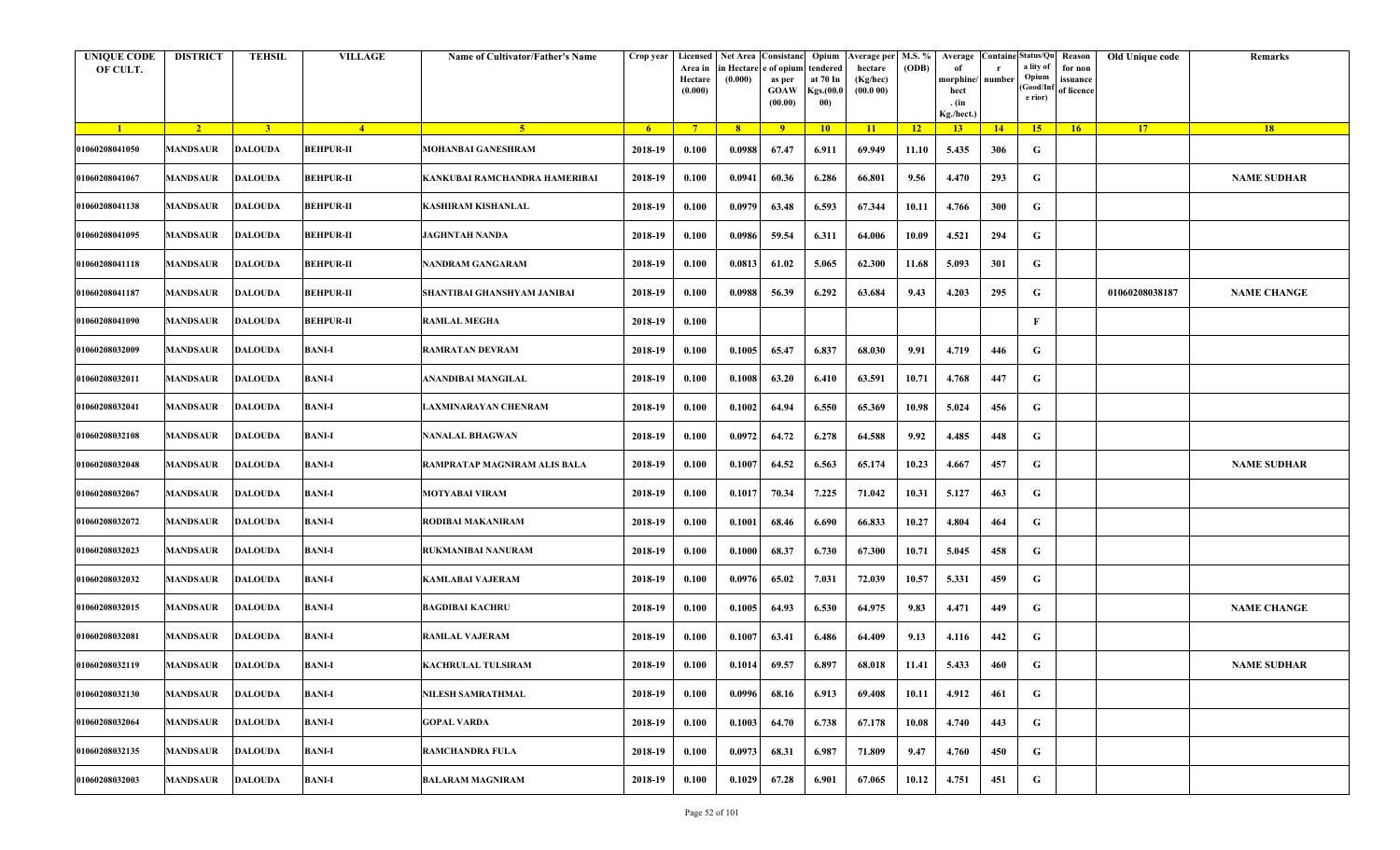| <b>UNIQUE CODE</b><br>OF CULT. | <b>DISTRICT</b> | <b>TEHSIL</b>  | <b>VILLAGE</b>   | Name of Cultivator/Father's Name | Crop year      | Area in<br>Hectare<br>(0.000) | in Hectare<br>(0.000) | Licensed Net Area Consistanc Opium<br>e of opium<br>as per<br><b>GOAW</b><br>(00.00) | endered<br>at 70 In<br>Kgs.(00.0<br>00) | Average per M.S. %<br>hectare<br>(Kg/hec)<br>(00.000) | (ODB)           | Average<br>morphine/<br>hect<br>. (in<br>Kg./hect.) | <b>Containe Status/Qu</b><br>number | a lity of<br>Opium<br>Good/Inf<br>e rior) | Reason<br>for non<br>issuance<br>of licence | Old Unique code | Remarks            |
|--------------------------------|-----------------|----------------|------------------|----------------------------------|----------------|-------------------------------|-----------------------|--------------------------------------------------------------------------------------|-----------------------------------------|-------------------------------------------------------|-----------------|-----------------------------------------------------|-------------------------------------|-------------------------------------------|---------------------------------------------|-----------------|--------------------|
| $\blacksquare$                 | $\sqrt{2}$      | 3 <sup>l</sup> | $\sqrt{4}$       | -5.                              | 6 <sup>6</sup> | $7^{\circ}$                   | 8 <sup>1</sup>        | $\overline{9}$                                                                       | 10                                      | $\vert$ 11                                            | $\overline{12}$ | 13                                                  | 14                                  | 15                                        | 16                                          | 17              | 18                 |
| 01060208041050                 | <b>MANDSAUR</b> | <b>DALOUDA</b> | <b>BEHPUR-II</b> | <b>MOHANBAI GANESHRAM</b>        | 2018-19        | 0.100                         | 0.0988                | 67.47                                                                                | 6.911                                   | 69.949                                                | 11.10           | 5.435                                               | 306                                 | G                                         |                                             |                 |                    |
| 01060208041067                 | <b>MANDSAUR</b> | DALOUDA        | <b>BEHPUR-II</b> | KANKUBAI RAMCHANDRA HAMERIBAI    | 2018-19        | 0.100                         | 0.0941                | 60.36                                                                                | 6.286                                   | 66.801                                                | 9.56            | 4.470                                               | 293                                 | G                                         |                                             |                 | <b>NAME SUDHAR</b> |
| 01060208041138                 | <b>MANDSAUR</b> | <b>DALOUDA</b> | <b>BEHPUR-II</b> | KASHIRAM KISHANLAL               | 2018-19        | 0.100                         | 0.0979                | 63.48                                                                                | 6.593                                   | 67.344                                                | 10.11           | 4.766                                               | 300                                 | G                                         |                                             |                 |                    |
| 01060208041095                 | <b>MANDSAUR</b> | <b>DALOUDA</b> | <b>BEHPUR-II</b> | <b>JAGHNTAH NANDA</b>            | 2018-19        | 0.100                         | 0.0986                | 59.54                                                                                | 6.311                                   | 64.006                                                | 10.09           | 4.521                                               | 294                                 | G                                         |                                             |                 |                    |
| 01060208041118                 | <b>MANDSAUR</b> | <b>DALOUDA</b> | <b>BEHPUR-II</b> | NANDRAM GANGARAM                 | 2018-19        | 0.100                         | 0.0813                | 61.02                                                                                | 5.065                                   | 62.300                                                | 11.68           | 5.093                                               | 301                                 | G                                         |                                             |                 |                    |
| 01060208041187                 | <b>MANDSAUR</b> | <b>DALOUDA</b> | <b>BEHPUR-II</b> | SHANTIBAI GHANSHYAM JANIBAI      | 2018-19        | 0.100                         | 0.0988                | 56.39                                                                                | 6.292                                   | 63.684                                                | 9.43            | 4.203                                               | 295                                 | G                                         |                                             | 01060208038187  | <b>NAME CHANGE</b> |
| 01060208041090                 | <b>MANDSAUR</b> | <b>DALOUDA</b> | <b>BEHPUR-II</b> | <b>RAMLAL MEGHA</b>              | 2018-19        | 0.100                         |                       |                                                                                      |                                         |                                                       |                 |                                                     |                                     | $\mathbf{F}$                              |                                             |                 |                    |
| 01060208032009                 | <b>MANDSAUR</b> | <b>DALOUDA</b> | <b>BANI-I</b>    | <b>RAMRATAN DEVRAM</b>           | 2018-19        | 0.100                         | 0.1005                | 65.47                                                                                | 6.837                                   | 68.030                                                | 9.91            | 4.719                                               | 446                                 | G                                         |                                             |                 |                    |
| 01060208032011                 | <b>MANDSAUR</b> | <b>DALOUDA</b> | <b>BANI-I</b>    | ANANDIBAI MANGILAL               | 2018-19        | 0.100                         | 0.1008                | 63.20                                                                                | 6.410                                   | 63.591                                                | 10.71           | 4.768                                               | 447                                 | G                                         |                                             |                 |                    |
| 01060208032041                 | MANDSAUR        | <b>DALOUDA</b> | <b>BANI-I</b>    | LAXMINARAYAN CHENRAM             | 2018-19        | 0.100                         | 0.1002                | 64.94                                                                                | 6.550                                   | 65.369                                                | 10.98           | 5.024                                               | 456                                 | G                                         |                                             |                 |                    |
| 01060208032108                 | <b>MANDSAUR</b> | DALOUDA        | <b>BANI-I</b>    | <b>NANALAL BHAGWAN</b>           | 2018-19        | 0.100                         | 0.0972                | 64.72                                                                                | 6.278                                   | 64.588                                                | 9.92            | 4.485                                               | 448                                 | G                                         |                                             |                 |                    |
| 01060208032048                 | <b>MANDSAUR</b> | <b>DALOUDA</b> | <b>BANI-I</b>    | RAMPRATAP MAGNIRAM ALIS BALA     | 2018-19        | 0.100                         | 0.1007                | 64.52                                                                                | 6.563                                   | 65.174                                                | 10.23           | 4.667                                               | 457                                 | G                                         |                                             |                 | <b>NAME SUDHAR</b> |
| 01060208032067                 | <b>MANDSAUR</b> | <b>DALOUDA</b> | <b>BANI-I</b>    | <b>MOTYABAI VIRAM</b>            | 2018-19        | 0.100                         | 0.1017                | 70.34                                                                                | 7.225                                   | 71.042                                                | 10.31           | 5.127                                               | 463                                 | G                                         |                                             |                 |                    |
| 01060208032072                 | <b>MANDSAUR</b> | <b>DALOUDA</b> | <b>BANI-I</b>    | RODIBAI MAKANIRAM                | 2018-19        | 0.100                         | 0.1001                | 68.46                                                                                | 6.690                                   | 66.833                                                | 10.27           | 4.804                                               | 464                                 | G                                         |                                             |                 |                    |
| 01060208032023                 | <b>MANDSAUR</b> | DALOUDA        | <b>BANI-I</b>    | RUKMANIBAI NANURAM               | 2018-19        | 0.100                         | 0.1000                | 68.37                                                                                | 6.730                                   | 67.300                                                | 10.71           | 5.045                                               | 458                                 | G                                         |                                             |                 |                    |
| 01060208032032                 | <b>MANDSAUR</b> | <b>DALOUDA</b> | <b>BANI-I</b>    | <b>KAMLABAI VAJERAM</b>          | 2018-19        | 0.100                         | 0.0976                | 65.02                                                                                | 7.031                                   | 72.039                                                | 10.57           | 5.331                                               | 459                                 | G                                         |                                             |                 |                    |
| 01060208032015                 | <b>MANDSAUR</b> | <b>DALOUDA</b> | <b>BANI-I</b>    | <b>BAGDIBAI KACHRU</b>           | 2018-19        | 0.100                         | 0.1005                | 64.93                                                                                | 6.530                                   | 64.975                                                | 9.83            | 4.471                                               | 449                                 | G                                         |                                             |                 | <b>NAME CHANGE</b> |
| 01060208032081                 | <b>MANDSAUR</b> | <b>DALOUDA</b> | <b>BANI-I</b>    | <b>RAMLAL VAJERAM</b>            | 2018-19        | 0.100                         | 0.1007                | 63.41                                                                                | 6.486                                   | 64.409                                                | 9.13            | 4.116                                               | 442                                 | G                                         |                                             |                 |                    |
| 01060208032119                 | <b>MANDSAUR</b> | <b>DALOUDA</b> | <b>BANI-I</b>    | <b>KACHRULAL TULSIRAM</b>        | 2018-19        | 0.100                         | 0.1014                | 69.57                                                                                | 6.897                                   | 68.018                                                | 11.41           | 5.433                                               | 460                                 | G                                         |                                             |                 | <b>NAME SUDHAR</b> |
| 01060208032130                 | <b>MANDSAUR</b> | <b>DALOUDA</b> | <b>BANI-I</b>    | <b>NILESH SAMRATHMAL</b>         | 2018-19        | 0.100                         | 0.0996                | 68.16                                                                                | 6.913                                   | 69.408                                                | 10.11           | 4.912                                               | 461                                 | G                                         |                                             |                 |                    |
| 01060208032064                 | <b>MANDSAUR</b> | <b>DALOUDA</b> | <b>BANI-I</b>    | <b>GOPAL VARDA</b>               | 2018-19        | 0.100                         | 0.1003                | 64.70                                                                                | 6.738                                   | 67.178                                                | 10.08           | 4.740                                               | 443                                 | G                                         |                                             |                 |                    |
| 01060208032135                 | <b>MANDSAUR</b> | <b>DALOUDA</b> | <b>BANI-I</b>    | <b>RAMCHANDRA FULA</b>           | 2018-19        | 0.100                         | 0.0973                | 68.31                                                                                | 6.987                                   | 71.809                                                | 9.47            | 4.760                                               | 450                                 | $\mathbf G$                               |                                             |                 |                    |
| 01060208032003                 | <b>MANDSAUR</b> | <b>DALOUDA</b> | <b>BANI-I</b>    | <b>BALARAM MAGNIRAM</b>          | 2018-19        | 0.100                         | 0.1029                | 67.28                                                                                | 6.901                                   | 67.065                                                | 10.12           | 4.751                                               | 451                                 | $\mathbf G$                               |                                             |                 |                    |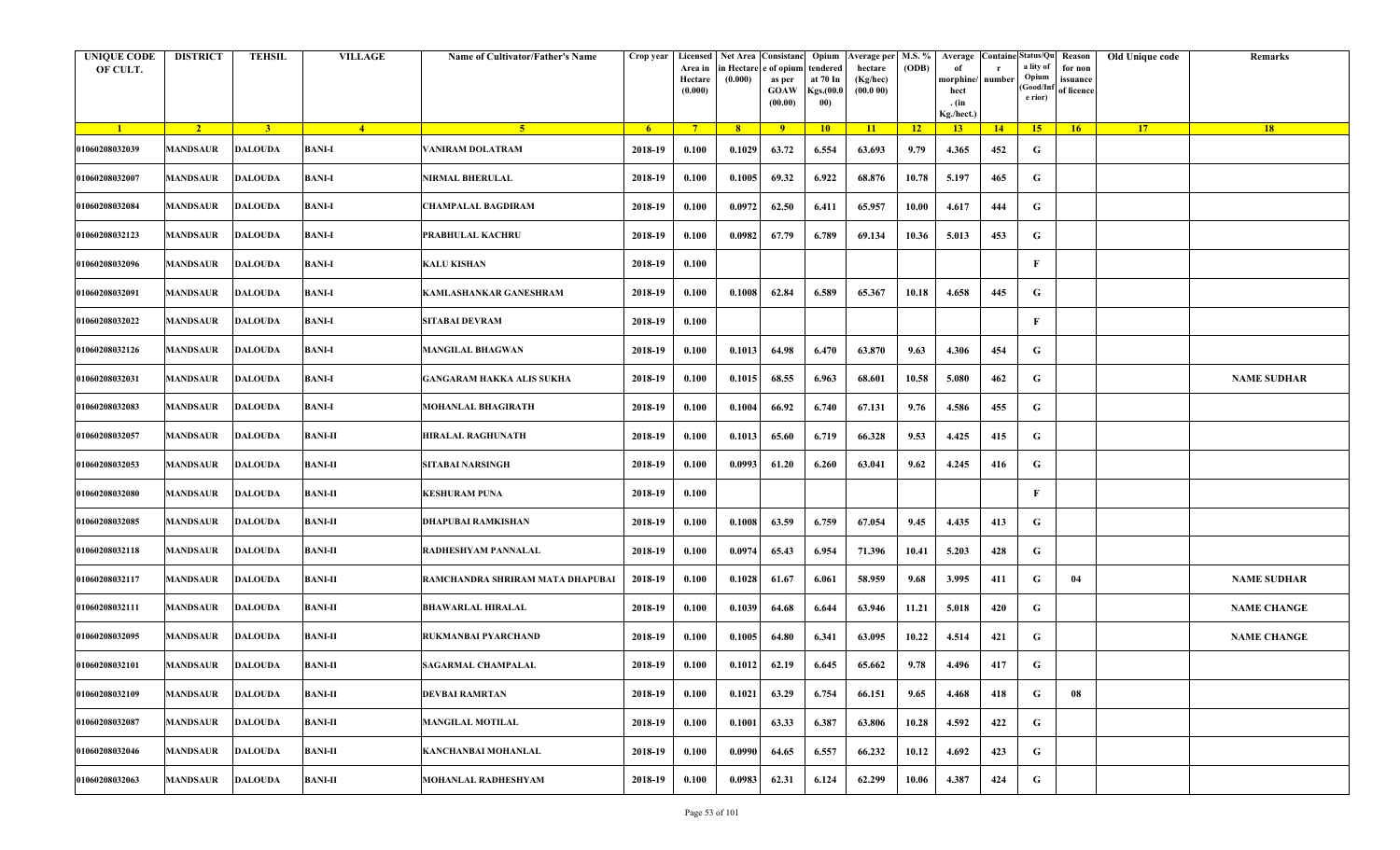| <b>UNIQUE CODE</b><br>OF CULT. | <b>DISTRICT</b> | <b>TEHSIL</b>  | <b>VILLAGE</b> | Name of Cultivator/Father's Name | Crop year | Area in<br>Hectare<br>(0.000) | Licensed Net Area Consistanc<br>ı Hectar<br>(0.000) | e of opium<br>as per<br><b>GOAW</b><br>(00.00) | Opium<br>tendered<br>at 70 In<br>Kgs.(00.0<br>00) | <b>Average per</b><br>hectare<br>(Kg/hec)<br>(00.000) | M.S. %<br>(ODB) | Average<br>morphine/<br>hect<br>. (in<br>Kg./hect.) | <b>Containe Status/Qu</b><br>number | a lity of<br>Opium<br>(Good/In<br>e rior) | Reason<br>for non<br>issuance<br>of licence | Old Unique code | Remarks            |
|--------------------------------|-----------------|----------------|----------------|----------------------------------|-----------|-------------------------------|-----------------------------------------------------|------------------------------------------------|---------------------------------------------------|-------------------------------------------------------|-----------------|-----------------------------------------------------|-------------------------------------|-------------------------------------------|---------------------------------------------|-----------------|--------------------|
| $\blacksquare$ 1               | $\sqrt{2}$      | 3 <sup>7</sup> | $\sqrt{4}$     | -5.                              | $-6$      | $-7$                          | 8 <sup>1</sup>                                      | $-9$                                           | 10                                                | $\vert$ 11                                            | $-12$           | 13                                                  | 14                                  | 15                                        | 16                                          | 17              | 18                 |
| 01060208032039                 | <b>MANDSAUR</b> | <b>DALOUDA</b> | BANI-I         | VANIRAM DOLATRAM                 | 2018-19   | 0.100                         | 0.1029                                              | 63.72                                          | 6.554                                             | 63.693                                                | 9.79            | 4.365                                               | 452                                 | G                                         |                                             |                 |                    |
| 01060208032007                 | MANDSAUR        | <b>DALOUDA</b> | <b>BANI-I</b>  | NIRMAL BHERULAL                  | 2018-19   | 0.100                         | 0.1005                                              | 69.32                                          | 6.922                                             | 68.876                                                | 10.78           | 5.197                                               | 465                                 | G                                         |                                             |                 |                    |
| 01060208032084                 | <b>MANDSAUR</b> | <b>DALOUDA</b> | <b>BANI-I</b>  | CHAMPALAL BAGDIRAM               | 2018-19   | 0.100                         | 0.0972                                              | 62.50                                          | 6.411                                             | 65.957                                                | 10.00           | 4.617                                               | 444                                 | G                                         |                                             |                 |                    |
| 01060208032123                 | <b>MANDSAUR</b> | <b>DALOUDA</b> | <b>BANI-I</b>  | PRABHULAL KACHRU                 | 2018-19   | 0.100                         | 0.0982                                              | 67.79                                          | 6.789                                             | 69.134                                                | 10.36           | 5.013                                               | 453                                 | G                                         |                                             |                 |                    |
| 01060208032096                 | <b>MANDSAUR</b> | <b>DALOUDA</b> | <b>BANI-I</b>  | <b>KALU KISHAN</b>               | 2018-19   | 0.100                         |                                                     |                                                |                                                   |                                                       |                 |                                                     |                                     | $\mathbf{F}$                              |                                             |                 |                    |
| 01060208032091                 | MANDSAUR        | <b>DALOUDA</b> | BANI-I         | KAMLASHANKAR GANESHRAM           | 2018-19   | 0.100                         | 0.1008                                              | 62.84                                          | 6.589                                             | 65.367                                                | 10.18           | 4.658                                               | 445                                 | G                                         |                                             |                 |                    |
| 01060208032022                 | MANDSAUR        | <b>DALOUDA</b> | <b>BANI-I</b>  | <b>SITABAI DEVRAM</b>            | 2018-19   | 0.100                         |                                                     |                                                |                                                   |                                                       |                 |                                                     |                                     | $\mathbf{F}$                              |                                             |                 |                    |
| 01060208032126                 | MANDSAUR        | <b>DALOUDA</b> | <b>BANI-I</b>  | <b>MANGILAL BHAGWAN</b>          | 2018-19   | 0.100                         | 0.1013                                              | 64.98                                          | 6.470                                             | 63.870                                                | 9.63            | 4.306                                               | 454                                 | G                                         |                                             |                 |                    |
| 01060208032031                 | <b>MANDSAUR</b> | <b>DALOUDA</b> | <b>BANI-I</b>  | <b>GANGARAM HAKKA ALIS SUKHA</b> | 2018-19   | 0.100                         | 0.1015                                              | 68.55                                          | 6.963                                             | 68.601                                                | 10.58           | 5.080                                               | 462                                 | G                                         |                                             |                 | <b>NAME SUDHAR</b> |
| 01060208032083                 | MANDSAUR        | <b>DALOUDA</b> | <b>BANI-I</b>  | <b>MOHANLAL BHAGIRATH</b>        | 2018-19   | 0.100                         | 0.1004                                              | 66.92                                          | 6.740                                             | 67.131                                                | 9.76            | 4.586                                               | 455                                 | G                                         |                                             |                 |                    |
| 01060208032057                 | MANDSAUR        | <b>DALOUDA</b> | <b>BANI-II</b> | HIRALAL RAGHUNATH                | 2018-19   | 0.100                         | 0.1013                                              | 65.60                                          | 6.719                                             | 66.328                                                | 9.53            | 4.425                                               | 415                                 | G                                         |                                             |                 |                    |
| 01060208032053                 | <b>MANDSAUR</b> | <b>DALOUDA</b> | <b>BANI-II</b> | SITABAI NARSINGH                 | 2018-19   | 0.100                         | 0.0993                                              | 61.20                                          | 6.260                                             | 63.041                                                | 9.62            | 4.245                                               | 416                                 | G                                         |                                             |                 |                    |
| 01060208032080                 | <b>MANDSAUR</b> | <b>DALOUDA</b> | <b>BANI-II</b> | <b>KESHURAM PUNA</b>             | 2018-19   | 0.100                         |                                                     |                                                |                                                   |                                                       |                 |                                                     |                                     | F                                         |                                             |                 |                    |
| 01060208032085                 | MANDSAUR        | <b>DALOUDA</b> | <b>BANI-II</b> | DHAPUBAI RAMKISHAN               | 2018-19   | 0.100                         | 0.1008                                              | 63.59                                          | 6.759                                             | 67.054                                                | 9.45            | 4.435                                               | 413                                 | G                                         |                                             |                 |                    |
| 01060208032118                 | MANDSAUR        | <b>DALOUDA</b> | <b>BANI-II</b> | RADHESHYAM PANNALAL              | 2018-19   | 0.100                         | 0.0974                                              | 65.43                                          | 6.954                                             | 71.396                                                | 10.41           | 5.203                                               | 428                                 | G                                         |                                             |                 |                    |
| 01060208032117                 | <b>MANDSAUR</b> | <b>DALOUDA</b> | <b>BANI-II</b> | RAMCHANDRA SHRIRAM MATA DHAPUBAI | 2018-19   | 0.100                         | 0.1028                                              | 61.67                                          | 6.061                                             | 58.959                                                | 9.68            | 3.995                                               | 411                                 | G                                         | 04                                          |                 | <b>NAME SUDHAR</b> |
| 01060208032111                 | MANDSAUR        | <b>DALOUDA</b> | <b>BANI-II</b> | <b>BHAWARLAL HIRALAL</b>         | 2018-19   | 0.100                         | 0.1039                                              | 64.68                                          | 6.644                                             | 63.946                                                | 11.21           | 5.018                                               | 420                                 | G                                         |                                             |                 | <b>NAME CHANGE</b> |
| 01060208032095                 | MANDSAUR        | <b>DALOUDA</b> | <b>BANI-II</b> | RUKMANBAI PYARCHAND              | 2018-19   | 0.100                         | 0.1005                                              | 64.80                                          | 6.341                                             | 63.095                                                | 10.22           | 4.514                                               | 421                                 | G                                         |                                             |                 | <b>NAME CHANGE</b> |
| 01060208032101                 | MANDSAUR        | <b>DALOUDA</b> | <b>BANI-II</b> | <b>SAGARMAL CHAMPALAL</b>        | 2018-19   | 0.100                         | 0.1012                                              | 62.19                                          | 6.645                                             | 65.662                                                | 9.78            | 4.496                                               | 417                                 | G                                         |                                             |                 |                    |
| 01060208032109                 | <b>MANDSAUR</b> | <b>DALOUDA</b> | <b>BANI-II</b> | <b>DEVBAI RAMRTAN</b>            | 2018-19   | 0.100                         | 0.1021                                              | 63.29                                          | 6.754                                             | 66.151                                                | 9.65            | 4.468                                               | 418                                 | G                                         | 08                                          |                 |                    |
| 01060208032087                 | <b>MANDSAUR</b> | <b>DALOUDA</b> | <b>BANI-II</b> | <b>MANGILAL MOTILAL</b>          | 2018-19   | 0.100                         | 0.1001                                              | 63.33                                          | 6.387                                             | 63.806                                                | 10.28           | 4.592                                               | 422                                 | G                                         |                                             |                 |                    |
| 01060208032046                 | MANDSAUR        | <b>DALOUDA</b> | <b>BANI-II</b> | KANCHANBAI MOHANLAL              | 2018-19   | 0.100                         | 0.0990                                              | 64.65                                          | 6.557                                             | 66.232                                                | 10.12           | 4.692                                               | 423                                 | G                                         |                                             |                 |                    |
| 01060208032063                 | <b>MANDSAUR</b> | <b>DALOUDA</b> | <b>BANI-II</b> | MOHANLAL RADHESHYAM              | 2018-19   | 0.100                         | 0.0983                                              | 62.31                                          | 6.124                                             | 62.299                                                | 10.06           | 4.387                                               | 424                                 | G                                         |                                             |                 |                    |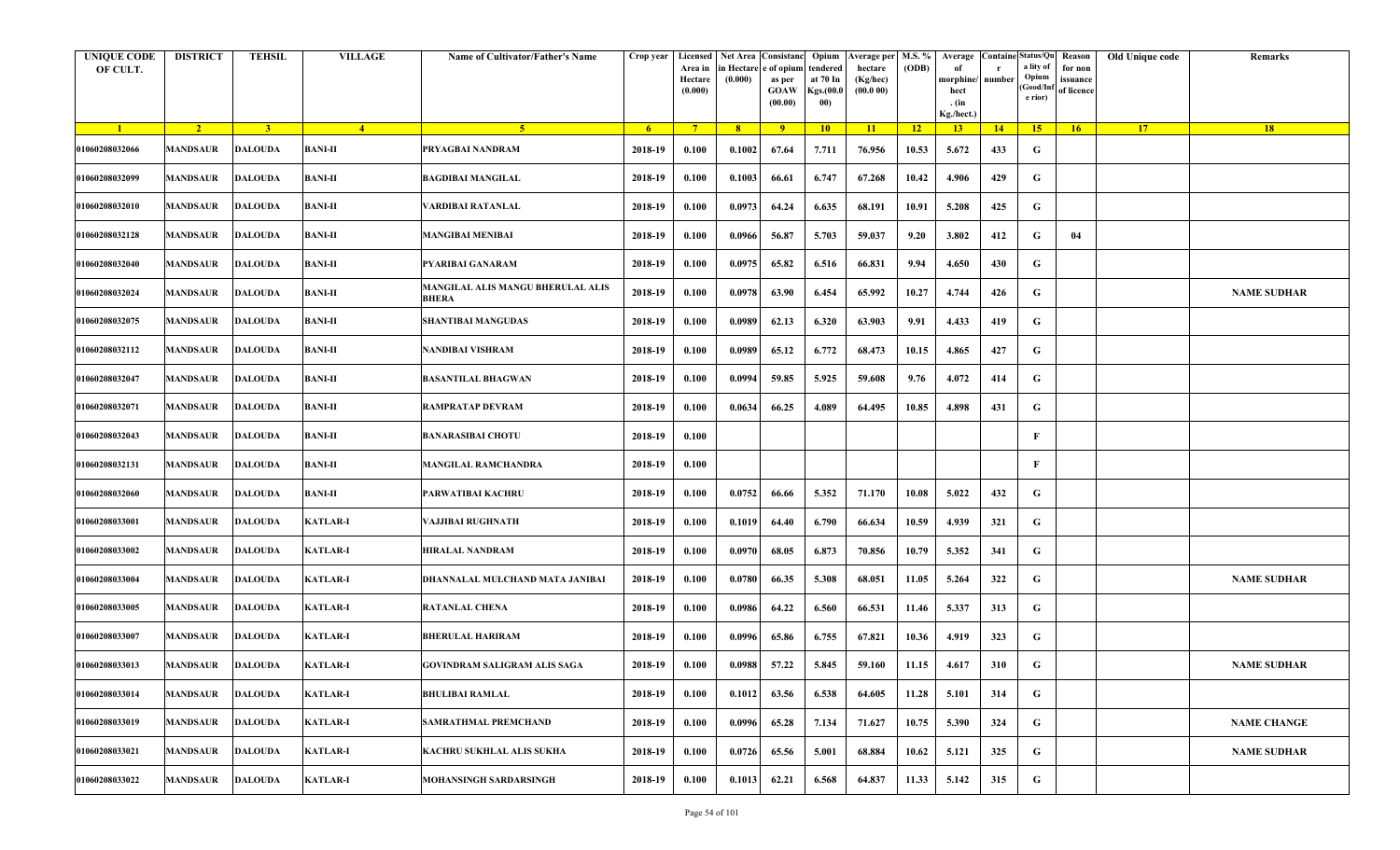| <b>UNIQUE CODE</b><br>OF CULT. | <b>DISTRICT</b> | <b>TEHSIL</b>  | <b>VILLAGE</b>  | Name of Cultivator/Father's Name                  | Crop year      | Area in<br>Hectare<br>(0.000) | in Hectare<br>(0.000) | Licensed Net Area Consistanc Opium<br>e of opium<br>as per<br><b>GOAW</b><br>(00.00) | tendered<br>at 70 In<br>Kgs.(00.0<br>00) | Average per   M.S. %<br>hectare<br>(Kg/hec)<br>(00.0 00) | (ODB)           | Average Containe Status/Qu<br>morphine/<br>hect<br>. $(in$<br>Kg./hect.) | number | a lity of<br>Opium<br>Good/Inf<br>e rior) | Reason<br>for non<br>issuance<br>of licence | Old Unique code | Remarks            |
|--------------------------------|-----------------|----------------|-----------------|---------------------------------------------------|----------------|-------------------------------|-----------------------|--------------------------------------------------------------------------------------|------------------------------------------|----------------------------------------------------------|-----------------|--------------------------------------------------------------------------|--------|-------------------------------------------|---------------------------------------------|-----------------|--------------------|
| $\blacksquare$                 | $\sqrt{2}$      | 3 <sup>l</sup> | $-4$            | -5.                                               | 6 <sup>6</sup> | $7^{\circ}$                   | 8 <sup>1</sup>        | 9                                                                                    | 10                                       | 11                                                       | $\overline{12}$ | 13                                                                       | 14     | 15                                        | 16                                          | 17              | 18                 |
| 01060208032066                 | <b>MANDSAUR</b> | <b>DALOUDA</b> | <b>BANI-II</b>  | PRYAGBAI NANDRAM                                  | 2018-19        | 0.100                         | 0.1002                | 67.64                                                                                | 7.711                                    | 76.956                                                   | 10.53           | 5.672                                                                    | 433    | G                                         |                                             |                 |                    |
| 01060208032099                 | <b>MANDSAUR</b> | DALOUDA        | <b>BANI-II</b>  | <b>BAGDIBAI MANGILAL</b>                          | 2018-19        | 0.100                         | 0.1003                | 66.61                                                                                | 6.747                                    | 67.268                                                   | 10.42           | 4.906                                                                    | 429    | G                                         |                                             |                 |                    |
| 01060208032010                 | <b>MANDSAUR</b> | <b>DALOUDA</b> | <b>BANI-II</b>  | VARDIBAI RATANLAL                                 | 2018-19        | 0.100                         | 0.0973                | 64.24                                                                                | 6.635                                    | 68.191                                                   | 10.91           | 5.208                                                                    | 425    | G                                         |                                             |                 |                    |
| 01060208032128                 | <b>MANDSAUR</b> | <b>DALOUDA</b> | <b>BANI-II</b>  | <b>MANGIBAI MENIBAI</b>                           | 2018-19        | 0.100                         | 0.0966                | 56.87                                                                                | 5.703                                    | 59.037                                                   | 9.20            | 3.802                                                                    | 412    | G                                         | 04                                          |                 |                    |
| 01060208032040                 | <b>MANDSAUR</b> | <b>DALOUDA</b> | <b>BANI-II</b>  | PYARIBAI GANARAM                                  | 2018-19        | 0.100                         | 0.0975                | 65.82                                                                                | 6.516                                    | 66.831                                                   | 9.94            | 4.650                                                                    | 430    | G                                         |                                             |                 |                    |
| 01060208032024                 | MANDSAUR        | <b>DALOUDA</b> | <b>BANI-II</b>  | MANGILAL ALIS MANGU BHERULAL ALIS<br><b>BHERA</b> | 2018-19        | 0.100                         | 0.0978                | 63.90                                                                                | 6.454                                    | 65.992                                                   | 10.27           | 4.744                                                                    | 426    | G                                         |                                             |                 | <b>NAME SUDHAR</b> |
| 01060208032075                 | <b>MANDSAUR</b> | <b>DALOUDA</b> | <b>BANI-II</b>  | <b>SHANTIBAI MANGUDAS</b>                         | 2018-19        | 0.100                         | 0.0989                | 62.13                                                                                | 6.320                                    | 63.903                                                   | 9.91            | 4.433                                                                    | 419    | G                                         |                                             |                 |                    |
| 01060208032112                 | <b>MANDSAUR</b> | <b>DALOUDA</b> | <b>BANI-II</b>  | NANDIBAI VISHRAM                                  | 2018-19        | 0.100                         | 0.0989                | 65.12                                                                                | 6.772                                    | 68.473                                                   | 10.15           | 4.865                                                                    | 427    | G                                         |                                             |                 |                    |
| 01060208032047                 | <b>MANDSAUR</b> | <b>DALOUDA</b> | <b>BANI-II</b>  | <b>BASANTILAL BHAGWAN</b>                         | 2018-19        | 0.100                         | 0.0994                | 59.85                                                                                | 5.925                                    | 59.608                                                   | 9.76            | 4.072                                                                    | 414    | G                                         |                                             |                 |                    |
| 01060208032071                 | MANDSAUR        | <b>DALOUDA</b> | <b>BANI-II</b>  | RAMPRATAP DEVRAM                                  | 2018-19        | 0.100                         | 0.0634                | 66.25                                                                                | 4.089                                    | 64.495                                                   | 10.85           | 4.898                                                                    | 431    | G                                         |                                             |                 |                    |
| 01060208032043                 | <b>MANDSAUR</b> | DALOUDA        | <b>BANI-II</b>  | <b>BANARASIBAI CHOTU</b>                          | 2018-19        | 0.100                         |                       |                                                                                      |                                          |                                                          |                 |                                                                          |        | $\mathbf{F}$                              |                                             |                 |                    |
| 01060208032131                 | <b>MANDSAUR</b> | <b>DALOUDA</b> | <b>BANI-II</b>  | <b>MANGILAL RAMCHANDRA</b>                        | 2018-19        | 0.100                         |                       |                                                                                      |                                          |                                                          |                 |                                                                          |        | $\mathbf{F}$                              |                                             |                 |                    |
| 01060208032060                 | <b>MANDSAUR</b> | <b>DALOUDA</b> | <b>BANI-II</b>  | PARWATIBAI KACHRU                                 | 2018-19        | 0.100                         | 0.0752                | 66.66                                                                                | 5.352                                    | 71.170                                                   | 10.08           | 5.022                                                                    | 432    | G                                         |                                             |                 |                    |
| 01060208033001                 | <b>MANDSAUR</b> | <b>DALOUDA</b> | <b>KATLAR-I</b> | <b>VAJJIBAI RUGHNATH</b>                          | 2018-19        | 0.100                         | 0.1019                | 64.40                                                                                | 6.790                                    | 66.634                                                   | 10.59           | 4.939                                                                    | 321    | G                                         |                                             |                 |                    |
| 01060208033002                 | <b>MANDSAUR</b> | <b>DALOUDA</b> | <b>KATLAR-I</b> | <b>HIRALAL NANDRAM</b>                            | 2018-19        | 0.100                         | 0.0970                | 68.05                                                                                | 6.873                                    | 70.856                                                   | 10.79           | 5.352                                                                    | 341    | G                                         |                                             |                 |                    |
| 01060208033004                 | <b>MANDSAUR</b> | <b>DALOUDA</b> | <b>KATLAR-I</b> | DHANNALAL MULCHAND MATA JANIBAI                   | 2018-19        | 0.100                         | 0.0780                | 66.35                                                                                | 5.308                                    | 68.051                                                   | 11.05           | 5.264                                                                    | 322    | G                                         |                                             |                 | <b>NAME SUDHAR</b> |
| 01060208033005                 | <b>MANDSAUR</b> | <b>DALOUDA</b> | <b>KATLAR-I</b> | <b>RATANLAL CHENA</b>                             | 2018-19        | 0.100                         | 0.0986                | 64.22                                                                                | 6.560                                    | 66.531                                                   | 11.46           | 5.337                                                                    | 313    | G                                         |                                             |                 |                    |
| 01060208033007                 | <b>MANDSAUR</b> | <b>DALOUDA</b> | <b>KATLAR-I</b> | <b>BHERULAL HARIRAM</b>                           | 2018-19        | 0.100                         | 0.0996                | 65.86                                                                                | 6.755                                    | 67.821                                                   | 10.36           | 4.919                                                                    | 323    | G                                         |                                             |                 |                    |
| 01060208033013                 | <b>MANDSAUR</b> | <b>DALOUDA</b> | <b>KATLAR-I</b> | <b>GOVINDRAM SALIGRAM ALIS SAGA</b>               | 2018-19        | 0.100                         | 0.0988                | 57.22                                                                                | 5.845                                    | 59.160                                                   | 11.15           | 4.617                                                                    | 310    | G                                         |                                             |                 | <b>NAME SUDHAR</b> |
| 01060208033014                 | <b>MANDSAUR</b> | <b>DALOUDA</b> | <b>KATLAR-I</b> | <b>BHULIBAI RAMLAL</b>                            | 2018-19        | 0.100                         | 0.1012                | 63.56                                                                                | 6.538                                    | 64.605                                                   | 11.28           | 5.101                                                                    | 314    | G                                         |                                             |                 |                    |
| 01060208033019                 | <b>MANDSAUR</b> | <b>DALOUDA</b> | <b>KATLAR-I</b> | <b>SAMRATHMAL PREMCHAND</b>                       | 2018-19        | 0.100                         | 0.0996                | 65.28                                                                                | 7.134                                    | 71.627                                                   | 10.75           | 5.390                                                                    | 324    | G                                         |                                             |                 | <b>NAME CHANGE</b> |
| 01060208033021                 | <b>MANDSAUR</b> | <b>DALOUDA</b> | <b>KATLAR-I</b> | KACHRU SUKHLAL ALIS SUKHA                         | 2018-19        | 0.100                         | 0.0726                | 65.56                                                                                | 5.001                                    | 68.884                                                   | 10.62           | 5.121                                                                    | 325    | $\mathbf G$                               |                                             |                 | <b>NAME SUDHAR</b> |
| 01060208033022                 | <b>MANDSAUR</b> | <b>DALOUDA</b> | <b>KATLAR-I</b> | <b>MOHANSINGH SARDARSINGH</b>                     | 2018-19        | 0.100                         | 0.1013                | 62.21                                                                                | 6.568                                    | 64.837                                                   | 11.33           | 5.142                                                                    | 315    | $\mathbf G$                               |                                             |                 |                    |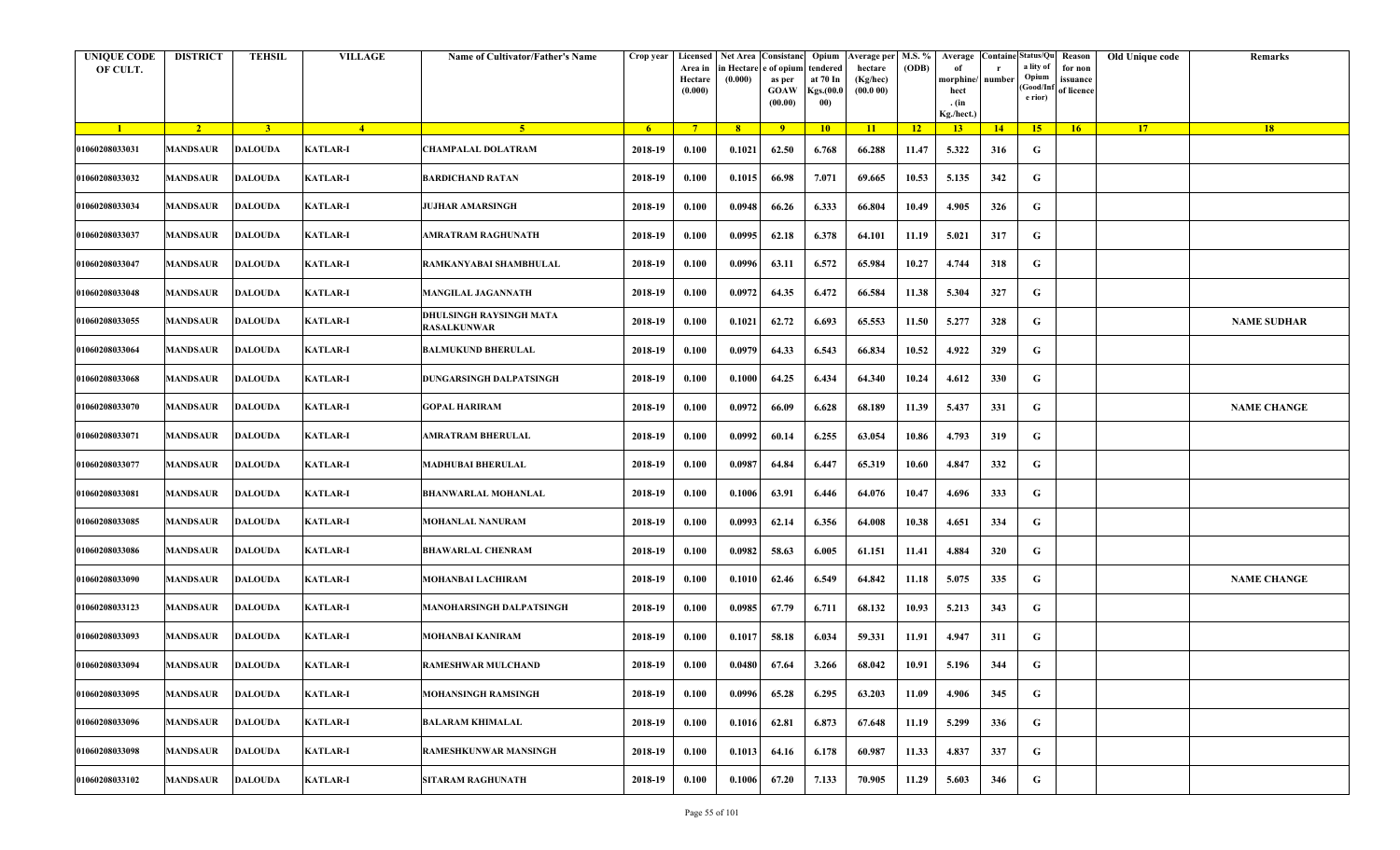| <b>UNIQUE CODE</b><br>OF CULT. | <b>DISTRICT</b> | <b>TEHSIL</b>  | <b>VILLAGE</b>  | Name of Cultivator/Father's Name              | Crop year   | Area in<br>Hectare | Licensed   Net Area Consistanc<br>ı Hectar<br>(0.000) | e of opium<br>as per   | Opium<br>tendered<br>at 70 In | <b>Average per</b><br>hectare<br>(Kg/hec) | M.S. %<br>(ODB) | Average<br>morphine/        | <b>Containe Status/Qu</b><br>number | a lity of<br>Opium<br>(Good/In | Reason<br>for non<br>issuance | Old Unique code | Remarks            |
|--------------------------------|-----------------|----------------|-----------------|-----------------------------------------------|-------------|--------------------|-------------------------------------------------------|------------------------|-------------------------------|-------------------------------------------|-----------------|-----------------------------|-------------------------------------|--------------------------------|-------------------------------|-----------------|--------------------|
|                                |                 |                |                 |                                               |             | (0.000)            |                                                       | <b>GOAW</b><br>(00.00) | Kgs.(00.0<br>00)              | (00.000)                                  |                 | hect<br>. (in<br>Kg./hect.) |                                     | e rior)                        | of licence                    |                 |                    |
| $\blacksquare$ 1               | $\sqrt{2}$      | 3 <sup>7</sup> | $\overline{4}$  | $\sqrt{5}$                                    | $6^{\circ}$ | $-7$               | 8 <sup>1</sup>                                        | $-9$                   | 10                            | $\vert$ 11                                | $-12$           | 13                          | 14                                  | 15                             | 16                            | 17              | 18                 |
| 01060208033031                 | <b>MANDSAUR</b> | <b>DALOUDA</b> | <b>KATLAR-I</b> | CHAMPALAL DOLATRAM                            | 2018-19     | 0.100              | 0.1021                                                | 62.50                  | 6.768                         | 66.288                                    | 11.47           | 5.322                       | 316                                 | G                              |                               |                 |                    |
| 01060208033032                 | MANDSAUR        | <b>DALOUDA</b> | <b>KATLAR-I</b> | <b>BARDICHAND RATAN</b>                       | 2018-19     | 0.100              | 0.1015                                                | 66.98                  | 7.071                         | 69.665                                    | 10.53           | 5.135                       | 342                                 | G                              |                               |                 |                    |
| 01060208033034                 | <b>MANDSAUR</b> | <b>DALOUDA</b> | <b>KATLAR-I</b> | <b>JUJHAR AMARSINGH</b>                       | 2018-19     | 0.100              | 0.0948                                                | 66.26                  | 6.333                         | 66.804                                    | 10.49           | 4.905                       | 326                                 | G                              |                               |                 |                    |
| 01060208033037                 | <b>MANDSAUR</b> | <b>DALOUDA</b> | <b>KATLAR-I</b> | AMRATRAM RAGHUNATH                            | 2018-19     | 0.100              | 0.0995                                                | 62.18                  | 6.378                         | 64.101                                    | 11.19           | 5.021                       | 317                                 | G                              |                               |                 |                    |
| 01060208033047                 | <b>MANDSAUR</b> | <b>DALOUDA</b> | <b>KATLAR-I</b> | RAMKANYABAI SHAMBHULAL                        | 2018-19     | 0.100              | 0.0996                                                | 63.11                  | 6.572                         | 65.984                                    | 10.27           | 4.744                       | 318                                 | G                              |                               |                 |                    |
| 01060208033048                 | <b>MANDSAUR</b> | <b>DALOUDA</b> | <b>KATLAR-I</b> | <b>MANGILAL JAGANNATH</b>                     | 2018-19     | 0.100              | 0.0972                                                | 64.35                  | 6.472                         | 66.584                                    | 11.38           | 5.304                       | 327                                 | G                              |                               |                 |                    |
| 01060208033055                 | MANDSAUR        | <b>DALOUDA</b> | <b>KATLAR-I</b> | DHULSINGH RAYSINGH MATA<br><b>RASALKUNWAR</b> | 2018-19     | 0.100              | 0.1021                                                | 62.72                  | 6.693                         | 65.553                                    | 11.50           | 5.277                       | 328                                 | G                              |                               |                 | <b>NAME SUDHAR</b> |
| 01060208033064                 | MANDSAUR        | <b>DALOUDA</b> | <b>KATLAR-I</b> | <b>BALMUKUND BHERULAL</b>                     | 2018-19     | 0.100              | 0.0979                                                | 64.33                  | 6.543                         | 66.834                                    | 10.52           | 4.922                       | 329                                 | G                              |                               |                 |                    |
| 01060208033068                 | <b>MANDSAUR</b> | <b>DALOUDA</b> | <b>KATLAR-I</b> | DUNGARSINGH DALPATSINGH                       | 2018-19     | 0.100              | 0.1000                                                | 64.25                  | 6.434                         | 64.340                                    | 10.24           | 4.612                       | 330                                 | G                              |                               |                 |                    |
| 01060208033070                 | MANDSAUR        | <b>DALOUDA</b> | <b>KATLAR-I</b> | GOPAL HARIRAM                                 | 2018-19     | 0.100              | 0.0972                                                | 66.09                  | 6.628                         | 68.189                                    | 11.39           | 5.437                       | 331                                 | G                              |                               |                 | <b>NAME CHANGE</b> |
| 01060208033071                 | MANDSAUR        | <b>DALOUDA</b> | <b>KATLAR-I</b> | AMRATRAM BHERULAL                             | 2018-19     | 0.100              | 0.0992                                                | 60.14                  | 6.255                         | 63.054                                    | 10.86           | 4.793                       | 319                                 | G                              |                               |                 |                    |
| 01060208033077                 | MANDSAUR        | <b>DALOUDA</b> | <b>KATLAR-I</b> | <b>MADHUBAI BHERULAL</b>                      | 2018-19     | 0.100              | 0.0987                                                | 64.84                  | 6.447                         | 65.319                                    | 10.60           | 4.847                       | 332                                 | G                              |                               |                 |                    |
| 01060208033081                 | <b>MANDSAUR</b> | <b>DALOUDA</b> | <b>KATLAR-I</b> | <b>BHANWARLAL MOHANLAL</b>                    | 2018-19     | 0.100              | 0.1006                                                | 63.91                  | 6.446                         | 64.076                                    | 10.47           | 4.696                       | 333                                 | G                              |                               |                 |                    |
| 01060208033085                 | <b>MANDSAUR</b> | <b>DALOUDA</b> | <b>KATLAR-I</b> | <b>MOHANLAL NANURAM</b>                       | 2018-19     | 0.100              | 0.0993                                                | 62.14                  | 6.356                         | 64.008                                    | 10.38           | 4.651                       | 334                                 | G                              |                               |                 |                    |
| 01060208033086                 | MANDSAUR        | <b>DALOUDA</b> | <b>KATLAR-I</b> | <b>BHAWARLAL CHENRAM</b>                      | 2018-19     | 0.100              | 0.0982                                                | 58.63                  | 6.005                         | 61.151                                    | 11.41           | 4.884                       | 320                                 | G                              |                               |                 |                    |
| 01060208033090                 | <b>MANDSAUR</b> | <b>DALOUDA</b> | <b>KATLAR-I</b> | MOHANBAI LACHIRAM                             | 2018-19     | 0.100              | 0.1010                                                | 62.46                  | 6.549                         | 64.842                                    | 11.18           | 5.075                       | 335                                 | G                              |                               |                 | <b>NAME CHANGE</b> |
| 01060208033123                 | MANDSAUR        | <b>DALOUDA</b> | <b>KATLAR-I</b> | MANOHARSINGH DALPATSINGH                      | 2018-19     | 0.100              | 0.0985                                                | 67.79                  | 6.711                         | 68.132                                    | 10.93           | 5.213                       | 343                                 | G                              |                               |                 |                    |
| 01060208033093                 | MANDSAUR        | <b>DALOUDA</b> | <b>KATLAR-I</b> | MOHANBAI KANIRAM                              | 2018-19     | 0.100              | 0.1017                                                | 58.18                  | 6.034                         | 59.331                                    | 11.91           | 4.947                       | 311                                 | G                              |                               |                 |                    |
| 01060208033094                 | MANDSAUR        | <b>DALOUDA</b> | <b>KATLAR-I</b> | <b>RAMESHWAR MULCHAND</b>                     | 2018-19     | 0.100              | 0.0480                                                | 67.64                  | 3.266                         | 68.042                                    | 10.91           | 5.196                       | 344                                 | G                              |                               |                 |                    |
| 01060208033095                 | <b>MANDSAUR</b> | <b>DALOUDA</b> | <b>KATLAR-I</b> | <b>MOHANSINGH RAMSINGH</b>                    | 2018-19     | 0.100              | 0.0996                                                | 65.28                  | 6.295                         | 63.203                                    | 11.09           | 4.906                       | 345                                 | G                              |                               |                 |                    |
| 01060208033096                 | <b>MANDSAUR</b> | <b>DALOUDA</b> | <b>KATLAR-I</b> | <b>BALARAM KHIMALAL</b>                       | 2018-19     | 0.100              | 0.1016                                                | 62.81                  | 6.873                         | 67.648                                    | 11.19           | 5.299                       | 336                                 | G                              |                               |                 |                    |
| 01060208033098                 | MANDSAUR        | <b>DALOUDA</b> | <b>KATLAR-I</b> | RAMESHKUNWAR MANSINGH                         | 2018-19     | 0.100              | 0.1013                                                | 64.16                  | 6.178                         | 60.987                                    | 11.33           | 4.837                       | 337                                 | G                              |                               |                 |                    |
| 01060208033102                 | <b>MANDSAUR</b> | <b>DALOUDA</b> | <b>KATLAR-I</b> | SITARAM RAGHUNATH                             | 2018-19     | 0.100              | 0.1006                                                | 67.20                  | 7.133                         | 70.905                                    | 11.29           | 5.603                       | 346                                 | G                              |                               |                 |                    |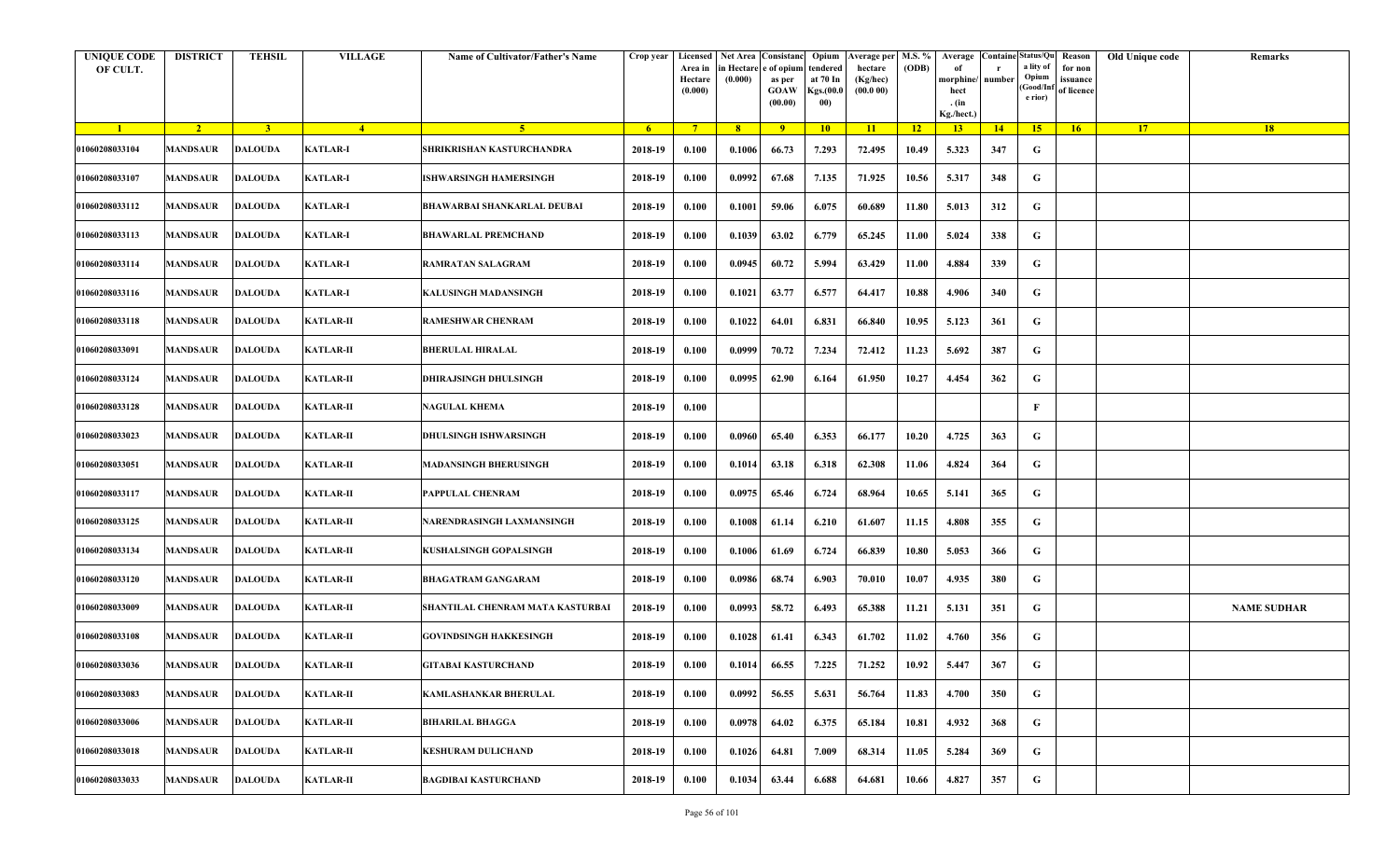| <b>UNIQUE CODE</b><br>OF CULT. | <b>DISTRICT</b> | <b>TEHSIL</b>  | <b>VILLAGE</b>   | Name of Cultivator/Father's Name | Crop year      | Area in<br>Hectare<br>(0.000) | in Hectare<br>(0.000) | Licensed Net Area Consistanc Opium<br>e of opium<br>as per<br><b>GOAW</b><br>(00.00) | tendered<br>at 70 In<br>Kgs.(00.0<br>00) | Average per   M.S. %<br>hectare<br>(Kg/hec)<br>(00.0 00) | (ODB)           | Average Containe Status/Qu<br>morphine/<br>hect<br>. $(in$<br>Kg./hect.) | number | a lity of<br>Opium<br>Good/Inf<br>e rior) | Reason<br>for non<br>issuance<br>of licence | Old Unique code | Remarks            |
|--------------------------------|-----------------|----------------|------------------|----------------------------------|----------------|-------------------------------|-----------------------|--------------------------------------------------------------------------------------|------------------------------------------|----------------------------------------------------------|-----------------|--------------------------------------------------------------------------|--------|-------------------------------------------|---------------------------------------------|-----------------|--------------------|
| $\blacksquare$                 | $\sqrt{2}$      | 3 <sup>l</sup> | $\sqrt{4}$       | -5.                              | 6 <sup>6</sup> | $7^{\circ}$                   | 8 <sup>1</sup>        | 9                                                                                    | 10                                       | 11                                                       | $\overline{12}$ | 13                                                                       | 14     | 15                                        | 16                                          | 17              | 18                 |
| 01060208033104                 | <b>MANDSAUR</b> | <b>DALOUDA</b> | <b>KATLAR-I</b>  | SHRIKRISHAN KASTURCHANDRA        | 2018-19        | 0.100                         | 0.1006                | 66.73                                                                                | 7.293                                    | 72.495                                                   | 10.49           | 5.323                                                                    | 347    | G                                         |                                             |                 |                    |
| 01060208033107                 | <b>MANDSAUR</b> | DALOUDA        | <b>KATLAR-I</b>  | <b>ISHWARSINGH HAMERSINGH</b>    | 2018-19        | 0.100                         | 0.0992                | 67.68                                                                                | 7.135                                    | 71.925                                                   | 10.56           | 5.317                                                                    | 348    | G                                         |                                             |                 |                    |
| 01060208033112                 | <b>MANDSAUR</b> | <b>DALOUDA</b> | <b>KATLAR-I</b>  | BHAWARBAI SHANKARLAL DEUBAI      | 2018-19        | 0.100                         | 0.1001                | 59.06                                                                                | 6.075                                    | 60.689                                                   | 11.80           | 5.013                                                                    | 312    | G                                         |                                             |                 |                    |
| 01060208033113                 | <b>MANDSAUR</b> | <b>DALOUDA</b> | <b>KATLAR-I</b>  | <b>BHAWARLAL PREMCHAND</b>       | 2018-19        | 0.100                         | 0.1039                | 63.02                                                                                | 6.779                                    | 65.245                                                   | 11.00           | 5.024                                                                    | 338    | G                                         |                                             |                 |                    |
| 01060208033114                 | <b>MANDSAUR</b> | <b>DALOUDA</b> | <b>KATLAR-I</b>  | RAMRATAN SALAGRAM                | 2018-19        | 0.100                         | 0.0945                | 60.72                                                                                | 5.994                                    | 63.429                                                   | 11.00           | 4.884                                                                    | 339    | G                                         |                                             |                 |                    |
| 01060208033116                 | MANDSAUR        | <b>DALOUDA</b> | <b>KATLAR-I</b>  | KALUSINGH MADANSINGH             | 2018-19        | 0.100                         | 0.1021                | 63.77                                                                                | 6.577                                    | 64.417                                                   | 10.88           | 4.906                                                                    | 340    | G                                         |                                             |                 |                    |
| 01060208033118                 | <b>MANDSAUR</b> | <b>DALOUDA</b> | <b>KATLAR-II</b> | <b>RAMESHWAR CHENRAM</b>         | 2018-19        | 0.100                         | 0.1022                | 64.01                                                                                | 6.831                                    | 66.840                                                   | 10.95           | 5.123                                                                    | 361    | G                                         |                                             |                 |                    |
| 01060208033091                 | <b>MANDSAUR</b> | <b>DALOUDA</b> | <b>KATLAR-II</b> | <b>BHERULAL HIRALAL</b>          | 2018-19        | 0.100                         | 0.0999                | 70.72                                                                                | 7.234                                    | 72.412                                                   | 11.23           | 5.692                                                                    | 387    | G                                         |                                             |                 |                    |
| 01060208033124                 | <b>MANDSAUR</b> | <b>DALOUDA</b> | <b>KATLAR-II</b> | <b>DHIRAJSINGH DHULSINGH</b>     | 2018-19        | 0.100                         | 0.0995                | 62.90                                                                                | 6.164                                    | 61.950                                                   | 10.27           | 4.454                                                                    | 362    | G                                         |                                             |                 |                    |
| 01060208033128                 | MANDSAUR        | DALOUDA        | <b>KATLAR-II</b> | <b>NAGULAL KHEMA</b>             | 2018-19        | 0.100                         |                       |                                                                                      |                                          |                                                          |                 |                                                                          |        | F                                         |                                             |                 |                    |
| 01060208033023                 | <b>MANDSAUR</b> | DALOUDA        | <b>KATLAR-II</b> | <b>DHULSINGH ISHWARSINGH</b>     | 2018-19        | 0.100                         | 0.0960                | 65.40                                                                                | 6.353                                    | 66.177                                                   | 10.20           | 4.725                                                                    | 363    | G                                         |                                             |                 |                    |
| 01060208033051                 | <b>MANDSAUR</b> | <b>DALOUDA</b> | <b>KATLAR-II</b> | <b>MADANSINGH BHERUSINGH</b>     | 2018-19        | 0.100                         | 0.1014                | 63.18                                                                                | 6.318                                    | 62.308                                                   | 11.06           | 4.824                                                                    | 364    | G                                         |                                             |                 |                    |
| 01060208033117                 | <b>MANDSAUR</b> | <b>DALOUDA</b> | <b>KATLAR-II</b> | PAPPULAL CHENRAM                 | 2018-19        | 0.100                         | 0.0975                | 65.46                                                                                | 6.724                                    | 68.964                                                   | 10.65           | 5.141                                                                    | 365    | G                                         |                                             |                 |                    |
| 01060208033125                 | <b>MANDSAUR</b> | <b>DALOUDA</b> | <b>KATLAR-II</b> | NARENDRASINGH LAXMANSINGH        | 2018-19        | 0.100                         | 0.1008                | 61.14                                                                                | 6.210                                    | 61.607                                                   | 11.15           | 4.808                                                                    | 355    | G                                         |                                             |                 |                    |
| 01060208033134                 | <b>MANDSAUR</b> | <b>DALOUDA</b> | <b>KATLAR-II</b> | <b>KUSHALSINGH GOPALSINGH</b>    | 2018-19        | 0.100                         | 0.1006                | 61.69                                                                                | 6.724                                    | 66.839                                                   | 10.80           | 5.053                                                                    | 366    | G                                         |                                             |                 |                    |
| 01060208033120                 | <b>MANDSAUR</b> | <b>DALOUDA</b> | <b>KATLAR-II</b> | <b>BHAGATRAM GANGARAM</b>        | 2018-19        | 0.100                         | 0.0986                | 68.74                                                                                | 6.903                                    | 70.010                                                   | 10.07           | 4.935                                                                    | 380    | G                                         |                                             |                 |                    |
| 01060208033009                 | <b>MANDSAUR</b> | <b>DALOUDA</b> | <b>KATLAR-II</b> | SHANTILAL CHENRAM MATA KASTURBAI | 2018-19        | 0.100                         | 0.0993                | 58.72                                                                                | 6.493                                    | 65.388                                                   | 11.21           | 5.131                                                                    | 351    | G                                         |                                             |                 | <b>NAME SUDHAR</b> |
| 01060208033108                 | <b>MANDSAUR</b> | <b>DALOUDA</b> | <b>KATLAR-II</b> | <b>GOVINDSINGH HAKKESINGH</b>    | 2018-19        | 0.100                         | 0.1028                | 61.41                                                                                | 6.343                                    | 61.702                                                   | 11.02           | 4.760                                                                    | 356    | G                                         |                                             |                 |                    |
| 01060208033036                 | <b>MANDSAUR</b> | <b>DALOUDA</b> | <b>KATLAR-II</b> | <b>GITABAI KASTURCHAND</b>       | 2018-19        | 0.100                         | 0.1014                | 66.55                                                                                | 7.225                                    | 71.252                                                   | 10.92           | 5.447                                                                    | 367    | G                                         |                                             |                 |                    |
| 01060208033083                 | <b>MANDSAUR</b> | <b>DALOUDA</b> | <b>KATLAR-II</b> | <b>KAMLASHANKAR BHERULAL</b>     | 2018-19        | 0.100                         | 0.0992                | 56.55                                                                                | 5.631                                    | 56.764                                                   | 11.83           | 4.700                                                                    | 350    | G                                         |                                             |                 |                    |
| 01060208033006                 | <b>MANDSAUR</b> | <b>DALOUDA</b> | <b>KATLAR-II</b> | <b>BIHARILAL BHAGGA</b>          | 2018-19        | 0.100                         | 0.0978                | 64.02                                                                                | 6.375                                    | 65.184                                                   | 10.81           | 4.932                                                                    | 368    | G                                         |                                             |                 |                    |
| 01060208033018                 | <b>MANDSAUR</b> | <b>DALOUDA</b> | <b>KATLAR-II</b> | <b>KESHURAM DULICHAND</b>        | 2018-19        | 0.100                         | 0.1026                | 64.81                                                                                | 7.009                                    | 68.314                                                   | 11.05           | 5.284                                                                    | 369    | $\mathbf G$                               |                                             |                 |                    |
| 01060208033033                 | <b>MANDSAUR</b> | <b>DALOUDA</b> | <b>KATLAR-II</b> | <b>BAGDIBAI KASTURCHAND</b>      | 2018-19        | 0.100                         | 0.1034                | 63.44                                                                                | 6.688                                    | 64.681                                                   | 10.66           | 4.827                                                                    | 357    | G                                         |                                             |                 |                    |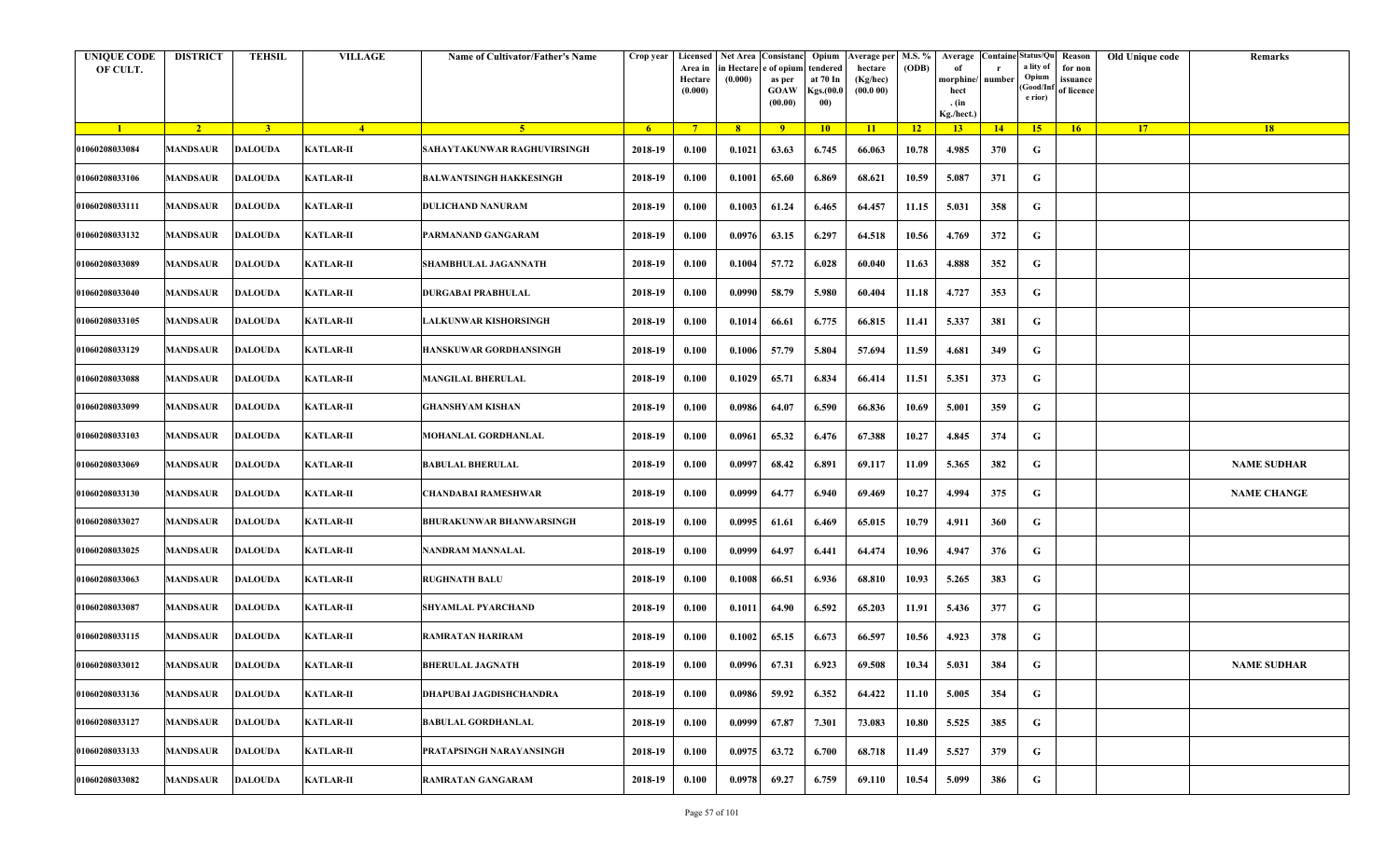| <b>UNIQUE CODE</b><br>OF CULT. | <b>DISTRICT</b> | <b>TEHSIL</b>  | <b>VILLAGE</b>   | Name of Cultivator/Father's Name | Crop year      | Area in<br>Hectare<br>(0.000) | in Hectare<br>(0.000) | Licensed Net Area Consistanc Opium<br>e of opium<br>as per<br><b>GOAW</b><br>(00.00) | endered<br>at 70 In<br>Kgs.(00.0<br>00) | Average per   M.S. %<br>hectare<br>(Kg/hec)<br>(00.0 00) | (ODB)           | Average<br>morphine/<br>hect<br>. $(in$<br>Kg./hect.) | Containe Status/Qu<br>number | a lity of<br>Opium<br>Good/Inf<br>e rior) | Reason<br>for non<br>issuance<br>of licence | Old Unique code | Remarks            |
|--------------------------------|-----------------|----------------|------------------|----------------------------------|----------------|-------------------------------|-----------------------|--------------------------------------------------------------------------------------|-----------------------------------------|----------------------------------------------------------|-----------------|-------------------------------------------------------|------------------------------|-------------------------------------------|---------------------------------------------|-----------------|--------------------|
| $\blacksquare$                 | $\sqrt{2}$      | 3 <sup>l</sup> | $\sqrt{4}$       | -5.                              | 6 <sup>6</sup> | $7^{\circ}$                   | 8 <sup>1</sup>        | 9                                                                                    | 10                                      | $\vert$ 11                                               | $\overline{12}$ | 13 <sup>7</sup>                                       | 14                           | 15                                        | 16                                          | 17              | 18                 |
| 01060208033084                 | <b>MANDSAUR</b> | <b>DALOUDA</b> | <b>KATLAR-II</b> | SAHAYTAKUNWAR RAGHUVIRSINGH      | 2018-19        | 0.100                         | 0.1021                | 63.63                                                                                | 6.745                                   | 66.063                                                   | 10.78           | 4.985                                                 | 370                          | G                                         |                                             |                 |                    |
| 01060208033106                 | <b>MANDSAUR</b> | DALOUDA        | <b>KATLAR-II</b> | <b>BALWANTSINGH HAKKESINGH</b>   | 2018-19        | 0.100                         | 0.1001                | 65.60                                                                                | 6.869                                   | 68.621                                                   | 10.59           | 5.087                                                 | 371                          | G                                         |                                             |                 |                    |
| 01060208033111                 | <b>MANDSAUR</b> | <b>DALOUDA</b> | <b>KATLAR-II</b> | <b>DULICHAND NANURAM</b>         | 2018-19        | 0.100                         | 0.1003                | 61.24                                                                                | 6.465                                   | 64.457                                                   | 11.15           | 5.031                                                 | 358                          | G                                         |                                             |                 |                    |
| 01060208033132                 | <b>MANDSAUR</b> | <b>DALOUDA</b> | <b>KATLAR-II</b> | PARMANAND GANGARAM               | 2018-19        | 0.100                         | 0.0976                | 63.15                                                                                | 6.297                                   | 64.518                                                   | 10.56           | 4.769                                                 | 372                          | G                                         |                                             |                 |                    |
| 01060208033089                 | <b>MANDSAUR</b> | <b>DALOUDA</b> | <b>KATLAR-II</b> | SHAMBHULAL JAGANNATH             | 2018-19        | 0.100                         | 0.1004                | 57.72                                                                                | 6.028                                   | 60.040                                                   | 11.63           | 4.888                                                 | 352                          | G                                         |                                             |                 |                    |
| 01060208033040                 | <b>MANDSAUR</b> | DALOUDA        | <b>KATLAR-II</b> | DURGABAI PRABHULAL               | 2018-19        | 0.100                         | 0.0990                | 58.79                                                                                | 5.980                                   | 60.404                                                   | 11.18           | 4.727                                                 | 353                          | G                                         |                                             |                 |                    |
| 01060208033105                 | <b>MANDSAUR</b> | <b>DALOUDA</b> | <b>KATLAR-II</b> | <b>LALKUNWAR KISHORSINGH</b>     | 2018-19        | 0.100                         | 0.1014                | 66.61                                                                                | 6.775                                   | 66.815                                                   | 11.41           | 5.337                                                 | 381                          | G                                         |                                             |                 |                    |
| 01060208033129                 | <b>MANDSAUR</b> | <b>DALOUDA</b> | <b>KATLAR-II</b> | HANSKUWAR GORDHANSINGH           | 2018-19        | 0.100                         | 0.1006                | 57.79                                                                                | 5.804                                   | 57.694                                                   | 11.59           | 4.681                                                 | 349                          | G                                         |                                             |                 |                    |
| 01060208033088                 | <b>MANDSAUR</b> | <b>DALOUDA</b> | <b>KATLAR-II</b> | <b>MANGILAL BHERULAL</b>         | 2018-19        | 0.100                         | 0.1029                | 65.71                                                                                | 6.834                                   | 66.414                                                   | 11.51           | 5.351                                                 | 373                          | G                                         |                                             |                 |                    |
| 01060208033099                 | MANDSAUR        | <b>DALOUDA</b> | <b>KATLAR-II</b> | <b>GHANSHYAM KISHAN</b>          | 2018-19        | 0.100                         | 0.0986                | 64.07                                                                                | 6.590                                   | 66.836                                                   | 10.69           | 5.001                                                 | 359                          | G                                         |                                             |                 |                    |
| 01060208033103                 | <b>MANDSAUR</b> | DALOUDA        | <b>KATLAR-II</b> | <b>MOHANLAL GORDHANLAL</b>       | 2018-19        | 0.100                         | 0.0961                | 65.32                                                                                | 6.476                                   | 67.388                                                   | 10.27           | 4.845                                                 | 374                          | G                                         |                                             |                 |                    |
| 01060208033069                 | <b>MANDSAUR</b> | DALOUDA        | <b>KATLAR-II</b> | <b>BABULAL BHERULAL</b>          | 2018-19        | 0.100                         | 0.0997                | 68.42                                                                                | 6.891                                   | 69.117                                                   | 11.09           | 5.365                                                 | 382                          | G                                         |                                             |                 | <b>NAME SUDHAR</b> |
| 01060208033130                 | <b>MANDSAUR</b> | <b>DALOUDA</b> | <b>KATLAR-II</b> | <b>CHANDABAI RAMESHWAR</b>       | 2018-19        | 0.100                         | 0.0999                | 64.77                                                                                | 6.940                                   | 69.469                                                   | 10.27           | 4.994                                                 | 375                          | G                                         |                                             |                 | <b>NAME CHANGE</b> |
| 01060208033027                 | <b>MANDSAUR</b> | <b>DALOUDA</b> | <b>KATLAR-II</b> | <b>BHURAKUNWAR BHANWARSINGH</b>  | 2018-19        | 0.100                         | 0.0995                | 61.61                                                                                | 6.469                                   | 65.015                                                   | 10.79           | 4.911                                                 | 360                          | G                                         |                                             |                 |                    |
| 01060208033025                 | <b>MANDSAUR</b> | DALOUDA        | <b>KATLAR-II</b> | NANDRAM MANNALAL                 | 2018-19        | 0.100                         | 0.0999                | 64.97                                                                                | 6.441                                   | 64.474                                                   | 10.96           | 4.947                                                 | 376                          | G                                         |                                             |                 |                    |
| 01060208033063                 | <b>MANDSAUR</b> | <b>DALOUDA</b> | <b>KATLAR-II</b> | <b>RUGHNATH BALU</b>             | 2018-19        | 0.100                         | 0.1008                | 66.51                                                                                | 6.936                                   | 68.810                                                   | 10.93           | 5.265                                                 | 383                          | G                                         |                                             |                 |                    |
| 01060208033087                 | <b>MANDSAUR</b> | <b>DALOUDA</b> | <b>KATLAR-II</b> | SHYAMLAL PYARCHAND               | 2018-19        | 0.100                         | 0.1011                | 64.90                                                                                | 6.592                                   | 65.203                                                   | 11.91           | 5.436                                                 | 377                          | G                                         |                                             |                 |                    |
| 01060208033115                 | <b>MANDSAUR</b> | <b>DALOUDA</b> | <b>KATLAR-II</b> | <b>RAMRATAN HARIRAM</b>          | 2018-19        | 0.100                         | 0.1002                | 65.15                                                                                | 6.673                                   | 66.597                                                   | 10.56           | 4.923                                                 | 378                          | G                                         |                                             |                 |                    |
| 01060208033012                 | <b>MANDSAUR</b> | <b>DALOUDA</b> | <b>KATLAR-II</b> | <b>BHERULAL JAGNATH</b>          | 2018-19        | 0.100                         | 0.0996                | 67.31                                                                                | 6.923                                   | 69.508                                                   | 10.34           | 5.031                                                 | 384                          | G                                         |                                             |                 | <b>NAME SUDHAR</b> |
| 01060208033136                 | <b>MANDSAUR</b> | <b>DALOUDA</b> | <b>KATLAR-II</b> | <b>DHAPUBAI JAGDISHCHANDRA</b>   | 2018-19        | 0.100                         | 0.0986                | 59.92                                                                                | 6.352                                   | 64.422                                                   | 11.10           | 5.005                                                 | 354                          | G                                         |                                             |                 |                    |
| 01060208033127                 | <b>MANDSAUR</b> | <b>DALOUDA</b> | <b>KATLAR-II</b> | <b>BABULAL GORDHANLAL</b>        | 2018-19        | 0.100                         | 0.0999                | 67.87                                                                                | 7.301                                   | 73.083                                                   | 10.80           | 5.525                                                 | 385                          | G                                         |                                             |                 |                    |
| 01060208033133                 | <b>MANDSAUR</b> | <b>DALOUDA</b> | <b>KATLAR-II</b> | PRATAPSINGH NARAYANSINGH         | 2018-19        | 0.100                         | 0.0975                | 63.72                                                                                | 6.700                                   | 68.718                                                   | 11.49           | 5.527                                                 | 379                          | $\mathbf G$                               |                                             |                 |                    |
| 01060208033082                 | <b>MANDSAUR</b> | <b>DALOUDA</b> | <b>KATLAR-II</b> | <b>RAMRATAN GANGARAM</b>         | 2018-19        | 0.100                         | 0.0978                | 69.27                                                                                | 6.759                                   | 69.110                                                   | 10.54           | 5.099                                                 | 386                          | G                                         |                                             |                 |                    |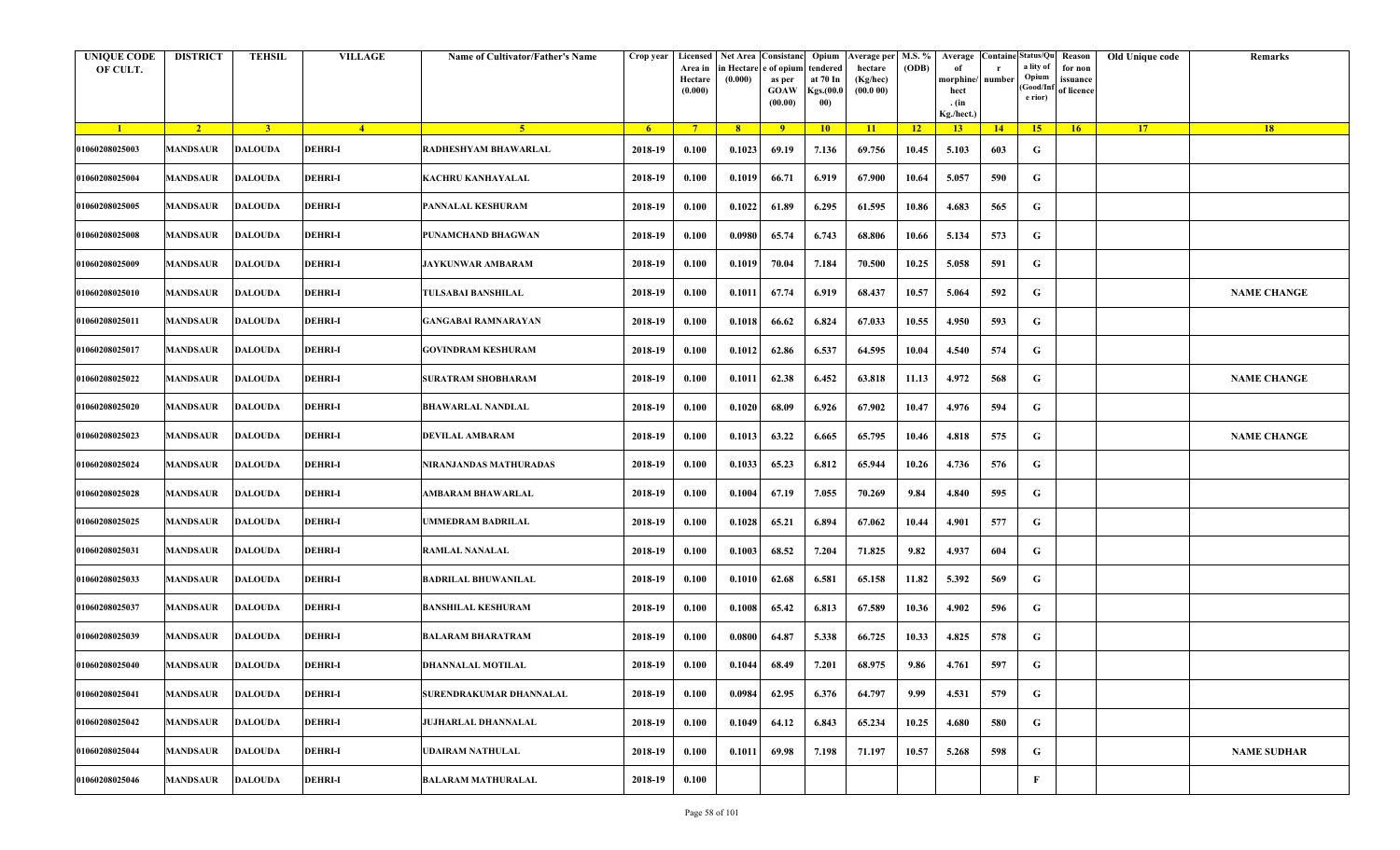| <b>UNIQUE CODE</b><br>OF CULT. | <b>DISTRICT</b> | <b>TEHSIL</b>  | <b>VILLAGE</b> | <b>Name of Cultivator/Father's Name</b> | Crop year      | Area in<br>Hectare<br>(0.000) | in Hectare<br>(0.000) | Licensed Net Area   Consistanc   Opium<br>e of opium<br>as per<br><b>GOAW</b><br>(00.00) | :endered<br>at 70 In<br>Kgs.(00.0<br>00) | Verage per   M.S. %<br>hectare<br>(Kg/hec)<br>(00.000) | (ODB)           | Average<br>morphine/<br>hect<br>. $(in$<br>Kg./hect.) | number | <b>Containe Status/Qu</b><br>a lity of<br>Opium<br>Good/Inf<br>e rior) | Reason<br>for non<br>issuance<br>of licence | Old Unique code | Remarks            |
|--------------------------------|-----------------|----------------|----------------|-----------------------------------------|----------------|-------------------------------|-----------------------|------------------------------------------------------------------------------------------|------------------------------------------|--------------------------------------------------------|-----------------|-------------------------------------------------------|--------|------------------------------------------------------------------------|---------------------------------------------|-----------------|--------------------|
| $\blacksquare$                 | $\sqrt{2}$      | 3 <sup>l</sup> | $-4$           | $-5$                                    | 6 <sup>6</sup> | $7^{\circ}$                   | 8 <sup>1</sup>        | 9                                                                                        | $10-10$                                  | $\vert$ 11                                             | $\overline{12}$ | 13                                                    | 14     | 15                                                                     | 16                                          | 17              | 18                 |
| 01060208025003                 | <b>MANDSAUR</b> | <b>DALOUDA</b> | <b>DEHRI-I</b> | RADHESHYAM BHAWARLAL                    | 2018-19        | 0.100                         | 0.1023                | 69.19                                                                                    | 7.136                                    | 69.756                                                 | 10.45           | 5.103                                                 | 603    | G                                                                      |                                             |                 |                    |
| 01060208025004                 | MANDSAUR        | <b>DALOUDA</b> | <b>DEHRI-I</b> | KACHRU KANHAYALAL                       | 2018-19        | 0.100                         | 0.1019                | 66.71                                                                                    | 6.919                                    | 67.900                                                 | 10.64           | 5.057                                                 | 590    | G                                                                      |                                             |                 |                    |
| 01060208025005                 | <b>MANDSAUR</b> | <b>DALOUDA</b> | <b>DEHRI-I</b> | PANNALAL KESHURAM                       | 2018-19        | 0.100                         | 0.1022                | 61.89                                                                                    | 6.295                                    | 61.595                                                 | 10.86           | 4.683                                                 | 565    | G                                                                      |                                             |                 |                    |
| 01060208025008                 | <b>MANDSAUR</b> | <b>DALOUDA</b> | <b>DEHRI-I</b> | PUNAMCHAND BHAGWAN                      | 2018-19        | 0.100                         | 0.0980                | 65.74                                                                                    | 6.743                                    | 68.806                                                 | 10.66           | 5.134                                                 | 573    | G                                                                      |                                             |                 |                    |
| 01060208025009                 | <b>MANDSAUR</b> | <b>DALOUDA</b> | <b>DEHRI-I</b> | JAYKUNWAR AMBARAM                       | 2018-19        | 0.100                         | 0.1019                | 70.04                                                                                    | 7.184                                    | 70.500                                                 | 10.25           | 5.058                                                 | 591    | G                                                                      |                                             |                 |                    |
| 01060208025010                 | MANDSAUR        | <b>DALOUDA</b> | <b>DEHRI-I</b> | <b>TULSABAI BANSHILAL</b>               | 2018-19        | 0.100                         | 0.1011                | 67.74                                                                                    | 6.919                                    | 68.437                                                 | 10.57           | 5.064                                                 | 592    | G                                                                      |                                             |                 | <b>NAME CHANGE</b> |
| 01060208025011                 | <b>MANDSAUR</b> | <b>DALOUDA</b> | <b>DEHRI-I</b> | <b>GANGABAI RAMNARAYAN</b>              | 2018-19        | 0.100                         | 0.1018                | 66.62                                                                                    | 6.824                                    | 67.033                                                 | 10.55           | 4.950                                                 | 593    | G                                                                      |                                             |                 |                    |
| 01060208025017                 | MANDSAUR        | <b>DALOUDA</b> | <b>DEHRI-I</b> | <b>GOVINDRAM KESHURAM</b>               | 2018-19        | 0.100                         | 0.1012                | 62.86                                                                                    | 6.537                                    | 64.595                                                 | 10.04           | 4.540                                                 | 574    | G                                                                      |                                             |                 |                    |
| 01060208025022                 | <b>MANDSAUR</b> | <b>DALOUDA</b> | <b>DEHRI-I</b> | <b>SURATRAM SHOBHARAM</b>               | 2018-19        | 0.100                         | 0.1011                | 62.38                                                                                    | 6.452                                    | 63.818                                                 | 11.13           | 4.972                                                 | 568    | G                                                                      |                                             |                 | <b>NAME CHANGE</b> |
| 01060208025020                 | MANDSAUR        | <b>DALOUDA</b> | <b>DEHRI-I</b> | BHAWARLAL NANDLAL                       | 2018-19        | 0.100                         | 0.1020                | 68.09                                                                                    | 6.926                                    | 67.902                                                 | 10.47           | 4.976                                                 | 594    | G                                                                      |                                             |                 |                    |
| 01060208025023                 | <b>MANDSAUR</b> | <b>DALOUDA</b> | <b>DEHRI-I</b> | <b>DEVILAL AMBARAM</b>                  | 2018-19        | 0.100                         | 0.1013                | 63.22                                                                                    | 6.665                                    | 65.795                                                 | 10.46           | 4.818                                                 | 575    | G                                                                      |                                             |                 | <b>NAME CHANGE</b> |
| 01060208025024                 | MANDSAUR        | <b>DALOUDA</b> | <b>DEHRI-I</b> | NIRANJANDAS MATHURADAS                  | 2018-19        | 0.100                         | 0.1033                | 65.23                                                                                    | 6.812                                    | 65.944                                                 | 10.26           | 4.736                                                 | 576    | G                                                                      |                                             |                 |                    |
| 01060208025028                 | <b>MANDSAUR</b> | <b>DALOUDA</b> | <b>DEHRI-I</b> | AMBARAM BHAWARLAL                       | 2018-19        | 0.100                         | 0.1004                | 67.19                                                                                    | 7.055                                    | 70.269                                                 | 9.84            | 4.840                                                 | 595    | G                                                                      |                                             |                 |                    |
| 01060208025025                 | <b>MANDSAUR</b> | <b>DALOUDA</b> | <b>DEHRI-I</b> | <b>UMMEDRAM BADRILAL</b>                | 2018-19        | 0.100                         | 0.1028                | 65.21                                                                                    | 6.894                                    | 67.062                                                 | 10.44           | 4.901                                                 | 577    | G                                                                      |                                             |                 |                    |
| 01060208025031                 | MANDSAUR        | <b>DALOUDA</b> | <b>DEHRI-I</b> | <b>RAMLAL NANALAL</b>                   | 2018-19        | 0.100                         | 0.1003                | 68.52                                                                                    | 7.204                                    | 71.825                                                 | 9.82            | 4.937                                                 | 604    | G                                                                      |                                             |                 |                    |
| 01060208025033                 | <b>MANDSAUR</b> | <b>DALOUDA</b> | <b>DEHRI-I</b> | <b>BADRILAL BHUWANILAL</b>              | 2018-19        | 0.100                         | 0.1010                | 62.68                                                                                    | 6.581                                    | 65.158                                                 | 11.82           | 5.392                                                 | 569    | G                                                                      |                                             |                 |                    |
| 01060208025037                 | <b>MANDSAUR</b> | <b>DALOUDA</b> | <b>DEHRI-I</b> | <b>BANSHILAL KESHURAM</b>               | 2018-19        | 0.100                         | 0.1008                | 65.42                                                                                    | 6.813                                    | 67.589                                                 | 10.36           | 4.902                                                 | 596    | G                                                                      |                                             |                 |                    |
| 01060208025039                 | <b>MANDSAUR</b> | <b>DALOUDA</b> | <b>DEHRI-I</b> | <b>BALARAM BHARATRAM</b>                | 2018-19        | 0.100                         | 0.0800                | 64.87                                                                                    | 5.338                                    | 66.725                                                 | 10.33           | 4.825                                                 | 578    | G                                                                      |                                             |                 |                    |
| 01060208025040                 | <b>MANDSAUR</b> | <b>DALOUDA</b> | <b>DEHRI-I</b> | <b>DHANNALAL MOTILAL</b>                | 2018-19        | 0.100                         | 0.1044                | 68.49                                                                                    | 7.201                                    | 68.975                                                 | 9.86            | 4.761                                                 | 597    | G                                                                      |                                             |                 |                    |
| 01060208025041                 | <b>MANDSAUR</b> | <b>DALOUDA</b> | <b>DEHRI-I</b> | <b>SURENDRAKUMAR DHANNALAL</b>          | 2018-19        | 0.100                         | 0.0984                | 62.95                                                                                    | 6.376                                    | 64.797                                                 | 9.99            | 4.531                                                 | 579    | G                                                                      |                                             |                 |                    |
| 01060208025042                 | <b>MANDSAUR</b> | <b>DALOUDA</b> | <b>DEHRI-I</b> | <b>JUJHARLAL DHANNALAL</b>              | 2018-19        | 0.100                         | 0.1049                | 64.12                                                                                    | 6.843                                    | 65.234                                                 | 10.25           | 4.680                                                 | 580    | $\mathbf G$                                                            |                                             |                 |                    |
| 01060208025044                 | <b>MANDSAUR</b> | <b>DALOUDA</b> | <b>DEHRI-I</b> | <b>UDAIRAM NATHULAL</b>                 | 2018-19        | 0.100                         | 0.1011                | 69.98                                                                                    | 7.198                                    | 71.197                                                 | 10.57           | 5.268                                                 | 598    | G                                                                      |                                             |                 | <b>NAME SUDHAR</b> |
| 01060208025046                 | <b>MANDSAUR</b> | <b>DALOUDA</b> | <b>DEHRI-I</b> | <b>BALARAM MATHURALAL</b>               | 2018-19        | 0.100                         |                       |                                                                                          |                                          |                                                        |                 |                                                       |        | F                                                                      |                                             |                 |                    |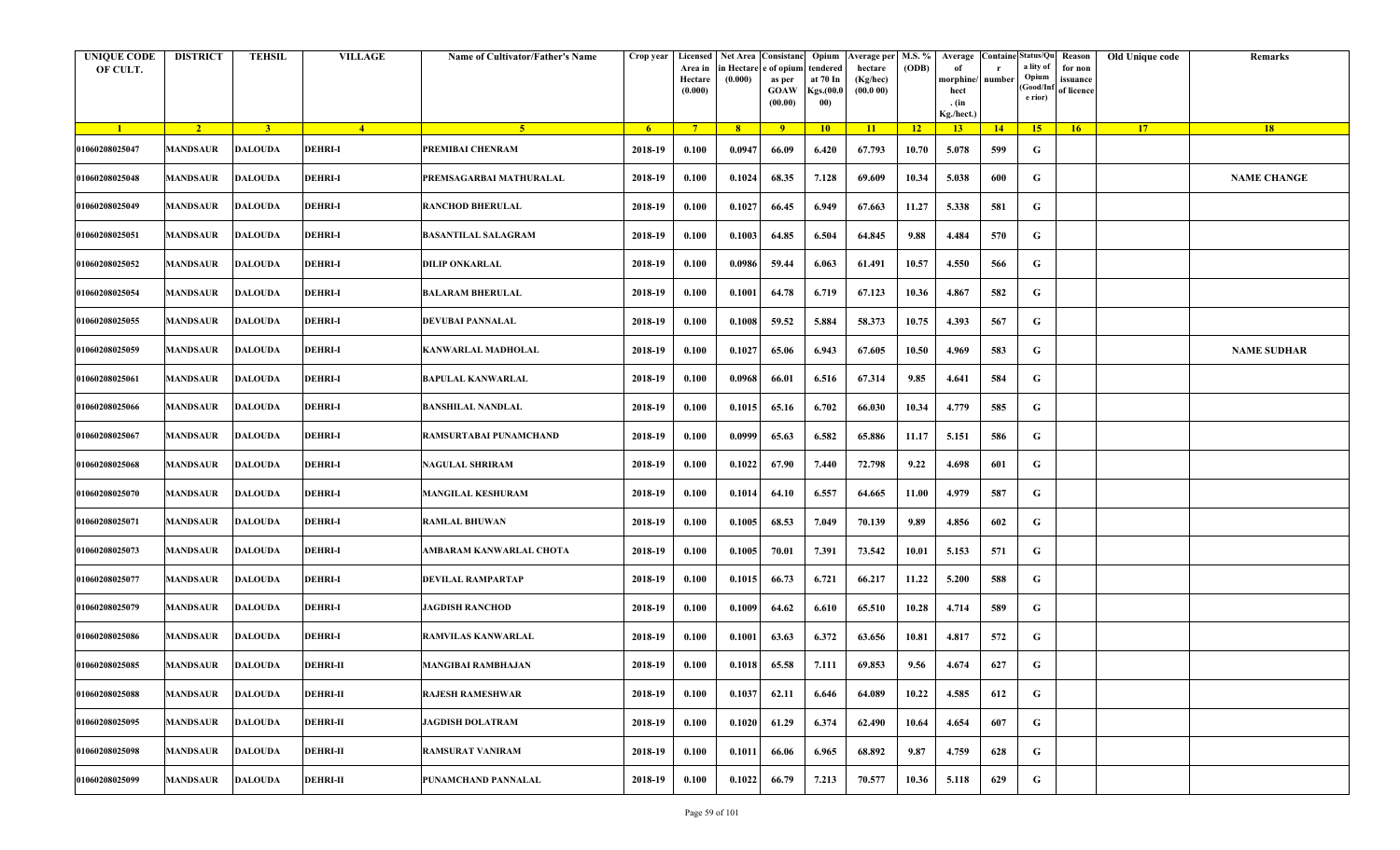| <b>UNIQUE CODE</b><br>OF CULT. | <b>DISTRICT</b> | <b>TEHSIL</b>  | <b>VILLAGE</b>  | <b>Name of Cultivator/Father's Name</b> | Crop year      | Area in<br>Hectare<br>(0.000) | in Hectare<br>(0.000) | Licensed Net Area   Consistanc   Opium<br>e of opium<br>as per<br><b>GOAW</b><br>(00.00) | :endered<br>at 70 In<br>Kgs.(00.0<br>00) | Verage per   M.S. %<br>hectare<br>(Kg/hec)<br>(00.000) | (ODB)           | Average<br>morphine/<br>hect<br>. $(in$<br>Kg./hect.) | number      | <b>Containe Status/Qu</b><br>a lity of<br>Opium<br>Good/Inf<br>e rior) | Reason<br>for non<br>issuance<br>of licence | Old Unique code | Remarks            |
|--------------------------------|-----------------|----------------|-----------------|-----------------------------------------|----------------|-------------------------------|-----------------------|------------------------------------------------------------------------------------------|------------------------------------------|--------------------------------------------------------|-----------------|-------------------------------------------------------|-------------|------------------------------------------------------------------------|---------------------------------------------|-----------------|--------------------|
| $\blacksquare$                 | $\sqrt{2}$      | 3 <sup>l</sup> | $\sqrt{4}$      | -5.                                     | 6 <sup>6</sup> | $7^{\circ}$                   | 8 <sup>1</sup>        | 9                                                                                        | $10-10$                                  | $\vert$ 11                                             | $\overline{12}$ | 13                                                    | $\sqrt{14}$ | 15                                                                     | 16                                          | 17              | 18                 |
| 01060208025047                 | <b>MANDSAUR</b> | <b>DALOUDA</b> | <b>DEHRI-I</b>  | PREMIBAI CHENRAM                        | 2018-19        | 0.100                         | 0.0947                | 66.09                                                                                    | 6.420                                    | 67.793                                                 | 10.70           | 5.078                                                 | 599         | G                                                                      |                                             |                 |                    |
| 01060208025048                 | MANDSAUR        | <b>DALOUDA</b> | <b>DEHRI-I</b>  | PREMSAGARBAI MATHURALAL                 | 2018-19        | 0.100                         | 0.1024                | 68.35                                                                                    | 7.128                                    | 69.609                                                 | 10.34           | 5.038                                                 | 600         | G                                                                      |                                             |                 | <b>NAME CHANGE</b> |
| 01060208025049                 | <b>MANDSAUR</b> | <b>DALOUDA</b> | <b>DEHRI-I</b>  | <b>RANCHOD BHERULAL</b>                 | 2018-19        | 0.100                         | 0.1027                | 66.45                                                                                    | 6.949                                    | 67.663                                                 | 11.27           | 5.338                                                 | 581         | G                                                                      |                                             |                 |                    |
| 01060208025051                 | <b>MANDSAUR</b> | <b>DALOUDA</b> | <b>DEHRI-I</b>  | <b>BASANTILAL SALAGRAM</b>              | 2018-19        | 0.100                         | 0.1003                | 64.85                                                                                    | 6.504                                    | 64.845                                                 | 9.88            | 4.484                                                 | 570         | G                                                                      |                                             |                 |                    |
| 01060208025052                 | <b>MANDSAUR</b> | <b>DALOUDA</b> | <b>DEHRI-I</b>  | <b>DILIP ONKARLAL</b>                   | 2018-19        | 0.100                         | 0.0986                | 59.44                                                                                    | 6.063                                    | 61.491                                                 | 10.57           | 4.550                                                 | 566         | G                                                                      |                                             |                 |                    |
| 01060208025054                 | <b>MANDSAUR</b> | <b>DALOUDA</b> | <b>DEHRI-I</b>  | <b>BALARAM BHERULAL</b>                 | 2018-19        | 0.100                         | 0.1001                | 64.78                                                                                    | 6.719                                    | 67.123                                                 | 10.36           | 4.867                                                 | 582         | G                                                                      |                                             |                 |                    |
| 01060208025055                 | <b>MANDSAUR</b> | <b>DALOUDA</b> | <b>DEHRI-I</b>  | <b>DEVUBAI PANNALAL</b>                 | 2018-19        | 0.100                         | 0.1008                | 59.52                                                                                    | 5.884                                    | 58.373                                                 | 10.75           | 4.393                                                 | 567         | G                                                                      |                                             |                 |                    |
| 01060208025059                 | <b>MANDSAUR</b> | <b>DALOUDA</b> | <b>DEHRI-I</b>  | KANWARLAL MADHOLAL                      | 2018-19        | 0.100                         | 0.1027                | 65.06                                                                                    | 6.943                                    | 67.605                                                 | 10.50           | 4.969                                                 | 583         | G                                                                      |                                             |                 | <b>NAME SUDHAR</b> |
| 01060208025061                 | <b>MANDSAUR</b> | <b>DALOUDA</b> | <b>DEHRI-I</b>  | <b>BAPULAL KANWARLAL</b>                | 2018-19        | 0.100                         | 0.0968                | 66.01                                                                                    | 6.516                                    | 67.314                                                 | 9.85            | 4.641                                                 | 584         | G                                                                      |                                             |                 |                    |
| 01060208025066                 | MANDSAUR        | <b>DALOUDA</b> | <b>DEHRI-I</b>  | <b>BANSHILAL NANDLAL</b>                | 2018-19        | 0.100                         | 0.1015                | 65.16                                                                                    | 6.702                                    | 66.030                                                 | 10.34           | 4.779                                                 | 585         | G                                                                      |                                             |                 |                    |
| 01060208025067                 | <b>MANDSAUR</b> | <b>DALOUDA</b> | <b>DEHRI-I</b>  | RAMSURTABAI PUNAMCHAND                  | 2018-19        | 0.100                         | 0.0999                | 65.63                                                                                    | 6.582                                    | 65.886                                                 | 11.17           | 5.151                                                 | 586         | G                                                                      |                                             |                 |                    |
| 01060208025068                 | MANDSAUR        | <b>DALOUDA</b> | <b>DEHRI-I</b>  | <b>NAGULAL SHRIRAM</b>                  | 2018-19        | 0.100                         | 0.1022                | 67.90                                                                                    | 7.440                                    | 72.798                                                 | 9.22            | 4.698                                                 | 601         | G                                                                      |                                             |                 |                    |
| 01060208025070                 | <b>MANDSAUR</b> | <b>DALOUDA</b> | <b>DEHRI-I</b>  | <b>MANGILAL KESHURAM</b>                | 2018-19        | 0.100                         | 0.1014                | 64.10                                                                                    | 6.557                                    | 64.665                                                 | 11.00           | 4.979                                                 | 587         | G                                                                      |                                             |                 |                    |
| 01060208025071                 | <b>MANDSAUR</b> | <b>DALOUDA</b> | <b>DEHRI-I</b>  | <b>RAMLAL BHUWAN</b>                    | 2018-19        | 0.100                         | 0.1005                | 68.53                                                                                    | 7.049                                    | 70.139                                                 | 9.89            | 4.856                                                 | 602         | G                                                                      |                                             |                 |                    |
| 01060208025073                 | MANDSAUR        | <b>DALOUDA</b> | <b>DEHRI-I</b>  | AMBARAM KANWARLAL CHOTA                 | 2018-19        | 0.100                         | 0.1005                | 70.01                                                                                    | 7.391                                    | 73.542                                                 | 10.01           | 5.153                                                 | 571         | G                                                                      |                                             |                 |                    |
| 01060208025077                 | <b>MANDSAUR</b> | <b>DALOUDA</b> | <b>DEHRI-I</b>  | <b>DEVILAL RAMPARTAP</b>                | 2018-19        | 0.100                         | 0.1015                | 66.73                                                                                    | 6.721                                    | 66.217                                                 | 11.22           | 5.200                                                 | 588         | G                                                                      |                                             |                 |                    |
| 01060208025079                 | <b>MANDSAUR</b> | <b>DALOUDA</b> | <b>DEHRI-I</b>  | <b>JAGDISH RANCHOD</b>                  | 2018-19        | 0.100                         | 0.1009                | 64.62                                                                                    | 6.610                                    | 65.510                                                 | 10.28           | 4.714                                                 | 589         | G                                                                      |                                             |                 |                    |
| 01060208025086                 | <b>MANDSAUR</b> | <b>DALOUDA</b> | <b>DEHRI-I</b>  | <b>RAMVILAS KANWARLAL</b>               | 2018-19        | 0.100                         | 0.1001                | 63.63                                                                                    | 6.372                                    | 63.656                                                 | 10.81           | 4.817                                                 | 572         | G                                                                      |                                             |                 |                    |
| 01060208025085                 | <b>MANDSAUR</b> | <b>DALOUDA</b> | <b>DEHRI-II</b> | <b>MANGIBAI RAMBHAJAN</b>               | 2018-19        | 0.100                         | 0.1018                | 65.58                                                                                    | 7.111                                    | 69.853                                                 | 9.56            | 4.674                                                 | 627         | G                                                                      |                                             |                 |                    |
| 01060208025088                 | <b>MANDSAUR</b> | <b>DALOUDA</b> | <b>DEHRI-II</b> | <b>RAJESH RAMESHWAR</b>                 | 2018-19        | 0.100                         | 0.1037                | 62.11                                                                                    | 6.646                                    | 64.089                                                 | 10.22           | 4.585                                                 | 612         | G                                                                      |                                             |                 |                    |
| 01060208025095                 | <b>MANDSAUR</b> | <b>DALOUDA</b> | <b>DEHRI-II</b> | <b>JAGDISH DOLATRAM</b>                 | 2018-19        | 0.100                         | 0.1020                | 61.29                                                                                    | 6.374                                    | 62.490                                                 | 10.64           | 4.654                                                 | 607         | G                                                                      |                                             |                 |                    |
| 01060208025098                 | <b>MANDSAUR</b> | <b>DALOUDA</b> | <b>DEHRI-II</b> | <b>RAMSURAT VANIRAM</b>                 | 2018-19        | 0.100                         | 0.1011                | 66.06                                                                                    | 6.965                                    | 68.892                                                 | 9.87            | 4.759                                                 | 628         | ${\bf G}$                                                              |                                             |                 |                    |
| 01060208025099                 | <b>MANDSAUR</b> | <b>DALOUDA</b> | <b>DEHRI-II</b> | PUNAMCHAND PANNALAL                     | 2018-19        | 0.100                         | 0.1022                | 66.79                                                                                    | 7.213                                    | 70.577                                                 | 10.36           | 5.118                                                 | 629         | $\mathbf G$                                                            |                                             |                 |                    |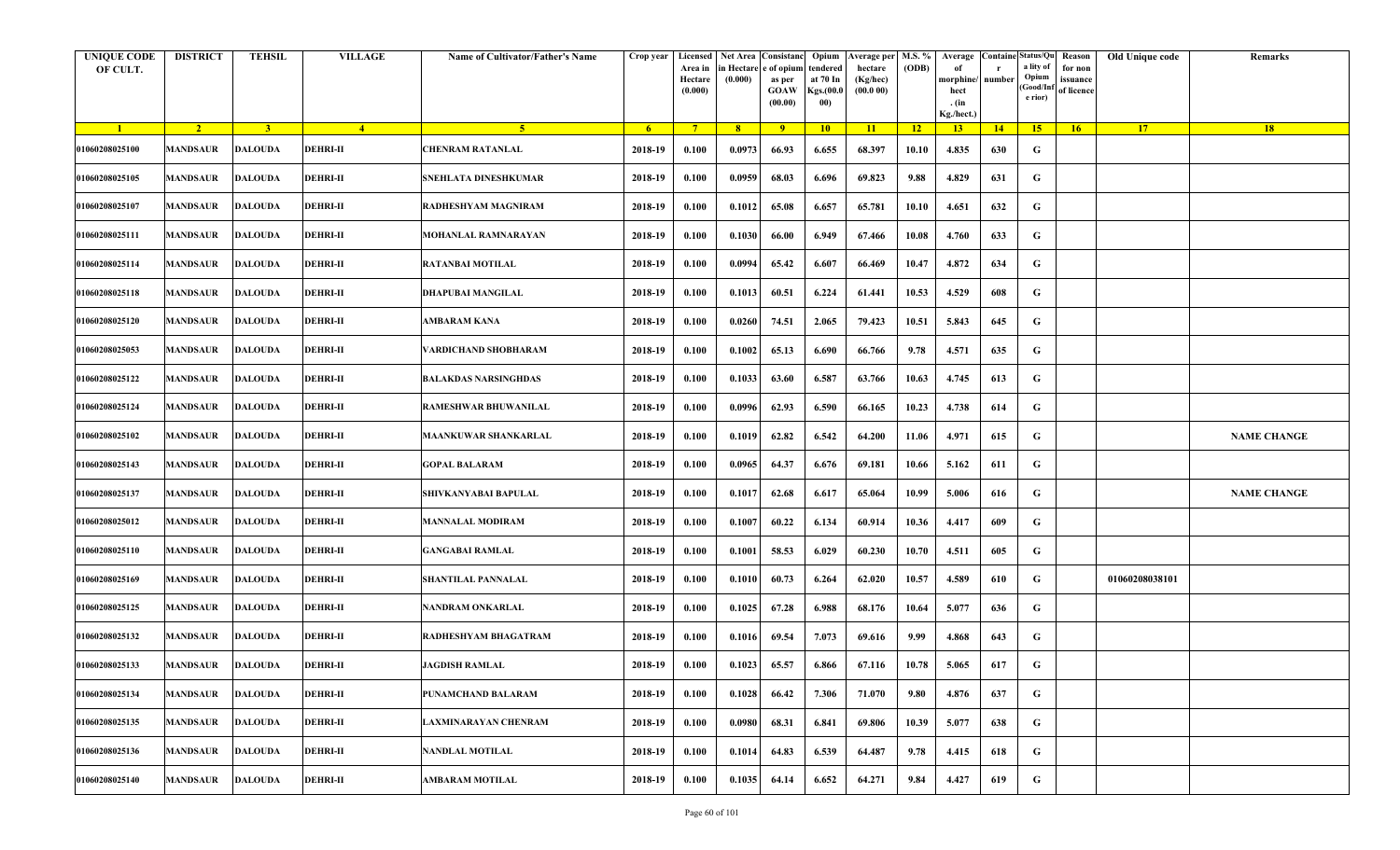| <b>UNIQUE CODE</b><br>OF CULT. | <b>DISTRICT</b> | <b>TEHSIL</b>  | <b>VILLAGE</b>  | <b>Name of Cultivator/Father's Name</b> | Crop year      | Area in<br>Hectare<br>(0.000) | in Hectare<br>(0.000) | Licensed Net Area   Consistanc   Opium<br>e of opium<br>as per<br><b>GOAW</b><br>(00.00) | :endered<br>at 70 In<br>Kgs.(00.0<br>00) | Verage per   M.S. %<br>hectare<br>(Kg/hec)<br>(00.000) | (ODB)           | Average<br>morphine/<br>hect | number      | <b>Containe Status/Qu</b><br>a lity of<br>Opium<br>Good/Inf<br>e rior) | Reason<br>for non<br>issuance<br>of licence | Old Unique code | Remarks            |
|--------------------------------|-----------------|----------------|-----------------|-----------------------------------------|----------------|-------------------------------|-----------------------|------------------------------------------------------------------------------------------|------------------------------------------|--------------------------------------------------------|-----------------|------------------------------|-------------|------------------------------------------------------------------------|---------------------------------------------|-----------------|--------------------|
|                                |                 |                |                 |                                         |                |                               |                       |                                                                                          |                                          |                                                        |                 | . $(in$<br>Kg./hect.)        |             |                                                                        |                                             |                 |                    |
| $\blacksquare$                 | $\sqrt{2}$      | 3 <sup>l</sup> | $\sqrt{4}$      | -5.                                     | 6 <sup>6</sup> | $7^{\circ}$                   | 8 <sup>1</sup>        | 9                                                                                        | $10-10$                                  | $\vert$ 11                                             | $\overline{12}$ | 13                           | $\sqrt{14}$ | 15                                                                     | 16                                          | 17              | 18                 |
| 01060208025100                 | <b>MANDSAUR</b> | <b>DALOUDA</b> | <b>DEHRI-II</b> | <b>CHENRAM RATANLAL</b>                 | 2018-19        | 0.100                         | 0.0973                | 66.93                                                                                    | 6.655                                    | 68.397                                                 | 10.10           | 4.835                        | 630         | G                                                                      |                                             |                 |                    |
| 01060208025105                 | MANDSAUR        | <b>DALOUDA</b> | <b>DEHRI-II</b> | <b>SNEHLATA DINESHKUMAR</b>             | 2018-19        | 0.100                         | 0.0959                | 68.03                                                                                    | 6.696                                    | 69.823                                                 | 9.88            | 4.829                        | 631         | G                                                                      |                                             |                 |                    |
| 01060208025107                 | <b>MANDSAUR</b> | <b>DALOUDA</b> | <b>DEHRI-II</b> | <b>RADHESHYAM MAGNIRAM</b>              | 2018-19        | 0.100                         | 0.1012                | 65.08                                                                                    | 6.657                                    | 65.781                                                 | 10.10           | 4.651                        | 632         | G                                                                      |                                             |                 |                    |
| 01060208025111                 | <b>MANDSAUR</b> | <b>DALOUDA</b> | <b>DEHRI-II</b> | <b>MOHANLAL RAMNARAYAN</b>              | 2018-19        | 0.100                         | 0.1030                | 66.00                                                                                    | 6.949                                    | 67.466                                                 | 10.08           | 4.760                        | 633         | G                                                                      |                                             |                 |                    |
| 01060208025114                 | <b>MANDSAUR</b> | <b>DALOUDA</b> | <b>DEHRI-II</b> | <b>RATANBAI MOTILAL</b>                 | 2018-19        | 0.100                         | 0.0994                | 65.42                                                                                    | 6.607                                    | 66.469                                                 | 10.47           | 4.872                        | 634         | G                                                                      |                                             |                 |                    |
| 01060208025118                 | MANDSAUR        | <b>DALOUDA</b> | <b>DEHRI-II</b> | <b>DHAPUBAI MANGILAL</b>                | 2018-19        | 0.100                         | 0.1013                | 60.51                                                                                    | 6.224                                    | 61.441                                                 | 10.53           | 4.529                        | 608         | G                                                                      |                                             |                 |                    |
| 01060208025120                 | <b>MANDSAUR</b> | <b>DALOUDA</b> | <b>DEHRI-II</b> | AMBARAM KANA                            | 2018-19        | 0.100                         | 0.0260                | 74.51                                                                                    | 2.065                                    | 79.423                                                 | 10.51           | 5.843                        | 645         | G                                                                      |                                             |                 |                    |
| 01060208025053                 | <b>MANDSAUR</b> | <b>DALOUDA</b> | <b>DEHRI-II</b> | VARDICHAND SHOBHARAM                    | 2018-19        | 0.100                         | 0.1002                | 65.13                                                                                    | 6.690                                    | 66.766                                                 | 9.78            | 4.571                        | 635         | G                                                                      |                                             |                 |                    |
| 01060208025122                 | <b>MANDSAUR</b> | <b>DALOUDA</b> | <b>DEHRI-II</b> | <b>BALAKDAS NARSINGHDAS</b>             | 2018-19        | 0.100                         | 0.1033                | 63.60                                                                                    | 6.587                                    | 63.766                                                 | 10.63           | 4.745                        | 613         | G                                                                      |                                             |                 |                    |
| 01060208025124                 | MANDSAUR        | <b>DALOUDA</b> | <b>DEHRI-II</b> | RAMESHWAR BHUWANILAL                    | 2018-19        | 0.100                         | 0.0996                | 62.93                                                                                    | 6.590                                    | 66.165                                                 | 10.23           | 4.738                        | 614         | G                                                                      |                                             |                 |                    |
| 01060208025102                 | <b>MANDSAUR</b> | <b>DALOUDA</b> | <b>DEHRI-II</b> | <b>MAANKUWAR SHANKARLAL</b>             | 2018-19        | 0.100                         | 0.1019                | 62.82                                                                                    | 6.542                                    | 64.200                                                 | 11.06           | 4.971                        | 615         | G                                                                      |                                             |                 | <b>NAME CHANGE</b> |
| 01060208025143                 | MANDSAUR        | <b>DALOUDA</b> | <b>DEHRI-II</b> | <b>GOPAL BALARAM</b>                    | 2018-19        | 0.100                         | 0.0965                | 64.37                                                                                    | 6.676                                    | 69.181                                                 | 10.66           | 5.162                        | 611         | G                                                                      |                                             |                 |                    |
| 01060208025137                 | <b>MANDSAUR</b> | <b>DALOUDA</b> | <b>DEHRI-II</b> | SHIVKANYABAI BAPULAL                    | 2018-19        | 0.100                         | 0.1017                | 62.68                                                                                    | 6.617                                    | 65.064                                                 | 10.99           | 5.006                        | 616         | G                                                                      |                                             |                 | <b>NAME CHANGE</b> |
| 01060208025012                 | <b>MANDSAUR</b> | <b>DALOUDA</b> | <b>DEHRI-II</b> | <b>MANNALAL MODIRAM</b>                 | 2018-19        | 0.100                         | 0.1007                | 60.22                                                                                    | 6.134                                    | 60.914                                                 | 10.36           | 4.417                        | 609         | G                                                                      |                                             |                 |                    |
| 01060208025110                 | MANDSAUR        | <b>DALOUDA</b> | <b>DEHRI-II</b> | <b>GANGABAI RAMLAL</b>                  | 2018-19        | 0.100                         | 0.1001                | 58.53                                                                                    | 6.029                                    | 60.230                                                 | 10.70           | 4.511                        | 605         | G                                                                      |                                             |                 |                    |
| 01060208025169                 | <b>MANDSAUR</b> | <b>DALOUDA</b> | <b>DEHRI-II</b> | <b>SHANTILAL PANNALAL</b>               | 2018-19        | 0.100                         | 0.1010                | 60.73                                                                                    | 6.264                                    | 62.020                                                 | 10.57           | 4.589                        | 610         | G                                                                      |                                             | 01060208038101  |                    |
| 01060208025125                 | <b>MANDSAUR</b> | <b>DALOUDA</b> | <b>DEHRI-II</b> | <b>NANDRAM ONKARLAL</b>                 | 2018-19        | 0.100                         | 0.1025                | 67.28                                                                                    | 6.988                                    | 68.176                                                 | 10.64           | 5.077                        | 636         | G                                                                      |                                             |                 |                    |
| 01060208025132                 | <b>MANDSAUR</b> | <b>DALOUDA</b> | <b>DEHRI-II</b> | RADHESHYAM BHAGATRAM                    | 2018-19        | 0.100                         | 0.1016                | 69.54                                                                                    | 7.073                                    | 69.616                                                 | 9.99            | 4.868                        | 643         | G                                                                      |                                             |                 |                    |
| 01060208025133                 | MANDSAUR        | <b>DALOUDA</b> | <b>DEHRI-II</b> | <b>JAGDISH RAMLAL</b>                   | 2018-19        | 0.100                         | 0.1023                | 65.57                                                                                    | 6.866                                    | 67.116                                                 | 10.78           | 5.065                        | 617         | G                                                                      |                                             |                 |                    |
| 01060208025134                 | <b>MANDSAUR</b> | <b>DALOUDA</b> | <b>DEHRI-II</b> | PUNAMCHAND BALARAM                      | 2018-19        | 0.100                         | 0.1028                | 66.42                                                                                    | 7.306                                    | 71.070                                                 | 9.80            | 4.876                        | 637         | G                                                                      |                                             |                 |                    |
| 01060208025135                 | <b>MANDSAUR</b> | <b>DALOUDA</b> | <b>DEHRI-II</b> | <b>LAXMINARAYAN CHENRAM</b>             | 2018-19        | 0.100                         | 0.0980                | 68.31                                                                                    | 6.841                                    | 69.806                                                 | 10.39           | 5.077                        | 638         | G                                                                      |                                             |                 |                    |
| 01060208025136                 | <b>MANDSAUR</b> | <b>DALOUDA</b> | <b>DEHRI-II</b> | <b>NANDLAL MOTILAL</b>                  | 2018-19        | 0.100                         | 0.1014                | 64.83                                                                                    | 6.539                                    | 64.487                                                 | 9.78            | 4.415                        | 618         | ${\bf G}$                                                              |                                             |                 |                    |
| 01060208025140                 | <b>MANDSAUR</b> | <b>DALOUDA</b> | <b>DEHRI-II</b> | AMBARAM MOTILAL                         | 2018-19        | 0.100                         | 0.1035                | 64.14                                                                                    | 6.652                                    | 64.271                                                 | 9.84            | 4.427                        | 619         | G                                                                      |                                             |                 |                    |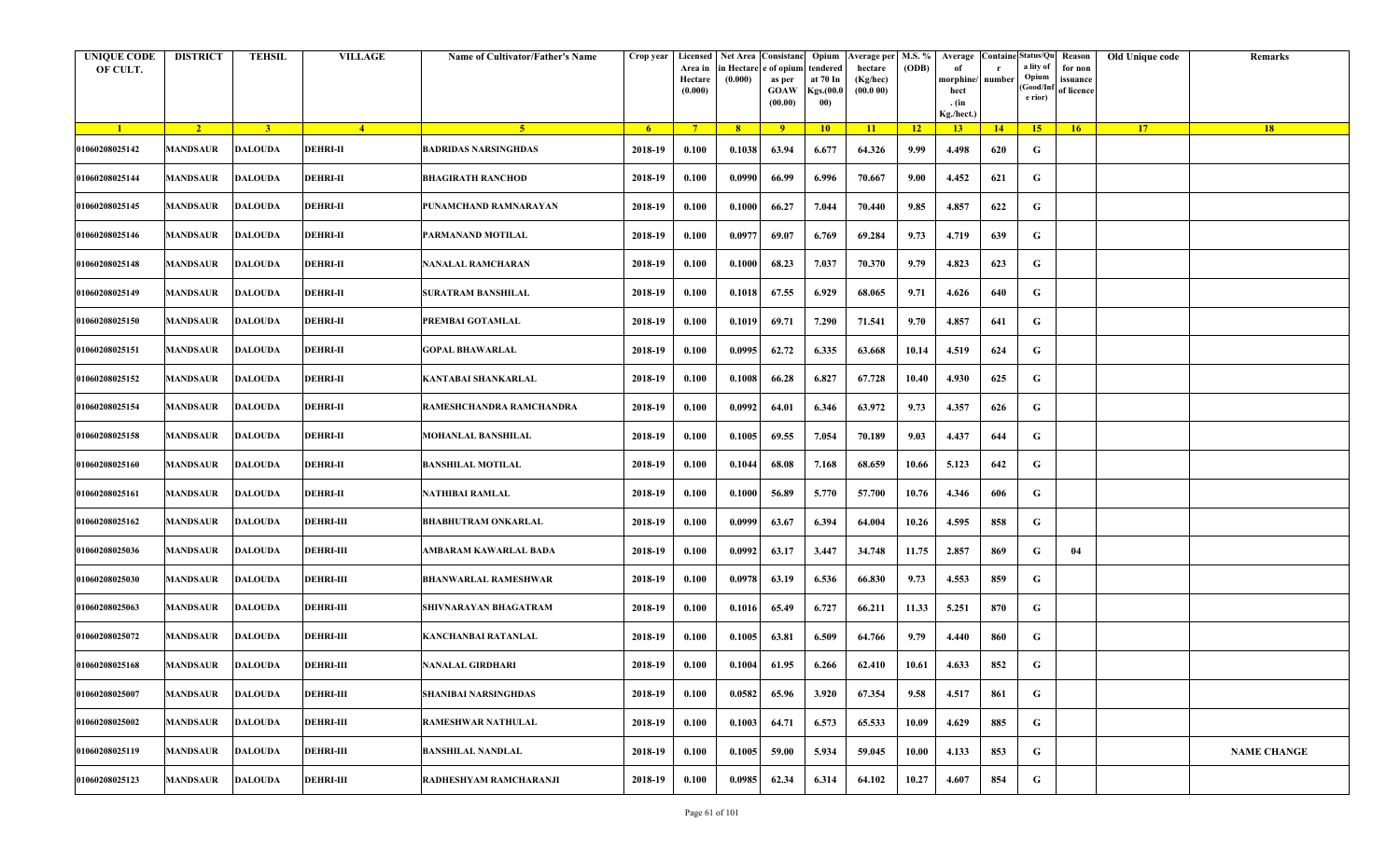| <b>UNIQUE CODE</b><br>OF CULT. | <b>DISTRICT</b> | <b>TEHSIL</b>  | <b>VILLAGE</b>   | Name of Cultivator/Father's Name | Crop year   | Area in<br>Hectare<br>(0.000) | Licensed Net Area Consistanc<br>ı Hectar<br>(0.000) | e of opium<br>as per<br><b>GOAW</b><br>(00.00) | Opium<br>tendered<br>at 70 In<br>Kgs.(00.<br>00) | Average per   M.S. %<br>hectare<br>(Kg/hec)<br>(00.000) | (ODB) | Average<br>morphine/<br>hect<br>. (in<br>Kg./hect.) | <b>Containe Status/Qu</b><br>number | a lity of<br>Opium<br>(Good/In:<br>e rior) | Reason<br>for non<br>issuance<br>of licence | Old Unique code | Remarks            |
|--------------------------------|-----------------|----------------|------------------|----------------------------------|-------------|-------------------------------|-----------------------------------------------------|------------------------------------------------|--------------------------------------------------|---------------------------------------------------------|-------|-----------------------------------------------------|-------------------------------------|--------------------------------------------|---------------------------------------------|-----------------|--------------------|
| $\blacksquare$ 1               | $\sqrt{2}$      | 3 <sup>7</sup> | $\sqrt{4}$       | $\sqrt{5}$                       | $6^{\circ}$ | $-7$                          | 8 <sup>1</sup>                                      | $^{\circ}$                                     | 10                                               | $\vert$ 11                                              | $-12$ | 13                                                  | 14                                  | 15                                         | 16                                          | 17              | 18                 |
| 01060208025142                 | <b>MANDSAUR</b> | <b>DALOUDA</b> | <b>DEHRI-II</b>  | <b>BADRIDAS NARSINGHDAS</b>      | 2018-19     | 0.100                         | 0.1038                                              | 63.94                                          | 6.677                                            | 64.326                                                  | 9.99  | 4.498                                               | 620                                 | G                                          |                                             |                 |                    |
| 01060208025144                 | MANDSAUR        | <b>DALOUDA</b> | <b>DEHRI-II</b>  | <b>BHAGIRATH RANCHOD</b>         | 2018-19     | 0.100                         | 0.0990                                              | 66.99                                          | 6.996                                            | 70.667                                                  | 9.00  | 4.452                                               | 621                                 | G                                          |                                             |                 |                    |
| 01060208025145                 | <b>MANDSAUR</b> | <b>DALOUDA</b> | <b>DEHRI-II</b>  | PUNAMCHAND RAMNARAYAN            | 2018-19     | 0.100                         | 0.1000                                              | 66.27                                          | 7.044                                            | 70.440                                                  | 9.85  | 4.857                                               | 622                                 | G                                          |                                             |                 |                    |
| 01060208025146                 | <b>MANDSAUR</b> | <b>DALOUDA</b> | <b>DEHRI-II</b>  | PARMANAND MOTILAL                | 2018-19     | 0.100                         | 0.0977                                              | 69.07                                          | 6.769                                            | 69.284                                                  | 9.73  | 4.719                                               | 639                                 | G                                          |                                             |                 |                    |
| 01060208025148                 | <b>MANDSAUR</b> | <b>DALOUDA</b> | <b>DEHRI-II</b>  | NANALAL RAMCHARAN                | 2018-19     | 0.100                         | 0.1000                                              | 68.23                                          | 7.037                                            | 70.370                                                  | 9.79  | 4.823                                               | 623                                 | G                                          |                                             |                 |                    |
| 01060208025149                 | <b>MANDSAUR</b> | <b>DALOUDA</b> | <b>DEHRI-II</b>  | SURATRAM BANSHILAL               | 2018-19     | 0.100                         | 0.1018                                              | 67.55                                          | 6.929                                            | 68.065                                                  | 9.71  | 4.626                                               | 640                                 | G                                          |                                             |                 |                    |
| 01060208025150                 | MANDSAUR        | <b>DALOUDA</b> | <b>DEHRI-II</b>  | PREMBAI GOTAMLAL                 | 2018-19     | 0.100                         | 0.1019                                              | 69.71                                          | 7.290                                            | 71.541                                                  | 9.70  | 4.857                                               | 641                                 | G                                          |                                             |                 |                    |
| 01060208025151                 | MANDSAUR        | <b>DALOUDA</b> | <b>DEHRI-II</b>  | <b>GOPAL BHAWARLAL</b>           | 2018-19     | 0.100                         | 0.0995                                              | 62.72                                          | 6.335                                            | 63.668                                                  | 10.14 | 4.519                                               | 624                                 | G                                          |                                             |                 |                    |
| 01060208025152                 | <b>MANDSAUR</b> | <b>DALOUDA</b> | <b>DEHRI-II</b>  | <b>KANTABAI SHANKARLAL</b>       | 2018-19     | 0.100                         | 0.1008                                              | 66.28                                          | 6.827                                            | 67.728                                                  | 10.40 | 4.930                                               | 625                                 | G                                          |                                             |                 |                    |
| 01060208025154                 | MANDSAUR        | <b>DALOUDA</b> | <b>DEHRI-II</b>  | RAMESHCHANDRA RAMCHANDRA         | 2018-19     | 0.100                         | 0.0992                                              | 64.01                                          | 6.346                                            | 63.972                                                  | 9.73  | 4.357                                               | 626                                 | G                                          |                                             |                 |                    |
| 01060208025158                 | MANDSAUR        | <b>DALOUDA</b> | <b>DEHRI-II</b>  | <b>MOHANLAL BANSHILAL</b>        | 2018-19     | 0.100                         | 0.1005                                              | 69.55                                          | 7.054                                            | 70.189                                                  | 9.03  | 4.437                                               | 644                                 | G                                          |                                             |                 |                    |
| 01060208025160                 | MANDSAUR        | <b>DALOUDA</b> | <b>DEHRI-II</b>  | <b>BANSHILAL MOTILAL</b>         | 2018-19     | 0.100                         | 0.1044                                              | 68.08                                          | 7.168                                            | 68.659                                                  | 10.66 | 5.123                                               | 642                                 | G                                          |                                             |                 |                    |
| 01060208025161                 | <b>MANDSAUR</b> | <b>DALOUDA</b> | <b>DEHRI-II</b>  | NATHIBAI RAMLAL                  | 2018-19     | 0.100                         | 0.1000                                              | 56.89                                          | 5.770                                            | 57.700                                                  | 10.76 | 4.346                                               | 606                                 | G                                          |                                             |                 |                    |
| 01060208025162                 | MANDSAUR        | <b>DALOUDA</b> | <b>DEHRI-III</b> | <b>BHABHUTRAM ONKARLAL</b>       | 2018-19     | 0.100                         | 0.0999                                              | 63.67                                          | 6.394                                            | 64.004                                                  | 10.26 | 4.595                                               | 858                                 | G                                          |                                             |                 |                    |
| 01060208025036                 | MANDSAUR        | <b>DALOUDA</b> | <b>DEHRI-III</b> | AMBARAM KAWARLAL BADA            | 2018-19     | 0.100                         | 0.0992                                              | 63.17                                          | 3.447                                            | 34.748                                                  | 11.75 | 2.857                                               | 869                                 | G                                          | 04                                          |                 |                    |
| 01060208025030                 | <b>MANDSAUR</b> | <b>DALOUDA</b> | <b>DEHRI-III</b> | <b>BHANWARLAL RAMESHWAR</b>      | 2018-19     | 0.100                         | 0.0978                                              | 63.19                                          | 6.536                                            | 66.830                                                  | 9.73  | 4.553                                               | 859                                 | G                                          |                                             |                 |                    |
| 01060208025063                 | MANDSAUR        | <b>DALOUDA</b> | <b>DEHRI-III</b> | SHIVNARAYAN BHAGATRAM            | 2018-19     | 0.100                         | 0.1016                                              | 65.49                                          | 6.727                                            | 66.211                                                  | 11.33 | 5.251                                               | 870                                 | G                                          |                                             |                 |                    |
| 01060208025072                 | MANDSAUR        | <b>DALOUDA</b> | <b>DEHRI-III</b> | <b>KANCHANBAI RATANLAL</b>       | 2018-19     | 0.100                         | 0.1005                                              | 63.81                                          | 6.509                                            | 64.766                                                  | 9.79  | 4.440                                               | 860                                 | G                                          |                                             |                 |                    |
| 01060208025168                 | MANDSAUR        | <b>DALOUDA</b> | <b>DEHRI-III</b> | <b>NANALAL GIRDHARI</b>          | 2018-19     | 0.100                         | 0.1004                                              | 61.95                                          | 6.266                                            | 62.410                                                  | 10.61 | 4.633                                               | 852                                 | G                                          |                                             |                 |                    |
| 01060208025007                 | <b>MANDSAUR</b> | <b>DALOUDA</b> | <b>DEHRI-III</b> | SHANIBAI NARSINGHDAS             | 2018-19     | 0.100                         | 0.0582                                              | 65.96                                          | 3.920                                            | 67.354                                                  | 9.58  | 4.517                                               | 861                                 | G                                          |                                             |                 |                    |
| 01060208025002                 | <b>MANDSAUR</b> | <b>DALOUDA</b> | <b>DEHRI-III</b> | RAMESHWAR NATHULAL               | 2018-19     | 0.100                         | 0.1003                                              | 64.71                                          | 6.573                                            | 65.533                                                  | 10.09 | 4.629                                               | 885                                 | G                                          |                                             |                 |                    |
| 01060208025119                 | <b>MANDSAUR</b> | <b>DALOUDA</b> | <b>DEHRI-III</b> | <b>BANSHILAL NANDLAL</b>         | 2018-19     | 0.100                         | 0.1005                                              | 59.00                                          | 5.934                                            | 59.045                                                  | 10.00 | 4.133                                               | 853                                 | G                                          |                                             |                 | <b>NAME CHANGE</b> |
| 01060208025123                 | <b>MANDSAUR</b> | <b>DALOUDA</b> | <b>DEHRI-III</b> | RADHESHYAM RAMCHARANJI           | 2018-19     | 0.100                         | 0.0985                                              | 62.34                                          | 6.314                                            | 64.102                                                  | 10.27 | 4.607                                               | 854                                 | G                                          |                                             |                 |                    |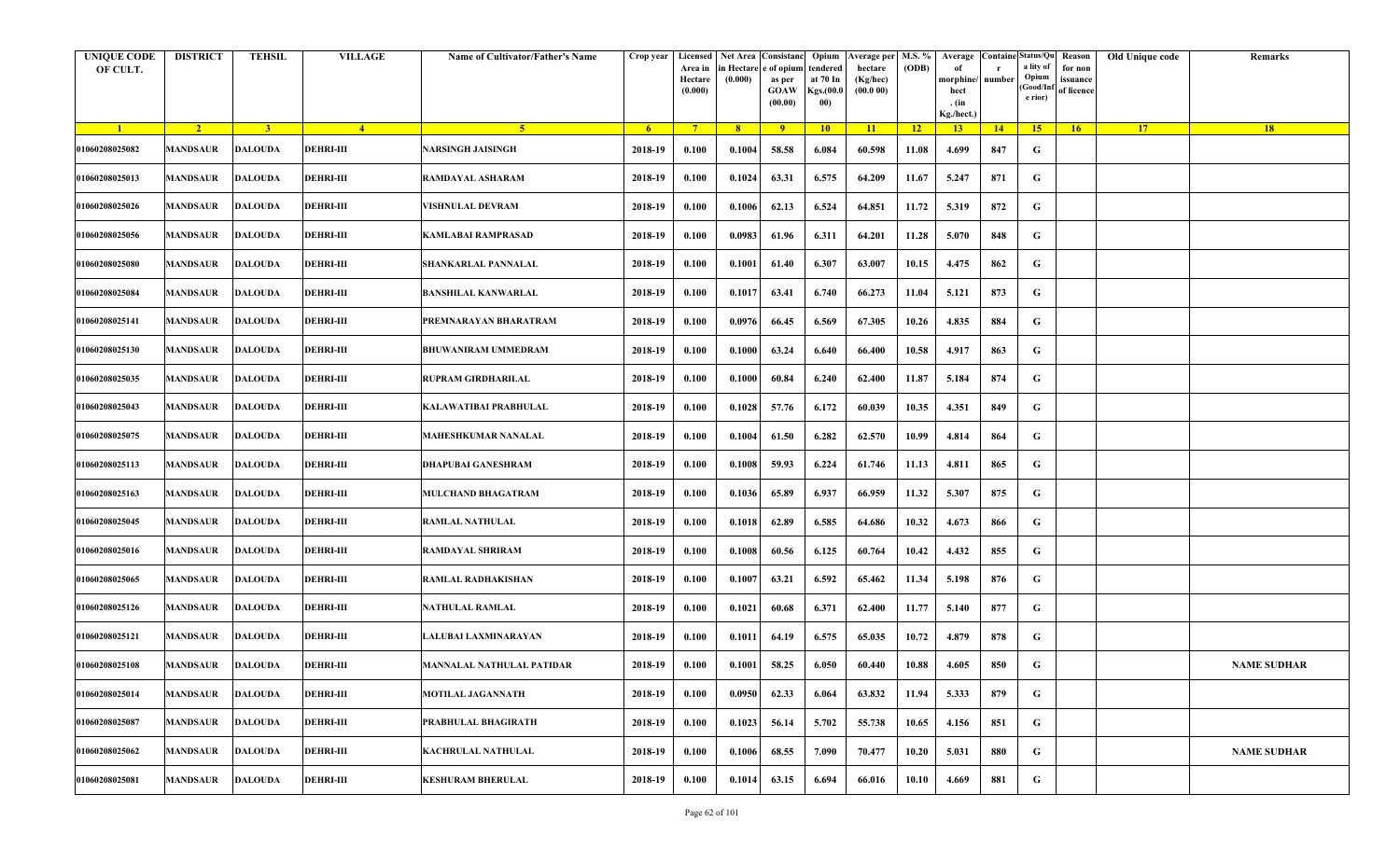| <b>UNIQUE CODE</b><br>OF CULT. | <b>DISTRICT</b> | <b>TEHSIL</b>  | <b>VILLAGE</b>   | Name of Cultivator/Father's Name | Crop year   | Area in<br>Hectare<br>(0.000) | Licensed Net Area Consistanc<br>ı Hectar<br>(0.000) | e of opium<br>as per<br><b>GOAW</b><br>(00.00) | Opium<br>tendered<br>at 70 In<br>Kgs.(00.<br>00) | Average per   M.S. %<br>hectare<br>(Kg/hec)<br>(00.000) | (ODB) | Average<br>morphine/<br>hect<br>. (in | <b>Containe Status/Qu</b><br>number | a lity of<br>Opium<br>(Good/In:<br>e rior) | Reason<br>for non<br>issuance<br>of licence | Old Unique code | Remarks            |
|--------------------------------|-----------------|----------------|------------------|----------------------------------|-------------|-------------------------------|-----------------------------------------------------|------------------------------------------------|--------------------------------------------------|---------------------------------------------------------|-------|---------------------------------------|-------------------------------------|--------------------------------------------|---------------------------------------------|-----------------|--------------------|
| $\blacksquare$ 1               | $\sqrt{2}$      | 3 <sup>7</sup> | $\overline{4}$   | -5.                              | $6^{\circ}$ | $-7$                          | 8 <sup>1</sup>                                      | $-9$                                           | 10                                               | $\vert$ 11                                              | $-12$ | Kg./hect.)<br>13                      | 14                                  | 15                                         | 16                                          | 17              | 18                 |
| 01060208025082                 | MANDSAUR        | <b>DALOUDA</b> | <b>DEHRI-III</b> | NARSINGH JAISINGH                | 2018-19     | 0.100                         | 0.1004                                              | 58.58                                          | 6.084                                            | 60.598                                                  | 11.08 | 4.699                                 | 847                                 | G                                          |                                             |                 |                    |
| 01060208025013                 | MANDSAUR        | <b>DALOUDA</b> | <b>DEHRI-III</b> | RAMDAYAL ASHARAM                 | 2018-19     | 0.100                         | 0.1024                                              | 63.31                                          | 6.575                                            | 64.209                                                  | 11.67 | 5.247                                 | 871                                 | G                                          |                                             |                 |                    |
| 01060208025026                 | <b>MANDSAUR</b> | <b>DALOUDA</b> | <b>DEHRI-III</b> | VISHNULAL DEVRAM                 | 2018-19     | 0.100                         | 0.1006                                              | 62.13                                          | 6.524                                            | 64.851                                                  | 11.72 | 5.319                                 | 872                                 | G                                          |                                             |                 |                    |
| 01060208025056                 | <b>MANDSAUR</b> | <b>DALOUDA</b> | <b>DEHRI-III</b> | <b>KAMLABAI RAMPRASAD</b>        | 2018-19     | 0.100                         | 0.0983                                              | 61.96                                          | 6.311                                            | 64.201                                                  | 11.28 | 5.070                                 | 848                                 | G                                          |                                             |                 |                    |
| 01060208025080                 | <b>MANDSAUR</b> | <b>DALOUDA</b> | <b>DEHRI-III</b> | SHANKARLAL PANNALAL              | 2018-19     | 0.100                         | 0.1001                                              | 61.40                                          | 6.307                                            | 63.007                                                  | 10.15 | 4.475                                 | 862                                 | G                                          |                                             |                 |                    |
| 01060208025084                 | <b>MANDSAUR</b> | <b>DALOUDA</b> | <b>DEHRI-III</b> | <b>BANSHILAL KANWARLAL</b>       | 2018-19     | 0.100                         | 0.1017                                              | 63.41                                          | 6.740                                            | 66.273                                                  | 11.04 | 5.121                                 | 873                                 | G                                          |                                             |                 |                    |
| 01060208025141                 | MANDSAUR        | <b>DALOUDA</b> | <b>DEHRI-III</b> | PREMNARAYAN BHARATRAM            | 2018-19     | 0.100                         | 0.0976                                              | 66.45                                          | 6.569                                            | 67.305                                                  | 10.26 | 4.835                                 | 884                                 | G                                          |                                             |                 |                    |
| 01060208025130                 | MANDSAUR        | <b>DALOUDA</b> | <b>DEHRI-III</b> | <b>BHUWANIRAM UMMEDRAM</b>       | 2018-19     | 0.100                         | 0.1000                                              | 63.24                                          | 6.640                                            | 66.400                                                  | 10.58 | 4.917                                 | 863                                 | G                                          |                                             |                 |                    |
| 01060208025035                 | <b>MANDSAUR</b> | <b>DALOUDA</b> | <b>DEHRI-III</b> | RUPRAM GIRDHARILAL               | 2018-19     | 0.100                         | 0.1000                                              | 60.84                                          | 6.240                                            | 62.400                                                  | 11.87 | 5.184                                 | 874                                 | G                                          |                                             |                 |                    |
| 01060208025043                 | MANDSAUR        | <b>DALOUDA</b> | <b>DEHRI-III</b> | KALAWATIBAI PRABHULAL            | 2018-19     | 0.100                         | 0.1028                                              | 57.76                                          | 6.172                                            | 60.039                                                  | 10.35 | 4.351                                 | 849                                 | G                                          |                                             |                 |                    |
| 01060208025075                 | MANDSAUR        | <b>DALOUDA</b> | <b>DEHRI-III</b> | <b>MAHESHKUMAR NANALAL</b>       | 2018-19     | 0.100                         | 0.1004                                              | 61.50                                          | 6.282                                            | 62.570                                                  | 10.99 | 4.814                                 | 864                                 | G                                          |                                             |                 |                    |
| 01060208025113                 | MANDSAUR        | <b>DALOUDA</b> | <b>DEHRI-III</b> | DHAPUBAI GANESHRAM               | 2018-19     | 0.100                         | 0.1008                                              | 59.93                                          | 6.224                                            | 61.746                                                  | 11.13 | 4.811                                 | 865                                 | G                                          |                                             |                 |                    |
| 01060208025163                 | <b>MANDSAUR</b> | <b>DALOUDA</b> | <b>DEHRI-III</b> | MULCHAND BHAGATRAM               | 2018-19     | 0.100                         | 0.1036                                              | 65.89                                          | 6.937                                            | 66.959                                                  | 11.32 | 5.307                                 | 875                                 | G                                          |                                             |                 |                    |
| 01060208025045                 | MANDSAUR        | <b>DALOUDA</b> | <b>DEHRI-III</b> | <b>RAMLAL NATHULAL</b>           | 2018-19     | 0.100                         | 0.1018                                              | 62.89                                          | 6.585                                            | 64.686                                                  | 10.32 | 4.673                                 | 866                                 | G                                          |                                             |                 |                    |
| 01060208025016                 | MANDSAUR        | <b>DALOUDA</b> | <b>DEHRI-III</b> | <b>RAMDAYAL SHRIRAM</b>          | 2018-19     | 0.100                         | 0.1008                                              | 60.56                                          | 6.125                                            | 60.764                                                  | 10.42 | 4.432                                 | 855                                 | G                                          |                                             |                 |                    |
| 01060208025065                 | <b>MANDSAUR</b> | <b>DALOUDA</b> | <b>DEHRI-III</b> | <b>RAMLAL RADHAKISHAN</b>        | 2018-19     | 0.100                         | 0.1007                                              | 63.21                                          | 6.592                                            | 65.462                                                  | 11.34 | 5.198                                 | 876                                 | G                                          |                                             |                 |                    |
| 01060208025126                 | MANDSAUR        | <b>DALOUDA</b> | <b>DEHRI-III</b> | NATHULAL RAMLAL                  | 2018-19     | 0.100                         | 0.1021                                              | 60.68                                          | 6.371                                            | 62.400                                                  | 11.77 | 5.140                                 | 877                                 | G                                          |                                             |                 |                    |
| 01060208025121                 | MANDSAUR        | <b>DALOUDA</b> | <b>DEHRI-III</b> | LALUBAI LAXMINARAYAN             | 2018-19     | 0.100                         | 0.1011                                              | 64.19                                          | 6.575                                            | 65.035                                                  | 10.72 | 4.879                                 | 878                                 | G                                          |                                             |                 |                    |
| 01060208025108                 | MANDSAUR        | <b>DALOUDA</b> | <b>DEHRI-III</b> | <b>MANNALAL NATHULAL PATIDAR</b> | 2018-19     | 0.100                         | 0.1001                                              | 58.25                                          | 6.050                                            | 60.440                                                  | 10.88 | 4.605                                 | 850                                 | G                                          |                                             |                 | <b>NAME SUDHAR</b> |
| 01060208025014                 | <b>MANDSAUR</b> | <b>DALOUDA</b> | <b>DEHRI-III</b> | <b>MOTILAL JAGANNATH</b>         | 2018-19     | 0.100                         | 0.0950                                              | 62.33                                          | 6.064                                            | 63.832                                                  | 11.94 | 5.333                                 | 879                                 | G                                          |                                             |                 |                    |
| 01060208025087                 | <b>MANDSAUR</b> | <b>DALOUDA</b> | <b>DEHRI-III</b> | PRABHULAL BHAGIRATH              | 2018-19     | 0.100                         | 0.1023                                              | 56.14                                          | 5.702                                            | 55.738                                                  | 10.65 | 4.156                                 | 851                                 | G                                          |                                             |                 |                    |
| 01060208025062                 | <b>MANDSAUR</b> | <b>DALOUDA</b> | <b>DEHRI-III</b> | KACHRULAL NATHULAL               | 2018-19     | 0.100                         | 0.1006                                              | 68.55                                          | 7.090                                            | 70.477                                                  | 10.20 | 5.031                                 | 880                                 | G                                          |                                             |                 | <b>NAME SUDHAR</b> |
| 01060208025081                 | <b>MANDSAUR</b> | <b>DALOUDA</b> | <b>DEHRI-III</b> | <b>KESHURAM BHERULAL</b>         | 2018-19     | 0.100                         | 0.1014                                              | 63.15                                          | 6.694                                            | 66.016                                                  | 10.10 | 4.669                                 | 881                                 | G                                          |                                             |                 |                    |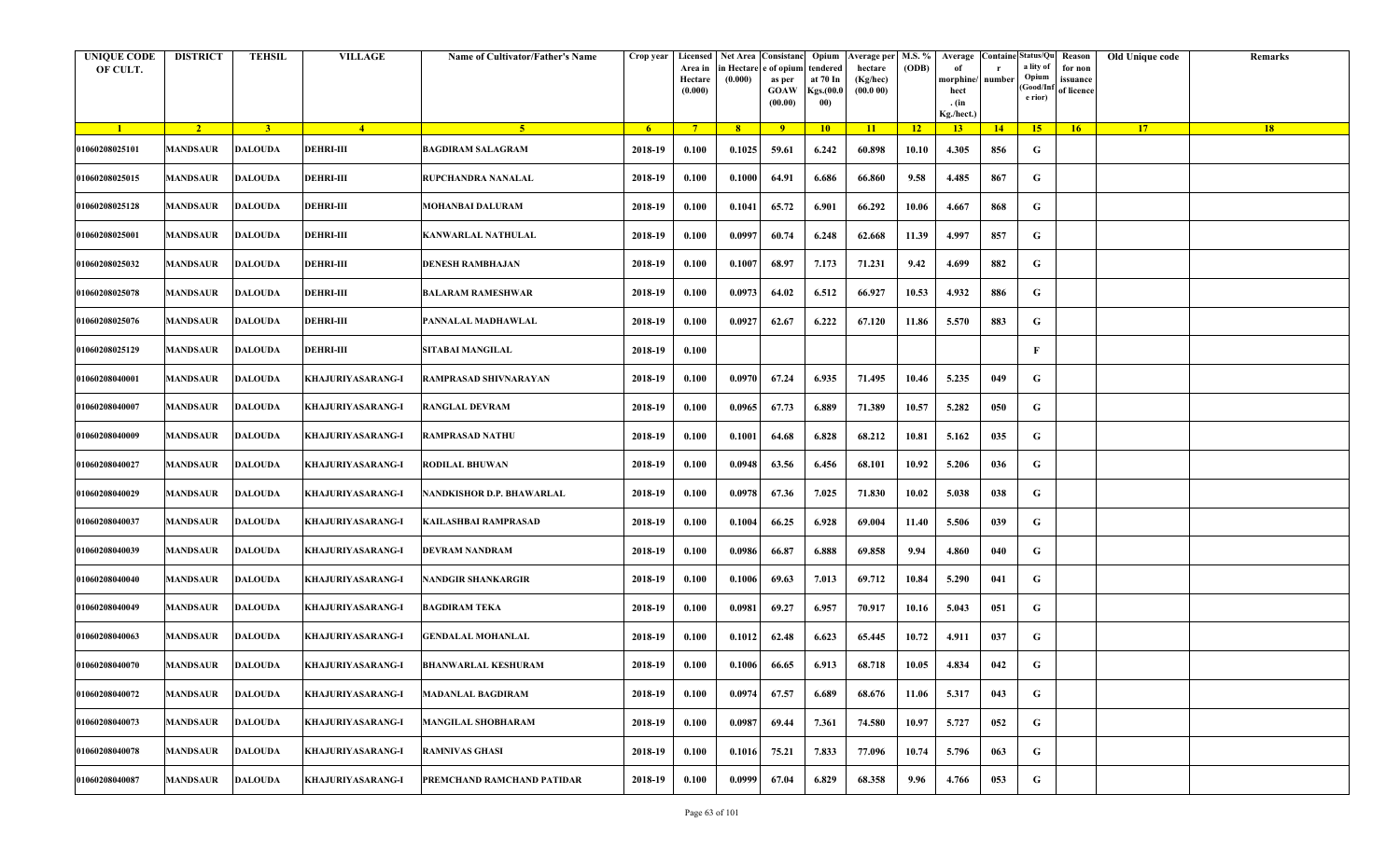| <b>UNIQUE CODE</b><br>OF CULT. | <b>DISTRICT</b> | <b>TEHSIL</b>  | <b>VILLAGE</b>           | Name of Cultivator/Father's Name | Crop year   | Area in<br>Hectare<br>(0.000) | Licensed Net Area Consistanc<br>ı Hectar<br>(0.000) | e of opium<br>as per<br><b>GOAW</b><br>(00.00) | Opium<br>tendered<br>at 70 In<br>Kgs.(00.<br>00) | Average per   M.S. %<br>hectare<br>(Kg/hec)<br>(00.000) | (ODB) | Average<br>morphine/<br>hect<br>. (in<br>Kg./hect.) | <b>Containe Status/Qu</b><br>number | a lity of<br>Opium<br>(Good/In:<br>e rior) | Reason<br>for non<br>issuance<br>of licence | Old Unique code | Remarks |
|--------------------------------|-----------------|----------------|--------------------------|----------------------------------|-------------|-------------------------------|-----------------------------------------------------|------------------------------------------------|--------------------------------------------------|---------------------------------------------------------|-------|-----------------------------------------------------|-------------------------------------|--------------------------------------------|---------------------------------------------|-----------------|---------|
| $\blacksquare$ 1               | $\sqrt{2}$      | 3 <sup>7</sup> | $\sqrt{4}$               | 5 <sup>5</sup>                   | $6^{\circ}$ | $-7$                          | 8 <sup>1</sup>                                      | $-9$                                           | 10                                               | $\vert$ 11                                              | $-12$ | 13                                                  | 14                                  | 15                                         | 16                                          | 17              | 18      |
| 01060208025101                 | MANDSAUR        | <b>DALOUDA</b> | <b>DEHRI-III</b>         | <b>BAGDIRAM SALAGRAM</b>         | 2018-19     | 0.100                         | 0.1025                                              | 59.61                                          | 6.242                                            | 60.898                                                  | 10.10 | 4.305                                               | 856                                 | G                                          |                                             |                 |         |
| 01060208025015                 | MANDSAUR        | <b>DALOUDA</b> | <b>DEHRI-III</b>         | RUPCHANDRA NANALAL               | 2018-19     | 0.100                         | 0.1000                                              | 64.91                                          | 6.686                                            | 66.860                                                  | 9.58  | 4.485                                               | 867                                 | G                                          |                                             |                 |         |
| 01060208025128                 | <b>MANDSAUR</b> | <b>DALOUDA</b> | <b>DEHRI-III</b>         | <b>MOHANBAI DALURAM</b>          | 2018-19     | 0.100                         | 0.1041                                              | 65.72                                          | 6.901                                            | 66.292                                                  | 10.06 | 4.667                                               | 868                                 | G                                          |                                             |                 |         |
| 01060208025001                 | <b>MANDSAUR</b> | <b>DALOUDA</b> | <b>DEHRI-III</b>         | KANWARLAL NATHULAL               | 2018-19     | 0.100                         | 0.0997                                              | 60.74                                          | 6.248                                            | 62.668                                                  | 11.39 | 4.997                                               | 857                                 | G                                          |                                             |                 |         |
| 01060208025032                 | <b>MANDSAUR</b> | <b>DALOUDA</b> | <b>DEHRI-III</b>         | DENESH RAMBHAJAN                 | 2018-19     | 0.100                         | 0.1007                                              | 68.97                                          | 7.173                                            | 71.231                                                  | 9.42  | 4.699                                               | 882                                 | G                                          |                                             |                 |         |
| 01060208025078                 | <b>MANDSAUR</b> | <b>DALOUDA</b> | <b>DEHRI-III</b>         | <b>BALARAM RAMESHWAR</b>         | 2018-19     | 0.100                         | 0.0973                                              | 64.02                                          | 6.512                                            | 66.927                                                  | 10.53 | 4.932                                               | 886                                 | G                                          |                                             |                 |         |
| 01060208025076                 | MANDSAUR        | <b>DALOUDA</b> | <b>DEHRI-III</b>         | PANNALAL MADHAWLAL               | 2018-19     | 0.100                         | 0.0927                                              | 62.67                                          | 6.222                                            | 67.120                                                  | 11.86 | 5.570                                               | 883                                 | G                                          |                                             |                 |         |
| 01060208025129                 | MANDSAUR        | <b>DALOUDA</b> | <b>DEHRI-III</b>         | SITABAI MANGILAL                 | 2018-19     | 0.100                         |                                                     |                                                |                                                  |                                                         |       |                                                     |                                     | $\mathbf{F}$                               |                                             |                 |         |
| 01060208040001                 | <b>MANDSAUR</b> | <b>DALOUDA</b> | <b>KHAJURIYASARANG-I</b> | RAMPRASAD SHIVNARAYAN            | 2018-19     | 0.100                         | 0.0970                                              | 67.24                                          | 6.935                                            | 71.495                                                  | 10.46 | 5.235                                               | 049                                 | G                                          |                                             |                 |         |
| 01060208040007                 | <b>MANDSAUR</b> | <b>DALOUDA</b> | KHAJURIYASARANG-I        | RANGLAL DEVRAM                   | 2018-19     | 0.100                         | 0.0965                                              | 67.73                                          | 6.889                                            | 71.389                                                  | 10.57 | 5.282                                               | 050                                 | G                                          |                                             |                 |         |
| 01060208040009                 | MANDSAUR        | <b>DALOUDA</b> | KHAJURIYASARANG-I        | <b>RAMPRASAD NATHU</b>           | 2018-19     | 0.100                         | 0.1001                                              | 64.68                                          | 6.828                                            | 68.212                                                  | 10.81 | 5.162                                               | 035                                 | G                                          |                                             |                 |         |
| 01060208040027                 | MANDSAUR        | <b>DALOUDA</b> | KHAJURIYASARANG-I        | RODILAL BHUWAN                   | 2018-19     | 0.100                         | 0.0948                                              | 63.56                                          | 6.456                                            | 68.101                                                  | 10.92 | 5.206                                               | 036                                 | G                                          |                                             |                 |         |
| 01060208040029                 | <b>MANDSAUR</b> | <b>DALOUDA</b> | KHAJURIYASARANG-I        | NANDKISHOR D.P. BHAWARLAL        | 2018-19     | 0.100                         | 0.0978                                              | 67.36                                          | 7.025                                            | 71.830                                                  | 10.02 | 5.038                                               | 038                                 | G                                          |                                             |                 |         |
| 01060208040037                 | MANDSAUR        | <b>DALOUDA</b> | KHAJURIYASARANG-I        | KAILASHBAI RAMPRASAD             | 2018-19     | 0.100                         | 0.1004                                              | 66.25                                          | 6.928                                            | 69.004                                                  | 11.40 | 5.506                                               | 039                                 | G                                          |                                             |                 |         |
| 01060208040039                 | MANDSAUR        | <b>DALOUDA</b> | KHAJURIYASARANG-I        | DEVRAM NANDRAM                   | 2018-19     | 0.100                         | 0.0986                                              | 66.87                                          | 6.888                                            | 69.858                                                  | 9.94  | 4.860                                               | 040                                 | G                                          |                                             |                 |         |
| 01060208040040                 | <b>MANDSAUR</b> | <b>DALOUDA</b> | KHAJURIYASARANG-I        | NANDGIR SHANKARGIR               | 2018-19     | 0.100                         | 0.1006                                              | 69.63                                          | 7.013                                            | 69.712                                                  | 10.84 | 5.290                                               | 041                                 | G                                          |                                             |                 |         |
| 01060208040049                 | MANDSAUR        | <b>DALOUDA</b> | KHAJURIYASARANG-I        | <b>BAGDIRAM TEKA</b>             | 2018-19     | 0.100                         | 0.0981                                              | 69.27                                          | 6.957                                            | 70.917                                                  | 10.16 | 5.043                                               | 051                                 | G                                          |                                             |                 |         |
| 01060208040063                 | MANDSAUR        | <b>DALOUDA</b> | <b>KHAJURIYASARANG-I</b> | <b>GENDALAL MOHANLAL</b>         | 2018-19     | 0.100                         | 0.1012                                              | 62.48                                          | 6.623                                            | 65.445                                                  | 10.72 | 4.911                                               | 037                                 | G                                          |                                             |                 |         |
| 01060208040070                 | MANDSAUR        | <b>DALOUDA</b> | <b>KHAJURIYASARANG-I</b> | <b>BHANWARLAL KESHURAM</b>       | 2018-19     | 0.100                         | 0.1006                                              | 66.65                                          | 6.913                                            | 68.718                                                  | 10.05 | 4.834                                               | 042                                 | G                                          |                                             |                 |         |
| 01060208040072                 | <b>MANDSAUR</b> | <b>DALOUDA</b> | KHAJURIYASARANG-I        | <b>MADANLAL BAGDIRAM</b>         | 2018-19     | 0.100                         | 0.0974                                              | 67.57                                          | 6.689                                            | 68.676                                                  | 11.06 | 5.317                                               | 043                                 | G                                          |                                             |                 |         |
| 01060208040073                 | <b>MANDSAUR</b> | <b>DALOUDA</b> | KHAJURIYASARANG-I        | MANGILAL SHOBHARAM               | 2018-19     | 0.100                         | 0.0987                                              | 69.44                                          | 7.361                                            | 74.580                                                  | 10.97 | 5.727                                               | 052                                 | G                                          |                                             |                 |         |
| 01060208040078                 | <b>MANDSAUR</b> | <b>DALOUDA</b> | KHAJURIYASARANG-I        | <b>RAMNIVAS GHASI</b>            | 2018-19     | 0.100                         | 0.1016                                              | 75.21                                          | 7.833                                            | 77.096                                                  | 10.74 | 5.796                                               | 063                                 | G                                          |                                             |                 |         |
| 01060208040087                 | <b>MANDSAUR</b> | <b>DALOUDA</b> | KHAJURIYASARANG-I        | PREMCHAND RAMCHAND PATIDAR       | 2018-19     | 0.100                         | 0.0999                                              | 67.04                                          | 6.829                                            | 68.358                                                  | 9.96  | 4.766                                               | 053                                 | G                                          |                                             |                 |         |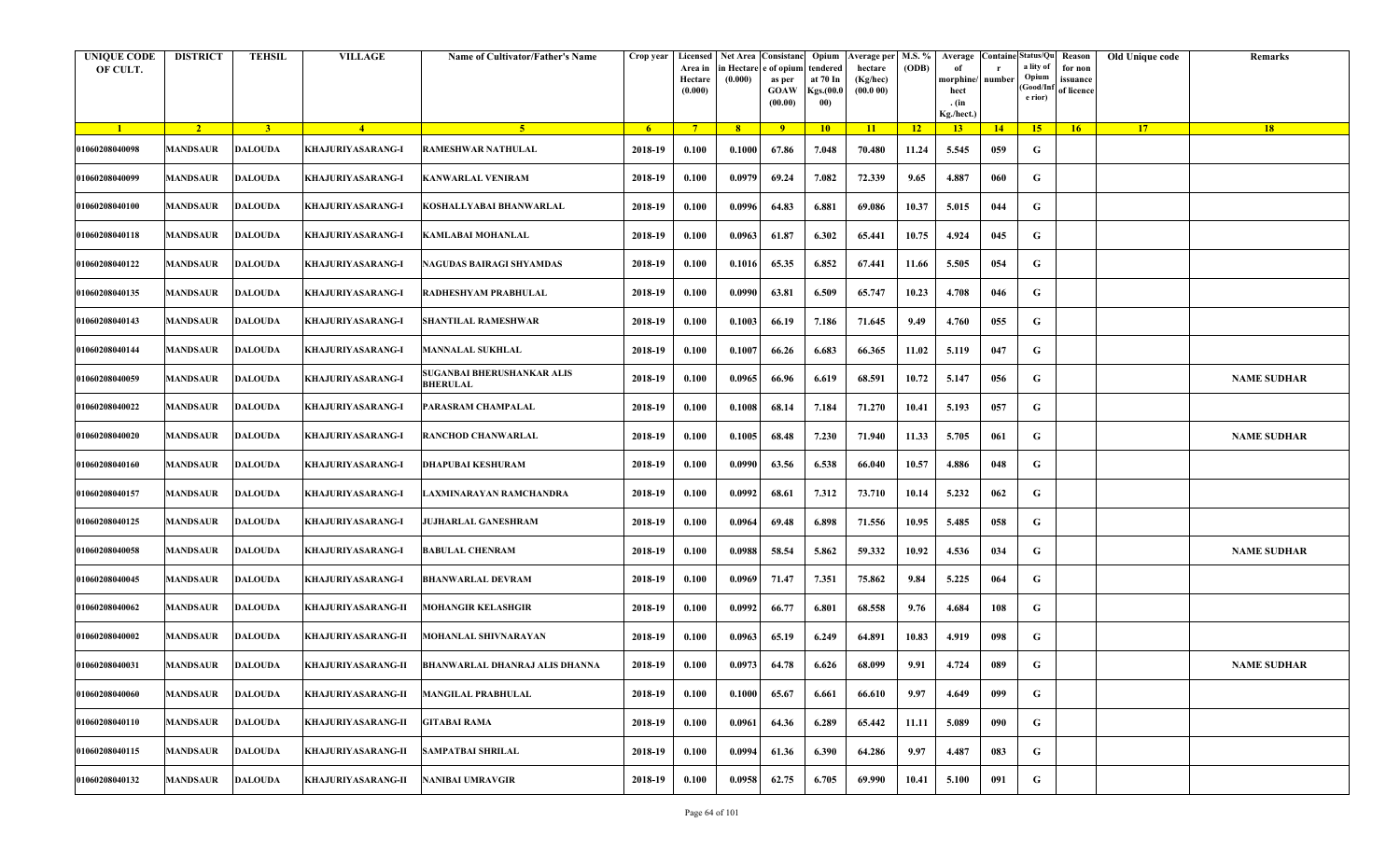| <b>UNIQUE CODE</b><br>OF CULT. | <b>DISTRICT</b> | <b>TEHSIL</b>  | <b>VILLAGE</b>            | <b>Name of Cultivator/Father's Name</b>       | Crop year      | Area in<br>Hectare<br>(0.000) | in Hectare<br>(0.000) | Licensed   Net Area   Consistanc   Opium<br>e of opium<br>as per<br><b>GOAW</b><br>(00.00) | endered<br>at 70 In<br>Kgs.(00.0<br>00) | Average per M.S. %<br>hectare<br>(Kg/hec)<br>(00.0 00) | (ODB)           | Average<br>morphine/<br>hect<br>. $(in$<br>Kg./hect.) | <b>Containe Status/Qu</b><br>number | a lity of<br>Opium<br>Good/Inf<br>e rior) | Reason<br>for non<br>issuance<br>of licence | Old Unique code | Remarks            |
|--------------------------------|-----------------|----------------|---------------------------|-----------------------------------------------|----------------|-------------------------------|-----------------------|--------------------------------------------------------------------------------------------|-----------------------------------------|--------------------------------------------------------|-----------------|-------------------------------------------------------|-------------------------------------|-------------------------------------------|---------------------------------------------|-----------------|--------------------|
| $\blacksquare$                 | $\sqrt{2}$      | 3 <sup>l</sup> | $\sqrt{4}$                | -5.                                           | 6 <sup>6</sup> | $7^{\circ}$                   | 8 <sup>1</sup>        | 9                                                                                          | 10                                      | $\vert$ 11                                             | $\overline{12}$ | 13                                                    | 14                                  | 15                                        | 16                                          | 17              | 18                 |
| 01060208040098                 | <b>MANDSAUR</b> | <b>DALOUDA</b> | KHAJURIYASARANG-I         | RAMESHWAR NATHULAL                            | 2018-19        | 0.100                         | 0.1000                | 67.86                                                                                      | 7.048                                   | 70.480                                                 | 11.24           | 5.545                                                 | 059                                 | G                                         |                                             |                 |                    |
| 01060208040099                 | <b>MANDSAUR</b> | DALOUDA        | <b>KHAJURIYASARANG-I</b>  | KANWARLAL VENIRAM                             | 2018-19        | 0.100                         | 0.0979                | 69.24                                                                                      | 7.082                                   | 72.339                                                 | 9.65            | 4.887                                                 | 060                                 | G                                         |                                             |                 |                    |
| 01060208040100                 | <b>MANDSAUR</b> | <b>DALOUDA</b> | <b>KHAJURIYASARANG-I</b>  | KOSHALLYABAI BHANWARLAL                       | 2018-19        | 0.100                         | 0.0996                | 64.83                                                                                      | 6.881                                   | 69.086                                                 | 10.37           | 5.015                                                 | 044                                 | G                                         |                                             |                 |                    |
| 01060208040118                 | <b>MANDSAUR</b> | <b>DALOUDA</b> | <b>KHAJURIYASARANG-I</b>  | <b>KAMLABAI MOHANLAL</b>                      | 2018-19        | 0.100                         | 0.0963                | 61.87                                                                                      | 6.302                                   | 65.441                                                 | 10.75           | 4.924                                                 | 045                                 | G                                         |                                             |                 |                    |
| 01060208040122                 | <b>MANDSAUR</b> | <b>DALOUDA</b> | KHAJURIYASARANG-I         | NAGUDAS BAIRAGI SHYAMDAS                      | 2018-19        | 0.100                         | 0.1016                | 65.35                                                                                      | 6.852                                   | 67.441                                                 | 11.66           | 5.505                                                 | 054                                 | G                                         |                                             |                 |                    |
| 01060208040135                 | <b>MANDSAUR</b> | DALOUDA        | KHAJURIYASARANG-I         | RADHESHYAM PRABHULAL                          | 2018-19        | 0.100                         | 0.0990                | 63.81                                                                                      | 6.509                                   | 65.747                                                 | 10.23           | 4.708                                                 | 046                                 | G                                         |                                             |                 |                    |
| 01060208040143                 | <b>MANDSAUR</b> | <b>DALOUDA</b> | <b>KHAJURIYASARANG-I</b>  | <b>SHANTILAL RAMESHWAR</b>                    | 2018-19        | 0.100                         | 0.1003                | 66.19                                                                                      | 7.186                                   | 71.645                                                 | 9.49            | 4.760                                                 | 055                                 | G                                         |                                             |                 |                    |
| 01060208040144                 | <b>MANDSAUR</b> | <b>DALOUDA</b> | KHAJURIYASARANG-I         | <b>MANNALAL SUKHLAL</b>                       | 2018-19        | 0.100                         | 0.1007                | 66.26                                                                                      | 6.683                                   | 66.365                                                 | 11.02           | 5.119                                                 | 047                                 | G                                         |                                             |                 |                    |
| 01060208040059                 | <b>MANDSAUR</b> | <b>DALOUDA</b> | <b>KHAJURIYASARANG-I</b>  | SUGANBAI BHERUSHANKAR ALIS<br><b>BHERULAL</b> | 2018-19        | 0.100                         | 0.0965                | 66.96                                                                                      | 6.619                                   | 68.591                                                 | 10.72           | 5.147                                                 | 056                                 | G                                         |                                             |                 | <b>NAME SUDHAR</b> |
| 01060208040022                 | MANDSAUR        | DALOUDA        | KHAJURIYASARANG-I         | PARASRAM CHAMPALAL                            | 2018-19        | 0.100                         | 0.1008                | 68.14                                                                                      | 7.184                                   | 71.270                                                 | 10.41           | 5.193                                                 | 057                                 | G                                         |                                             |                 |                    |
| 01060208040020                 | <b>MANDSAUR</b> | DALOUDA        | <b>KHAJURIYASARANG-I</b>  | <b>RANCHOD CHANWARLAL</b>                     | 2018-19        | 0.100                         | 0.1005                | 68.48                                                                                      | 7.230                                   | 71.940                                                 | 11.33           | 5.705                                                 | 061                                 | G                                         |                                             |                 | <b>NAME SUDHAR</b> |
| 01060208040160                 | <b>MANDSAUR</b> | DALOUDA        | KHAJURIYASARANG-I         | DHAPUBAI KESHURAM                             | 2018-19        | 0.100                         | 0.0990                | 63.56                                                                                      | 6.538                                   | 66.040                                                 | 10.57           | 4.886                                                 | 048                                 | G                                         |                                             |                 |                    |
| 01060208040157                 | <b>MANDSAUR</b> | <b>DALOUDA</b> | <b>KHAJURIYASARANG-I</b>  | LAXMINARAYAN RAMCHANDRA                       | 2018-19        | 0.100                         | 0.0992                | 68.61                                                                                      | 7.312                                   | 73.710                                                 | 10.14           | 5.232                                                 | 062                                 | G                                         |                                             |                 |                    |
| 01060208040125                 | <b>MANDSAUR</b> | <b>DALOUDA</b> | KHAJURIYASARANG-I         | <b>JUJHARLAL GANESHRAM</b>                    | 2018-19        | 0.100                         | 0.0964                | 69.48                                                                                      | 6.898                                   | 71.556                                                 | 10.95           | 5.485                                                 | 058                                 | G                                         |                                             |                 |                    |
| 01060208040058                 | <b>MANDSAUR</b> | DALOUDA        | KHAJURIYASARANG-I         | <b>BABULAL CHENRAM</b>                        | 2018-19        | 0.100                         | 0.0988                | 58.54                                                                                      | 5.862                                   | 59.332                                                 | 10.92           | 4.536                                                 | 034                                 | G                                         |                                             |                 | <b>NAME SUDHAR</b> |
| 01060208040045                 | <b>MANDSAUR</b> | <b>DALOUDA</b> | <b>KHAJURIYASARANG-I</b>  | <b>BHANWARLAL DEVRAM</b>                      | 2018-19        | 0.100                         | 0.0969                | 71.47                                                                                      | 7.351                                   | 75.862                                                 | 9.84            | 5.225                                                 | 064                                 | G                                         |                                             |                 |                    |
| 01060208040062                 | <b>MANDSAUR</b> | <b>DALOUDA</b> | KHAJURIYASARANG-II        | <b>MOHANGIR KELASHGIR</b>                     | 2018-19        | 0.100                         | 0.0992                | 66.77                                                                                      | 6.801                                   | 68.558                                                 | 9.76            | 4.684                                                 | 108                                 | G                                         |                                             |                 |                    |
| 01060208040002                 | <b>MANDSAUR</b> | <b>DALOUDA</b> | KHAJURIYASARANG-II        | MOHANLAL SHIVNARAYAN                          | 2018-19        | 0.100                         | 0.0963                | 65.19                                                                                      | 6.249                                   | 64.891                                                 | 10.83           | 4.919                                                 | 098                                 | G                                         |                                             |                 |                    |
| 01060208040031                 | <b>MANDSAUR</b> | DALOUDA        | KHAJURIYASARANG-II        | <b>BHANWARLAL DHANRAJ ALIS DHANNA</b>         | 2018-19        | 0.100                         | 0.0973                | 64.78                                                                                      | 6.626                                   | 68.099                                                 | 9.91            | 4.724                                                 | 089                                 | G                                         |                                             |                 | <b>NAME SUDHAR</b> |
| 01060208040060                 | <b>MANDSAUR</b> | DALOUDA        | <b>KHAJURIYASARANG-II</b> | <b>MANGILAL PRABHULAL</b>                     | 2018-19        | 0.100                         | 0.1000                | 65.67                                                                                      | 6.661                                   | 66.610                                                 | 9.97            | 4.649                                                 | 099                                 | G                                         |                                             |                 |                    |
| 01060208040110                 | <b>MANDSAUR</b> | <b>DALOUDA</b> | KHAJURIYASARANG-II        | <b>GITABAI RAMA</b>                           | 2018-19        | 0.100                         | 0.0961                | 64.36                                                                                      | 6.289                                   | 65.442                                                 | 11.11           | 5.089                                                 | 090                                 | G                                         |                                             |                 |                    |
| 01060208040115                 | <b>MANDSAUR</b> | <b>DALOUDA</b> | <b>KHAJURIYASARANG-II</b> | SAMPATBAI SHRILAL                             | 2018-19        | 0.100                         | 0.0994                | 61.36                                                                                      | 6.390                                   | 64.286                                                 | 9.97            | 4.487                                                 | 083                                 | G                                         |                                             |                 |                    |
| 01060208040132                 | <b>MANDSAUR</b> | <b>DALOUDA</b> | KHAJURIYASARANG-II        | <b>NANIBAI UMRAVGIR</b>                       | 2018-19        | 0.100                         | 0.0958                | 62.75                                                                                      | 6.705                                   | 69.990                                                 | 10.41           | 5.100                                                 | 091                                 | G                                         |                                             |                 |                    |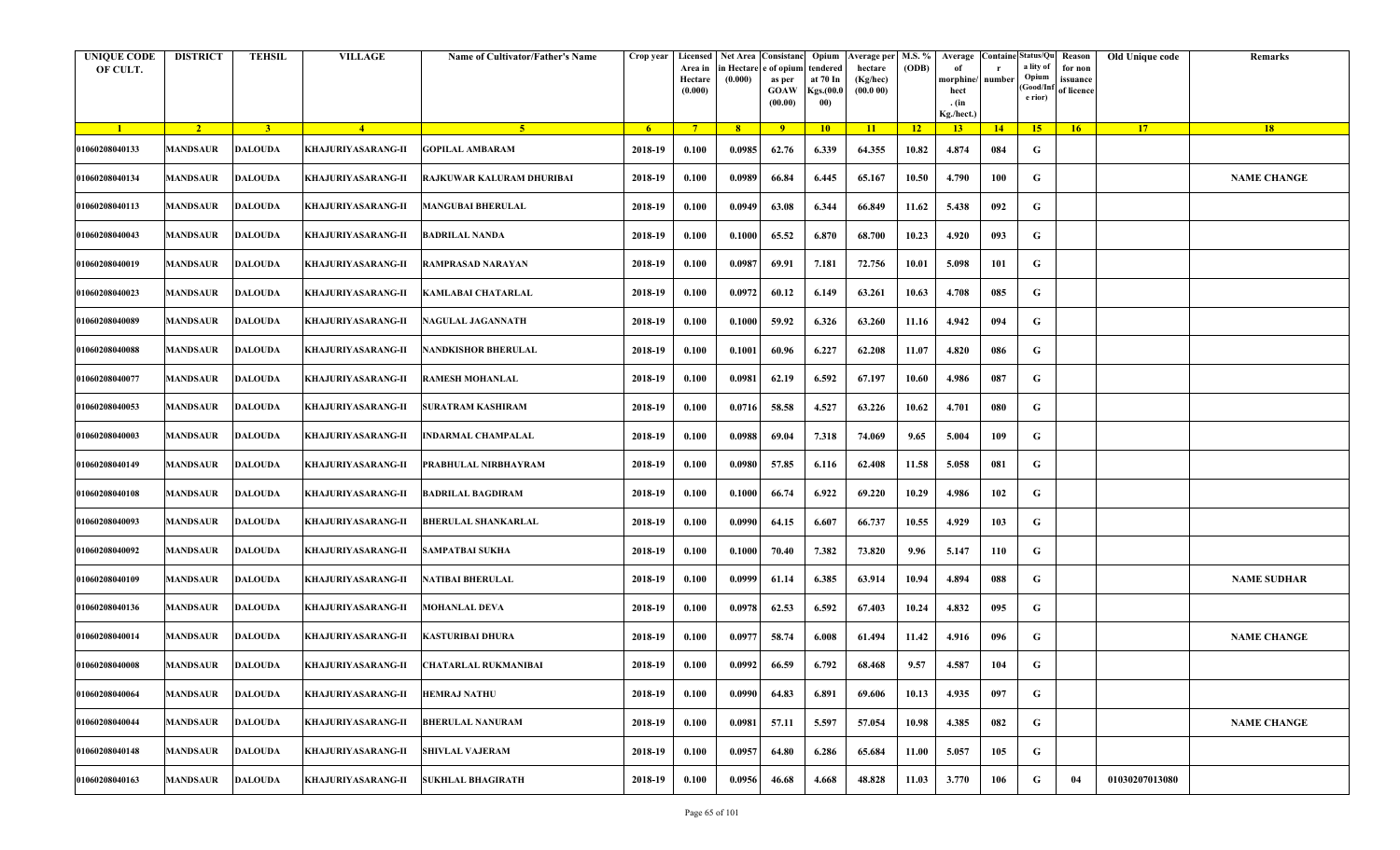| <b>UNIQUE CODE</b><br>OF CULT. | <b>DISTRICT</b> | <b>TEHSIL</b>  | <b>VILLAGE</b>            | <b>Name of Cultivator/Father's Name</b> | Crop year      | Area in<br>Hectare<br>(0.000) | in Hectare<br>(0.000) | Licensed Net Area Consistanc<br>e of opium<br>as per<br><b>GOAW</b><br>(00.00) | Opium<br>endered<br>at 70 In<br>Kgs.(00.0<br>00) | Verage per   M.S. %<br>hectare<br>(Kg/hec)<br>(00.000) | (ODB)           | Average<br>morphine/<br>hect<br>. $(in$<br>Kg./hect.) | number | <b>Containe Status/Qu</b><br>a lity of<br>Opium<br>Good/Inf<br>e rior) | Reason<br>for non<br>issuance<br>of licence | Old Unique code | Remarks            |
|--------------------------------|-----------------|----------------|---------------------------|-----------------------------------------|----------------|-------------------------------|-----------------------|--------------------------------------------------------------------------------|--------------------------------------------------|--------------------------------------------------------|-----------------|-------------------------------------------------------|--------|------------------------------------------------------------------------|---------------------------------------------|-----------------|--------------------|
| $\blacksquare$                 | $\sqrt{2}$      | 3 <sup>7</sup> | $-4$                      | -5.                                     | 6 <sup>6</sup> | $7^{\circ}$                   | 8 <sup>1</sup>        | 9                                                                              | $10-10$                                          | $\vert$ 11                                             | $\overline{12}$ | 13                                                    | 14     | 15                                                                     | 16                                          | 17              | 18                 |
| 01060208040133                 | <b>MANDSAUR</b> | <b>DALOUDA</b> | <b>KHAJURIYASARANG-II</b> | <b>GOPILAL AMBARAM</b>                  | 2018-19        | 0.100                         | 0.0985                | 62.76                                                                          | 6.339                                            | 64.355                                                 | 10.82           | 4.874                                                 | 084    | G                                                                      |                                             |                 |                    |
| 01060208040134                 | <b>MANDSAUR</b> | DALOUDA        | KHAJURIYASARANG-II        | RAJKUWAR KALURAM DHURIBAI               | 2018-19        | 0.100                         | 0.0989                | 66.84                                                                          | 6.445                                            | 65.167                                                 | 10.50           | 4.790                                                 | 100    | G                                                                      |                                             |                 | <b>NAME CHANGE</b> |
| 01060208040113                 | <b>MANDSAUR</b> | <b>DALOUDA</b> | <b>KHAJURIYASARANG-II</b> | <b>MANGUBAI BHERULAL</b>                | 2018-19        | 0.100                         | 0.0949                | 63.08                                                                          | 6.344                                            | 66.849                                                 | 11.62           | 5.438                                                 | 092    | G                                                                      |                                             |                 |                    |
| 01060208040043                 | <b>MANDSAUR</b> | <b>DALOUDA</b> | <b>KHAJURIYASARANG-II</b> | <b>BADRILAL NANDA</b>                   | 2018-19        | 0.100                         | 0.1000                | 65.52                                                                          | 6.870                                            | 68.700                                                 | 10.23           | 4.920                                                 | 093    | G                                                                      |                                             |                 |                    |
| 01060208040019                 | <b>MANDSAUR</b> | <b>DALOUDA</b> | <b>KHAJURIYASARANG-II</b> | RAMPRASAD NARAYAN                       | 2018-19        | 0.100                         | 0.0987                | 69.91                                                                          | 7.181                                            | 72.756                                                 | 10.01           | 5.098                                                 | 101    | G                                                                      |                                             |                 |                    |
| 01060208040023                 | MANDSAUR        | <b>DALOUDA</b> | <b>KHAJURIYASARANG-II</b> | KAMLABAI CHATARLAL                      | 2018-19        | 0.100                         | 0.0972                | 60.12                                                                          | 6.149                                            | 63.261                                                 | 10.63           | 4.708                                                 | 085    | G                                                                      |                                             |                 |                    |
| 01060208040089                 | <b>MANDSAUR</b> | <b>DALOUDA</b> | <b>KHAJURIYASARANG-II</b> | NAGULAL JAGANNATH                       | 2018-19        | 0.100                         | 0.1000                | 59.92                                                                          | 6.326                                            | 63.260                                                 | 11.16           | 4.942                                                 | 094    | G                                                                      |                                             |                 |                    |
| 01060208040088                 | <b>MANDSAUR</b> | <b>DALOUDA</b> | <b>KHAJURIYASARANG-II</b> | NANDKISHOR BHERULAL                     | 2018-19        | 0.100                         | 0.1001                | 60.96                                                                          | 6.227                                            | 62.208                                                 | 11.07           | 4.820                                                 | 086    | G                                                                      |                                             |                 |                    |
| 01060208040077                 | <b>MANDSAUR</b> | <b>DALOUDA</b> | <b>KHAJURIYASARANG-II</b> | <b>RAMESH MOHANLAL</b>                  | 2018-19        | 0.100                         | 0.0981                | 62.19                                                                          | 6.592                                            | 67.197                                                 | 10.60           | 4.986                                                 | 087    | G                                                                      |                                             |                 |                    |
| 01060208040053                 | MANDSAUR        | <b>DALOUDA</b> | <b>KHAJURIYASARANG-II</b> | SURATRAM KASHIRAM                       | 2018-19        | 0.100                         | 0.0716                | 58.58                                                                          | 4.527                                            | 63.226                                                 | 10.62           | 4.701                                                 | 080    | G                                                                      |                                             |                 |                    |
| 01060208040003                 | <b>MANDSAUR</b> | <b>DALOUDA</b> | <b>KHAJURIYASARANG-II</b> | INDARMAL CHAMPALAL                      | 2018-19        | 0.100                         | 0.0988                | 69.04                                                                          | 7.318                                            | 74.069                                                 | 9.65            | 5.004                                                 | 109    | G                                                                      |                                             |                 |                    |
| 01060208040149                 | <b>MANDSAUR</b> | <b>DALOUDA</b> | <b>KHAJURIYASARANG-II</b> | PRABHULAL NIRBHAYRAM                    | 2018-19        | 0.100                         | 0.0980                | 57.85                                                                          | 6.116                                            | 62.408                                                 | 11.58           | 5.058                                                 | 081    | G                                                                      |                                             |                 |                    |
| 01060208040108                 | <b>MANDSAUR</b> | <b>DALOUDA</b> | <b>KHAJURIYASARANG-II</b> | <b>BADRILAL BAGDIRAM</b>                | 2018-19        | 0.100                         | 0.1000                | 66.74                                                                          | 6.922                                            | 69.220                                                 | 10.29           | 4.986                                                 | 102    | G                                                                      |                                             |                 |                    |
| 01060208040093                 | <b>MANDSAUR</b> | <b>DALOUDA</b> | <b>KHAJURIYASARANG-II</b> | BHERULAL SHANKARLAL                     | 2018-19        | 0.100                         | 0.0990                | 64.15                                                                          | 6.607                                            | 66.737                                                 | 10.55           | 4.929                                                 | 103    | G                                                                      |                                             |                 |                    |
| 01060208040092                 | MANDSAUR        | <b>DALOUDA</b> | <b>KHAJURIYASARANG-II</b> | SAMPATBAI SUKHA                         | 2018-19        | 0.100                         | 0.1000                | 70.40                                                                          | 7.382                                            | 73.820                                                 | 9.96            | 5.147                                                 | 110    | G                                                                      |                                             |                 |                    |
| 01060208040109                 | <b>MANDSAUR</b> | <b>DALOUDA</b> | <b>KHAJURIYASARANG-II</b> | <b>NATIBAI BHERULAL</b>                 | 2018-19        | 0.100                         | 0.0999                | 61.14                                                                          | 6.385                                            | 63.914                                                 | 10.94           | 4.894                                                 | 088    | G                                                                      |                                             |                 | <b>NAME SUDHAR</b> |
| 01060208040136                 | <b>MANDSAUR</b> | <b>DALOUDA</b> | KHAJURIYASARANG-II        | <b>MOHANLAL DEVA</b>                    | 2018-19        | 0.100                         | 0.0978                | 62.53                                                                          | 6.592                                            | 67.403                                                 | 10.24           | 4.832                                                 | 095    | G                                                                      |                                             |                 |                    |
| 01060208040014                 | <b>MANDSAUR</b> | <b>DALOUDA</b> | <b>KHAJURIYASARANG-II</b> | <b>KASTURIBAI DHURA</b>                 | 2018-19        | 0.100                         | 0.0977                | 58.74                                                                          | 6.008                                            | 61.494                                                 | 11.42           | 4.916                                                 | 096    | G                                                                      |                                             |                 | <b>NAME CHANGE</b> |
| 01060208040008                 | <b>MANDSAUR</b> | <b>DALOUDA</b> | <b>KHAJURIYASARANG-II</b> | <b>CHATARLAL RUKMANIBAI</b>             | 2018-19        | 0.100                         | 0.0992                | 66.59                                                                          | 6.792                                            | 68.468                                                 | 9.57            | 4.587                                                 | 104    | G                                                                      |                                             |                 |                    |
| 01060208040064                 | <b>MANDSAUR</b> | <b>DALOUDA</b> | <b>KHAJURIYASARANG-II</b> | <b>HEMRAJ NATHU</b>                     | 2018-19        | 0.100                         | 0.0990                | 64.83                                                                          | 6.891                                            | 69.606                                                 | 10.13           | 4.935                                                 | 097    | G                                                                      |                                             |                 |                    |
| 01060208040044                 | <b>MANDSAUR</b> | <b>DALOUDA</b> | <b>KHAJURIYASARANG-II</b> | <b>BHERULAL NANURAM</b>                 | 2018-19        | 0.100                         | 0.0981                | 57.11                                                                          | 5.597                                            | 57.054                                                 | 10.98           | 4.385                                                 | 082    | G                                                                      |                                             |                 | <b>NAME CHANGE</b> |
| 01060208040148                 | <b>MANDSAUR</b> | <b>DALOUDA</b> | <b>KHAJURIYASARANG-II</b> | <b>SHIVLAL VAJERAM</b>                  | 2018-19        | 0.100                         | 0.0957                | 64.80                                                                          | 6.286                                            | 65.684                                                 | 11.00           | 5.057                                                 | 105    | G                                                                      |                                             |                 |                    |
| 01060208040163                 | <b>MANDSAUR</b> | <b>DALOUDA</b> | <b>KHAJURIYASARANG-II</b> | <b>SUKHLAL BHAGIRATH</b>                | 2018-19        | 0.100                         | 0.0956                | 46.68                                                                          | 4.668                                            | 48.828                                                 | 11.03           | 3.770                                                 | 106    | G                                                                      | 04                                          | 01030207013080  |                    |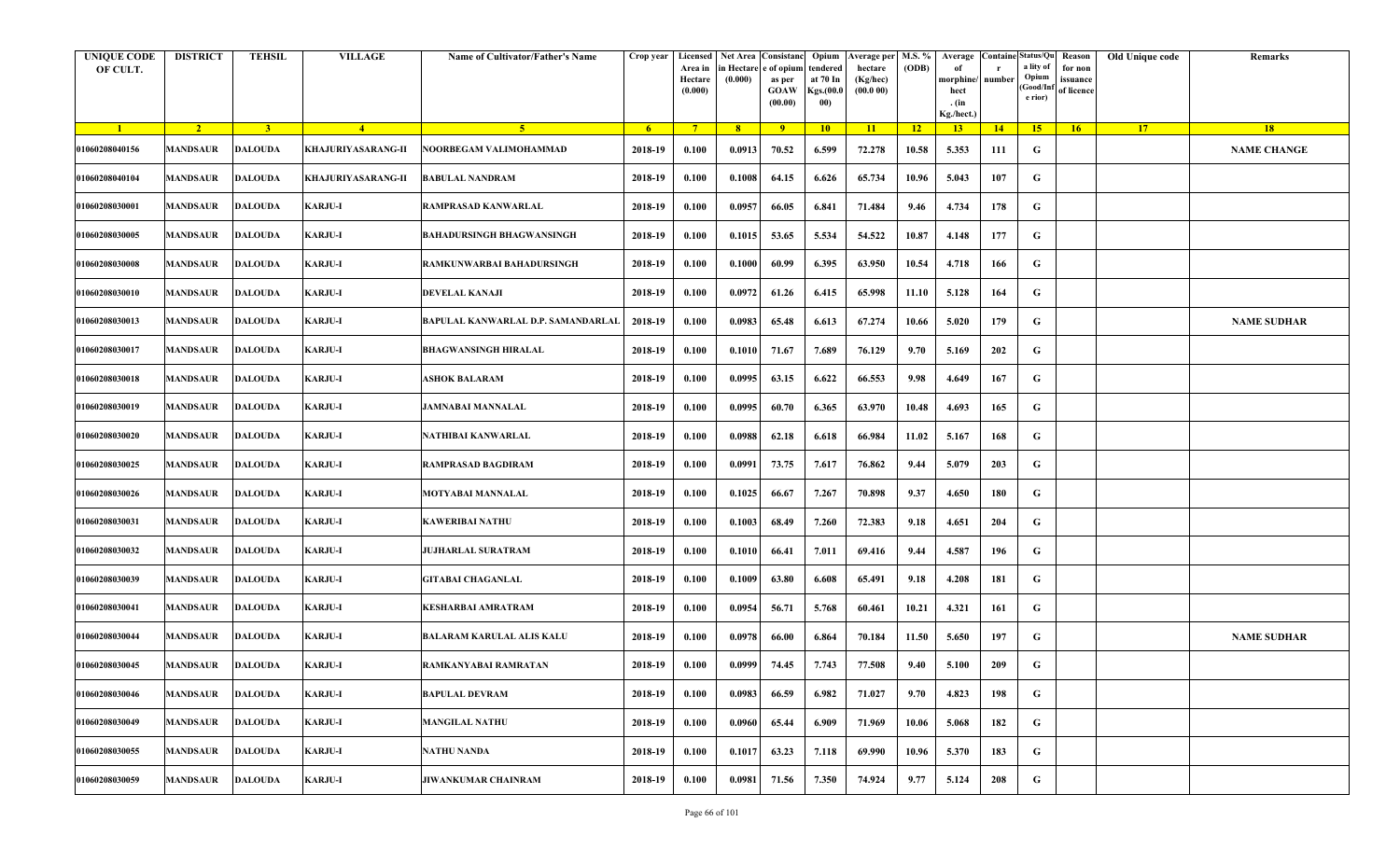| <b>UNIQUE CODE</b><br>OF CULT. | <b>DISTRICT</b> | <b>TEHSIL</b>  | <b>VILLAGE</b>     | Name of Cultivator/Father's Name   | Crop year | Area in<br>Hectare<br>(0.000) | Licensed   Net Area Consistanc<br>ı Hectar<br>(0.000) | e of opium<br>as per<br><b>GOAW</b><br>(00.00) | Opium<br>tendered<br>at 70 In<br>Kgs.(00.<br>00) | <b>Average per</b><br>hectare<br>(Kg/hec)<br>(00.000) | M.S. %<br>(ODB) | Average<br>morphine/<br>hect<br>. (in<br>Kg./hect.) | <b>Containe Status/Qu</b><br>number | a lity of<br>Opium<br>(Good/In:<br>e rior) | Reason<br>for non<br>issuance<br>of licence | Old Unique code | Remarks            |
|--------------------------------|-----------------|----------------|--------------------|------------------------------------|-----------|-------------------------------|-------------------------------------------------------|------------------------------------------------|--------------------------------------------------|-------------------------------------------------------|-----------------|-----------------------------------------------------|-------------------------------------|--------------------------------------------|---------------------------------------------|-----------------|--------------------|
| $\blacksquare$ 1               | $\sqrt{2}$      | 3 <sup>7</sup> | $\overline{4}$     | -5.                                | $-6$      | $-7$                          | 8 <sup>1</sup>                                        | $^{\circ}$                                     | 10                                               | $\vert$ 11                                            | $-12$           | 13                                                  | 14                                  | 15                                         | 16                                          | 17              | 18                 |
| 01060208040156                 | <b>MANDSAUR</b> | <b>DALOUDA</b> | KHAJURIYASARANG-II | NOORBEGAM VALIMOHAMMAD             | 2018-19   | 0.100                         | 0.0913                                                | 70.52                                          | 6.599                                            | 72.278                                                | 10.58           | 5.353                                               | 111                                 | G                                          |                                             |                 | <b>NAME CHANGE</b> |
| 01060208040104                 | MANDSAUR        | <b>DALOUDA</b> | KHAJURIYASARANG-II | <b>BABULAL NANDRAM</b>             | 2018-19   | 0.100                         | 0.1008                                                | 64.15                                          | 6.626                                            | 65.734                                                | 10.96           | 5.043                                               | 107                                 | G                                          |                                             |                 |                    |
| 01060208030001                 | <b>MANDSAUR</b> | <b>DALOUDA</b> | <b>KARJU-I</b>     | RAMPRASAD KANWARLAL                | 2018-19   | 0.100                         | 0.0957                                                | 66.05                                          | 6.841                                            | 71.484                                                | 9.46            | 4.734                                               | 178                                 | G                                          |                                             |                 |                    |
| 01060208030005                 | <b>MANDSAUR</b> | <b>DALOUDA</b> | <b>KARJU-I</b>     | <b>BAHADURSINGH BHAGWANSINGH</b>   | 2018-19   | 0.100                         | 0.1015                                                | 53.65                                          | 5.534                                            | 54.522                                                | 10.87           | 4.148                                               | 177                                 | G                                          |                                             |                 |                    |
| 01060208030008                 | <b>MANDSAUR</b> | <b>DALOUDA</b> | <b>KARJU-I</b>     | RAMKUNWARBAI BAHADURSINGH          | 2018-19   | 0.100                         | 0.1000                                                | 60.99                                          | 6.395                                            | 63.950                                                | 10.54           | 4.718                                               | 166                                 | G                                          |                                             |                 |                    |
| 01060208030010                 | MANDSAUR        | <b>DALOUDA</b> | KARJU-I            | DEVELAL KANAJI                     | 2018-19   | 0.100                         | 0.0972                                                | 61.26                                          | 6.415                                            | 65.998                                                | 11.10           | 5.128                                               | 164                                 | G                                          |                                             |                 |                    |
| 01060208030013                 | MANDSAUR        | <b>DALOUDA</b> | <b>KARJU-I</b>     | BAPULAL KANWARLAL D.P. SAMANDARLAI | 2018-19   | 0.100                         | 0.0983                                                | 65.48                                          | 6.613                                            | 67.274                                                | 10.66           | 5.020                                               | 179                                 | G                                          |                                             |                 | <b>NAME SUDHAR</b> |
| 01060208030017                 | MANDSAUR        | <b>DALOUDA</b> | <b>KARJU-I</b>     | <b>BHAGWANSINGH HIRALAL</b>        | 2018-19   | 0.100                         | 0.1010                                                | 71.67                                          | 7.689                                            | 76.129                                                | 9.70            | 5.169                                               | 202                                 | G                                          |                                             |                 |                    |
| 01060208030018                 | <b>MANDSAUR</b> | <b>DALOUDA</b> | <b>KARJU-I</b>     | <b>ASHOK BALARAM</b>               | 2018-19   | 0.100                         | 0.0995                                                | 63.15                                          | 6.622                                            | 66.553                                                | 9.98            | 4.649                                               | 167                                 | G                                          |                                             |                 |                    |
| 01060208030019                 | MANDSAUR        | <b>DALOUDA</b> | <b>KARJU-I</b>     | JAMNABAI MANNALAL                  | 2018-19   | 0.100                         | 0.0995                                                | 60.70                                          | 6.365                                            | 63.970                                                | 10.48           | 4.693                                               | 165                                 | G                                          |                                             |                 |                    |
| 01060208030020                 | <b>MANDSAUR</b> | <b>DALOUDA</b> | <b>KARJU-I</b>     | NATHIBAI KANWARLAL                 | 2018-19   | 0.100                         | 0.0988                                                | 62.18                                          | 6.618                                            | 66.984                                                | 11.02           | 5.167                                               | 168                                 | G                                          |                                             |                 |                    |
| 01060208030025                 | <b>MANDSAUR</b> | <b>DALOUDA</b> | <b>KARJU-I</b>     | RAMPRASAD BAGDIRAM                 | 2018-19   | 0.100                         | 0.0991                                                | 73.75                                          | 7.617                                            | 76.862                                                | 9.44            | 5.079                                               | 203                                 | G                                          |                                             |                 |                    |
| 01060208030026                 | <b>MANDSAUR</b> | <b>DALOUDA</b> | <b>KARJU-I</b>     | MOTYABAI MANNALAL                  | 2018-19   | 0.100                         | 0.1025                                                | 66.67                                          | 7.267                                            | 70.898                                                | 9.37            | 4.650                                               | 180                                 | G                                          |                                             |                 |                    |
| 01060208030031                 | MANDSAUR        | <b>DALOUDA</b> | <b>KARJU-I</b>     | <b>KAWERIBAI NATHU</b>             | 2018-19   | 0.100                         | 0.1003                                                | 68.49                                          | 7.260                                            | 72.383                                                | 9.18            | 4.651                                               | 204                                 | G                                          |                                             |                 |                    |
| 01060208030032                 | MANDSAUR        | <b>DALOUDA</b> | <b>KARJU-I</b>     | <b>JUJHARLAL SURATRAM</b>          | 2018-19   | 0.100                         | 0.1010                                                | 66.41                                          | 7.011                                            | 69.416                                                | 9.44            | 4.587                                               | 196                                 | G                                          |                                             |                 |                    |
| 01060208030039                 | <b>MANDSAUR</b> | <b>DALOUDA</b> | <b>KARJU-I</b>     | <b>GITABAI CHAGANLAL</b>           | 2018-19   | 0.100                         | 0.1009                                                | 63.80                                          | 6.608                                            | 65.491                                                | 9.18            | 4.208                                               | 181                                 | G                                          |                                             |                 |                    |
| 01060208030041                 | MANDSAUR        | <b>DALOUDA</b> | <b>KARJU-I</b>     | <b>KESHARBAI AMRATRAM</b>          | 2018-19   | 0.100                         | 0.0954                                                | 56.71                                          | 5.768                                            | 60.461                                                | 10.21           | 4.321                                               | 161                                 | G                                          |                                             |                 |                    |
| 01060208030044                 | MANDSAUR        | <b>DALOUDA</b> | <b>KARJU-I</b>     | <b>BALARAM KARULAL ALIS KALU</b>   | 2018-19   | 0.100                         | 0.0978                                                | 66.00                                          | 6.864                                            | 70.184                                                | 11.50           | 5.650                                               | 197                                 | G                                          |                                             |                 | <b>NAME SUDHAR</b> |
| 01060208030045                 | MANDSAUR        | <b>DALOUDA</b> | <b>KARJU-I</b>     | RAMKANYABAI RAMRATAN               | 2018-19   | 0.100                         | 0.0999                                                | 74.45                                          | 7.743                                            | 77.508                                                | 9.40            | 5.100                                               | 209                                 | G                                          |                                             |                 |                    |
| 01060208030046                 | <b>MANDSAUR</b> | <b>DALOUDA</b> | <b>KARJU-I</b>     | <b>BAPULAL DEVRAM</b>              | 2018-19   | 0.100                         | 0.0983                                                | 66.59                                          | 6.982                                            | 71.027                                                | 9.70            | 4.823                                               | 198                                 | G                                          |                                             |                 |                    |
| 01060208030049                 | <b>MANDSAUR</b> | <b>DALOUDA</b> | <b>KARJU-I</b>     | <b>MANGILAL NATHU</b>              | 2018-19   | 0.100                         | 0.0960                                                | 65.44                                          | 6.909                                            | 71.969                                                | 10.06           | 5.068                                               | 182                                 | G                                          |                                             |                 |                    |
| 01060208030055                 | <b>MANDSAUR</b> | <b>DALOUDA</b> | <b>KARJU-I</b>     | NATHU NANDA                        | 2018-19   | 0.100                         | 0.1017                                                | 63.23                                          | 7.118                                            | 69.990                                                | 10.96           | 5.370                                               | 183                                 | G                                          |                                             |                 |                    |
| 01060208030059                 | <b>MANDSAUR</b> | <b>DALOUDA</b> | <b>KARJU-I</b>     | <b>JIWANKUMAR CHAINRAM</b>         | 2018-19   | 0.100                         | 0.0981                                                | 71.56                                          | 7.350                                            | 74.924                                                | 9.77            | 5.124                                               | 208                                 | G                                          |                                             |                 |                    |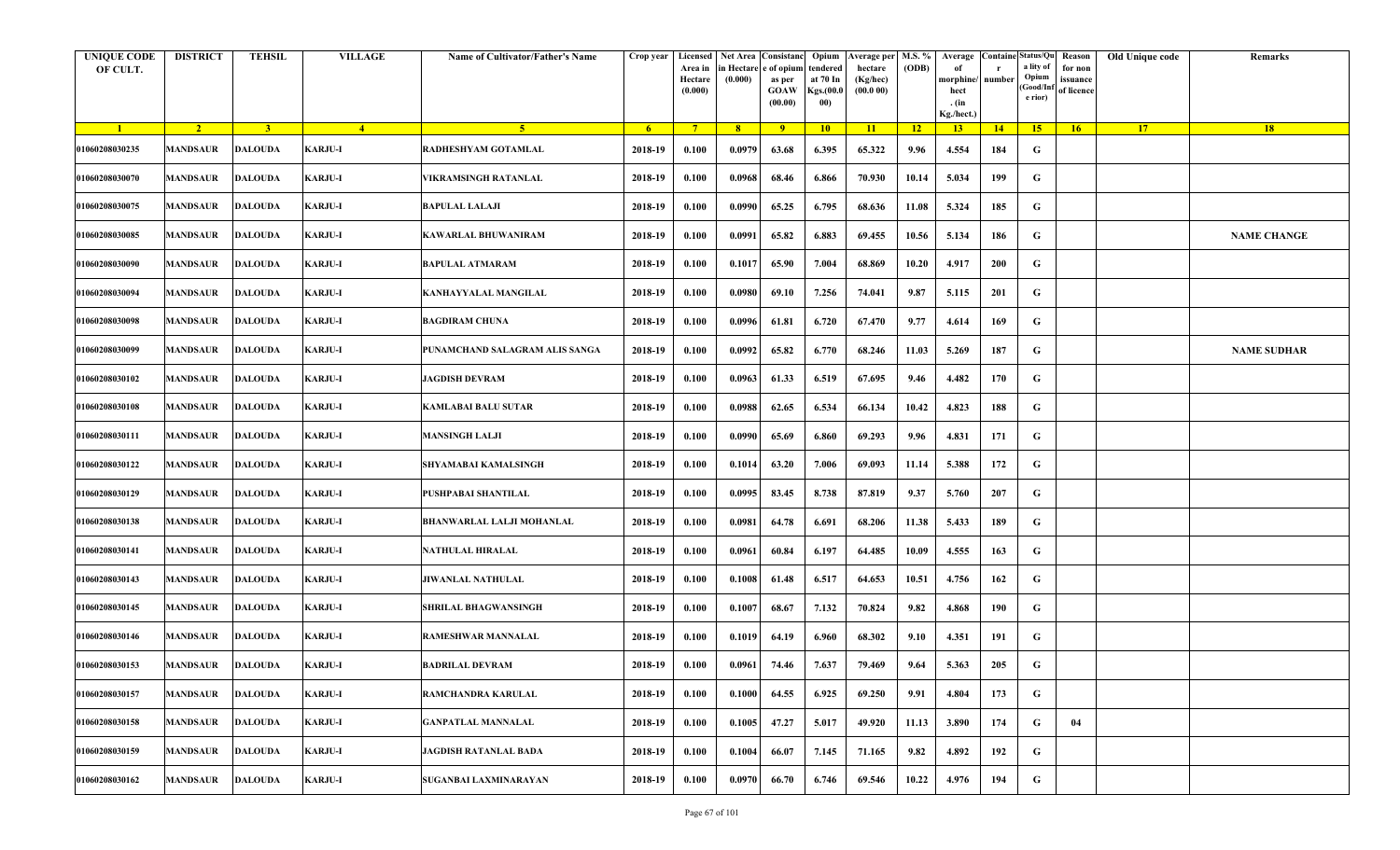| <b>UNIQUE CODE</b><br>OF CULT. | <b>DISTRICT</b> | <b>TEHSIL</b>  | <b>VILLAGE</b> | <b>Name of Cultivator/Father's Name</b> | Crop year      | Area in<br>Hectare<br>(0.000) | in Hectare<br>(0.000) | Licensed Net Area   Consistanc   Opium<br>e of opium<br>as per<br><b>GOAW</b><br>(00.00) | :endered<br>at 70 In<br>Kgs.(00.0<br>00) | Verage per   M.S. %<br>hectare<br>(Kg/hec)<br>(00.000) | (ODB)           | Average<br>morphine/<br>hect<br>. $(in$<br>Kg./hect.) | number      | <b>Containe Status/Qu</b><br>a lity of<br>Opium<br>Good/Inf<br>e rior) | Reason<br>for non<br>issuance<br>of licence | Old Unique code | Remarks            |
|--------------------------------|-----------------|----------------|----------------|-----------------------------------------|----------------|-------------------------------|-----------------------|------------------------------------------------------------------------------------------|------------------------------------------|--------------------------------------------------------|-----------------|-------------------------------------------------------|-------------|------------------------------------------------------------------------|---------------------------------------------|-----------------|--------------------|
| $\blacksquare$                 | $\sqrt{2}$      | 3 <sup>7</sup> | $-4$           | $-5$                                    | 6 <sup>6</sup> | $7^{\circ}$                   | 8 <sup>1</sup>        | 9                                                                                        | $10-10$                                  | $\vert$ 11                                             | $\overline{12}$ | 13                                                    | $\sqrt{14}$ | 15                                                                     | 16                                          | 17              | 18                 |
| 01060208030235                 | <b>MANDSAUR</b> | <b>DALOUDA</b> | <b>KARJU-I</b> | RADHESHYAM GOTAMLAL                     | 2018-19        | 0.100                         | 0.0979                | 63.68                                                                                    | 6.395                                    | 65.322                                                 | 9.96            | 4.554                                                 | 184         | G                                                                      |                                             |                 |                    |
| 01060208030070                 | MANDSAUR        | <b>DALOUDA</b> | <b>KARJU-I</b> | VIKRAMSINGH RATANLAL                    | 2018-19        | 0.100                         | 0.0968                | 68.46                                                                                    | 6.866                                    | 70.930                                                 | 10.14           | 5.034                                                 | 199         | G                                                                      |                                             |                 |                    |
| 01060208030075                 | <b>MANDSAUR</b> | <b>DALOUDA</b> | <b>KARJU-I</b> | <b>BAPULAL LALAJI</b>                   | 2018-19        | 0.100                         | 0.0990                | 65.25                                                                                    | 6.795                                    | 68.636                                                 | 11.08           | 5.324                                                 | 185         | G                                                                      |                                             |                 |                    |
| 01060208030085                 | <b>MANDSAUR</b> | <b>DALOUDA</b> | <b>KARJU-I</b> | <b>KAWARLAL BHUWANIRAM</b>              | 2018-19        | 0.100                         | 0.0991                | 65.82                                                                                    | 6.883                                    | 69.455                                                 | 10.56           | 5.134                                                 | 186         | G                                                                      |                                             |                 | <b>NAME CHANGE</b> |
| 01060208030090                 | <b>MANDSAUR</b> | <b>DALOUDA</b> | <b>KARJU-I</b> | <b>BAPULAL ATMARAM</b>                  | 2018-19        | 0.100                         | 0.1017                | 65.90                                                                                    | 7.004                                    | 68.869                                                 | 10.20           | 4.917                                                 | <b>200</b>  | G                                                                      |                                             |                 |                    |
| 01060208030094                 | MANDSAUR        | <b>DALOUDA</b> | <b>KARJU-I</b> | KANHAYYALAL MANGILAL                    | 2018-19        | 0.100                         | 0.0980                | 69.10                                                                                    | 7.256                                    | 74.041                                                 | 9.87            | 5.115                                                 | 201         | G                                                                      |                                             |                 |                    |
| 01060208030098                 | <b>MANDSAUR</b> | <b>DALOUDA</b> | <b>KARJU-I</b> | <b>BAGDIRAM CHUNA</b>                   | 2018-19        | 0.100                         | 0.0996                | 61.81                                                                                    | 6.720                                    | 67.470                                                 | 9.77            | 4.614                                                 | 169         | G                                                                      |                                             |                 |                    |
| 01060208030099                 | <b>MANDSAUR</b> | <b>DALOUDA</b> | <b>KARJU-I</b> | PUNAMCHAND SALAGRAM ALIS SANGA          | 2018-19        | 0.100                         | 0.0992                | 65.82                                                                                    | 6.770                                    | 68.246                                                 | 11.03           | 5.269                                                 | 187         | G                                                                      |                                             |                 | <b>NAME SUDHAR</b> |
| 01060208030102                 | <b>MANDSAUR</b> | <b>DALOUDA</b> | <b>KARJU-I</b> | <b>JAGDISH DEVRAM</b>                   | 2018-19        | 0.100                         | 0.0963                | 61.33                                                                                    | 6.519                                    | 67.695                                                 | 9.46            | 4.482                                                 | 170         | G                                                                      |                                             |                 |                    |
| 01060208030108                 | MANDSAUR        | <b>DALOUDA</b> | <b>KARJU-I</b> | KAMLABAI BALU SUTAR                     | 2018-19        | 0.100                         | 0.0988                | 62.65                                                                                    | 6.534                                    | 66.134                                                 | 10.42           | 4.823                                                 | 188         | G                                                                      |                                             |                 |                    |
| 01060208030111                 | <b>MANDSAUR</b> | <b>DALOUDA</b> | <b>KARJU-I</b> | <b>MANSINGH LALJI</b>                   | 2018-19        | 0.100                         | 0.0990                | 65.69                                                                                    | 6.860                                    | 69.293                                                 | 9.96            | 4.831                                                 | 171         | G                                                                      |                                             |                 |                    |
| 01060208030122                 | <b>MANDSAUR</b> | <b>DALOUDA</b> | <b>KARJU-I</b> | SHYAMABAI KAMALSINGH                    | 2018-19        | 0.100                         | 0.1014                | 63.20                                                                                    | 7.006                                    | 69.093                                                 | 11.14           | 5.388                                                 | 172         | G                                                                      |                                             |                 |                    |
| 01060208030129                 | <b>MANDSAUR</b> | <b>DALOUDA</b> | <b>KARJU-I</b> | PUSHPABAI SHANTILAL                     | 2018-19        | 0.100                         | 0.0995                | 83.45                                                                                    | 8.738                                    | 87.819                                                 | 9.37            | 5.760                                                 | 207         | G                                                                      |                                             |                 |                    |
| 01060208030138                 | <b>MANDSAUR</b> | <b>DALOUDA</b> | <b>KARJU-I</b> | <b>BHANWARLAL LALJI MOHANLAL</b>        | 2018-19        | 0.100                         | 0.0981                | 64.78                                                                                    | 6.691                                    | 68.206                                                 | 11.38           | 5.433                                                 | 189         | G                                                                      |                                             |                 |                    |
| 01060208030141                 | MANDSAUR        | <b>DALOUDA</b> | <b>KARJU-I</b> | NATHULAL HIRALAL                        | 2018-19        | 0.100                         | 0.0961                | 60.84                                                                                    | 6.197                                    | 64.485                                                 | 10.09           | 4.555                                                 | 163         | G                                                                      |                                             |                 |                    |
| 01060208030143                 | <b>MANDSAUR</b> | <b>DALOUDA</b> | <b>KARJU-I</b> | <b>JIWANLAL NATHULAL</b>                | 2018-19        | 0.100                         | 0.1008                | 61.48                                                                                    | 6.517                                    | 64.653                                                 | 10.51           | 4.756                                                 | 162         | G                                                                      |                                             |                 |                    |
| 01060208030145                 | <b>MANDSAUR</b> | <b>DALOUDA</b> | <b>KARJU-I</b> | <b>SHRILAL BHAGWANSINGH</b>             | 2018-19        | 0.100                         | 0.1007                | 68.67                                                                                    | 7.132                                    | 70.824                                                 | 9.82            | 4.868                                                 | 190         | G                                                                      |                                             |                 |                    |
| 01060208030146                 | <b>MANDSAUR</b> | <b>DALOUDA</b> | <b>KARJU-I</b> | <b>RAMESHWAR MANNALAL</b>               | 2018-19        | 0.100                         | 0.1019                | 64.19                                                                                    | 6.960                                    | 68.302                                                 | 9.10            | 4.351                                                 | 191         | G                                                                      |                                             |                 |                    |
| 01060208030153                 | MANDSAUR        | <b>DALOUDA</b> | <b>KARJU-I</b> | <b>BADRILAL DEVRAM</b>                  | 2018-19        | 0.100                         | 0.0961                | 74.46                                                                                    | 7.637                                    | 79.469                                                 | 9.64            | 5.363                                                 | 205         | G                                                                      |                                             |                 |                    |
| 01060208030157                 | <b>MANDSAUR</b> | <b>DALOUDA</b> | <b>KARJU-I</b> | <b>RAMCHANDRA KARULAL</b>               | 2018-19        | 0.100                         | 0.1000                | 64.55                                                                                    | 6.925                                    | 69.250                                                 | 9.91            | 4.804                                                 | 173         | G                                                                      |                                             |                 |                    |
| 01060208030158                 | <b>MANDSAUR</b> | <b>DALOUDA</b> | <b>KARJU-I</b> | <b>GANPATLAL MANNALAL</b>               | 2018-19        | 0.100                         | 0.1005                | 47.27                                                                                    | 5.017                                    | 49.920                                                 | 11.13           | 3.890                                                 | 174         | G                                                                      | 04                                          |                 |                    |
| 01060208030159                 | <b>MANDSAUR</b> | <b>DALOUDA</b> | <b>KARJU-I</b> | <b>JAGDISH RATANLAL BADA</b>            | 2018-19        | 0.100                         | 0.1004                | 66.07                                                                                    | 7.145                                    | 71.165                                                 | 9.82            | 4.892                                                 | 192         | ${\bf G}$                                                              |                                             |                 |                    |
| 01060208030162                 | <b>MANDSAUR</b> | <b>DALOUDA</b> | <b>KARJU-I</b> | SUGANBAI LAXMINARAYAN                   | 2018-19        | 0.100                         | 0.0970                | 66.70                                                                                    | 6.746                                    | 69.546                                                 | 10.22           | 4.976                                                 | 194         | $\mathbf G$                                                            |                                             |                 |                    |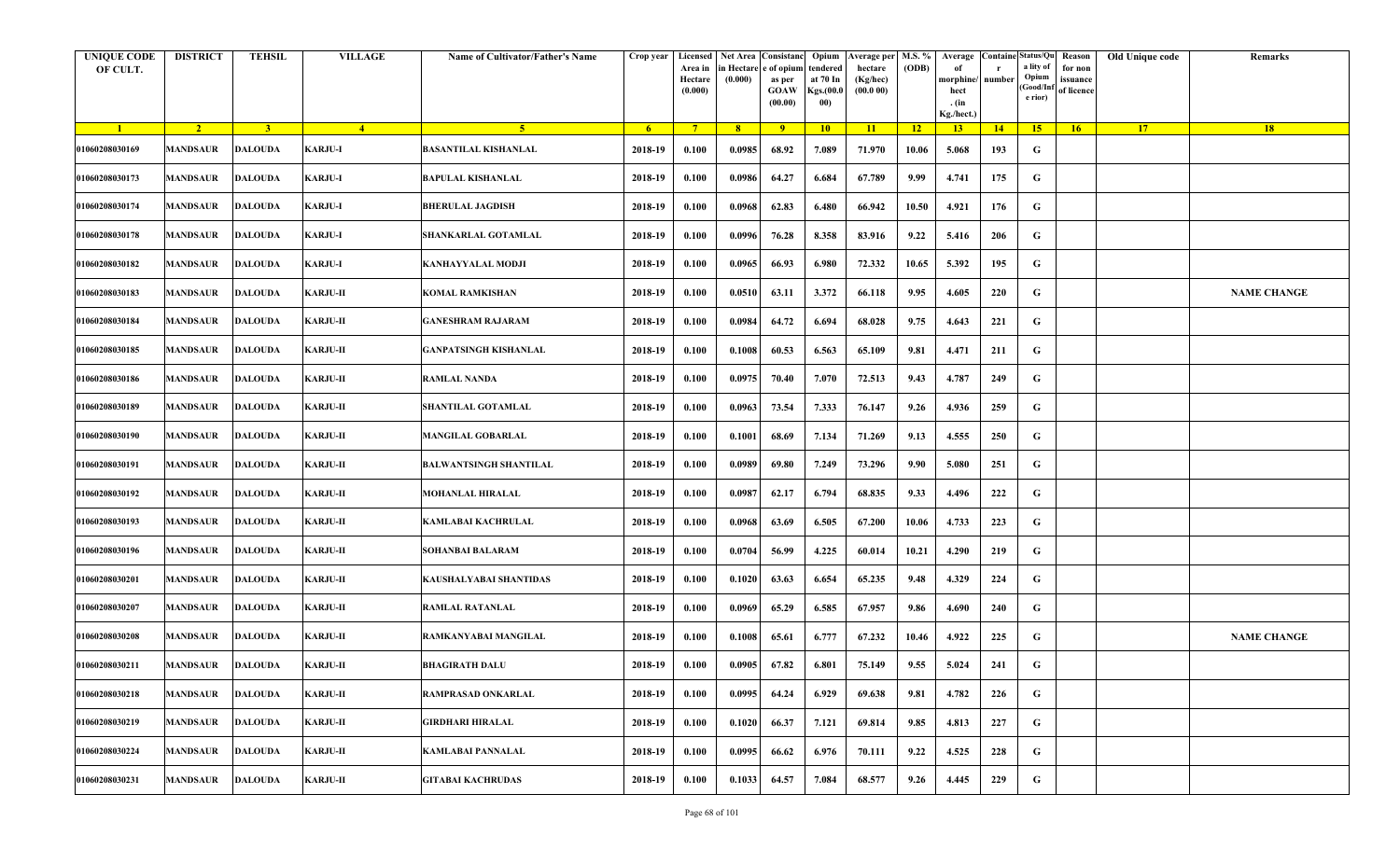| <b>UNIQUE CODE</b><br>OF CULT. | <b>DISTRICT</b> | <b>TEHSIL</b>  | <b>VILLAGE</b>  | <b>Name of Cultivator/Father's Name</b> | Crop year      | Area in<br>Hectare<br>(0.000) | in Hectare<br>(0.000) | Licensed Net Area Consistanc Opium<br>e of opium<br>as per<br><b>GOAW</b><br>(00.00) | :endered<br>at 70 In<br>Kgs.(00.0<br>00) | Verage per   M.S. %<br>hectare<br>(Kg/hec)<br>(00.000) | (ODB)           | Average<br>morphine/<br>hect<br>. $(in$<br>Kg./hect.) | number | <b>Containe Status/Qu</b><br>a lity of<br>Opium<br>Good/Inf<br>e rior) | Reason<br>for non<br>issuance<br>of licence | Old Unique code | Remarks            |
|--------------------------------|-----------------|----------------|-----------------|-----------------------------------------|----------------|-------------------------------|-----------------------|--------------------------------------------------------------------------------------|------------------------------------------|--------------------------------------------------------|-----------------|-------------------------------------------------------|--------|------------------------------------------------------------------------|---------------------------------------------|-----------------|--------------------|
| $\blacksquare$                 | $\sqrt{2}$      | 3 <sup>7</sup> | $-4$            | -5.                                     | 6 <sup>6</sup> | $7^{\circ}$                   | 8 <sup>1</sup>        | 9                                                                                    | $10-10$                                  | $\vert$ 11                                             | $\overline{12}$ | 13                                                    | 14     | 15                                                                     | 16                                          | 17              | 18                 |
| 01060208030169                 | <b>MANDSAUR</b> | <b>DALOUDA</b> | <b>KARJU-I</b>  | <b>BASANTILAL KISHANLAL</b>             | 2018-19        | 0.100                         | 0.0985                | 68.92                                                                                | 7.089                                    | 71.970                                                 | 10.06           | 5.068                                                 | 193    | G                                                                      |                                             |                 |                    |
| 01060208030173                 | MANDSAUR        | <b>DALOUDA</b> | <b>KARJU-I</b>  | <b>BAPULAL KISHANLAL</b>                | 2018-19        | 0.100                         | 0.0986                | 64.27                                                                                | 6.684                                    | 67.789                                                 | 9.99            | 4.741                                                 | 175    | G                                                                      |                                             |                 |                    |
| 01060208030174                 | <b>MANDSAUR</b> | <b>DALOUDA</b> | <b>KARJU-I</b>  | <b>BHERULAL JAGDISH</b>                 | 2018-19        | 0.100                         | 0.0968                | 62.83                                                                                | 6.480                                    | 66.942                                                 | 10.50           | 4.921                                                 | 176    | G                                                                      |                                             |                 |                    |
| 01060208030178                 | <b>MANDSAUR</b> | <b>DALOUDA</b> | <b>KARJU-I</b>  | <b>SHANKARLAL GOTAMLAL</b>              | 2018-19        | 0.100                         | 0.0996                | 76.28                                                                                | 8.358                                    | 83.916                                                 | 9.22            | 5.416                                                 | 206    | G                                                                      |                                             |                 |                    |
| 01060208030182                 | <b>MANDSAUR</b> | <b>DALOUDA</b> | <b>KARJU-I</b>  | <b>KANHAYYALAL MODJI</b>                | 2018-19        | 0.100                         | 0.0965                | 66.93                                                                                | 6.980                                    | 72.332                                                 | 10.65           | 5.392                                                 | 195    | G                                                                      |                                             |                 |                    |
| 01060208030183                 | MANDSAUR        | <b>DALOUDA</b> | <b>KARJU-II</b> | <b>KOMAL RAMKISHAN</b>                  | 2018-19        | 0.100                         | 0.0510                | 63.11                                                                                | 3.372                                    | 66.118                                                 | 9.95            | 4.605                                                 | 220    | G                                                                      |                                             |                 | <b>NAME CHANGE</b> |
| 01060208030184                 | <b>MANDSAUR</b> | <b>DALOUDA</b> | <b>KARJU-II</b> | <b>GANESHRAM RAJARAM</b>                | 2018-19        | 0.100                         | 0.0984                | 64.72                                                                                | 6.694                                    | 68.028                                                 | 9.75            | 4.643                                                 | 221    | G                                                                      |                                             |                 |                    |
| 01060208030185                 | <b>MANDSAUR</b> | <b>DALOUDA</b> | <b>KARJU-II</b> | <b>GANPATSINGH KISHANLAL</b>            | 2018-19        | 0.100                         | 0.1008                | 60.53                                                                                | 6.563                                    | 65.109                                                 | 9.81            | 4.471                                                 | 211    | G                                                                      |                                             |                 |                    |
| 01060208030186                 | <b>MANDSAUR</b> | <b>DALOUDA</b> | <b>KARJU-II</b> | <b>RAMLAL NANDA</b>                     | 2018-19        | 0.100                         | 0.0975                | 70.40                                                                                | 7.070                                    | 72.513                                                 | 9.43            | 4.787                                                 | 249    | G                                                                      |                                             |                 |                    |
| 01060208030189                 | MANDSAUR        | <b>DALOUDA</b> | <b>KARJU-II</b> | SHANTILAL GOTAMLAL                      | 2018-19        | 0.100                         | 0.0963                | 73.54                                                                                | 7.333                                    | 76.147                                                 | 9.26            | 4.936                                                 | 259    | G                                                                      |                                             |                 |                    |
| 01060208030190                 | <b>MANDSAUR</b> | <b>DALOUDA</b> | <b>KARJU-II</b> | <b>MANGILAL GOBARLAL</b>                | 2018-19        | 0.100                         | 0.1001                | 68.69                                                                                | 7.134                                    | 71.269                                                 | 9.13            | 4.555                                                 | 250    | G                                                                      |                                             |                 |                    |
| 01060208030191                 | <b>MANDSAUR</b> | <b>DALOUDA</b> | <b>KARJU-II</b> | <b>BALWANTSINGH SHANTILAL</b>           | 2018-19        | 0.100                         | 0.0989                | 69.80                                                                                | 7.249                                    | 73.296                                                 | 9.90            | 5.080                                                 | 251    | G                                                                      |                                             |                 |                    |
| 01060208030192                 | <b>MANDSAUR</b> | <b>DALOUDA</b> | <b>KARJU-II</b> | <b>MOHANLAL HIRALAL</b>                 | 2018-19        | 0.100                         | 0.0987                | 62.17                                                                                | 6.794                                    | 68.835                                                 | 9.33            | 4.496                                                 | 222    | G                                                                      |                                             |                 |                    |
| 01060208030193                 | <b>MANDSAUR</b> | <b>DALOUDA</b> | <b>KARJU-II</b> | KAMLABAI KACHRULAL                      | 2018-19        | 0.100                         | 0.0968                | 63.69                                                                                | 6.505                                    | 67.200                                                 | 10.06           | 4.733                                                 | 223    | G                                                                      |                                             |                 |                    |
| 01060208030196                 | MANDSAUR        | <b>DALOUDA</b> | <b>KARJU-II</b> | <b>SOHANBAI BALARAM</b>                 | 2018-19        | 0.100                         | 0.0704                | 56.99                                                                                | 4.225                                    | 60.014                                                 | 10.21           | 4.290                                                 | 219    | G                                                                      |                                             |                 |                    |
| 01060208030201                 | <b>MANDSAUR</b> | <b>DALOUDA</b> | <b>KARJU-II</b> | <b>KAUSHALYABAI SHANTIDAS</b>           | 2018-19        | 0.100                         | 0.1020                | 63.63                                                                                | 6.654                                    | 65.235                                                 | 9.48            | 4.329                                                 | 224    | G                                                                      |                                             |                 |                    |
| 01060208030207                 | <b>MANDSAUR</b> | <b>DALOUDA</b> | <b>KARJU-II</b> | <b>RAMLAL RATANLAL</b>                  | 2018-19        | 0.100                         | 0.0969                | 65.29                                                                                | 6.585                                    | 67.957                                                 | 9.86            | 4.690                                                 | 240    | G                                                                      |                                             |                 |                    |
| 01060208030208                 | <b>MANDSAUR</b> | <b>DALOUDA</b> | <b>KARJU-II</b> | RAMKANYABAI MANGILAL                    | 2018-19        | 0.100                         | 0.1008                | 65.61                                                                                | 6.777                                    | 67.232                                                 | 10.46           | 4.922                                                 | 225    | G                                                                      |                                             |                 | <b>NAME CHANGE</b> |
| 01060208030211                 | <b>MANDSAUR</b> | <b>DALOUDA</b> | <b>KARJU-II</b> | <b>BHAGIRATH DALU</b>                   | 2018-19        | 0.100                         | 0.0905                | 67.82                                                                                | 6.801                                    | 75.149                                                 | 9.55            | 5.024                                                 | 241    | G                                                                      |                                             |                 |                    |
| 01060208030218                 | <b>MANDSAUR</b> | <b>DALOUDA</b> | <b>KARJU-II</b> | <b>RAMPRASAD ONKARLAL</b>               | 2018-19        | 0.100                         | 0.0995                | 64.24                                                                                | 6.929                                    | 69.638                                                 | 9.81            | 4.782                                                 | 226    | G                                                                      |                                             |                 |                    |
| 01060208030219                 | <b>MANDSAUR</b> | <b>DALOUDA</b> | <b>KARJU-II</b> | <b>GIRDHARI HIRALAL</b>                 | 2018-19        | 0.100                         | 0.1020                | 66.37                                                                                | 7.121                                    | 69.814                                                 | 9.85            | 4.813                                                 | 227    | G                                                                      |                                             |                 |                    |
| 01060208030224                 | <b>MANDSAUR</b> | <b>DALOUDA</b> | <b>KARJU-II</b> | <b>KAMLABAI PANNALAL</b>                | 2018-19        | 0.100                         | 0.0995                | 66.62                                                                                | 6.976                                    | 70.111                                                 | 9.22            | 4.525                                                 | 228    | G                                                                      |                                             |                 |                    |
| 01060208030231                 | <b>MANDSAUR</b> | <b>DALOUDA</b> | <b>KARJU-II</b> | <b>GITABAI KACHRUDAS</b>                | 2018-19        | 0.100                         | 0.1033                | 64.57                                                                                | 7.084                                    | 68.577                                                 | 9.26            | 4.445                                                 | 229    | G                                                                      |                                             |                 |                    |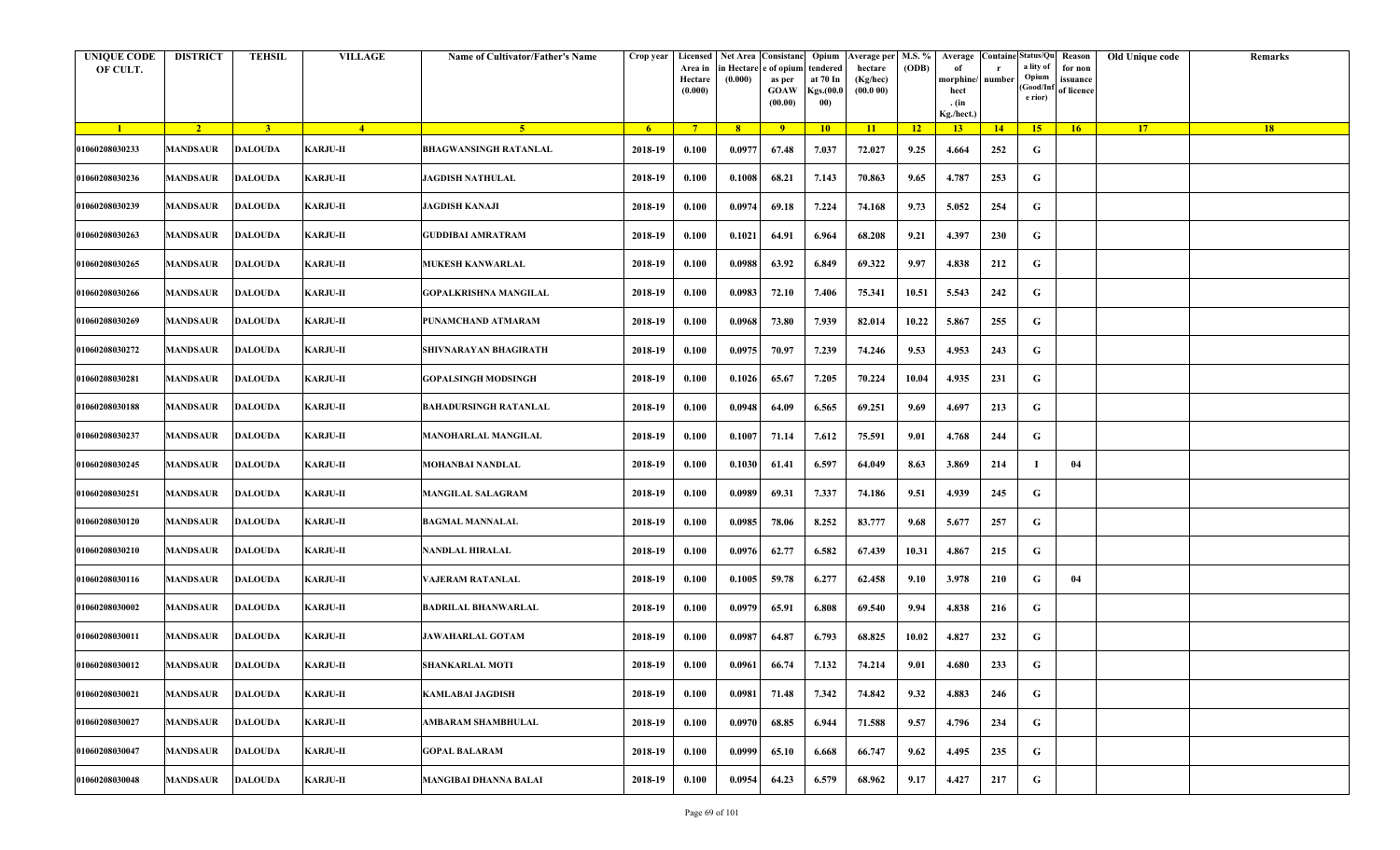| <b>UNIQUE CODE</b><br>OF CULT. | <b>DISTRICT</b> | <b>TEHSIL</b>  | <b>VILLAGE</b>  | Name of Cultivator/Father's Name | Crop year | Area in<br>Hectare<br>(0.000) | Licensed Net Area Consistanc<br>ı Hectar<br>(0.000) | e of opium<br>as per<br><b>GOAW</b><br>(00.00) | Opium<br>tendered<br>at 70 In<br>Kgs.(00.<br>00) | Average per   M.S. %<br>hectare<br>(Kg/hec)<br>(00.000) | (ODB) | Average<br>morphine/<br>hect<br>. (in | <b>Containe Status/Qu</b><br>number | a lity of<br>Opium<br>(Good/In:<br>e rior) | Reason<br>for non<br>issuance<br>of licence | Old Unique code | Remarks |
|--------------------------------|-----------------|----------------|-----------------|----------------------------------|-----------|-------------------------------|-----------------------------------------------------|------------------------------------------------|--------------------------------------------------|---------------------------------------------------------|-------|---------------------------------------|-------------------------------------|--------------------------------------------|---------------------------------------------|-----------------|---------|
| $\blacksquare$ 1               | $\sqrt{2}$      | 3 <sup>7</sup> | $\sqrt{4}$      | $\sqrt{5}$                       | $-6$      | $-7$                          | 8 <sup>1</sup>                                      | $-9$                                           | 10                                               | $\vert$ 11                                              | $-12$ | Kg./hect.)<br>13                      | 14                                  | 15                                         | 16                                          | 17              | 18      |
| 01060208030233                 | <b>MANDSAUR</b> | <b>DALOUDA</b> | <b>KARJU-II</b> | <b>BHAGWANSINGH RATANLAL</b>     | 2018-19   | 0.100                         | 0.0977                                              | 67.48                                          | 7.037                                            | 72.027                                                  | 9.25  | 4.664                                 | 252                                 | G                                          |                                             |                 |         |
|                                |                 |                |                 |                                  |           |                               |                                                     |                                                |                                                  |                                                         |       |                                       |                                     |                                            |                                             |                 |         |
| 01060208030236                 | MANDSAUR        | <b>DALOUDA</b> | <b>KARJU-II</b> | <b>JAGDISH NATHULAL</b>          | 2018-19   | 0.100                         | 0.1008                                              | 68.21                                          | 7.143                                            | 70.863                                                  | 9.65  | 4.787                                 | 253                                 | G                                          |                                             |                 |         |
| 01060208030239                 | <b>MANDSAUR</b> | <b>DALOUDA</b> | <b>KARJU-II</b> | JAGDISH KANAJI                   | 2018-19   | 0.100                         | 0.0974                                              | 69.18                                          | 7.224                                            | 74.168                                                  | 9.73  | 5.052                                 | 254                                 | G                                          |                                             |                 |         |
| 01060208030263                 | <b>MANDSAUR</b> | <b>DALOUDA</b> | <b>KARJU-II</b> | <b>GUDDIBAI AMRATRAM</b>         | 2018-19   | 0.100                         | 0.1021                                              | 64.91                                          | 6.964                                            | 68.208                                                  | 9.21  | 4.397                                 | <b>230</b>                          | G                                          |                                             |                 |         |
| 01060208030265                 | <b>MANDSAUR</b> | <b>DALOUDA</b> | <b>KARJU-II</b> | <b>MUKESH KANWARLAL</b>          | 2018-19   | 0.100                         | 0.0988                                              | 63.92                                          | 6.849                                            | 69.322                                                  | 9.97  | 4.838                                 | 212                                 | G                                          |                                             |                 |         |
| 01060208030266                 | <b>MANDSAUR</b> | <b>DALOUDA</b> | <b>KARJU-II</b> | GOPALKRISHNA MANGILAL            | 2018-19   | 0.100                         | 0.0983                                              | 72.10                                          | 7.406                                            | 75.341                                                  | 10.51 | 5.543                                 | 242                                 | G                                          |                                             |                 |         |
| 01060208030269                 | MANDSAUR        | <b>DALOUDA</b> | <b>KARJU-II</b> | PUNAMCHAND ATMARAM               | 2018-19   | 0.100                         | 0.0968                                              | 73.80                                          | 7.939                                            | 82.014                                                  | 10.22 | 5.867                                 | 255                                 | G                                          |                                             |                 |         |
| 01060208030272                 | MANDSAUR        | <b>DALOUDA</b> | <b>KARJU-II</b> | SHIVNARAYAN BHAGIRATH            | 2018-19   | 0.100                         | 0.0975                                              | 70.97                                          | 7.239                                            | 74.246                                                  | 9.53  | 4.953                                 | 243                                 | G                                          |                                             |                 |         |
| 01060208030281                 | <b>MANDSAUR</b> | <b>DALOUDA</b> | <b>KARJU-II</b> | <b>GOPALSINGH MODSINGH</b>       | 2018-19   | 0.100                         | 0.1026                                              | 65.67                                          | 7.205                                            | 70.224                                                  | 10.04 | 4.935                                 | 231                                 | G                                          |                                             |                 |         |
| 01060208030188                 | MANDSAUR        | <b>DALOUDA</b> | <b>KARJU-II</b> | <b>BAHADURSINGH RATANLAL</b>     | 2018-19   | 0.100                         | 0.0948                                              | 64.09                                          | 6.565                                            | 69.251                                                  | 9.69  | 4.697                                 | 213                                 | G                                          |                                             |                 |         |
| 01060208030237                 | MANDSAUR        | <b>DALOUDA</b> | <b>KARJU-II</b> | <b>MANOHARLAL MANGILAL</b>       | 2018-19   | 0.100                         | 0.1007                                              | 71.14                                          | 7.612                                            | 75.591                                                  | 9.01  | 4.768                                 | 244                                 | G                                          |                                             |                 |         |
| 01060208030245                 | MANDSAUR        | <b>DALOUDA</b> | <b>KARJU-II</b> | MOHANBAI NANDLAL                 | 2018-19   | 0.100                         | 0.1030                                              | 61.41                                          | 6.597                                            | 64.049                                                  | 8.63  | 3.869                                 | 214                                 |                                            | 04                                          |                 |         |
| 01060208030251                 | <b>MANDSAUR</b> | <b>DALOUDA</b> | <b>KARJU-II</b> | <b>MANGILAL SALAGRAM</b>         | 2018-19   | 0.100                         | 0.0989                                              | 69.31                                          | 7.337                                            | 74.186                                                  | 9.51  | 4.939                                 | 245                                 | G                                          |                                             |                 |         |
| 01060208030120                 | MANDSAUR        | <b>DALOUDA</b> | <b>KARJU-II</b> | <b>BAGMAL MANNALAL</b>           | 2018-19   | 0.100                         | 0.0985                                              | 78.06                                          | 8.252                                            | 83.777                                                  | 9.68  | 5.677                                 | 257                                 | G                                          |                                             |                 |         |
| 01060208030210                 | MANDSAUR        | <b>DALOUDA</b> | <b>KARJU-II</b> | NANDLAL HIRALAL                  | 2018-19   | 0.100                         | 0.0976                                              | 62.77                                          | 6.582                                            | 67.439                                                  | 10.31 | 4.867                                 | 215                                 | G                                          |                                             |                 |         |
| 01060208030116                 | <b>MANDSAUR</b> | <b>DALOUDA</b> | <b>KARJU-II</b> | VAJERAM RATANLAL                 | 2018-19   | 0.100                         | 0.1005                                              | 59.78                                          | 6.277                                            | 62.458                                                  | 9.10  | 3.978                                 | 210                                 | G                                          | 04                                          |                 |         |
| 01060208030002                 | MANDSAUR        | <b>DALOUDA</b> | <b>KARJU-II</b> | <b>BADRILAL BHANWARLAL</b>       | 2018-19   | 0.100                         | 0.0979                                              | 65.91                                          | 6.808                                            | 69.540                                                  | 9.94  | 4.838                                 | 216                                 | G                                          |                                             |                 |         |
| 01060208030011                 | MANDSAUR        | <b>DALOUDA</b> | <b>KARJU-II</b> | <b>JAWAHARLAL GOTAM</b>          | 2018-19   | 0.100                         | 0.0987                                              | 64.87                                          | 6.793                                            | 68.825                                                  | 10.02 | 4.827                                 | 232                                 | G                                          |                                             |                 |         |
| 01060208030012                 | <b>MANDSAUR</b> | <b>DALOUDA</b> | <b>KARJU-II</b> | <b>SHANKARLAL MOTI</b>           | 2018-19   | 0.100                         | 0.0961                                              | 66.74                                          | 7.132                                            | 74.214                                                  | 9.01  | 4.680                                 | 233                                 | G                                          |                                             |                 |         |
| 01060208030021                 | <b>MANDSAUR</b> | <b>DALOUDA</b> | <b>KARJU-II</b> | <b>KAMLABAI JAGDISH</b>          | 2018-19   | 0.100                         | 0.0981                                              | 71.48                                          | 7.342                                            | 74.842                                                  | 9.32  | 4.883                                 | 246                                 | G                                          |                                             |                 |         |
| 01060208030027                 | <b>MANDSAUR</b> | <b>DALOUDA</b> | <b>KARJU-II</b> | AMBARAM SHAMBHULAL               | 2018-19   | 0.100                         | 0.0970                                              | 68.85                                          | 6.944                                            | 71.588                                                  | 9.57  | 4.796                                 | 234                                 | G                                          |                                             |                 |         |
| 01060208030047                 | MANDSAUR        | <b>DALOUDA</b> | <b>KARJU-II</b> | <b>GOPAL BALARAM</b>             | 2018-19   | 0.100                         | 0.0999                                              | 65.10                                          | 6.668                                            | 66.747                                                  | 9.62  | 4.495                                 | 235                                 | G                                          |                                             |                 |         |
| 01060208030048                 | <b>MANDSAUR</b> | <b>DALOUDA</b> | <b>KARJU-II</b> | MANGIBAI DHANNA BALAI            | 2018-19   | 0.100                         | 0.0954                                              | 64.23                                          | 6.579                                            | 68.962                                                  | 9.17  | 4.427                                 | 217                                 | G                                          |                                             |                 |         |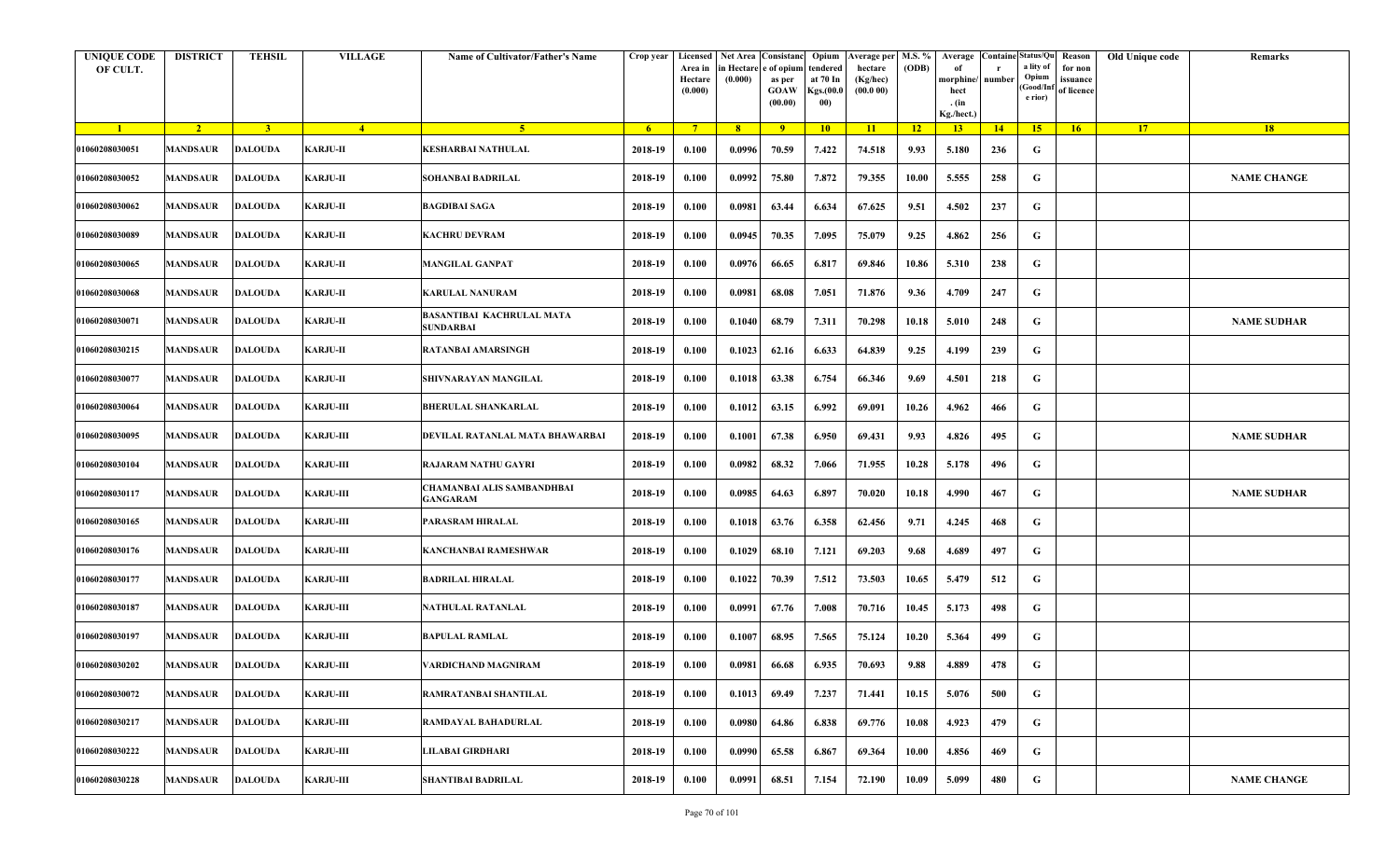| <b>UNIQUE CODE</b><br>OF CULT. | <b>DISTRICT</b> | <b>TEHSIL</b>  | <b>VILLAGE</b>   | <b>Name of Cultivator/Father's Name</b>              | Crop year      | Area in<br>Hectare<br>(0.000) | in Hectare<br>(0.000) | Licensed Net Area Consistanc<br>e of opium<br>as per<br><b>GOAW</b><br>(00.00) | Opium<br>:endered<br>at 70 In<br>Kgs.(00.0<br>00) | Verage per   M.S. %<br>hectare<br>(Kg/hec)<br>(00.000) | (ODB)           | Average<br>morphine/<br>hect<br>. $(in$<br>Kg./hect.) | number      | <b>Containe Status/Qu</b><br>a lity of<br>Opium<br>Good/Inf<br>e rior) | Reason<br>for non<br>issuance<br>of licence | Old Unique code | Remarks            |
|--------------------------------|-----------------|----------------|------------------|------------------------------------------------------|----------------|-------------------------------|-----------------------|--------------------------------------------------------------------------------|---------------------------------------------------|--------------------------------------------------------|-----------------|-------------------------------------------------------|-------------|------------------------------------------------------------------------|---------------------------------------------|-----------------|--------------------|
| $\blacksquare$                 | $\sqrt{2}$      | 3 <sup>l</sup> | $\sqrt{4}$       | -5.                                                  | 6 <sup>6</sup> | $7^{\circ}$                   | 8 <sup>1</sup>        | 9                                                                              | $10-10$                                           | $\vert$ 11                                             | $\overline{12}$ | 13                                                    | $\sqrt{14}$ | 15                                                                     | 16                                          | 17              | 18                 |
| 01060208030051                 | <b>MANDSAUR</b> | <b>DALOUDA</b> | <b>KARJU-II</b>  | <b>KESHARBAI NATHULAL</b>                            | 2018-19        | 0.100                         | 0.0996                | 70.59                                                                          | 7.422                                             | 74.518                                                 | 9.93            | 5.180                                                 | 236         | G                                                                      |                                             |                 |                    |
| 01060208030052                 | MANDSAUR        | <b>DALOUDA</b> | <b>KARJU-II</b>  | <b>SOHANBAI BADRILAL</b>                             | 2018-19        | 0.100                         | 0.0992                | 75.80                                                                          | 7.872                                             | 79.355                                                 | 10.00           | 5.555                                                 | 258         | G                                                                      |                                             |                 | <b>NAME CHANGE</b> |
| 01060208030062                 | <b>MANDSAUR</b> | <b>DALOUDA</b> | <b>KARJU-II</b>  | <b>BAGDIBAI SAGA</b>                                 | 2018-19        | 0.100                         | 0.0981                | 63.44                                                                          | 6.634                                             | 67.625                                                 | 9.51            | 4.502                                                 | 237         | G                                                                      |                                             |                 |                    |
| 01060208030089                 | <b>MANDSAUR</b> | <b>DALOUDA</b> | <b>KARJU-II</b>  | <b>KACHRU DEVRAM</b>                                 | 2018-19        | 0.100                         | 0.0945                | 70.35                                                                          | 7.095                                             | 75.079                                                 | 9.25            | 4.862                                                 | 256         | G                                                                      |                                             |                 |                    |
| 01060208030065                 | <b>MANDSAUR</b> | <b>DALOUDA</b> | <b>KARJU-II</b>  | <b>MANGILAL GANPAT</b>                               | 2018-19        | 0.100                         | 0.0976                | 66.65                                                                          | 6.817                                             | 69.846                                                 | 10.86           | 5.310                                                 | 238         | G                                                                      |                                             |                 |                    |
| 01060208030068                 | MANDSAUR        | <b>DALOUDA</b> | <b>KARJU-II</b>  | <b>KARULAL NANURAM</b>                               | 2018-19        | 0.100                         | 0.0981                | 68.08                                                                          | 7.051                                             | 71.876                                                 | 9.36            | 4.709                                                 | 247         | G                                                                      |                                             |                 |                    |
| 01060208030071                 | <b>MANDSAUR</b> | <b>DALOUDA</b> | <b>KARJU-II</b>  | BASANTIBAI KACHRULAL MATA<br><b>SUNDARBAI</b>        | 2018-19        | 0.100                         | 0.1040                | 68.79                                                                          | 7.311                                             | 70.298                                                 | 10.18           | 5.010                                                 | 248         | G                                                                      |                                             |                 | <b>NAME SUDHAR</b> |
| 01060208030215                 | <b>MANDSAUR</b> | <b>DALOUDA</b> | <b>KARJU-II</b>  | RATANBAI AMARSINGH                                   | 2018-19        | 0.100                         | 0.1023                | 62.16                                                                          | 6.633                                             | 64.839                                                 | 9.25            | 4.199                                                 | 239         | G                                                                      |                                             |                 |                    |
| 01060208030077                 | <b>MANDSAUR</b> | <b>DALOUDA</b> | <b>KARJU-II</b>  | SHIVNARAYAN MANGILAL                                 | 2018-19        | 0.100                         | 0.1018                | 63.38                                                                          | 6.754                                             | 66.346                                                 | 9.69            | 4.501                                                 | 218         | G                                                                      |                                             |                 |                    |
| 01060208030064                 | MANDSAUR        | <b>DALOUDA</b> | <b>KARJU-III</b> | <b>BHERULAL SHANKARLAL</b>                           | 2018-19        | 0.100                         | 0.1012                | 63.15                                                                          | 6.992                                             | 69.091                                                 | 10.26           | 4.962                                                 | 466         | G                                                                      |                                             |                 |                    |
| 01060208030095                 | <b>MANDSAUR</b> | <b>DALOUDA</b> | <b>KARJU-III</b> | DEVILAL RATANLAL MATA BHAWARBAI                      | 2018-19        | 0.100                         | 0.1001                | 67.38                                                                          | 6.950                                             | 69.431                                                 | 9.93            | 4.826                                                 | 495         | G                                                                      |                                             |                 | <b>NAME SUDHAR</b> |
| 01060208030104                 | MANDSAUR        | <b>DALOUDA</b> | <b>KARJU-III</b> | RAJARAM NATHU GAYRI                                  | 2018-19        | 0.100                         | 0.0982                | 68.32                                                                          | 7.066                                             | 71.955                                                 | 10.28           | 5.178                                                 | 496         | G                                                                      |                                             |                 |                    |
| 01060208030117                 | <b>MANDSAUR</b> | <b>DALOUDA</b> | <b>KARJU-III</b> | <b>CHAMANBAI ALIS SAMBANDHBAI</b><br><b>GANGARAM</b> | 2018-19        | 0.100                         | 0.0985                | 64.63                                                                          | 6.897                                             | 70.020                                                 | 10.18           | 4.990                                                 | 467         | G                                                                      |                                             |                 | <b>NAME SUDHAR</b> |
| 01060208030165                 | <b>MANDSAUR</b> | <b>DALOUDA</b> | <b>KARJU-III</b> | PARASRAM HIRALAL                                     | 2018-19        | 0.100                         | 0.1018                | 63.76                                                                          | 6.358                                             | 62.456                                                 | 9.71            | 4.245                                                 | 468         | G                                                                      |                                             |                 |                    |
| 01060208030176                 | MANDSAUR        | <b>DALOUDA</b> | <b>KARJU-III</b> | KANCHANBAI RAMESHWAR                                 | 2018-19        | 0.100                         | 0.1029                | 68.10                                                                          | 7.121                                             | 69.203                                                 | 9.68            | 4.689                                                 | 497         | G                                                                      |                                             |                 |                    |
| 01060208030177                 | <b>MANDSAUR</b> | <b>DALOUDA</b> | <b>KARJU-III</b> | <b>BADRILAL HIRALAL</b>                              | 2018-19        | 0.100                         | 0.1022                | 70.39                                                                          | 7.512                                             | 73.503                                                 | 10.65           | 5.479                                                 | 512         | G                                                                      |                                             |                 |                    |
| 01060208030187                 | <b>MANDSAUR</b> | <b>DALOUDA</b> | <b>KARJU-III</b> | NATHULAL RATANLAL                                    | 2018-19        | 0.100                         | 0.0991                | 67.76                                                                          | 7.008                                             | 70.716                                                 | 10.45           | 5.173                                                 | 498         | G                                                                      |                                             |                 |                    |
| 01060208030197                 | <b>MANDSAUR</b> | <b>DALOUDA</b> | <b>KARJU-III</b> | <b>BAPULAL RAMLAL</b>                                | 2018-19        | 0.100                         | 0.1007                | 68.95                                                                          | 7.565                                             | 75.124                                                 | 10.20           | 5.364                                                 | 499         | G                                                                      |                                             |                 |                    |
| 01060208030202                 | MANDSAUR        | <b>DALOUDA</b> | <b>KARJU-III</b> | <b>VARDICHAND MAGNIRAM</b>                           | 2018-19        | 0.100                         | 0.0981                | 66.68                                                                          | 6.935                                             | 70.693                                                 | 9.88            | 4.889                                                 | 478         | G                                                                      |                                             |                 |                    |
| 01060208030072                 | <b>MANDSAUR</b> | <b>DALOUDA</b> | <b>KARJU-III</b> | RAMRATANBAI SHANTILAL                                | 2018-19        | 0.100                         | 0.1013                | 69.49                                                                          | 7.237                                             | 71.441                                                 | 10.15           | 5.076                                                 | 500         | G                                                                      |                                             |                 |                    |
| 01060208030217                 | <b>MANDSAUR</b> | <b>DALOUDA</b> | <b>KARJU-III</b> | RAMDAYAL BAHADURLAL                                  | 2018-19        | 0.100                         | 0.0980                | 64.86                                                                          | 6.838                                             | 69.776                                                 | 10.08           | 4.923                                                 | 479         | G                                                                      |                                             |                 |                    |
| 01060208030222                 | <b>MANDSAUR</b> | <b>DALOUDA</b> | <b>KARJU-III</b> | LILABAI GIRDHARI                                     | 2018-19        | 0.100                         | 0.0990                | 65.58                                                                          | 6.867                                             | 69.364                                                 | 10.00           | 4.856                                                 | 469         | G                                                                      |                                             |                 |                    |
| 01060208030228                 | <b>MANDSAUR</b> | <b>DALOUDA</b> | <b>KARJU-III</b> | <b>SHANTIBAI BADRILAL</b>                            | 2018-19        | 0.100                         | 0.0991                | 68.51                                                                          | 7.154                                             | 72.190                                                 | 10.09           | 5.099                                                 | 480         | ${\bf G}$                                                              |                                             |                 | <b>NAME CHANGE</b> |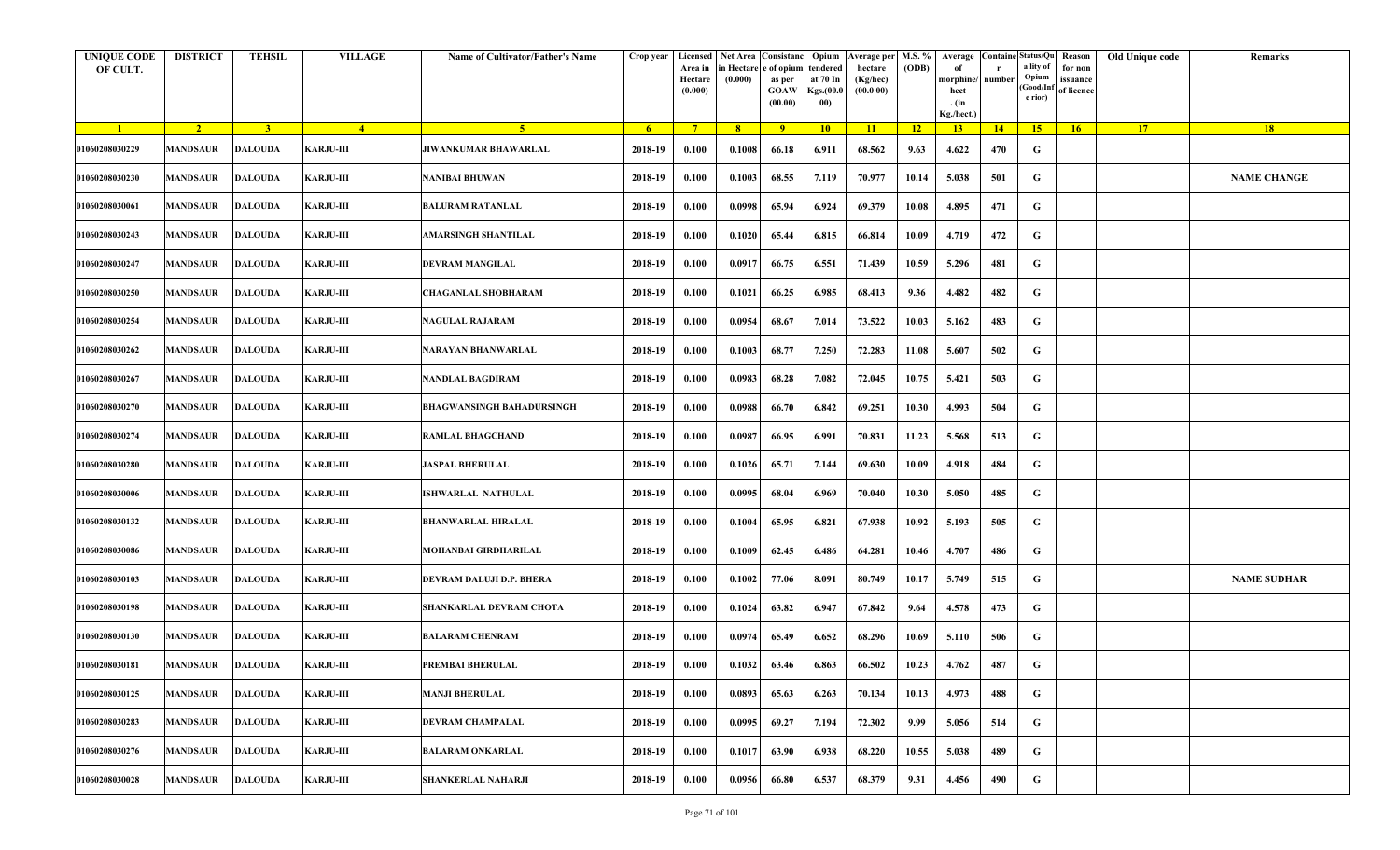| <b>UNIQUE CODE</b><br>OF CULT. | <b>DISTRICT</b> | <b>TEHSIL</b>  | <b>VILLAGE</b>   | <b>Name of Cultivator/Father's Name</b> | Crop year      | Area in<br>Hectare<br>(0.000) | in Hectare<br>(0.000) | Licensed Net Area Consistanc Opium<br>e of opium<br>as per<br><b>GOAW</b><br>(00.00) | :endered<br>at 70 In<br>Kgs.(00.0<br>00) | Verage per   M.S. %<br>hectare<br>(Kg/hec)<br>(00.0 00) | (ODB)           | Average<br>morphine/<br>hect<br>. $(in$<br>Kg./hect.) | number | <b>Containe Status/Qu</b><br>a lity of<br>Opium<br>Good/Inf<br>e rior) | Reason<br>for non<br>issuance<br>of licence | Old Unique code | Remarks            |
|--------------------------------|-----------------|----------------|------------------|-----------------------------------------|----------------|-------------------------------|-----------------------|--------------------------------------------------------------------------------------|------------------------------------------|---------------------------------------------------------|-----------------|-------------------------------------------------------|--------|------------------------------------------------------------------------|---------------------------------------------|-----------------|--------------------|
| $\blacksquare$                 | $\sqrt{2}$      | 3 <sup>7</sup> | $\sqrt{4}$       | $-5$                                    | 6 <sup>6</sup> | $7^{\circ}$                   | 8 <sup>1</sup>        | 9                                                                                    | $10-10$                                  | $\vert$ 11                                              | $\overline{12}$ | 13                                                    | 14     | 15                                                                     | 16                                          | 17              | 18                 |
| 01060208030229                 | <b>MANDSAUR</b> | <b>DALOUDA</b> | <b>KARJU-III</b> | JIWANKUMAR BHAWARLAL                    | 2018-19        | 0.100                         | 0.1008                | 66.18                                                                                | 6.911                                    | 68.562                                                  | 9.63            | 4.622                                                 | 470    | G                                                                      |                                             |                 |                    |
| 01060208030230                 | MANDSAUR        | <b>DALOUDA</b> | <b>KARJU-III</b> | <b>NANIBAI BHUWAN</b>                   | 2018-19        | 0.100                         | 0.1003                | 68.55                                                                                | 7.119                                    | 70.977                                                  | 10.14           | 5.038                                                 | 501    | G                                                                      |                                             |                 | <b>NAME CHANGE</b> |
| 01060208030061                 | <b>MANDSAUR</b> | <b>DALOUDA</b> | <b>KARJU-III</b> | <b>BALURAM RATANLAL</b>                 | 2018-19        | 0.100                         | 0.0998                | 65.94                                                                                | 6.924                                    | 69.379                                                  | 10.08           | 4.895                                                 | 471    | G                                                                      |                                             |                 |                    |
| 01060208030243                 | <b>MANDSAUR</b> | <b>DALOUDA</b> | <b>KARJU-III</b> | AMARSINGH SHANTILAL                     | 2018-19        | 0.100                         | 0.1020                | 65.44                                                                                | 6.815                                    | 66.814                                                  | 10.09           | 4.719                                                 | 472    | G                                                                      |                                             |                 |                    |
| 01060208030247                 | <b>MANDSAUR</b> | <b>DALOUDA</b> | <b>KARJU-III</b> | <b>DEVRAM MANGILAL</b>                  | 2018-19        | 0.100                         | 0.0917                | 66.75                                                                                | 6.551                                    | 71.439                                                  | 10.59           | 5.296                                                 | 481    | G                                                                      |                                             |                 |                    |
| 01060208030250                 | MANDSAUR        | <b>DALOUDA</b> | <b>KARJU-III</b> | <b>CHAGANLAL SHOBHARAM</b>              | 2018-19        | 0.100                         | 0.1021                | 66.25                                                                                | 6.985                                    | 68.413                                                  | 9.36            | 4.482                                                 | 482    | G                                                                      |                                             |                 |                    |
| 01060208030254                 | <b>MANDSAUR</b> | <b>DALOUDA</b> | <b>KARJU-III</b> | <b>NAGULAL RAJARAM</b>                  | 2018-19        | 0.100                         | 0.0954                | 68.67                                                                                | 7.014                                    | 73.522                                                  | 10.03           | 5.162                                                 | 483    | G                                                                      |                                             |                 |                    |
| 01060208030262                 | <b>MANDSAUR</b> | <b>DALOUDA</b> | <b>KARJU-III</b> | NARAYAN BHANWARLAL                      | 2018-19        | 0.100                         | 0.1003                | 68.77                                                                                | 7.250                                    | 72.283                                                  | 11.08           | 5.607                                                 | 502    | G                                                                      |                                             |                 |                    |
| 01060208030267                 | <b>MANDSAUR</b> | <b>DALOUDA</b> | <b>KARJU-III</b> | <b>NANDLAL BAGDIRAM</b>                 | 2018-19        | 0.100                         | 0.0983                | 68.28                                                                                | 7.082                                    | 72.045                                                  | 10.75           | 5.421                                                 | 503    | G                                                                      |                                             |                 |                    |
| 01060208030270                 | MANDSAUR        | <b>DALOUDA</b> | <b>KARJU-III</b> | BHAGWANSINGH BAHADURSINGH               | 2018-19        | 0.100                         | 0.0988                | 66.70                                                                                | 6.842                                    | 69.251                                                  | 10.30           | 4.993                                                 | 504    | G                                                                      |                                             |                 |                    |
| 01060208030274                 | <b>MANDSAUR</b> | <b>DALOUDA</b> | <b>KARJU-III</b> | <b>RAMLAL BHAGCHAND</b>                 | 2018-19        | 0.100                         | 0.0987                | 66.95                                                                                | 6.991                                    | 70.831                                                  | 11.23           | 5.568                                                 | 513    | G                                                                      |                                             |                 |                    |
| 01060208030280                 | MANDSAUR        | <b>DALOUDA</b> | <b>KARJU-III</b> | <b>JASPAL BHERULAL</b>                  | 2018-19        | 0.100                         | 0.1026                | 65.71                                                                                | 7.144                                    | 69.630                                                  | 10.09           | 4.918                                                 | 484    | G                                                                      |                                             |                 |                    |
| 01060208030006                 | <b>MANDSAUR</b> | <b>DALOUDA</b> | <b>KARJU-III</b> | <b>ISHWARLAL NATHULAL</b>               | 2018-19        | 0.100                         | 0.0995                | 68.04                                                                                | 6.969                                    | 70.040                                                  | 10.30           | 5.050                                                 | 485    | G                                                                      |                                             |                 |                    |
| 01060208030132                 | <b>MANDSAUR</b> | <b>DALOUDA</b> | <b>KARJU-III</b> | <b>BHANWARLAL HIRALAL</b>               | 2018-19        | 0.100                         | 0.1004                | 65.95                                                                                | 6.821                                    | 67.938                                                  | 10.92           | 5.193                                                 | 505    | G                                                                      |                                             |                 |                    |
| 01060208030086                 | MANDSAUR        | <b>DALOUDA</b> | <b>KARJU-III</b> | MOHANBAI GIRDHARILAL                    | 2018-19        | 0.100                         | 0.1009                | 62.45                                                                                | 6.486                                    | 64.281                                                  | 10.46           | 4.707                                                 | 486    | G                                                                      |                                             |                 |                    |
| 01060208030103                 | <b>MANDSAUR</b> | <b>DALOUDA</b> | <b>KARJU-III</b> | <b>DEVRAM DALUJI D.P. BHERA</b>         | 2018-19        | 0.100                         | 0.1002                | 77.06                                                                                | 8.091                                    | 80.749                                                  | 10.17           | 5.749                                                 | 515    | G                                                                      |                                             |                 | <b>NAME SUDHAR</b> |
| 01060208030198                 | <b>MANDSAUR</b> | <b>DALOUDA</b> | <b>KARJU-III</b> | SHANKARLAL DEVRAM CHOTA                 | 2018-19        | 0.100                         | 0.1024                | 63.82                                                                                | 6.947                                    | 67.842                                                  | 9.64            | 4.578                                                 | 473    | G                                                                      |                                             |                 |                    |
| 01060208030130                 | <b>MANDSAUR</b> | <b>DALOUDA</b> | <b>KARJU-III</b> | <b>BALARAM CHENRAM</b>                  | 2018-19        | 0.100                         | 0.0974                | 65.49                                                                                | 6.652                                    | 68.296                                                  | 10.69           | 5.110                                                 | 506    | G                                                                      |                                             |                 |                    |
| 01060208030181                 | <b>MANDSAUR</b> | DALOUDA        | <b>KARJU-III</b> | <b>PREMBAI BHERULAL</b>                 | 2018-19        | 0.100                         | 0.1032                | 63.46                                                                                | 6.863                                    | 66.502                                                  | 10.23           | 4.762                                                 | 487    | G                                                                      |                                             |                 |                    |
| 01060208030125                 | <b>MANDSAUR</b> | <b>DALOUDA</b> | <b>KARJU-III</b> | <b>MANJI BHERULAL</b>                   | 2018-19        | 0.100                         | 0.0893                | 65.63                                                                                | 6.263                                    | 70.134                                                  | 10.13           | 4.973                                                 | 488    | G                                                                      |                                             |                 |                    |
| 01060208030283                 | <b>MANDSAUR</b> | <b>DALOUDA</b> | <b>KARJU-III</b> | <b>DEVRAM CHAMPALAL</b>                 | 2018-19        | 0.100                         | 0.0995                | 69.27                                                                                | 7.194                                    | 72.302                                                  | 9.99            | 5.056                                                 | 514    | G                                                                      |                                             |                 |                    |
| 01060208030276                 | <b>MANDSAUR</b> | <b>DALOUDA</b> | <b>KARJU-III</b> | <b>BALARAM ONKARLAL</b>                 | 2018-19        | 0.100                         | 0.1017                | 63.90                                                                                | 6.938                                    | 68.220                                                  | 10.55           | 5.038                                                 | 489    | G                                                                      |                                             |                 |                    |
| 01060208030028                 | <b>MANDSAUR</b> | <b>DALOUDA</b> | <b>KARJU-III</b> | <b>SHANKERLAL NAHARJI</b>               | 2018-19        | 0.100                         | 0.0956                | 66.80                                                                                | 6.537                                    | 68.379                                                  | 9.31            | 4.456                                                 | 490    | G                                                                      |                                             |                 |                    |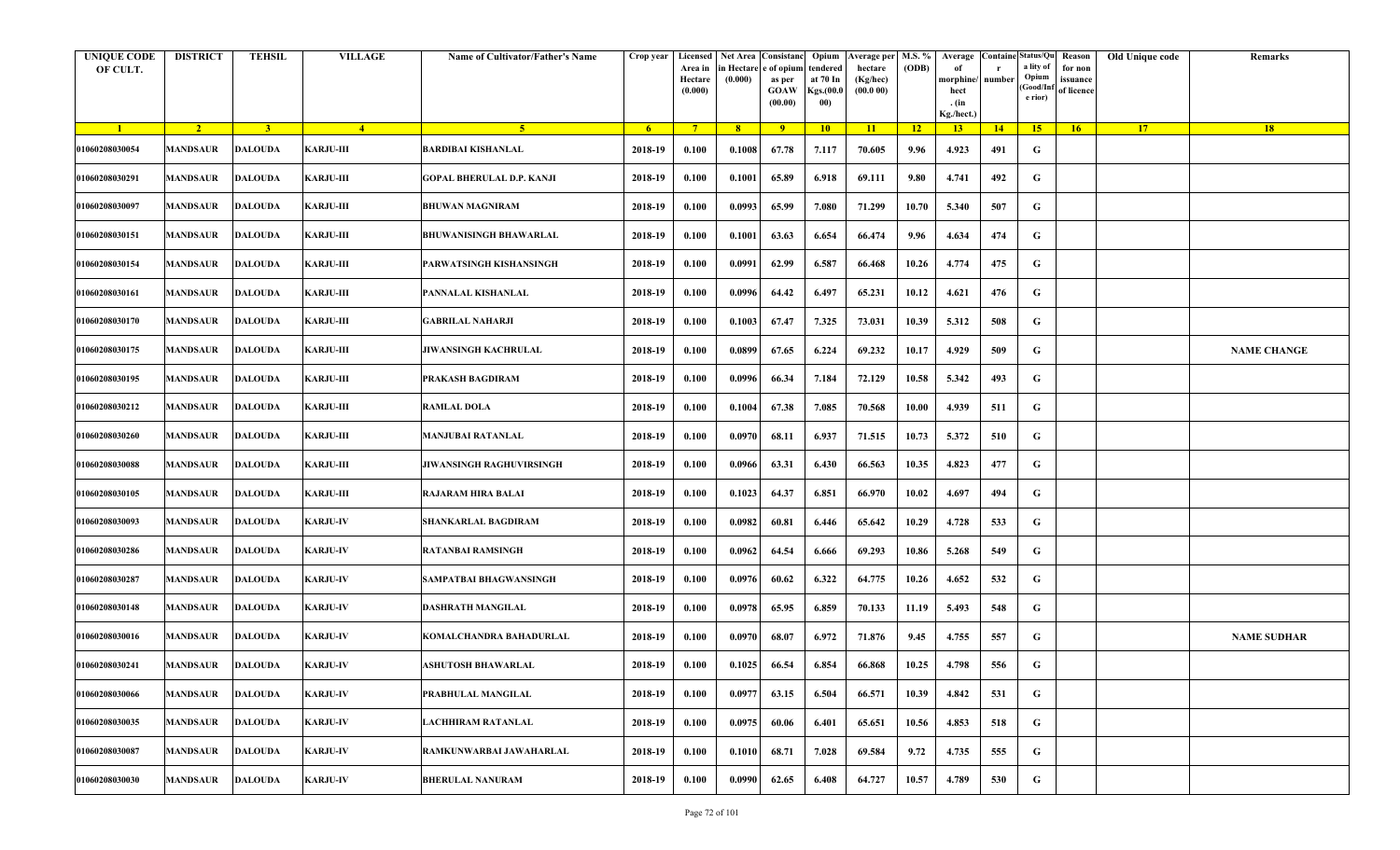| <b>UNIQUE CODE</b><br>OF CULT. | <b>DISTRICT</b> | <b>TEHSIL</b>  | <b>VILLAGE</b>   | Name of Cultivator/Father's Name | Crop year      | Area in<br>Hectare<br>(0.000) | in Hectare<br>(0.000) | Licensed Net Area Consistanc Opium<br>e of opium<br>as per<br><b>GOAW</b><br>(00.00) | endered<br>at 70 In<br>Kgs.(00.0<br>00) | Average per M.S. %<br>hectare<br>(Kg/hec)<br>(00.000) | (ODB)           | Average<br>morphine/<br>hect<br>. $(in$<br>Kg./hect.) | <b>Containe Status/Qu</b><br>number | a lity of<br>Opium<br>Good/Inf<br>e rior) | Reason<br>for non<br>issuance<br>of licence | Old Unique code | Remarks            |
|--------------------------------|-----------------|----------------|------------------|----------------------------------|----------------|-------------------------------|-----------------------|--------------------------------------------------------------------------------------|-----------------------------------------|-------------------------------------------------------|-----------------|-------------------------------------------------------|-------------------------------------|-------------------------------------------|---------------------------------------------|-----------------|--------------------|
| $\blacksquare$                 | $\sqrt{2}$      | 3 <sup>l</sup> | $\sqrt{4}$       | -5.                              | 6 <sup>6</sup> | $7^{\circ}$                   | 8 <sup>1</sup>        | $\overline{9}$                                                                       | 10                                      | 11                                                    | $\overline{12}$ | 13 <sup>7</sup>                                       | 14                                  | 15                                        | 16                                          | 17              | 18                 |
| 01060208030054                 | <b>MANDSAUR</b> | <b>DALOUDA</b> | <b>KARJU-III</b> | BARDIBAI KISHANLAL               | 2018-19        | 0.100                         | 0.1008                | 67.78                                                                                | 7.117                                   | 70.605                                                | 9.96            | 4.923                                                 | 491                                 | G                                         |                                             |                 |                    |
| 01060208030291                 | <b>MANDSAUR</b> | DALOUDA        | <b>KARJU-III</b> | GOPAL BHERULAL D.P. KANJI        | 2018-19        | 0.100                         | 0.1001                | 65.89                                                                                | 6.918                                   | 69.111                                                | 9.80            | 4.741                                                 | 492                                 | G                                         |                                             |                 |                    |
| 01060208030097                 | <b>MANDSAUR</b> | <b>DALOUDA</b> | <b>KARJU-III</b> | <b>BHUWAN MAGNIRAM</b>           | 2018-19        | 0.100                         | 0.0993                | 65.99                                                                                | 7.080                                   | 71.299                                                | 10.70           | 5.340                                                 | 507                                 | G                                         |                                             |                 |                    |
| 01060208030151                 | <b>MANDSAUR</b> | <b>DALOUDA</b> | <b>KARJU-III</b> | BHUWANISINGH BHAWARLAL           | 2018-19        | 0.100                         | 0.1001                | 63.63                                                                                | 6.654                                   | 66.474                                                | 9.96            | 4.634                                                 | 474                                 | G                                         |                                             |                 |                    |
| 01060208030154                 | <b>MANDSAUR</b> | <b>DALOUDA</b> | <b>KARJU-III</b> | PARWATSINGH KISHANSINGH          | 2018-19        | 0.100                         | 0.0991                | 62.99                                                                                | 6.587                                   | 66.468                                                | 10.26           | 4.774                                                 | 475                                 | G                                         |                                             |                 |                    |
| 01060208030161                 | <b>MANDSAUR</b> | <b>DALOUDA</b> | <b>KARJU-III</b> | PANNALAL KISHANLAL               | 2018-19        | 0.100                         | 0.0996                | 64.42                                                                                | 6.497                                   | 65.231                                                | 10.12           | 4.621                                                 | 476                                 | G                                         |                                             |                 |                    |
| 01060208030170                 | <b>MANDSAUR</b> | <b>DALOUDA</b> | <b>KARJU-III</b> | <b>GABRILAL NAHARJI</b>          | 2018-19        | 0.100                         | 0.1003                | 67.47                                                                                | 7.325                                   | 73.031                                                | 10.39           | 5.312                                                 | 508                                 | G                                         |                                             |                 |                    |
| 01060208030175                 | <b>MANDSAUR</b> | <b>DALOUDA</b> | <b>KARJU-III</b> | JIWANSINGH KACHRULAL             | 2018-19        | 0.100                         | 0.0899                | 67.65                                                                                | 6.224                                   | 69.232                                                | 10.17           | 4.929                                                 | 509                                 | G                                         |                                             |                 | <b>NAME CHANGE</b> |
| 01060208030195                 | <b>MANDSAUR</b> | <b>DALOUDA</b> | <b>KARJU-III</b> | PRAKASH BAGDIRAM                 | 2018-19        | 0.100                         | 0.0996                | 66.34                                                                                | 7.184                                   | 72.129                                                | 10.58           | 5.342                                                 | 493                                 | G                                         |                                             |                 |                    |
| 01060208030212                 | MANDSAUR        | <b>DALOUDA</b> | <b>KARJU-III</b> | RAMLAL DOLA                      | 2018-19        | 0.100                         | 0.1004                | 67.38                                                                                | 7.085                                   | 70.568                                                | 10.00           | 4.939                                                 | 511                                 | G                                         |                                             |                 |                    |
| 01060208030260                 | <b>MANDSAUR</b> | DALOUDA        | <b>KARJU-III</b> | <b>MANJUBAI RATANLAL</b>         | 2018-19        | 0.100                         | 0.0970                | 68.11                                                                                | 6.937                                   | 71.515                                                | 10.73           | 5.372                                                 | 510                                 | G                                         |                                             |                 |                    |
| 01060208030088                 | <b>MANDSAUR</b> | <b>DALOUDA</b> | <b>KARJU-III</b> | <b>JIWANSINGH RAGHUVIRSINGH</b>  | 2018-19        | 0.100                         | 0.0966                | 63.31                                                                                | 6.430                                   | 66.563                                                | 10.35           | 4.823                                                 | 477                                 | G                                         |                                             |                 |                    |
| 01060208030105                 | <b>MANDSAUR</b> | <b>DALOUDA</b> | <b>KARJU-III</b> | <b>RAJARAM HIRA BALAI</b>        | 2018-19        | 0.100                         | 0.1023                | 64.37                                                                                | 6.851                                   | 66.970                                                | 10.02           | 4.697                                                 | 494                                 | G                                         |                                             |                 |                    |
| 01060208030093                 | <b>MANDSAUR</b> | <b>DALOUDA</b> | <b>KARJU-IV</b>  | <b>SHANKARLAL BAGDIRAM</b>       | 2018-19        | 0.100                         | 0.0982                | 60.81                                                                                | 6.446                                   | 65.642                                                | 10.29           | 4.728                                                 | 533                                 | G                                         |                                             |                 |                    |
| 01060208030286                 | <b>MANDSAUR</b> | <b>DALOUDA</b> | <b>KARJU-IV</b>  | RATANBAI RAMSINGH                | 2018-19        | 0.100                         | 0.0962                | 64.54                                                                                | 6.666                                   | 69.293                                                | 10.86           | 5.268                                                 | 549                                 | G                                         |                                             |                 |                    |
| 01060208030287                 | <b>MANDSAUR</b> | <b>DALOUDA</b> | <b>KARJU-IV</b>  | <b>SAMPATBAI BHAGWANSINGH</b>    | 2018-19        | 0.100                         | 0.0976                | 60.62                                                                                | 6.322                                   | 64.775                                                | 10.26           | 4.652                                                 | 532                                 | G                                         |                                             |                 |                    |
| 01060208030148                 | <b>MANDSAUR</b> | <b>DALOUDA</b> | <b>KARJU-IV</b>  | <b>DASHRATH MANGILAL</b>         | 2018-19        | 0.100                         | 0.0978                | 65.95                                                                                | 6.859                                   | 70.133                                                | 11.19           | 5.493                                                 | 548                                 | G                                         |                                             |                 |                    |
| 01060208030016                 | <b>MANDSAUR</b> | <b>DALOUDA</b> | <b>KARJU-IV</b>  | KOMALCHANDRA BAHADURLAL          | 2018-19        | 0.100                         | 0.0970                | 68.07                                                                                | 6.972                                   | 71.876                                                | 9.45            | 4.755                                                 | 557                                 | G                                         |                                             |                 | <b>NAME SUDHAR</b> |
| 01060208030241                 | <b>MANDSAUR</b> | <b>DALOUDA</b> | <b>KARJU-IV</b>  | <b>ASHUTOSH BHAWARLAL</b>        | 2018-19        | 0.100                         | 0.1025                | 66.54                                                                                | 6.854                                   | 66.868                                                | 10.25           | 4.798                                                 | 556                                 | G                                         |                                             |                 |                    |
| 01060208030066                 | <b>MANDSAUR</b> | <b>DALOUDA</b> | <b>KARJU-IV</b>  | PRABHULAL MANGILAL               | 2018-19        | 0.100                         | 0.0977                | 63.15                                                                                | 6.504                                   | 66.571                                                | 10.39           | 4.842                                                 | 531                                 | G                                         |                                             |                 |                    |
| 01060208030035                 | <b>MANDSAUR</b> | <b>DALOUDA</b> | <b>KARJU-IV</b>  | <b>LACHHIRAM RATANLAL</b>        | 2018-19        | 0.100                         | 0.0975                | 60.06                                                                                | 6.401                                   | 65.651                                                | 10.56           | 4.853                                                 | 518                                 | G                                         |                                             |                 |                    |
| 01060208030087                 | <b>MANDSAUR</b> | <b>DALOUDA</b> | <b>KARJU-IV</b>  | RAMKUNWARBAI JAWAHARLAL          | 2018-19        | 0.100                         | 0.1010                | 68.71                                                                                | 7.028                                   | 69.584                                                | 9.72            | 4.735                                                 | 555                                 | G                                         |                                             |                 |                    |
| 01060208030030                 | <b>MANDSAUR</b> | <b>DALOUDA</b> | <b>KARJU-IV</b>  | <b>BHERULAL NANURAM</b>          | 2018-19        | 0.100                         | 0.0990                | 62.65                                                                                | 6.408                                   | 64.727                                                | 10.57           | 4.789                                                 | 530                                 | G                                         |                                             |                 |                    |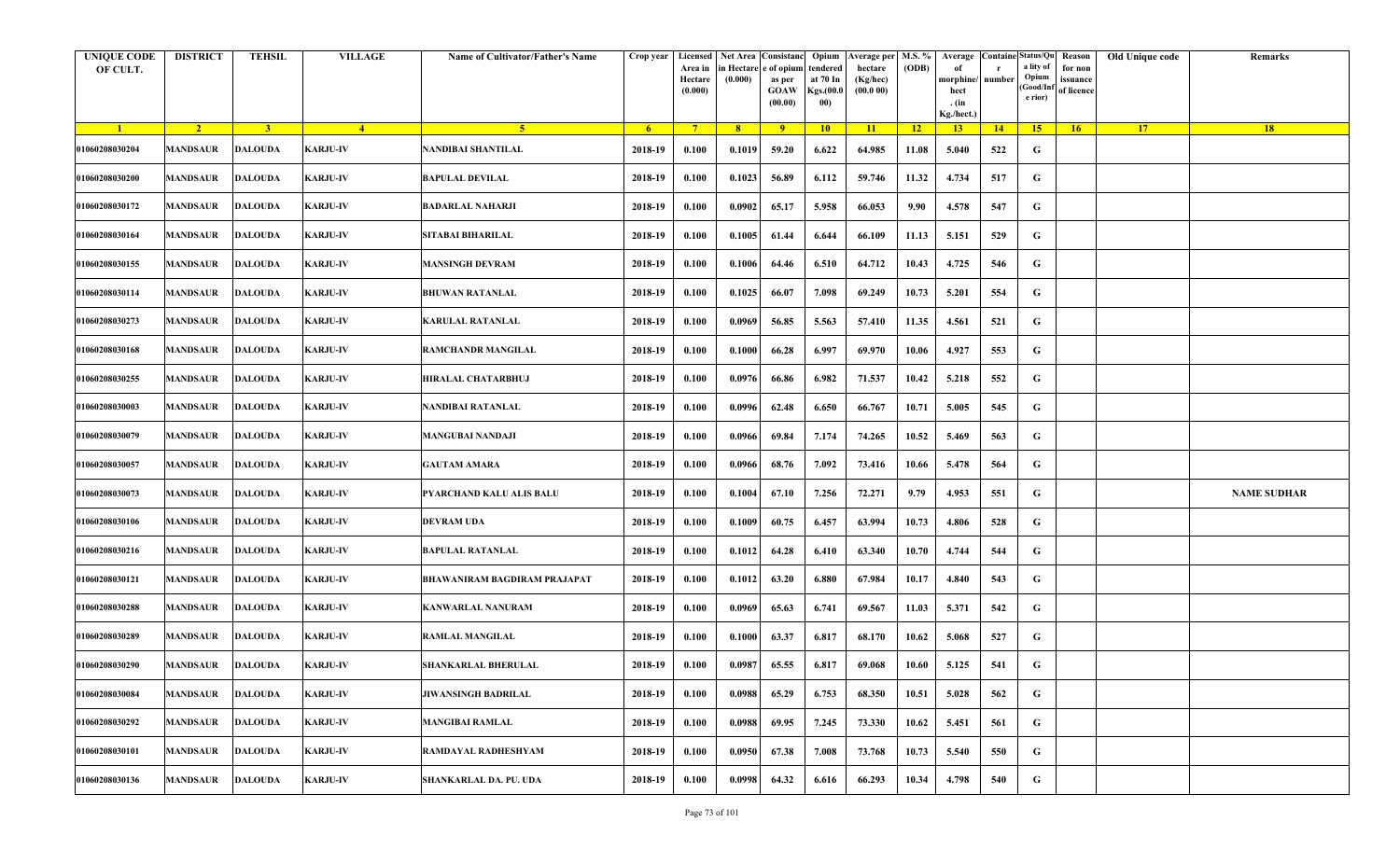| <b>UNIQUE CODE</b><br>OF CULT. | <b>DISTRICT</b> | <b>TEHSIL</b>  | <b>VILLAGE</b>  | <b>Name of Cultivator/Father's Name</b> | Crop year      | Area in<br>Hectare<br>(0.000) | in Hectare<br>(0.000) | Licensed Net Area   Consistanc   Opium<br>e of opium<br>as per<br><b>GOAW</b><br>(00.00) | :endered<br>at 70 In<br>Kgs.(00.0<br>00) | Average per   M.S. %<br>hectare<br>(Kg/hec)<br>(00.000) | (ODB)           | Average Containe Status/Qu<br>morphine/<br>hect<br>. $(in$<br>Kg./hect.) | number | a lity of<br>Opium<br>Good/Inf<br>e rior) | Reason<br>for non<br>issuance<br>of licence | Old Unique code | Remarks            |
|--------------------------------|-----------------|----------------|-----------------|-----------------------------------------|----------------|-------------------------------|-----------------------|------------------------------------------------------------------------------------------|------------------------------------------|---------------------------------------------------------|-----------------|--------------------------------------------------------------------------|--------|-------------------------------------------|---------------------------------------------|-----------------|--------------------|
| $\blacksquare$                 | $\sqrt{2}$      | 3 <sup>7</sup> | $\sqrt{4}$      | -5.                                     | 6 <sup>6</sup> | $-7$                          | 8 <sup>1</sup>        | 9                                                                                        | 10                                       | $\vert$ 11                                              | $\overline{12}$ | 13                                                                       | 14     | 15                                        | 16                                          | 17              | 18                 |
| 01060208030204                 | <b>MANDSAUR</b> | <b>DALOUDA</b> | <b>KARJU-IV</b> | NANDIBAI SHANTILAL                      | 2018-19        | 0.100                         | 0.1019                | 59.20                                                                                    | 6.622                                    | 64.985                                                  | 11.08           | 5.040                                                                    | 522    | G                                         |                                             |                 |                    |
| 01060208030200                 | MANDSAUR        | <b>DALOUDA</b> | <b>KARJU-IV</b> | <b>BAPULAL DEVILAL</b>                  | 2018-19        | 0.100                         | 0.1023                | 56.89                                                                                    | 6.112                                    | 59.746                                                  | 11.32           | 4.734                                                                    | 517    | G                                         |                                             |                 |                    |
| 01060208030172                 | <b>MANDSAUR</b> | <b>DALOUDA</b> | <b>KARJU-IV</b> | <b>BADARLAL NAHARJI</b>                 | 2018-19        | 0.100                         | 0.0902                | 65.17                                                                                    | 5.958                                    | 66.053                                                  | 9.90            | 4.578                                                                    | 547    | G                                         |                                             |                 |                    |
| 01060208030164                 | <b>MANDSAUR</b> | <b>DALOUDA</b> | <b>KARJU-IV</b> | SITABAI BIHARILAL                       | 2018-19        | 0.100                         | 0.1005                | 61.44                                                                                    | 6.644                                    | 66.109                                                  | 11.13           | 5.151                                                                    | 529    | G                                         |                                             |                 |                    |
| 01060208030155                 | <b>MANDSAUR</b> | <b>DALOUDA</b> | <b>KARJU-IV</b> | <b>MANSINGH DEVRAM</b>                  | 2018-19        | 0.100                         | 0.1006                | 64.46                                                                                    | 6.510                                    | 64.712                                                  | 10.43           | 4.725                                                                    | 546    | G                                         |                                             |                 |                    |
| 01060208030114                 | MANDSAUR        | <b>DALOUDA</b> | <b>KARJU-IV</b> | <b>BHUWAN RATANLAL</b>                  | 2018-19        | 0.100                         | 0.1025                | 66.07                                                                                    | 7.098                                    | 69.249                                                  | 10.73           | 5.201                                                                    | 554    | G                                         |                                             |                 |                    |
| 01060208030273                 | <b>MANDSAUR</b> | <b>DALOUDA</b> | <b>KARJU-IV</b> | <b>KARULAL RATANLAL</b>                 | 2018-19        | 0.100                         | 0.0969                | 56.85                                                                                    | 5.563                                    | 57.410                                                  | 11.35           | 4.561                                                                    | 521    | G                                         |                                             |                 |                    |
| 01060208030168                 | MANDSAUR        | <b>DALOUDA</b> | <b>KARJU-IV</b> | <b>RAMCHANDR MANGILAL</b>               | 2018-19        | 0.100                         | 0.1000                | 66.28                                                                                    | 6.997                                    | 69.970                                                  | 10.06           | 4.927                                                                    | 553    | G                                         |                                             |                 |                    |
| 01060208030255                 | <b>MANDSAUR</b> | <b>DALOUDA</b> | <b>KARJU-IV</b> | <b>HIRALAL CHATARBHUJ</b>               | 2018-19        | 0.100                         | 0.0976                | 66.86                                                                                    | 6.982                                    | 71.537                                                  | 10.42           | 5.218                                                                    | 552    | G                                         |                                             |                 |                    |
| 01060208030003                 | MANDSAUR        | <b>DALOUDA</b> | <b>KARJU-IV</b> | NANDIBAI RATANLAL                       | 2018-19        | 0.100                         | 0.0996                | 62.48                                                                                    | 6.650                                    | 66.767                                                  | 10.71           | 5.005                                                                    | 545    | G                                         |                                             |                 |                    |
| 01060208030079                 | <b>MANDSAUR</b> | <b>DALOUDA</b> | <b>KARJU-IV</b> | <b>MANGUBAI NANDAJI</b>                 | 2018-19        | 0.100                         | 0.0966                | 69.84                                                                                    | 7.174                                    | 74.265                                                  | 10.52           | 5.469                                                                    | 563    | G                                         |                                             |                 |                    |
| 01060208030057                 | MANDSAUR        | <b>DALOUDA</b> | <b>KARJU-IV</b> | <b>GAUTAM AMARA</b>                     | 2018-19        | 0.100                         | 0.0966                | 68.76                                                                                    | 7.092                                    | 73.416                                                  | 10.66           | 5.478                                                                    | 564    | G                                         |                                             |                 |                    |
| 01060208030073                 | <b>MANDSAUR</b> | <b>DALOUDA</b> | <b>KARJU-IV</b> | PYARCHAND KALU ALIS BALU                | 2018-19        | 0.100                         | 0.1004                | 67.10                                                                                    | 7.256                                    | 72.271                                                  | 9.79            | 4.953                                                                    | 551    | G                                         |                                             |                 | <b>NAME SUDHAR</b> |
| 01060208030106                 | <b>MANDSAUR</b> | <b>DALOUDA</b> | <b>KARJU-IV</b> | <b>DEVRAM UDA</b>                       | 2018-19        | 0.100                         | 0.1009                | 60.75                                                                                    | 6.457                                    | 63.994                                                  | 10.73           | 4.806                                                                    | 528    | G                                         |                                             |                 |                    |
| 01060208030216                 | MANDSAUR        | <b>DALOUDA</b> | <b>KARJU-IV</b> | <b>BAPULAL RATANLAL</b>                 | 2018-19        | 0.100                         | 0.1012                | 64.28                                                                                    | 6.410                                    | 63.340                                                  | 10.70           | 4.744                                                                    | 544    | G                                         |                                             |                 |                    |
| 01060208030121                 | <b>MANDSAUR</b> | <b>DALOUDA</b> | <b>KARJU-IV</b> | <b>BHAWANIRAM BAGDIRAM PRAJAPAT</b>     | 2018-19        | 0.100                         | 0.1012                | 63.20                                                                                    | 6.880                                    | 67.984                                                  | 10.17           | 4.840                                                                    | 543    | G                                         |                                             |                 |                    |
| 01060208030288                 | <b>MANDSAUR</b> | <b>DALOUDA</b> | <b>KARJU-IV</b> | <b>KANWARLAL NANURAM</b>                | 2018-19        | 0.100                         | 0.0969                | 65.63                                                                                    | 6.741                                    | 69.567                                                  | 11.03           | 5.371                                                                    | 542    | G                                         |                                             |                 |                    |
| 01060208030289                 | <b>MANDSAUR</b> | <b>DALOUDA</b> | <b>KARJU-IV</b> | <b>RAMLAL MANGILAL</b>                  | 2018-19        | 0.100                         | 0.1000                | 63.37                                                                                    | 6.817                                    | 68.170                                                  | 10.62           | 5.068                                                                    | 527    | G                                         |                                             |                 |                    |
| 01060208030290                 | <b>MANDSAUR</b> | <b>DALOUDA</b> | <b>KARJU-IV</b> | <b>SHANKARLAL BHERULAL</b>              | 2018-19        | 0.100                         | 0.0987                | 65.55                                                                                    | 6.817                                    | 69.068                                                  | 10.60           | 5.125                                                                    | 541    | G                                         |                                             |                 |                    |
| 01060208030084                 | <b>MANDSAUR</b> | <b>DALOUDA</b> | <b>KARJU-IV</b> | <b>JIWANSINGH BADRILAL</b>              | 2018-19        | 0.100                         | 0.0988                | 65.29                                                                                    | 6.753                                    | 68.350                                                  | 10.51           | 5.028                                                                    | 562    | G                                         |                                             |                 |                    |
| 01060208030292                 | <b>MANDSAUR</b> | <b>DALOUDA</b> | <b>KARJU-IV</b> | <b>MANGIBAI RAMLAL</b>                  | 2018-19        | 0.100                         | 0.0988                | 69.95                                                                                    | 7.245                                    | 73.330                                                  | 10.62           | 5.451                                                                    | 561    | G                                         |                                             |                 |                    |
| 01060208030101                 | <b>MANDSAUR</b> | <b>DALOUDA</b> | <b>KARJU-IV</b> | RAMDAYAL RADHESHYAM                     | 2018-19        | 0.100                         | 0.0950                | 67.38                                                                                    | 7.008                                    | 73.768                                                  | 10.73           | 5.540                                                                    | 550    | G                                         |                                             |                 |                    |
| 01060208030136                 | <b>MANDSAUR</b> | <b>DALOUDA</b> | <b>KARJU-IV</b> | <b>SHANKARLAL DA. PU. UDA</b>           | 2018-19        | 0.100                         | 0.0998                | 64.32                                                                                    | 6.616                                    | 66.293                                                  | 10.34           | 4.798                                                                    | 540    | G                                         |                                             |                 |                    |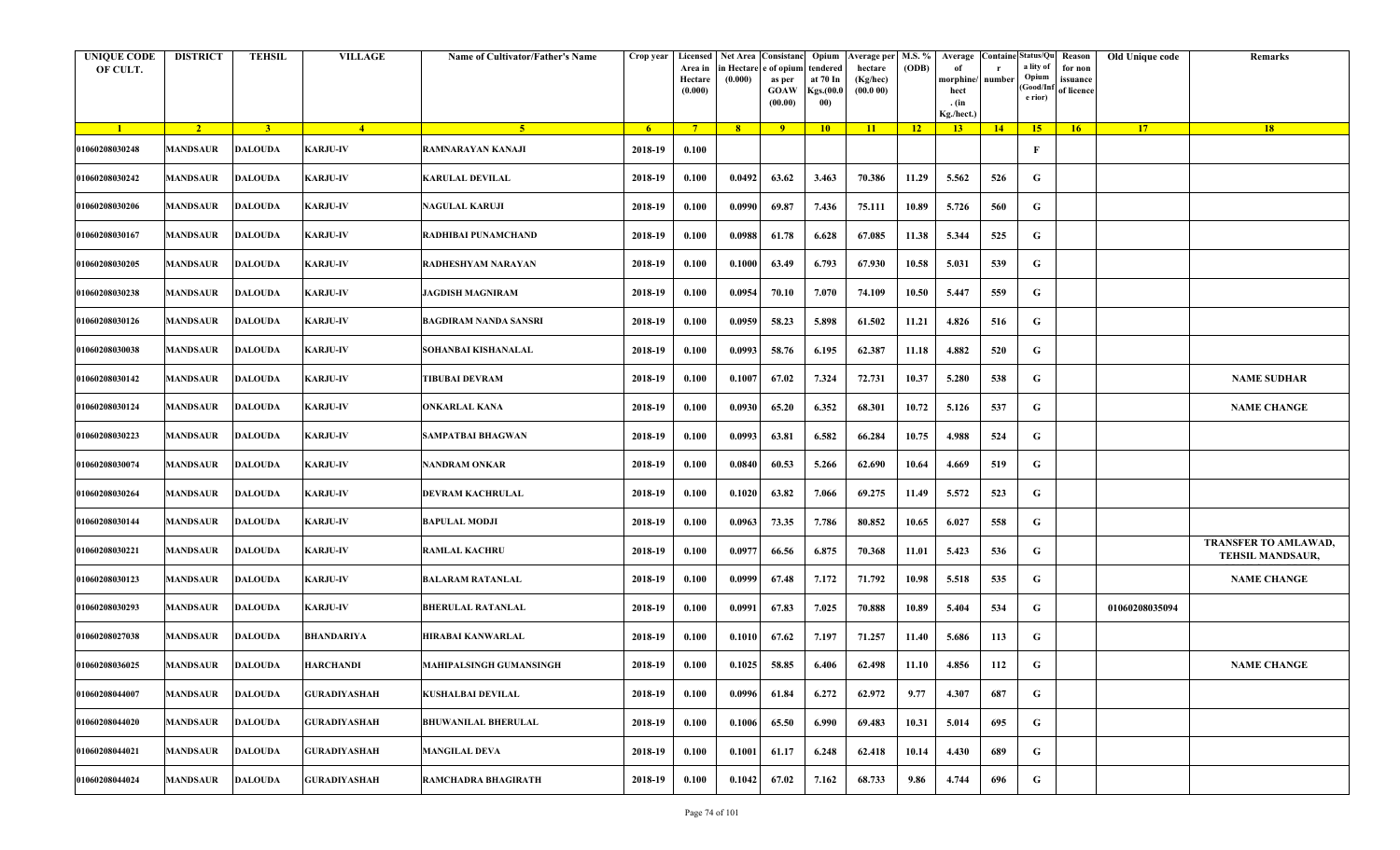| <b>UNIQUE CODE</b><br>OF CULT. | <b>DISTRICT</b> | <b>TEHSIL</b>  | <b>VILLAGE</b>      | Name of Cultivator/Father's Name | Crop year      | Area in<br>Hectare<br>(0.000) | in Hectare<br>(0.000) | Licensed Net Area Consistanc Opium<br>e of opium<br>as per<br><b>GOAW</b><br>(00.00) | :endered<br>at 70 In<br>Kgs.(00.0<br>00) | Average per   M.S. %<br>hectare<br>(Kg/hec)<br>(00.000) | (ODB) | Average<br>morphine/<br>hect<br>. $(in$<br>Kg./hect.) | Containe Status/Qu<br>number | a lity of<br>Opium<br>Good/Inf<br>e rior) | Reason<br>for non<br>issuance<br>of licence | Old Unique code | Remarks                                         |
|--------------------------------|-----------------|----------------|---------------------|----------------------------------|----------------|-------------------------------|-----------------------|--------------------------------------------------------------------------------------|------------------------------------------|---------------------------------------------------------|-------|-------------------------------------------------------|------------------------------|-------------------------------------------|---------------------------------------------|-----------------|-------------------------------------------------|
| $\blacksquare$                 | $\sqrt{2}$      | 3 <sup>l</sup> | $\sqrt{4}$          | -5.                              | 6 <sup>6</sup> | $7^{\circ}$                   | 8 <sup>1</sup>        | $\overline{9}$                                                                       | 10                                       | 11                                                      | 12    | 13 <sup>7</sup>                                       | 14                           | 15                                        | 16                                          | 17              | 18                                              |
| 01060208030248                 | <b>MANDSAUR</b> | <b>DALOUDA</b> | <b>KARJU-IV</b>     | RAMNARAYAN KANAJI                | 2018-19        | 0.100                         |                       |                                                                                      |                                          |                                                         |       |                                                       |                              | F                                         |                                             |                 |                                                 |
| 01060208030242                 | <b>MANDSAUR</b> | DALOUDA        | <b>KARJU-IV</b>     | <b>KARULAL DEVILAL</b>           | 2018-19        | 0.100                         | 0.0492                | 63.62                                                                                | 3.463                                    | 70.386                                                  | 11.29 | 5.562                                                 | 526                          | G                                         |                                             |                 |                                                 |
| 01060208030206                 | <b>MANDSAUR</b> | <b>DALOUDA</b> | <b>KARJU-IV</b>     | <b>NAGULAL KARUJI</b>            | 2018-19        | 0.100                         | 0.0990                | 69.87                                                                                | 7.436                                    | 75.111                                                  | 10.89 | 5.726                                                 | 560                          | G                                         |                                             |                 |                                                 |
| 01060208030167                 | <b>MANDSAUR</b> | <b>DALOUDA</b> | <b>KARJU-IV</b>     | RADHIBAI PUNAMCHAND              | 2018-19        | 0.100                         | 0.0988                | 61.78                                                                                | 6.628                                    | 67.085                                                  | 11.38 | 5.344                                                 | 525                          | G                                         |                                             |                 |                                                 |
| 01060208030205                 | <b>MANDSAUR</b> | <b>DALOUDA</b> | <b>KARJU-IV</b>     | RADHESHYAM NARAYAN               | 2018-19        | 0.100                         | 0.1000                | 63.49                                                                                | 6.793                                    | 67.930                                                  | 10.58 | 5.031                                                 | 539                          | G                                         |                                             |                 |                                                 |
| 01060208030238                 | <b>MANDSAUR</b> | DALOUDA        | <b>KARJU-IV</b>     | <b>JAGDISH MAGNIRAM</b>          | 2018-19        | 0.100                         | 0.0954                | 70.10                                                                                | 7.070                                    | 74.109                                                  | 10.50 | 5.447                                                 | 559                          | G                                         |                                             |                 |                                                 |
| 01060208030126                 | <b>MANDSAUR</b> | <b>DALOUDA</b> | <b>KARJU-IV</b>     | <b>BAGDIRAM NANDA SANSRI</b>     | 2018-19        | 0.100                         | 0.0959                | 58.23                                                                                | 5.898                                    | 61.502                                                  | 11.21 | 4.826                                                 | 516                          | G                                         |                                             |                 |                                                 |
| 01060208030038                 | <b>MANDSAUR</b> | <b>DALOUDA</b> | <b>KARJU-IV</b>     | SOHANBAI KISHANALAL              | 2018-19        | 0.100                         | 0.0993                | 58.76                                                                                | 6.195                                    | 62.387                                                  | 11.18 | 4.882                                                 | 520                          | G                                         |                                             |                 |                                                 |
| 01060208030142                 | <b>MANDSAUR</b> | <b>DALOUDA</b> | <b>KARJU-IV</b>     | <b>TIBUBAI DEVRAM</b>            | 2018-19        | 0.100                         | 0.1007                | 67.02                                                                                | 7.324                                    | 72.731                                                  | 10.37 | 5.280                                                 | 538                          | G                                         |                                             |                 | <b>NAME SUDHAR</b>                              |
| 01060208030124                 | MANDSAUR        | <b>DALOUDA</b> | <b>KARJU-IV</b>     | ONKARLAL KANA                    | 2018-19        | 0.100                         | 0.0930                | 65.20                                                                                | 6.352                                    | 68.301                                                  | 10.72 | 5.126                                                 | 537                          | G                                         |                                             |                 | <b>NAME CHANGE</b>                              |
| 01060208030223                 | <b>MANDSAUR</b> | DALOUDA        | <b>KARJU-IV</b>     | <b>SAMPATBAI BHAGWAN</b>         | 2018-19        | 0.100                         | 0.0993                | 63.81                                                                                | 6.582                                    | 66.284                                                  | 10.75 | 4.988                                                 | 524                          | G                                         |                                             |                 |                                                 |
| 01060208030074                 | <b>MANDSAUR</b> | DALOUDA        | <b>KARJU-IV</b>     | NANDRAM ONKAR                    | 2018-19        | 0.100                         | 0.0840                | 60.53                                                                                | 5.266                                    | 62.690                                                  | 10.64 | 4.669                                                 | 519                          | G                                         |                                             |                 |                                                 |
| 01060208030264                 | <b>MANDSAUR</b> | <b>DALOUDA</b> | <b>KARJU-IV</b>     | <b>DEVRAM KACHRULAL</b>          | 2018-19        | 0.100                         | 0.1020                | 63.82                                                                                | 7.066                                    | 69.275                                                  | 11.49 | 5.572                                                 | 523                          | G                                         |                                             |                 |                                                 |
| 01060208030144                 | <b>MANDSAUR</b> | <b>DALOUDA</b> | <b>KARJU-IV</b>     | <b>BAPULAL MODJI</b>             | 2018-19        | 0.100                         | 0.0963                | 73.35                                                                                | 7.786                                    | 80.852                                                  | 10.65 | 6.027                                                 | 558                          | G                                         |                                             |                 |                                                 |
| 01060208030221                 | <b>MANDSAUR</b> | DALOUDA        | <b>KARJU-IV</b>     | <b>RAMLAL KACHRU</b>             | 2018-19        | 0.100                         | 0.0977                | 66.56                                                                                | 6.875                                    | 70.368                                                  | 11.01 | 5.423                                                 | 536                          | G                                         |                                             |                 | TRANSFER TO AMLAWAD,<br><b>TEHSIL MANDSAUR,</b> |
| 01060208030123                 | <b>MANDSAUR</b> | <b>DALOUDA</b> | <b>KARJU-IV</b>     | <b>BALARAM RATANLAL</b>          | 2018-19        | 0.100                         | 0.0999                | 67.48                                                                                | 7.172                                    | 71.792                                                  | 10.98 | 5.518                                                 | 535                          | G                                         |                                             |                 | <b>NAME CHANGE</b>                              |
| 01060208030293                 | <b>MANDSAUR</b> | <b>DALOUDA</b> | <b>KARJU-IV</b>     | <b>BHERULAL RATANLAL</b>         | 2018-19        | 0.100                         | 0.0991                | 67.83                                                                                | 7.025                                    | 70.888                                                  | 10.89 | 5.404                                                 | 534                          | G                                         |                                             | 01060208035094  |                                                 |
| 01060208027038                 | <b>MANDSAUR</b> | <b>DALOUDA</b> | BHANDARIYA          | HIRABAI KANWARLAL                | 2018-19        | 0.100                         | 0.1010                | 67.62                                                                                | 7.197                                    | 71.257                                                  | 11.40 | 5.686                                                 | 113                          | G                                         |                                             |                 |                                                 |
| 01060208036025                 | <b>MANDSAUR</b> | <b>DALOUDA</b> | <b>HARCHANDI</b>    | MAHIPALSINGH GUMANSINGH          | 2018-19        | 0.100                         | 0.1025                | 58.85                                                                                | 6.406                                    | 62.498                                                  | 11.10 | 4.856                                                 | 112                          | G                                         |                                             |                 | <b>NAME CHANGE</b>                              |
| 01060208044007                 | <b>MANDSAUR</b> | DALOUDA        | <b>GURADIYASHAH</b> | KUSHALBAI DEVILAL                | 2018-19        | 0.100                         | 0.0996                | 61.84                                                                                | 6.272                                    | 62.972                                                  | 9.77  | 4.307                                                 | 687                          | G                                         |                                             |                 |                                                 |
| 01060208044020                 | <b>MANDSAUR</b> | <b>DALOUDA</b> | <b>GURADIYASHAH</b> | <b>BHUWANILAL BHERULAL</b>       | 2018-19        | 0.100                         | 0.1006                | 65.50                                                                                | 6.990                                    | 69.483                                                  | 10.31 | 5.014                                                 | 695                          | G                                         |                                             |                 |                                                 |
| 01060208044021                 | <b>MANDSAUR</b> | <b>DALOUDA</b> | <b>GURADIYASHAH</b> | <b>MANGILAL DEVA</b>             | 2018-19        | 0.100                         | 0.1001                | 61.17                                                                                | 6.248                                    | 62.418                                                  | 10.14 | 4.430                                                 | 689                          | G                                         |                                             |                 |                                                 |
| 01060208044024                 | <b>MANDSAUR</b> | <b>DALOUDA</b> | <b>GURADIYASHAH</b> | RAMCHADRA BHAGIRATH              | 2018-19        | 0.100                         | 0.1042                | 67.02                                                                                | 7.162                                    | 68.733                                                  | 9.86  | 4.744                                                 | 696                          | G                                         |                                             |                 |                                                 |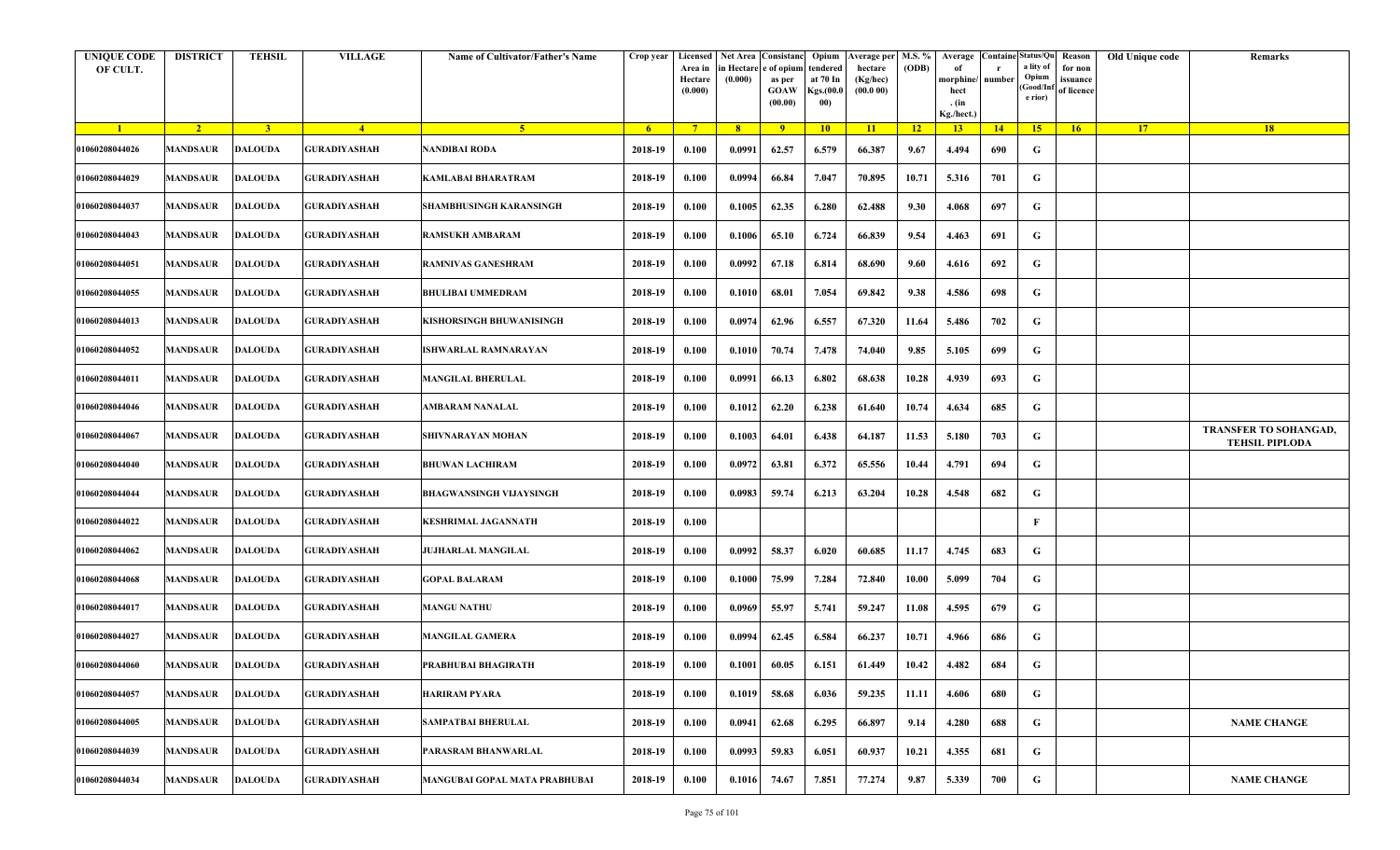| <b>UNIQUE CODE</b><br>OF CULT. | <b>DISTRICT</b> | <b>TEHSIL</b>  | <b>VILLAGE</b>      | <b>Name of Cultivator/Father's Name</b> | Crop year      | Area in<br>Hectare<br>(0.000) | in Hectare<br>(0.000) | Licensed Net Area Consistanc<br>e of opium<br>as per<br><b>GOAW</b><br>(00.00) | Opium<br>tendered<br>at 70 In<br>Kgs.(00.0<br>00) | Verage per   M.S. %<br>hectare<br>(Kg/hec)<br>(00.000) | (ODB)           | Average<br>morphine/<br>hect<br>. $(in$<br>Kg./hect.) | number | <b>Containe Status/Qu</b><br>a lity of<br>Opium<br>Good/Inf<br>e rior) | Reason<br>for non<br>issuance<br>of licence | Old Unique code | Remarks                                        |
|--------------------------------|-----------------|----------------|---------------------|-----------------------------------------|----------------|-------------------------------|-----------------------|--------------------------------------------------------------------------------|---------------------------------------------------|--------------------------------------------------------|-----------------|-------------------------------------------------------|--------|------------------------------------------------------------------------|---------------------------------------------|-----------------|------------------------------------------------|
| $\blacksquare$                 | $\sqrt{2}$      | 3 <sup>l</sup> | $-4$                | 5 <sup>1</sup>                          | 6 <sup>6</sup> | $-7$                          | 8 <sup>1</sup>        | 9                                                                              | 10 <sub>1</sub>                                   | $\vert$ 11                                             | $\overline{12}$ | 13                                                    | 14     | 15                                                                     | 16                                          | <b>17</b>       | 18                                             |
| 01060208044026                 | <b>MANDSAUR</b> | <b>DALOUDA</b> | <b>GURADIYASHAH</b> | NANDIBAI RODA                           | 2018-19        | 0.100                         | 0.0991                | 62.57                                                                          | 6.579                                             | 66.387                                                 | 9.67            | 4.494                                                 | 690    | G                                                                      |                                             |                 |                                                |
| 01060208044029                 | MANDSAUR        | DALOUDA        | <b>GURADIYASHAH</b> | KAMLABAI BHARATRAM                      | 2018-19        | 0.100                         | 0.0994                | 66.84                                                                          | 7.047                                             | 70.895                                                 | 10.71           | 5.316                                                 | 701    | G                                                                      |                                             |                 |                                                |
| 01060208044037                 | <b>MANDSAUR</b> | <b>DALOUDA</b> | <b>GURADIYASHAH</b> | <b>SHAMBHUSINGH KARANSINGH</b>          | 2018-19        | 0.100                         | 0.1005                | 62.35                                                                          | 6.280                                             | 62.488                                                 | 9.30            | 4.068                                                 | 697    | G                                                                      |                                             |                 |                                                |
| 01060208044043                 | <b>MANDSAUR</b> | <b>DALOUDA</b> | <b>GURADIYASHAH</b> | <b>RAMSUKH AMBARAM</b>                  | 2018-19        | 0.100                         | 0.1006                | 65.10                                                                          | 6.724                                             | 66.839                                                 | 9.54            | 4.463                                                 | 691    | G                                                                      |                                             |                 |                                                |
| 01060208044051                 | <b>MANDSAUR</b> | <b>DALOUDA</b> | <b>GURADIYASHAH</b> | <b>RAMNIVAS GANESHRAM</b>               | 2018-19        | 0.100                         | 0.0992                | 67.18                                                                          | 6.814                                             | 68.690                                                 | 9.60            | 4.616                                                 | 692    | G                                                                      |                                             |                 |                                                |
| 01060208044055                 | MANDSAUR        | <b>DALOUDA</b> | <b>GURADIYASHAH</b> | <b>BHULIBAI UMMEDRAM</b>                | 2018-19        | 0.100                         | 0.1010                | 68.01                                                                          | 7.054                                             | 69.842                                                 | 9.38            | 4.586                                                 | 698    | G                                                                      |                                             |                 |                                                |
| 01060208044013                 | <b>MANDSAUR</b> | <b>DALOUDA</b> | <b>GURADIYASHAH</b> | <b>KISHORSINGH BHUWANISINGH</b>         | 2018-19        | 0.100                         | 0.0974                | 62.96                                                                          | 6.557                                             | 67.320                                                 | 11.64           | 5.486                                                 | 702    | G                                                                      |                                             |                 |                                                |
| 01060208044052                 | <b>MANDSAUR</b> | <b>DALOUDA</b> | <b>GURADIYASHAH</b> | ISHWARLAL RAMNARAYAN                    | 2018-19        | 0.100                         | 0.1010                | 70.74                                                                          | 7.478                                             | 74.040                                                 | 9.85            | 5.105                                                 | 699    | G                                                                      |                                             |                 |                                                |
| 01060208044011                 | <b>MANDSAUR</b> | <b>DALOUDA</b> | <b>GURADIYASHAH</b> | <b>MANGILAL BHERULAL</b>                | 2018-19        | 0.100                         | 0.0991                | 66.13                                                                          | 6.802                                             | 68.638                                                 | 10.28           | 4.939                                                 | 693    | G                                                                      |                                             |                 |                                                |
| 01060208044046                 | MANDSAUR        | <b>DALOUDA</b> | <b>GURADIYASHAH</b> | AMBARAM NANALAL                         | 2018-19        | 0.100                         | 0.1012                | 62.20                                                                          | 6.238                                             | 61.640                                                 | 10.74           | 4.634                                                 | 685    | G                                                                      |                                             |                 |                                                |
| 01060208044067                 | <b>MANDSAUR</b> | <b>DALOUDA</b> | <b>GURADIYASHAH</b> | <b>SHIVNARAYAN MOHAN</b>                | 2018-19        | 0.100                         | 0.1003                | 64.01                                                                          | 6.438                                             | 64.187                                                 | 11.53           | 5.180                                                 | 703    | G                                                                      |                                             |                 | TRANSFER TO SOHANGAD,<br><b>TEHSIL PIPLODA</b> |
| 01060208044040                 | MANDSAUR        | <b>DALOUDA</b> | <b>GURADIYASHAH</b> | <b>BHUWAN LACHIRAM</b>                  | 2018-19        | 0.100                         | 0.0972                | 63.81                                                                          | 6.372                                             | 65.556                                                 | 10.44           | 4.791                                                 | 694    | G                                                                      |                                             |                 |                                                |
| 01060208044044                 | <b>MANDSAUR</b> | <b>DALOUDA</b> | <b>GURADIYASHAH</b> | <b>BHAGWANSINGH VIJAYSINGH</b>          | 2018-19        | 0.100                         | 0.0983                | 59.74                                                                          | 6.213                                             | 63.204                                                 | 10.28           | 4.548                                                 | 682    | G                                                                      |                                             |                 |                                                |
| 01060208044022                 | <b>MANDSAUR</b> | <b>DALOUDA</b> | <b>GURADIYASHAH</b> | <b>KESHRIMAL JAGANNATH</b>              | 2018-19        | 0.100                         |                       |                                                                                |                                                   |                                                        |                 |                                                       |        | F                                                                      |                                             |                 |                                                |
| 01060208044062                 | MANDSAUR        | <b>DALOUDA</b> | <b>GURADIYASHAH</b> | <b>JUJHARLAL MANGILAL</b>               | 2018-19        | 0.100                         | 0.0992                | 58.37                                                                          | 6.020                                             | 60.685                                                 | 11.17           | 4.745                                                 | 683    | G                                                                      |                                             |                 |                                                |
| 01060208044068                 | <b>MANDSAUR</b> | <b>DALOUDA</b> | <b>GURADIYASHAH</b> | <b>GOPAL BALARAM</b>                    | 2018-19        | 0.100                         | 0.1000                | 75.99                                                                          | 7.284                                             | 72.840                                                 | 10.00           | 5.099                                                 | 704    | G                                                                      |                                             |                 |                                                |
| 01060208044017                 | <b>MANDSAUR</b> | <b>DALOUDA</b> | <b>GURADIYASHAH</b> | <b>MANGU NATHU</b>                      | 2018-19        | 0.100                         | 0.0969                | 55.97                                                                          | 5.741                                             | 59.247                                                 | 11.08           | 4.595                                                 | 679    | G                                                                      |                                             |                 |                                                |
| 01060208044027                 | <b>MANDSAUR</b> | <b>DALOUDA</b> | <b>GURADIYASHAH</b> | <b>MANGILAL GAMERA</b>                  | 2018-19        | 0.100                         | 0.0994                | 62.45                                                                          | 6.584                                             | 66.237                                                 | 10.71           | 4.966                                                 | 686    | G                                                                      |                                             |                 |                                                |
| 01060208044060                 | MANDSAUR        | <b>DALOUDA</b> | <b>GURADIYASHAH</b> | <b>PRABHUBAI BHAGIRATH</b>              | 2018-19        | 0.100                         | 0.1001                | 60.05                                                                          | 6.151                                             | 61.449                                                 | 10.42           | 4.482                                                 | 684    | G                                                                      |                                             |                 |                                                |
| 01060208044057                 | <b>MANDSAUR</b> | <b>DALOUDA</b> | <b>GURADIYASHAH</b> | <b>HARIRAM PYARA</b>                    | 2018-19        | 0.100                         | 0.1019                | 58.68                                                                          | 6.036                                             | 59.235                                                 | 11.11           | 4.606                                                 | 680    | G                                                                      |                                             |                 |                                                |
| 01060208044005                 | <b>MANDSAUR</b> | <b>DALOUDA</b> | <b>GURADIYASHAH</b> | <b>SAMPATBAI BHERULAL</b>               | 2018-19        | 0.100                         | 0.0941                | 62.68                                                                          | 6.295                                             | 66.897                                                 | 9.14            | 4.280                                                 | 688    | G                                                                      |                                             |                 | <b>NAME CHANGE</b>                             |
| 01060208044039                 | <b>MANDSAUR</b> | <b>DALOUDA</b> | <b>GURADIYASHAH</b> | PARASRAM BHANWARLAL                     | 2018-19        | 0.100                         | 0.0993                | 59.83                                                                          | 6.051                                             | 60.937                                                 | 10.21           | 4.355                                                 | 681    | G                                                                      |                                             |                 |                                                |
| 01060208044034                 | <b>MANDSAUR</b> | <b>DALOUDA</b> | <b>GURADIYASHAH</b> | MANGUBAI GOPAL MATA PRABHUBAI           | 2018-19        | 0.100                         | 0.1016                | 74.67                                                                          | 7.851                                             | 77.274                                                 | 9.87            | 5.339                                                 | 700    | G                                                                      |                                             |                 | <b>NAME CHANGE</b>                             |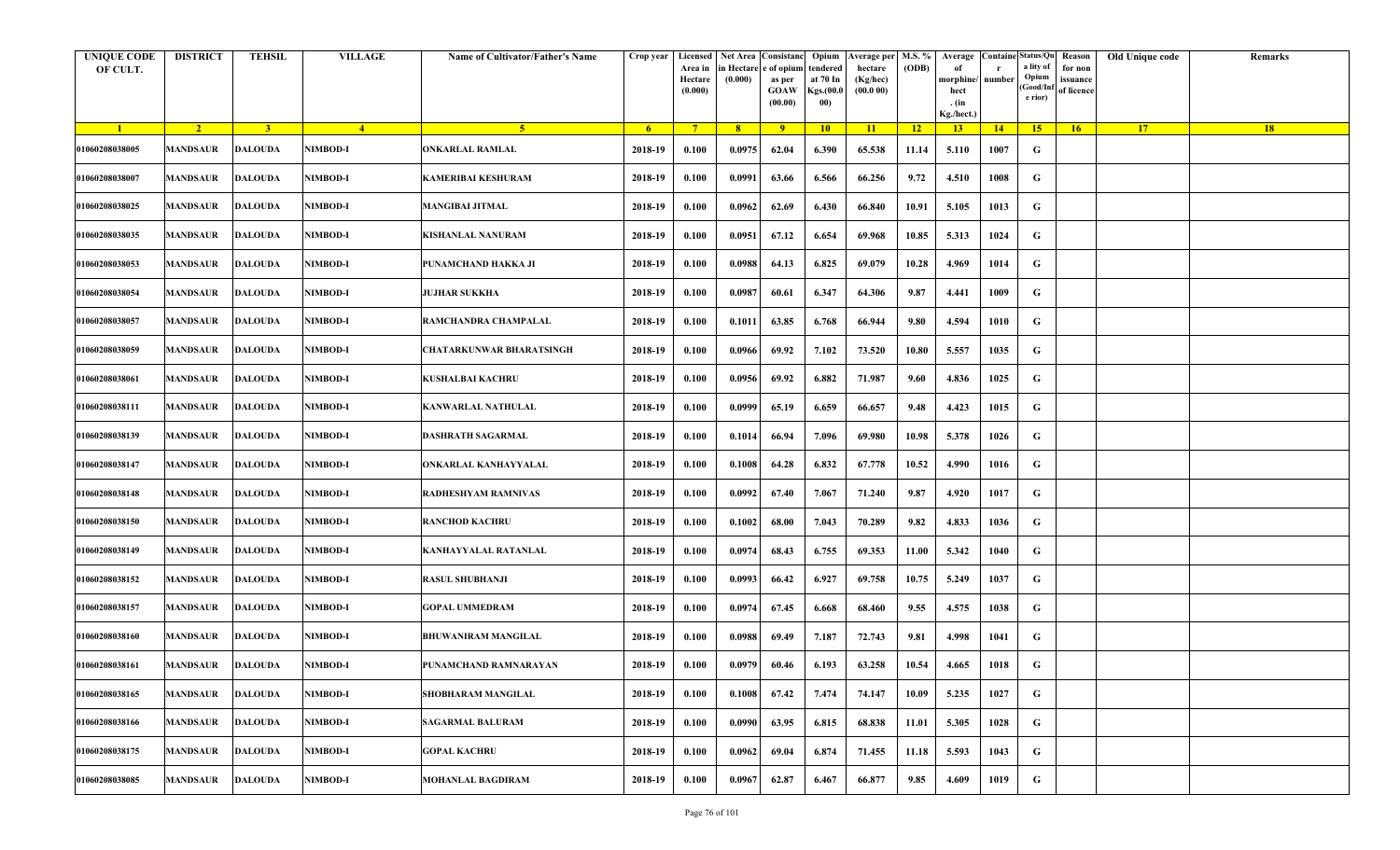| <b>UNIQUE CODE</b><br>OF CULT. | <b>DISTRICT</b> | <b>TEHSIL</b>  | <b>VILLAGE</b>  | Name of Cultivator/Father's Name | Crop year      | Area in<br>Hectare<br>(0.000) | Licensed Net Area Consistanc<br>ı Hectar<br>(0.000) | e of opium<br>as per<br><b>GOAW</b><br>(00.00) | Opium<br>tendered<br>at 70 In<br>Kgs.(00.0<br>00) | Average per   M.S. %<br>hectare<br>(Kg/hec)<br>(00.000) | (ODB) | Average<br>morphine/<br>hect<br>. (in | <b>Containe Status/Qu</b><br>number | a lity of<br>Opium<br>(Good/In:<br>e rior) | Reason<br>for non<br>issuance<br>of licence | Old Unique code | Remarks |
|--------------------------------|-----------------|----------------|-----------------|----------------------------------|----------------|-------------------------------|-----------------------------------------------------|------------------------------------------------|---------------------------------------------------|---------------------------------------------------------|-------|---------------------------------------|-------------------------------------|--------------------------------------------|---------------------------------------------|-----------------|---------|
| $\blacksquare$ 1               | $\sqrt{2}$      | 3 <sup>7</sup> | $\sqrt{4}$      | -5.                              | 6 <sup>6</sup> | $-7$                          | 8 <sup>1</sup>                                      | $-9$                                           | 10                                                | $\vert$ 11                                              | $-12$ | Kg./hect.)<br>13                      | 14                                  | 15                                         | 16                                          | 17              | 18      |
| 01060208038005                 | <b>MANDSAUR</b> | <b>DALOUDA</b> | NIMBOD-I        | ONKARLAL RAMLAL                  | 2018-19        | 0.100                         | 0.0975                                              | 62.04                                          | 6.390                                             | 65.538                                                  | 11.14 | 5.110                                 | 1007                                | G                                          |                                             |                 |         |
|                                |                 |                |                 |                                  |                |                               |                                                     |                                                |                                                   |                                                         |       |                                       |                                     |                                            |                                             |                 |         |
| 01060208038007                 | MANDSAUR        | <b>DALOUDA</b> | <b>NIMBOD-I</b> | <b>KAMERIBAI KESHURAM</b>        | 2018-19        | 0.100                         | 0.0991                                              | 63.66                                          | 6.566                                             | 66.256                                                  | 9.72  | 4.510                                 | 1008                                | G                                          |                                             |                 |         |
| 01060208038025                 | <b>MANDSAUR</b> | <b>DALOUDA</b> | <b>NIMBOD-I</b> | <b>MANGIBAI JITMAL</b>           | 2018-19        | 0.100                         | 0.0962                                              | 62.69                                          | 6.430                                             | 66.840                                                  | 10.91 | 5.105                                 | 1013                                | G                                          |                                             |                 |         |
| 01060208038035                 | <b>MANDSAUR</b> | <b>DALOUDA</b> | NIMBOD-I        | KISHANLAL NANURAM                | 2018-19        | 0.100                         | 0.0951                                              | 67.12                                          | 6.654                                             | 69.968                                                  | 10.85 | 5.313                                 | 1024                                | G                                          |                                             |                 |         |
| 01060208038053                 | <b>MANDSAUR</b> | <b>DALOUDA</b> | <b>NIMBOD-I</b> | PUNAMCHAND HAKKA JI              | 2018-19        | 0.100                         | 0.0988                                              | 64.13                                          | 6.825                                             | 69.079                                                  | 10.28 | 4.969                                 | 1014                                | G                                          |                                             |                 |         |
| 01060208038054                 | <b>MANDSAUR</b> | <b>DALOUDA</b> | <b>NIMBOD-I</b> | <b>JUJHAR SUKKHA</b>             | 2018-19        | 0.100                         | 0.0987                                              | 60.61                                          | 6.347                                             | 64.306                                                  | 9.87  | 4.441                                 | 1009                                | G                                          |                                             |                 |         |
| 01060208038057                 | MANDSAUR        | <b>DALOUDA</b> | <b>NIMBOD-I</b> | RAMCHANDRA CHAMPALAL             | 2018-19        | 0.100                         | 0.1011                                              | 63.85                                          | 6.768                                             | 66.944                                                  | 9.80  | 4.594                                 | 1010                                | G                                          |                                             |                 |         |
| 01060208038059                 | MANDSAUR        | <b>DALOUDA</b> | <b>NIMBOD-I</b> | CHATARKUNWAR BHARATSINGH         | 2018-19        | 0.100                         | 0.0966                                              | 69.92                                          | 7.102                                             | 73.520                                                  | 10.80 | 5.557                                 | 1035                                | G                                          |                                             |                 |         |
| 01060208038061                 | <b>MANDSAUR</b> | <b>DALOUDA</b> | <b>NIMBOD-I</b> | <b>KUSHALBAI KACHRU</b>          | 2018-19        | 0.100                         | 0.0956                                              | 69.92                                          | 6.882                                             | 71.987                                                  | 9.60  | 4.836                                 | 1025                                | G                                          |                                             |                 |         |
| 01060208038111                 | <b>MANDSAUR</b> | <b>DALOUDA</b> | <b>NIMBOD-I</b> | KANWARLAL NATHULAL               | 2018-19        | 0.100                         | 0.0999                                              | 65.19                                          | 6.659                                             | 66.657                                                  | 9.48  | 4.423                                 | 1015                                | G                                          |                                             |                 |         |
| 01060208038139                 | MANDSAUR        | <b>DALOUDA</b> | <b>NIMBOD-I</b> | <b>DASHRATH SAGARMAL</b>         | 2018-19        | 0.100                         | 0.1014                                              | 66.94                                          | 7.096                                             | 69.980                                                  | 10.98 | 5.378                                 | 1026                                | G                                          |                                             |                 |         |
| 01060208038147                 | MANDSAUR        | <b>DALOUDA</b> | <b>NIMBOD-I</b> | ONKARLAL KANHAYYALAL             | 2018-19        | 0.100                         | 0.1008                                              | 64.28                                          | 6.832                                             | 67.778                                                  | 10.52 | 4.990                                 | 1016                                | G                                          |                                             |                 |         |
| 01060208038148                 | <b>MANDSAUR</b> | <b>DALOUDA</b> | <b>NIMBOD-I</b> | RADHESHYAM RAMNIVAS              | 2018-19        | 0.100                         | 0.0992                                              | 67.40                                          | 7.067                                             | 71.240                                                  | 9.87  | 4.920                                 | 1017                                | G                                          |                                             |                 |         |
| 01060208038150                 | MANDSAUR        | <b>DALOUDA</b> | <b>NIMBOD-I</b> | <b>RANCHOD KACHRU</b>            | 2018-19        | 0.100                         | 0.1002                                              | 68.00                                          | 7.043                                             | 70.289                                                  | 9.82  | 4.833                                 | 1036                                | G                                          |                                             |                 |         |
| 01060208038149                 | MANDSAUR        | <b>DALOUDA</b> | <b>NIMBOD-I</b> | KANHAYYALAL RATANLAL             | 2018-19        | 0.100                         | 0.0974                                              | 68.43                                          | 6.755                                             | 69.353                                                  | 11.00 | 5.342                                 | 1040                                | G                                          |                                             |                 |         |
| 01060208038152                 | <b>MANDSAUR</b> | <b>DALOUDA</b> | <b>NIMBOD-I</b> | <b>RASUL SHUBHANJI</b>           | 2018-19        | 0.100                         | 0.0993                                              | 66.42                                          | 6.927                                             | 69.758                                                  | 10.75 | 5.249                                 | 1037                                | G                                          |                                             |                 |         |
| 01060208038157                 | MANDSAUR        | <b>DALOUDA</b> | <b>NIMBOD-I</b> | <b>GOPAL UMMEDRAM</b>            | 2018-19        | 0.100                         | 0.0974                                              | 67.45                                          | 6.668                                             | 68.460                                                  | 9.55  | 4.575                                 | 1038                                | G                                          |                                             |                 |         |
| 01060208038160                 | MANDSAUR        | <b>DALOUDA</b> | <b>NIMBOD-I</b> | <b>BHUWANIRAM MANGILAL</b>       | 2018-19        | 0.100                         | 0.0988                                              | 69.49                                          | 7.187                                             | 72.743                                                  | 9.81  | 4.998                                 | 1041                                | G                                          |                                             |                 |         |
| 01060208038161                 | MANDSAUR        | <b>DALOUDA</b> | <b>NIMBOD-I</b> | PUNAMCHAND RAMNARAYAN            | 2018-19        | 0.100                         | 0.0979                                              | 60.46                                          | 6.193                                             | 63.258                                                  | 10.54 | 4.665                                 | 1018                                | G                                          |                                             |                 |         |
| 01060208038165                 | <b>MANDSAUR</b> | <b>DALOUDA</b> | <b>NIMBOD-I</b> | SHOBHARAM MANGILAL               | 2018-19        | 0.100                         | 0.1008                                              | 67.42                                          | 7.474                                             | 74.147                                                  | 10.09 | 5.235                                 | 1027                                | G                                          |                                             |                 |         |
| 01060208038166                 | <b>MANDSAUR</b> | <b>DALOUDA</b> | <b>NIMBOD-I</b> | <b>SAGARMAL BALURAM</b>          | 2018-19        | 0.100                         | 0.0990                                              | 63.95                                          | 6.815                                             | 68.838                                                  | 11.01 | 5.305                                 | 1028                                | G                                          |                                             |                 |         |
| 01060208038175                 | MANDSAUR        | <b>DALOUDA</b> | <b>NIMBOD-I</b> | <b>GOPAL KACHRU</b>              | 2018-19        | 0.100                         | 0.0962                                              | 69.04                                          | 6.874                                             | 71.455                                                  | 11.18 | 5.593                                 | 1043                                | G                                          |                                             |                 |         |
| 01060208038085                 | <b>MANDSAUR</b> | <b>DALOUDA</b> | <b>NIMBOD-I</b> | MOHANLAL BAGDIRAM                | 2018-19        | 0.100                         | 0.0967                                              | 62.87                                          | 6.467                                             | 66.877                                                  | 9.85  | 4.609                                 | 1019                                | G                                          |                                             |                 |         |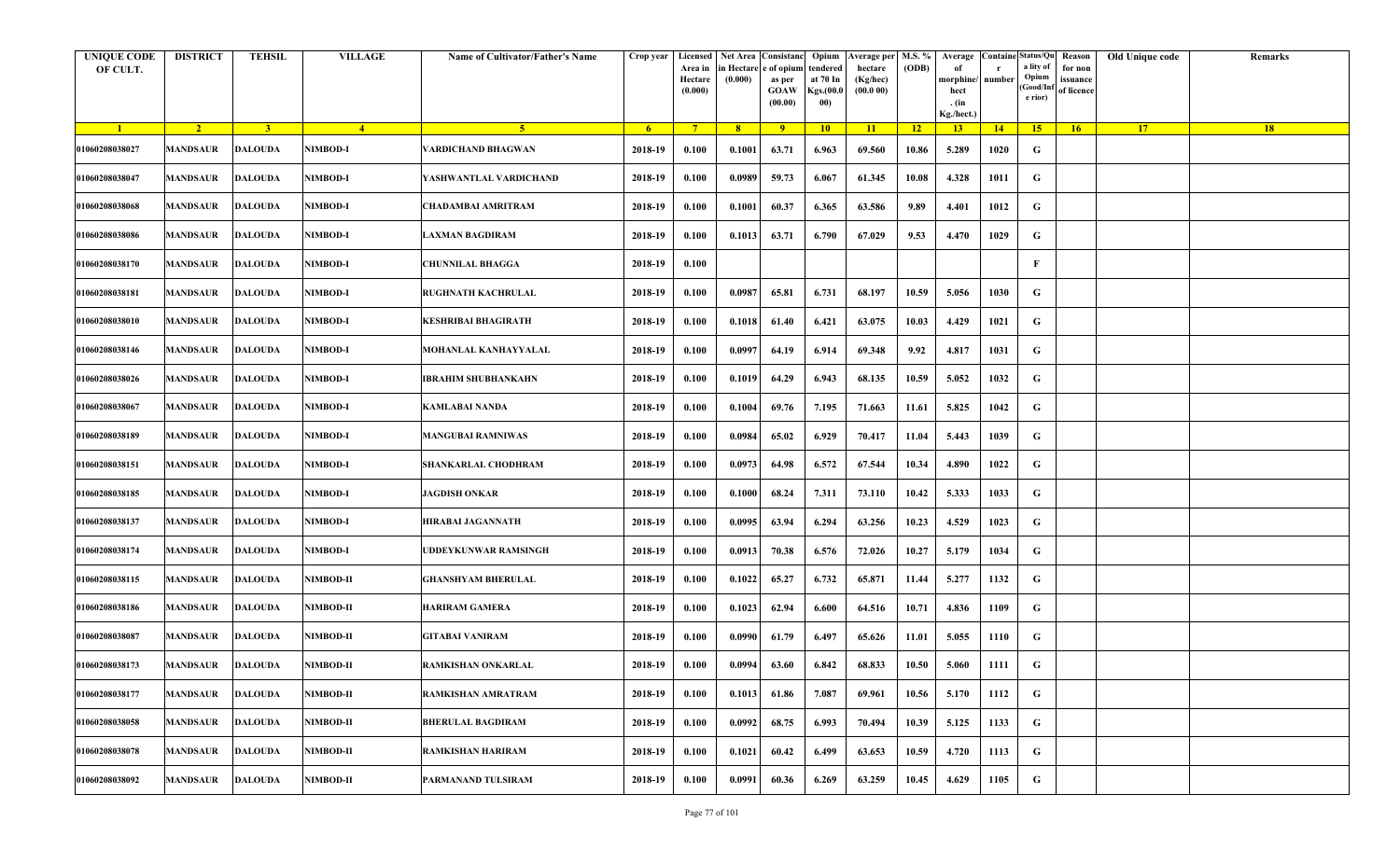| <b>UNIQUE CODE</b><br>OF CULT. | <b>DISTRICT</b> | <b>TEHSIL</b>  | <b>VILLAGE</b>   | Name of Cultivator/Father's Name | Crop year      | Area in<br>Hectare<br>(0.000) | ı Hectar<br>(0.000) | Licensed Net Area Consistanc<br>e of opium<br>as per<br><b>GOAW</b><br>(00.00) | Opium<br>tendered<br>at 70 In<br>Kgs.(00.0<br>00) | Average per   M.S. %<br>hectare<br>(Kg/hec)<br>(00.000) | (ODB) | Average<br>morphine/<br>hect<br>. (in | <b>Containe Status/Qu</b><br>number | a lity of<br>Opium<br>(Good/In:<br>e rior) | Reason<br>for non<br>issuance<br>of licence | Old Unique code | Remarks |
|--------------------------------|-----------------|----------------|------------------|----------------------------------|----------------|-------------------------------|---------------------|--------------------------------------------------------------------------------|---------------------------------------------------|---------------------------------------------------------|-------|---------------------------------------|-------------------------------------|--------------------------------------------|---------------------------------------------|-----------------|---------|
| $\blacksquare$ 1               | $\sqrt{2}$      | 3 <sup>7</sup> | $\sqrt{4}$       | $\sqrt{5}$                       | 6 <sup>6</sup> | $-7$                          | 8 <sup>1</sup>      | $-9$                                                                           | 10                                                | $\vert$ 11                                              | $-12$ | Kg./hect.)<br>13                      | 14                                  | 15                                         | 16                                          | 17              | 18      |
| 01060208038027                 | MANDSAUR        | <b>DALOUDA</b> | NIMBOD-I         | VARDICHAND BHAGWAN               | 2018-19        | 0.100                         | 0.1001              | 63.71                                                                          | 6.963                                             | 69.560                                                  | 10.86 | 5.289                                 | 1020                                | G                                          |                                             |                 |         |
| 01060208038047                 | MANDSAUR        | <b>DALOUDA</b> | <b>NIMBOD-I</b>  | YASHWANTLAL VARDICHAND           | 2018-19        | 0.100                         | 0.0989              | 59.73                                                                          | 6.067                                             | 61.345                                                  | 10.08 | 4.328                                 | 1011                                | G                                          |                                             |                 |         |
| 01060208038068                 | <b>MANDSAUR</b> | <b>DALOUDA</b> | <b>NIMBOD-I</b>  | CHADAMBAI AMRITRAM               | 2018-19        | 0.100                         | 0.1001              | 60.37                                                                          | 6.365                                             | 63.586                                                  | 9.89  | 4.401                                 | 1012                                | G                                          |                                             |                 |         |
| 01060208038086                 | <b>MANDSAUR</b> | <b>DALOUDA</b> | NIMBOD-I         | <b>LAXMAN BAGDIRAM</b>           | 2018-19        | 0.100                         | 0.1013              | 63.71                                                                          | 6.790                                             | 67.029                                                  | 9.53  | 4.470                                 | 1029                                | G                                          |                                             |                 |         |
| 01060208038170                 | <b>MANDSAUR</b> | <b>DALOUDA</b> | <b>NIMBOD-I</b>  | CHUNNILAL BHAGGA                 | 2018-19        | 0.100                         |                     |                                                                                |                                                   |                                                         |       |                                       |                                     | $\mathbf{F}$                               |                                             |                 |         |
| 01060208038181                 | <b>MANDSAUR</b> | <b>DALOUDA</b> | <b>NIMBOD-I</b>  | <b>RUGHNATH KACHRULAL</b>        | 2018-19        | 0.100                         | 0.0987              | 65.81                                                                          | 6.731                                             | 68.197                                                  | 10.59 | 5.056                                 | 1030                                | G                                          |                                             |                 |         |
| 01060208038010                 | MANDSAUR        | <b>DALOUDA</b> | <b>NIMBOD-I</b>  | <b>KESHRIBAI BHAGIRATH</b>       | 2018-19        | 0.100                         | 0.1018              | 61.40                                                                          | 6.421                                             | 63.075                                                  | 10.03 | 4.429                                 | 1021                                | G                                          |                                             |                 |         |
| 01060208038146                 | MANDSAUR        | <b>DALOUDA</b> | <b>NIMBOD-I</b>  | MOHANLAL KANHAYYALAL             | 2018-19        | 0.100                         | 0.0997              | 64.19                                                                          | 6.914                                             | 69.348                                                  | 9.92  | 4.817                                 | 1031                                | G                                          |                                             |                 |         |
| 01060208038026                 | <b>MANDSAUR</b> | <b>DALOUDA</b> | <b>NIMBOD-I</b>  | <b>IBRAHIM SHUBHANKAHN</b>       | 2018-19        | 0.100                         | 0.1019              | 64.29                                                                          | 6.943                                             | 68.135                                                  | 10.59 | 5.052                                 | 1032                                | G                                          |                                             |                 |         |
| 01060208038067                 | <b>MANDSAUR</b> | <b>DALOUDA</b> | <b>NIMBOD-I</b>  | KAMLABAI NANDA                   | 2018-19        | 0.100                         | 0.1004              | 69.76                                                                          | 7.195                                             | 71.663                                                  | 11.61 | 5.825                                 | 1042                                | G                                          |                                             |                 |         |
| 01060208038189                 | MANDSAUR        | <b>DALOUDA</b> | <b>NIMBOD-I</b>  | <b>MANGUBAI RAMNIWAS</b>         | 2018-19        | 0.100                         | 0.0984              | 65.02                                                                          | 6.929                                             | 70.417                                                  | 11.04 | 5.443                                 | 1039                                | G                                          |                                             |                 |         |
| 01060208038151                 | MANDSAUR        | <b>DALOUDA</b> | <b>NIMBOD-I</b>  | SHANKARLAL CHODHRAM              | 2018-19        | 0.100                         | 0.0973              | 64.98                                                                          | 6.572                                             | 67.544                                                  | 10.34 | 4.890                                 | 1022                                | G                                          |                                             |                 |         |
| 01060208038185                 | <b>MANDSAUR</b> | <b>DALOUDA</b> | <b>NIMBOD-I</b>  | <b>JAGDISH ONKAR</b>             | 2018-19        | 0.100                         | 0.1000              | 68.24                                                                          | 7.311                                             | 73.110                                                  | 10.42 | 5.333                                 | 1033                                | G                                          |                                             |                 |         |
| 01060208038137                 | MANDSAUR        | <b>DALOUDA</b> | <b>NIMBOD-I</b>  | HIRABAI JAGANNATH                | 2018-19        | 0.100                         | 0.0995              | 63.94                                                                          | 6.294                                             | 63.256                                                  | 10.23 | 4.529                                 | 1023                                | G                                          |                                             |                 |         |
| 01060208038174                 | MANDSAUR        | <b>DALOUDA</b> | <b>NIMBOD-I</b>  | UDDEYKUNWAR RAMSINGH             | 2018-19        | 0.100                         | 0.0913              | 70.38                                                                          | 6.576                                             | 72.026                                                  | 10.27 | 5.179                                 | 1034                                | G                                          |                                             |                 |         |
| 01060208038115                 | <b>MANDSAUR</b> | <b>DALOUDA</b> | <b>NIMBOD-II</b> | <b>GHANSHYAM BHERULAL</b>        | 2018-19        | 0.100                         | 0.1022              | 65.27                                                                          | 6.732                                             | 65.871                                                  | 11.44 | 5.277                                 | 1132                                | G                                          |                                             |                 |         |
| 01060208038186                 | MANDSAUR        | <b>DALOUDA</b> | <b>NIMBOD-II</b> | <b>HARIRAM GAMERA</b>            | 2018-19        | 0.100                         | 0.1023              | 62.94                                                                          | 6.600                                             | 64.516                                                  | 10.71 | 4.836                                 | 1109                                | G                                          |                                             |                 |         |
| 01060208038087                 | MANDSAUR        | <b>DALOUDA</b> | <b>NIMBOD-II</b> | <b>GITABAI VANIRAM</b>           | 2018-19        | 0.100                         | 0.0990              | 61.79                                                                          | 6.497                                             | 65.626                                                  | 11.01 | 5.055                                 | 1110                                | G                                          |                                             |                 |         |
| 01060208038173                 | MANDSAUR        | <b>DALOUDA</b> | <b>NIMBOD-II</b> | RAMKISHAN ONKARLAL               | 2018-19        | 0.100                         | 0.0994              | 63.60                                                                          | 6.842                                             | 68.833                                                  | 10.50 | 5.060                                 | 1111                                | G                                          |                                             |                 |         |
| 01060208038177                 | <b>MANDSAUR</b> | <b>DALOUDA</b> | <b>NIMBOD-II</b> | <b>RAMKISHAN AMRATRAM</b>        | 2018-19        | 0.100                         | 0.1013              | 61.86                                                                          | 7.087                                             | 69.961                                                  | 10.56 | 5.170                                 | 1112                                | G                                          |                                             |                 |         |
| 01060208038058                 | <b>MANDSAUR</b> | <b>DALOUDA</b> | <b>NIMBOD-II</b> | <b>BHERULAL BAGDIRAM</b>         | 2018-19        | 0.100                         | 0.0992              | 68.75                                                                          | 6.993                                             | 70.494                                                  | 10.39 | 5.125                                 | 1133                                | G                                          |                                             |                 |         |
| 01060208038078                 | <b>MANDSAUR</b> | <b>DALOUDA</b> | <b>NIMBOD-II</b> | RAMKISHAN HARIRAM                | 2018-19        | 0.100                         | 0.1021              | 60.42                                                                          | 6.499                                             | 63.653                                                  | 10.59 | 4.720                                 | 1113                                | G                                          |                                             |                 |         |
| 01060208038092                 | <b>MANDSAUR</b> | <b>DALOUDA</b> | <b>NIMBOD-II</b> | PARMANAND TULSIRAM               | 2018-19        | 0.100                         | 0.0991              | 60.36                                                                          | 6.269                                             | 63.259                                                  | 10.45 | 4.629                                 | 1105                                | G                                          |                                             |                 |         |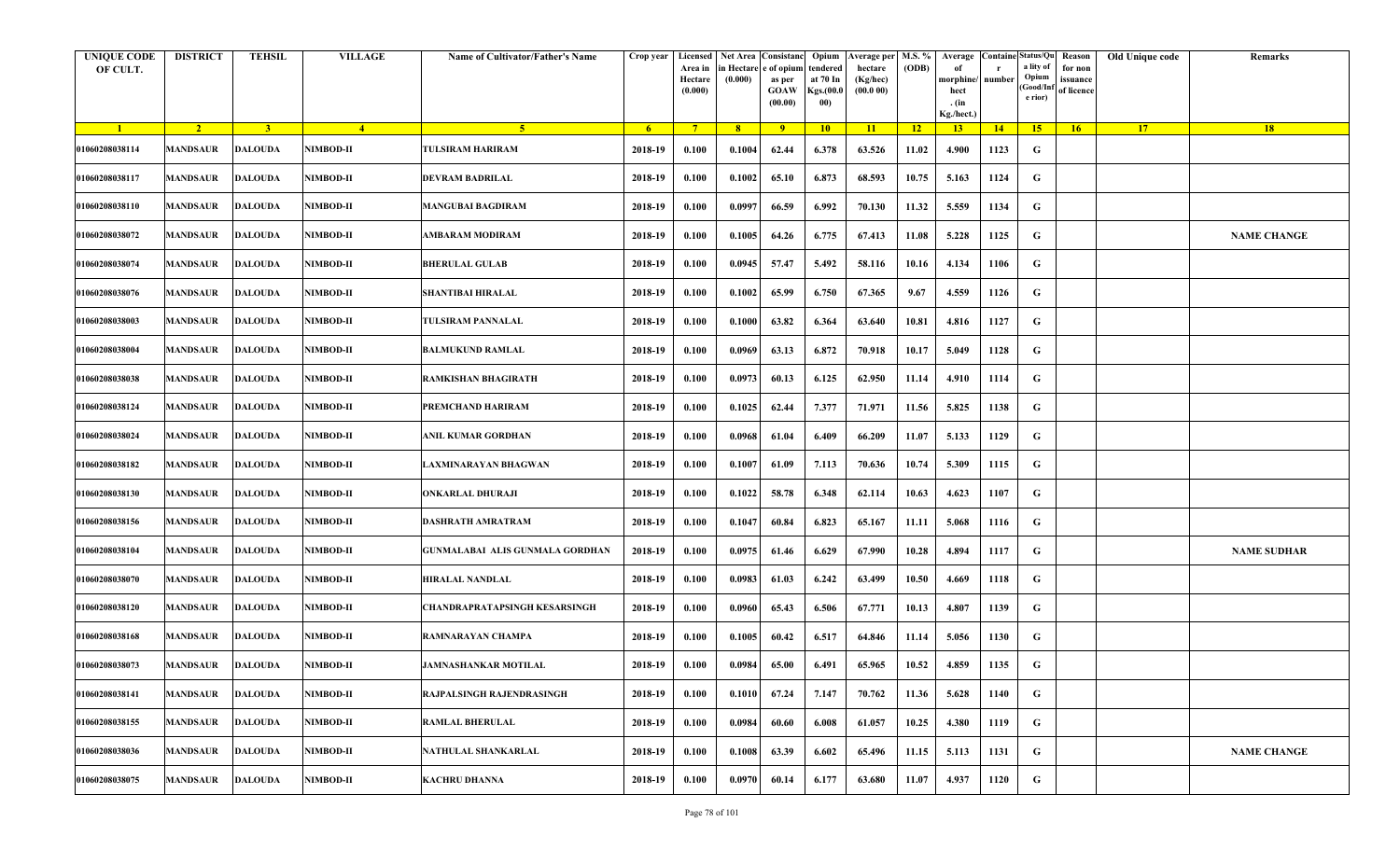| <b>UNIQUE CODE</b><br>OF CULT. | <b>DISTRICT</b> | <b>TEHSIL</b>  | <b>VILLAGE</b>   | <b>Name of Cultivator/Father's Name</b> | Crop year      | Area in<br>Hectare<br>(0.000) | in Hectare<br>(0.000) | Licensed Net Area Consistanc Opium<br>e of opium<br>as per<br><b>GOAW</b><br>(00.00) | :endered<br>at 70 In<br>Kgs.(00.0<br>00) | Verage per   M.S. %<br>hectare<br>(Kg/hec)<br>(00.000) | (ODB)           | Average<br>morphine/<br>hect<br>. $(in$<br>Kg./hect.) | number | <b>Containe Status/Qu</b><br>a lity of<br>Opium<br>Good/Inf<br>e rior) | Reason<br>for non<br>issuance<br>of licence | Old Unique code | Remarks            |
|--------------------------------|-----------------|----------------|------------------|-----------------------------------------|----------------|-------------------------------|-----------------------|--------------------------------------------------------------------------------------|------------------------------------------|--------------------------------------------------------|-----------------|-------------------------------------------------------|--------|------------------------------------------------------------------------|---------------------------------------------|-----------------|--------------------|
| $\blacksquare$                 | $\sqrt{2}$      | 3 <sup>l</sup> | $-4$             | -5.                                     | 6 <sup>6</sup> | $7^{\circ}$                   | 8 <sup>1</sup>        | 9                                                                                    | $10-10$                                  | $\vert$ 11                                             | $\overline{12}$ | 13                                                    | 14     | $-15$                                                                  | 16                                          | 17              | 18                 |
| 01060208038114                 | <b>MANDSAUR</b> | <b>DALOUDA</b> | <b>NIMBOD-II</b> | <b>TULSIRAM HARIRAM</b>                 | 2018-19        | 0.100                         | 0.1004                | 62.44                                                                                | 6.378                                    | 63.526                                                 | 11.02           | 4.900                                                 | 1123   | G                                                                      |                                             |                 |                    |
| 01060208038117                 | MANDSAUR        | <b>DALOUDA</b> | <b>NIMBOD-II</b> | <b>DEVRAM BADRILAL</b>                  | 2018-19        | 0.100                         | 0.1002                | 65.10                                                                                | 6.873                                    | 68.593                                                 | 10.75           | 5.163                                                 | 1124   | G                                                                      |                                             |                 |                    |
| 01060208038110                 | <b>MANDSAUR</b> | <b>DALOUDA</b> | <b>NIMBOD-II</b> | <b>MANGUBAI BAGDIRAM</b>                | 2018-19        | 0.100                         | 0.0997                | 66.59                                                                                | 6.992                                    | 70.130                                                 | 11.32           | 5.559                                                 | 1134   | G                                                                      |                                             |                 |                    |
| 01060208038072                 | <b>MANDSAUR</b> | <b>DALOUDA</b> | <b>NIMBOD-II</b> | AMBARAM MODIRAM                         | 2018-19        | 0.100                         | 0.1005                | 64.26                                                                                | 6.775                                    | 67.413                                                 | 11.08           | 5.228                                                 | 1125   | G                                                                      |                                             |                 | <b>NAME CHANGE</b> |
| 01060208038074                 | <b>MANDSAUR</b> | <b>DALOUDA</b> | <b>NIMBOD-II</b> | <b>BHERULAL GULAB</b>                   | 2018-19        | 0.100                         | 0.0945                | 57.47                                                                                | 5.492                                    | 58.116                                                 | 10.16           | 4.134                                                 | 1106   | G                                                                      |                                             |                 |                    |
| 01060208038076                 | MANDSAUR        | <b>DALOUDA</b> | <b>NIMBOD-II</b> | <b>SHANTIBAI HIRALAL</b>                | 2018-19        | 0.100                         | 0.1002                | 65.99                                                                                | 6.750                                    | 67.365                                                 | 9.67            | 4.559                                                 | 1126   | G                                                                      |                                             |                 |                    |
| 01060208038003                 | <b>MANDSAUR</b> | <b>DALOUDA</b> | <b>NIMBOD-II</b> | <b>TULSIRAM PANNALAL</b>                | 2018-19        | 0.100                         | 0.1000                | 63.82                                                                                | 6.364                                    | 63.640                                                 | 10.81           | 4.816                                                 | 1127   | G                                                                      |                                             |                 |                    |
| 01060208038004                 | MANDSAUR        | <b>DALOUDA</b> | <b>NIMBOD-II</b> | <b>BALMUKUND RAMLAL</b>                 | 2018-19        | 0.100                         | 0.0969                | 63.13                                                                                | 6.872                                    | 70.918                                                 | 10.17           | 5.049                                                 | 1128   | G                                                                      |                                             |                 |                    |
| 01060208038038                 | <b>MANDSAUR</b> | <b>DALOUDA</b> | <b>NIMBOD-II</b> | RAMKISHAN BHAGIRATH                     | 2018-19        | 0.100                         | 0.0973                | 60.13                                                                                | 6.125                                    | 62.950                                                 | 11.14           | 4.910                                                 | 1114   | G                                                                      |                                             |                 |                    |
| 01060208038124                 | MANDSAUR        | <b>DALOUDA</b> | <b>NIMBOD-II</b> | PREMCHAND HARIRAM                       | 2018-19        | 0.100                         | 0.1025                | 62.44                                                                                | 7.377                                    | 71.971                                                 | 11.56           | 5.825                                                 | 1138   | G                                                                      |                                             |                 |                    |
| 01060208038024                 | <b>MANDSAUR</b> | <b>DALOUDA</b> | <b>NIMBOD-II</b> | ANIL KUMAR GORDHAN                      | 2018-19        | 0.100                         | 0.0968                | 61.04                                                                                | 6.409                                    | 66.209                                                 | 11.07           | 5.133                                                 | 1129   | G                                                                      |                                             |                 |                    |
| 01060208038182                 | <b>MANDSAUR</b> | <b>DALOUDA</b> | <b>NIMBOD-II</b> | LAXMINARAYAN BHAGWAN                    | 2018-19        | 0.100                         | 0.1007                | 61.09                                                                                | 7.113                                    | 70.636                                                 | 10.74           | 5.309                                                 | 1115   | G                                                                      |                                             |                 |                    |
| 01060208038130                 | <b>MANDSAUR</b> | <b>DALOUDA</b> | <b>NIMBOD-II</b> | <b>ONKARLAL DHURAJI</b>                 | 2018-19        | 0.100                         | 0.1022                | 58.78                                                                                | 6.348                                    | 62.114                                                 | 10.63           | 4.623                                                 | 1107   | G                                                                      |                                             |                 |                    |
| 01060208038156                 | <b>MANDSAUR</b> | <b>DALOUDA</b> | <b>NIMBOD-II</b> | <b>DASHRATH AMRATRAM</b>                | 2018-19        | 0.100                         | 0.1047                | 60.84                                                                                | 6.823                                    | 65.167                                                 | 11.11           | 5.068                                                 | 1116   | G                                                                      |                                             |                 |                    |
| 01060208038104                 | MANDSAUR        | <b>DALOUDA</b> | <b>NIMBOD-II</b> | GUNMALABAI ALIS GUNMALA GORDHAN         | 2018-19        | 0.100                         | 0.0975                | 61.46                                                                                | 6.629                                    | 67.990                                                 | 10.28           | 4.894                                                 | 1117   | G                                                                      |                                             |                 | <b>NAME SUDHAR</b> |
| 01060208038070                 | <b>MANDSAUR</b> | <b>DALOUDA</b> | <b>NIMBOD-II</b> | <b>HIRALAL NANDLAL</b>                  | 2018-19        | 0.100                         | 0.0983                | 61.03                                                                                | 6.242                                    | 63.499                                                 | 10.50           | 4.669                                                 | 1118   | G                                                                      |                                             |                 |                    |
| 01060208038120                 | <b>MANDSAUR</b> | <b>DALOUDA</b> | <b>NIMBOD-II</b> | <b>CHANDRAPRATAPSINGH KESARSINGH</b>    | 2018-19        | 0.100                         | 0.0960                | 65.43                                                                                | 6.506                                    | 67.771                                                 | 10.13           | 4.807                                                 | 1139   | G                                                                      |                                             |                 |                    |
| 01060208038168                 | <b>MANDSAUR</b> | <b>DALOUDA</b> | <b>NIMBOD-II</b> | RAMNARAYAN CHAMPA                       | 2018-19        | 0.100                         | 0.1005                | 60.42                                                                                | 6.517                                    | 64.846                                                 | 11.14           | 5.056                                                 | 1130   | G                                                                      |                                             |                 |                    |
| 01060208038073                 | MANDSAUR        | <b>DALOUDA</b> | <b>NIMBOD-II</b> | <b>JAMNASHANKAR MOTILAL</b>             | 2018-19        | 0.100                         | 0.0984                | 65.00                                                                                | 6.491                                    | 65.965                                                 | 10.52           | 4.859                                                 | 1135   | G                                                                      |                                             |                 |                    |
| 01060208038141                 | <b>MANDSAUR</b> | <b>DALOUDA</b> | <b>NIMBOD-II</b> | <b>RAJPALSINGH RAJENDRASINGH</b>        | 2018-19        | 0.100                         | 0.1010                | 67.24                                                                                | 7.147                                    | 70.762                                                 | 11.36           | 5.628                                                 | 1140   | G                                                                      |                                             |                 |                    |
| 01060208038155                 | <b>MANDSAUR</b> | <b>DALOUDA</b> | <b>NIMBOD-II</b> | <b>RAMLAL BHERULAL</b>                  | 2018-19        | 0.100                         | 0.0984                | 60.60                                                                                | 6.008                                    | 61.057                                                 | 10.25           | 4.380                                                 | 1119   | G                                                                      |                                             |                 |                    |
| 01060208038036                 | <b>MANDSAUR</b> | <b>DALOUDA</b> | <b>NIMBOD-II</b> | NATHULAL SHANKARLAL                     | 2018-19        | 0.100                         | 0.1008                | 63.39                                                                                | 6.602                                    | 65.496                                                 | 11.15           | 5.113                                                 | 1131   | ${\bf G}$                                                              |                                             |                 | <b>NAME CHANGE</b> |
| 01060208038075                 | <b>MANDSAUR</b> | <b>DALOUDA</b> | <b>NIMBOD-II</b> | <b>KACHRU DHANNA</b>                    | 2018-19        | 0.100                         | 0.0970                | 60.14                                                                                | 6.177                                    | 63.680                                                 | 11.07           | 4.937                                                 | 1120   | G                                                                      |                                             |                 |                    |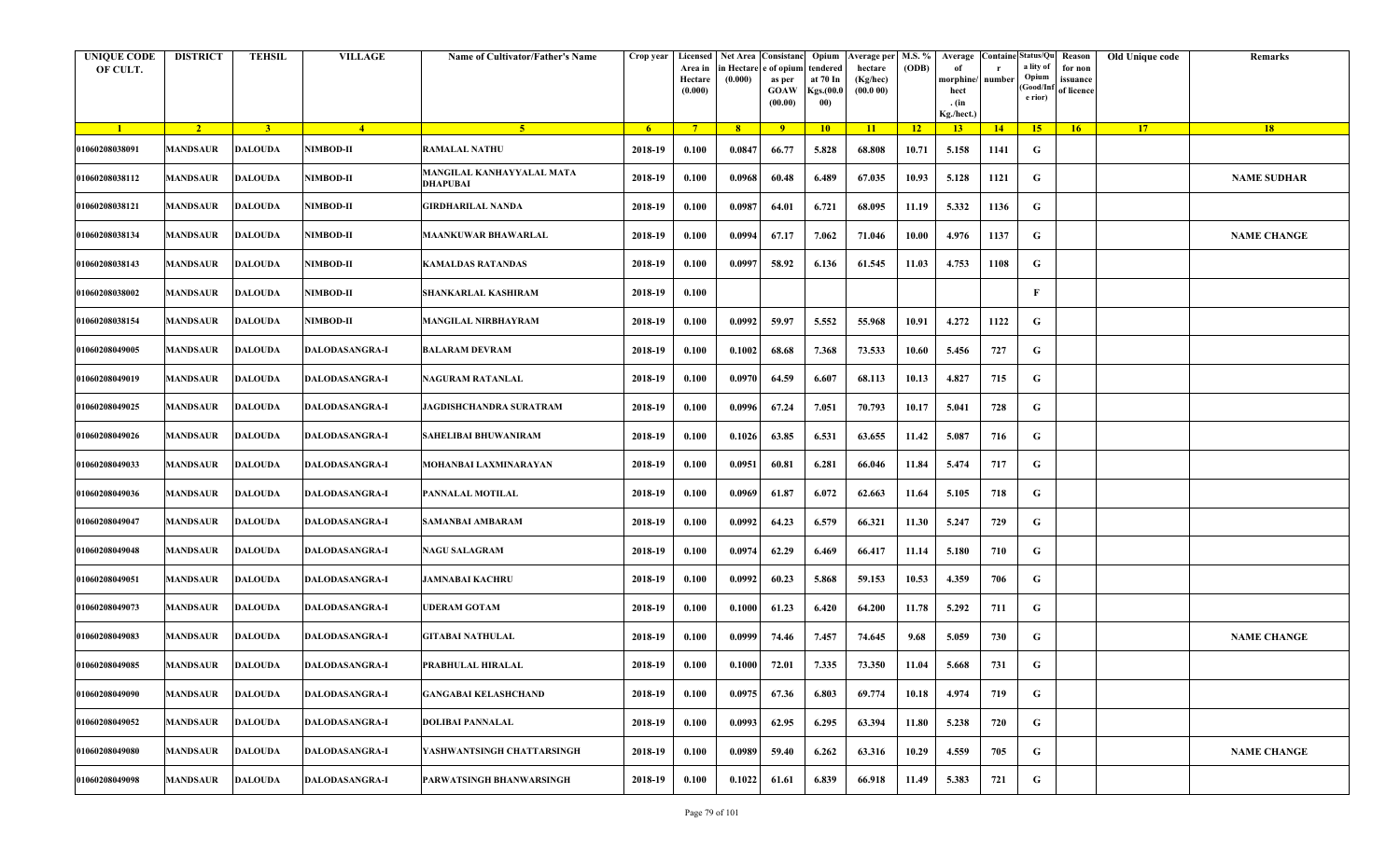| <b>UNIQUE CODE</b><br>OF CULT. | <b>DISTRICT</b> | <b>TEHSIL</b>  | <b>VILLAGE</b>        | <b>Name of Cultivator/Father's Name</b>      | Crop year      | Area in<br>Hectare<br>(0.000) | in Hectare<br>(0.000) | Licensed Net Area Consistanc<br>e of opium<br>as per<br><b>GOAW</b><br>(00.00) | Opium<br>endered<br>at 70 In<br>Kgs.(00.0<br>00) | Verage per   M.S. %<br>hectare<br>(Kg/hec)<br>(00.000) | (ODB)           | Average<br>morphine/<br>hect<br>. $(in$<br>Kg./hect.) | number | <b>Containe Status/Qu</b><br>a lity of<br>Opium<br>Good/Inf<br>e rior) | Reason<br>for non<br>issuance<br>of licence | Old Unique code | Remarks            |
|--------------------------------|-----------------|----------------|-----------------------|----------------------------------------------|----------------|-------------------------------|-----------------------|--------------------------------------------------------------------------------|--------------------------------------------------|--------------------------------------------------------|-----------------|-------------------------------------------------------|--------|------------------------------------------------------------------------|---------------------------------------------|-----------------|--------------------|
| $\blacksquare$                 | $\sqrt{2}$      | 3 <sup>l</sup> | $-4$                  | 5 <sup>1</sup>                               | 6 <sup>6</sup> | $7^{\circ}$                   | 8 <sup>1</sup>        | $\overline{9}$                                                                 | $10-10$                                          | $\vert$ 11                                             | $\overline{12}$ | 13                                                    | 14     | 15                                                                     | 16 <sup>2</sup>                             | <b>17</b>       | 18                 |
| 01060208038091                 | <b>MANDSAUR</b> | <b>DALOUDA</b> | <b>NIMBOD-II</b>      | <b>RAMALAL NATHU</b>                         | 2018-19        | 0.100                         | 0.0847                | 66.77                                                                          | 5.828                                            | 68.808                                                 | 10.71           | 5.158                                                 | 1141   | G                                                                      |                                             |                 |                    |
| 01060208038112                 | MANDSAUR        | <b>DALOUDA</b> | <b>NIMBOD-II</b>      | MANGILAL KANHAYYALAL MATA<br><b>DHAPUBAI</b> | 2018-19        | 0.100                         | 0.0968                | 60.48                                                                          | 6.489                                            | 67.035                                                 | 10.93           | 5.128                                                 | 1121   | G                                                                      |                                             |                 | <b>NAME SUDHAR</b> |
| 01060208038121                 | <b>MANDSAUR</b> | <b>DALOUDA</b> | <b>NIMBOD-II</b>      | <b>GIRDHARILAL NANDA</b>                     | 2018-19        | 0.100                         | 0.0987                | 64.01                                                                          | 6.721                                            | 68.095                                                 | 11.19           | 5.332                                                 | 1136   | G                                                                      |                                             |                 |                    |
| 01060208038134                 | <b>MANDSAUR</b> | <b>DALOUDA</b> | <b>NIMBOD-II</b>      | <b>MAANKUWAR BHAWARLAL</b>                   | 2018-19        | 0.100                         | 0.0994                | 67.17                                                                          | 7.062                                            | 71.046                                                 | 10.00           | 4.976                                                 | 1137   | G                                                                      |                                             |                 | <b>NAME CHANGE</b> |
| 01060208038143                 | <b>MANDSAUR</b> | <b>DALOUDA</b> | <b>NIMBOD-II</b>      | <b>KAMALDAS RATANDAS</b>                     | 2018-19        | 0.100                         | 0.0997                | 58.92                                                                          | 6.136                                            | 61.545                                                 | 11.03           | 4.753                                                 | 1108   | G                                                                      |                                             |                 |                    |
| 01060208038002                 | MANDSAUR        | <b>DALOUDA</b> | <b>NIMBOD-II</b>      | SHANKARLAL KASHIRAM                          | 2018-19        | 0.100                         |                       |                                                                                |                                                  |                                                        |                 |                                                       |        | F                                                                      |                                             |                 |                    |
| 01060208038154                 | <b>MANDSAUR</b> | <b>DALOUDA</b> | <b>NIMBOD-II</b>      | <b>MANGILAL NIRBHAYRAM</b>                   | 2018-19        | 0.100                         | 0.0992                | 59.97                                                                          | 5.552                                            | 55.968                                                 | 10.91           | 4.272                                                 | 1122   | G                                                                      |                                             |                 |                    |
| 01060208049005                 | <b>MANDSAUR</b> | <b>DALOUDA</b> | DALODASANGRA-I        | <b>BALARAM DEVRAM</b>                        | 2018-19        | 0.100                         | 0.1002                | 68.68                                                                          | 7.368                                            | 73.533                                                 | 10.60           | 5.456                                                 | 727    | G                                                                      |                                             |                 |                    |
| 01060208049019                 | <b>MANDSAUR</b> | <b>DALOUDA</b> | <b>DALODASANGRA-I</b> | <b>NAGURAM RATANLAL</b>                      | 2018-19        | 0.100                         | 0.0970                | 64.59                                                                          | 6.607                                            | 68.113                                                 | 10.13           | 4.827                                                 | 715    | G                                                                      |                                             |                 |                    |
| 01060208049025                 | <b>MANDSAUR</b> | DALOUDA        | <b>DALODASANGRA-I</b> | JAGDISHCHANDRA SURATRAM                      | 2018-19        | 0.100                         | 0.0996                | 67.24                                                                          | 7.051                                            | 70.793                                                 | 10.17           | 5.041                                                 | 728    | G                                                                      |                                             |                 |                    |
| 01060208049026                 | <b>MANDSAUR</b> | <b>DALOUDA</b> | <b>DALODASANGRA-I</b> | <b>SAHELIBAI BHUWANIRAM</b>                  | 2018-19        | 0.100                         | 0.1026                | 63.85                                                                          | 6.531                                            | 63.655                                                 | 11.42           | 5.087                                                 | 716    | G                                                                      |                                             |                 |                    |
| 01060208049033                 | <b>MANDSAUR</b> | <b>DALOUDA</b> | <b>DALODASANGRA-I</b> | MOHANBAI LAXMINARAYAN                        | 2018-19        | 0.100                         | 0.0951                | 60.81                                                                          | 6.281                                            | 66.046                                                 | 11.84           | 5.474                                                 | 717    | G                                                                      |                                             |                 |                    |
| 01060208049036                 | <b>MANDSAUR</b> | <b>DALOUDA</b> | <b>DALODASANGRA-I</b> | PANNALAL MOTILAL                             | 2018-19        | 0.100                         | 0.0969                | 61.87                                                                          | 6.072                                            | 62.663                                                 | 11.64           | 5.105                                                 | 718    | G                                                                      |                                             |                 |                    |
| 01060208049047                 | <b>MANDSAUR</b> | <b>DALOUDA</b> | <b>DALODASANGRA-I</b> | <b>SAMANBAI AMBARAM</b>                      | 2018-19        | 0.100                         | 0.0992                | 64.23                                                                          | 6.579                                            | 66.321                                                 | 11.30           | 5.247                                                 | 729    | G                                                                      |                                             |                 |                    |
| 01060208049048                 | MANDSAUR        | <b>DALOUDA</b> | <b>DALODASANGRA-I</b> | <b>NAGU SALAGRAM</b>                         | 2018-19        | 0.100                         | 0.0974                | 62.29                                                                          | 6.469                                            | 66.417                                                 | 11.14           | 5.180                                                 | 710    | G                                                                      |                                             |                 |                    |
| 01060208049051                 | <b>MANDSAUR</b> | <b>DALOUDA</b> | <b>DALODASANGRA-I</b> | <b>JAMNABAI KACHRU</b>                       | 2018-19        | 0.100                         | 0.0992                | 60.23                                                                          | 5.868                                            | 59.153                                                 | 10.53           | 4.359                                                 | 706    | G                                                                      |                                             |                 |                    |
| 01060208049073                 | <b>MANDSAUR</b> | <b>DALOUDA</b> | <b>DALODASANGRA-I</b> | <b>UDERAM GOTAM</b>                          | 2018-19        | 0.100                         | 0.1000                | 61.23                                                                          | 6.420                                            | 64.200                                                 | 11.78           | 5.292                                                 | 711    | G                                                                      |                                             |                 |                    |
| 01060208049083                 | <b>MANDSAUR</b> | <b>DALOUDA</b> | <b>DALODASANGRA-I</b> | <b>GITABAI NATHULAL</b>                      | 2018-19        | 0.100                         | 0.0999                | 74.46                                                                          | 7.457                                            | 74.645                                                 | 9.68            | 5.059                                                 | 730    | G                                                                      |                                             |                 | <b>NAME CHANGE</b> |
| 01060208049085                 | <b>MANDSAUR</b> | <b>DALOUDA</b> | DALODASANGRA-I        | <b>PRABHULAL HIRALAL</b>                     | 2018-19        | 0.100                         | 0.1000                | 72.01                                                                          | 7.335                                            | 73.350                                                 | 11.04           | 5.668                                                 | 731    | G                                                                      |                                             |                 |                    |
| 01060208049090                 | <b>MANDSAUR</b> | <b>DALOUDA</b> | <b>DALODASANGRA-I</b> | <b>GANGABAI KELASHCHAND</b>                  | 2018-19        | 0.100                         | 0.0975                | 67.36                                                                          | 6.803                                            | 69.774                                                 | 10.18           | 4.974                                                 | 719    | G                                                                      |                                             |                 |                    |
| 01060208049052                 | <b>MANDSAUR</b> | <b>DALOUDA</b> | <b>DALODASANGRA-I</b> | <b>DOLIBAI PANNALAL</b>                      | 2018-19        | 0.100                         | 0.0993                | 62.95                                                                          | 6.295                                            | 63.394                                                 | 11.80           | 5.238                                                 | 720    | G                                                                      |                                             |                 |                    |
| 01060208049080                 | <b>MANDSAUR</b> | <b>DALOUDA</b> | <b>DALODASANGRA-I</b> | YASHWANTSINGH CHATTARSINGH                   | 2018-19        | 0.100                         | 0.0989                | 59.40                                                                          | 6.262                                            | 63.316                                                 | 10.29           | 4.559                                                 | 705    | G                                                                      |                                             |                 | <b>NAME CHANGE</b> |
| 01060208049098                 | <b>MANDSAUR</b> | <b>DALOUDA</b> | <b>DALODASANGRA-I</b> | <b>PARWATSINGH BHANWARSINGH</b>              | 2018-19        | 0.100                         | 0.1022                | 61.61                                                                          | 6.839                                            | 66.918                                                 | 11.49           | 5.383                                                 | 721    | ${\bf G}$                                                              |                                             |                 |                    |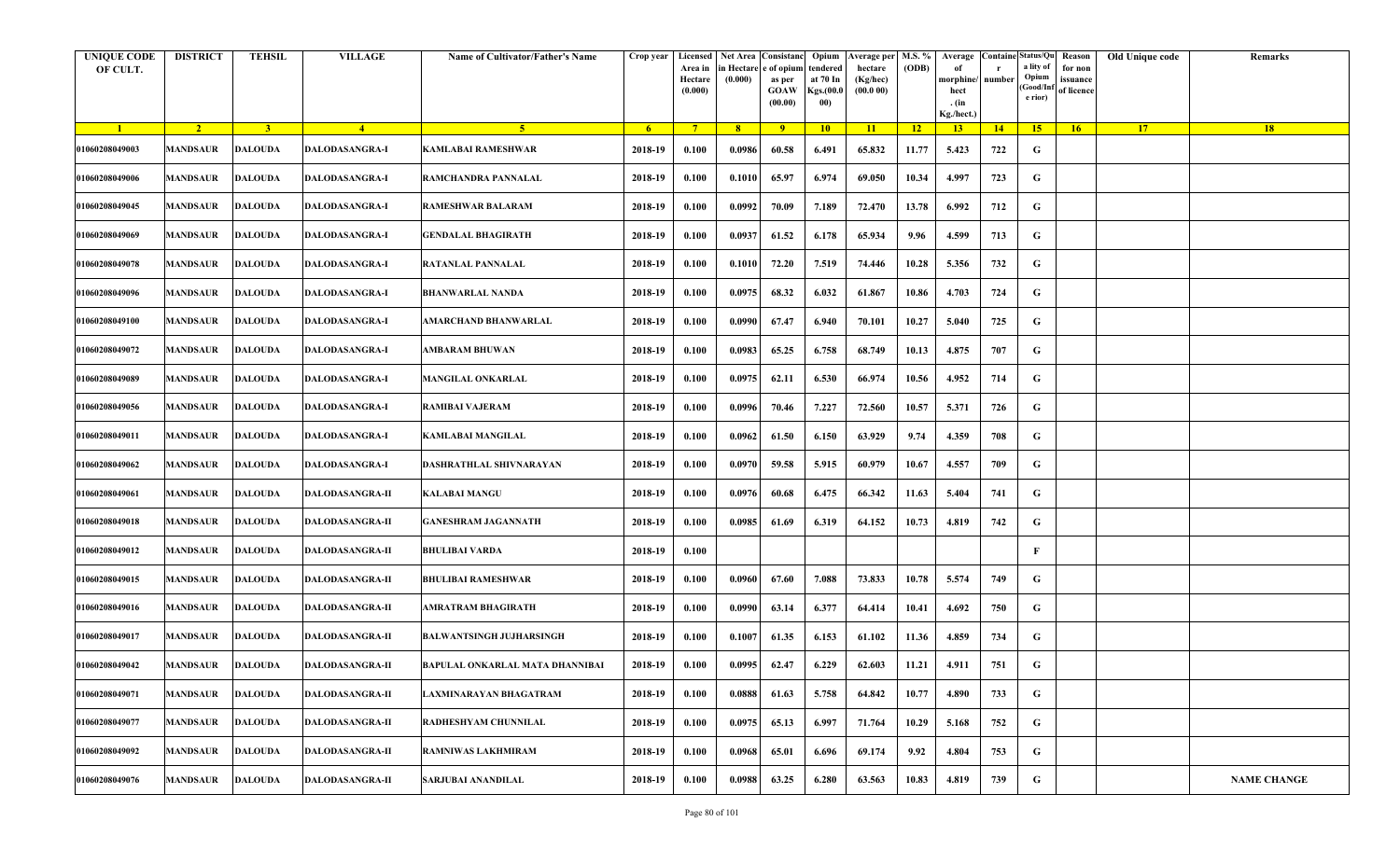| <b>UNIQUE CODE</b><br>OF CULT. | <b>DISTRICT</b> | <b>TEHSIL</b>  | <b>VILLAGE</b>         | Name of Cultivator/Father's Name | Crop year      | Area in<br>Hectare<br>(0.000) | Licensed   Net Area Consistanc<br>ı Hectar<br>(0.000) | e of opium<br>as per<br><b>GOAW</b><br>(00.00) | Opium<br>tendered<br>at 70 In<br>Kgs.(00.<br>00) | Average per   M.S. %<br>hectare<br>(Kg/hec)<br>(00.000) | (ODB) | Average<br>morphine/<br>hect<br>. (in<br>Kg./hect.) | <b>Containe Status/Qu</b><br>number | a lity of<br>Opium<br>(Good/In:<br>e rior) | Reason<br>for non<br>issuance<br>of licence | Old Unique code | Remarks            |
|--------------------------------|-----------------|----------------|------------------------|----------------------------------|----------------|-------------------------------|-------------------------------------------------------|------------------------------------------------|--------------------------------------------------|---------------------------------------------------------|-------|-----------------------------------------------------|-------------------------------------|--------------------------------------------|---------------------------------------------|-----------------|--------------------|
| $\blacksquare$                 | $\sqrt{2}$      | 3 <sup>7</sup> | $\sqrt{4}$             | 5 <sup>5</sup>                   | 6 <sup>6</sup> | $-7$                          | 8 <sup>1</sup>                                        | $-9$                                           | 10                                               | $\vert$ 11                                              | $-12$ | 13                                                  | 14                                  | 15                                         | 16                                          | 17              | 18                 |
| 01060208049003                 | <b>MANDSAUR</b> | <b>DALOUDA</b> | <b>DALODASANGRA-I</b>  | KAMLABAI RAMESHWAR               | 2018-19        | 0.100                         | 0.0986                                                | 60.58                                          | 6.491                                            | 65.832                                                  | 11.77 | 5.423                                               | 722                                 | G                                          |                                             |                 |                    |
| 01060208049006                 | MANDSAUR        | <b>DALOUDA</b> | DALODASANGRA-I         | RAMCHANDRA PANNALAL              | 2018-19        | 0.100                         | 0.1010                                                | 65.97                                          | 6.974                                            | 69.050                                                  | 10.34 | 4.997                                               | 723                                 | G                                          |                                             |                 |                    |
| 01060208049045                 | <b>MANDSAUR</b> | <b>DALOUDA</b> | <b>DALODASANGRA-I</b>  | <b>RAMESHWAR BALARAM</b>         | 2018-19        | 0.100                         | 0.0992                                                | 70.09                                          | 7.189                                            | 72.470                                                  | 13.78 | 6.992                                               | 712                                 | G                                          |                                             |                 |                    |
| 01060208049069                 | <b>MANDSAUR</b> | <b>DALOUDA</b> | <b>DALODASANGRA-I</b>  | <b>GENDALAL BHAGIRATH</b>        | 2018-19        | 0.100                         | 0.0937                                                | 61.52                                          | 6.178                                            | 65.934                                                  | 9.96  | 4.599                                               | 713                                 | G                                          |                                             |                 |                    |
| 01060208049078                 | <b>MANDSAUR</b> | <b>DALOUDA</b> | DALODASANGRA-I         | RATANLAL PANNALAL                | 2018-19        | 0.100                         | 0.1010                                                | 72.20                                          | 7.519                                            | 74.446                                                  | 10.28 | 5.356                                               | 732                                 | G                                          |                                             |                 |                    |
| 01060208049096                 | <b>MANDSAUR</b> | <b>DALOUDA</b> | DALODASANGRA-I         | <b>BHANWARLAL NANDA</b>          | 2018-19        | 0.100                         | 0.0975                                                | 68.32                                          | 6.032                                            | 61.867                                                  | 10.86 | 4.703                                               | 724                                 | G                                          |                                             |                 |                    |
| 01060208049100                 | MANDSAUR        | <b>DALOUDA</b> | DALODASANGRA-I         | AMARCHAND BHANWARLAL             | 2018-19        | 0.100                         | 0.0990                                                | 67.47                                          | 6.940                                            | 70.101                                                  | 10.27 | 5.040                                               | 725                                 | G                                          |                                             |                 |                    |
| 01060208049072                 | MANDSAUR        | <b>DALOUDA</b> | DALODASANGRA-I         | AMBARAM BHUWAN                   | 2018-19        | 0.100                         | 0.0983                                                | 65.25                                          | 6.758                                            | 68.749                                                  | 10.13 | 4.875                                               | 707                                 | G                                          |                                             |                 |                    |
| 01060208049089                 | <b>MANDSAUR</b> | <b>DALOUDA</b> | DALODASANGRA-I         | <b>MANGILAL ONKARLAL</b>         | 2018-19        | 0.100                         | 0.0975                                                | 62.11                                          | 6.530                                            | 66.974                                                  | 10.56 | 4.952                                               | 714                                 | G                                          |                                             |                 |                    |
| 01060208049056                 | <b>MANDSAUR</b> | <b>DALOUDA</b> | DALODASANGRA-I         | RAMIBAI VAJERAM                  | 2018-19        | 0.100                         | 0.0996                                                | 70.46                                          | 7.227                                            | 72.560                                                  | 10.57 | 5.371                                               | 726                                 | G                                          |                                             |                 |                    |
| 01060208049011                 | MANDSAUR        | <b>DALOUDA</b> | DALODASANGRA-I         | <b>KAMLABAI MANGILAL</b>         | 2018-19        | 0.100                         | 0.0962                                                | 61.50                                          | 6.150                                            | 63.929                                                  | 9.74  | 4.359                                               | 708                                 | G                                          |                                             |                 |                    |
| 01060208049062                 | MANDSAUR        | <b>DALOUDA</b> | DALODASANGRA-I         | DASHRATHLAL SHIVNARAYAN          | 2018-19        | 0.100                         | 0.0970                                                | 59.58                                          | 5.915                                            | 60.979                                                  | 10.67 | 4.557                                               | 709                                 | G                                          |                                             |                 |                    |
| 01060208049061                 | <b>MANDSAUR</b> | <b>DALOUDA</b> | <b>DALODASANGRA-II</b> | <b>KALABAI MANGU</b>             | 2018-19        | 0.100                         | 0.0976                                                | 60.68                                          | 6.475                                            | 66.342                                                  | 11.63 | 5.404                                               | 741                                 | G                                          |                                             |                 |                    |
| 01060208049018                 | MANDSAUR        | <b>DALOUDA</b> | <b>DALODASANGRA-II</b> | GANESHRAM JAGANNATH              | 2018-19        | 0.100                         | 0.0985                                                | 61.69                                          | 6.319                                            | 64.152                                                  | 10.73 | 4.819                                               | 742                                 | G                                          |                                             |                 |                    |
| 01060208049012                 | MANDSAUR        | <b>DALOUDA</b> | <b>DALODASANGRA-II</b> | <b>BHULIBAI VARDA</b>            | 2018-19        | 0.100                         |                                                       |                                                |                                                  |                                                         |       |                                                     |                                     | F                                          |                                             |                 |                    |
| 01060208049015                 | <b>MANDSAUR</b> | <b>DALOUDA</b> | <b>DALODASANGRA-II</b> | <b>BHULIBAI RAMESHWAR</b>        | 2018-19        | 0.100                         | 0.0960                                                | 67.60                                          | 7.088                                            | 73.833                                                  | 10.78 | 5.574                                               | 749                                 | G                                          |                                             |                 |                    |
| 01060208049016                 | MANDSAUR        | <b>DALOUDA</b> | <b>DALODASANGRA-II</b> | AMRATRAM BHAGIRATH               | 2018-19        | 0.100                         | 0.0990                                                | 63.14                                          | 6.377                                            | 64.414                                                  | 10.41 | 4.692                                               | 750                                 | G                                          |                                             |                 |                    |
| 01060208049017                 | MANDSAUR        | <b>DALOUDA</b> | <b>DALODASANGRA-II</b> | <b>BALWANTSINGH JUJHARSINGH</b>  | 2018-19        | 0.100                         | 0.1007                                                | 61.35                                          | 6.153                                            | 61.102                                                  | 11.36 | 4.859                                               | 734                                 | G                                          |                                             |                 |                    |
| 01060208049042                 | <b>MANDSAUR</b> | <b>DALOUDA</b> | <b>DALODASANGRA-II</b> | BAPULAL ONKARLAL MATA DHANNIBAI  | 2018-19        | 0.100                         | 0.0995                                                | 62.47                                          | 6.229                                            | 62.603                                                  | 11.21 | 4.911                                               | 751                                 | G                                          |                                             |                 |                    |
| 01060208049071                 | <b>MANDSAUR</b> | <b>DALOUDA</b> | <b>DALODASANGRA-II</b> | LAXMINARAYAN BHAGATRAM           | 2018-19        | 0.100                         | 0.0888                                                | 61.63                                          | 5.758                                            | 64.842                                                  | 10.77 | 4.890                                               | 733                                 | G                                          |                                             |                 |                    |
| 01060208049077                 | <b>MANDSAUR</b> | <b>DALOUDA</b> | <b>DALODASANGRA-II</b> | RADHESHYAM CHUNNILAL             | 2018-19        | 0.100                         | 0.0975                                                | 65.13                                          | 6.997                                            | 71.764                                                  | 10.29 | 5.168                                               | 752                                 | G                                          |                                             |                 |                    |
| 01060208049092                 | <b>MANDSAUR</b> | <b>DALOUDA</b> | <b>DALODASANGRA-II</b> | RAMNIWAS LAKHMIRAM               | 2018-19        | 0.100                         | 0.0968                                                | 65.01                                          | 6.696                                            | 69.174                                                  | 9.92  | 4.804                                               | 753                                 | G                                          |                                             |                 |                    |
| 01060208049076                 | <b>MANDSAUR</b> | <b>DALOUDA</b> | DALODASANGRA-II        | SARJUBAI ANANDILAL               | 2018-19        | 0.100                         | 0.0988                                                | 63.25                                          | 6.280                                            | 63.563                                                  | 10.83 | 4.819                                               | 739                                 | G                                          |                                             |                 | <b>NAME CHANGE</b> |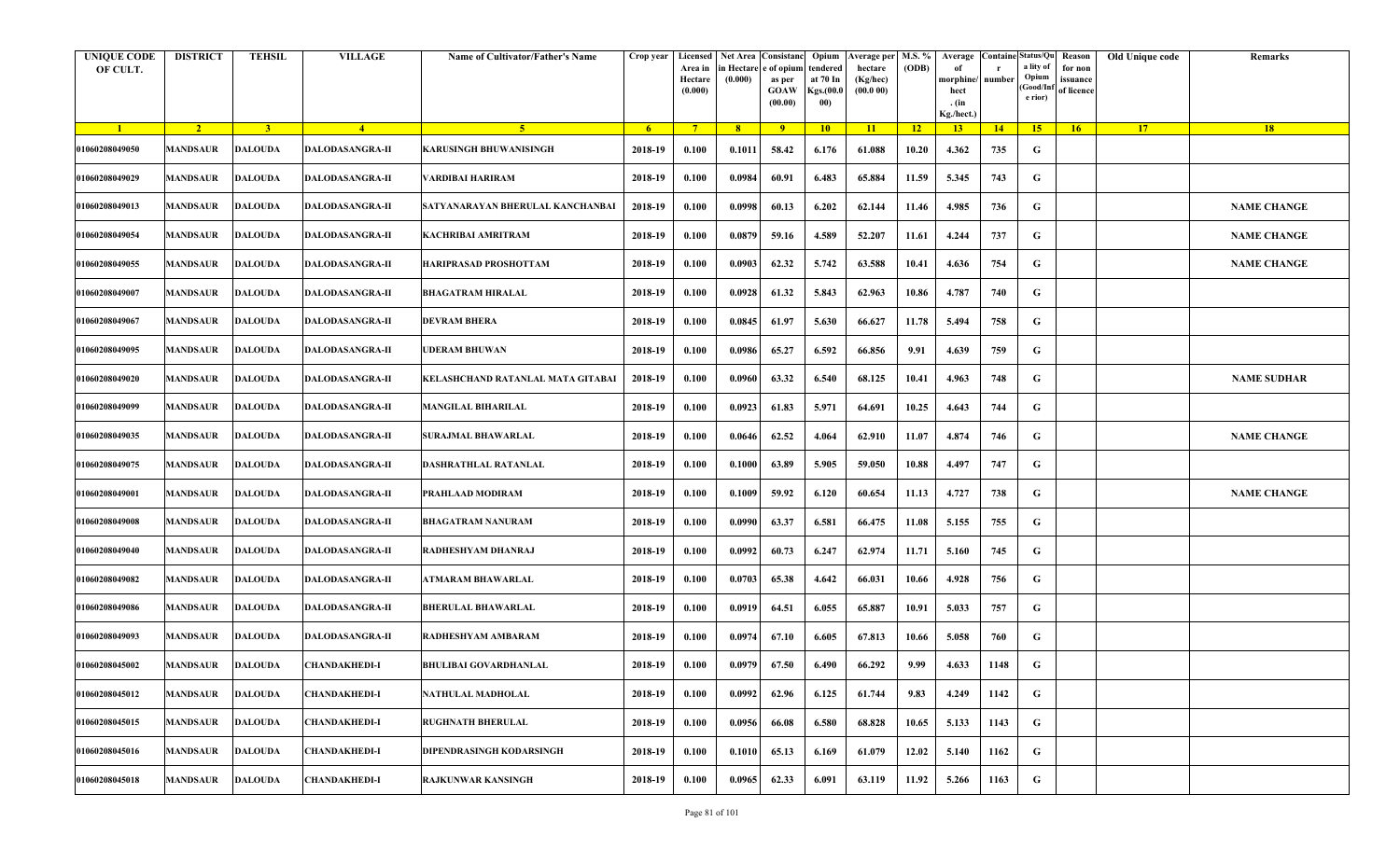| <b>UNIQUE CODE</b><br>OF CULT. | <b>DISTRICT</b> | <b>TEHSIL</b>  | <b>VILLAGE</b>         | <b>Name of Cultivator/Father's Name</b> | Crop year      | Area in<br>Hectare<br>(0.000) | in Hectare<br>(0.000) | Licensed Net Area Consistanc<br>e of opium<br>as per<br><b>GOAW</b><br>(00.00) | Opium<br>endered<br>at 70 In<br>Kgs.(00.0<br>00) | verage per M.S. %<br>hectare<br>(Kg/hec)<br>(00.000) | (ODB)           | Average<br>morphine/<br>hect<br>. $(in$<br>Kg./hect.) | number | <b>Containe Status/Qu</b><br>a lity of<br>Opium<br>Good/Inf<br>e rior) | Reason<br>for non<br>issuance<br>of licence | Old Unique code | Remarks            |
|--------------------------------|-----------------|----------------|------------------------|-----------------------------------------|----------------|-------------------------------|-----------------------|--------------------------------------------------------------------------------|--------------------------------------------------|------------------------------------------------------|-----------------|-------------------------------------------------------|--------|------------------------------------------------------------------------|---------------------------------------------|-----------------|--------------------|
| $\blacksquare$                 | $\sqrt{2}$      | 3 <sup>l</sup> | $-4$                   | 5 <sup>1</sup>                          | 6 <sup>6</sup> | $7^{\circ}$                   | 8 <sup>1</sup>        | 9                                                                              | $10-10$                                          | $\vert$ 11                                           | $\overline{12}$ | 13                                                    | 14     | 15                                                                     | 16                                          | <b>17</b>       | 18                 |
| 01060208049050                 | <b>MANDSAUR</b> | DALOUDA        | <b>DALODASANGRA-II</b> | KARUSINGH BHUWANISINGH                  | 2018-19        | 0.100                         | 0.1011                | 58.42                                                                          | 6.176                                            | 61.088                                               | 10.20           | 4.362                                                 | 735    | G                                                                      |                                             |                 |                    |
| 01060208049029                 | MANDSAUR        | DALOUDA        | <b>DALODASANGRA-II</b> | VARDIBAI HARIRAM                        | 2018-19        | 0.100                         | 0.0984                | 60.91                                                                          | 6.483                                            | 65.884                                               | 11.59           | 5.345                                                 | 743    | G                                                                      |                                             |                 |                    |
| 01060208049013                 | <b>MANDSAUR</b> | <b>DALOUDA</b> | <b>DALODASANGRA-II</b> | SATYANARAYAN BHERULAL KANCHANBAI        | 2018-19        | 0.100                         | 0.0998                | 60.13                                                                          | 6.202                                            | 62.144                                               | 11.46           | 4.985                                                 | 736    | G                                                                      |                                             |                 | <b>NAME CHANGE</b> |
| 01060208049054                 | <b>MANDSAUR</b> | <b>DALOUDA</b> | <b>DALODASANGRA-II</b> | <b>KACHRIBAI AMRITRAM</b>               | 2018-19        | 0.100                         | 0.0879                | 59.16                                                                          | 4.589                                            | 52.207                                               | 11.61           | 4.244                                                 | 737    | G                                                                      |                                             |                 | <b>NAME CHANGE</b> |
| 01060208049055                 | <b>MANDSAUR</b> | <b>DALOUDA</b> | <b>DALODASANGRA-II</b> | HARIPRASAD PROSHOTTAM                   | 2018-19        | 0.100                         | 0.0903                | 62.32                                                                          | 5.742                                            | 63.588                                               | 10.41           | 4.636                                                 | 754    | G                                                                      |                                             |                 | <b>NAME CHANGE</b> |
| 01060208049007                 | MANDSAUR        | <b>DALOUDA</b> | <b>DALODASANGRA-II</b> | <b>BHAGATRAM HIRALAL</b>                | 2018-19        | 0.100                         | 0.0928                | 61.32                                                                          | 5.843                                            | 62.963                                               | 10.86           | 4.787                                                 | 740    | G                                                                      |                                             |                 |                    |
| 01060208049067                 | <b>MANDSAUR</b> | <b>DALOUDA</b> | <b>DALODASANGRA-II</b> | <b>DEVRAM BHERA</b>                     | 2018-19        | 0.100                         | 0.0845                | 61.97                                                                          | 5.630                                            | 66.627                                               | 11.78           | 5.494                                                 | 758    | G                                                                      |                                             |                 |                    |
| 01060208049095                 | <b>MANDSAUR</b> | <b>DALOUDA</b> | <b>DALODASANGRA-II</b> | UDERAM BHUWAN                           | 2018-19        | 0.100                         | 0.0986                | 65.27                                                                          | 6.592                                            | 66.856                                               | 9.91            | 4.639                                                 | 759    | G                                                                      |                                             |                 |                    |
| 01060208049020                 | <b>MANDSAUR</b> | <b>DALOUDA</b> | <b>DALODASANGRA-II</b> | KELASHCHAND RATANLAL MATA GITABAI       | 2018-19        | 0.100                         | 0.0960                | 63.32                                                                          | 6.540                                            | 68.125                                               | 10.41           | 4.963                                                 | 748    | G                                                                      |                                             |                 | <b>NAME SUDHAR</b> |
| 01060208049099                 | <b>MANDSAUR</b> | <b>DALOUDA</b> | <b>DALODASANGRA-II</b> | <b>MANGILAL BIHARILAL</b>               | 2018-19        | 0.100                         | 0.0923                | 61.83                                                                          | 5.971                                            | 64.691                                               | 10.25           | 4.643                                                 | 744    | G                                                                      |                                             |                 |                    |
| 01060208049035                 | <b>MANDSAUR</b> | <b>DALOUDA</b> | <b>DALODASANGRA-II</b> | <b>SURAJMAL BHAWARLAL</b>               | 2018-19        | 0.100                         | 0.0646                | 62.52                                                                          | 4.064                                            | 62.910                                               | 11.07           | 4.874                                                 | 746    | G                                                                      |                                             |                 | <b>NAME CHANGE</b> |
| 01060208049075                 | MANDSAUR        | <b>DALOUDA</b> | <b>DALODASANGRA-II</b> | DASHRATHLAL RATANLAL                    | 2018-19        | 0.100                         | 0.1000                | 63.89                                                                          | 5.905                                            | 59.050                                               | 10.88           | 4.497                                                 | 747    | G                                                                      |                                             |                 |                    |
| 01060208049001                 | <b>MANDSAUR</b> | <b>DALOUDA</b> | <b>DALODASANGRA-II</b> | PRAHLAAD MODIRAM                        | 2018-19        | 0.100                         | 0.1009                | 59.92                                                                          | 6.120                                            | 60.654                                               | 11.13           | 4.727                                                 | 738    | G                                                                      |                                             |                 | <b>NAME CHANGE</b> |
| 01060208049008                 | <b>MANDSAUR</b> | <b>DALOUDA</b> | <b>DALODASANGRA-II</b> | <b>BHAGATRAM NANURAM</b>                | 2018-19        | 0.100                         | 0.0990                | 63.37                                                                          | 6.581                                            | 66.475                                               | 11.08           | 5.155                                                 | 755    | G                                                                      |                                             |                 |                    |
| 01060208049040                 | <b>MANDSAUR</b> | <b>DALOUDA</b> | <b>DALODASANGRA-II</b> | RADHESHYAM DHANRAJ                      | 2018-19        | 0.100                         | 0.0992                | 60.73                                                                          | 6.247                                            | 62.974                                               | 11.71           | 5.160                                                 | 745    | G                                                                      |                                             |                 |                    |
| 01060208049082                 | <b>MANDSAUR</b> | <b>DALOUDA</b> | <b>DALODASANGRA-II</b> | ATMARAM BHAWARLAL                       | 2018-19        | 0.100                         | 0.0703                | 65.38                                                                          | 4.642                                            | 66.031                                               | 10.66           | 4.928                                                 | 756    | G                                                                      |                                             |                 |                    |
| 01060208049086                 | <b>MANDSAUR</b> | <b>DALOUDA</b> | <b>DALODASANGRA-II</b> | <b>BHERULAL BHAWARLAL</b>               | 2018-19        | 0.100                         | 0.0919                | 64.51                                                                          | 6.055                                            | 65.887                                               | 10.91           | 5.033                                                 | 757    | G                                                                      |                                             |                 |                    |
| 01060208049093                 | <b>MANDSAUR</b> | <b>DALOUDA</b> | <b>DALODASANGRA-II</b> | <b>RADHESHYAM AMBARAM</b>               | 2018-19        | 0.100                         | 0.0974                | 67.10                                                                          | 6.605                                            | 67.813                                               | 10.66           | 5.058                                                 | 760    | G                                                                      |                                             |                 |                    |
| 01060208045002                 | MANDSAUR        | <b>DALOUDA</b> | <b>CHANDAKHEDI-I</b>   | <b>BHULIBAI GOVARDHANLAL</b>            | 2018-19        | 0.100                         | 0.0979                | 67.50                                                                          | 6.490                                            | 66.292                                               | 9.99            | 4.633                                                 | 1148   | G                                                                      |                                             |                 |                    |
| 01060208045012                 | <b>MANDSAUR</b> | <b>DALOUDA</b> | <b>CHANDAKHEDI-I</b>   | NATHULAL MADHOLAL                       | 2018-19        | 0.100                         | 0.0992                | 62.96                                                                          | 6.125                                            | 61.744                                               | 9.83            | 4.249                                                 | 1142   | G                                                                      |                                             |                 |                    |
| 01060208045015                 | <b>MANDSAUR</b> | <b>DALOUDA</b> | <b>CHANDAKHEDI-I</b>   | <b>RUGHNATH BHERULAL</b>                | 2018-19        | 0.100                         | 0.0956                | 66.08                                                                          | 6.580                                            | 68.828                                               | 10.65           | 5.133                                                 | 1143   | G                                                                      |                                             |                 |                    |
| 01060208045016                 | <b>MANDSAUR</b> | <b>DALOUDA</b> | <b>CHANDAKHEDI-I</b>   | DIPENDRASINGH KODARSINGH                | 2018-19        | 0.100                         | 0.1010                | 65.13                                                                          | 6.169                                            | 61.079                                               | 12.02           | 5.140                                                 | 1162   | ${\bf G}$                                                              |                                             |                 |                    |
| 01060208045018                 | <b>MANDSAUR</b> | <b>DALOUDA</b> | <b>CHANDAKHEDI-I</b>   | <b>RAJKUNWAR KANSINGH</b>               | 2018-19        | 0.100                         | 0.0965                | 62.33                                                                          | 6.091                                            | 63.119                                               | 11.92           | 5.266                                                 | 1163   | G                                                                      |                                             |                 |                    |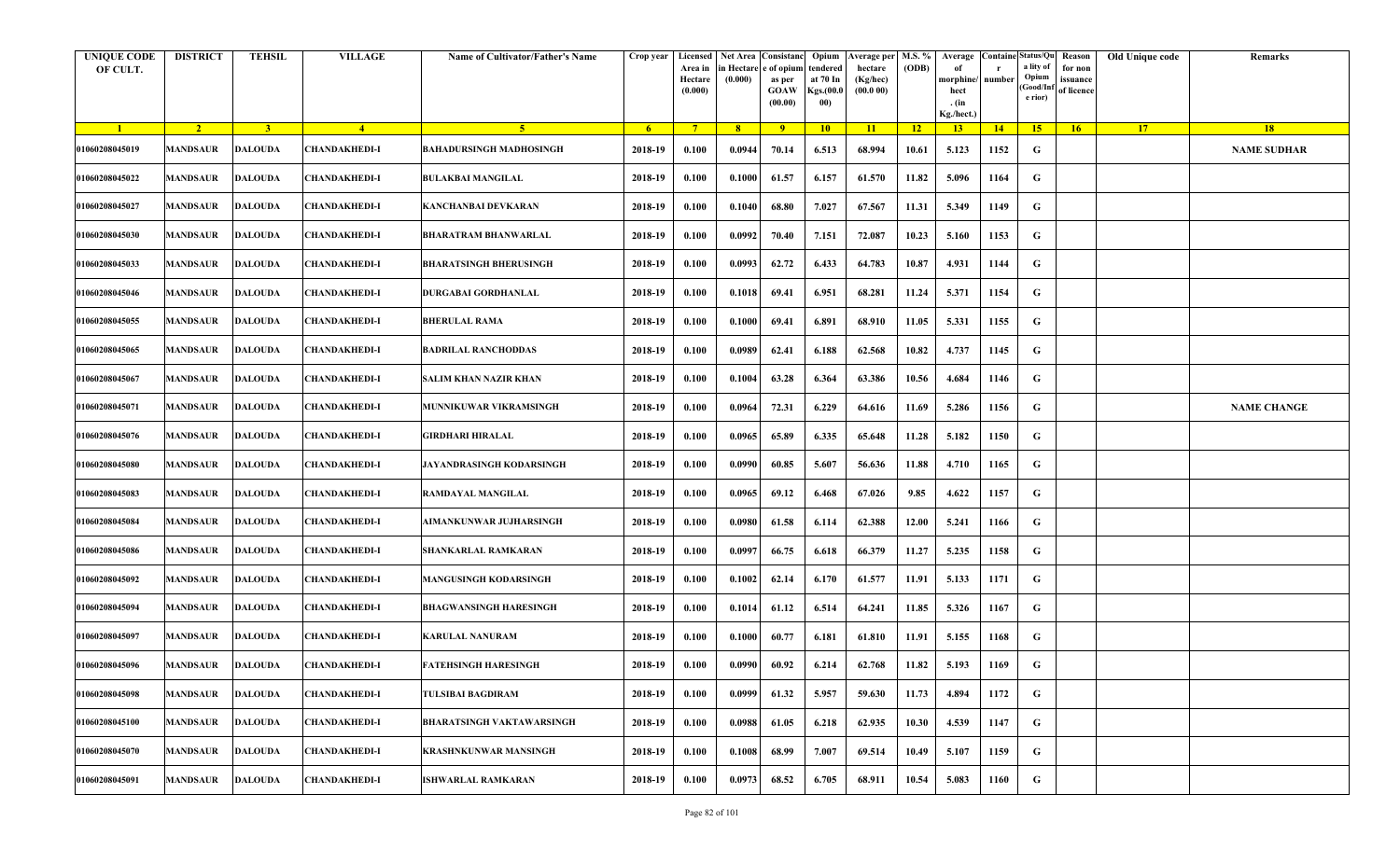| <b>UNIQUE CODE</b><br>OF CULT. | <b>DISTRICT</b> | <b>TEHSIL</b>  | <b>VILLAGE</b>       | Name of Cultivator/Father's Name | Crop year      | Area in<br>Hectare<br>(0.000) | Licensed Net Area Consistanc<br>ı Hectar<br>(0.000) | e of opium<br>as per<br><b>GOAW</b> | Opium<br>tendered<br>at 70 In<br>Kgs.(00.0) | <b>Average per</b><br>hectare<br>(Kg/hec)<br>(00.000) | M.S. %<br>(ODB) | Average<br>morphine/<br>hect | <b>Containe Status/Qu</b><br>number | a lity of<br>Opium<br>(Good/In<br>e rior) | Reason<br>for non<br>issuance<br>of licence | Old Unique code | Remarks            |
|--------------------------------|-----------------|----------------|----------------------|----------------------------------|----------------|-------------------------------|-----------------------------------------------------|-------------------------------------|---------------------------------------------|-------------------------------------------------------|-----------------|------------------------------|-------------------------------------|-------------------------------------------|---------------------------------------------|-----------------|--------------------|
|                                |                 |                |                      |                                  |                |                               |                                                     | (00.00)                             | 00)                                         |                                                       |                 | . (in<br>Kg./hect.)          |                                     |                                           |                                             |                 |                    |
| $\blacksquare$                 | $\sqrt{2}$      | 3 <sup>7</sup> | $\sqrt{4}$           | -5.                              | 6 <sup>6</sup> | $-7$                          | 8 <sup>1</sup>                                      | $-9$                                | 10                                          | $\vert$ 11                                            | $\overline{12}$ | 13                           | 14                                  | 15                                        | 16                                          | 17              | 18                 |
| 01060208045019                 | <b>MANDSAUR</b> | <b>DALOUDA</b> | <b>CHANDAKHEDI-I</b> | <b>BAHADURSINGH MADHOSINGH</b>   | 2018-19        | 0.100                         | 0.0944                                              | 70.14                               | 6.513                                       | 68.994                                                | 10.61           | 5.123                        | 1152                                | G                                         |                                             |                 | <b>NAME SUDHAR</b> |
| 01060208045022                 | MANDSAUR        | <b>DALOUDA</b> | <b>CHANDAKHEDI-I</b> | <b>BULAKBAI MANGILAL</b>         | 2018-19        | 0.100                         | 0.1000                                              | 61.57                               | 6.157                                       | 61.570                                                | 11.82           | 5.096                        | 1164                                | G                                         |                                             |                 |                    |
| 01060208045027                 | <b>MANDSAUR</b> | <b>DALOUDA</b> | <b>CHANDAKHEDI-I</b> | KANCHANBAI DEVKARAN              | 2018-19        | 0.100                         | 0.1040                                              | 68.80                               | 7.027                                       | 67.567                                                | 11.31           | 5.349                        | 1149                                | G                                         |                                             |                 |                    |
| 01060208045030                 | <b>MANDSAUR</b> | <b>DALOUDA</b> | <b>CHANDAKHEDI-I</b> | <b>BHARATRAM BHANWARLAL</b>      | 2018-19        | 0.100                         | 0.0992                                              | 70.40                               | 7.151                                       | 72.087                                                | 10.23           | 5.160                        | 1153                                | G                                         |                                             |                 |                    |
| 01060208045033                 | <b>MANDSAUR</b> | <b>DALOUDA</b> | <b>CHANDAKHEDI-I</b> | <b>BHARATSINGH BHERUSINGH</b>    | 2018-19        | 0.100                         | 0.0993                                              | 62.72                               | 6.433                                       | 64.783                                                | 10.87           | 4.931                        | 1144                                | G                                         |                                             |                 |                    |
| 01060208045046                 | <b>MANDSAUR</b> | <b>DALOUDA</b> | <b>CHANDAKHEDI-I</b> | DURGABAI GORDHANLAL              | 2018-19        | 0.100                         | 0.1018                                              | 69.41                               | 6.951                                       | 68.281                                                | 11.24           | 5.371                        | 1154                                | G                                         |                                             |                 |                    |
| 01060208045055                 | <b>MANDSAUR</b> | <b>DALOUDA</b> | <b>CHANDAKHEDI-I</b> | <b>BHERULAL RAMA</b>             | 2018-19        | 0.100                         | 0.1000                                              | 69.41                               | 6.891                                       | 68.910                                                | 11.05           | 5.331                        | 1155                                | G                                         |                                             |                 |                    |
| 01060208045065                 | MANDSAUR        | <b>DALOUDA</b> | <b>CHANDAKHEDI-I</b> | <b>BADRILAL RANCHODDAS</b>       | 2018-19        | 0.100                         | 0.0989                                              | 62.41                               | 6.188                                       | 62.568                                                | 10.82           | 4.737                        | 1145                                | G                                         |                                             |                 |                    |
| 01060208045067                 | <b>MANDSAUR</b> | <b>DALOUDA</b> | <b>CHANDAKHEDI-I</b> | <b>SALIM KHAN NAZIR KHAN</b>     | 2018-19        | 0.100                         | 0.1004                                              | 63.28                               | 6.364                                       | 63.386                                                | 10.56           | 4.684                        | 1146                                | G                                         |                                             |                 |                    |
| 01060208045071                 | <b>MANDSAUR</b> | <b>DALOUDA</b> | <b>CHANDAKHEDI-I</b> | MUNNIKUWAR VIKRAMSINGH           | 2018-19        | 0.100                         | 0.0964                                              | 72.31                               | 6.229                                       | 64.616                                                | 11.69           | 5.286                        | 1156                                | G                                         |                                             |                 | <b>NAME CHANGE</b> |
| 01060208045076                 | MANDSAUR        | <b>DALOUDA</b> | <b>CHANDAKHEDI-I</b> | GIRDHARI HIRALAL                 | 2018-19        | 0.100                         | 0.0965                                              | 65.89                               | 6.335                                       | 65.648                                                | 11.28           | 5.182                        | 1150                                | G                                         |                                             |                 |                    |
| 01060208045080                 | MANDSAUR        | <b>DALOUDA</b> | <b>CHANDAKHEDI-I</b> | JAYANDRASINGH KODARSINGH         | 2018-19        | 0.100                         | 0.0990                                              | 60.85                               | 5.607                                       | 56.636                                                | 11.88           | 4.710                        | 1165                                | G                                         |                                             |                 |                    |
| 01060208045083                 | <b>MANDSAUR</b> | <b>DALOUDA</b> | <b>CHANDAKHEDI-I</b> | RAMDAYAL MANGILAL                | 2018-19        | 0.100                         | 0.0965                                              | 69.12                               | 6.468                                       | 67.026                                                | 9.85            | 4.622                        | 1157                                | G                                         |                                             |                 |                    |
| 01060208045084                 | <b>MANDSAUR</b> | <b>DALOUDA</b> | <b>CHANDAKHEDI-I</b> | AIMANKUNWAR JUJHARSINGH          | 2018-19        | 0.100                         | 0.0980                                              | 61.58                               | 6.114                                       | 62.388                                                | 12.00           | 5.241                        | 1166                                | G                                         |                                             |                 |                    |
| 01060208045086                 | MANDSAUR        | <b>DALOUDA</b> | <b>CHANDAKHEDI-I</b> | SHANKARLAL RAMKARAN              | 2018-19        | 0.100                         | 0.0997                                              | 66.75                               | 6.618                                       | 66.379                                                | 11.27           | 5.235                        | 1158                                | G                                         |                                             |                 |                    |
| 01060208045092                 | <b>MANDSAUR</b> | <b>DALOUDA</b> | <b>CHANDAKHEDI-I</b> | <b>MANGUSINGH KODARSINGH</b>     | 2018-19        | 0.100                         | 0.1002                                              | 62.14                               | 6.170                                       | 61.577                                                | 11.91           | 5.133                        | 1171                                | G                                         |                                             |                 |                    |
| 01060208045094                 | MANDSAUR        | <b>DALOUDA</b> | <b>CHANDAKHEDI-I</b> | <b>BHAGWANSINGH HARESINGH</b>    | 2018-19        | 0.100                         | 0.1014                                              | 61.12                               | 6.514                                       | 64.241                                                | 11.85           | 5.326                        | 1167                                | G                                         |                                             |                 |                    |
| 01060208045097                 | <b>MANDSAUR</b> | <b>DALOUDA</b> | <b>CHANDAKHEDI-I</b> | <b>KARULAL NANURAM</b>           | 2018-19        | 0.100                         | 0.1000                                              | 60.77                               | 6.181                                       | 61.810                                                | 11.91           | 5.155                        | 1168                                | G                                         |                                             |                 |                    |
| 01060208045096                 | MANDSAUR        | <b>DALOUDA</b> | <b>CHANDAKHEDI-I</b> | <b>FATEHSINGH HARESINGH</b>      | 2018-19        | 0.100                         | 0.0990                                              | 60.92                               | 6.214                                       | 62.768                                                | 11.82           | 5.193                        | 1169                                | G                                         |                                             |                 |                    |
| 01060208045098                 | <b>MANDSAUR</b> | <b>DALOUDA</b> | <b>CHANDAKHEDI-I</b> | TULSIBAI BAGDIRAM                | 2018-19        | 0.100                         | 0.0999                                              | 61.32                               | 5.957                                       | 59.630                                                | 11.73           | 4.894                        | 1172                                | G                                         |                                             |                 |                    |
| 01060208045100                 | <b>MANDSAUR</b> | <b>DALOUDA</b> | <b>CHANDAKHEDI-I</b> | <b>BHARATSINGH VAKTAWARSINGH</b> | 2018-19        | 0.100                         | 0.0988                                              | 61.05                               | 6.218                                       | 62.935                                                | 10.30           | 4.539                        | 1147                                | G                                         |                                             |                 |                    |
| 01060208045070                 | <b>MANDSAUR</b> | <b>DALOUDA</b> | <b>CHANDAKHEDI-I</b> | <b>KRASHNKUNWAR MANSINGH</b>     | 2018-19        | 0.100                         | 0.1008                                              | 68.99                               | 7.007                                       | 69.514                                                | 10.49           | 5.107                        | 1159                                | G                                         |                                             |                 |                    |
| 01060208045091                 | <b>MANDSAUR</b> | <b>DALOUDA</b> | <b>CHANDAKHEDI-I</b> | <b>ISHWARLAL RAMKARAN</b>        | 2018-19        | 0.100                         | 0.0973                                              | 68.52                               | 6.705                                       | 68.911                                                | 10.54           | 5.083                        | 1160                                | G                                         |                                             |                 |                    |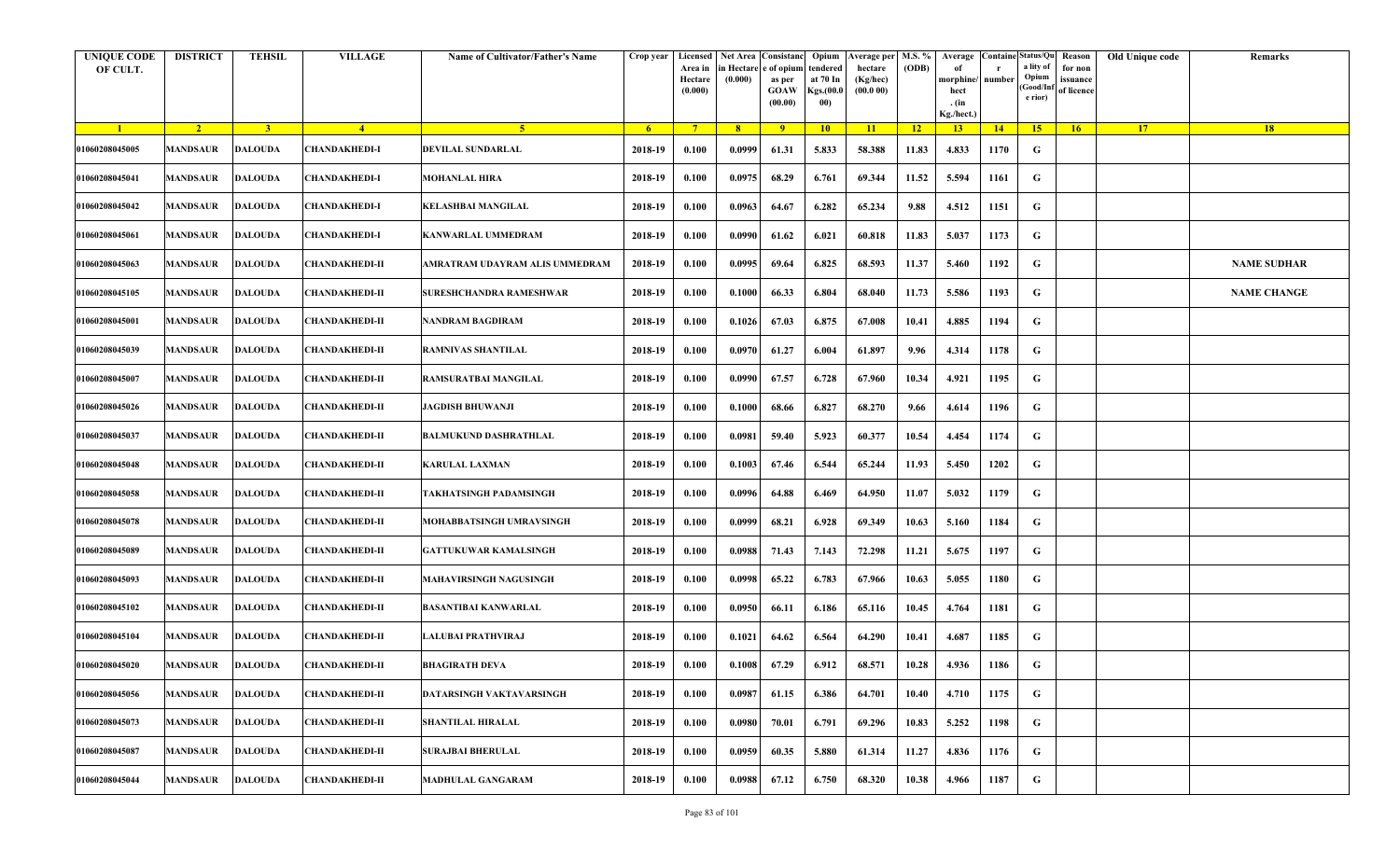| <b>UNIQUE CODE</b><br>OF CULT. | <b>DISTRICT</b> | <b>TEHSIL</b>  | <b>VILLAGE</b>        | <b>Name of Cultivator/Father's Name</b> | Crop year      | Area in<br>Hectare<br>(0.000) | in Hectare<br>(0.000) | Licensed Net Area Consistanc<br>e of opium<br>as per<br><b>GOAW</b><br>(00.00) | Opium<br>:endered<br>at 70 In<br>Kgs.(00.0<br>00) | Verage per   M.S. %<br>hectare<br>(Kg/hec)<br>(00.000) | (ODB)           | Average<br>morphine/<br>hect<br>. $(in$<br>Kg./hect.) | number | <b>Containe Status/Qu</b><br>a lity of<br>Opium<br>Good/Inf<br>e rior) | Reason<br>for non<br>issuance<br>of licence | Old Unique code | Remarks            |
|--------------------------------|-----------------|----------------|-----------------------|-----------------------------------------|----------------|-------------------------------|-----------------------|--------------------------------------------------------------------------------|---------------------------------------------------|--------------------------------------------------------|-----------------|-------------------------------------------------------|--------|------------------------------------------------------------------------|---------------------------------------------|-----------------|--------------------|
| $\blacksquare$                 | $\sqrt{2}$      | 3 <sup>7</sup> | $\sqrt{4}$            | -5.                                     | 6 <sup>6</sup> | $-7$                          | 8 <sup>1</sup>        | 9                                                                              | $10-10$                                           | $\vert$ 11                                             | $\overline{12}$ | 13                                                    | 14     | 15                                                                     | 16                                          | <b>17</b>       | 18                 |
| 01060208045005                 | <b>MANDSAUR</b> | <b>DALOUDA</b> | <b>CHANDAKHEDI-I</b>  | DEVILAL SUNDARLAL                       | 2018-19        | 0.100                         | 0.0999                | 61.31                                                                          | 5.833                                             | 58.388                                                 | 11.83           | 4.833                                                 | 1170   | G                                                                      |                                             |                 |                    |
| 01060208045041                 | MANDSAUR        | DALOUDA        | <b>CHANDAKHEDI-I</b>  | <b>MOHANLAL HIRA</b>                    | 2018-19        | 0.100                         | 0.0975                | 68.29                                                                          | 6.761                                             | 69.344                                                 | 11.52           | 5.594                                                 | 1161   | G                                                                      |                                             |                 |                    |
| 01060208045042                 | <b>MANDSAUR</b> | <b>DALOUDA</b> | <b>CHANDAKHEDI-I</b>  | KELASHBAI MANGILAL                      | 2018-19        | 0.100                         | 0.0963                | 64.67                                                                          | 6.282                                             | 65.234                                                 | 9.88            | 4.512                                                 | 1151   | G                                                                      |                                             |                 |                    |
| 01060208045061                 | <b>MANDSAUR</b> | <b>DALOUDA</b> | <b>CHANDAKHEDI-I</b>  | <b>KANWARLAL UMMEDRAM</b>               | 2018-19        | 0.100                         | 0.0990                | 61.62                                                                          | 6.021                                             | 60.818                                                 | 11.83           | 5.037                                                 | 1173   | G                                                                      |                                             |                 |                    |
| 01060208045063                 | <b>MANDSAUR</b> | <b>DALOUDA</b> | <b>CHANDAKHEDI-II</b> | AMRATRAM UDAYRAM ALIS UMMEDRAM          | 2018-19        | 0.100                         | 0.0995                | 69.64                                                                          | 6.825                                             | 68.593                                                 | 11.37           | 5.460                                                 | 1192   | G                                                                      |                                             |                 | <b>NAME SUDHAR</b> |
| 01060208045105                 | MANDSAUR        | <b>DALOUDA</b> | <b>CHANDAKHEDI-II</b> | SURESHCHANDRA RAMESHWAR                 | 2018-19        | 0.100                         | 0.1000                | 66.33                                                                          | 6.804                                             | 68.040                                                 | 11.73           | 5.586                                                 | 1193   | G                                                                      |                                             |                 | <b>NAME CHANGE</b> |
| 01060208045001                 | <b>MANDSAUR</b> | <b>DALOUDA</b> | <b>CHANDAKHEDI-II</b> | <b>NANDRAM BAGDIRAM</b>                 | 2018-19        | 0.100                         | 0.1026                | 67.03                                                                          | 6.875                                             | 67.008                                                 | 10.41           | 4.885                                                 | 1194   | G                                                                      |                                             |                 |                    |
| 01060208045039                 | <b>MANDSAUR</b> | <b>DALOUDA</b> | <b>CHANDAKHEDI-II</b> | <b>RAMNIVAS SHANTILAL</b>               | 2018-19        | 0.100                         | 0.0970                | 61.27                                                                          | 6.004                                             | 61.897                                                 | 9.96            | 4.314                                                 | 1178   | G                                                                      |                                             |                 |                    |
| 01060208045007                 | <b>MANDSAUR</b> | <b>DALOUDA</b> | <b>CHANDAKHEDI-II</b> | RAMSURATBAI MANGILAL                    | 2018-19        | 0.100                         | 0.0990                | 67.57                                                                          | 6.728                                             | 67.960                                                 | 10.34           | 4.921                                                 | 1195   | G                                                                      |                                             |                 |                    |
| 01060208045026                 | MANDSAUR        | <b>DALOUDA</b> | <b>CHANDAKHEDI-II</b> | <b>JAGDISH BHUWANJI</b>                 | 2018-19        | 0.100                         | 0.1000                | 68.66                                                                          | 6.827                                             | 68.270                                                 | 9.66            | 4.614                                                 | 1196   | G                                                                      |                                             |                 |                    |
| 01060208045037                 | <b>MANDSAUR</b> | <b>DALOUDA</b> | <b>CHANDAKHEDI-II</b> | <b>BALMUKUND DASHRATHLAL</b>            | 2018-19        | 0.100                         | 0.0981                | 59.40                                                                          | 5.923                                             | 60.377                                                 | 10.54           | 4.454                                                 | 1174   | G                                                                      |                                             |                 |                    |
| 01060208045048                 | MANDSAUR        | <b>DALOUDA</b> | <b>CHANDAKHEDI-II</b> | <b>KARULAL LAXMAN</b>                   | 2018-19        | 0.100                         | 0.1003                | 67.46                                                                          | 6.544                                             | 65.244                                                 | 11.93           | 5.450                                                 | 1202   | G                                                                      |                                             |                 |                    |
| 01060208045058                 | <b>MANDSAUR</b> | <b>DALOUDA</b> | <b>CHANDAKHEDI-II</b> | TAKHATSINGH PADAMSINGH                  | 2018-19        | 0.100                         | 0.0996                | 64.88                                                                          | 6.469                                             | 64.950                                                 | 11.07           | 5.032                                                 | 1179   | G                                                                      |                                             |                 |                    |
| 01060208045078                 | <b>MANDSAUR</b> | <b>DALOUDA</b> | <b>CHANDAKHEDI-II</b> | MOHABBATSINGH UMRAVSINGH                | 2018-19        | 0.100                         | 0.0999                | 68.21                                                                          | 6.928                                             | 69.349                                                 | 10.63           | 5.160                                                 | 1184   | G                                                                      |                                             |                 |                    |
| 01060208045089                 | MANDSAUR        | <b>DALOUDA</b> | <b>CHANDAKHEDI-II</b> | <b>GATTUKUWAR KAMALSINGH</b>            | 2018-19        | 0.100                         | 0.0988                | 71.43                                                                          | 7.143                                             | 72.298                                                 | 11.21           | 5.675                                                 | 1197   | G                                                                      |                                             |                 |                    |
| 01060208045093                 | <b>MANDSAUR</b> | <b>DALOUDA</b> | <b>CHANDAKHEDI-II</b> | <b>MAHAVIRSINGH NAGUSINGH</b>           | 2018-19        | 0.100                         | 0.0998                | 65.22                                                                          | 6.783                                             | 67.966                                                 | 10.63           | 5.055                                                 | 1180   | G                                                                      |                                             |                 |                    |
| 01060208045102                 | <b>MANDSAUR</b> | <b>DALOUDA</b> | <b>CHANDAKHEDI-II</b> | <b>BASANTIBAI KANWARLAL</b>             | 2018-19        | 0.100                         | 0.0950                | 66.11                                                                          | 6.186                                             | 65.116                                                 | 10.45           | 4.764                                                 | 1181   | G                                                                      |                                             |                 |                    |
| 01060208045104                 | <b>MANDSAUR</b> | <b>DALOUDA</b> | <b>CHANDAKHEDI-II</b> | <b>LALUBAI PRATHVIRAJ</b>               | 2018-19        | 0.100                         | 0.1021                | 64.62                                                                          | 6.564                                             | 64.290                                                 | 10.41           | 4.687                                                 | 1185   | G                                                                      |                                             |                 |                    |
| 01060208045020                 | <b>MANDSAUR</b> | <b>DALOUDA</b> | <b>CHANDAKHEDI-II</b> | <b>BHAGIRATH DEVA</b>                   | 2018-19        | 0.100                         | 0.1008                | 67.29                                                                          | 6.912                                             | 68.571                                                 | 10.28           | 4.936                                                 | 1186   | G                                                                      |                                             |                 |                    |
| 01060208045056                 | <b>MANDSAUR</b> | <b>DALOUDA</b> | <b>CHANDAKHEDI-II</b> | <b>DATARSINGH VAKTAVARSINGH</b>         | 2018-19        | 0.100                         | 0.0987                | 61.15                                                                          | 6.386                                             | 64.701                                                 | 10.40           | 4.710                                                 | 1175   | G                                                                      |                                             |                 |                    |
| 01060208045073                 | <b>MANDSAUR</b> | <b>DALOUDA</b> | <b>CHANDAKHEDI-II</b> | <b>SHANTILAL HIRALAL</b>                | 2018-19        | 0.100                         | 0.0980                | 70.01                                                                          | 6.791                                             | 69.296                                                 | 10.83           | 5.252                                                 | 1198   | G                                                                      |                                             |                 |                    |
| 01060208045087                 | <b>MANDSAUR</b> | <b>DALOUDA</b> | <b>CHANDAKHEDI-II</b> | <b>SURAJBAI BHERULAL</b>                | 2018-19        | 0.100                         | 0.0959                | 60.35                                                                          | 5.880                                             | 61.314                                                 | 11.27           | 4.836                                                 | 1176   | ${\bf G}$                                                              |                                             |                 |                    |
| 01060208045044                 | <b>MANDSAUR</b> | <b>DALOUDA</b> | <b>CHANDAKHEDI-II</b> | <b>MADHULAL GANGARAM</b>                | 2018-19        | 0.100                         | 0.0988                | 67.12                                                                          | 6.750                                             | 68.320                                                 | 10.38           | 4.966                                                 | 1187   | G                                                                      |                                             |                 |                    |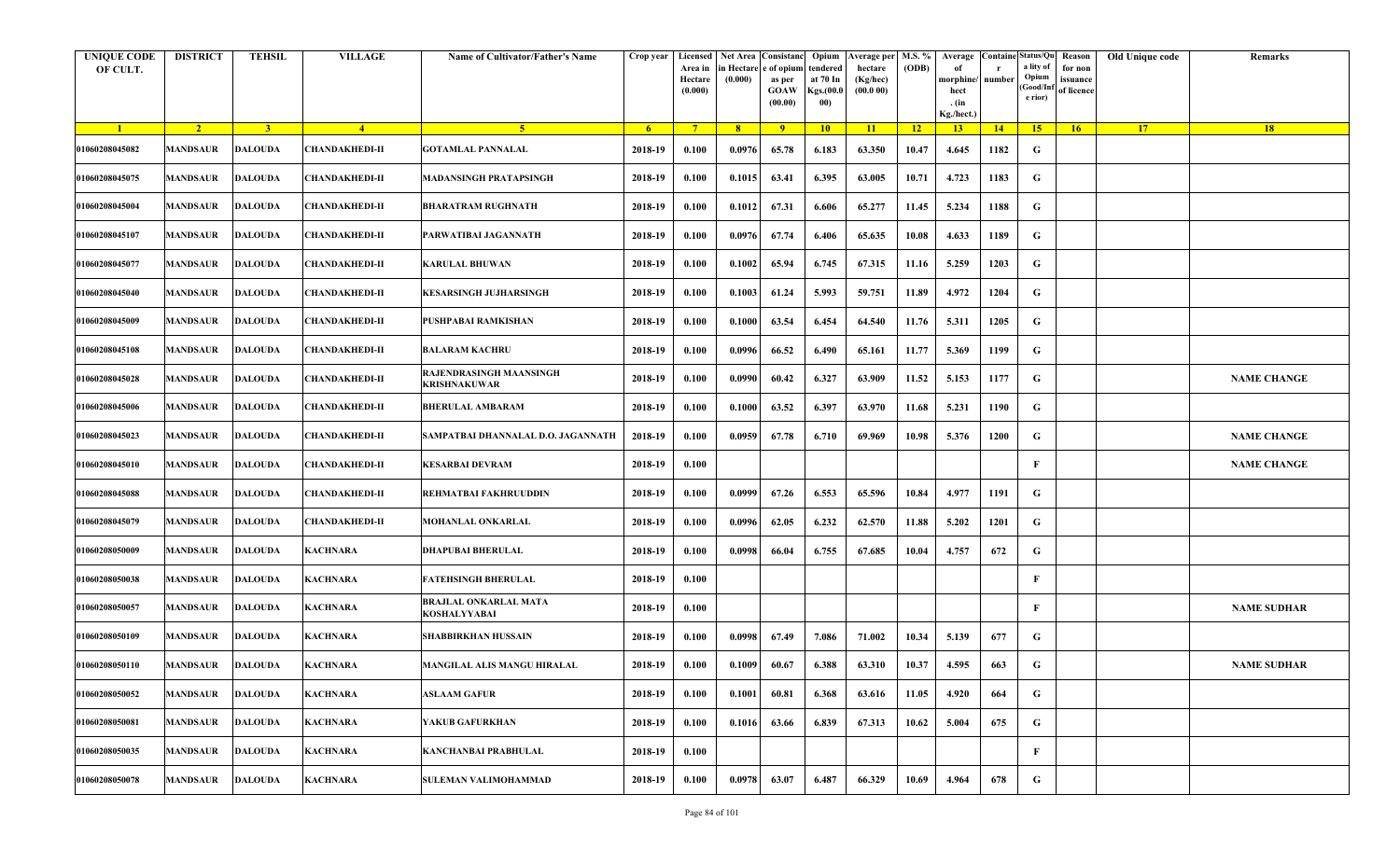| <b>UNIQUE CODE</b><br>OF CULT. | <b>DISTRICT</b> | <b>TEHSIL</b>  | <b>VILLAGE</b>        | Name of Cultivator/Father's Name             | Crop year      | Area in<br>Hectare<br>(0.000) | Licensed   Net Area Consistanc<br>ı Hectar<br>(0.000) | e of opium<br>as per<br><b>GOAW</b><br>(00.00) | Opium<br>tendered<br>at 70 In<br>Kgs.(00.<br>00) | <b>Average per</b><br>hectare<br>(Kg/hec)<br>(00.000) | M.S. %<br>(ODB) | Average<br>morphine/<br>hect<br>. (in<br>Kg./hect.) | Containe Status/Qu<br>number | a lity of<br>Opium<br>(Good/In<br>e rior) | Reason<br>for non<br>issuance<br>of licence | Old Unique code | Remarks            |
|--------------------------------|-----------------|----------------|-----------------------|----------------------------------------------|----------------|-------------------------------|-------------------------------------------------------|------------------------------------------------|--------------------------------------------------|-------------------------------------------------------|-----------------|-----------------------------------------------------|------------------------------|-------------------------------------------|---------------------------------------------|-----------------|--------------------|
| $\blacksquare$ 1               | $\sqrt{2}$      | 3 <sup>1</sup> | $\sqrt{4}$            | 5 <sup>5</sup>                               | 6 <sup>6</sup> | $-7$                          | 8 <sup>1</sup>                                        | $-9$                                           | 10                                               | $\vert$ 11                                            | $\overline{12}$ | 13                                                  | 14                           | 15                                        | 16                                          | 17              | 18                 |
| 01060208045082                 | <b>MANDSAUR</b> | <b>DALOUDA</b> | <b>CHANDAKHEDI-II</b> | GOTAMLAL PANNALAL                            | 2018-19        | 0.100                         | 0.0976                                                | 65.78                                          | 6.183                                            | 63.350                                                | 10.47           | 4.645                                               | 1182                         | G                                         |                                             |                 |                    |
| 01060208045075                 | MANDSAUR        | <b>DALOUDA</b> | <b>CHANDAKHEDI-II</b> | <b>MADANSINGH PRATAPSINGH</b>                | 2018-19        | 0.100                         | 0.1015                                                | 63.41                                          | 6.395                                            | 63.005                                                | 10.71           | 4.723                                               | 1183                         | G                                         |                                             |                 |                    |
| 01060208045004                 | <b>MANDSAUR</b> | <b>DALOUDA</b> | <b>CHANDAKHEDI-II</b> | <b>BHARATRAM RUGHNATH</b>                    | 2018-19        | 0.100                         | 0.1012                                                | 67.31                                          | 6.606                                            | 65.277                                                | 11.45           | 5.234                                               | 1188                         | G                                         |                                             |                 |                    |
| 01060208045107                 | <b>MANDSAUR</b> | <b>DALOUDA</b> | <b>CHANDAKHEDI-II</b> | PARWATIBAI JAGANNATH                         | 2018-19        | 0.100                         | 0.0976                                                | 67.74                                          | 6.406                                            | 65.635                                                | 10.08           | 4.633                                               | 1189                         | G                                         |                                             |                 |                    |
| 01060208045077                 | <b>MANDSAUR</b> | <b>DALOUDA</b> | <b>CHANDAKHEDI-II</b> | <b>KARULAL BHUWAN</b>                        | 2018-19        | 0.100                         | 0.1002                                                | 65.94                                          | 6.745                                            | 67.315                                                | 11.16           | 5.259                                               | 1203                         | G                                         |                                             |                 |                    |
| 01060208045040                 | <b>MANDSAUR</b> | <b>DALOUDA</b> | <b>CHANDAKHEDI-II</b> | <b>KESARSINGH JUJHARSINGH</b>                | 2018-19        | 0.100                         | 0.1003                                                | 61.24                                          | 5.993                                            | 59.751                                                | 11.89           | 4.972                                               | 1204                         | G                                         |                                             |                 |                    |
| 01060208045009                 | <b>MANDSAUR</b> | <b>DALOUDA</b> | <b>CHANDAKHEDI-II</b> | PUSHPABAI RAMKISHAN                          | 2018-19        | 0.100                         | 0.1000                                                | 63.54                                          | 6.454                                            | 64.540                                                | 11.76           | 5.311                                               | 1205                         | G                                         |                                             |                 |                    |
| 01060208045108                 | MANDSAUR        | <b>DALOUDA</b> | <b>CHANDAKHEDI-II</b> | <b>BALARAM KACHRU</b>                        | 2018-19        | 0.100                         | 0.0996                                                | 66.52                                          | 6.490                                            | 65.161                                                | 11.77           | 5.369                                               | 1199                         | G                                         |                                             |                 |                    |
| 01060208045028                 | <b>MANDSAUR</b> | <b>DALOUDA</b> | <b>CHANDAKHEDI-II</b> | RAJENDRASINGH MAANSINGH<br>KRISHNAKUWAR      | 2018-19        | 0.100                         | 0.0990                                                | 60.42                                          | 6.327                                            | 63.909                                                | 11.52           | 5.153                                               | 1177                         | G                                         |                                             |                 | <b>NAME CHANGE</b> |
| 01060208045006                 | MANDSAUR        | <b>DALOUDA</b> | <b>CHANDAKHEDI-II</b> | <b>BHERULAL AMBARAM</b>                      | 2018-19        | 0.100                         | 0.1000                                                | 63.52                                          | 6.397                                            | 63.970                                                | 11.68           | 5.231                                               | 1190                         | G                                         |                                             |                 |                    |
| 01060208045023                 | MANDSAUR        | <b>DALOUDA</b> | <b>CHANDAKHEDI-II</b> | SAMPATBAI DHANNALAL D.O. JAGANNATH           | 2018-19        | 0.100                         | 0.0959                                                | 67.78                                          | 6.710                                            | 69.969                                                | 10.98           | 5.376                                               | 1200                         | G                                         |                                             |                 | <b>NAME CHANGE</b> |
| 01060208045010                 | MANDSAUR        | <b>DALOUDA</b> | <b>CHANDAKHEDI-II</b> | <b>KESARBAI DEVRAM</b>                       | 2018-19        | 0.100                         |                                                       |                                                |                                                  |                                                       |                 |                                                     |                              | F                                         |                                             |                 | <b>NAME CHANGE</b> |
| 01060208045088                 | <b>MANDSAUR</b> | <b>DALOUDA</b> | <b>CHANDAKHEDI-II</b> | REHMATBAI FAKHRUUDDIN                        | 2018-19        | 0.100                         | 0.0999                                                | 67.26                                          | 6.553                                            | 65.596                                                | 10.84           | 4.977                                               | 1191                         | G                                         |                                             |                 |                    |
| 01060208045079                 | <b>MANDSAUR</b> | <b>DALOUDA</b> | <b>CHANDAKHEDI-II</b> | <b>MOHANLAL ONKARLAL</b>                     | 2018-19        | 0.100                         | 0.0996                                                | 62.05                                          | 6.232                                            | 62.570                                                | 11.88           | 5.202                                               | 1201                         | G                                         |                                             |                 |                    |
| 01060208050009                 | MANDSAUR        | <b>DALOUDA</b> | <b>KACHNARA</b>       | <b>DHAPUBAI BHERULAL</b>                     | 2018-19        | 0.100                         | 0.0998                                                | 66.04                                          | 6.755                                            | 67.685                                                | 10.04           | 4.757                                               | 672                          | G                                         |                                             |                 |                    |
| 01060208050038                 | <b>MANDSAUR</b> | <b>DALOUDA</b> | <b>KACHNARA</b>       | <b>FATEHSINGH BHERULAL</b>                   | 2018-19        | 0.100                         |                                                       |                                                |                                                  |                                                       |                 |                                                     |                              | $\mathbf{F}$                              |                                             |                 |                    |
| 01060208050057                 | MANDSAUR        | <b>DALOUDA</b> | <b>KACHNARA</b>       | <b>BRAJLAL ONKARLAL MATA</b><br>KOSHALYYABAI | 2018-19        | 0.100                         |                                                       |                                                |                                                  |                                                       |                 |                                                     |                              | F                                         |                                             |                 | <b>NAME SUDHAR</b> |
| 01060208050109                 | <b>MANDSAUR</b> | <b>DALOUDA</b> | <b>KACHNARA</b>       | SHABBIRKHAN HUSSAIN                          | 2018-19        | 0.100                         | 0.0998                                                | 67.49                                          | 7.086                                            | 71.002                                                | 10.34           | 5.139                                               | 677                          | G                                         |                                             |                 |                    |
| 01060208050110                 | MANDSAUR        | <b>DALOUDA</b> | <b>KACHNARA</b>       | <b>MANGILAL ALIS MANGU HIRALAL</b>           | 2018-19        | 0.100                         | 0.1009                                                | 60.67                                          | 6.388                                            | 63.310                                                | 10.37           | 4.595                                               | 663                          | G                                         |                                             |                 | <b>NAME SUDHAR</b> |
| 01060208050052                 | <b>MANDSAUR</b> | <b>DALOUDA</b> | <b>KACHNARA</b>       | <b>ASLAAM GAFUR</b>                          | 2018-19        | 0.100                         | 0.1001                                                | 60.81                                          | 6.368                                            | 63.616                                                | 11.05           | 4.920                                               | 664                          | G                                         |                                             |                 |                    |
| 01060208050081                 | <b>MANDSAUR</b> | <b>DALOUDA</b> | <b>KACHNARA</b>       | YAKUB GAFURKHAN                              | 2018-19        | 0.100                         | 0.1016                                                | 63.66                                          | 6.839                                            | 67.313                                                | 10.62           | 5.004                                               | 675                          | G                                         |                                             |                 |                    |
| 01060208050035                 | <b>MANDSAUR</b> | <b>DALOUDA</b> | <b>KACHNARA</b>       | KANCHANBAI PRABHULAL                         | 2018-19        | 0.100                         |                                                       |                                                |                                                  |                                                       |                 |                                                     |                              | $\mathbf{F}$                              |                                             |                 |                    |
| 01060208050078                 | <b>MANDSAUR</b> | <b>DALOUDA</b> | <b>KACHNARA</b>       | <b>SULEMAN VALIMOHAMMAD</b>                  | 2018-19        | 0.100                         | 0.0978                                                | 63.07                                          | 6.487                                            | 66.329                                                | 10.69           | 4.964                                               | 678                          | G                                         |                                             |                 |                    |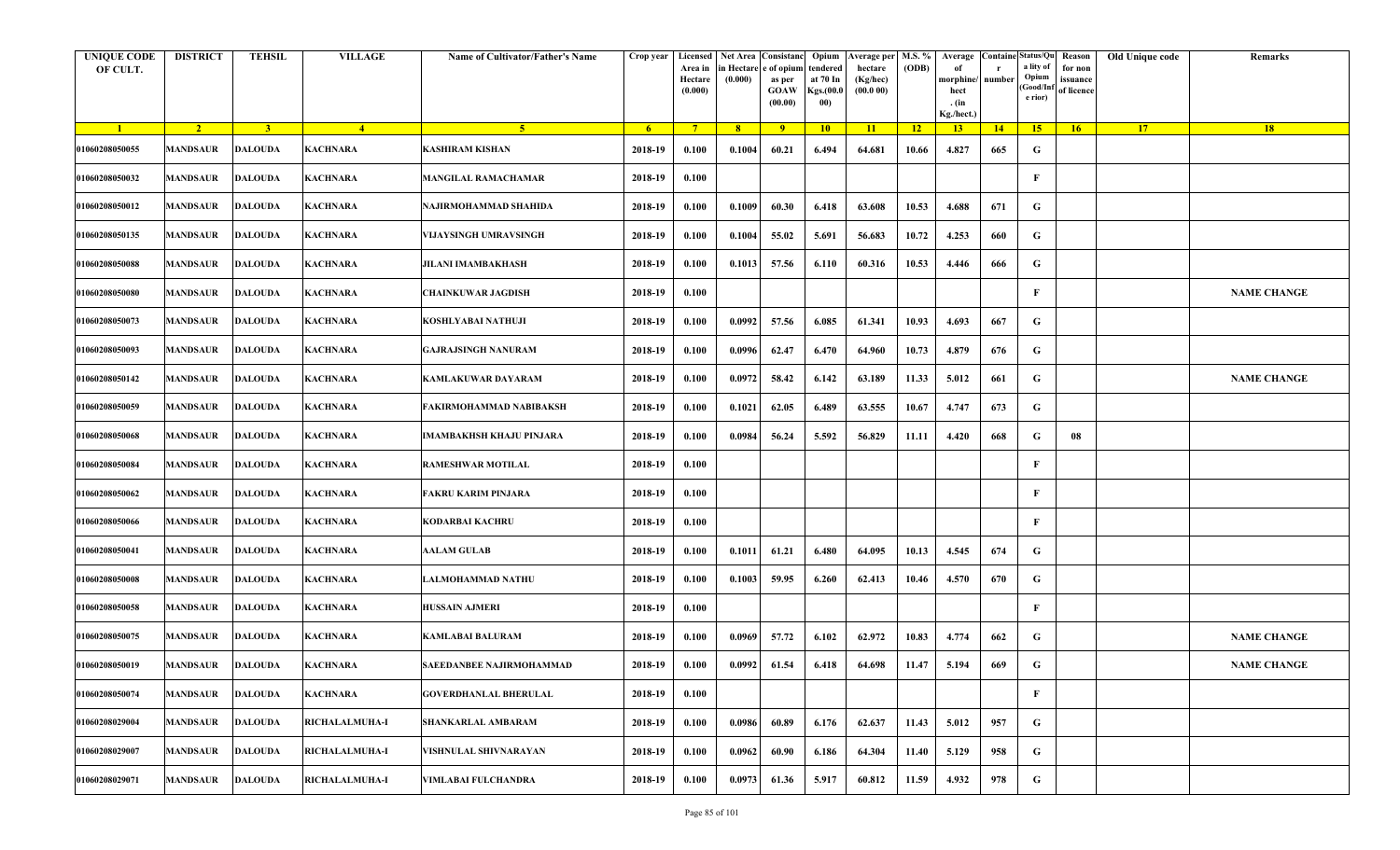| <b>UNIQUE CODE</b><br>OF CULT. | <b>DISTRICT</b> | <b>TEHSIL</b>  | <b>VILLAGE</b>  | Name of Cultivator/Father's Name | Crop year      | Area in<br>Hectare<br>(0.000) | Licensed Net Area Consistanc<br>ı Hectar<br>(0.000) | e of opium<br>as per<br><b>GOAW</b><br>(00.00) | Opium<br>tendered<br>at 70 In<br>Kgs.(00.0<br>00) | <b>Average per</b><br>hectare<br>(Kg/hec)<br>(00.000) | M.S. %<br>(ODB) | Average<br>morphine/<br>hect<br>. (in<br>Kg./hect.) | <b>Containe Status/Qu</b><br>number | a lity of<br>Opium<br>(Good/In<br>e rior) | Reason<br>for non<br>issuance<br>of licence | Old Unique code | Remarks            |
|--------------------------------|-----------------|----------------|-----------------|----------------------------------|----------------|-------------------------------|-----------------------------------------------------|------------------------------------------------|---------------------------------------------------|-------------------------------------------------------|-----------------|-----------------------------------------------------|-------------------------------------|-------------------------------------------|---------------------------------------------|-----------------|--------------------|
| $\blacksquare$ 1               | $\sqrt{2}$      | 3 <sup>7</sup> | $\overline{4}$  | -5.                              | 6 <sup>6</sup> | $-7$                          | 8 <sup>1</sup>                                      | $-9$                                           | 10                                                | $\vert$ 11                                            | $\overline{12}$ | 13                                                  | 14                                  | 15                                        | 16                                          | 17              | 18                 |
| 01060208050055                 | <b>MANDSAUR</b> | <b>DALOUDA</b> | KACHNARA        | KASHIRAM KISHAN                  | 2018-19        | 0.100                         | 0.1004                                              | 60.21                                          | 6.494                                             | 64.681                                                | 10.66           | 4.827                                               | 665                                 | G                                         |                                             |                 |                    |
| 01060208050032                 | MANDSAUR        | <b>DALOUDA</b> | <b>KACHNARA</b> | <b>MANGILAL RAMACHAMAR</b>       | 2018-19        | 0.100                         |                                                     |                                                |                                                   |                                                       |                 |                                                     |                                     | F                                         |                                             |                 |                    |
| 01060208050012                 | <b>MANDSAUR</b> | <b>DALOUDA</b> | <b>KACHNARA</b> | NAJIRMOHAMMAD SHAHIDA            | 2018-19        | 0.100                         | 0.1009                                              | 60.30                                          | 6.418                                             | 63.608                                                | 10.53           | 4.688                                               | 671                                 | G                                         |                                             |                 |                    |
| 01060208050135                 | <b>MANDSAUR</b> | <b>DALOUDA</b> | <b>KACHNARA</b> | VIJAYSINGH UMRAVSINGH            | 2018-19        | 0.100                         | 0.1004                                              | 55.02                                          | 5.691                                             | 56.683                                                | 10.72           | 4.253                                               | 660                                 | G                                         |                                             |                 |                    |
| 01060208050088                 | <b>MANDSAUR</b> | <b>DALOUDA</b> | <b>KACHNARA</b> | <b>JILANI IMAMBAKHASH</b>        | 2018-19        | 0.100                         | 0.1013                                              | 57.56                                          | 6.110                                             | 60.316                                                | 10.53           | 4.446                                               | 666                                 | G                                         |                                             |                 |                    |
| 01060208050080                 | MANDSAUR        | <b>DALOUDA</b> | KACHNARA        | <b>CHAINKUWAR JAGDISH</b>        | 2018-19        | 0.100                         |                                                     |                                                |                                                   |                                                       |                 |                                                     |                                     | $\mathbf{F}$                              |                                             |                 | <b>NAME CHANGE</b> |
| 01060208050073                 | <b>MANDSAUR</b> | <b>DALOUDA</b> | <b>KACHNARA</b> | KOSHLYABAI NATHUJI               | 2018-19        | 0.100                         | 0.0992                                              | 57.56                                          | 6.085                                             | 61.341                                                | 10.93           | 4.693                                               | 667                                 | G                                         |                                             |                 |                    |
| 01060208050093                 | MANDSAUR        | <b>DALOUDA</b> | KACHNARA        | GAJRAJSINGH NANURAM              | 2018-19        | 0.100                         | 0.0996                                              | 62.47                                          | 6.470                                             | 64.960                                                | 10.73           | 4.879                                               | 676                                 | G                                         |                                             |                 |                    |
| 01060208050142                 | <b>MANDSAUR</b> | <b>DALOUDA</b> | <b>KACHNARA</b> | <b>KAMLAKUWAR DAYARAM</b>        | 2018-19        | 0.100                         | 0.0972                                              | 58.42                                          | 6.142                                             | 63.189                                                | 11.33           | 5.012                                               | 661                                 | G                                         |                                             |                 | <b>NAME CHANGE</b> |
| 01060208050059                 | MANDSAUR        | <b>DALOUDA</b> | KACHNARA        | FAKIRMOHAMMAD NABIBAKSH          | 2018-19        | 0.100                         | 0.1021                                              | 62.05                                          | 6.489                                             | 63.555                                                | 10.67           | 4.747                                               | 673                                 | G                                         |                                             |                 |                    |
| 01060208050068                 | MANDSAUR        | <b>DALOUDA</b> | <b>KACHNARA</b> | IMAMBAKHSH KHAJU PINJARA         | 2018-19        | 0.100                         | 0.0984                                              | 56.24                                          | 5.592                                             | 56.829                                                | 11.11           | 4.420                                               | 668                                 | G                                         | 08                                          |                 |                    |
| 01060208050084                 | MANDSAUR        | <b>DALOUDA</b> | <b>KACHNARA</b> | <b>RAMESHWAR MOTILAL</b>         | 2018-19        | 0.100                         |                                                     |                                                |                                                   |                                                       |                 |                                                     |                                     | F                                         |                                             |                 |                    |
| 01060208050062                 | <b>MANDSAUR</b> | <b>DALOUDA</b> | <b>KACHNARA</b> | FAKRU KARIM PINJARA              | 2018-19        | 0.100                         |                                                     |                                                |                                                   |                                                       |                 |                                                     |                                     | F                                         |                                             |                 |                    |
| 01060208050066                 | <b>MANDSAUR</b> | <b>DALOUDA</b> | <b>KACHNARA</b> | KODARBAI KACHRU                  | 2018-19        | 0.100                         |                                                     |                                                |                                                   |                                                       |                 |                                                     |                                     | $\mathbf{F}$                              |                                             |                 |                    |
| 01060208050041                 | MANDSAUR        | <b>DALOUDA</b> | <b>KACHNARA</b> | <b>AALAM GULAB</b>               | 2018-19        | 0.100                         | 0.1011                                              | 61.21                                          | 6.480                                             | 64.095                                                | 10.13           | 4.545                                               | 674                                 | G                                         |                                             |                 |                    |
| 01060208050008                 | <b>MANDSAUR</b> | <b>DALOUDA</b> | <b>KACHNARA</b> | <b>LALMOHAMMAD NATHU</b>         | 2018-19        | 0.100                         | 0.1003                                              | 59.95                                          | 6.260                                             | 62.413                                                | 10.46           | 4.570                                               | 670                                 | G                                         |                                             |                 |                    |
| 01060208050058                 | <b>MANDSAUR</b> | <b>DALOUDA</b> | <b>KACHNARA</b> | <b>HUSSAIN AJMERI</b>            | 2018-19        | 0.100                         |                                                     |                                                |                                                   |                                                       |                 |                                                     |                                     | $\mathbf{F}$                              |                                             |                 |                    |
| 01060208050075                 | MANDSAUR        | <b>DALOUDA</b> | <b>KACHNARA</b> | <b>KAMLABAI BALURAM</b>          | 2018-19        | 0.100                         | 0.0969                                              | 57.72                                          | 6.102                                             | 62.972                                                | 10.83           | 4.774                                               | 662                                 | G                                         |                                             |                 | <b>NAME CHANGE</b> |
| 01060208050019                 | MANDSAUR        | <b>DALOUDA</b> | <b>KACHNARA</b> | SAEEDANBEE NAJIRMOHAMMAD         | 2018-19        | 0.100                         | 0.0992                                              | 61.54                                          | 6.418                                             | 64.698                                                | 11.47           | 5.194                                               | 669                                 | G                                         |                                             |                 | <b>NAME CHANGE</b> |
| 01060208050074                 | <b>MANDSAUR</b> | <b>DALOUDA</b> | <b>KACHNARA</b> | <b>GOVERDHANLAL BHERULAL</b>     | 2018-19        | 0.100                         |                                                     |                                                |                                                   |                                                       |                 |                                                     |                                     | F                                         |                                             |                 |                    |
| 01060208029004                 | <b>MANDSAUR</b> | <b>DALOUDA</b> | RICHALALMUHA-I  | SHANKARLAL AMBARAM               | 2018-19        | 0.100                         | 0.0986                                              | 60.89                                          | 6.176                                             | 62.637                                                | 11.43           | 5.012                                               | 957                                 | G                                         |                                             |                 |                    |
| 01060208029007                 | <b>MANDSAUR</b> | <b>DALOUDA</b> | RICHALALMUHA-I  | VISHNULAL SHIVNARAYAN            | 2018-19        | 0.100                         | 0.0962                                              | 60.90                                          | 6.186                                             | 64.304                                                | 11.40           | 5.129                                               | 958                                 | G                                         |                                             |                 |                    |
| 01060208029071                 | <b>MANDSAUR</b> | <b>DALOUDA</b> | RICHALALMUHA-I  | VIMLABAI FULCHANDRA              | 2018-19        | 0.100                         | 0.0973                                              | 61.36                                          | 5.917                                             | 60.812                                                | 11.59           | 4.932                                               | 978                                 | G                                         |                                             |                 |                    |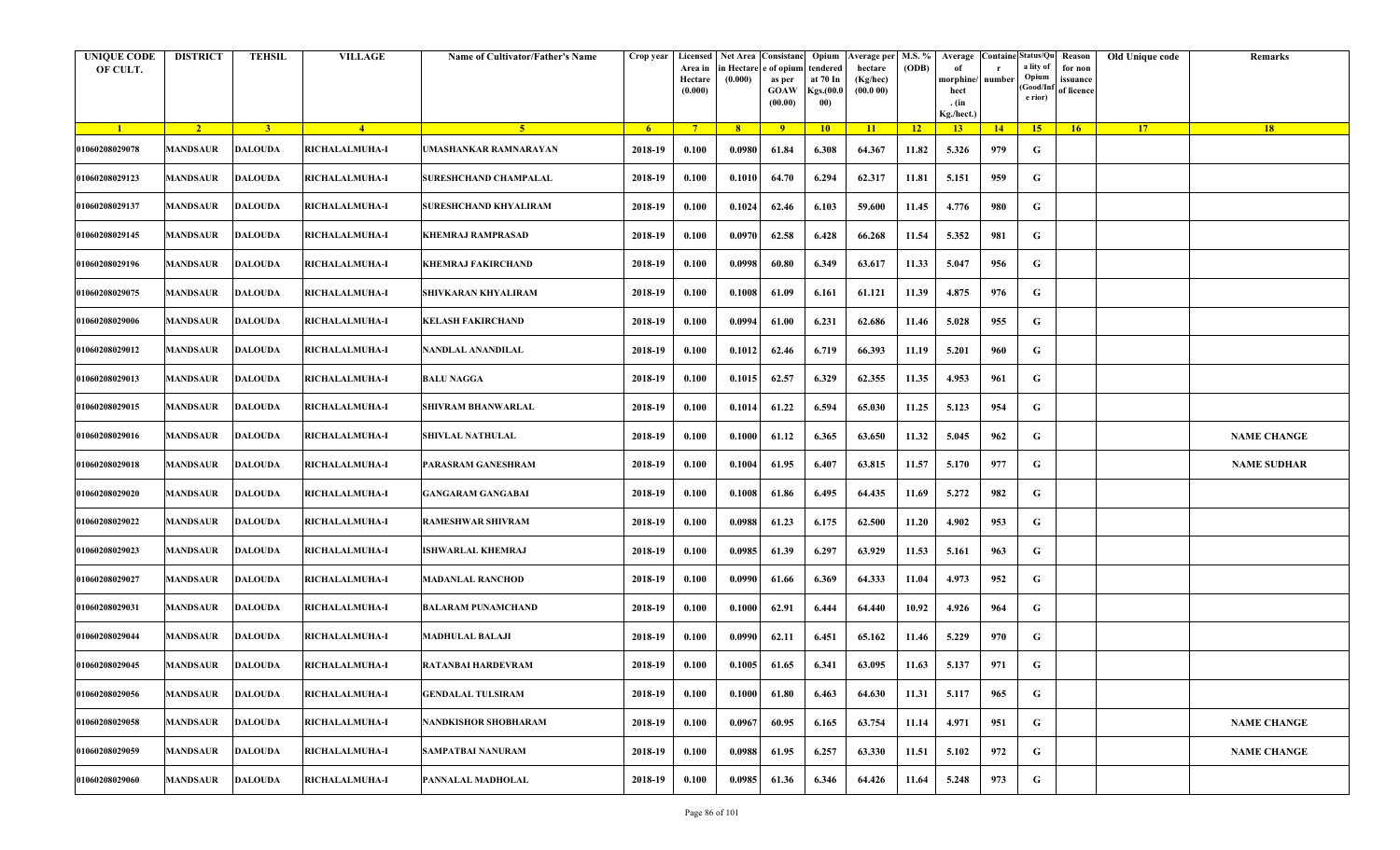| <b>UNIQUE CODE</b><br>OF CULT. | <b>DISTRICT</b> | <b>TEHSIL</b>  | <b>VILLAGE</b>        | Name of Cultivator/Father's Name | Crop year      | Area in<br>Hectare<br>(0.000) | in Hectare<br>(0.000) | Licensed Net Area Consistanc Opium<br>e of opium<br>as per<br><b>GOAW</b><br>(00.00) | tendered<br>at 70 In<br><b>Kgs.</b> (00.0)<br>00) | Average per   M.S. %<br>hectare<br>(Kg/hec)<br>(00.000) | (ODB)           | Average<br>morphine/<br>hect<br>. $(in$<br>Kg./hect.) | <b>Containe Status/Qu</b><br>number | a lity of<br>Opium<br>Good/Inf<br>e rior) | Reason<br>for non<br>issuance<br>of licence | Old Unique code | Remarks            |
|--------------------------------|-----------------|----------------|-----------------------|----------------------------------|----------------|-------------------------------|-----------------------|--------------------------------------------------------------------------------------|---------------------------------------------------|---------------------------------------------------------|-----------------|-------------------------------------------------------|-------------------------------------|-------------------------------------------|---------------------------------------------|-----------------|--------------------|
| $\blacksquare$                 | $\sqrt{2}$      | 3 <sup>l</sup> | $\sqrt{4}$            | -5.                              | 6 <sup>6</sup> | $-7$                          | 8 <sup>1</sup>        | 9                                                                                    | 10                                                | $\vert$ 11                                              | $\overline{12}$ | 13                                                    | 14                                  | 15                                        | 16                                          | 17              | 18                 |
| 01060208029078                 | <b>MANDSAUR</b> | <b>DALOUDA</b> | RICHALALMUHA-I        | UMASHANKAR RAMNARAYAN            | 2018-19        | 0.100                         | 0.0980                | 61.84                                                                                | 6.308                                             | 64.367                                                  | 11.82           | 5.326                                                 | 979                                 | G                                         |                                             |                 |                    |
| 01060208029123                 | <b>MANDSAUR</b> | DALOUDA        | <b>RICHALALMUHA-I</b> | <b>SURESHCHAND CHAMPALAL</b>     | 2018-19        | 0.100                         | 0.1010                | 64.70                                                                                | 6.294                                             | 62.317                                                  | 11.81           | 5.151                                                 | 959                                 | G                                         |                                             |                 |                    |
| 01060208029137                 | <b>MANDSAUR</b> | <b>DALOUDA</b> | <b>RICHALALMUHA-I</b> | SURESHCHAND KHYALIRAM            | 2018-19        | 0.100                         | 0.1024                | 62.46                                                                                | 6.103                                             | 59.600                                                  | 11.45           | 4.776                                                 | 980                                 | G                                         |                                             |                 |                    |
| 01060208029145                 | <b>MANDSAUR</b> | <b>DALOUDA</b> | <b>RICHALALMUHA-I</b> | <b>KHEMRAJ RAMPRASAD</b>         | 2018-19        | 0.100                         | 0.0970                | 62.58                                                                                | 6.428                                             | 66.268                                                  | 11.54           | 5.352                                                 | 981                                 | G                                         |                                             |                 |                    |
| 01060208029196                 | <b>MANDSAUR</b> | <b>DALOUDA</b> | RICHALALMUHA-I        | <b>KHEMRAJ FAKIRCHAND</b>        | 2018-19        | 0.100                         | 0.0998                | 60.80                                                                                | 6.349                                             | 63.617                                                  | 11.33           | 5.047                                                 | 956                                 | G                                         |                                             |                 |                    |
| 01060208029075                 | <b>MANDSAUR</b> | <b>DALOUDA</b> | RICHALALMUHA-I        | SHIVKARAN KHYALIRAM              | 2018-19        | 0.100                         | 0.1008                | 61.09                                                                                | 6.161                                             | 61.121                                                  | 11.39           | 4.875                                                 | 976                                 | G                                         |                                             |                 |                    |
| 01060208029006                 | <b>MANDSAUR</b> | <b>DALOUDA</b> | <b>RICHALALMUHA-I</b> | <b>KELASH FAKIRCHAND</b>         | 2018-19        | 0.100                         | 0.0994                | 61.00                                                                                | 6.231                                             | 62.686                                                  | 11.46           | 5.028                                                 | 955                                 | G                                         |                                             |                 |                    |
| 01060208029012                 | <b>MANDSAUR</b> | <b>DALOUDA</b> | RICHALALMUHA-I        | NANDLAL ANANDILAL                | 2018-19        | 0.100                         | 0.1012                | 62.46                                                                                | 6.719                                             | 66.393                                                  | 11.19           | 5.201                                                 | 960                                 | G                                         |                                             |                 |                    |
| 01060208029013                 | <b>MANDSAUR</b> | <b>DALOUDA</b> | <b>RICHALALMUHA-I</b> | <b>BALU NAGGA</b>                | 2018-19        | 0.100                         | 0.1015                | 62.57                                                                                | 6.329                                             | 62.355                                                  | 11.35           | 4.953                                                 | 961                                 | G                                         |                                             |                 |                    |
| 01060208029015                 | MANDSAUR        | DALOUDA        | <b>RICHALALMUHA-I</b> | <b>SHIVRAM BHANWARLAL</b>        | 2018-19        | 0.100                         | 0.1014                | 61.22                                                                                | 6.594                                             | 65.030                                                  | 11.25           | 5.123                                                 | 954                                 | G                                         |                                             |                 |                    |
| 01060208029016                 | <b>MANDSAUR</b> | <b>DALOUDA</b> | <b>RICHALALMUHA-I</b> | <b>SHIVLAL NATHULAL</b>          | 2018-19        | 0.100                         | 0.1000                | 61.12                                                                                | 6.365                                             | 63.650                                                  | 11.32           | 5.045                                                 | 962                                 | G                                         |                                             |                 | <b>NAME CHANGE</b> |
| 01060208029018                 | <b>MANDSAUR</b> | DALOUDA        | <b>RICHALALMUHA-I</b> | PARASRAM GANESHRAM               | 2018-19        | 0.100                         | 0.1004                | 61.95                                                                                | 6.407                                             | 63.815                                                  | 11.57           | 5.170                                                 | 977                                 | G                                         |                                             |                 | <b>NAME SUDHAR</b> |
| 01060208029020                 | <b>MANDSAUR</b> | <b>DALOUDA</b> | <b>RICHALALMUHA-I</b> | <b>GANGARAM GANGABAI</b>         | 2018-19        | 0.100                         | 0.1008                | 61.86                                                                                | 6.495                                             | 64.435                                                  | 11.69           | 5.272                                                 | 982                                 | G                                         |                                             |                 |                    |
| 01060208029022                 | <b>MANDSAUR</b> | <b>DALOUDA</b> | RICHALALMUHA-I        | <b>RAMESHWAR SHIVRAM</b>         | 2018-19        | 0.100                         | 0.0988                | 61.23                                                                                | 6.175                                             | 62.500                                                  | 11.20           | 4.902                                                 | 953                                 | G                                         |                                             |                 |                    |
| 01060208029023                 | <b>MANDSAUR</b> | <b>DALOUDA</b> | RICHALALMUHA-I        | <b>ISHWARLAL KHEMRAJ</b>         | 2018-19        | 0.100                         | 0.0985                | 61.39                                                                                | 6.297                                             | 63.929                                                  | 11.53           | 5.161                                                 | 963                                 | G                                         |                                             |                 |                    |
| 01060208029027                 | <b>MANDSAUR</b> | <b>DALOUDA</b> | <b>RICHALALMUHA-I</b> | <b>MADANLAL RANCHOD</b>          | 2018-19        | 0.100                         | 0.0990                | 61.66                                                                                | 6.369                                             | 64.333                                                  | 11.04           | 4.973                                                 | 952                                 | G                                         |                                             |                 |                    |
| 01060208029031                 | <b>MANDSAUR</b> | <b>DALOUDA</b> | <b>RICHALALMUHA-I</b> | BALARAM PUNAMCHAND               | 2018-19        | 0.100                         | 0.1000                | 62.91                                                                                | 6.444                                             | 64.440                                                  | 10.92           | 4.926                                                 | 964                                 | G                                         |                                             |                 |                    |
| 01060208029044                 | <b>MANDSAUR</b> | <b>DALOUDA</b> | <b>RICHALALMUHA-I</b> | <b>MADHULAL BALAJI</b>           | 2018-19        | 0.100                         | 0.0990                | 62.11                                                                                | 6.451                                             | 65.162                                                  | 11.46           | 5.229                                                 | 970                                 | G                                         |                                             |                 |                    |
| 01060208029045                 | <b>MANDSAUR</b> | <b>DALOUDA</b> | <b>RICHALALMUHA-I</b> | <b>RATANBAI HARDEVRAM</b>        | 2018-19        | 0.100                         | 0.1005                | 61.65                                                                                | 6.341                                             | 63.095                                                  | 11.63           | 5.137                                                 | 971                                 | G                                         |                                             |                 |                    |
| 01060208029056                 | <b>MANDSAUR</b> | DALOUDA        | <b>RICHALALMUHA-I</b> | <b>GENDALAL TULSIRAM</b>         | 2018-19        | 0.100                         | 0.1000                | 61.80                                                                                | 6.463                                             | 64.630                                                  | 11.31           | 5.117                                                 | 965                                 | G                                         |                                             |                 |                    |
| 01060208029058                 | <b>MANDSAUR</b> | DALOUDA        | RICHALALMUHA-I        | <b>NANDKISHOR SHOBHARAM</b>      | 2018-19        | 0.100                         | 0.0967                | 60.95                                                                                | 6.165                                             | 63.754                                                  | 11.14           | 4.971                                                 | 951                                 | G                                         |                                             |                 | <b>NAME CHANGE</b> |
| 01060208029059                 | <b>MANDSAUR</b> | <b>DALOUDA</b> | <b>RICHALALMUHA-I</b> | <b>SAMPATBAI NANURAM</b>         | 2018-19        | 0.100                         | 0.0988                | 61.95                                                                                | 6.257                                             | 63.330                                                  | 11.51           | 5.102                                                 | 972                                 | G                                         |                                             |                 | <b>NAME CHANGE</b> |
| 01060208029060                 | <b>MANDSAUR</b> | <b>DALOUDA</b> | <b>RICHALALMUHA-I</b> | PANNALAL MADHOLAL                | 2018-19        | 0.100                         | 0.0985                | 61.36                                                                                | 6.346                                             | 64.426                                                  | 11.64           | 5.248                                                 | 973                                 | G                                         |                                             |                 |                    |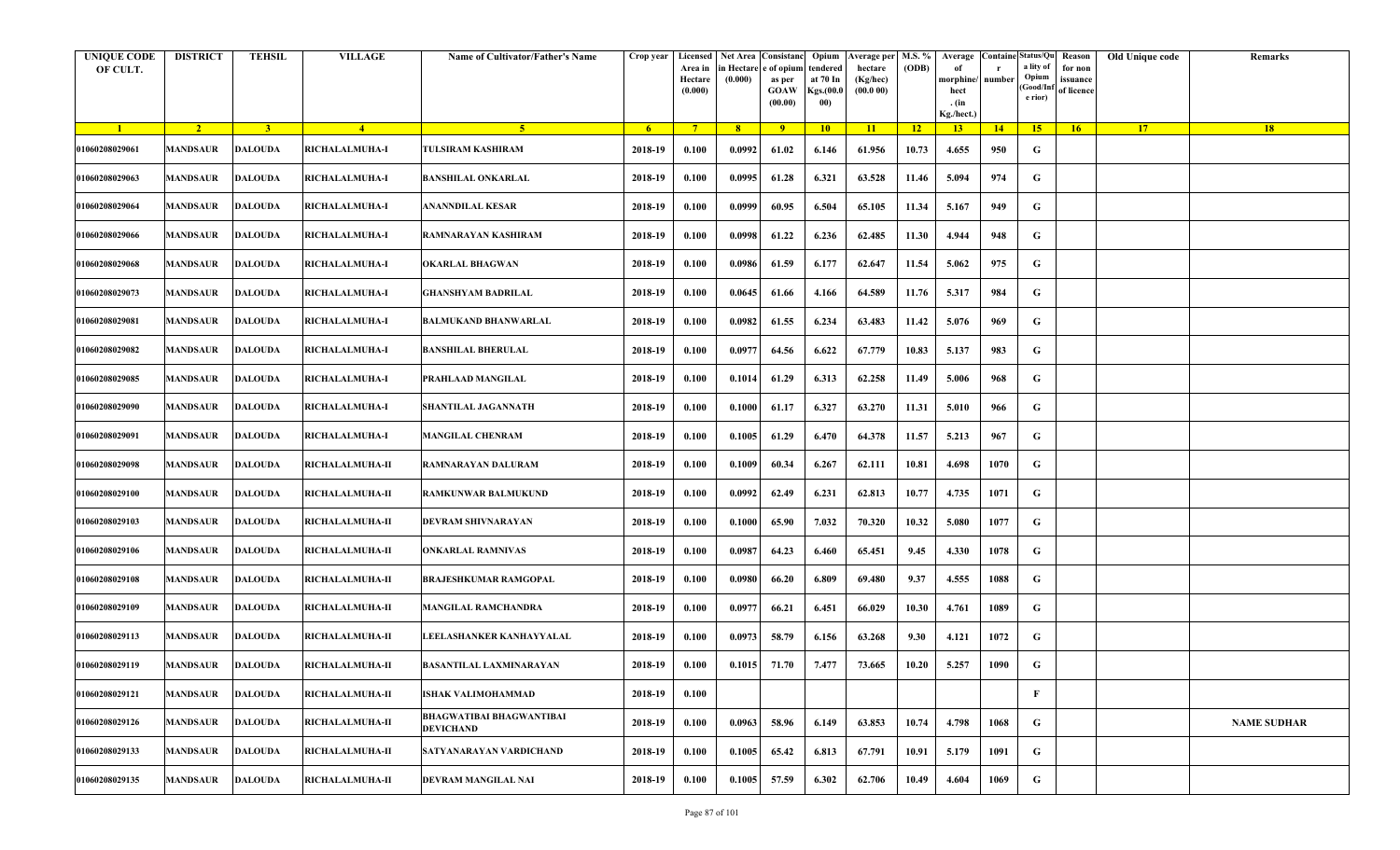| <b>UNIQUE CODE</b><br>OF CULT. | <b>DISTRICT</b> | <b>TEHSIL</b>  | <b>VILLAGE</b>         | Name of Cultivator/Father's Name                    | Crop year      | Area in<br>Hectare<br>(0.000) | Licensed Net Area Consistanc<br>ı Hectar<br>(0.000) | e of opium<br>as per<br><b>GOAW</b><br>(00.00) | Opium<br>tendered<br>at 70 In<br>Kgs.(00.<br>00) | Average per   M.S. %<br>hectare<br>(Kg/hec)<br>(00.000) | (ODB) | Average<br>morphine/<br>hect<br>. (in<br>Kg./hect.) | <b>Containe Status/Qu</b><br>number | a lity of<br>Opium<br>(Good/In:<br>e rior) | Reason<br>for non<br>issuance<br>of licence | Old Unique code | Remarks            |
|--------------------------------|-----------------|----------------|------------------------|-----------------------------------------------------|----------------|-------------------------------|-----------------------------------------------------|------------------------------------------------|--------------------------------------------------|---------------------------------------------------------|-------|-----------------------------------------------------|-------------------------------------|--------------------------------------------|---------------------------------------------|-----------------|--------------------|
| $\blacksquare$ 1               | $\sqrt{2}$      | 3 <sup>7</sup> | $\sqrt{4}$             | -5.                                                 | 6 <sup>6</sup> | $\overline{7}$                | 8 <sup>1</sup>                                      | $-9$                                           | 10                                               | $\vert$ 11                                              | $-12$ | 13                                                  | 14                                  | 15                                         | 16                                          | 17              | 18                 |
| 01060208029061                 | MANDSAUR        | <b>DALOUDA</b> | <b>RICHALALMUHA-I</b>  | TULSIRAM KASHIRAM                                   | 2018-19        | 0.100                         | 0.0992                                              | 61.02                                          | 6.146                                            | 61.956                                                  | 10.73 | 4.655                                               | 950                                 | G                                          |                                             |                 |                    |
| 01060208029063                 | MANDSAUR        | <b>DALOUDA</b> | <b>RICHALALMUHA-I</b>  | <b>BANSHILAL ONKARLAL</b>                           | 2018-19        | 0.100                         | 0.0995                                              | 61.28                                          | 6.321                                            | 63.528                                                  | 11.46 | 5.094                                               | 974                                 | G                                          |                                             |                 |                    |
| 01060208029064                 | <b>MANDSAUR</b> | <b>DALOUDA</b> | <b>RICHALALMUHA-I</b>  | ANANNDILAL KESAR                                    | 2018-19        | 0.100                         | 0.0999                                              | 60.95                                          | 6.504                                            | 65.105                                                  | 11.34 | 5.167                                               | 949                                 | G                                          |                                             |                 |                    |
| 01060208029066                 | <b>MANDSAUR</b> | <b>DALOUDA</b> | RICHALALMUHA-I         | RAMNARAYAN KASHIRAM                                 | 2018-19        | 0.100                         | 0.0998                                              | 61.22                                          | 6.236                                            | 62.485                                                  | 11.30 | 4.944                                               | 948                                 | G                                          |                                             |                 |                    |
| 01060208029068                 | <b>MANDSAUR</b> | <b>DALOUDA</b> | <b>RICHALALMUHA-I</b>  | OKARLAL BHAGWAN                                     | 2018-19        | 0.100                         | 0.0986                                              | 61.59                                          | 6.177                                            | 62.647                                                  | 11.54 | 5.062                                               | 975                                 | G                                          |                                             |                 |                    |
| 01060208029073                 | <b>MANDSAUR</b> | <b>DALOUDA</b> | <b>RICHALALMUHA-I</b>  | GHANSHYAM BADRILAL                                  | 2018-19        | 0.100                         | 0.0645                                              | 61.66                                          | 4.166                                            | 64.589                                                  | 11.76 | 5.317                                               | 984                                 | G                                          |                                             |                 |                    |
| 01060208029081                 | MANDSAUR        | <b>DALOUDA</b> | RICHALALMUHA-I         | <b>BALMUKAND BHANWARLAL</b>                         | 2018-19        | 0.100                         | 0.0982                                              | 61.55                                          | 6.234                                            | 63.483                                                  | 11.42 | 5.076                                               | 969                                 | G                                          |                                             |                 |                    |
| 01060208029082                 | MANDSAUR        | <b>DALOUDA</b> | RICHALALMUHA-I         | <b>BANSHILAL BHERULAL</b>                           | 2018-19        | 0.100                         | 0.0977                                              | 64.56                                          | 6.622                                            | 67.779                                                  | 10.83 | 5.137                                               | 983                                 | G                                          |                                             |                 |                    |
| 01060208029085                 | <b>MANDSAUR</b> | <b>DALOUDA</b> | RICHALALMUHA-I         | PRAHLAAD MANGILAL                                   | 2018-19        | 0.100                         | 0.1014                                              | 61.29                                          | 6.313                                            | 62.258                                                  | 11.49 | 5.006                                               | 968                                 | G                                          |                                             |                 |                    |
| 01060208029090                 | <b>MANDSAUR</b> | <b>DALOUDA</b> | <b>RICHALALMUHA-I</b>  | SHANTILAL JAGANNATH                                 | 2018-19        | 0.100                         | 0.1000                                              | 61.17                                          | 6.327                                            | 63.270                                                  | 11.31 | 5.010                                               | 966                                 | G                                          |                                             |                 |                    |
| 01060208029091                 | MANDSAUR        | <b>DALOUDA</b> | RICHALALMUHA-I         | <b>MANGILAL CHENRAM</b>                             | 2018-19        | 0.100                         | 0.1005                                              | 61.29                                          | 6.470                                            | 64.378                                                  | 11.57 | 5.213                                               | 967                                 | G                                          |                                             |                 |                    |
| 01060208029098                 | MANDSAUR        | <b>DALOUDA</b> | RICHALALMUHA-II        | RAMNARAYAN DALURAM                                  | 2018-19        | 0.100                         | 0.1009                                              | 60.34                                          | 6.267                                            | 62.111                                                  | 10.81 | 4.698                                               | 1070                                | G                                          |                                             |                 |                    |
| 01060208029100                 | <b>MANDSAUR</b> | <b>DALOUDA</b> | RICHALALMUHA-II        | RAMKUNWAR BALMUKUND                                 | 2018-19        | 0.100                         | 0.0992                                              | 62.49                                          | 6.231                                            | 62.813                                                  | 10.77 | 4.735                                               | 1071                                | G                                          |                                             |                 |                    |
| 01060208029103                 | MANDSAUR        | <b>DALOUDA</b> | RICHALALMUHA-II        | DEVRAM SHIVNARAYAN                                  | 2018-19        | 0.100                         | 0.1000                                              | 65.90                                          | 7.032                                            | 70.320                                                  | 10.32 | 5.080                                               | 1077                                | G                                          |                                             |                 |                    |
| 01060208029106                 | MANDSAUR        | <b>DALOUDA</b> | RICHALALMUHA-II        | <b>ONKARLAL RAMNIVAS</b>                            | 2018-19        | 0.100                         | 0.0987                                              | 64.23                                          | 6.460                                            | 65.451                                                  | 9.45  | 4.330                                               | 1078                                | G                                          |                                             |                 |                    |
| 01060208029108                 | <b>MANDSAUR</b> | <b>DALOUDA</b> | RICHALALMUHA-II        | <b>BRAJESHKUMAR RAMGOPAL</b>                        | 2018-19        | 0.100                         | 0.0980                                              | 66.20                                          | 6.809                                            | 69.480                                                  | 9.37  | 4.555                                               | 1088                                | G                                          |                                             |                 |                    |
| 01060208029109                 | MANDSAUR        | <b>DALOUDA</b> | RICHALALMUHA-II        | <b>MANGILAL RAMCHANDRA</b>                          | 2018-19        | 0.100                         | 0.0977                                              | 66.21                                          | 6.451                                            | 66.029                                                  | 10.30 | 4.761                                               | 1089                                | G                                          |                                             |                 |                    |
| 01060208029113                 | MANDSAUR        | <b>DALOUDA</b> | RICHALALMUHA-II        | LEELASHANKER KANHAYYALAL                            | 2018-19        | 0.100                         | 0.0973                                              | 58.79                                          | 6.156                                            | 63.268                                                  | 9.30  | 4.121                                               | 1072                                | G                                          |                                             |                 |                    |
| 01060208029119                 | <b>MANDSAUR</b> | <b>DALOUDA</b> | <b>RICHALALMUHA-II</b> | <b>BASANTILAL LAXMINARAYAN</b>                      | 2018-19        | 0.100                         |                                                     | $0.1015$ 71.70                                 | 7.477                                            | 73.665                                                  | 10.20 | 5.257                                               | 1090                                | G                                          |                                             |                 |                    |
| 01060208029121                 | <b>MANDSAUR</b> | <b>DALOUDA</b> | <b>RICHALALMUHA-II</b> | ISHAK VALIMOHAMMAD                                  | 2018-19        | 0.100                         |                                                     |                                                |                                                  |                                                         |       |                                                     |                                     | F                                          |                                             |                 |                    |
| 01060208029126                 | <b>MANDSAUR</b> | <b>DALOUDA</b> | RICHALALMUHA-II        | <b>BHAGWATIBAI BHAGWANTIBAI</b><br><b>DEVICHAND</b> | 2018-19        | 0.100                         | 0.0963                                              | 58.96                                          | 6.149                                            | 63.853                                                  | 10.74 | 4.798                                               | 1068                                | G                                          |                                             |                 | <b>NAME SUDHAR</b> |
| 01060208029133                 | MANDSAUR        | <b>DALOUDA</b> | RICHALALMUHA-II        | SATYANARAYAN VARDICHAND                             | 2018-19        | 0.100                         | 0.1005                                              | 65.42                                          | 6.813                                            | 67.791                                                  | 10.91 | 5.179                                               | 1091                                | G                                          |                                             |                 |                    |
| 01060208029135                 | <b>MANDSAUR</b> | <b>DALOUDA</b> | RICHALALMUHA-II        | DEVRAM MANGILAL NAI                                 | 2018-19        | 0.100                         | 0.1005                                              | 57.59                                          | 6.302                                            | 62.706                                                  | 10.49 | 4.604                                               | 1069                                | G                                          |                                             |                 |                    |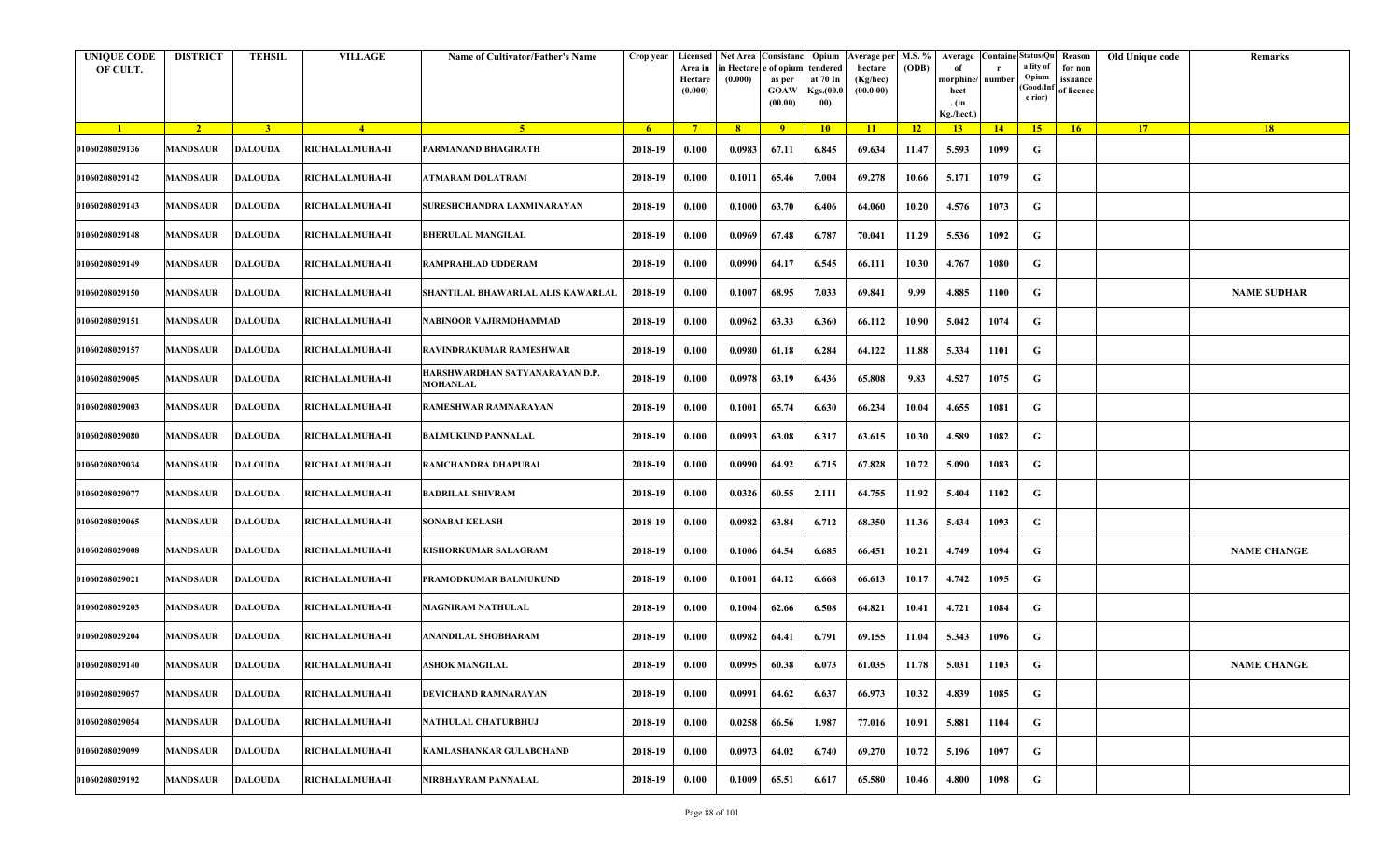| <b>UNIQUE CODE</b><br>OF CULT. | <b>DISTRICT</b> | <b>TEHSIL</b>  | <b>VILLAGE</b>         | Name of Cultivator/Father's Name                  | Crop year      | Area in<br>Hectare<br>(0.000) | in Hectare<br>(0.000) | Licensed Net Area Consistanc Opium<br>e of opium<br>as per<br><b>GOAW</b><br>(00.00) | endered<br>at 70 In<br>Kgs.(00.0<br>00) | Average per M.S. %<br>hectare<br>(Kg/hec)<br>(00.000) | (ODB)           | Average<br>morphine/<br>hect<br>. $(in$<br>Kg./hect.) | number | Containe Status/Qu<br>a lity of<br>Opium<br>Good/Inf<br>e rior) | Reason<br>for non<br>issuance<br>of licence | Old Unique code | Remarks            |
|--------------------------------|-----------------|----------------|------------------------|---------------------------------------------------|----------------|-------------------------------|-----------------------|--------------------------------------------------------------------------------------|-----------------------------------------|-------------------------------------------------------|-----------------|-------------------------------------------------------|--------|-----------------------------------------------------------------|---------------------------------------------|-----------------|--------------------|
| $\blacksquare$                 | $\sqrt{2}$      | 3 <sup>l</sup> | $\sqrt{4}$             | -5.                                               | 6 <sup>6</sup> | $7^{\circ}$                   | 8 <sup>1</sup>        | 9                                                                                    | 10                                      | $\vert$ 11                                            | $\overline{12}$ | 13                                                    | 14     | 15                                                              | 16                                          | 17              | 18                 |
| 01060208029136                 | <b>MANDSAUR</b> | <b>DALOUDA</b> | RICHALALMUHA-II        | PARMANAND BHAGIRATH                               | 2018-19        | 0.100                         | 0.0983                | 67.11                                                                                | 6.845                                   | 69.634                                                | 11.47           | 5.593                                                 | 1099   | G                                                               |                                             |                 |                    |
| 01060208029142                 | <b>MANDSAUR</b> | DALOUDA        | <b>RICHALALMUHA-II</b> | ATMARAM DOLATRAM                                  | 2018-19        | 0.100                         | 0.1011                | 65.46                                                                                | 7.004                                   | 69.278                                                | 10.66           | 5.171                                                 | 1079   | G                                                               |                                             |                 |                    |
| 01060208029143                 | <b>MANDSAUR</b> | <b>DALOUDA</b> | RICHALALMUHA-II        | SURESHCHANDRA LAXMINARAYAN                        | 2018-19        | 0.100                         | 0.1000                | 63.70                                                                                | 6.406                                   | 64.060                                                | 10.20           | 4.576                                                 | 1073   | G                                                               |                                             |                 |                    |
| 01060208029148                 | <b>MANDSAUR</b> | <b>DALOUDA</b> | RICHALALMUHA-II        | <b>BHERULAL MANGILAL</b>                          | 2018-19        | 0.100                         | 0.0969                | 67.48                                                                                | 6.787                                   | 70.041                                                | 11.29           | 5.536                                                 | 1092   | G                                                               |                                             |                 |                    |
| 01060208029149                 | <b>MANDSAUR</b> | <b>DALOUDA</b> | RICHALALMUHA-II        | RAMPRAHLAD UDDERAM                                | 2018-19        | 0.100                         | 0.0990                | 64.17                                                                                | 6.545                                   | 66.111                                                | 10.30           | 4.767                                                 | 1080   | G                                                               |                                             |                 |                    |
| 01060208029150                 | <b>MANDSAUR</b> | DALOUDA        | RICHALALMUHA-II        | SHANTILAL BHAWARLAL ALIS KAWARLAL                 | 2018-19        | 0.100                         | 0.1007                | 68.95                                                                                | 7.033                                   | 69.841                                                | 9.99            | 4.885                                                 | 1100   | G                                                               |                                             |                 | <b>NAME SUDHAR</b> |
| 01060208029151                 | <b>MANDSAUR</b> | <b>DALOUDA</b> | <b>RICHALALMUHA-II</b> | NABINOOR VAJIRMOHAMMAD                            | 2018-19        | 0.100                         | 0.0962                | 63.33                                                                                | 6.360                                   | 66.112                                                | 10.90           | 5.042                                                 | 1074   | G                                                               |                                             |                 |                    |
| 01060208029157                 | <b>MANDSAUR</b> | <b>DALOUDA</b> | RICHALALMUHA-II        | RAVINDRAKUMAR RAMESHWAR                           | 2018-19        | 0.100                         | 0.0980                | 61.18                                                                                | 6.284                                   | 64.122                                                | 11.88           | 5.334                                                 | 1101   | G                                                               |                                             |                 |                    |
| 01060208029005                 | <b>MANDSAUR</b> | <b>DALOUDA</b> | RICHALALMUHA-II        | HARSHWARDHAN SATYANARAYAN D.P.<br><b>MOHANLAL</b> | 2018-19        | 0.100                         | 0.0978                | 63.19                                                                                | 6.436                                   | 65.808                                                | 9.83            | 4.527                                                 | 1075   | G                                                               |                                             |                 |                    |
| 01060208029003                 | MANDSAUR        | DALOUDA        | <b>RICHALALMUHA-II</b> | RAMESHWAR RAMNARAYAN                              | 2018-19        | 0.100                         | 0.1001                | 65.74                                                                                | 6.630                                   | 66.234                                                | 10.04           | 4.655                                                 | 1081   | G                                                               |                                             |                 |                    |
| 01060208029080                 | <b>MANDSAUR</b> | DALOUDA        | RICHALALMUHA-II        | <b>BALMUKUND PANNALAL</b>                         | 2018-19        | 0.100                         | 0.0993                | 63.08                                                                                | 6.317                                   | 63.615                                                | 10.30           | 4.589                                                 | 1082   | G                                                               |                                             |                 |                    |
| 01060208029034                 | <b>MANDSAUR</b> | <b>DALOUDA</b> | <b>RICHALALMUHA-II</b> | RAMCHANDRA DHAPUBAI                               | 2018-19        | 0.100                         | 0.0990                | 64.92                                                                                | 6.715                                   | 67.828                                                | 10.72           | 5.090                                                 | 1083   | G                                                               |                                             |                 |                    |
| 01060208029077                 | <b>MANDSAUR</b> | <b>DALOUDA</b> | <b>RICHALALMUHA-II</b> | <b>BADRILAL SHIVRAM</b>                           | 2018-19        | 0.100                         | 0.0326                | 60.55                                                                                | 2.111                                   | 64.755                                                | 11.92           | 5.404                                                 | 1102   | G                                                               |                                             |                 |                    |
| 01060208029065                 | <b>MANDSAUR</b> | <b>DALOUDA</b> | RICHALALMUHA-II        | <b>SONABAI KELASH</b>                             | 2018-19        | 0.100                         | 0.0982                | 63.84                                                                                | 6.712                                   | 68.350                                                | 11.36           | 5.434                                                 | 1093   | G                                                               |                                             |                 |                    |
| 01060208029008                 | <b>MANDSAUR</b> | <b>DALOUDA</b> | RICHALALMUHA-II        | KISHORKUMAR SALAGRAM                              | 2018-19        | 0.100                         | 0.1006                | 64.54                                                                                | 6.685                                   | 66.451                                                | 10.21           | 4.749                                                 | 1094   | G                                                               |                                             |                 | <b>NAME CHANGE</b> |
| 01060208029021                 | <b>MANDSAUR</b> | <b>DALOUDA</b> | <b>RICHALALMUHA-II</b> | PRAMODKUMAR BALMUKUND                             | 2018-19        | 0.100                         | 0.1001                | 64.12                                                                                | 6.668                                   | 66.613                                                | 10.17           | 4.742                                                 | 1095   | G                                                               |                                             |                 |                    |
| 01060208029203                 | <b>MANDSAUR</b> | <b>DALOUDA</b> | RICHALALMUHA-II        | <b>MAGNIRAM NATHULAL</b>                          | 2018-19        | 0.100                         | 0.1004                | 62.66                                                                                | 6.508                                   | 64.821                                                | 10.41           | 4.721                                                 | 1084   | G                                                               |                                             |                 |                    |
| 01060208029204                 | <b>MANDSAUR</b> | <b>DALOUDA</b> | <b>RICHALALMUHA-II</b> | <b>ANANDILAL SHOBHARAM</b>                        | 2018-19        | 0.100                         | 0.0982                | 64.41                                                                                | 6.791                                   | 69.155                                                | 11.04           | 5.343                                                 | 1096   | G                                                               |                                             |                 |                    |
| 01060208029140                 | <b>MANDSAUR</b> | <b>DALOUDA</b> | <b>RICHALALMUHA-II</b> | ASHOK MANGILAL                                    | 2018-19        | 0.100                         | 0.0995                | 60.38                                                                                | 6.073                                   | 61.035                                                | 11.78           | 5.031                                                 | 1103   | G                                                               |                                             |                 | <b>NAME CHANGE</b> |
| 01060208029057                 | <b>MANDSAUR</b> | DALOUDA        | RICHALALMUHA-II        | <b>DEVICHAND RAMNARAYAN</b>                       | 2018-19        | 0.100                         | 0.0991                | 64.62                                                                                | 6.637                                   | 66.973                                                | 10.32           | 4.839                                                 | 1085   | G                                                               |                                             |                 |                    |
| 01060208029054                 | <b>MANDSAUR</b> | <b>DALOUDA</b> | RICHALALMUHA-II        | NATHULAL CHATURBHUJ                               | 2018-19        | 0.100                         | 0.0258                | 66.56                                                                                | 1.987                                   | 77.016                                                | 10.91           | 5.881                                                 | 1104   | G                                                               |                                             |                 |                    |
| 01060208029099                 | <b>MANDSAUR</b> | <b>DALOUDA</b> | RICHALALMUHA-II        | KAMLASHANKAR GULABCHAND                           | 2018-19        | 0.100                         | 0.0973                | 64.02                                                                                | 6.740                                   | 69.270                                                | 10.72           | 5.196                                                 | 1097   | G                                                               |                                             |                 |                    |
| 01060208029192                 | <b>MANDSAUR</b> | <b>DALOUDA</b> | <b>RICHALALMUHA-II</b> | NIRBHAYRAM PANNALAL                               | 2018-19        | 0.100                         | 0.1009                | 65.51                                                                                | 6.617                                   | 65.580                                                | 10.46           | 4.800                                                 | 1098   | G                                                               |                                             |                 |                    |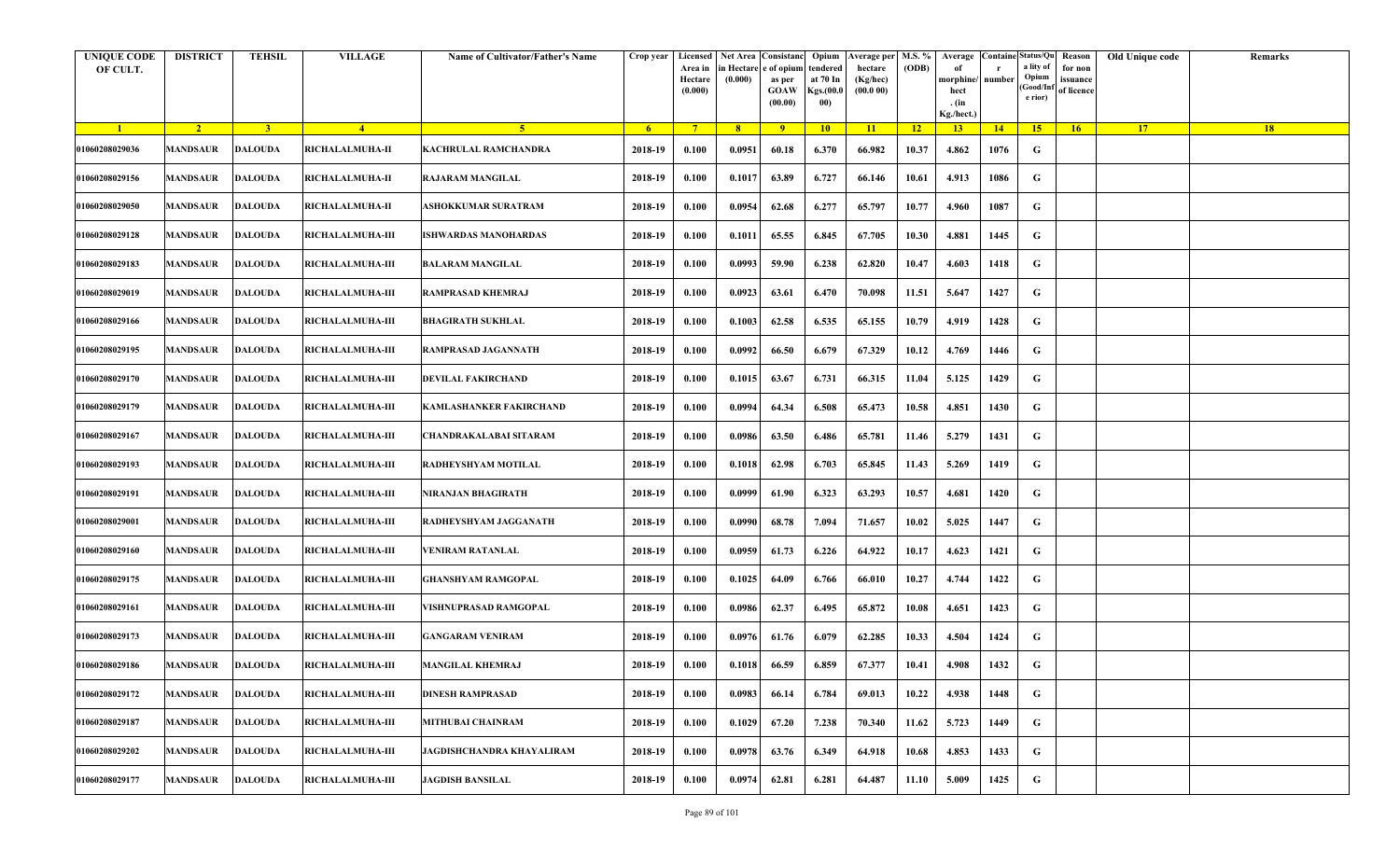| <b>UNIQUE CODE</b><br>OF CULT. | <b>DISTRICT</b> | <b>TEHSIL</b>  | <b>VILLAGE</b>          | Name of Cultivator/Father's Name | Crop year      | Area in<br>Hectare<br>(0.000) | Licensed   Net Area Consistanc<br>ı Hectar<br>(0.000) | e of opium<br>as per<br><b>GOAW</b><br>(00.00) | Opium<br>tendered<br>at 70 In<br>Kgs.(00.<br>00) | Average per   M.S. %<br>hectare<br>(Kg/hec)<br>(00.000) | (ODB) | Average<br>morphine/<br>hect<br>. (in<br>Kg./hect.) | <b>Containe Status/Qu</b><br>number | a lity of<br>Opium<br>(Good/In:<br>e rior) | Reason<br>for non<br>issuance<br>of licence | Old Unique code | Remarks |
|--------------------------------|-----------------|----------------|-------------------------|----------------------------------|----------------|-------------------------------|-------------------------------------------------------|------------------------------------------------|--------------------------------------------------|---------------------------------------------------------|-------|-----------------------------------------------------|-------------------------------------|--------------------------------------------|---------------------------------------------|-----------------|---------|
| $\blacksquare$ 1               | $\sqrt{2}$      | 3 <sup>7</sup> | $\sqrt{4}$              | -5.                              | 6 <sup>6</sup> | $\overline{7}$                | 8 <sup>1</sup>                                        | $-9$                                           | 10                                               | $\vert$ 11                                              | $-12$ | 13                                                  | 14                                  | 15                                         | 16                                          | 17              | 18      |
| 01060208029036                 | <b>MANDSAUR</b> | <b>DALOUDA</b> | RICHALALMUHA-II         | KACHRULAL RAMCHANDRA             | 2018-19        | 0.100                         | 0.0951                                                | 60.18                                          | 6.370                                            | 66.982                                                  | 10.37 | 4.862                                               | 1076                                | G                                          |                                             |                 |         |
| 01060208029156                 | MANDSAUR        | <b>DALOUDA</b> | RICHALALMUHA-II         | <b>RAJARAM MANGILAL</b>          | 2018-19        | 0.100                         | 0.1017                                                | 63.89                                          | 6.727                                            | 66.146                                                  | 10.61 | 4.913                                               | 1086                                | G                                          |                                             |                 |         |
| 01060208029050                 | <b>MANDSAUR</b> | <b>DALOUDA</b> | <b>RICHALALMUHA-II</b>  | ASHOKKUMAR SURATRAM              | 2018-19        | 0.100                         | 0.0954                                                | 62.68                                          | 6.277                                            | 65.797                                                  | 10.77 | 4.960                                               | 1087                                | G                                          |                                             |                 |         |
| 01060208029128                 | <b>MANDSAUR</b> | <b>DALOUDA</b> | <b>RICHALALMUHA-III</b> | <b>ISHWARDAS MANOHARDAS</b>      | 2018-19        | 0.100                         | 0.1011                                                | 65.55                                          | 6.845                                            | 67.705                                                  | 10.30 | 4.881                                               | 1445                                | G                                          |                                             |                 |         |
| 01060208029183                 | <b>MANDSAUR</b> | <b>DALOUDA</b> | <b>RICHALALMUHA-III</b> | <b>BALARAM MANGILAL</b>          | 2018-19        | 0.100                         | 0.0993                                                | 59.90                                          | 6.238                                            | 62.820                                                  | 10.47 | 4.603                                               | 1418                                | G                                          |                                             |                 |         |
| 01060208029019                 | <b>MANDSAUR</b> | <b>DALOUDA</b> | RICHALALMUHA-III        | RAMPRASAD KHEMRAJ                | 2018-19        | 0.100                         | 0.0923                                                | 63.61                                          | 6.470                                            | 70.098                                                  | 11.51 | 5.647                                               | 1427                                | G                                          |                                             |                 |         |
| 01060208029166                 | MANDSAUR        | <b>DALOUDA</b> | <b>RICHALALMUHA-III</b> | <b>BHAGIRATH SUKHLAL</b>         | 2018-19        | 0.100                         | 0.1003                                                | 62.58                                          | 6.535                                            | 65.155                                                  | 10.79 | 4.919                                               | 1428                                | G                                          |                                             |                 |         |
| 01060208029195                 | MANDSAUR        | <b>DALOUDA</b> | RICHALALMUHA-III        | RAMPRASAD JAGANNATH              | 2018-19        | 0.100                         | 0.0992                                                | 66.50                                          | 6.679                                            | 67.329                                                  | 10.12 | 4.769                                               | 1446                                | G                                          |                                             |                 |         |
| 01060208029170                 | <b>MANDSAUR</b> | <b>DALOUDA</b> | <b>RICHALALMUHA-III</b> | <b>DEVILAL FAKIRCHAND</b>        | 2018-19        | 0.100                         | 0.1015                                                | 63.67                                          | 6.731                                            | 66.315                                                  | 11.04 | 5.125                                               | 1429                                | G                                          |                                             |                 |         |
| 01060208029179                 | <b>MANDSAUR</b> | <b>DALOUDA</b> | <b>RICHALALMUHA-III</b> | KAMLASHANKER FAKIRCHAND          | 2018-19        | 0.100                         | 0.0994                                                | 64.34                                          | 6.508                                            | 65.473                                                  | 10.58 | 4.851                                               | 1430                                | G                                          |                                             |                 |         |
| 01060208029167                 | MANDSAUR        | <b>DALOUDA</b> | RICHALALMUHA-III        | CHANDRAKALABAI SITARAM           | 2018-19        | 0.100                         | 0.0986                                                | 63.50                                          | 6.486                                            | 65.781                                                  | 11.46 | 5.279                                               | 1431                                | G                                          |                                             |                 |         |
| 01060208029193                 | <b>MANDSAUR</b> | <b>DALOUDA</b> | <b>RICHALALMUHA-III</b> | RADHEYSHYAM MOTILAL              | 2018-19        | 0.100                         | 0.1018                                                | 62.98                                          | 6.703                                            | 65.845                                                  | 11.43 | 5.269                                               | 1419                                | G                                          |                                             |                 |         |
| 01060208029191                 | <b>MANDSAUR</b> | <b>DALOUDA</b> | <b>RICHALALMUHA-III</b> | NIRANJAN BHAGIRATH               | 2018-19        | 0.100                         | 0.0999                                                | 61.90                                          | 6.323                                            | 63.293                                                  | 10.57 | 4.681                                               | 1420                                | G                                          |                                             |                 |         |
| 01060208029001                 | MANDSAUR        | <b>DALOUDA</b> | <b>RICHALALMUHA-III</b> | RADHEYSHYAM JAGGANATH            | 2018-19        | 0.100                         | 0.0990                                                | 68.78                                          | 7.094                                            | 71.657                                                  | 10.02 | 5.025                                               | 1447                                | G                                          |                                             |                 |         |
| 01060208029160                 | MANDSAUR        | <b>DALOUDA</b> | RICHALALMUHA-III        | VENIRAM RATANLAL                 | 2018-19        | 0.100                         | 0.0959                                                | 61.73                                          | 6.226                                            | 64.922                                                  | 10.17 | 4.623                                               | 1421                                | G                                          |                                             |                 |         |
| 01060208029175                 | <b>MANDSAUR</b> | <b>DALOUDA</b> | <b>RICHALALMUHA-III</b> | <b>GHANSHYAM RAMGOPAL</b>        | 2018-19        | 0.100                         | 0.1025                                                | 64.09                                          | 6.766                                            | 66.010                                                  | 10.27 | 4.744                                               | 1422                                | G                                          |                                             |                 |         |
| 01060208029161                 | MANDSAUR        | <b>DALOUDA</b> | <b>RICHALALMUHA-III</b> | VISHNUPRASAD RAMGOPAL            | 2018-19        | 0.100                         | 0.0986                                                | 62.37                                          | 6.495                                            | 65.872                                                  | 10.08 | 4.651                                               | 1423                                | G                                          |                                             |                 |         |
| 01060208029173                 | MANDSAUR        | <b>DALOUDA</b> | <b>RICHALALMUHA-III</b> | <b>GANGARAM VENIRAM</b>          | 2018-19        | 0.100                         | 0.0976                                                | 61.76                                          | 6.079                                            | 62.285                                                  | 10.33 | 4.504                                               | 1424                                | G                                          |                                             |                 |         |
| 01060208029186                 | MANDSAUR        | <b>DALOUDA</b> | <b>RICHALALMUHA-III</b> | <b>MANGILAL KHEMRAJ</b>          | 2018-19        | 0.100                         | 0.1018                                                | 66.59                                          | 6.859                                            | 67.377                                                  | 10.41 | 4.908                                               | 1432                                | G                                          |                                             |                 |         |
| 01060208029172                 | <b>MANDSAUR</b> | <b>DALOUDA</b> | <b>RICHALALMUHA-III</b> | <b>DINESH RAMPRASAD</b>          | 2018-19        | 0.100                         | 0.0983                                                | 66.14                                          | 6.784                                            | 69.013                                                  | 10.22 | 4.938                                               | 1448                                | G                                          |                                             |                 |         |
| 01060208029187                 | <b>MANDSAUR</b> | <b>DALOUDA</b> | <b>RICHALALMUHA-III</b> | <b>MITHUBAI CHAINRAM</b>         | 2018-19        | 0.100                         | 0.1029                                                | 67.20                                          | 7.238                                            | 70.340                                                  | 11.62 | 5.723                                               | 1449                                | G                                          |                                             |                 |         |
| 01060208029202                 | <b>MANDSAUR</b> | <b>DALOUDA</b> | <b>RICHALALMUHA-III</b> | JAGDISHCHANDRA KHAYALIRAM        | 2018-19        | 0.100                         | 0.0978                                                | 63.76                                          | 6.349                                            | 64.918                                                  | 10.68 | 4.853                                               | 1433                                | G                                          |                                             |                 |         |
| 01060208029177                 | <b>MANDSAUR</b> | <b>DALOUDA</b> | RICHALALMUHA-III        | <b>JAGDISH BANSILAL</b>          | 2018-19        | 0.100                         | 0.0974                                                | 62.81                                          | 6.281                                            | 64.487                                                  | 11.10 | 5.009                                               | 1425                                | G                                          |                                             |                 |         |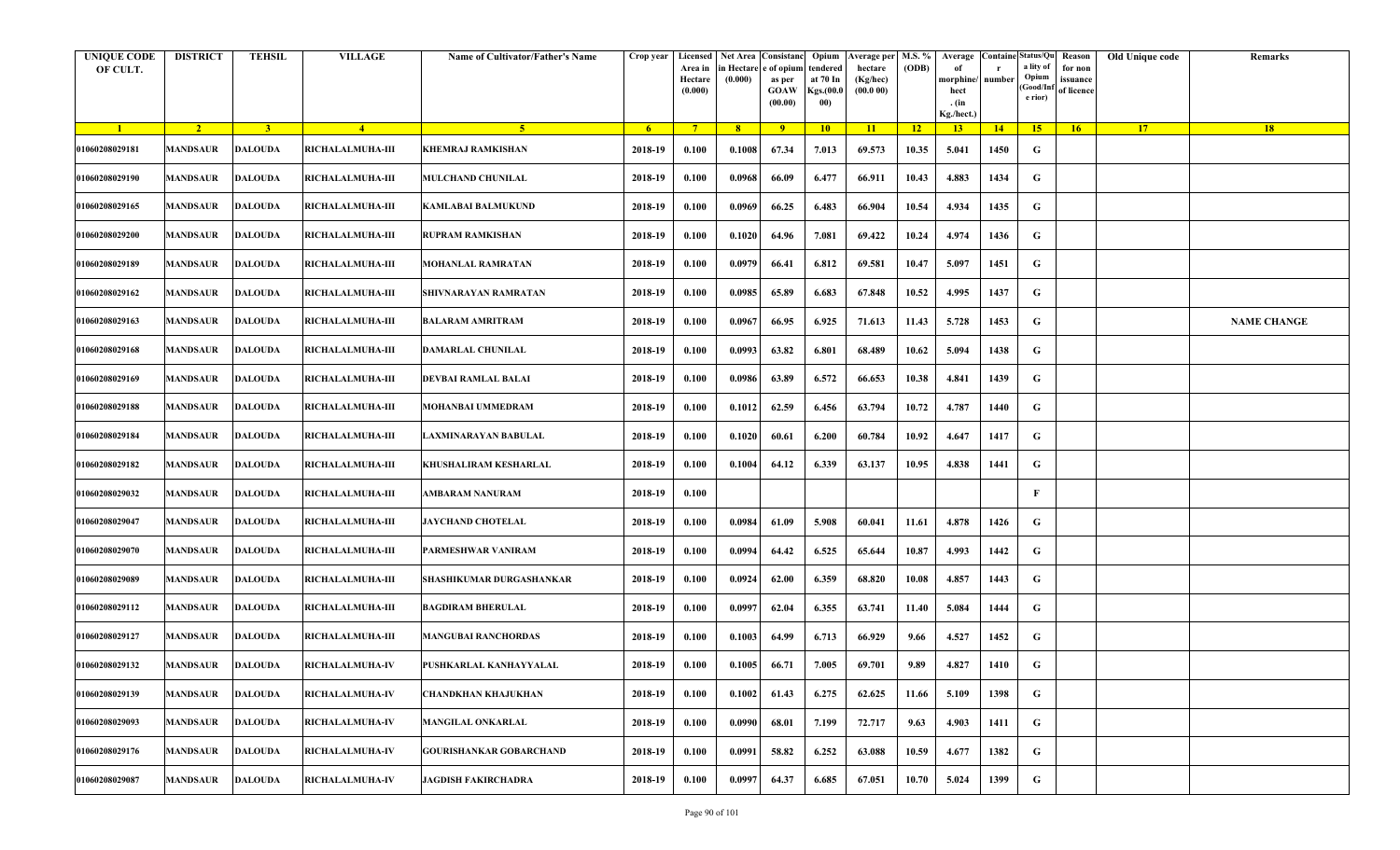| <b>UNIQUE CODE</b><br>OF CULT. | <b>DISTRICT</b> | <b>TEHSIL</b>  | <b>VILLAGE</b>          | <b>Name of Cultivator/Father's Name</b> | Crop year      | Area in<br>Hectare<br>(0.000) | in Hectare<br>(0.000) | Licensed Net Area Consistanc Opium<br>e of opium<br>as per<br><b>GOAW</b><br>(00.00) | tendered<br>at 70 In<br><b>Kgs.</b> (00.0)<br>00) | Average per M.S. %<br>hectare<br>(Kg/hec)<br>(00.000) | (ODB)           | Average Containe Status/Qu<br>morphine/<br>hect<br>. $(in$<br>Kg./hect.) | number | a lity of<br>Opium<br>Good/Inf<br>e rior) | Reason<br>for non<br>issuance<br>of licence | Old Unique code | Remarks            |
|--------------------------------|-----------------|----------------|-------------------------|-----------------------------------------|----------------|-------------------------------|-----------------------|--------------------------------------------------------------------------------------|---------------------------------------------------|-------------------------------------------------------|-----------------|--------------------------------------------------------------------------|--------|-------------------------------------------|---------------------------------------------|-----------------|--------------------|
| $\blacksquare$                 | $\sqrt{2}$      | 3 <sup>l</sup> | $\sqrt{4}$              | -5.                                     | 6 <sup>6</sup> | $-7$                          | 8 <sup>1</sup>        | $-9$                                                                                 | 10                                                | $\vert$ 11                                            | $\overline{12}$ | 13                                                                       | 14     | 15                                        | 16                                          | 17              | 18                 |
| 01060208029181                 | <b>MANDSAUR</b> | DALOUDA        | RICHALALMUHA-III        | KHEMRAJ RAMKISHAN                       | 2018-19        | 0.100                         | 0.1008                | 67.34                                                                                | 7.013                                             | 69.573                                                | 10.35           | 5.041                                                                    | 1450   | G                                         |                                             |                 |                    |
| 01060208029190                 | <b>MANDSAUR</b> | DALOUDA        | <b>RICHALALMUHA-III</b> | <b>MULCHAND CHUNILAL</b>                | 2018-19        | 0.100                         | 0.0968                | 66.09                                                                                | 6.477                                             | 66.911                                                | 10.43           | 4.883                                                                    | 1434   | G                                         |                                             |                 |                    |
| 01060208029165                 | <b>MANDSAUR</b> | <b>DALOUDA</b> | <b>RICHALALMUHA-III</b> | <b>KAMLABAI BALMUKUND</b>               | 2018-19        | 0.100                         | 0.0969                | 66.25                                                                                | 6.483                                             | 66.904                                                | 10.54           | 4.934                                                                    | 1435   | G                                         |                                             |                 |                    |
| 01060208029200                 | <b>MANDSAUR</b> | <b>DALOUDA</b> | RICHALALMUHA-III        | <b>RUPRAM RAMKISHAN</b>                 | 2018-19        | 0.100                         | 0.1020                | 64.96                                                                                | 7.081                                             | 69.422                                                | 10.24           | 4.974                                                                    | 1436   | G                                         |                                             |                 |                    |
| 01060208029189                 | <b>MANDSAUR</b> | <b>DALOUDA</b> | <b>RICHALALMUHA-III</b> | <b>MOHANLAL RAMRATAN</b>                | 2018-19        | 0.100                         | 0.0979                | 66.41                                                                                | 6.812                                             | 69.581                                                | 10.47           | 5.097                                                                    | 1451   | G                                         |                                             |                 |                    |
| 01060208029162                 | <b>MANDSAUR</b> | <b>DALOUDA</b> | RICHALALMUHA-III        | SHIVNARAYAN RAMRATAN                    | 2018-19        | 0.100                         | 0.0985                | 65.89                                                                                | 6.683                                             | 67.848                                                | 10.52           | 4.995                                                                    | 1437   | G                                         |                                             |                 |                    |
| 01060208029163                 | <b>MANDSAUR</b> | <b>DALOUDA</b> | <b>RICHALALMUHA-III</b> | <b>BALARAM AMRITRAM</b>                 | 2018-19        | 0.100                         | 0.0967                | 66.95                                                                                | 6.925                                             | 71.613                                                | 11.43           | 5.728                                                                    | 1453   | G                                         |                                             |                 | <b>NAME CHANGE</b> |
| 01060208029168                 | <b>MANDSAUR</b> | <b>DALOUDA</b> | RICHALALMUHA-III        | <b>DAMARLAL CHUNILAL</b>                | 2018-19        | 0.100                         | 0.0993                | 63.82                                                                                | 6.801                                             | 68.489                                                | 10.62           | 5.094                                                                    | 1438   | G                                         |                                             |                 |                    |
| 01060208029169                 | <b>MANDSAUR</b> | <b>DALOUDA</b> | RICHALALMUHA-III        | DEVBAI RAMLAL BALAI                     | 2018-19        | 0.100                         | 0.0986                | 63.89                                                                                | 6.572                                             | 66.653                                                | 10.38           | 4.841                                                                    | 1439   | G                                         |                                             |                 |                    |
| 01060208029188                 | MANDSAUR        | DALOUDA        | <b>RICHALALMUHA-III</b> | MOHANBAI UMMEDRAM                       | 2018-19        | 0.100                         | 0.1012                | 62.59                                                                                | 6.456                                             | 63.794                                                | 10.72           | 4.787                                                                    | 1440   | G                                         |                                             |                 |                    |
| 01060208029184                 | <b>MANDSAUR</b> | <b>DALOUDA</b> | <b>RICHALALMUHA-III</b> | LAXMINARAYAN BABULAL                    | 2018-19        | 0.100                         | 0.1020                | 60.61                                                                                | 6.200                                             | 60.784                                                | 10.92           | 4.647                                                                    | 1417   | G                                         |                                             |                 |                    |
| 01060208029182                 | <b>MANDSAUR</b> | <b>DALOUDA</b> | <b>RICHALALMUHA-III</b> | KHUSHALIRAM KESHARLAL                   | 2018-19        | 0.100                         | 0.1004                | 64.12                                                                                | 6.339                                             | 63.137                                                | 10.95           | 4.838                                                                    | 1441   | G                                         |                                             |                 |                    |
| 01060208029032                 | <b>MANDSAUR</b> | <b>DALOUDA</b> | RICHALALMUHA-III        | AMBARAM NANURAM                         | 2018-19        | 0.100                         |                       |                                                                                      |                                                   |                                                       |                 |                                                                          |        | $\mathbf{F}$                              |                                             |                 |                    |
| 01060208029047                 | <b>MANDSAUR</b> | <b>DALOUDA</b> | <b>RICHALALMUHA-III</b> | <b>JAYCHAND CHOTELAL</b>                | 2018-19        | 0.100                         | 0.0984                | 61.09                                                                                | 5.908                                             | 60.041                                                | 11.61           | 4.878                                                                    | 1426   | G                                         |                                             |                 |                    |
| 01060208029070                 | <b>MANDSAUR</b> | <b>DALOUDA</b> | RICHALALMUHA-III        | PARMESHWAR VANIRAM                      | 2018-19        | 0.100                         | 0.0994                | 64.42                                                                                | 6.525                                             | 65.644                                                | 10.87           | 4.993                                                                    | 1442   | G                                         |                                             |                 |                    |
| 01060208029089                 | <b>MANDSAUR</b> | <b>DALOUDA</b> | <b>RICHALALMUHA-III</b> | SHASHIKUMAR DURGASHANKAR                | 2018-19        | 0.100                         | 0.0924                | 62.00                                                                                | 6.359                                             | 68.820                                                | 10.08           | 4.857                                                                    | 1443   | G                                         |                                             |                 |                    |
| 01060208029112                 | <b>MANDSAUR</b> | <b>DALOUDA</b> | RICHALALMUHA-III        | <b>BAGDIRAM BHERULAL</b>                | 2018-19        | 0.100                         | 0.0997                | 62.04                                                                                | 6.355                                             | 63.741                                                | 11.40           | 5.084                                                                    | 1444   | G                                         |                                             |                 |                    |
| 01060208029127                 | <b>MANDSAUR</b> | <b>DALOUDA</b> | <b>RICHALALMUHA-III</b> | <b>MANGUBAI RANCHORDAS</b>              | 2018-19        | 0.100                         | 0.1003                | 64.99                                                                                | 6.713                                             | 66.929                                                | 9.66            | 4.527                                                                    | 1452   | G                                         |                                             |                 |                    |
| 01060208029132                 | <b>MANDSAUR</b> | <b>DALOUDA</b> | <b>RICHALALMUHA-IV</b>  | PUSHKARLAL KANHAYYALAL                  | 2018-19        | 0.100                         | 0.1005                | 66.71                                                                                | 7.005                                             | 69.701                                                | 9.89            | 4.827                                                                    | 1410   | G                                         |                                             |                 |                    |
| 01060208029139                 | <b>MANDSAUR</b> | DALOUDA        | <b>RICHALALMUHA-IV</b>  | <b>CHANDKHAN KHAJUKHAN</b>              | 2018-19        | 0.100                         | 0.1002                | 61.43                                                                                | 6.275                                             | 62.625                                                | 11.66           | 5.109                                                                    | 1398   | G                                         |                                             |                 |                    |
| 01060208029093                 | <b>MANDSAUR</b> | <b>DALOUDA</b> | <b>RICHALALMUHA-IV</b>  | <b>MANGILAL ONKARLAL</b>                | 2018-19        | 0.100                         | 0.0990                | 68.01                                                                                | 7.199                                             | 72.717                                                | 9.63            | 4.903                                                                    | 1411   | G                                         |                                             |                 |                    |
| 01060208029176                 | <b>MANDSAUR</b> | <b>DALOUDA</b> | <b>RICHALALMUHA-IV</b>  | <b>GOURISHANKAR GOBARCHAND</b>          | 2018-19        | 0.100                         | 0.0991                | 58.82                                                                                | 6.252                                             | 63.088                                                | 10.59           | 4.677                                                                    | 1382   | G                                         |                                             |                 |                    |
| 01060208029087                 | <b>MANDSAUR</b> | <b>DALOUDA</b> | <b>RICHALALMUHA-IV</b>  | <b>JAGDISH FAKIRCHADRA</b>              | 2018-19        | 0.100                         | 0.0997                | 64.37                                                                                | 6.685                                             | 67.051                                                | 10.70           | 5.024                                                                    | 1399   | G                                         |                                             |                 |                    |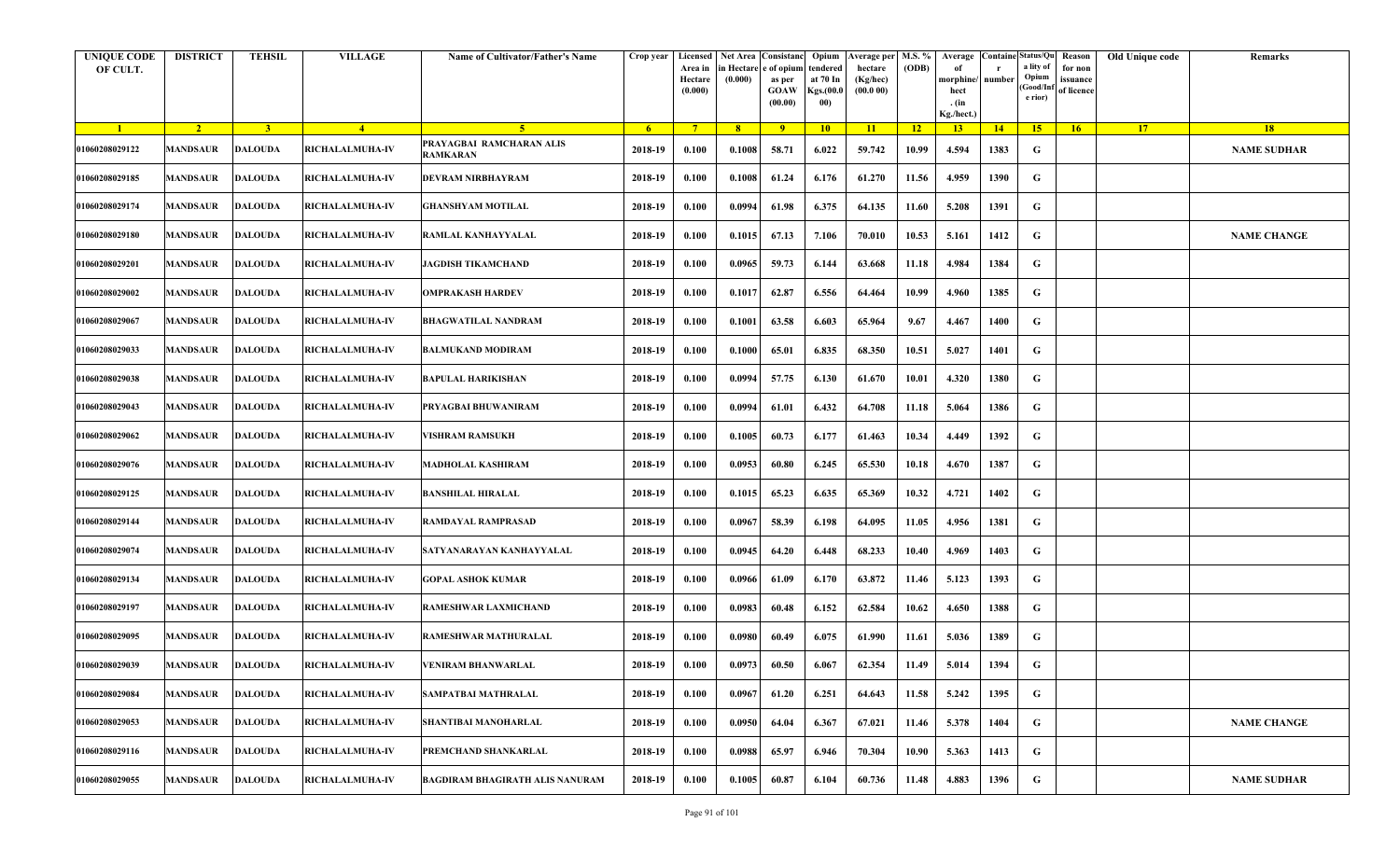| <b>UNIQUE CODE</b><br>OF CULT. | <b>DISTRICT</b> | <b>TEHSIL</b>  | <b>VILLAGE</b>         | <b>Name of Cultivator/Father's Name</b> | Crop year      | Area in<br>Hectare<br>(0.000) | in Hectare<br>(0.000) | Licensed   Net Area   Consistanc   Opium<br>e of opium<br>as per<br><b>GOAW</b><br>(00.00) | :endered<br>at 70 In<br>Kgs.(00.0<br>00) | Average per   M.S. %<br>hectare<br>(Kg/hec)<br>(00.000) | (ODB)           | Average<br>morphine/<br>hect<br>. $(in$<br>Kg./hect.) | Containe Status/Qu<br>number | a lity of<br>Opium<br>Good/Inf<br>e rior) | Reason<br>for non<br>issuance<br>of licence | Old Unique code | Remarks            |
|--------------------------------|-----------------|----------------|------------------------|-----------------------------------------|----------------|-------------------------------|-----------------------|--------------------------------------------------------------------------------------------|------------------------------------------|---------------------------------------------------------|-----------------|-------------------------------------------------------|------------------------------|-------------------------------------------|---------------------------------------------|-----------------|--------------------|
| $\blacksquare$                 | $\sqrt{2}$      | 3 <sup>l</sup> | $\sqrt{4}$             | $\sim$                                  | 6 <sup>6</sup> | $7^{\circ}$                   | 8 <sup>1</sup>        | $-9$                                                                                       | 10                                       | $\vert$ 11                                              | $\overline{12}$ | 13                                                    | 14                           | 15                                        | 16                                          | 17              | 18                 |
| 01060208029122                 | <b>MANDSAUR</b> | <b>DALOUDA</b> | RICHALALMUHA-IV        | PRAYAGBAI RAMCHARAN ALIS<br>RAMKARAN    | 2018-19        | 0.100                         | 0.1008                | 58.71                                                                                      | 6.022                                    | 59.742                                                  | 10.99           | 4.594                                                 | 1383                         | G                                         |                                             |                 | <b>NAME SUDHAR</b> |
| 01060208029185                 | <b>MANDSAUR</b> | DALOUDA        | <b>RICHALALMUHA-IV</b> | DEVRAM NIRBHAYRAM                       | 2018-19        | 0.100                         | 0.1008                | 61.24                                                                                      | 6.176                                    | 61.270                                                  | 11.56           | 4.959                                                 | 1390                         | G                                         |                                             |                 |                    |
| 01060208029174                 | <b>MANDSAUR</b> | <b>DALOUDA</b> | <b>RICHALALMUHA-IV</b> | <b>GHANSHYAM MOTILAL</b>                | 2018-19        | 0.100                         | 0.0994                | 61.98                                                                                      | 6.375                                    | 64.135                                                  | 11.60           | 5.208                                                 | 1391                         | G                                         |                                             |                 |                    |
| 01060208029180                 | <b>MANDSAUR</b> | <b>DALOUDA</b> | <b>RICHALALMUHA-IV</b> | RAMLAL KANHAYYALAL                      | 2018-19        | 0.100                         | 0.1015                | 67.13                                                                                      | 7.106                                    | 70.010                                                  | 10.53           | 5.161                                                 | 1412                         | G                                         |                                             |                 | <b>NAME CHANGE</b> |
| 01060208029201                 | <b>MANDSAUR</b> | <b>DALOUDA</b> | <b>RICHALALMUHA-IV</b> | <b>JAGDISH TIKAMCHAND</b>               | 2018-19        | 0.100                         | 0.0965                | 59.73                                                                                      | 6.144                                    | 63.668                                                  | 11.18           | 4.984                                                 | 1384                         | G                                         |                                             |                 |                    |
| 01060208029002                 | <b>MANDSAUR</b> | <b>DALOUDA</b> | RICHALALMUHA-IV        | OMPRAKASH HARDEV                        | 2018-19        | 0.100                         | 0.1017                | 62.87                                                                                      | 6.556                                    | 64.464                                                  | 10.99           | 4.960                                                 | 1385                         | G                                         |                                             |                 |                    |
| 01060208029067                 | <b>MANDSAUR</b> | <b>DALOUDA</b> | <b>RICHALALMUHA-IV</b> | <b>BHAGWATILAL NANDRAM</b>              | 2018-19        | 0.100                         | 0.1001                | 63.58                                                                                      | 6.603                                    | 65.964                                                  | 9.67            | 4.467                                                 | 1400                         | G                                         |                                             |                 |                    |
| 01060208029033                 | <b>MANDSAUR</b> | <b>DALOUDA</b> | <b>RICHALALMUHA-IV</b> | <b>BALMUKAND MODIRAM</b>                | 2018-19        | 0.100                         | 0.1000                | 65.01                                                                                      | 6.835                                    | 68.350                                                  | 10.51           | 5.027                                                 | 1401                         | G                                         |                                             |                 |                    |
| 01060208029038                 | <b>MANDSAUR</b> | <b>DALOUDA</b> | <b>RICHALALMUHA-IV</b> | <b>BAPULAL HARIKISHAN</b>               | 2018-19        | 0.100                         | 0.0994                | 57.75                                                                                      | 6.130                                    | 61.670                                                  | 10.01           | 4.320                                                 | 1380                         | G                                         |                                             |                 |                    |
| 01060208029043                 | MANDSAUR        | DALOUDA        | <b>RICHALALMUHA-IV</b> | PRYAGBAI BHUWANIRAM                     | 2018-19        | 0.100                         | 0.0994                | 61.01                                                                                      | 6.432                                    | 64.708                                                  | 11.18           | 5.064                                                 | 1386                         | G                                         |                                             |                 |                    |
| 01060208029062                 | <b>MANDSAUR</b> | DALOUDA        | <b>RICHALALMUHA-IV</b> | <b>VISHRAM RAMSUKH</b>                  | 2018-19        | 0.100                         | 0.1005                | 60.73                                                                                      | 6.177                                    | 61.463                                                  | 10.34           | 4.449                                                 | 1392                         | G                                         |                                             |                 |                    |
| 01060208029076                 | <b>MANDSAUR</b> | DALOUDA        | <b>RICHALALMUHA-IV</b> | <b>MADHOLAL KASHIRAM</b>                | 2018-19        | 0.100                         | 0.0953                | 60.80                                                                                      | 6.245                                    | 65.530                                                  | 10.18           | 4.670                                                 | 1387                         | G                                         |                                             |                 |                    |
| 01060208029125                 | <b>MANDSAUR</b> | <b>DALOUDA</b> | <b>RICHALALMUHA-IV</b> | <b>BANSHILAL HIRALAL</b>                | 2018-19        | 0.100                         | 0.1015                | 65.23                                                                                      | 6.635                                    | 65.369                                                  | 10.32           | 4.721                                                 | 1402                         | G                                         |                                             |                 |                    |
| 01060208029144                 | <b>MANDSAUR</b> | <b>DALOUDA</b> | <b>RICHALALMUHA-IV</b> | <b>RAMDAYAL RAMPRASAD</b>               | 2018-19        | 0.100                         | 0.0967                | 58.39                                                                                      | 6.198                                    | 64.095                                                  | 11.05           | 4.956                                                 | 1381                         | G                                         |                                             |                 |                    |
| 01060208029074                 | <b>MANDSAUR</b> | <b>DALOUDA</b> | RICHALALMUHA-IV        | SATYANARAYAN KANHAYYALAL                | 2018-19        | 0.100                         | 0.0945                | 64.20                                                                                      | 6.448                                    | 68.233                                                  | 10.40           | 4.969                                                 | 1403                         | G                                         |                                             |                 |                    |
| 01060208029134                 | <b>MANDSAUR</b> | <b>DALOUDA</b> | <b>RICHALALMUHA-IV</b> | <b>GOPAL ASHOK KUMAR</b>                | 2018-19        | 0.100                         | 0.0966                | 61.09                                                                                      | 6.170                                    | 63.872                                                  | 11.46           | 5.123                                                 | 1393                         | G                                         |                                             |                 |                    |
| 01060208029197                 | <b>MANDSAUR</b> | <b>DALOUDA</b> | RICHALALMUHA-IV        | RAMESHWAR LAXMICHAND                    | 2018-19        | 0.100                         | 0.0983                | 60.48                                                                                      | 6.152                                    | 62.584                                                  | 10.62           | 4.650                                                 | 1388                         | G                                         |                                             |                 |                    |
| 01060208029095                 | <b>MANDSAUR</b> | <b>DALOUDA</b> | <b>RICHALALMUHA-IV</b> | RAMESHWAR MATHURALAL                    | 2018-19        | 0.100                         | 0.0980                | 60.49                                                                                      | 6.075                                    | 61.990                                                  | 11.61           | 5.036                                                 | 1389                         | G                                         |                                             |                 |                    |
| 01060208029039                 | <b>MANDSAUR</b> | <b>DALOUDA</b> | <b>RICHALALMUHA-IV</b> | <b>VENIRAM BHANWARLAL</b>               | 2018-19        | 0.100                         | 0.0973                | 60.50                                                                                      | 6.067                                    | 62.354                                                  | 11.49           | 5.014                                                 | 1394                         | G                                         |                                             |                 |                    |
| 01060208029084                 | <b>MANDSAUR</b> | DALOUDA        | <b>RICHALALMUHA-IV</b> | <b>SAMPATBAI MATHRALAL</b>              | 2018-19        | 0.100                         | 0.0967                | 61.20                                                                                      | 6.251                                    | 64.643                                                  | 11.58           | 5.242                                                 | 1395                         | G                                         |                                             |                 |                    |
| 01060208029053                 | <b>MANDSAUR</b> | DALOUDA        | <b>RICHALALMUHA-IV</b> | <b>SHANTIBAI MANOHARLAL</b>             | 2018-19        | 0.100                         | 0.0950                | 64.04                                                                                      | 6.367                                    | 67.021                                                  | 11.46           | 5.378                                                 | 1404                         | G                                         |                                             |                 | <b>NAME CHANGE</b> |
| 01060208029116                 | <b>MANDSAUR</b> | <b>DALOUDA</b> | <b>RICHALALMUHA-IV</b> | PREMCHAND SHANKARLAL                    | 2018-19        | 0.100                         | 0.0988                | 65.97                                                                                      | 6.946                                    | 70.304                                                  | 10.90           | 5.363                                                 | 1413                         | G                                         |                                             |                 |                    |
| 01060208029055                 | <b>MANDSAUR</b> | <b>DALOUDA</b> | <b>RICHALALMUHA-IV</b> | <b>BAGDIRAM BHAGIRATH ALIS NANURAM</b>  | 2018-19        | 0.100                         | 0.1005                | 60.87                                                                                      | 6.104                                    | 60.736                                                  | 11.48           | 4.883                                                 | 1396                         | G                                         |                                             |                 | <b>NAME SUDHAR</b> |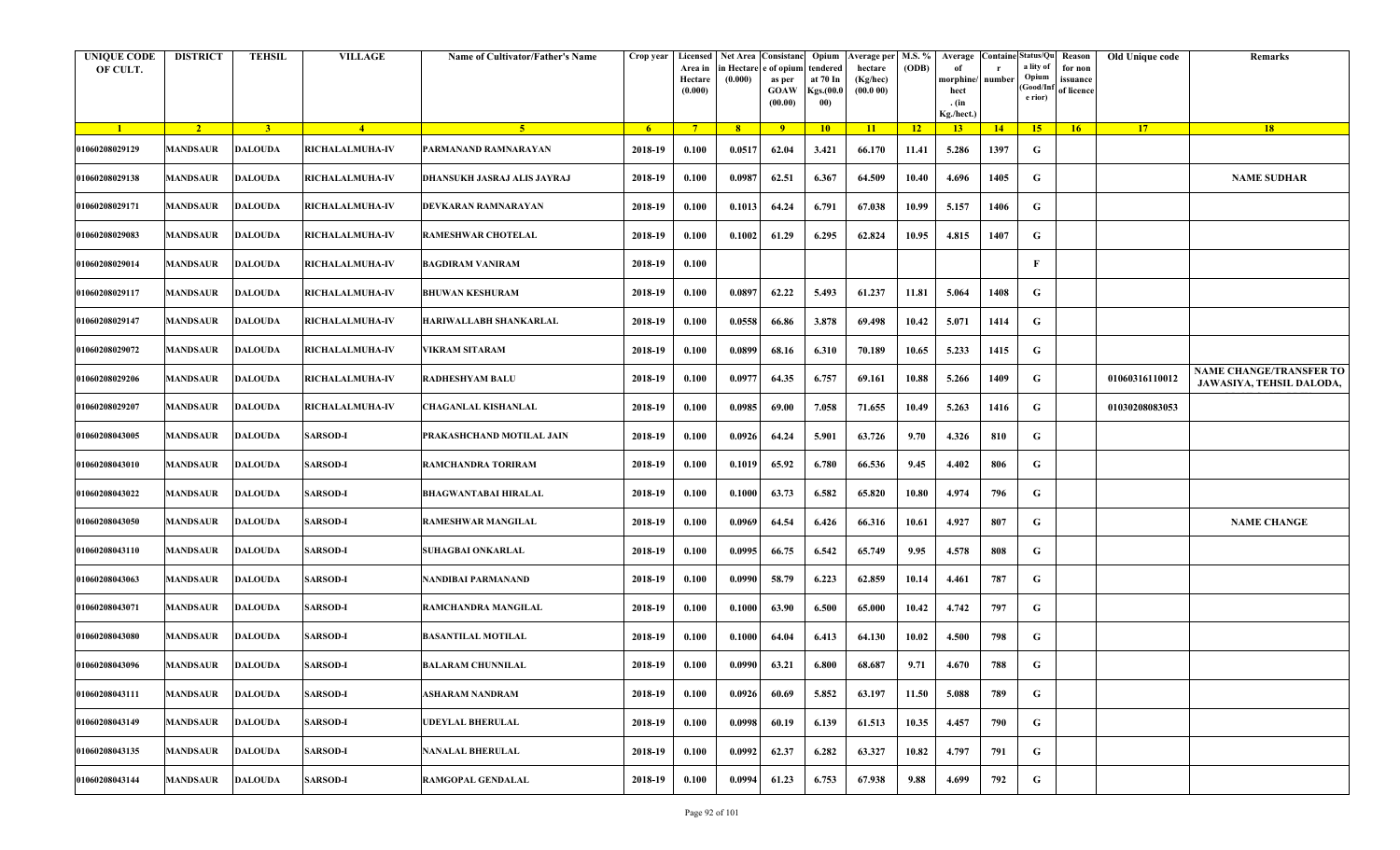| <b>UNIQUE CODE</b><br>OF CULT. | <b>DISTRICT</b> | <b>TEHSIL</b>  | <b>VILLAGE</b>         | <b>Name of Cultivator/Father's Name</b> | Crop year      | Area in<br>Hectare<br>(0.000) | in Hectare<br>(0.000) | Licensed Net Area Consistanc<br>e of opium<br>as per<br><b>GOAW</b><br>(00.00) | Opium<br>:endered<br>at 70 In<br>Kgs.(00.0<br>00) | Verage per   M.S. %<br>hectare<br>(Kg/hec)<br>(00.000) | (ODB)           | Average<br>morphine/<br>hect<br>. $(in$<br>Kg./hect.) | number      | <b>Containe Status/Qu</b><br>a lity of<br>Opium<br>Good/Inf<br>e rior) | Reason<br>for non<br>issuance<br>of licence | Old Unique code | Remarks                                                    |
|--------------------------------|-----------------|----------------|------------------------|-----------------------------------------|----------------|-------------------------------|-----------------------|--------------------------------------------------------------------------------|---------------------------------------------------|--------------------------------------------------------|-----------------|-------------------------------------------------------|-------------|------------------------------------------------------------------------|---------------------------------------------|-----------------|------------------------------------------------------------|
| $\blacksquare$                 | $\sqrt{2}$      | 3 <sup>7</sup> | $-4$                   | -5.                                     | 6 <sup>6</sup> | $7^{\circ}$                   | 8 <sup>1</sup>        | $-9$                                                                           | $10-10$                                           | $\vert$ 11                                             | $\overline{12}$ | 13                                                    | $\sqrt{14}$ | 15                                                                     | 16                                          | <b>17</b>       | 18                                                         |
| 01060208029129                 | <b>MANDSAUR</b> | <b>DALOUDA</b> | RICHALALMUHA-IV        | PARMANAND RAMNARAYAN                    | 2018-19        | 0.100                         | 0.0517                | 62.04                                                                          | 3.421                                             | 66.170                                                 | 11.41           | 5.286                                                 | 1397        | G                                                                      |                                             |                 |                                                            |
| 01060208029138                 | MANDSAUR        | <b>DALOUDA</b> | <b>RICHALALMUHA-IV</b> | DHANSUKH JASRAJ ALIS JAYRAJ             | 2018-19        | 0.100                         | 0.0987                | 62.51                                                                          | 6.367                                             | 64.509                                                 | 10.40           | 4.696                                                 | 1405        | G                                                                      |                                             |                 | <b>NAME SUDHAR</b>                                         |
| 01060208029171                 | <b>MANDSAUR</b> | <b>DALOUDA</b> | <b>RICHALALMUHA-IV</b> | DEVKARAN RAMNARAYAN                     | 2018-19        | 0.100                         | 0.1013                | 64.24                                                                          | 6.791                                             | 67.038                                                 | 10.99           | 5.157                                                 | 1406        | G                                                                      |                                             |                 |                                                            |
| 01060208029083                 | <b>MANDSAUR</b> | <b>DALOUDA</b> | <b>RICHALALMUHA-IV</b> | <b>RAMESHWAR CHOTELAL</b>               | 2018-19        | 0.100                         | 0.1002                | 61.29                                                                          | 6.295                                             | 62.824                                                 | 10.95           | 4.815                                                 | 1407        | G                                                                      |                                             |                 |                                                            |
| 01060208029014                 | <b>MANDSAUR</b> | <b>DALOUDA</b> | <b>RICHALALMUHA-IV</b> | <b>BAGDIRAM VANIRAM</b>                 | 2018-19        | 0.100                         |                       |                                                                                |                                                   |                                                        |                 |                                                       |             | F                                                                      |                                             |                 |                                                            |
| 01060208029117                 | <b>MANDSAUR</b> | <b>DALOUDA</b> | RICHALALMUHA-IV        | <b>BHUWAN KESHURAM</b>                  | 2018-19        | 0.100                         | 0.0897                | 62.22                                                                          | 5.493                                             | 61.237                                                 | 11.81           | 5.064                                                 | 1408        | G                                                                      |                                             |                 |                                                            |
| 01060208029147                 | <b>MANDSAUR</b> | <b>DALOUDA</b> | <b>RICHALALMUHA-IV</b> | <b>HARIWALLABH SHANKARLAL</b>           | 2018-19        | 0.100                         | 0.0558                | 66.86                                                                          | 3.878                                             | 69.498                                                 | 10.42           | 5.071                                                 | 1414        | G                                                                      |                                             |                 |                                                            |
| 01060208029072                 | MANDSAUR        | <b>DALOUDA</b> | RICHALALMUHA-IV        | VIKRAM SITARAM                          | 2018-19        | 0.100                         | 0.0899                | 68.16                                                                          | 6.310                                             | 70.189                                                 | 10.65           | 5.233                                                 | 1415        | G                                                                      |                                             |                 |                                                            |
| 01060208029206                 | <b>MANDSAUR</b> | <b>DALOUDA</b> | <b>RICHALALMUHA-IV</b> | <b>RADHESHYAM BALU</b>                  | 2018-19        | 0.100                         | 0.0977                | 64.35                                                                          | 6.757                                             | 69.161                                                 | 10.88           | 5.266                                                 | 1409        | G                                                                      |                                             | 01060316110012  | <b>NAME CHANGE/TRANSFER TO</b><br>JAWASIYA, TEHSIL DALODA, |
| 01060208029207                 | MANDSAUR        | <b>DALOUDA</b> | <b>RICHALALMUHA-IV</b> | <b>CHAGANLAL KISHANLAL</b>              | 2018-19        | 0.100                         | 0.0985                | 69.00                                                                          | 7.058                                             | 71.655                                                 | 10.49           | 5.263                                                 | 1416        | G                                                                      |                                             | 01030208083053  |                                                            |
| 01060208043005                 | <b>MANDSAUR</b> | <b>DALOUDA</b> | <b>SARSOD-I</b>        | PRAKASHCHAND MOTILAL JAIN               | 2018-19        | 0.100                         | 0.0926                | 64.24                                                                          | 5.901                                             | 63.726                                                 | 9.70            | 4.326                                                 | 810         | G                                                                      |                                             |                 |                                                            |
| 01060208043010                 | <b>MANDSAUR</b> | <b>DALOUDA</b> | <b>SARSOD-I</b>        | RAMCHANDRA TORIRAM                      | 2018-19        | 0.100                         | 0.1019                | 65.92                                                                          | 6.780                                             | 66.536                                                 | 9.45            | 4.402                                                 | 806         | G                                                                      |                                             |                 |                                                            |
| 01060208043022                 | <b>MANDSAUR</b> | <b>DALOUDA</b> | <b>SARSOD-I</b>        | <b>BHAGWANTABAI HIRALAL</b>             | 2018-19        | 0.100                         | 0.1000                | 63.73                                                                          | 6.582                                             | 65.820                                                 | 10.80           | 4.974                                                 | 796         | G                                                                      |                                             |                 |                                                            |
| 01060208043050                 | <b>MANDSAUR</b> | <b>DALOUDA</b> | <b>SARSOD-I</b>        | <b>RAMESHWAR MANGILAL</b>               | 2018-19        | 0.100                         | 0.0969                | 64.54                                                                          | 6.426                                             | 66.316                                                 | 10.61           | 4.927                                                 | 807         | G                                                                      |                                             |                 | <b>NAME CHANGE</b>                                         |
| 01060208043110                 | MANDSAUR        | <b>DALOUDA</b> | <b>SARSOD-I</b>        | SUHAGBAI ONKARLAL                       | 2018-19        | 0.100                         | 0.0995                | 66.75                                                                          | 6.542                                             | 65.749                                                 | 9.95            | 4.578                                                 | 808         | G                                                                      |                                             |                 |                                                            |
| 01060208043063                 | <b>MANDSAUR</b> | <b>DALOUDA</b> | <b>SARSOD-I</b>        | NANDIBAI PARMANAND                      | 2018-19        | 0.100                         | 0.0990                | 58.79                                                                          | 6.223                                             | 62.859                                                 | 10.14           | 4.461                                                 | 787         | G                                                                      |                                             |                 |                                                            |
| 01060208043071                 | <b>MANDSAUR</b> | <b>DALOUDA</b> | <b>SARSOD-I</b>        | RAMCHANDRA MANGILAL                     | 2018-19        | 0.100                         | 0.1000                | 63.90                                                                          | 6.500                                             | 65.000                                                 | 10.42           | 4.742                                                 | 797         | G                                                                      |                                             |                 |                                                            |
| 01060208043080                 | <b>MANDSAUR</b> | <b>DALOUDA</b> | <b>SARSOD-I</b>        | <b>BASANTILAL MOTILAL</b>               | 2018-19        | 0.100                         | 0.1000                | 64.04                                                                          | 6.413                                             | 64.130                                                 | 10.02           | 4.500                                                 | 798         | G                                                                      |                                             |                 |                                                            |
| 01060208043096                 | <b>MANDSAUR</b> | DALOUDA        | <b>SARSOD-I</b>        | <b>BALARAM CHUNNILAL</b>                | 2018-19        | 0.100                         | 0.0990                | 63.21                                                                          | 6.800                                             | 68.687                                                 | 9.71            | 4.670                                                 | 788         | G                                                                      |                                             |                 |                                                            |
| 01060208043111                 | <b>MANDSAUR</b> | <b>DALOUDA</b> | <b>SARSOD-I</b>        | <b>ASHARAM NANDRAM</b>                  | 2018-19        | 0.100                         | 0.0926                | 60.69                                                                          | 5.852                                             | 63.197                                                 | 11.50           | 5.088                                                 | 789         | G                                                                      |                                             |                 |                                                            |
| 01060208043149                 | <b>MANDSAUR</b> | <b>DALOUDA</b> | <b>SARSOD-I</b>        | <b>UDEYLAL BHERULAL</b>                 | 2018-19        | 0.100                         | 0.0998                | 60.19                                                                          | 6.139                                             | 61.513                                                 | 10.35           | 4.457                                                 | 790         | G                                                                      |                                             |                 |                                                            |
| 01060208043135                 | <b>MANDSAUR</b> | <b>DALOUDA</b> | <b>SARSOD-I</b>        | <b>NANALAL BHERULAL</b>                 | 2018-19        | 0.100                         | 0.0992                | 62.37                                                                          | 6.282                                             | 63.327                                                 | 10.82           | 4.797                                                 | 791         | G                                                                      |                                             |                 |                                                            |
| 01060208043144                 | <b>MANDSAUR</b> | <b>DALOUDA</b> | <b>SARSOD-I</b>        | RAMGOPAL GENDALAL                       | 2018-19        | 0.100                         | 0.0994                | 61.23                                                                          | 6.753                                             | 67.938                                                 | 9.88            | 4.699                                                 | 792         | ${\bf G}$                                                              |                                             |                 |                                                            |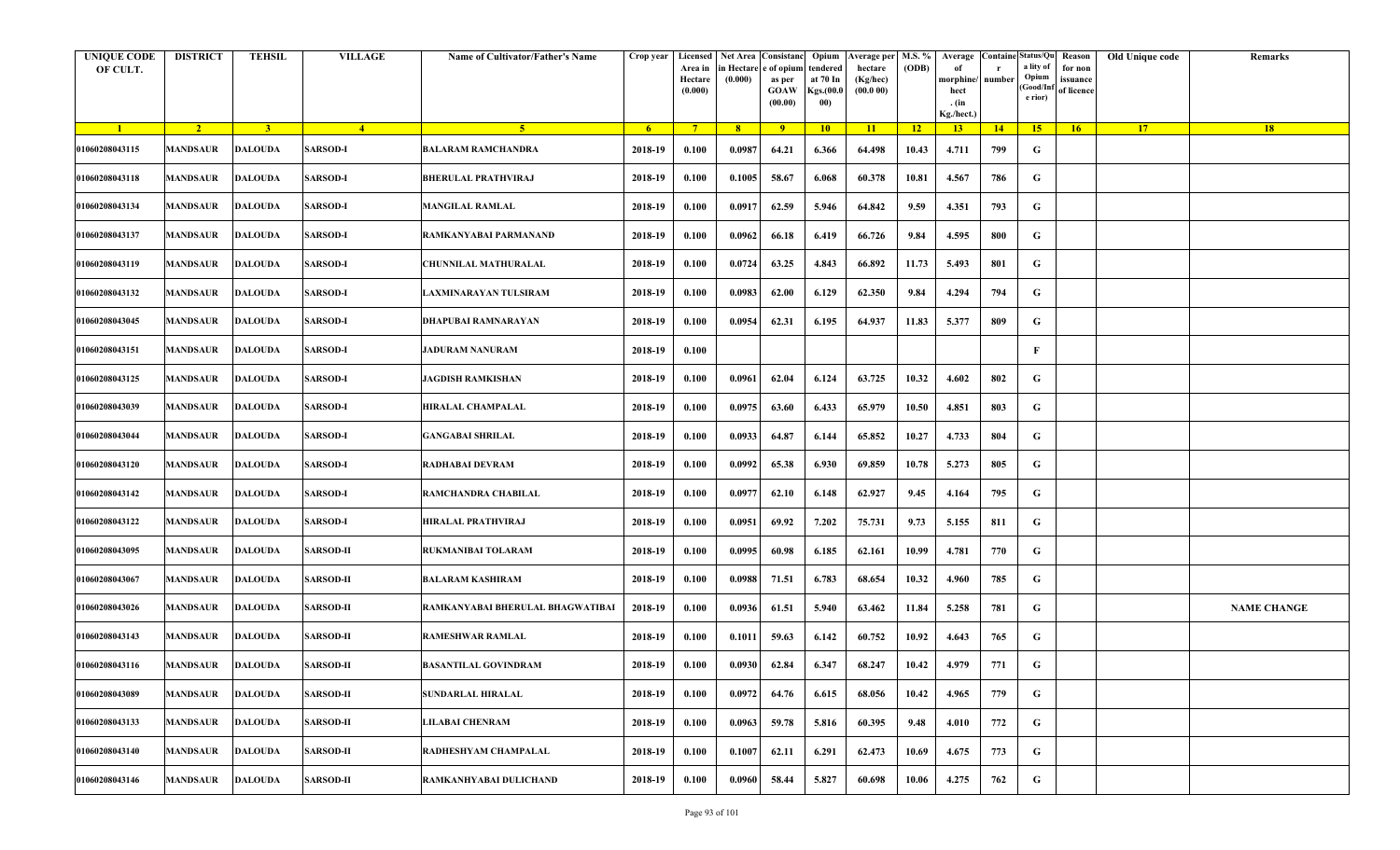| <b>UNIQUE CODE</b><br>OF CULT. | <b>DISTRICT</b> | <b>TEHSIL</b>  | <b>VILLAGE</b>   | Name of Cultivator/Father's Name | Crop year | Area in<br>Hectare<br>(0.000) | Licensed   Net Area Consistanc<br>ı Hectar<br>(0.000) | e of opium<br>as per<br><b>GOAW</b><br>(00.00) | Opium<br>tendered<br>at 70 In<br>Kgs.(00.0<br>00) | <b>Average per</b><br>hectare<br>(Kg/hec)<br>(00.000) | M.S. %<br>(ODB) | Average<br>morphine/<br>hect<br>. (in | <b>Containe Status/Qu</b><br>number | a lity of<br>Opium<br>(Good/In<br>e rior) | Reason<br>for non<br>issuance<br>of licence | Old Unique code | Remarks            |
|--------------------------------|-----------------|----------------|------------------|----------------------------------|-----------|-------------------------------|-------------------------------------------------------|------------------------------------------------|---------------------------------------------------|-------------------------------------------------------|-----------------|---------------------------------------|-------------------------------------|-------------------------------------------|---------------------------------------------|-----------------|--------------------|
| $\blacksquare$                 | $\sqrt{2}$      | 3 <sup>7</sup> | $\sqrt{4}$       | $\sqrt{5}$                       | $-6$      | $-7$                          | 8 <sup>1</sup>                                        | $-9$                                           | 10                                                | $\vert$ 11                                            | $-12$           | Kg./hect.)<br>13                      | 14                                  | 15                                        | 16                                          | 17              | 18                 |
| 01060208043115                 | <b>MANDSAUR</b> | <b>DALOUDA</b> | <b>SARSOD-I</b>  | <b>BALARAM RAMCHANDRA</b>        | 2018-19   | 0.100                         | 0.0987                                                | 64.21                                          | 6.366                                             | 64.498                                                | 10.43           | 4.711                                 | 799                                 | G                                         |                                             |                 |                    |
| 01060208043118                 | MANDSAUR        | <b>DALOUDA</b> | <b>SARSOD-I</b>  | <b>BHERULAL PRATHVIRAJ</b>       | 2018-19   | 0.100                         | 0.1005                                                | 58.67                                          | 6.068                                             | 60.378                                                | 10.81           | 4.567                                 | 786                                 | G                                         |                                             |                 |                    |
| 01060208043134                 | <b>MANDSAUR</b> | <b>DALOUDA</b> | <b>SARSOD-I</b>  | <b>MANGILAL RAMLAL</b>           | 2018-19   | 0.100                         | 0.0917                                                | 62.59                                          | 5.946                                             | 64.842                                                | 9.59            | 4.351                                 | 793                                 | G                                         |                                             |                 |                    |
| 01060208043137                 | <b>MANDSAUR</b> | <b>DALOUDA</b> | <b>SARSOD-I</b>  | RAMKANYABAI PARMANAND            | 2018-19   | 0.100                         | 0.0962                                                | 66.18                                          | 6.419                                             | 66.726                                                | 9.84            | 4.595                                 | 800                                 | G                                         |                                             |                 |                    |
| 01060208043119                 | <b>MANDSAUR</b> | <b>DALOUDA</b> | <b>SARSOD-I</b>  | CHUNNILAL MATHURALAL             | 2018-19   | 0.100                         | 0.0724                                                | 63.25                                          | 4.843                                             | 66.892                                                | 11.73           | 5.493                                 | 801                                 | G                                         |                                             |                 |                    |
| 01060208043132                 | <b>MANDSAUR</b> | <b>DALOUDA</b> | <b>SARSOD-I</b>  | LAXMINARAYAN TULSIRAM            | 2018-19   | 0.100                         | 0.0983                                                | 62.00                                          | 6.129                                             | 62.350                                                | 9.84            | 4.294                                 | 794                                 | G                                         |                                             |                 |                    |
| 01060208043045                 | MANDSAUR        | <b>DALOUDA</b> | <b>SARSOD-I</b>  | DHAPUBAI RAMNARAYAN              | 2018-19   | 0.100                         | 0.0954                                                | 62.31                                          | 6.195                                             | 64.937                                                | 11.83           | 5.377                                 | 809                                 | G                                         |                                             |                 |                    |
| 01060208043151                 | MANDSAUR        | <b>DALOUDA</b> | <b>SARSOD-I</b>  | JADURAM NANURAM                  | 2018-19   | 0.100                         |                                                       |                                                |                                                   |                                                       |                 |                                       |                                     | F                                         |                                             |                 |                    |
| 01060208043125                 | <b>MANDSAUR</b> | <b>DALOUDA</b> | <b>SARSOD-I</b>  | <b>JAGDISH RAMKISHAN</b>         | 2018-19   | 0.100                         | 0.0961                                                | 62.04                                          | 6.124                                             | 63.725                                                | 10.32           | 4.602                                 | 802                                 | G                                         |                                             |                 |                    |
| 01060208043039                 | MANDSAUR        | <b>DALOUDA</b> | <b>SARSOD-I</b>  | <b>HIRALAL CHAMPALAL</b>         | 2018-19   | 0.100                         | 0.0975                                                | 63.60                                          | 6.433                                             | 65.979                                                | 10.50           | 4.851                                 | 803                                 | G                                         |                                             |                 |                    |
| 01060208043044                 | MANDSAUR        | <b>DALOUDA</b> | <b>SARSOD-I</b>  | <b>GANGABAI SHRILAL</b>          | 2018-19   | 0.100                         | 0.0933                                                | 64.87                                          | 6.144                                             | 65.852                                                | 10.27           | 4.733                                 | 804                                 | G                                         |                                             |                 |                    |
| 01060208043120                 | MANDSAUR        | <b>DALOUDA</b> | <b>SARSOD-I</b>  | RADHABAI DEVRAM                  | 2018-19   | 0.100                         | 0.0992                                                | 65.38                                          | 6.930                                             | 69.859                                                | 10.78           | 5.273                                 | 805                                 | G                                         |                                             |                 |                    |
| 01060208043142                 | <b>MANDSAUR</b> | <b>DALOUDA</b> | <b>SARSOD-I</b>  | RAMCHANDRA CHABILAL              | 2018-19   | 0.100                         | 0.0977                                                | 62.10                                          | 6.148                                             | 62.927                                                | 9.45            | 4.164                                 | 795                                 | G                                         |                                             |                 |                    |
| 01060208043122                 | MANDSAUR        | <b>DALOUDA</b> | <b>SARSOD-I</b>  | HIRALAL PRATHVIRAJ               | 2018-19   | 0.100                         | 0.0951                                                | 69.92                                          | 7.202                                             | 75.731                                                | 9.73            | 5.155                                 | 811                                 | G                                         |                                             |                 |                    |
| 01060208043095                 | MANDSAUR        | <b>DALOUDA</b> | <b>SARSOD-II</b> | RUKMANIBAI TOLARAM               | 2018-19   | 0.100                         | 0.0995                                                | 60.98                                          | 6.185                                             | 62.161                                                | 10.99           | 4.781                                 | 770                                 | G                                         |                                             |                 |                    |
| 01060208043067                 | <b>MANDSAUR</b> | <b>DALOUDA</b> | <b>SARSOD-II</b> | <b>BALARAM KASHIRAM</b>          | 2018-19   | 0.100                         | 0.0988                                                | 71.51                                          | 6.783                                             | 68.654                                                | 10.32           | 4.960                                 | 785                                 | G                                         |                                             |                 |                    |
| 01060208043026                 | MANDSAUR        | <b>DALOUDA</b> | <b>SARSOD-II</b> | RAMKANYABAI BHERULAL BHAGWATIBAI | 2018-19   | 0.100                         | 0.0936                                                | 61.51                                          | 5.940                                             | 63.462                                                | 11.84           | 5.258                                 | 781                                 | G                                         |                                             |                 | <b>NAME CHANGE</b> |
| 01060208043143                 | MANDSAUR        | <b>DALOUDA</b> | <b>SARSOD-II</b> | RAMESHWAR RAMLAL                 | 2018-19   | 0.100                         | 0.1011                                                | 59.63                                          | 6.142                                             | 60.752                                                | 10.92           | 4.643                                 | 765                                 | G                                         |                                             |                 |                    |
| 01060208043116                 | MANDSAUR        | <b>DALOUDA</b> | <b>SARSOD-II</b> | <b>BASANTILAL GOVINDRAM</b>      | 2018-19   | 0.100                         | 0.0930                                                | 62.84                                          | 6.347                                             | 68.247                                                | 10.42           | 4.979                                 | 771                                 | G                                         |                                             |                 |                    |
| 01060208043089                 | <b>MANDSAUR</b> | <b>DALOUDA</b> | <b>SARSOD-II</b> | <b>SUNDARLAL HIRALAL</b>         | 2018-19   | 0.100                         | 0.0972                                                | 64.76                                          | 6.615                                             | 68.056                                                | 10.42           | 4.965                                 | 779                                 | G                                         |                                             |                 |                    |
| 01060208043133                 | <b>MANDSAUR</b> | <b>DALOUDA</b> | <b>SARSOD-II</b> | <b>LILABAI CHENRAM</b>           | 2018-19   | 0.100                         | 0.0963                                                | 59.78                                          | 5.816                                             | 60.395                                                | 9.48            | 4.010                                 | 772                                 | G                                         |                                             |                 |                    |
| 01060208043140                 | MANDSAUR        | <b>DALOUDA</b> | <b>SARSOD-II</b> | RADHESHYAM CHAMPALAL             | 2018-19   | 0.100                         | 0.1007                                                | 62.11                                          | 6.291                                             | 62.473                                                | 10.69           | 4.675                                 | 773                                 | G                                         |                                             |                 |                    |
| 01060208043146                 | <b>MANDSAUR</b> | <b>DALOUDA</b> | <b>SARSOD-II</b> | RAMKANHYABAI DULICHAND           | 2018-19   | 0.100                         | 0.0960                                                | 58.44                                          | 5.827                                             | 60.698                                                | 10.06           | 4.275                                 | 762                                 | G                                         |                                             |                 |                    |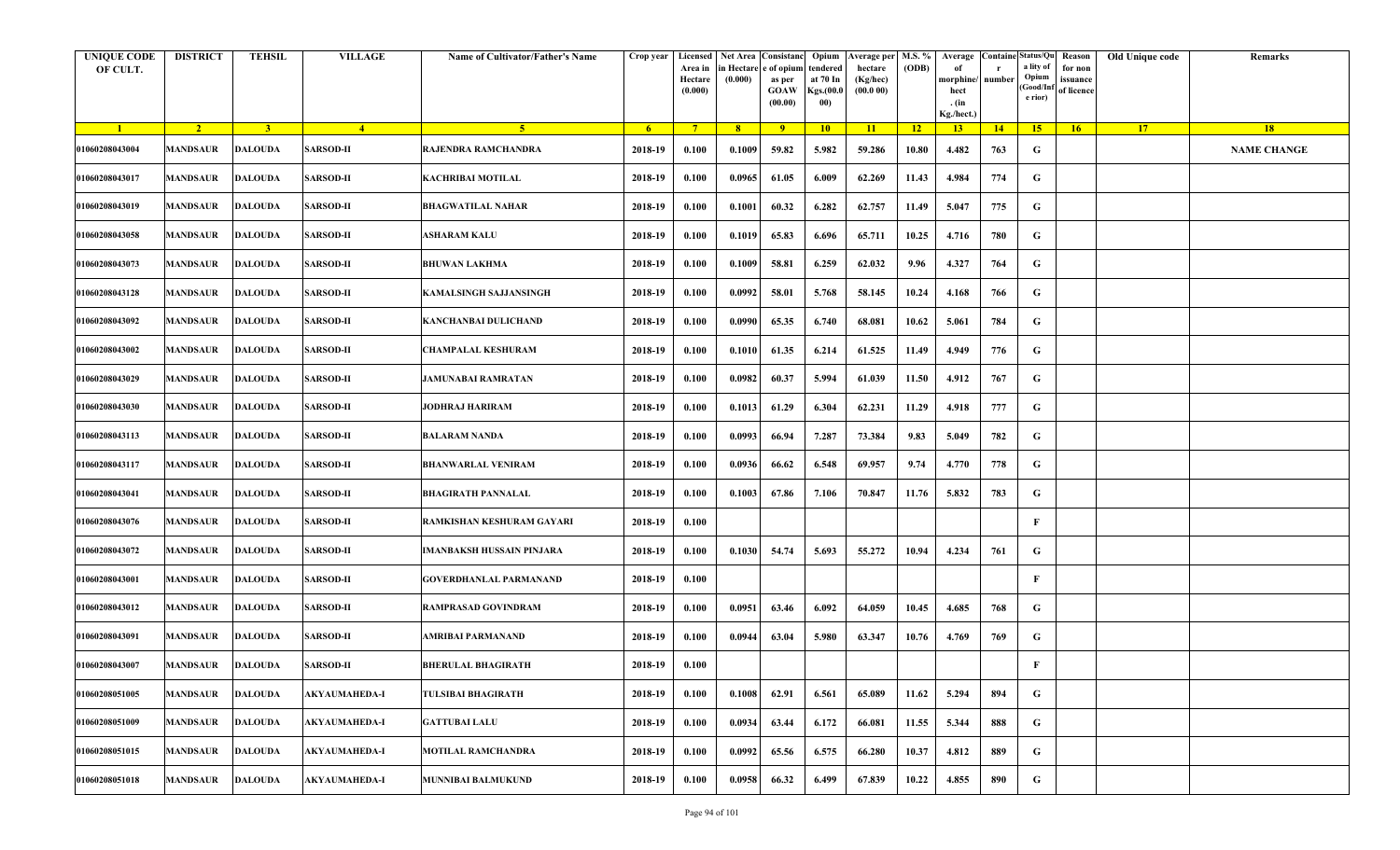| <b>UNIQUE CODE</b><br>OF CULT. | <b>DISTRICT</b> | <b>TEHSIL</b>  | <b>VILLAGE</b>   | Name of Cultivator/Father's Name | Crop year | Area in<br>Hectare | Licensed Net Area Consistanc<br>ı Hectar<br>(0.000) | e of opium<br>as per   | Opium<br>tendered<br>at 70 In | Average per   M.S. %<br>hectare<br>(Kg/hec) | (ODB) | Average<br>morphine/        | <b>Containe Status/Qu</b><br>number | a lity of<br>Opium<br>(Good/In: | Reason<br>for non<br>issuance | Old Unique code | Remarks            |
|--------------------------------|-----------------|----------------|------------------|----------------------------------|-----------|--------------------|-----------------------------------------------------|------------------------|-------------------------------|---------------------------------------------|-------|-----------------------------|-------------------------------------|---------------------------------|-------------------------------|-----------------|--------------------|
|                                |                 |                |                  |                                  |           | (0.000)            |                                                     | <b>GOAW</b><br>(00.00) | Kgs.(00.0<br>00)              | (00.000)                                    |       | hect<br>. (in<br>Kg./hect.) |                                     | e rior)                         | of licence                    |                 |                    |
| $\blacksquare$ 1               | $\sqrt{2}$      | 3 <sup>7</sup> | $\sqrt{4}$       | $\sqrt{5}$                       | $-6$      | $-7$               | 8 <sup>1</sup>                                      | $-9$                   | 10                            | $\vert$ 11                                  | $-12$ | 13                          | 14                                  | 15                              | 16                            | 17              | 18                 |
| 01060208043004                 | <b>MANDSAUR</b> | <b>DALOUDA</b> | <b>SARSOD-II</b> | RAJENDRA RAMCHANDRA              | 2018-19   | 0.100              | 0.1009                                              | 59.82                  | 5.982                         | 59.286                                      | 10.80 | 4.482                       | 763                                 | G                               |                               |                 | <b>NAME CHANGE</b> |
| 01060208043017                 | MANDSAUR        | <b>DALOUDA</b> | <b>SARSOD-II</b> | KACHRIBAI MOTILAL                | 2018-19   | 0.100              | 0.0965                                              | 61.05                  | 6.009                         | 62.269                                      | 11.43 | 4.984                       | 774                                 | G                               |                               |                 |                    |
| 01060208043019                 | <b>MANDSAUR</b> | <b>DALOUDA</b> | <b>SARSOD-II</b> | <b>BHAGWATILAL NAHAR</b>         | 2018-19   | 0.100              | 0.1001                                              | 60.32                  | 6.282                         | 62.757                                      | 11.49 | 5.047                       | 775                                 | G                               |                               |                 |                    |
| 01060208043058                 | <b>MANDSAUR</b> | <b>DALOUDA</b> | <b>SARSOD-II</b> | ASHARAM KALU                     | 2018-19   | 0.100              | 0.1019                                              | 65.83                  | 6.696                         | 65.711                                      | 10.25 | 4.716                       | 780                                 | G                               |                               |                 |                    |
| 01060208043073                 | <b>MANDSAUR</b> | <b>DALOUDA</b> | <b>SARSOD-II</b> | <b>BHUWAN LAKHMA</b>             | 2018-19   | 0.100              | 0.1009                                              | 58.81                  | 6.259                         | 62.032                                      | 9.96  | 4.327                       | 764                                 | G                               |                               |                 |                    |
| 01060208043128                 | MANDSAUR        | <b>DALOUDA</b> | <b>SARSOD-II</b> | KAMALSINGH SAJJANSINGH           | 2018-19   | 0.100              | 0.0992                                              | 58.01                  | 5.768                         | 58.145                                      | 10.24 | 4.168                       | 766                                 | G                               |                               |                 |                    |
| 01060208043092                 | MANDSAUR        | <b>DALOUDA</b> | <b>SARSOD-II</b> | KANCHANBAI DULICHAND             | 2018-19   | 0.100              | 0.0990                                              | 65.35                  | 6.740                         | 68.081                                      | 10.62 | 5.061                       | 784                                 | G                               |                               |                 |                    |
| 01060208043002                 | MANDSAUR        | <b>DALOUDA</b> | <b>SARSOD-II</b> | <b>CHAMPALAL KESHURAM</b>        | 2018-19   | 0.100              | 0.1010                                              | 61.35                  | 6.214                         | 61.525                                      | 11.49 | 4.949                       | 776                                 | G                               |                               |                 |                    |
| 01060208043029                 | <b>MANDSAUR</b> | <b>DALOUDA</b> | <b>SARSOD-II</b> | <b>JAMUNABAI RAMRATAN</b>        | 2018-19   | 0.100              | 0.0982                                              | 60.37                  | 5.994                         | 61.039                                      | 11.50 | 4.912                       | 767                                 | G                               |                               |                 |                    |
| 01060208043030                 | MANDSAUR        | <b>DALOUDA</b> | <b>SARSOD-II</b> | JODHRAJ HARIRAM                  | 2018-19   | 0.100              | 0.1013                                              | 61.29                  | 6.304                         | 62.231                                      | 11.29 | 4.918                       | 777                                 | G                               |                               |                 |                    |
| 01060208043113                 | MANDSAUR        | <b>DALOUDA</b> | <b>SARSOD-II</b> | <b>BALARAM NANDA</b>             | 2018-19   | 0.100              | 0.0993                                              | 66.94                  | 7.287                         | 73.384                                      | 9.83  | 5.049                       | 782                                 | G                               |                               |                 |                    |
| 01060208043117                 | <b>MANDSAUR</b> | <b>DALOUDA</b> | <b>SARSOD-II</b> | <b>BHANWARLAL VENIRAM</b>        | 2018-19   | 0.100              | 0.0936                                              | 66.62                  | 6.548                         | 69.957                                      | 9.74  | 4.770                       | 778                                 | G                               |                               |                 |                    |
| 01060208043041                 | <b>MANDSAUR</b> | <b>DALOUDA</b> | <b>SARSOD-II</b> | <b>BHAGIRATH PANNALAL</b>        | 2018-19   | 0.100              | 0.1003                                              | 67.86                  | 7.106                         | 70.847                                      | 11.76 | 5.832                       | 783                                 | G                               |                               |                 |                    |
| 01060208043076                 | MANDSAUR        | <b>DALOUDA</b> | <b>SARSOD-II</b> | RAMKISHAN KESHURAM GAYARI        | 2018-19   | 0.100              |                                                     |                        |                               |                                             |       |                             |                                     | $\mathbf{F}$                    |                               |                 |                    |
| 01060208043072                 | MANDSAUR        | <b>DALOUDA</b> | <b>SARSOD-II</b> | <b>IMANBAKSH HUSSAIN PINJARA</b> | 2018-19   | 0.100              | 0.1030                                              | 54.74                  | 5.693                         | 55,272                                      | 10.94 | 4.234                       | 761                                 | G                               |                               |                 |                    |
| 01060208043001                 | <b>MANDSAUR</b> | <b>DALOUDA</b> | <b>SARSOD-II</b> | <b>GOVERDHANLAL PARMANAND</b>    | 2018-19   | 0.100              |                                                     |                        |                               |                                             |       |                             |                                     | $\mathbf{F}$                    |                               |                 |                    |
| 01060208043012                 | MANDSAUR        | <b>DALOUDA</b> | <b>SARSOD-II</b> | RAMPRASAD GOVINDRAM              | 2018-19   | 0.100              | 0.0951                                              | 63.46                  | 6.092                         | 64.059                                      | 10.45 | 4.685                       | 768                                 | G                               |                               |                 |                    |
| 01060208043091                 | MANDSAUR        | <b>DALOUDA</b> | <b>SARSOD-II</b> | AMRIBAI PARMANAND                | 2018-19   | 0.100              | 0.0944                                              | 63.04                  | 5.980                         | 63.347                                      | 10.76 | 4.769                       | 769                                 | G                               |                               |                 |                    |
| 01060208043007                 | MANDSAUR        | <b>DALOUDA</b> | <b>SARSOD-II</b> | <b>BHERULAL BHAGIRATH</b>        | 2018-19   | 0.100              |                                                     |                        |                               |                                             |       |                             |                                     | $\mathbf{F}$                    |                               |                 |                    |
| 01060208051005                 | <b>MANDSAUR</b> | <b>DALOUDA</b> | AKYAUMAHEDA-I    | <b>TULSIBAI BHAGIRATH</b>        | 2018-19   | 0.100              | 0.1008                                              | 62.91                  | 6.561                         | 65.089                                      | 11.62 | 5.294                       | 894                                 | G                               |                               |                 |                    |
| 01060208051009                 | <b>MANDSAUR</b> | <b>DALOUDA</b> | AKYAUMAHEDA-I    | <b>GATTUBAI LALU</b>             | 2018-19   | 0.100              | 0.0934                                              | 63.44                  | 6.172                         | 66.081                                      | 11.55 | 5.344                       | 888                                 | G                               |                               |                 |                    |
| 01060208051015                 | <b>MANDSAUR</b> | <b>DALOUDA</b> | AKYAUMAHEDA-I    | <b>MOTILAL RAMCHANDRA</b>        | 2018-19   | 0.100              | 0.0992                                              | 65.56                  | 6.575                         | 66.280                                      | 10.37 | 4.812                       | 889                                 | G                               |                               |                 |                    |
| 01060208051018                 | <b>MANDSAUR</b> | <b>DALOUDA</b> | AKYAUMAHEDA-I    | <b>MUNNIBAI BALMUKUND</b>        | 2018-19   | 0.100              | 0.0958                                              | 66.32                  | 6.499                         | 67.839                                      | 10.22 | 4.855                       | 890                                 | G                               |                               |                 |                    |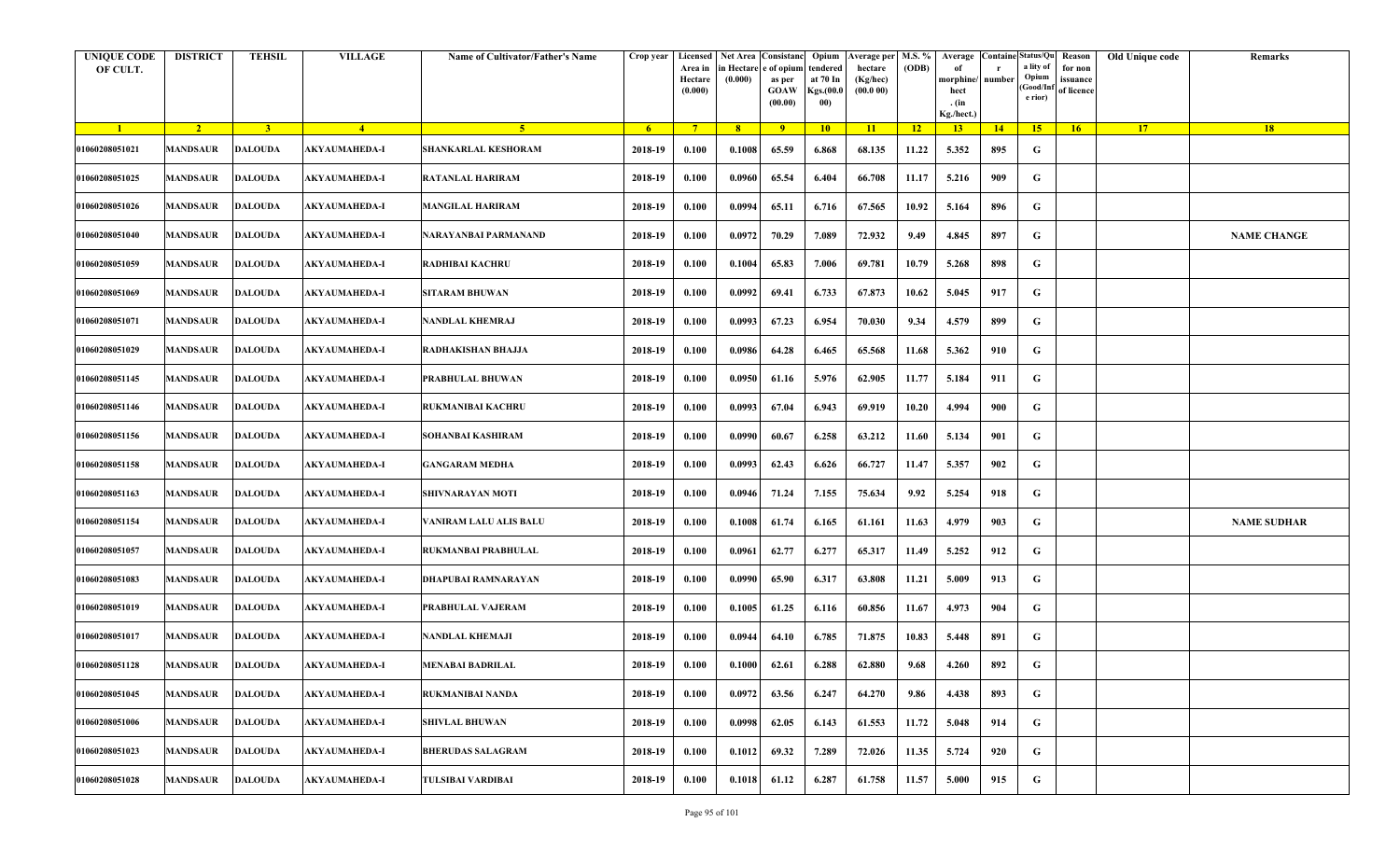| <b>UNIQUE CODE</b><br>OF CULT. | <b>DISTRICT</b> | <b>TEHSIL</b>  | <b>VILLAGE</b>       | <b>Name of Cultivator/Father's Name</b> | Crop year      | Area in<br>Hectare<br>(0.000) | in Hectare<br>(0.000) | Licensed Net Area Consistanc<br>e of opium<br>as per<br><b>GOAW</b><br>(00.00) | Opium<br>:endered<br>at 70 In<br>Kgs.(00.0<br>00) | Verage per   M.S. %<br>hectare<br>(Kg/hec)<br>(00.000) | (ODB)           | Average<br>morphine/<br>hect<br>. $(in$<br>Kg./hect.) | number | <b>Containe</b> Status/Qu<br>a lity of<br>Opium<br>Good/Inf<br>e rior) | Reason<br>for non<br>issuance<br>of licence | Old Unique code | Remarks            |
|--------------------------------|-----------------|----------------|----------------------|-----------------------------------------|----------------|-------------------------------|-----------------------|--------------------------------------------------------------------------------|---------------------------------------------------|--------------------------------------------------------|-----------------|-------------------------------------------------------|--------|------------------------------------------------------------------------|---------------------------------------------|-----------------|--------------------|
| $\blacksquare$                 | $\sqrt{2}$      | 3 <sup>7</sup> | $\sqrt{4}$           | $-5$                                    | 6 <sup>6</sup> | $-7$                          | 8 <sup>1</sup>        | $-9$                                                                           | $10-10$                                           | $\vert$ 11                                             | $\overline{12}$ | 13                                                    | 14     | 15                                                                     | 16                                          | 17              | 18                 |
| 01060208051021                 | <b>MANDSAUR</b> | <b>DALOUDA</b> | <b>AKYAUMAHEDA-I</b> | <b>SHANKARLAL KESHORAM</b>              | 2018-19        | 0.100                         | 0.1008                | 65.59                                                                          | 6.868                                             | 68.135                                                 | 11.22           | 5.352                                                 | 895    | G                                                                      |                                             |                 |                    |
| 01060208051025                 | MANDSAUR        | DALOUDA        | <b>AKYAUMAHEDA-I</b> | <b>RATANLAL HARIRAM</b>                 | 2018-19        | 0.100                         | 0.0960                | 65.54                                                                          | 6.404                                             | 66.708                                                 | 11.17           | 5.216                                                 | 909    | G                                                                      |                                             |                 |                    |
| 01060208051026                 | <b>MANDSAUR</b> | <b>DALOUDA</b> | <b>AKYAUMAHEDA-I</b> | <b>MANGILAL HARIRAM</b>                 | 2018-19        | 0.100                         | 0.0994                | 65.11                                                                          | 6.716                                             | 67.565                                                 | 10.92           | 5.164                                                 | 896    | G                                                                      |                                             |                 |                    |
| 01060208051040                 | <b>MANDSAUR</b> | <b>DALOUDA</b> | <b>AKYAUMAHEDA-I</b> | NARAYANBAI PARMANAND                    | 2018-19        | 0.100                         | 0.0972                | 70.29                                                                          | 7.089                                             | 72.932                                                 | 9.49            | 4.845                                                 | 897    | G                                                                      |                                             |                 | <b>NAME CHANGE</b> |
| 01060208051059                 | <b>MANDSAUR</b> | <b>DALOUDA</b> | <b>AKYAUMAHEDA-I</b> | <b>RADHIBAI KACHRU</b>                  | 2018-19        | 0.100                         | 0.1004                | 65.83                                                                          | 7.006                                             | 69.781                                                 | 10.79           | 5.268                                                 | 898    | G                                                                      |                                             |                 |                    |
| 01060208051069                 | <b>MANDSAUR</b> | <b>DALOUDA</b> | <b>AKYAUMAHEDA-I</b> | <b>SITARAM BHUWAN</b>                   | 2018-19        | 0.100                         | 0.0992                | 69.41                                                                          | 6.733                                             | 67.873                                                 | 10.62           | 5.045                                                 | 917    | G                                                                      |                                             |                 |                    |
| 01060208051071                 | <b>MANDSAUR</b> | <b>DALOUDA</b> | <b>AKYAUMAHEDA-I</b> | <b>NANDLAL KHEMRAJ</b>                  | 2018-19        | 0.100                         | 0.0993                | 67.23                                                                          | 6.954                                             | 70.030                                                 | 9.34            | 4.579                                                 | 899    | G                                                                      |                                             |                 |                    |
| 01060208051029                 | MANDSAUR        | <b>DALOUDA</b> | AKYAUMAHEDA-I        | RADHAKISHAN BHAJJA                      | 2018-19        | 0.100                         | 0.0986                | 64.28                                                                          | 6.465                                             | 65.568                                                 | 11.68           | 5.362                                                 | 910    | G                                                                      |                                             |                 |                    |
| 01060208051145                 | <b>MANDSAUR</b> | <b>DALOUDA</b> | <b>AKYAUMAHEDA-I</b> | <b>PRABHULAL BHUWAN</b>                 | 2018-19        | 0.100                         | 0.0950                | 61.16                                                                          | 5.976                                             | 62.905                                                 | 11.77           | 5.184                                                 | 911    | G                                                                      |                                             |                 |                    |
| 01060208051146                 | MANDSAUR        | <b>DALOUDA</b> | <b>AKYAUMAHEDA-I</b> | RUKMANIBAI KACHRU                       | 2018-19        | 0.100                         | 0.0993                | 67.04                                                                          | 6.943                                             | 69.919                                                 | 10.20           | 4.994                                                 | 900    | G                                                                      |                                             |                 |                    |
| 01060208051156                 | <b>MANDSAUR</b> | <b>DALOUDA</b> | <b>AKYAUMAHEDA-I</b> | <b>SOHANBAI KASHIRAM</b>                | 2018-19        | 0.100                         | 0.0990                | 60.67                                                                          | 6.258                                             | 63.212                                                 | 11.60           | 5.134                                                 | 901    | G                                                                      |                                             |                 |                    |
| 01060208051158                 | <b>MANDSAUR</b> | <b>DALOUDA</b> | AKYAUMAHEDA-I        | <b>GANGARAM MEDHA</b>                   | 2018-19        | 0.100                         | 0.0993                | 62.43                                                                          | 6.626                                             | 66.727                                                 | 11.47           | 5.357                                                 | 902    | G                                                                      |                                             |                 |                    |
| 01060208051163                 | <b>MANDSAUR</b> | <b>DALOUDA</b> | <b>AKYAUMAHEDA-I</b> | <b>SHIVNARAYAN MOTI</b>                 | 2018-19        | 0.100                         | 0.0946                | 71.24                                                                          | 7.155                                             | 75.634                                                 | 9.92            | 5.254                                                 | 918    | G                                                                      |                                             |                 |                    |
| 01060208051154                 | <b>MANDSAUR</b> | <b>DALOUDA</b> | <b>AKYAUMAHEDA-I</b> | VANIRAM LALU ALIS BALU                  | 2018-19        | 0.100                         | 0.1008                | 61.74                                                                          | 6.165                                             | 61.161                                                 | 11.63           | 4.979                                                 | 903    | G                                                                      |                                             |                 | <b>NAME SUDHAR</b> |
| 01060208051057                 | MANDSAUR        | <b>DALOUDA</b> | AKYAUMAHEDA-I        | RUKMANBAI PRABHULAL                     | 2018-19        | 0.100                         | 0.0961                | 62.77                                                                          | 6.277                                             | 65.317                                                 | 11.49           | 5.252                                                 | 912    | G                                                                      |                                             |                 |                    |
| 01060208051083                 | <b>MANDSAUR</b> | <b>DALOUDA</b> | <b>AKYAUMAHEDA-I</b> | <b>DHAPUBAI RAMNARAYAN</b>              | 2018-19        | 0.100                         | 0.0990                | 65.90                                                                          | 6.317                                             | 63.808                                                 | 11.21           | 5.009                                                 | 913    | G                                                                      |                                             |                 |                    |
| 01060208051019                 | <b>MANDSAUR</b> | <b>DALOUDA</b> | <b>AKYAUMAHEDA-I</b> | PRABHULAL VAJERAM                       | 2018-19        | 0.100                         | 0.1005                | 61.25                                                                          | 6.116                                             | 60.856                                                 | 11.67           | 4.973                                                 | 904    | G                                                                      |                                             |                 |                    |
| 01060208051017                 | <b>MANDSAUR</b> | <b>DALOUDA</b> | <b>AKYAUMAHEDA-I</b> | <b>NANDLAL KHEMAJI</b>                  | 2018-19        | 0.100                         | 0.0944                | 64.10                                                                          | 6.785                                             | 71.875                                                 | 10.83           | 5.448                                                 | 891    | G                                                                      |                                             |                 |                    |
| 01060208051128                 | MANDSAUR        | <b>DALOUDA</b> | AKYAUMAHEDA-I        | MENABAI BADRILAL                        | 2018-19        | 0.100                         | 0.1000                | 62.61                                                                          | 6.288                                             | 62.880                                                 | 9.68            | 4.260                                                 | 892    | G                                                                      |                                             |                 |                    |
| 01060208051045                 | <b>MANDSAUR</b> | <b>DALOUDA</b> | <b>AKYAUMAHEDA-I</b> | RUKMANIBAI NANDA                        | 2018-19        | 0.100                         | 0.0972                | 63.56                                                                          | 6.247                                             | 64.270                                                 | 9.86            | 4.438                                                 | 893    | G                                                                      |                                             |                 |                    |
| 01060208051006                 | <b>MANDSAUR</b> | <b>DALOUDA</b> | <b>AKYAUMAHEDA-I</b> | <b>SHIVLAL BHUWAN</b>                   | 2018-19        | 0.100                         | 0.0998                | 62.05                                                                          | 6.143                                             | 61.553                                                 | 11.72           | 5.048                                                 | 914    | G                                                                      |                                             |                 |                    |
| 01060208051023                 | <b>MANDSAUR</b> | <b>DALOUDA</b> | <b>AKYAUMAHEDA-I</b> | <b>BHERUDAS SALAGRAM</b>                | 2018-19        | 0.100                         | 0.1012                | 69.32                                                                          | 7.289                                             | 72.026                                                 | 11.35           | 5.724                                                 | 920    | ${\bf G}$                                                              |                                             |                 |                    |
| 01060208051028                 | <b>MANDSAUR</b> | <b>DALOUDA</b> | <b>AKYAUMAHEDA-I</b> | <b>TULSIBAI VARDIBAI</b>                | 2018-19        | 0.100                         | 0.1018                | 61.12                                                                          | 6.287                                             | 61.758                                                 | 11.57           | 5.000                                                 | 915    | ${\bf G}$                                                              |                                             |                 |                    |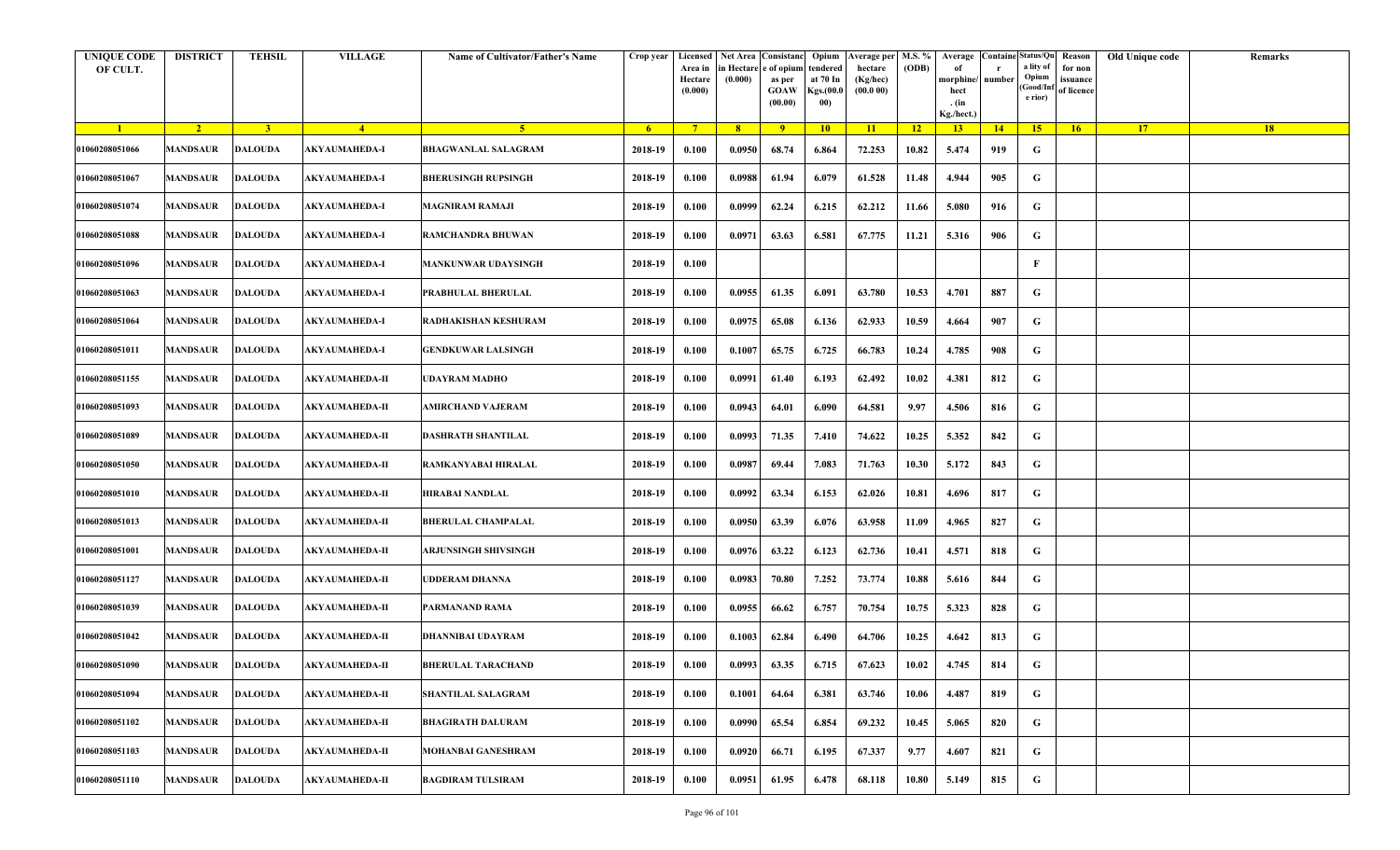| <b>UNIQUE CODE</b><br>OF CULT.     | <b>DISTRICT</b>               | <b>TEHSIL</b>                    | <b>VILLAGE</b>              | Name of Cultivator/Father's Name | Crop year   | Area in<br>Hectare<br>(0.000) | Licensed Net Area Consistanc<br>ı Hectar<br>(0.000) | e of opium<br>as per<br><b>GOAW</b><br>(00.00) | Opium<br>tendered<br>at 70 In<br>Kgs.(00.0<br>00) | Average per   M.S. %<br>hectare<br>(Kg/hec)<br>(00.000) | (ODB) | Average<br>morphine/<br>hect<br>. (in | <b>Containe Status/Qu</b><br>number | a lity of<br>Opium<br>(Good/In:<br>e rior) | Reason<br>for non<br>issuance<br>of licence | Old Unique code | Remarks |
|------------------------------------|-------------------------------|----------------------------------|-----------------------------|----------------------------------|-------------|-------------------------------|-----------------------------------------------------|------------------------------------------------|---------------------------------------------------|---------------------------------------------------------|-------|---------------------------------------|-------------------------------------|--------------------------------------------|---------------------------------------------|-----------------|---------|
|                                    |                               |                                  |                             | -5.                              |             |                               |                                                     |                                                |                                                   |                                                         |       | Kg./hect.)                            |                                     |                                            |                                             |                 |         |
| $\blacksquare$ 1<br>01060208051066 | $\sqrt{2}$<br><b>MANDSAUR</b> | 3 <sup>7</sup><br><b>DALOUDA</b> | $\sqrt{4}$<br>AKYAUMAHEDA-I | <b>BHAGWANLAL SALAGRAM</b>       | $6^{\circ}$ | $-7$                          | 8 <sup>1</sup>                                      | $-9$                                           | 10                                                | $\vert$ 11                                              | $-12$ | 13                                    | 14                                  | 15                                         | 16                                          | 17              | 18      |
|                                    |                               |                                  |                             |                                  | 2018-19     | 0.100                         | 0.0950                                              | 68.74                                          | 6.864                                             | 72.253                                                  | 10.82 | 5.474                                 | 919                                 | G                                          |                                             |                 |         |
| 01060208051067                     | MANDSAUR                      | <b>DALOUDA</b>                   | AKYAUMAHEDA-I               | <b>BHERUSINGH RUPSINGH</b>       | 2018-19     | 0.100                         | 0.0988                                              | 61.94                                          | 6.079                                             | 61.528                                                  | 11.48 | 4.944                                 | 905                                 | G                                          |                                             |                 |         |
| 01060208051074                     | <b>MANDSAUR</b>               | <b>DALOUDA</b>                   | AKYAUMAHEDA-I               | <b>MAGNIRAM RAMAJI</b>           | 2018-19     | 0.100                         | 0.0999                                              | 62.24                                          | 6.215                                             | 62.212                                                  | 11.66 | 5.080                                 | 916                                 | G                                          |                                             |                 |         |
| 01060208051088                     | <b>MANDSAUR</b>               | <b>DALOUDA</b>                   | <b>AKYAUMAHEDA-I</b>        | RAMCHANDRA BHUWAN                | 2018-19     | 0.100                         | 0.0971                                              | 63.63                                          | 6.581                                             | 67.775                                                  | 11.21 | 5.316                                 | 906                                 | G                                          |                                             |                 |         |
| 01060208051096                     | <b>MANDSAUR</b>               | <b>DALOUDA</b>                   | AKYAUMAHEDA-I               | <b>MANKUNWAR UDAYSINGH</b>       | 2018-19     | 0.100                         |                                                     |                                                |                                                   |                                                         |       |                                       |                                     | $\mathbf{F}$                               |                                             |                 |         |
| 01060208051063                     | <b>MANDSAUR</b>               | <b>DALOUDA</b>                   | <b>AKYAUMAHEDA-I</b>        | PRABHULAL BHERULAL               | 2018-19     | 0.100                         | 0.0955                                              | 61.35                                          | 6.091                                             | 63.780                                                  | 10.53 | 4.701                                 | 887                                 | G                                          |                                             |                 |         |
| 01060208051064                     | MANDSAUR                      | <b>DALOUDA</b>                   | AKYAUMAHEDA-I               | RADHAKISHAN KESHURAM             | 2018-19     | 0.100                         | 0.0975                                              | 65.08                                          | 6.136                                             | 62.933                                                  | 10.59 | 4.664                                 | 907                                 | G                                          |                                             |                 |         |
| 01060208051011                     | MANDSAUR                      | <b>DALOUDA</b>                   | <b>AKYAUMAHEDA-I</b>        | <b>GENDKUWAR LALSINGH</b>        | 2018-19     | 0.100                         | 0.1007                                              | 65.75                                          | 6.725                                             | 66.783                                                  | 10.24 | 4.785                                 | 908                                 | G                                          |                                             |                 |         |
| 01060208051155                     | <b>MANDSAUR</b>               | <b>DALOUDA</b>                   | AKYAUMAHEDA-II              | <b>UDAYRAM MADHO</b>             | 2018-19     | 0.100                         | 0.0991                                              | 61.40                                          | 6.193                                             | 62.492                                                  | 10.02 | 4.381                                 | 812                                 | G                                          |                                             |                 |         |
| 01060208051093                     | <b>MANDSAUR</b>               | <b>DALOUDA</b>                   | AKYAUMAHEDA-II              | AMIRCHAND VAJERAM                | 2018-19     | 0.100                         | 0.0943                                              | 64.01                                          | 6.090                                             | 64.581                                                  | 9.97  | 4.506                                 | 816                                 | G                                          |                                             |                 |         |
| 01060208051089                     | MANDSAUR                      | <b>DALOUDA</b>                   | <b>AKYAUMAHEDA-II</b>       | DASHRATH SHANTILAL               | 2018-19     | 0.100                         | 0.0993                                              | 71.35                                          | 7.410                                             | 74.622                                                  | 10.25 | 5.352                                 | 842                                 | G                                          |                                             |                 |         |
| 01060208051050                     | <b>MANDSAUR</b>               | <b>DALOUDA</b>                   | AKYAUMAHEDA-II              | RAMKANYABAI HIRALAL              | 2018-19     | 0.100                         | 0.0987                                              | 69.44                                          | 7.083                                             | 71.763                                                  | 10.30 | 5.172                                 | 843                                 | G                                          |                                             |                 |         |
| 01060208051010                     | <b>MANDSAUR</b>               | <b>DALOUDA</b>                   | AKYAUMAHEDA-II              | <b>HIRABAI NANDLAL</b>           | 2018-19     | 0.100                         | 0.0992                                              | 63.34                                          | 6.153                                             | 62.026                                                  | 10.81 | 4.696                                 | 817                                 | G                                          |                                             |                 |         |
| 01060208051013                     | MANDSAUR                      | <b>DALOUDA</b>                   | AKYAUMAHEDA-II              | <b>BHERULAL CHAMPALAL</b>        | 2018-19     | 0.100                         | 0.0950                                              | 63.39                                          | 6.076                                             | 63.958                                                  | 11.09 | 4.965                                 | 827                                 | G                                          |                                             |                 |         |
| 01060208051001                     | MANDSAUR                      | <b>DALOUDA</b>                   | AKYAUMAHEDA-II              | ARJUNSINGH SHIVSINGH             | 2018-19     | 0.100                         | 0.0976                                              | 63.22                                          | 6.123                                             | 62.736                                                  | 10.41 | 4.571                                 | 818                                 | G                                          |                                             |                 |         |
| 01060208051127                     | <b>MANDSAUR</b>               | <b>DALOUDA</b>                   | AKYAUMAHEDA-II              | <b>UDDERAM DHANNA</b>            | 2018-19     | 0.100                         | 0.0983                                              | 70.80                                          | 7.252                                             | 73.774                                                  | 10.88 | 5.616                                 | 844                                 | G                                          |                                             |                 |         |
| 01060208051039                     | MANDSAUR                      | <b>DALOUDA</b>                   | AKYAUMAHEDA-II              | PARMANAND RAMA                   | 2018-19     | 0.100                         | 0.0955                                              | 66.62                                          | 6.757                                             | 70.754                                                  | 10.75 | 5.323                                 | 828                                 | G                                          |                                             |                 |         |
| 01060208051042                     | MANDSAUR                      | <b>DALOUDA</b>                   | AKYAUMAHEDA-II              | DHANNIBAI UDAYRAM                | 2018-19     | 0.100                         | 0.1003                                              | 62.84                                          | 6.490                                             | 64.706                                                  | 10.25 | 4.642                                 | 813                                 | G                                          |                                             |                 |         |
| 01060208051090                     | <b>MANDSAUR</b>               | <b>DALOUDA</b>                   | AKYAUMAHEDA-II              | <b>BHERULAL TARACHAND</b>        | 2018-19     | 0.100                         | 0.0993                                              | 63.35                                          | 6.715                                             | 67.623                                                  | 10.02 | 4.745                                 | 814                                 | G                                          |                                             |                 |         |
| 01060208051094                     | <b>MANDSAUR</b>               | <b>DALOUDA</b>                   | AKYAUMAHEDA-II              | <b>SHANTILAL SALAGRAM</b>        | 2018-19     | 0.100                         | 0.1001                                              | 64.64                                          | 6.381                                             | 63.746                                                  | 10.06 | 4.487                                 | 819                                 | G                                          |                                             |                 |         |
| 01060208051102                     | <b>MANDSAUR</b>               | <b>DALOUDA</b>                   | AKYAUMAHEDA-II              | <b>BHAGIRATH DALURAM</b>         | 2018-19     | 0.100                         | 0.0990                                              | 65.54                                          | 6.854                                             | 69.232                                                  | 10.45 | 5.065                                 | 820                                 | G                                          |                                             |                 |         |
| 01060208051103                     | <b>MANDSAUR</b>               | <b>DALOUDA</b>                   | AKYAUMAHEDA-II              | MOHANBAI GANESHRAM               | 2018-19     | 0.100                         | 0.0920                                              | 66.71                                          | 6.195                                             | 67.337                                                  | 9.77  | 4.607                                 | 821                                 | G                                          |                                             |                 |         |
| 01060208051110                     | <b>MANDSAUR</b>               | <b>DALOUDA</b>                   | AKYAUMAHEDA-II              | <b>BAGDIRAM TULSIRAM</b>         | 2018-19     | 0.100                         | 0.0951                                              | 61.95                                          | 6.478                                             | 68.118                                                  | 10.80 | 5.149                                 | 815                                 | G                                          |                                             |                 |         |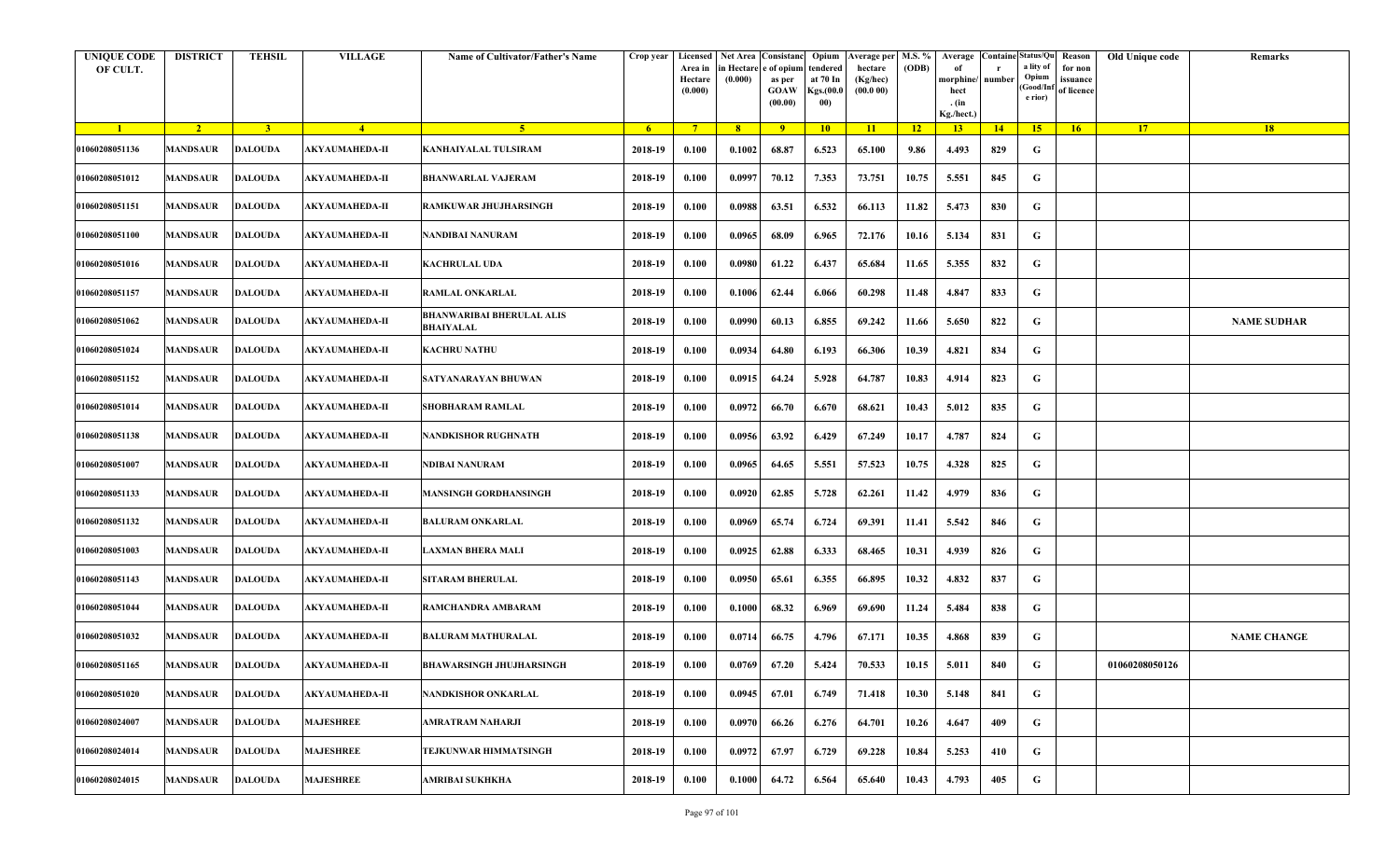| <b>UNIQUE CODE</b><br>OF CULT. | <b>DISTRICT</b> | <b>TEHSIL</b>  | <b>VILLAGE</b>        | Name of Cultivator/Father's Name              | Crop year      | Area in<br>Hectare<br>(0.000) | in Hectare<br>(0.000) | Licensed Net Area Consistanc Opium<br>e of opium<br>as per<br><b>GOAW</b><br>(00.00) | endered<br>at 70 In<br>Kgs.(00.0<br>00) | Average per M.S. %<br>hectare<br>(Kg/hec)<br>(00.000) | (ODB)           | Average<br>morphine/<br>hect<br>. $(in$<br>Kg./hect.) | Containe Status/Qu<br>number | a lity of<br>Opium<br>Good/Inf<br>e rior) | Reason<br>for non<br>issuance<br>of licence | Old Unique code | Remarks            |
|--------------------------------|-----------------|----------------|-----------------------|-----------------------------------------------|----------------|-------------------------------|-----------------------|--------------------------------------------------------------------------------------|-----------------------------------------|-------------------------------------------------------|-----------------|-------------------------------------------------------|------------------------------|-------------------------------------------|---------------------------------------------|-----------------|--------------------|
| $\blacksquare$                 | $\sqrt{2}$      | 3 <sup>l</sup> | $\sqrt{4}$            | -5.                                           | 6 <sup>6</sup> | $7^{\circ}$                   | 8 <sup>1</sup>        | $\overline{9}$                                                                       | 10                                      | $\vert$ 11                                            | $\overline{12}$ | 13                                                    | 14                           | 15                                        | 16                                          | 17              | 18                 |
| 01060208051136                 | <b>MANDSAUR</b> | <b>DALOUDA</b> | <b>AKYAUMAHEDA-II</b> | KANHAIYALAL TULSIRAM                          | 2018-19        | 0.100                         | 0.1002                | 68.87                                                                                | 6.523                                   | 65.100                                                | 9.86            | 4.493                                                 | 829                          | G                                         |                                             |                 |                    |
| 01060208051012                 | <b>MANDSAUR</b> | DALOUDA        | <b>AKYAUMAHEDA-II</b> | <b>BHANWARLAL VAJERAM</b>                     | 2018-19        | 0.100                         | 0.0997                | 70.12                                                                                | 7.353                                   | 73.751                                                | 10.75           | 5.551                                                 | 845                          | G                                         |                                             |                 |                    |
| 01060208051151                 | <b>MANDSAUR</b> | <b>DALOUDA</b> | AKYAUMAHEDA-II        | RAMKUWAR JHUJHARSINGH                         | 2018-19        | 0.100                         | 0.0988                | 63.51                                                                                | 6.532                                   | 66.113                                                | 11.82           | 5.473                                                 | 830                          | G                                         |                                             |                 |                    |
| 01060208051100                 | <b>MANDSAUR</b> | <b>DALOUDA</b> | <b>AKYAUMAHEDA-II</b> | NANDIBAI NANURAM                              | 2018-19        | 0.100                         | 0.0965                | 68.09                                                                                | 6.965                                   | 72.176                                                | 10.16           | 5.134                                                 | 831                          | G                                         |                                             |                 |                    |
| 01060208051016                 | <b>MANDSAUR</b> | <b>DALOUDA</b> | <b>AKYAUMAHEDA-II</b> | <b>KACHRULAL UDA</b>                          | 2018-19        | 0.100                         | 0.0980                | 61.22                                                                                | 6.437                                   | 65.684                                                | 11.65           | 5.355                                                 | 832                          | G                                         |                                             |                 |                    |
| 01060208051157                 | <b>MANDSAUR</b> | <b>DALOUDA</b> | <b>AKYAUMAHEDA-II</b> | RAMLAL ONKARLAL                               | 2018-19        | 0.100                         | 0.1006                | 62.44                                                                                | 6.066                                   | 60.298                                                | 11.48           | 4.847                                                 | 833                          | G                                         |                                             |                 |                    |
| 01060208051062                 | <b>MANDSAUR</b> | <b>DALOUDA</b> | <b>AKYAUMAHEDA-II</b> | BHANWARIBAI BHERULAL ALIS<br><b>BHAIYALAL</b> | 2018-19        | 0.100                         | 0.0990                | 60.13                                                                                | 6.855                                   | 69.242                                                | 11.66           | 5.650                                                 | 822                          | G                                         |                                             |                 | <b>NAME SUDHAR</b> |
| 01060208051024                 | <b>MANDSAUR</b> | <b>DALOUDA</b> | <b>AKYAUMAHEDA-II</b> | <b>KACHRU NATHU</b>                           | 2018-19        | 0.100                         | 0.0934                | 64.80                                                                                | 6.193                                   | 66.306                                                | 10.39           | 4.821                                                 | 834                          | G                                         |                                             |                 |                    |
| 01060208051152                 | <b>MANDSAUR</b> | <b>DALOUDA</b> | <b>AKYAUMAHEDA-II</b> | <b>SATYANARAYAN BHUWAN</b>                    | 2018-19        | 0.100                         | 0.0915                | 64.24                                                                                | 5.928                                   | 64.787                                                | 10.83           | 4.914                                                 | 823                          | G                                         |                                             |                 |                    |
| 01060208051014                 | MANDSAUR        | DALOUDA        | AKYAUMAHEDA-II        | SHOBHARAM RAMLAL                              | 2018-19        | 0.100                         | 0.0972                | 66.70                                                                                | 6.670                                   | 68.621                                                | 10.43           | 5.012                                                 | 835                          | G                                         |                                             |                 |                    |
| 01060208051138                 | <b>MANDSAUR</b> | DALOUDA        | <b>AKYAUMAHEDA-II</b> | NANDKISHOR RUGHNATH                           | 2018-19        | 0.100                         | 0.0956                | 63.92                                                                                | 6.429                                   | 67.249                                                | 10.17           | 4.787                                                 | 824                          | G                                         |                                             |                 |                    |
| 01060208051007                 | <b>MANDSAUR</b> | <b>DALOUDA</b> | AKYAUMAHEDA-II        | NDIBAI NANURAM                                | 2018-19        | 0.100                         | 0.0965                | 64.65                                                                                | 5.551                                   | 57.523                                                | 10.75           | 4.328                                                 | 825                          | G                                         |                                             |                 |                    |
| 01060208051133                 | <b>MANDSAUR</b> | <b>DALOUDA</b> | <b>AKYAUMAHEDA-II</b> | <b>MANSINGH GORDHANSINGH</b>                  | 2018-19        | 0.100                         | 0.0920                | 62.85                                                                                | 5.728                                   | 62.261                                                | 11.42           | 4.979                                                 | 836                          | G                                         |                                             |                 |                    |
| 01060208051132                 | <b>MANDSAUR</b> | <b>DALOUDA</b> | <b>AKYAUMAHEDA-II</b> | <b>BALURAM ONKARLAL</b>                       | 2018-19        | 0.100                         | 0.0969                | 65.74                                                                                | 6.724                                   | 69.391                                                | 11.41           | 5.542                                                 | 846                          | G                                         |                                             |                 |                    |
| 01060208051003                 | <b>MANDSAUR</b> | <b>DALOUDA</b> | <b>AKYAUMAHEDA-II</b> | LAXMAN BHERA MALI                             | 2018-19        | 0.100                         | 0.0925                | 62.88                                                                                | 6.333                                   | 68.465                                                | 10.31           | 4.939                                                 | 826                          | G                                         |                                             |                 |                    |
| 01060208051143                 | <b>MANDSAUR</b> | <b>DALOUDA</b> | <b>AKYAUMAHEDA-II</b> | <b>SITARAM BHERULAL</b>                       | 2018-19        | 0.100                         | 0.0950                | 65.61                                                                                | 6.355                                   | 66.895                                                | 10.32           | 4.832                                                 | 837                          | G                                         |                                             |                 |                    |
| 01060208051044                 | <b>MANDSAUR</b> | <b>DALOUDA</b> | <b>AKYAUMAHEDA-II</b> | RAMCHANDRA AMBARAM                            | 2018-19        | 0.100                         | 0.1000                | 68.32                                                                                | 6.969                                   | 69.690                                                | 11.24           | 5.484                                                 | 838                          | G                                         |                                             |                 |                    |
| 01060208051032                 | <b>MANDSAUR</b> | <b>DALOUDA</b> | <b>AKYAUMAHEDA-II</b> | <b>BALURAM MATHURALAL</b>                     | 2018-19        | 0.100                         | 0.0714                | 66.75                                                                                | 4.796                                   | 67.171                                                | 10.35           | 4.868                                                 | 839                          | G                                         |                                             |                 | <b>NAME CHANGE</b> |
| 01060208051165                 | <b>MANDSAUR</b> | DALOUDA        | AKYAUMAHEDA-II        | BHAWARSINGH JHUJHARSINGH                      | 2018-19        | 0.100                         | 0.0769                | 67.20                                                                                | 5.424                                   | 70.533                                                | 10.15           | 5.011                                                 | 840                          | G                                         |                                             | 01060208050126  |                    |
| 01060208051020                 | <b>MANDSAUR</b> | <b>DALOUDA</b> | <b>AKYAUMAHEDA-II</b> | <b>NANDKISHOR ONKARLAL</b>                    | 2018-19        | 0.100                         | 0.0945                | 67.01                                                                                | 6.749                                   | 71.418                                                | 10.30           | 5.148                                                 | 841                          | G                                         |                                             |                 |                    |
| 01060208024007                 | <b>MANDSAUR</b> | <b>DALOUDA</b> | <b>MAJESHREE</b>      | AMRATRAM NAHARJI                              | 2018-19        | 0.100                         | 0.0970                | 66.26                                                                                | 6.276                                   | 64.701                                                | 10.26           | 4.647                                                 | 409                          | G                                         |                                             |                 |                    |
| 01060208024014                 | <b>MANDSAUR</b> | <b>DALOUDA</b> | <b>MAJESHREE</b>      | TEJKUNWAR HIMMATSINGH                         | 2018-19        | 0.100                         | 0.0972                | 67.97                                                                                | 6.729                                   | 69.228                                                | 10.84           | 5.253                                                 | 410                          | G                                         |                                             |                 |                    |
| 01060208024015                 | <b>MANDSAUR</b> | <b>DALOUDA</b> | <b>MAJESHREE</b>      | AMRIBAI SUKHKHA                               | 2018-19        | 0.100                         | 0.1000                | 64.72                                                                                | 6.564                                   | 65.640                                                | 10.43           | 4.793                                                 | 405                          | G                                         |                                             |                 |                    |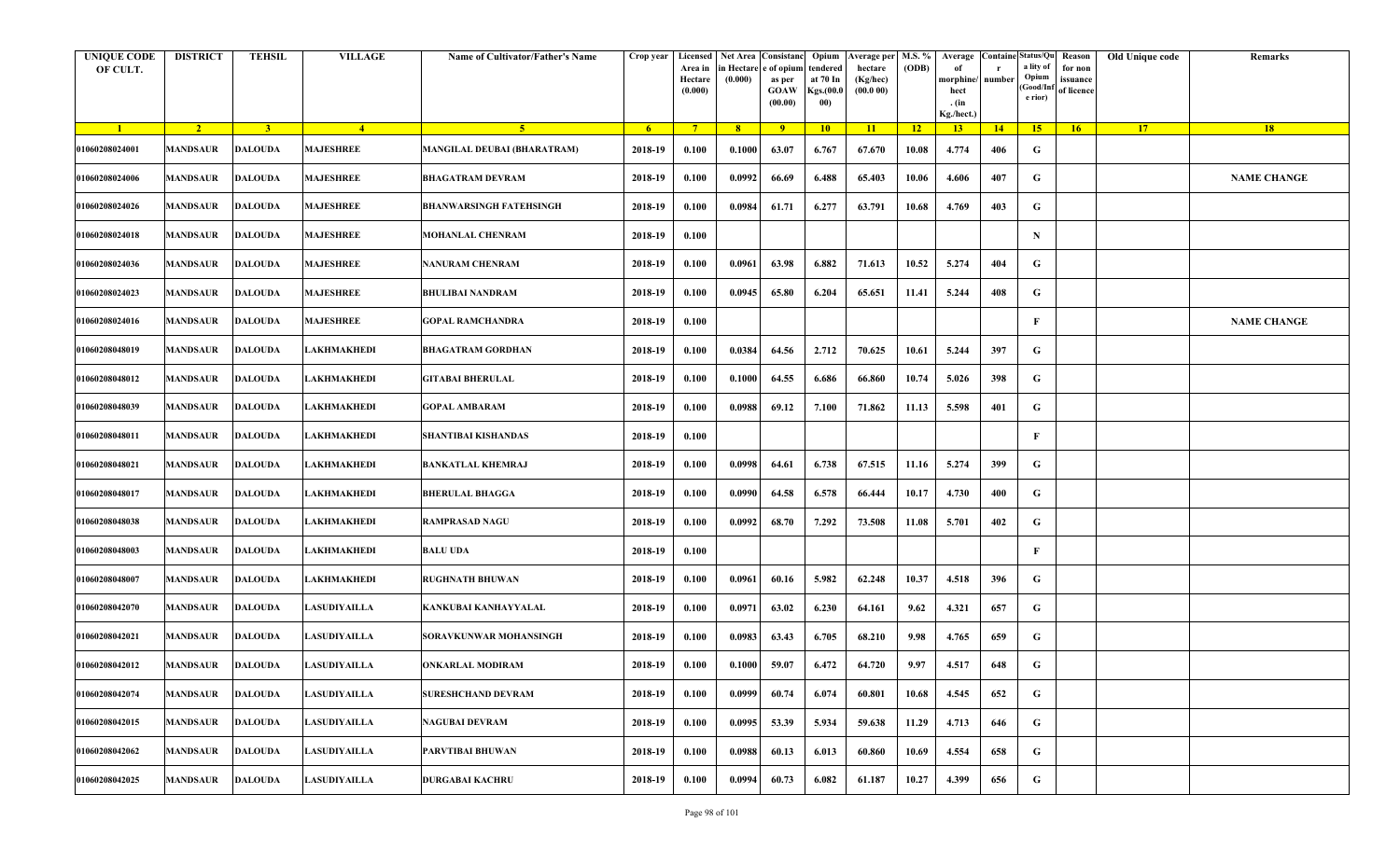| <b>UNIQUE CODE</b><br>OF CULT. | <b>DISTRICT</b> | <b>TEHSIL</b>  | <b>VILLAGE</b>      | <b>Name of Cultivator/Father's Name</b> | Crop year      | Area in<br>Hectare<br>(0.000) | in Hectare<br>(0.000) | Licensed   Net Area   Consistanc   Opium<br>e of opium<br>as per<br><b>GOAW</b><br>(00.00) | tendered<br>at 70 In<br>Kgs.(00.0<br>00) | Verage per   M.S. %<br>hectare<br>(Kg/hec)<br>(00.000) | (ODB)           | Average<br>morphine/<br>hect<br>. $(in$<br>Kg./hect.) | number | <b>Containe Status/Qu</b><br>a lity of<br>Opium<br>Good/Inf<br>e rior) | Reason<br>for non<br>issuance<br>of licence | Old Unique code | Remarks            |
|--------------------------------|-----------------|----------------|---------------------|-----------------------------------------|----------------|-------------------------------|-----------------------|--------------------------------------------------------------------------------------------|------------------------------------------|--------------------------------------------------------|-----------------|-------------------------------------------------------|--------|------------------------------------------------------------------------|---------------------------------------------|-----------------|--------------------|
| $\blacksquare$                 | $\sqrt{2}$      | 3 <sup>7</sup> | $-4$                | 5 <sup>5</sup>                          | 6 <sup>6</sup> | $-7$                          | 8 <sup>1</sup>        | $-9$                                                                                       | 10                                       | $\vert$ 11                                             | $\overline{12}$ | 13                                                    | 14     | 15                                                                     | 16                                          | 17              | 18                 |
| 01060208024001                 | <b>MANDSAUR</b> | <b>DALOUDA</b> | <b>MAJESHREE</b>    | MANGILAL DEUBAI (BHARATRAM)             | 2018-19        | 0.100                         | 0.1000                | 63.07                                                                                      | 6.767                                    | 67.670                                                 | 10.08           | 4.774                                                 | 406    | G                                                                      |                                             |                 |                    |
| 01060208024006                 | MANDSAUR        | DALOUDA        | <b>MAJESHREE</b>    | <b>BHAGATRAM DEVRAM</b>                 | 2018-19        | 0.100                         | 0.0992                | 66.69                                                                                      | 6.488                                    | 65.403                                                 | 10.06           | 4.606                                                 | 407    | G                                                                      |                                             |                 | <b>NAME CHANGE</b> |
| 01060208024026                 | <b>MANDSAUR</b> | <b>DALOUDA</b> | <b>MAJESHREE</b>    | <b>BHANWARSINGH FATEHSINGH</b>          | 2018-19        | 0.100                         | 0.0984                | 61.71                                                                                      | 6.277                                    | 63.791                                                 | 10.68           | 4.769                                                 | 403    | G                                                                      |                                             |                 |                    |
| 01060208024018                 | <b>MANDSAUR</b> | <b>DALOUDA</b> | <b>MAJESHREE</b>    | <b>MOHANLAL CHENRAM</b>                 | 2018-19        | 0.100                         |                       |                                                                                            |                                          |                                                        |                 |                                                       |        | N                                                                      |                                             |                 |                    |
| 01060208024036                 | <b>MANDSAUR</b> | <b>DALOUDA</b> | <b>MAJESHREE</b>    | <b>NANURAM CHENRAM</b>                  | 2018-19        | 0.100                         | 0.0961                | 63.98                                                                                      | 6.882                                    | 71.613                                                 | 10.52           | 5.274                                                 | 404    | G                                                                      |                                             |                 |                    |
| 01060208024023                 | <b>MANDSAUR</b> | <b>DALOUDA</b> | <b>MAJESHREE</b>    | <b>BHULIBAI NANDRAM</b>                 | 2018-19        | 0.100                         | 0.0945                | 65.80                                                                                      | 6.204                                    | 65.651                                                 | 11.41           | 5.244                                                 | 408    | G                                                                      |                                             |                 |                    |
| 01060208024016                 | <b>MANDSAUR</b> | <b>DALOUDA</b> | <b>MAJESHREE</b>    | <b>GOPAL RAMCHANDRA</b>                 | 2018-19        | 0.100                         |                       |                                                                                            |                                          |                                                        |                 |                                                       |        | F                                                                      |                                             |                 | <b>NAME CHANGE</b> |
| 01060208048019                 | <b>MANDSAUR</b> | <b>DALOUDA</b> | LAKHMAKHEDI         | <b>BHAGATRAM GORDHAN</b>                | 2018-19        | 0.100                         | 0.0384                | 64.56                                                                                      | 2.712                                    | 70.625                                                 | 10.61           | 5.244                                                 | 397    | G                                                                      |                                             |                 |                    |
| 01060208048012                 | <b>MANDSAUR</b> | <b>DALOUDA</b> | LAKHMAKHEDI         | <b>GITABAI BHERULAL</b>                 | 2018-19        | 0.100                         | 0.1000                | 64.55                                                                                      | 6.686                                    | 66.860                                                 | 10.74           | 5.026                                                 | 398    | G                                                                      |                                             |                 |                    |
| 01060208048039                 | MANDSAUR        | DALOUDA        | LAKHMAKHEDI         | <b>GOPAL AMBARAM</b>                    | 2018-19        | 0.100                         | 0.0988                | 69.12                                                                                      | 7.100                                    | 71.862                                                 | 11.13           | 5.598                                                 | 401    | G                                                                      |                                             |                 |                    |
| 01060208048011                 | <b>MANDSAUR</b> | <b>DALOUDA</b> | <b>LAKHMAKHEDI</b>  | <b>SHANTIBAI KISHANDAS</b>              | 2018-19        | 0.100                         |                       |                                                                                            |                                          |                                                        |                 |                                                       |        | F                                                                      |                                             |                 |                    |
| 01060208048021                 | <b>MANDSAUR</b> | <b>DALOUDA</b> | LAKHMAKHEDI         | <b>BANKATLAL KHEMRAJ</b>                | 2018-19        | 0.100                         | 0.0998                | 64.61                                                                                      | 6.738                                    | 67.515                                                 | 11.16           | 5.274                                                 | 399    | G                                                                      |                                             |                 |                    |
| 01060208048017                 | <b>MANDSAUR</b> | <b>DALOUDA</b> | LAKHMAKHEDI         | <b>BHERULAL BHAGGA</b>                  | 2018-19        | 0.100                         | 0.0990                | 64.58                                                                                      | 6.578                                    | 66.444                                                 | 10.17           | 4.730                                                 | 400    | G                                                                      |                                             |                 |                    |
| 01060208048038                 | <b>MANDSAUR</b> | <b>DALOUDA</b> | LAKHMAKHEDI         | <b>RAMPRASAD NAGU</b>                   | 2018-19        | 0.100                         | 0.0992                | 68.70                                                                                      | 7.292                                    | 73.508                                                 | 11.08           | 5.701                                                 | 402    | G                                                                      |                                             |                 |                    |
| 01060208048003                 | MANDSAUR        | <b>DALOUDA</b> | LAKHMAKHEDI         | <b>BALU UDA</b>                         | 2018-19        | 0.100                         |                       |                                                                                            |                                          |                                                        |                 |                                                       |        | F                                                                      |                                             |                 |                    |
| 01060208048007                 | <b>MANDSAUR</b> | <b>DALOUDA</b> | LAKHMAKHEDI         | <b>RUGHNATH BHUWAN</b>                  | 2018-19        | 0.100                         | 0.0961                | 60.16                                                                                      | 5.982                                    | 62.248                                                 | 10.37           | 4.518                                                 | 396    | G                                                                      |                                             |                 |                    |
| 01060208042070                 | <b>MANDSAUR</b> | <b>DALOUDA</b> | LASUDIYAILLA        | KANKUBAI KANHAYYALAL                    | 2018-19        | 0.100                         | 0.0971                | 63.02                                                                                      | 6.230                                    | 64.161                                                 | 9.62            | 4.321                                                 | 657    | G                                                                      |                                             |                 |                    |
| 01060208042021                 | <b>MANDSAUR</b> | <b>DALOUDA</b> | LASUDIYAILLA        | <b>SORAVKUNWAR MOHANSINGH</b>           | 2018-19        | 0.100                         | 0.0983                | 63.43                                                                                      | 6.705                                    | 68.210                                                 | 9.98            | 4.765                                                 | 659    | G                                                                      |                                             |                 |                    |
| 01060208042012                 | MANDSAUR        | DALOUDA        | <b>LASUDIYAILLA</b> | <b>ONKARLAL MODIRAM</b>                 | 2018-19        | 0.100                         | 0.1000                | 59.07                                                                                      | 6.472                                    | 64.720                                                 | 9.97            | 4.517                                                 | 648    | G                                                                      |                                             |                 |                    |
| 01060208042074                 | <b>MANDSAUR</b> | <b>DALOUDA</b> | <b>LASUDIYAILLA</b> | <b>SURESHCHAND DEVRAM</b>               | 2018-19        | 0.100                         | 0.0999                | 60.74                                                                                      | 6.074                                    | 60.801                                                 | 10.68           | 4.545                                                 | 652    | G                                                                      |                                             |                 |                    |
| 01060208042015                 | <b>MANDSAUR</b> | <b>DALOUDA</b> | LASUDIYAILLA        | <b>NAGUBAI DEVRAM</b>                   | 2018-19        | 0.100                         | 0.0995                | 53.39                                                                                      | 5.934                                    | 59.638                                                 | 11.29           | 4.713                                                 | 646    | G                                                                      |                                             |                 |                    |
| 01060208042062                 | <b>MANDSAUR</b> | <b>DALOUDA</b> | LASUDIYAILLA        | PARVTIBAI BHUWAN                        | 2018-19        | 0.100                         | 0.0988                | 60.13                                                                                      | 6.013                                    | 60.860                                                 | 10.69           | 4.554                                                 | 658    | ${\bf G}$                                                              |                                             |                 |                    |
| 01060208042025                 | <b>MANDSAUR</b> | <b>DALOUDA</b> | LASUDIYAILLA        | <b>DURGABAI KACHRU</b>                  | 2018-19        | 0.100                         | 0.0994                | 60.73                                                                                      | 6.082                                    | 61.187                                                 | 10.27           | 4.399                                                 | 656    | ${\bf G}$                                                              |                                             |                 |                    |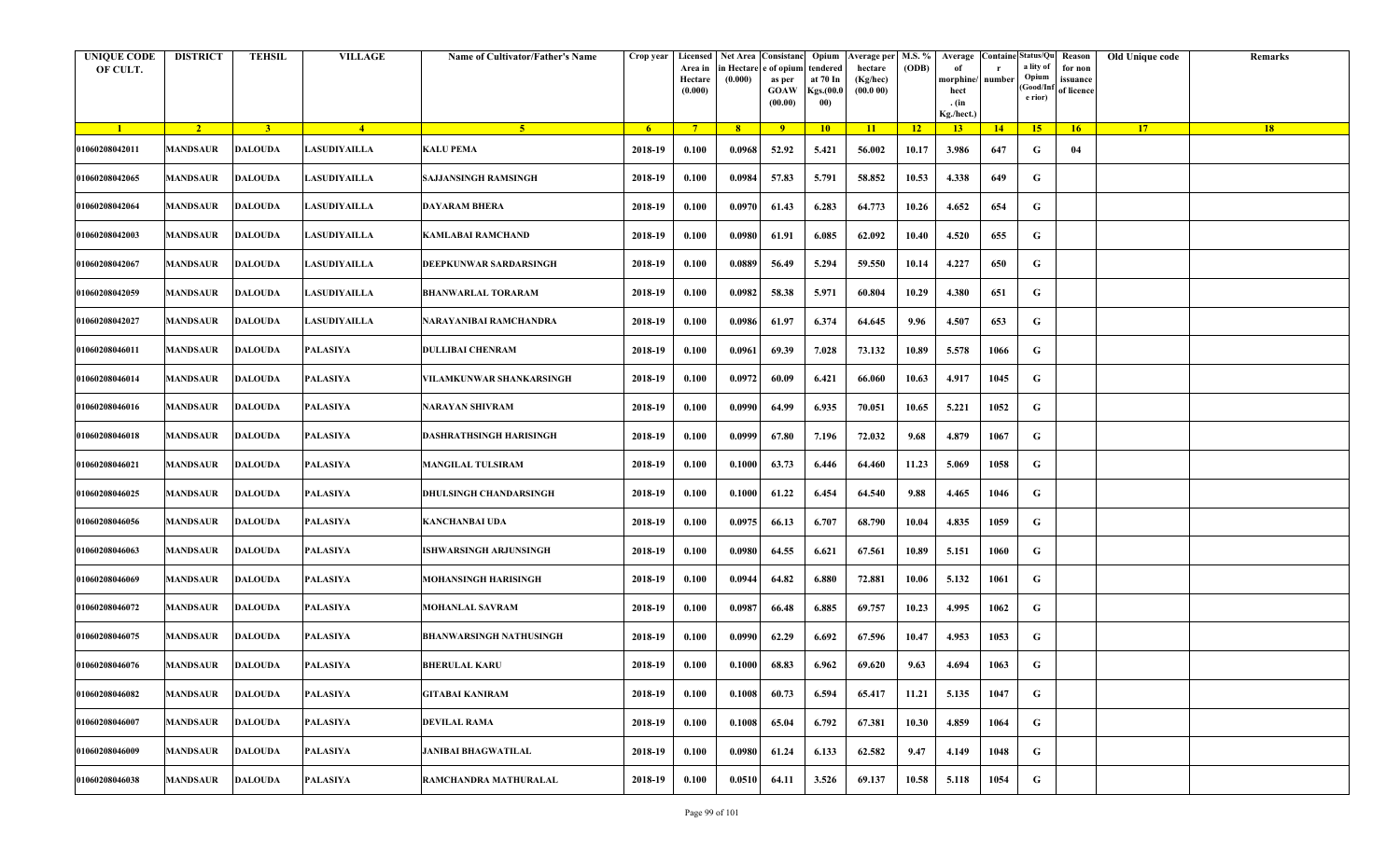| <b>UNIQUE CODE</b><br>OF CULT. | <b>DISTRICT</b> | <b>TEHSIL</b>  | <b>VILLAGE</b>  | Name of Cultivator/Father's Name | Crop year   | Area in<br>Hectare<br>(0.000) | Licensed Net Area Consistanc<br>ı Hectar<br>(0.000) | e of opium<br>as per<br><b>GOAW</b><br>(00.00) | Opium<br>tendered<br>at 70 In<br>Kgs.(00.<br>00) | Average per   M.S. %<br>hectare<br>(Kg/hec)<br>(00.000) | (ODB) | Average<br>morphine/<br>hect<br>. (in<br>Kg./hect.) | <b>Containe Status/Qu</b><br>number | a lity of<br>Opium<br>(Good/In:<br>e rior) | Reason<br>for non<br>issuance<br>of licence | Old Unique code | Remarks |
|--------------------------------|-----------------|----------------|-----------------|----------------------------------|-------------|-------------------------------|-----------------------------------------------------|------------------------------------------------|--------------------------------------------------|---------------------------------------------------------|-------|-----------------------------------------------------|-------------------------------------|--------------------------------------------|---------------------------------------------|-----------------|---------|
| $\blacksquare$ 1               | $\sqrt{2}$      | 3 <sup>7</sup> | $\sqrt{4}$      | 5 <sup>1</sup>                   | $6^{\circ}$ | $-7$                          | 8 <sup>1</sup>                                      | $-9$                                           | 10                                               | $\vert$ 11                                              | $-12$ | 13                                                  | 14                                  | 15                                         | 16                                          | 17              | 18      |
| 01060208042011                 | MANDSAUR        | <b>DALOUDA</b> | LASUDIYAILLA    | <b>KALU PEMA</b>                 | 2018-19     | 0.100                         | 0.0968                                              | 52.92                                          | 5.421                                            | 56.002                                                  | 10.17 | 3.986                                               | 647                                 | G                                          | 04                                          |                 |         |
| 01060208042065                 | MANDSAUR        | <b>DALOUDA</b> | LASUDIYAILLA    | SAJJANSINGH RAMSINGH             | 2018-19     | 0.100                         | 0.0984                                              | 57.83                                          | 5.791                                            | 58.852                                                  | 10.53 | 4.338                                               | 649                                 | G                                          |                                             |                 |         |
| 01060208042064                 | <b>MANDSAUR</b> | <b>DALOUDA</b> | LASUDIYAILLA    | <b>DAYARAM BHERA</b>             | 2018-19     | 0.100                         | 0.0970                                              | 61.43                                          | 6.283                                            | 64.773                                                  | 10.26 | 4.652                                               | 654                                 | G                                          |                                             |                 |         |
| 01060208042003                 | <b>MANDSAUR</b> | <b>DALOUDA</b> | LASUDIYAILLA    | <b>KAMLABAI RAMCHAND</b>         | 2018-19     | 0.100                         | 0.0980                                              | 61.91                                          | 6.085                                            | 62.092                                                  | 10.40 | 4.520                                               | 655                                 | G                                          |                                             |                 |         |
| 01060208042067                 | <b>MANDSAUR</b> | <b>DALOUDA</b> | LASUDIYAILLA    | DEEPKUNWAR SARDARSINGH           | 2018-19     | 0.100                         | 0.0889                                              | 56.49                                          | 5.294                                            | 59.550                                                  | 10.14 | 4.227                                               | 650                                 | G                                          |                                             |                 |         |
| 01060208042059                 | <b>MANDSAUR</b> | <b>DALOUDA</b> | LASUDIYAILLA    | <b>BHANWARLAL TORARAM</b>        | 2018-19     | 0.100                         | 0.0982                                              | 58.38                                          | 5.971                                            | 60.804                                                  | 10.29 | 4.380                                               | 651                                 | G                                          |                                             |                 |         |
| 01060208042027                 | MANDSAUR        | <b>DALOUDA</b> | LASUDIYAILLA    | NARAYANIBAI RAMCHANDRA           | 2018-19     | 0.100                         | 0.0986                                              | 61.97                                          | 6.374                                            | 64.645                                                  | 9.96  | 4.507                                               | 653                                 | G                                          |                                             |                 |         |
| 01060208046011                 | MANDSAUR        | <b>DALOUDA</b> | PALASIYA        | <b>DULLIBAI CHENRAM</b>          | 2018-19     | 0.100                         | 0.0961                                              | 69.39                                          | 7.028                                            | 73.132                                                  | 10.89 | 5.578                                               | 1066                                | G                                          |                                             |                 |         |
| 01060208046014                 | <b>MANDSAUR</b> | <b>DALOUDA</b> | PALASIYA        | VILAMKUNWAR SHANKARSINGH         | 2018-19     | 0.100                         | 0.0972                                              | 60.09                                          | 6.421                                            | 66.060                                                  | 10.63 | 4.917                                               | 1045                                | G                                          |                                             |                 |         |
| 01060208046016                 | MANDSAUR        | <b>DALOUDA</b> | PALASIYA        | NARAYAN SHIVRAM                  | 2018-19     | 0.100                         | 0.0990                                              | 64.99                                          | 6.935                                            | 70.051                                                  | 10.65 | 5.221                                               | 1052                                | G                                          |                                             |                 |         |
| 01060208046018                 | MANDSAUR        | <b>DALOUDA</b> | PALASIYA        | DASHRATHSINGH HARISINGH          | 2018-19     | 0.100                         | 0.0999                                              | 67.80                                          | 7.196                                            | 72.032                                                  | 9.68  | 4.879                                               | 1067                                | G                                          |                                             |                 |         |
| 01060208046021                 | MANDSAUR        | <b>DALOUDA</b> | PALASIYA        | <b>MANGILAL TULSIRAM</b>         | 2018-19     | 0.100                         | 0.1000                                              | 63.73                                          | 6.446                                            | 64.460                                                  | 11.23 | 5.069                                               | 1058                                | G                                          |                                             |                 |         |
| 01060208046025                 | <b>MANDSAUR</b> | <b>DALOUDA</b> | <b>PALASIYA</b> | <b>DHULSINGH CHANDARSINGH</b>    | 2018-19     | 0.100                         | 0.1000                                              | 61.22                                          | 6.454                                            | 64.540                                                  | 9.88  | 4.465                                               | 1046                                | G                                          |                                             |                 |         |
| 01060208046056                 | MANDSAUR        | <b>DALOUDA</b> | <b>PALASIYA</b> | <b>KANCHANBAI UDA</b>            | 2018-19     | 0.100                         | 0.0975                                              | 66.13                                          | 6.707                                            | 68.790                                                  | 10.04 | 4.835                                               | 1059                                | G                                          |                                             |                 |         |
| 01060208046063                 | MANDSAUR        | <b>DALOUDA</b> | PALASIYA        | <b>ISHWARSINGH ARJUNSINGH</b>    | 2018-19     | 0.100                         | 0.0980                                              | 64.55                                          | 6.621                                            | 67.561                                                  | 10.89 | 5.151                                               | 1060                                | G                                          |                                             |                 |         |
| 01060208046069                 | <b>MANDSAUR</b> | <b>DALOUDA</b> | <b>PALASIYA</b> | <b>MOHANSINGH HARISINGH</b>      | 2018-19     | 0.100                         | 0.0944                                              | 64.82                                          | 6.880                                            | 72.881                                                  | 10.06 | 5.132                                               | 1061                                | G                                          |                                             |                 |         |
| 01060208046072                 | MANDSAUR        | <b>DALOUDA</b> | PALASIYA        | MOHANLAL SAVRAM                  | 2018-19     | 0.100                         | 0.0987                                              | 66.48                                          | 6.885                                            | 69.757                                                  | 10.23 | 4.995                                               | 1062                                | G                                          |                                             |                 |         |
| 01060208046075                 | MANDSAUR        | <b>DALOUDA</b> | PALASIYA        | <b>BHANWARSINGH NATHUSINGH</b>   | 2018-19     | 0.100                         | 0.0990                                              | 62.29                                          | 6.692                                            | 67.596                                                  | 10.47 | 4.953                                               | 1053                                | G                                          |                                             |                 |         |
| 01060208046076                 | MANDSAUR        | <b>DALOUDA</b> | <b>PALASIYA</b> | <b>BHERULAL KARU</b>             | 2018-19     | 0.100                         | 0.1000                                              | 68.83                                          | 6.962                                            | 69.620                                                  | 9.63  | 4.694                                               | 1063                                | G                                          |                                             |                 |         |
| 01060208046082                 | <b>MANDSAUR</b> | <b>DALOUDA</b> | PALASIYA        | <b>GITABAI KANIRAM</b>           | 2018-19     | 0.100                         | 0.1008                                              | 60.73                                          | 6.594                                            | 65.417                                                  | 11.21 | 5.135                                               | 1047                                | G                                          |                                             |                 |         |
| 01060208046007                 | <b>MANDSAUR</b> | <b>DALOUDA</b> | PALASIYA        | <b>DEVILAL RAMA</b>              | 2018-19     | 0.100                         | 0.1008                                              | 65.04                                          | 6.792                                            | 67.381                                                  | 10.30 | 4.859                                               | 1064                                | G                                          |                                             |                 |         |
| 01060208046009                 | <b>MANDSAUR</b> | <b>DALOUDA</b> | PALASIYA        | <b>JANIBAI BHAGWATILAL</b>       | 2018-19     | 0.100                         | 0.0980                                              | 61.24                                          | 6.133                                            | 62.582                                                  | 9.47  | 4.149                                               | 1048                                | G                                          |                                             |                 |         |
| 01060208046038                 | <b>MANDSAUR</b> | <b>DALOUDA</b> | <b>PALASIYA</b> | RAMCHANDRA MATHURALAL            | 2018-19     | 0.100                         | 0.0510                                              | 64.11                                          | 3.526                                            | 69.137                                                  | 10.58 | 5.118                                               | 1054                                | G                                          |                                             |                 |         |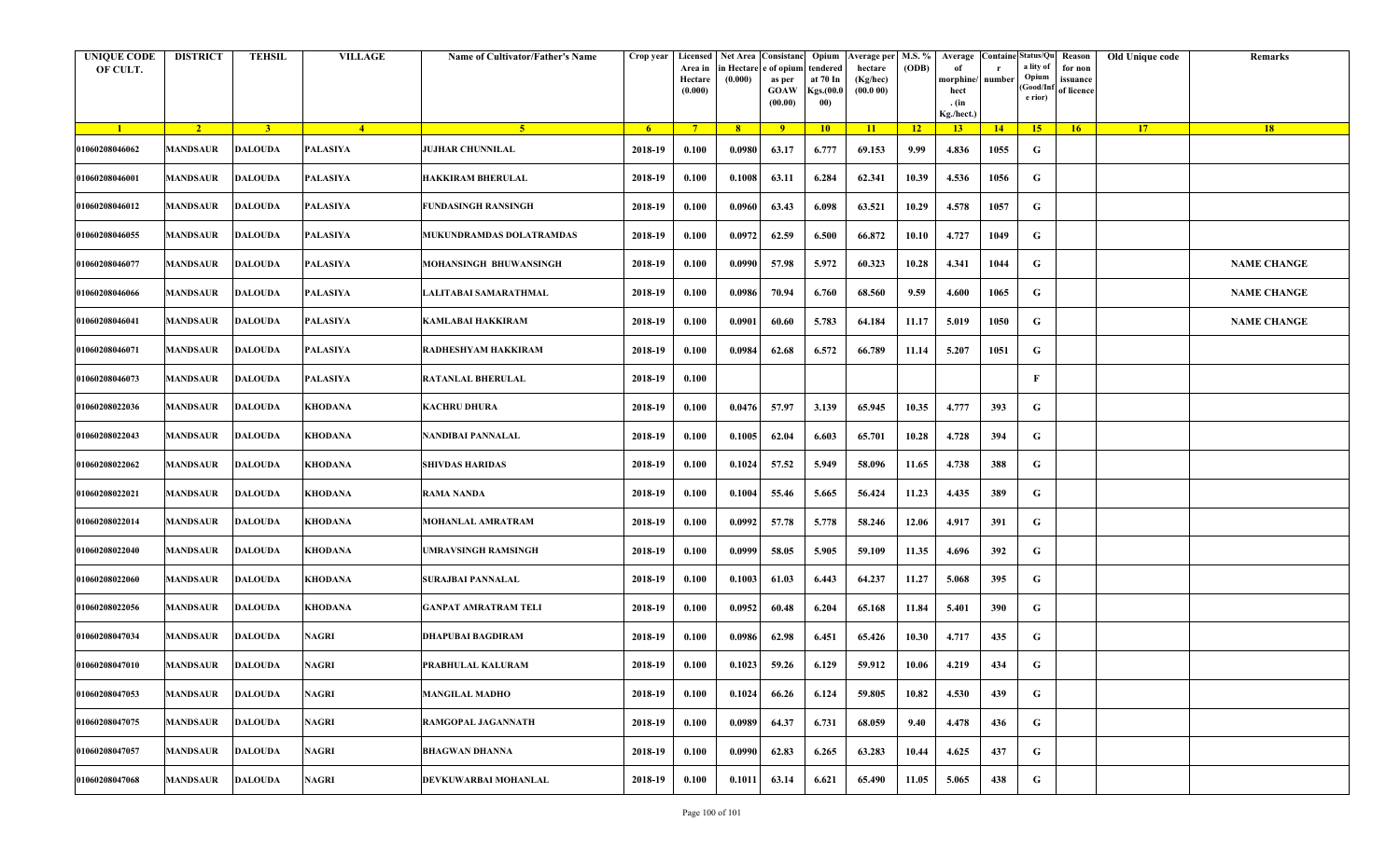| <b>UNIQUE CODE</b><br>OF CULT. | <b>DISTRICT</b> | <b>TEHSIL</b>  | <b>VILLAGE</b>  | <b>Name of Cultivator/Father's Name</b> | Crop year      | Area in<br>Hectare<br>(0.000) | in Hectare<br>(0.000) | Licensed Net Area   Consistanc   Opium<br>e of opium<br>as per<br><b>GOAW</b><br>(00.00) | tendered<br>at 70 In<br>Kgs.(00.0<br>00) | Verage per   M.S. %<br>hectare<br>(Kg/hec)<br>(00.000) | (ODB)           | Average<br>morphine/<br>hect<br>. $(in$<br>Kg./hect.) | number | <b>Containe Status/Qu</b><br>a lity of<br>Opium<br>Good/Inf<br>e rior) | Reason<br>for non<br>issuance<br>of licence | Old Unique code | Remarks            |
|--------------------------------|-----------------|----------------|-----------------|-----------------------------------------|----------------|-------------------------------|-----------------------|------------------------------------------------------------------------------------------|------------------------------------------|--------------------------------------------------------|-----------------|-------------------------------------------------------|--------|------------------------------------------------------------------------|---------------------------------------------|-----------------|--------------------|
| $\blacksquare$                 | $\sqrt{2}$      | 3 <sup>l</sup> | $-4$            | -5.                                     | 6 <sup>6</sup> | $-7$                          | 8 <sup>1</sup>        | $-9$                                                                                     | 10                                       | $\vert$ 11                                             | $\overline{12}$ | 13                                                    | 14     | $-15$                                                                  | 16                                          | 17              | 18                 |
| 01060208046062                 | <b>MANDSAUR</b> | <b>DALOUDA</b> | <b>PALASIYA</b> | <b>JUJHAR CHUNNILAL</b>                 | 2018-19        | 0.100                         | 0.0980                | 63.17                                                                                    | 6.777                                    | 69.153                                                 | 9.99            | 4.836                                                 | 1055   | G                                                                      |                                             |                 |                    |
| 01060208046001                 | MANDSAUR        | <b>DALOUDA</b> | <b>PALASIYA</b> | <b>HAKKIRAM BHERULAL</b>                | 2018-19        | 0.100                         | 0.1008                | 63.11                                                                                    | 6.284                                    | 62.341                                                 | 10.39           | 4.536                                                 | 1056   | G                                                                      |                                             |                 |                    |
| 01060208046012                 | <b>MANDSAUR</b> | <b>DALOUDA</b> | <b>PALASIYA</b> | <b>FUNDASINGH RANSINGH</b>              | 2018-19        | 0.100                         | 0.0960                | 63.43                                                                                    | 6.098                                    | 63.521                                                 | 10.29           | 4.578                                                 | 1057   | G                                                                      |                                             |                 |                    |
| 01060208046055                 | <b>MANDSAUR</b> | <b>DALOUDA</b> | <b>PALASIYA</b> | MUKUNDRAMDAS DOLATRAMDAS                | 2018-19        | 0.100                         | 0.0972                | 62.59                                                                                    | 6.500                                    | 66.872                                                 | 10.10           | 4.727                                                 | 1049   | G                                                                      |                                             |                 |                    |
| 01060208046077                 | <b>MANDSAUR</b> | <b>DALOUDA</b> | <b>PALASIYA</b> | MOHANSINGH BHUWANSINGH                  | 2018-19        | 0.100                         | 0.0990                | 57.98                                                                                    | 5.972                                    | 60.323                                                 | 10.28           | 4.341                                                 | 1044   | G                                                                      |                                             |                 | <b>NAME CHANGE</b> |
| 01060208046066                 | MANDSAUR        | <b>DALOUDA</b> | <b>PALASIYA</b> | LALITABAI SAMARATHMAL                   | 2018-19        | 0.100                         | 0.0986                | 70.94                                                                                    | 6.760                                    | 68.560                                                 | 9.59            | 4.600                                                 | 1065   | G                                                                      |                                             |                 | <b>NAME CHANGE</b> |
| 01060208046041                 | <b>MANDSAUR</b> | <b>DALOUDA</b> | <b>PALASIYA</b> | <b>KAMLABAI HAKKIRAM</b>                | 2018-19        | 0.100                         | 0.0901                | 60.60                                                                                    | 5.783                                    | 64.184                                                 | 11.17           | 5.019                                                 | 1050   | G                                                                      |                                             |                 | <b>NAME CHANGE</b> |
| 01060208046071                 | <b>MANDSAUR</b> | <b>DALOUDA</b> | PALASIYA        | RADHESHYAM HAKKIRAM                     | 2018-19        | 0.100                         | 0.0984                | 62.68                                                                                    | 6.572                                    | 66.789                                                 | 11.14           | 5.207                                                 | 1051   | G                                                                      |                                             |                 |                    |
| 01060208046073                 | <b>MANDSAUR</b> | <b>DALOUDA</b> | <b>PALASIYA</b> | <b>RATANLAL BHERULAL</b>                | 2018-19        | 0.100                         |                       |                                                                                          |                                          |                                                        |                 |                                                       |        | F                                                                      |                                             |                 |                    |
| 01060208022036                 | MANDSAUR        | <b>DALOUDA</b> | <b>KHODANA</b>  | <b>KACHRU DHURA</b>                     | 2018-19        | 0.100                         | 0.0476                | 57.97                                                                                    | 3.139                                    | 65.945                                                 | 10.35           | 4.777                                                 | 393    | G                                                                      |                                             |                 |                    |
| 01060208022043                 | <b>MANDSAUR</b> | <b>DALOUDA</b> | <b>KHODANA</b>  | NANDIBAI PANNALAL                       | 2018-19        | 0.100                         | 0.1005                | 62.04                                                                                    | 6.603                                    | 65.701                                                 | 10.28           | 4.728                                                 | 394    | G                                                                      |                                             |                 |                    |
| 01060208022062                 | MANDSAUR        | <b>DALOUDA</b> | <b>KHODANA</b>  | <b>SHIVDAS HARIDAS</b>                  | 2018-19        | 0.100                         | 0.1024                | 57.52                                                                                    | 5.949                                    | 58.096                                                 | 11.65           | 4.738                                                 | 388    | G                                                                      |                                             |                 |                    |
| 01060208022021                 | <b>MANDSAUR</b> | <b>DALOUDA</b> | <b>KHODANA</b>  | <b>RAMA NANDA</b>                       | 2018-19        | 0.100                         | 0.1004                | 55.46                                                                                    | 5.665                                    | 56.424                                                 | 11.23           | 4.435                                                 | 389    | G                                                                      |                                             |                 |                    |
| 01060208022014                 | <b>MANDSAUR</b> | <b>DALOUDA</b> | <b>KHODANA</b>  | <b>MOHANLAL AMRATRAM</b>                | 2018-19        | 0.100                         | 0.0992                | 57.78                                                                                    | 5.778                                    | 58.246                                                 | 12.06           | 4.917                                                 | 391    | G                                                                      |                                             |                 |                    |
| 01060208022040                 | MANDSAUR        | <b>DALOUDA</b> | <b>KHODANA</b>  | UMRAVSINGH RAMSINGH                     | 2018-19        | 0.100                         | 0.0999                | 58.05                                                                                    | 5.905                                    | 59.109                                                 | 11.35           | 4.696                                                 | 392    | G                                                                      |                                             |                 |                    |
| 01060208022060                 | <b>MANDSAUR</b> | <b>DALOUDA</b> | <b>KHODANA</b>  | <b>SURAJBAI PANNALAL</b>                | 2018-19        | 0.100                         | 0.1003                | 61.03                                                                                    | 6.443                                    | 64.237                                                 | 11.27           | 5.068                                                 | 395    | G                                                                      |                                             |                 |                    |
| 01060208022056                 | <b>MANDSAUR</b> | <b>DALOUDA</b> | <b>KHODANA</b>  | <b>GANPAT AMRATRAM TELI</b>             | 2018-19        | 0.100                         | 0.0952                | 60.48                                                                                    | 6.204                                    | 65.168                                                 | 11.84           | 5.401                                                 | 390    | G                                                                      |                                             |                 |                    |
| 01060208047034                 | <b>MANDSAUR</b> | <b>DALOUDA</b> | <b>NAGRI</b>    | <b>DHAPUBAI BAGDIRAM</b>                | 2018-19        | 0.100                         | 0.0986                | 62.98                                                                                    | 6.451                                    | 65.426                                                 | 10.30           | 4.717                                                 | 435    | G                                                                      |                                             |                 |                    |
| 01060208047010                 | <b>MANDSAUR</b> | DALOUDA        | <b>NAGRI</b>    | <b>PRABHULAL KALURAM</b>                | 2018-19        | 0.100                         | 0.1023                | 59.26                                                                                    | 6.129                                    | 59.912                                                 | 10.06           | 4.219                                                 | 434    | G                                                                      |                                             |                 |                    |
| 01060208047053                 | <b>MANDSAUR</b> | <b>DALOUDA</b> | <b>NAGRI</b>    | <b>MANGILAL MADHO</b>                   | 2018-19        | 0.100                         | 0.1024                | 66.26                                                                                    | 6.124                                    | 59.805                                                 | 10.82           | 4.530                                                 | 439    | G                                                                      |                                             |                 |                    |
| 01060208047075                 | <b>MANDSAUR</b> | <b>DALOUDA</b> | <b>NAGRI</b>    | RAMGOPAL JAGANNATH                      | 2018-19        | 0.100                         | 0.0989                | 64.37                                                                                    | 6.731                                    | 68.059                                                 | 9.40            | 4.478                                                 | 436    | G                                                                      |                                             |                 |                    |
| 01060208047057                 | <b>MANDSAUR</b> | <b>DALOUDA</b> | <b>NAGRI</b>    | <b>BHAGWAN DHANNA</b>                   | 2018-19        | 0.100                         | 0.0990                | 62.83                                                                                    | 6.265                                    | 63.283                                                 | 10.44           | 4.625                                                 | 437    | G                                                                      |                                             |                 |                    |
| 01060208047068                 | <b>MANDSAUR</b> | <b>DALOUDA</b> | <b>NAGRI</b>    | DEVKUWARBAI MOHANLAL                    | 2018-19        | 0.100                         | 0.1011                | 63.14                                                                                    | 6.621                                    | 65.490                                                 | 11.05           | 5.065                                                 | 438    | $\mathbf G$                                                            |                                             |                 |                    |